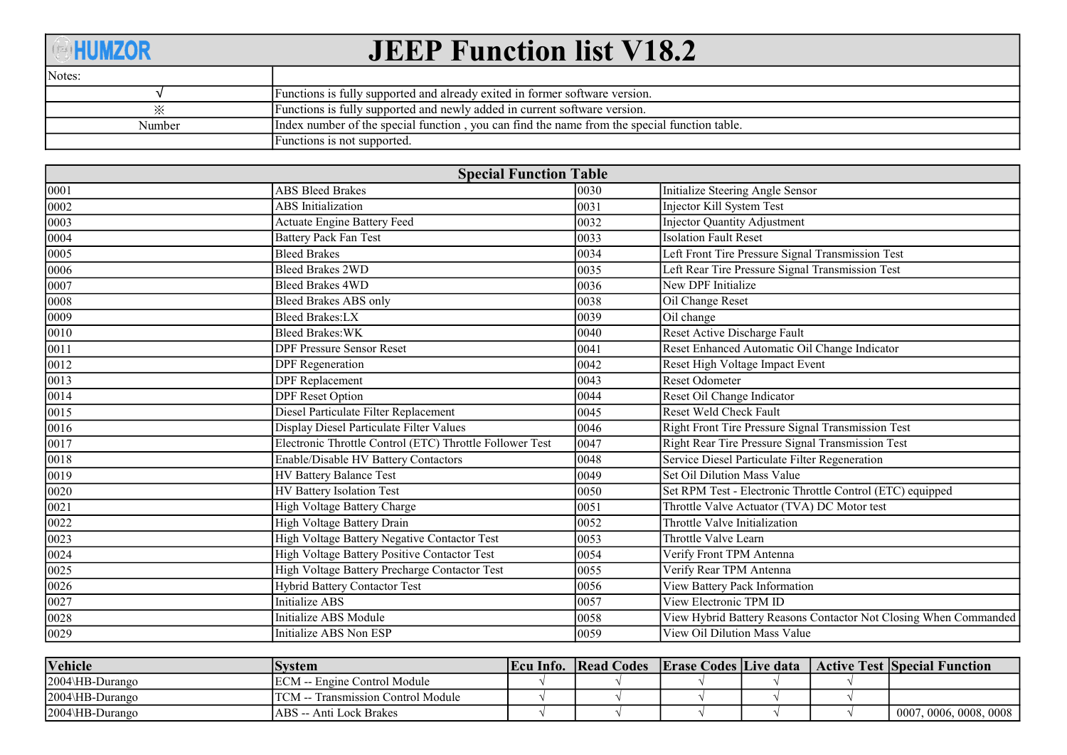## **OHUMZOR**

## **JEEP Function list V18.2**

| Notes:               |                                                                                              |
|----------------------|----------------------------------------------------------------------------------------------|
|                      | Functions is fully supported and already exited in former software version.                  |
| $\cdot \times \cdot$ | Functions is fully supported and newly added in current software version.                    |
| Number               | Index number of the special function, you can find the name from the special function table. |
|                      | Functions is not supported.                                                                  |

| <b>Special Function Table</b> |                                                          |      |                                                                  |  |  |  |  |  |  |  |
|-------------------------------|----------------------------------------------------------|------|------------------------------------------------------------------|--|--|--|--|--|--|--|
| 0001                          | <b>ABS Bleed Brakes</b>                                  | 0030 | Initialize Steering Angle Sensor                                 |  |  |  |  |  |  |  |
| 0002                          | <b>ABS</b> Initialization                                | 0031 | Injector Kill System Test                                        |  |  |  |  |  |  |  |
| 0003                          | Actuate Engine Battery Feed                              | 0032 | <b>Injector Quantity Adjustment</b>                              |  |  |  |  |  |  |  |
| 0004                          | <b>Battery Pack Fan Test</b>                             | 0033 | <b>Isolation Fault Reset</b>                                     |  |  |  |  |  |  |  |
| 0005                          | <b>Bleed Brakes</b>                                      | 0034 | Left Front Tire Pressure Signal Transmission Test                |  |  |  |  |  |  |  |
| 0006                          | <b>Bleed Brakes 2WD</b>                                  | 0035 | Left Rear Tire Pressure Signal Transmission Test                 |  |  |  |  |  |  |  |
| 0007                          | <b>Bleed Brakes 4WD</b>                                  | 0036 | New DPF Initialize                                               |  |  |  |  |  |  |  |
| 0008                          | Bleed Brakes ABS only                                    | 0038 | Oil Change Reset                                                 |  |  |  |  |  |  |  |
| 0009                          | <b>Bleed Brakes:LX</b>                                   | 0039 | Oil change                                                       |  |  |  |  |  |  |  |
| 0010                          | <b>Bleed Brakes:WK</b>                                   | 0040 | Reset Active Discharge Fault                                     |  |  |  |  |  |  |  |
| 0011                          | <b>DPF Pressure Sensor Reset</b>                         | 0041 | Reset Enhanced Automatic Oil Change Indicator                    |  |  |  |  |  |  |  |
| 0012                          | <b>DPF</b> Regeneration                                  | 0042 | Reset High Voltage Impact Event                                  |  |  |  |  |  |  |  |
| 0013                          | <b>DPF</b> Replacement                                   | 0043 | <b>Reset Odometer</b>                                            |  |  |  |  |  |  |  |
| 0014                          | <b>DPF</b> Reset Option                                  | 0044 | Reset Oil Change Indicator                                       |  |  |  |  |  |  |  |
| 0015                          | Diesel Particulate Filter Replacement                    | 0045 | Reset Weld Check Fault                                           |  |  |  |  |  |  |  |
| $\overline{0016}$             | Display Diesel Particulate Filter Values                 | 0046 | Right Front Tire Pressure Signal Transmission Test               |  |  |  |  |  |  |  |
| 0017                          | Electronic Throttle Control (ETC) Throttle Follower Test | 0047 | Right Rear Tire Pressure Signal Transmission Test                |  |  |  |  |  |  |  |
| 0018                          | Enable/Disable HV Battery Contactors                     | 0048 | Service Diesel Particulate Filter Regeneration                   |  |  |  |  |  |  |  |
| 0019                          | <b>HV Battery Balance Test</b>                           | 0049 | Set Oil Dilution Mass Value                                      |  |  |  |  |  |  |  |
| $\boxed{0020}$                | HV Battery Isolation Test                                | 0050 | Set RPM Test - Electronic Throttle Control (ETC) equipped        |  |  |  |  |  |  |  |
| 0021                          | High Voltage Battery Charge                              | 0051 | Throttle Valve Actuator (TVA) DC Motor test                      |  |  |  |  |  |  |  |
| 0022                          | High Voltage Battery Drain                               | 0052 | Throttle Valve Initialization                                    |  |  |  |  |  |  |  |
| 0023                          | High Voltage Battery Negative Contactor Test             | 0053 | Throttle Valve Learn                                             |  |  |  |  |  |  |  |
| $\overline{0024}$             | High Voltage Battery Positive Contactor Test             | 0054 | Verify Front TPM Antenna                                         |  |  |  |  |  |  |  |
| 0025                          | High Voltage Battery Precharge Contactor Test            | 0055 | Verify Rear TPM Antenna                                          |  |  |  |  |  |  |  |
| 0026                          | Hybrid Battery Contactor Test                            | 0056 | View Battery Pack Information                                    |  |  |  |  |  |  |  |
| 0027                          | <b>Initialize ABS</b>                                    | 0057 | View Electronic TPM ID                                           |  |  |  |  |  |  |  |
| 0028                          | Initialize ABS Module                                    | 0058 | View Hybrid Battery Reasons Contactor Not Closing When Commanded |  |  |  |  |  |  |  |
| 0029                          | Initialize ABS Non ESP                                   | 0059 | View Oil Dilution Mass Value                                     |  |  |  |  |  |  |  |

| <b>Vehicle</b>            | <b>System</b>                       | Ecu Info. | <b>Read Codes</b> |  | Erase Codes   Live data   Active Test   Special Function |
|---------------------------|-------------------------------------|-----------|-------------------|--|----------------------------------------------------------|
| $ 2004\rangle$ HB-Durango | ECM -- Engine Control Module        |           |                   |  |                                                          |
| $ 2004\rangle$ HB-Durango | 'TCM -- Transmission Control Module |           |                   |  |                                                          |
| $ 2004\rangle$ HB-Durango | ABS -- Anti Lock Brakes             |           |                   |  | 0007, 0006, 0008, 0008                                   |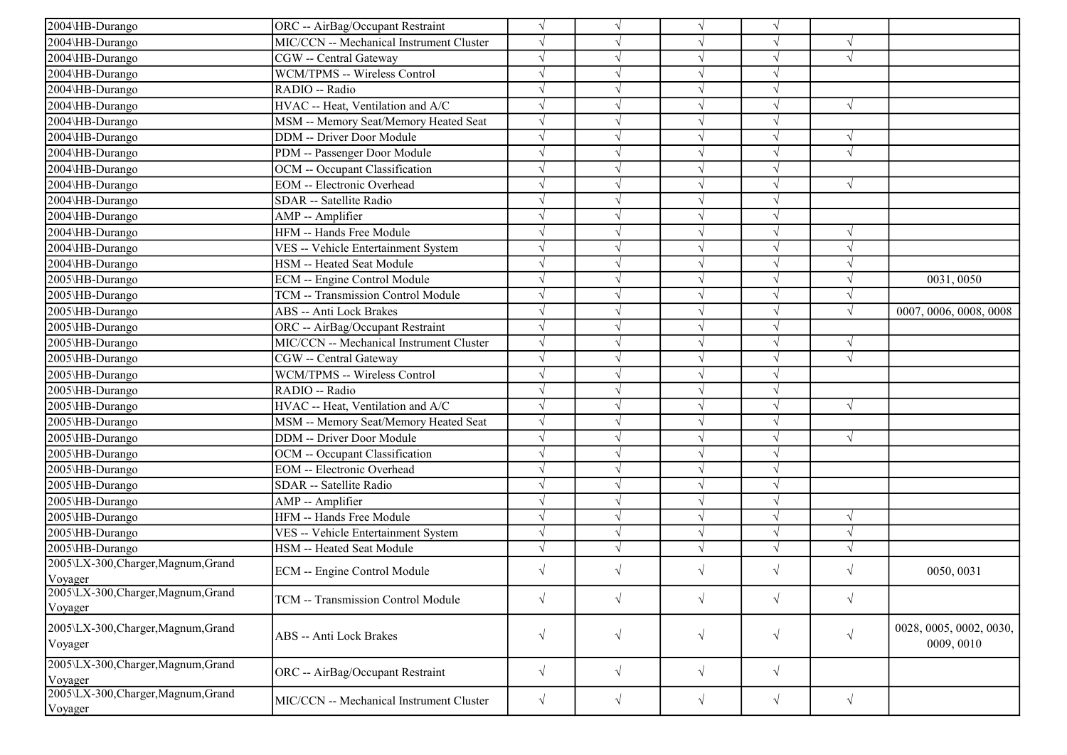| 2004\HB-Durango<br>$\sqrt{}$<br>ORC -- AirBag/Occupant Restraint<br>$\sqrt{ }$<br>$\sqrt{}$<br>$\sqrt{ }$<br>MIC/CCN -- Mechanical Instrument Cluster<br>2004\HB-Durango<br>$\sqrt{ }$<br>2004\HB-Durango<br>CGW -- Central Gateway<br>$\sqrt{ }$<br>$\sqrt{ }$<br>2004\HB-Durango<br>WCM/TPMS -- Wireless Control<br>$\sqrt{ }$<br>2004\HB-Durango<br>RADIO -- Radio<br>$\sqrt{ }$<br>$\sqrt{ }$<br>2004\HB-Durango<br>HVAC -- Heat, Ventilation and A/C<br>$\sqrt{ }$<br>$\sqrt{ }$<br>2004\HB-Durango<br>MSM -- Memory Seat/Memory Heated Seat<br>$\sqrt{}$<br>DDM -- Driver Door Module<br>2004\HB-Durango<br>$\sqrt{ }$<br>V<br>PDM -- Passenger Door Module<br>2004\HB-Durango<br>$\sqrt{ }$<br>$\sqrt{ }$<br>2004\HB-Durango<br>OCM -- Occupant Classification<br>$\sqrt{ }$<br>J<br>$\sqrt{ }$<br><b>EOM</b> -- Electronic Overhead<br>$\sqrt{ }$<br>2004\HB-Durango<br>$\sqrt{ }$<br>$\sqrt{ }$<br>$\sqrt{ }$<br>$\sqrt{ }$<br>2004\HB-Durango<br>SDAR -- Satellite Radio<br>2004\HB-Durango<br>$\sqrt{ }$<br>AMP -- Amplifier<br>HFM -- Hands Free Module<br>2004\HB-Durango<br>$\sqrt{ }$<br>$\sqrt{ }$<br>$\sqrt{ }$<br>$\sqrt{ }$<br>2004\HB-Durango<br>VES -- Vehicle Entertainment System<br>$\sqrt{ }$<br>$\sqrt{ }$<br>J<br>N<br>2004\HB-Durango<br>HSM -- Heated Seat Module<br>$\sqrt{ }$<br>$\sqrt{ }$<br>V<br>$\sqrt{ }$<br>2005\HB-Durango<br>ECM -- Engine Control Module<br>$\sqrt{ }$<br>0031,0050<br>$\sqrt{ }$<br>$\sqrt{}$<br>2005\HB-Durango<br>TCM -- Transmission Control Module<br>$\sqrt{ }$<br>$\sqrt{ }$<br>$\sqrt{}$<br>2005\HB-Durango<br>ABS -- Anti Lock Brakes<br>$\sqrt{ }$<br>0007, 0006, 0008, 0008<br>$\sqrt{ }$<br>$\sqrt{ }$<br>2005\HB-Durango<br>ORC -- AirBag/Occupant Restraint<br>MIC/CCN -- Mechanical Instrument Cluster<br>2005\HB-Durango<br>$\sqrt{ }$<br>$\sqrt{ }$<br>$\sqrt{ }$<br>$\sqrt{}$<br>CGW -- Central Gateway<br>2005\HB-Durango<br>$\sqrt{ }$<br>$\sqrt{ }$<br>N<br>$\sqrt{}$<br>WCM/TPMS -- Wireless Control<br>$\sqrt{ }$<br>2005\HB-Durango<br>$\sqrt{ }$<br>$\sqrt{ }$<br>RADIO -- Radio<br>$\sqrt{ }$<br>$\sqrt{ }$<br>2005\HB-Durango<br>$\sqrt{}$<br>$\sqrt{ }$<br>2005\HB-Durango<br>HVAC -- Heat, Ventilation and A/C<br>$\sqrt{ }$<br>MSM -- Memory Seat/Memory Heated Seat<br>2005\HB-Durango<br>$\sqrt{ }$<br>$\sqrt{ }$<br>DDM -- Driver Door Module<br>$\sqrt{ }$<br>2005\HB-Durango<br>$\sqrt{ }$<br>$\sqrt{ }$<br>2005\HB-Durango<br>OCM -- Occupant Classification<br>$\sqrt{}$<br>2005\HB-Durango<br>EOM -- Electronic Overhead<br>$\sqrt{ }$<br>$\sqrt{ }$<br>$\sqrt{ }$<br>V<br>2005\HB-Durango<br>SDAR -- Satellite Radio<br>$\sqrt{ }$<br>$\sqrt{}$<br>2005\HB-Durango<br>AMP -- Amplifier<br>$\sqrt{ }$<br>HFM -- Hands Free Module<br>$\sqrt{ }$<br>2005\HB-Durango<br>$\sqrt{ }$<br>$\sqrt{ }$<br>$\sqrt{ }$<br>$\sqrt{ }$<br>2005\HB-Durango<br>VES -- Vehicle Entertainment System<br>$\sqrt{}$<br>2005\HB-Durango<br>HSM -- Heated Seat Module<br>$\sqrt{ }$<br>V<br>V<br>2005\LX-300, Charger, Magnum, Grand<br>$\sqrt{ }$<br>V<br>$\sqrt{ }$<br>0050, 0031<br>ECM -- Engine Control Module<br>$\sqrt{ }$<br>$\sqrt{ }$<br>Voyager<br>2005\LX-300, Charger, Magnum, Grand<br>$\sqrt{}$<br>$\sqrt{}$<br>$\sqrt{}$<br>$\sqrt{ }$<br>TCM -- Transmission Control Module<br>$\sqrt{}$<br>Voyager<br>2005\LX-300, Charger, Magnum, Grand<br>0028, 0005, 0002, 0030,<br>$\sqrt{}$<br>$\sqrt{}$<br>$\sqrt{}$<br>$\sqrt{ }$<br>ABS -- Anti Lock Brakes<br>$\sqrt{}$<br>0009, 0010<br>Voyager<br>2005\LX-300, Charger, Magnum, Grand<br>$\sqrt{}$<br>$\sqrt{ }$<br>$\sqrt{}$<br>$\sqrt{}$<br>ORC -- AirBag/Occupant Restraint<br>Voyager<br>2005\LX-300, Charger, Magnum, Grand<br>$\sqrt{}$<br>$\sqrt{}$<br>$\sqrt{ }$<br>$\sqrt{ }$<br>$\sqrt{}$<br>MIC/CCN -- Mechanical Instrument Cluster<br>Voyager |  |  |  |  |
|----------------------------------------------------------------------------------------------------------------------------------------------------------------------------------------------------------------------------------------------------------------------------------------------------------------------------------------------------------------------------------------------------------------------------------------------------------------------------------------------------------------------------------------------------------------------------------------------------------------------------------------------------------------------------------------------------------------------------------------------------------------------------------------------------------------------------------------------------------------------------------------------------------------------------------------------------------------------------------------------------------------------------------------------------------------------------------------------------------------------------------------------------------------------------------------------------------------------------------------------------------------------------------------------------------------------------------------------------------------------------------------------------------------------------------------------------------------------------------------------------------------------------------------------------------------------------------------------------------------------------------------------------------------------------------------------------------------------------------------------------------------------------------------------------------------------------------------------------------------------------------------------------------------------------------------------------------------------------------------------------------------------------------------------------------------------------------------------------------------------------------------------------------------------------------------------------------------------------------------------------------------------------------------------------------------------------------------------------------------------------------------------------------------------------------------------------------------------------------------------------------------------------------------------------------------------------------------------------------------------------------------------------------------------------------------------------------------------------------------------------------------------------------------------------------------------------------------------------------------------------------------------------------------------------------------------------------------------------------------------------------------------------------------------------------------------------------------------------------------------------------------------------------------------------------------------------------------------------------------------------------------------------------------------------------------------------------------------------------------------------------------------------------------------------------------------------------------------------------------------------------------------------------------------------------------------------------------------------------------------------------------------------------------------------------------------------------------------------------------------------------------------------------------------------|--|--|--|--|
|                                                                                                                                                                                                                                                                                                                                                                                                                                                                                                                                                                                                                                                                                                                                                                                                                                                                                                                                                                                                                                                                                                                                                                                                                                                                                                                                                                                                                                                                                                                                                                                                                                                                                                                                                                                                                                                                                                                                                                                                                                                                                                                                                                                                                                                                                                                                                                                                                                                                                                                                                                                                                                                                                                                                                                                                                                                                                                                                                                                                                                                                                                                                                                                                                                                                                                                                                                                                                                                                                                                                                                                                                                                                                                                                                                                                    |  |  |  |  |
|                                                                                                                                                                                                                                                                                                                                                                                                                                                                                                                                                                                                                                                                                                                                                                                                                                                                                                                                                                                                                                                                                                                                                                                                                                                                                                                                                                                                                                                                                                                                                                                                                                                                                                                                                                                                                                                                                                                                                                                                                                                                                                                                                                                                                                                                                                                                                                                                                                                                                                                                                                                                                                                                                                                                                                                                                                                                                                                                                                                                                                                                                                                                                                                                                                                                                                                                                                                                                                                                                                                                                                                                                                                                                                                                                                                                    |  |  |  |  |
|                                                                                                                                                                                                                                                                                                                                                                                                                                                                                                                                                                                                                                                                                                                                                                                                                                                                                                                                                                                                                                                                                                                                                                                                                                                                                                                                                                                                                                                                                                                                                                                                                                                                                                                                                                                                                                                                                                                                                                                                                                                                                                                                                                                                                                                                                                                                                                                                                                                                                                                                                                                                                                                                                                                                                                                                                                                                                                                                                                                                                                                                                                                                                                                                                                                                                                                                                                                                                                                                                                                                                                                                                                                                                                                                                                                                    |  |  |  |  |
|                                                                                                                                                                                                                                                                                                                                                                                                                                                                                                                                                                                                                                                                                                                                                                                                                                                                                                                                                                                                                                                                                                                                                                                                                                                                                                                                                                                                                                                                                                                                                                                                                                                                                                                                                                                                                                                                                                                                                                                                                                                                                                                                                                                                                                                                                                                                                                                                                                                                                                                                                                                                                                                                                                                                                                                                                                                                                                                                                                                                                                                                                                                                                                                                                                                                                                                                                                                                                                                                                                                                                                                                                                                                                                                                                                                                    |  |  |  |  |
|                                                                                                                                                                                                                                                                                                                                                                                                                                                                                                                                                                                                                                                                                                                                                                                                                                                                                                                                                                                                                                                                                                                                                                                                                                                                                                                                                                                                                                                                                                                                                                                                                                                                                                                                                                                                                                                                                                                                                                                                                                                                                                                                                                                                                                                                                                                                                                                                                                                                                                                                                                                                                                                                                                                                                                                                                                                                                                                                                                                                                                                                                                                                                                                                                                                                                                                                                                                                                                                                                                                                                                                                                                                                                                                                                                                                    |  |  |  |  |
|                                                                                                                                                                                                                                                                                                                                                                                                                                                                                                                                                                                                                                                                                                                                                                                                                                                                                                                                                                                                                                                                                                                                                                                                                                                                                                                                                                                                                                                                                                                                                                                                                                                                                                                                                                                                                                                                                                                                                                                                                                                                                                                                                                                                                                                                                                                                                                                                                                                                                                                                                                                                                                                                                                                                                                                                                                                                                                                                                                                                                                                                                                                                                                                                                                                                                                                                                                                                                                                                                                                                                                                                                                                                                                                                                                                                    |  |  |  |  |
|                                                                                                                                                                                                                                                                                                                                                                                                                                                                                                                                                                                                                                                                                                                                                                                                                                                                                                                                                                                                                                                                                                                                                                                                                                                                                                                                                                                                                                                                                                                                                                                                                                                                                                                                                                                                                                                                                                                                                                                                                                                                                                                                                                                                                                                                                                                                                                                                                                                                                                                                                                                                                                                                                                                                                                                                                                                                                                                                                                                                                                                                                                                                                                                                                                                                                                                                                                                                                                                                                                                                                                                                                                                                                                                                                                                                    |  |  |  |  |
|                                                                                                                                                                                                                                                                                                                                                                                                                                                                                                                                                                                                                                                                                                                                                                                                                                                                                                                                                                                                                                                                                                                                                                                                                                                                                                                                                                                                                                                                                                                                                                                                                                                                                                                                                                                                                                                                                                                                                                                                                                                                                                                                                                                                                                                                                                                                                                                                                                                                                                                                                                                                                                                                                                                                                                                                                                                                                                                                                                                                                                                                                                                                                                                                                                                                                                                                                                                                                                                                                                                                                                                                                                                                                                                                                                                                    |  |  |  |  |
|                                                                                                                                                                                                                                                                                                                                                                                                                                                                                                                                                                                                                                                                                                                                                                                                                                                                                                                                                                                                                                                                                                                                                                                                                                                                                                                                                                                                                                                                                                                                                                                                                                                                                                                                                                                                                                                                                                                                                                                                                                                                                                                                                                                                                                                                                                                                                                                                                                                                                                                                                                                                                                                                                                                                                                                                                                                                                                                                                                                                                                                                                                                                                                                                                                                                                                                                                                                                                                                                                                                                                                                                                                                                                                                                                                                                    |  |  |  |  |
|                                                                                                                                                                                                                                                                                                                                                                                                                                                                                                                                                                                                                                                                                                                                                                                                                                                                                                                                                                                                                                                                                                                                                                                                                                                                                                                                                                                                                                                                                                                                                                                                                                                                                                                                                                                                                                                                                                                                                                                                                                                                                                                                                                                                                                                                                                                                                                                                                                                                                                                                                                                                                                                                                                                                                                                                                                                                                                                                                                                                                                                                                                                                                                                                                                                                                                                                                                                                                                                                                                                                                                                                                                                                                                                                                                                                    |  |  |  |  |
|                                                                                                                                                                                                                                                                                                                                                                                                                                                                                                                                                                                                                                                                                                                                                                                                                                                                                                                                                                                                                                                                                                                                                                                                                                                                                                                                                                                                                                                                                                                                                                                                                                                                                                                                                                                                                                                                                                                                                                                                                                                                                                                                                                                                                                                                                                                                                                                                                                                                                                                                                                                                                                                                                                                                                                                                                                                                                                                                                                                                                                                                                                                                                                                                                                                                                                                                                                                                                                                                                                                                                                                                                                                                                                                                                                                                    |  |  |  |  |
|                                                                                                                                                                                                                                                                                                                                                                                                                                                                                                                                                                                                                                                                                                                                                                                                                                                                                                                                                                                                                                                                                                                                                                                                                                                                                                                                                                                                                                                                                                                                                                                                                                                                                                                                                                                                                                                                                                                                                                                                                                                                                                                                                                                                                                                                                                                                                                                                                                                                                                                                                                                                                                                                                                                                                                                                                                                                                                                                                                                                                                                                                                                                                                                                                                                                                                                                                                                                                                                                                                                                                                                                                                                                                                                                                                                                    |  |  |  |  |
|                                                                                                                                                                                                                                                                                                                                                                                                                                                                                                                                                                                                                                                                                                                                                                                                                                                                                                                                                                                                                                                                                                                                                                                                                                                                                                                                                                                                                                                                                                                                                                                                                                                                                                                                                                                                                                                                                                                                                                                                                                                                                                                                                                                                                                                                                                                                                                                                                                                                                                                                                                                                                                                                                                                                                                                                                                                                                                                                                                                                                                                                                                                                                                                                                                                                                                                                                                                                                                                                                                                                                                                                                                                                                                                                                                                                    |  |  |  |  |
|                                                                                                                                                                                                                                                                                                                                                                                                                                                                                                                                                                                                                                                                                                                                                                                                                                                                                                                                                                                                                                                                                                                                                                                                                                                                                                                                                                                                                                                                                                                                                                                                                                                                                                                                                                                                                                                                                                                                                                                                                                                                                                                                                                                                                                                                                                                                                                                                                                                                                                                                                                                                                                                                                                                                                                                                                                                                                                                                                                                                                                                                                                                                                                                                                                                                                                                                                                                                                                                                                                                                                                                                                                                                                                                                                                                                    |  |  |  |  |
|                                                                                                                                                                                                                                                                                                                                                                                                                                                                                                                                                                                                                                                                                                                                                                                                                                                                                                                                                                                                                                                                                                                                                                                                                                                                                                                                                                                                                                                                                                                                                                                                                                                                                                                                                                                                                                                                                                                                                                                                                                                                                                                                                                                                                                                                                                                                                                                                                                                                                                                                                                                                                                                                                                                                                                                                                                                                                                                                                                                                                                                                                                                                                                                                                                                                                                                                                                                                                                                                                                                                                                                                                                                                                                                                                                                                    |  |  |  |  |
|                                                                                                                                                                                                                                                                                                                                                                                                                                                                                                                                                                                                                                                                                                                                                                                                                                                                                                                                                                                                                                                                                                                                                                                                                                                                                                                                                                                                                                                                                                                                                                                                                                                                                                                                                                                                                                                                                                                                                                                                                                                                                                                                                                                                                                                                                                                                                                                                                                                                                                                                                                                                                                                                                                                                                                                                                                                                                                                                                                                                                                                                                                                                                                                                                                                                                                                                                                                                                                                                                                                                                                                                                                                                                                                                                                                                    |  |  |  |  |
|                                                                                                                                                                                                                                                                                                                                                                                                                                                                                                                                                                                                                                                                                                                                                                                                                                                                                                                                                                                                                                                                                                                                                                                                                                                                                                                                                                                                                                                                                                                                                                                                                                                                                                                                                                                                                                                                                                                                                                                                                                                                                                                                                                                                                                                                                                                                                                                                                                                                                                                                                                                                                                                                                                                                                                                                                                                                                                                                                                                                                                                                                                                                                                                                                                                                                                                                                                                                                                                                                                                                                                                                                                                                                                                                                                                                    |  |  |  |  |
|                                                                                                                                                                                                                                                                                                                                                                                                                                                                                                                                                                                                                                                                                                                                                                                                                                                                                                                                                                                                                                                                                                                                                                                                                                                                                                                                                                                                                                                                                                                                                                                                                                                                                                                                                                                                                                                                                                                                                                                                                                                                                                                                                                                                                                                                                                                                                                                                                                                                                                                                                                                                                                                                                                                                                                                                                                                                                                                                                                                                                                                                                                                                                                                                                                                                                                                                                                                                                                                                                                                                                                                                                                                                                                                                                                                                    |  |  |  |  |
|                                                                                                                                                                                                                                                                                                                                                                                                                                                                                                                                                                                                                                                                                                                                                                                                                                                                                                                                                                                                                                                                                                                                                                                                                                                                                                                                                                                                                                                                                                                                                                                                                                                                                                                                                                                                                                                                                                                                                                                                                                                                                                                                                                                                                                                                                                                                                                                                                                                                                                                                                                                                                                                                                                                                                                                                                                                                                                                                                                                                                                                                                                                                                                                                                                                                                                                                                                                                                                                                                                                                                                                                                                                                                                                                                                                                    |  |  |  |  |
|                                                                                                                                                                                                                                                                                                                                                                                                                                                                                                                                                                                                                                                                                                                                                                                                                                                                                                                                                                                                                                                                                                                                                                                                                                                                                                                                                                                                                                                                                                                                                                                                                                                                                                                                                                                                                                                                                                                                                                                                                                                                                                                                                                                                                                                                                                                                                                                                                                                                                                                                                                                                                                                                                                                                                                                                                                                                                                                                                                                                                                                                                                                                                                                                                                                                                                                                                                                                                                                                                                                                                                                                                                                                                                                                                                                                    |  |  |  |  |
|                                                                                                                                                                                                                                                                                                                                                                                                                                                                                                                                                                                                                                                                                                                                                                                                                                                                                                                                                                                                                                                                                                                                                                                                                                                                                                                                                                                                                                                                                                                                                                                                                                                                                                                                                                                                                                                                                                                                                                                                                                                                                                                                                                                                                                                                                                                                                                                                                                                                                                                                                                                                                                                                                                                                                                                                                                                                                                                                                                                                                                                                                                                                                                                                                                                                                                                                                                                                                                                                                                                                                                                                                                                                                                                                                                                                    |  |  |  |  |
|                                                                                                                                                                                                                                                                                                                                                                                                                                                                                                                                                                                                                                                                                                                                                                                                                                                                                                                                                                                                                                                                                                                                                                                                                                                                                                                                                                                                                                                                                                                                                                                                                                                                                                                                                                                                                                                                                                                                                                                                                                                                                                                                                                                                                                                                                                                                                                                                                                                                                                                                                                                                                                                                                                                                                                                                                                                                                                                                                                                                                                                                                                                                                                                                                                                                                                                                                                                                                                                                                                                                                                                                                                                                                                                                                                                                    |  |  |  |  |
|                                                                                                                                                                                                                                                                                                                                                                                                                                                                                                                                                                                                                                                                                                                                                                                                                                                                                                                                                                                                                                                                                                                                                                                                                                                                                                                                                                                                                                                                                                                                                                                                                                                                                                                                                                                                                                                                                                                                                                                                                                                                                                                                                                                                                                                                                                                                                                                                                                                                                                                                                                                                                                                                                                                                                                                                                                                                                                                                                                                                                                                                                                                                                                                                                                                                                                                                                                                                                                                                                                                                                                                                                                                                                                                                                                                                    |  |  |  |  |
|                                                                                                                                                                                                                                                                                                                                                                                                                                                                                                                                                                                                                                                                                                                                                                                                                                                                                                                                                                                                                                                                                                                                                                                                                                                                                                                                                                                                                                                                                                                                                                                                                                                                                                                                                                                                                                                                                                                                                                                                                                                                                                                                                                                                                                                                                                                                                                                                                                                                                                                                                                                                                                                                                                                                                                                                                                                                                                                                                                                                                                                                                                                                                                                                                                                                                                                                                                                                                                                                                                                                                                                                                                                                                                                                                                                                    |  |  |  |  |
|                                                                                                                                                                                                                                                                                                                                                                                                                                                                                                                                                                                                                                                                                                                                                                                                                                                                                                                                                                                                                                                                                                                                                                                                                                                                                                                                                                                                                                                                                                                                                                                                                                                                                                                                                                                                                                                                                                                                                                                                                                                                                                                                                                                                                                                                                                                                                                                                                                                                                                                                                                                                                                                                                                                                                                                                                                                                                                                                                                                                                                                                                                                                                                                                                                                                                                                                                                                                                                                                                                                                                                                                                                                                                                                                                                                                    |  |  |  |  |
|                                                                                                                                                                                                                                                                                                                                                                                                                                                                                                                                                                                                                                                                                                                                                                                                                                                                                                                                                                                                                                                                                                                                                                                                                                                                                                                                                                                                                                                                                                                                                                                                                                                                                                                                                                                                                                                                                                                                                                                                                                                                                                                                                                                                                                                                                                                                                                                                                                                                                                                                                                                                                                                                                                                                                                                                                                                                                                                                                                                                                                                                                                                                                                                                                                                                                                                                                                                                                                                                                                                                                                                                                                                                                                                                                                                                    |  |  |  |  |
|                                                                                                                                                                                                                                                                                                                                                                                                                                                                                                                                                                                                                                                                                                                                                                                                                                                                                                                                                                                                                                                                                                                                                                                                                                                                                                                                                                                                                                                                                                                                                                                                                                                                                                                                                                                                                                                                                                                                                                                                                                                                                                                                                                                                                                                                                                                                                                                                                                                                                                                                                                                                                                                                                                                                                                                                                                                                                                                                                                                                                                                                                                                                                                                                                                                                                                                                                                                                                                                                                                                                                                                                                                                                                                                                                                                                    |  |  |  |  |
|                                                                                                                                                                                                                                                                                                                                                                                                                                                                                                                                                                                                                                                                                                                                                                                                                                                                                                                                                                                                                                                                                                                                                                                                                                                                                                                                                                                                                                                                                                                                                                                                                                                                                                                                                                                                                                                                                                                                                                                                                                                                                                                                                                                                                                                                                                                                                                                                                                                                                                                                                                                                                                                                                                                                                                                                                                                                                                                                                                                                                                                                                                                                                                                                                                                                                                                                                                                                                                                                                                                                                                                                                                                                                                                                                                                                    |  |  |  |  |
|                                                                                                                                                                                                                                                                                                                                                                                                                                                                                                                                                                                                                                                                                                                                                                                                                                                                                                                                                                                                                                                                                                                                                                                                                                                                                                                                                                                                                                                                                                                                                                                                                                                                                                                                                                                                                                                                                                                                                                                                                                                                                                                                                                                                                                                                                                                                                                                                                                                                                                                                                                                                                                                                                                                                                                                                                                                                                                                                                                                                                                                                                                                                                                                                                                                                                                                                                                                                                                                                                                                                                                                                                                                                                                                                                                                                    |  |  |  |  |
|                                                                                                                                                                                                                                                                                                                                                                                                                                                                                                                                                                                                                                                                                                                                                                                                                                                                                                                                                                                                                                                                                                                                                                                                                                                                                                                                                                                                                                                                                                                                                                                                                                                                                                                                                                                                                                                                                                                                                                                                                                                                                                                                                                                                                                                                                                                                                                                                                                                                                                                                                                                                                                                                                                                                                                                                                                                                                                                                                                                                                                                                                                                                                                                                                                                                                                                                                                                                                                                                                                                                                                                                                                                                                                                                                                                                    |  |  |  |  |
|                                                                                                                                                                                                                                                                                                                                                                                                                                                                                                                                                                                                                                                                                                                                                                                                                                                                                                                                                                                                                                                                                                                                                                                                                                                                                                                                                                                                                                                                                                                                                                                                                                                                                                                                                                                                                                                                                                                                                                                                                                                                                                                                                                                                                                                                                                                                                                                                                                                                                                                                                                                                                                                                                                                                                                                                                                                                                                                                                                                                                                                                                                                                                                                                                                                                                                                                                                                                                                                                                                                                                                                                                                                                                                                                                                                                    |  |  |  |  |
|                                                                                                                                                                                                                                                                                                                                                                                                                                                                                                                                                                                                                                                                                                                                                                                                                                                                                                                                                                                                                                                                                                                                                                                                                                                                                                                                                                                                                                                                                                                                                                                                                                                                                                                                                                                                                                                                                                                                                                                                                                                                                                                                                                                                                                                                                                                                                                                                                                                                                                                                                                                                                                                                                                                                                                                                                                                                                                                                                                                                                                                                                                                                                                                                                                                                                                                                                                                                                                                                                                                                                                                                                                                                                                                                                                                                    |  |  |  |  |
|                                                                                                                                                                                                                                                                                                                                                                                                                                                                                                                                                                                                                                                                                                                                                                                                                                                                                                                                                                                                                                                                                                                                                                                                                                                                                                                                                                                                                                                                                                                                                                                                                                                                                                                                                                                                                                                                                                                                                                                                                                                                                                                                                                                                                                                                                                                                                                                                                                                                                                                                                                                                                                                                                                                                                                                                                                                                                                                                                                                                                                                                                                                                                                                                                                                                                                                                                                                                                                                                                                                                                                                                                                                                                                                                                                                                    |  |  |  |  |
|                                                                                                                                                                                                                                                                                                                                                                                                                                                                                                                                                                                                                                                                                                                                                                                                                                                                                                                                                                                                                                                                                                                                                                                                                                                                                                                                                                                                                                                                                                                                                                                                                                                                                                                                                                                                                                                                                                                                                                                                                                                                                                                                                                                                                                                                                                                                                                                                                                                                                                                                                                                                                                                                                                                                                                                                                                                                                                                                                                                                                                                                                                                                                                                                                                                                                                                                                                                                                                                                                                                                                                                                                                                                                                                                                                                                    |  |  |  |  |
|                                                                                                                                                                                                                                                                                                                                                                                                                                                                                                                                                                                                                                                                                                                                                                                                                                                                                                                                                                                                                                                                                                                                                                                                                                                                                                                                                                                                                                                                                                                                                                                                                                                                                                                                                                                                                                                                                                                                                                                                                                                                                                                                                                                                                                                                                                                                                                                                                                                                                                                                                                                                                                                                                                                                                                                                                                                                                                                                                                                                                                                                                                                                                                                                                                                                                                                                                                                                                                                                                                                                                                                                                                                                                                                                                                                                    |  |  |  |  |
|                                                                                                                                                                                                                                                                                                                                                                                                                                                                                                                                                                                                                                                                                                                                                                                                                                                                                                                                                                                                                                                                                                                                                                                                                                                                                                                                                                                                                                                                                                                                                                                                                                                                                                                                                                                                                                                                                                                                                                                                                                                                                                                                                                                                                                                                                                                                                                                                                                                                                                                                                                                                                                                                                                                                                                                                                                                                                                                                                                                                                                                                                                                                                                                                                                                                                                                                                                                                                                                                                                                                                                                                                                                                                                                                                                                                    |  |  |  |  |
|                                                                                                                                                                                                                                                                                                                                                                                                                                                                                                                                                                                                                                                                                                                                                                                                                                                                                                                                                                                                                                                                                                                                                                                                                                                                                                                                                                                                                                                                                                                                                                                                                                                                                                                                                                                                                                                                                                                                                                                                                                                                                                                                                                                                                                                                                                                                                                                                                                                                                                                                                                                                                                                                                                                                                                                                                                                                                                                                                                                                                                                                                                                                                                                                                                                                                                                                                                                                                                                                                                                                                                                                                                                                                                                                                                                                    |  |  |  |  |
|                                                                                                                                                                                                                                                                                                                                                                                                                                                                                                                                                                                                                                                                                                                                                                                                                                                                                                                                                                                                                                                                                                                                                                                                                                                                                                                                                                                                                                                                                                                                                                                                                                                                                                                                                                                                                                                                                                                                                                                                                                                                                                                                                                                                                                                                                                                                                                                                                                                                                                                                                                                                                                                                                                                                                                                                                                                                                                                                                                                                                                                                                                                                                                                                                                                                                                                                                                                                                                                                                                                                                                                                                                                                                                                                                                                                    |  |  |  |  |
|                                                                                                                                                                                                                                                                                                                                                                                                                                                                                                                                                                                                                                                                                                                                                                                                                                                                                                                                                                                                                                                                                                                                                                                                                                                                                                                                                                                                                                                                                                                                                                                                                                                                                                                                                                                                                                                                                                                                                                                                                                                                                                                                                                                                                                                                                                                                                                                                                                                                                                                                                                                                                                                                                                                                                                                                                                                                                                                                                                                                                                                                                                                                                                                                                                                                                                                                                                                                                                                                                                                                                                                                                                                                                                                                                                                                    |  |  |  |  |
|                                                                                                                                                                                                                                                                                                                                                                                                                                                                                                                                                                                                                                                                                                                                                                                                                                                                                                                                                                                                                                                                                                                                                                                                                                                                                                                                                                                                                                                                                                                                                                                                                                                                                                                                                                                                                                                                                                                                                                                                                                                                                                                                                                                                                                                                                                                                                                                                                                                                                                                                                                                                                                                                                                                                                                                                                                                                                                                                                                                                                                                                                                                                                                                                                                                                                                                                                                                                                                                                                                                                                                                                                                                                                                                                                                                                    |  |  |  |  |
|                                                                                                                                                                                                                                                                                                                                                                                                                                                                                                                                                                                                                                                                                                                                                                                                                                                                                                                                                                                                                                                                                                                                                                                                                                                                                                                                                                                                                                                                                                                                                                                                                                                                                                                                                                                                                                                                                                                                                                                                                                                                                                                                                                                                                                                                                                                                                                                                                                                                                                                                                                                                                                                                                                                                                                                                                                                                                                                                                                                                                                                                                                                                                                                                                                                                                                                                                                                                                                                                                                                                                                                                                                                                                                                                                                                                    |  |  |  |  |
|                                                                                                                                                                                                                                                                                                                                                                                                                                                                                                                                                                                                                                                                                                                                                                                                                                                                                                                                                                                                                                                                                                                                                                                                                                                                                                                                                                                                                                                                                                                                                                                                                                                                                                                                                                                                                                                                                                                                                                                                                                                                                                                                                                                                                                                                                                                                                                                                                                                                                                                                                                                                                                                                                                                                                                                                                                                                                                                                                                                                                                                                                                                                                                                                                                                                                                                                                                                                                                                                                                                                                                                                                                                                                                                                                                                                    |  |  |  |  |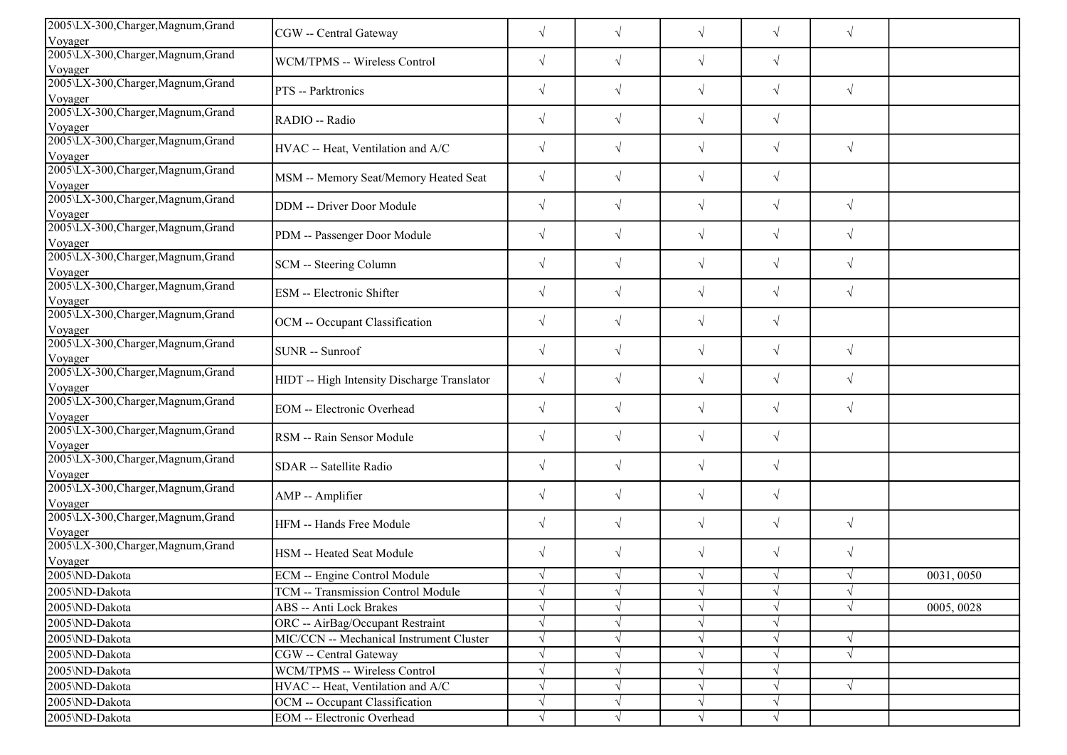| 2005\LX-300, Charger, Magnum, Grand<br>Voyager | CGW -- Central Gateway                      | $\sqrt{}$  | $\sqrt{}$  | $\sqrt{}$  | $\sqrt{ }$ | $\sqrt{}$  |            |
|------------------------------------------------|---------------------------------------------|------------|------------|------------|------------|------------|------------|
| 2005\LX-300, Charger, Magnum, Grand            |                                             |            |            |            |            |            |            |
| Voyager                                        | WCM/TPMS -- Wireless Control                | $\sqrt{}$  | $\sqrt{ }$ | $\sqrt{ }$ | $\sqrt{ }$ |            |            |
| 2005\LX-300, Charger, Magnum, Grand            | PTS -- Parktronics                          | $\sqrt{}$  | $\sqrt{}$  | $\sqrt{}$  | $\sqrt{ }$ | $\sqrt{}$  |            |
| Voyager                                        |                                             |            |            |            |            |            |            |
| 2005\LX-300, Charger, Magnum, Grand<br>Voyager | RADIO -- Radio                              | $\sqrt{}$  | $\sqrt{}$  | $\sqrt{}$  | $\sqrt{}$  |            |            |
| 2005\LX-300, Charger, Magnum, Grand<br>Voyager | HVAC -- Heat, Ventilation and A/C           | $\sqrt{}$  | $\sqrt{ }$ | $\sqrt{}$  | $\sqrt{ }$ | $\sqrt{}$  |            |
| 2005\LX-300, Charger, Magnum, Grand<br>Voyager | MSM -- Memory Seat/Memory Heated Seat       | $\sqrt{}$  | $\sqrt{}$  | $\sqrt{ }$ | $\sqrt{ }$ |            |            |
| 2005\LX-300, Charger, Magnum, Grand<br>Voyager | DDM -- Driver Door Module                   | $\sqrt{}$  | $\sqrt{ }$ | $\sqrt{ }$ | $\sqrt{ }$ | $\sqrt{ }$ |            |
| 2005\LX-300, Charger, Magnum, Grand<br>Voyager | PDM -- Passenger Door Module                | $\sqrt{}$  | $\sqrt{}$  | $\sqrt{ }$ | $\sqrt{ }$ | $\sqrt{2}$ |            |
| 2005\LX-300, Charger, Magnum, Grand<br>Voyager | SCM -- Steering Column                      | $\sqrt{}$  | $\sqrt{}$  | $\sqrt{}$  | $\sqrt{ }$ | $\sqrt{}$  |            |
| 2005\LX-300, Charger, Magnum, Grand<br>Voyager | ESM -- Electronic Shifter                   | $\sqrt{}$  | $\sqrt{ }$ | $\sqrt{ }$ | $\sqrt{ }$ | $\sqrt{2}$ |            |
| 2005\LX-300, Charger, Magnum, Grand<br>Voyager | OCM -- Occupant Classification              | $\sqrt{}$  | $\sqrt{}$  | $\sqrt{}$  | $\sqrt{ }$ |            |            |
| 2005\LX-300, Charger, Magnum, Grand<br>Voyager | SUNR -- Sunroof                             | $\sqrt{}$  | $\sqrt{ }$ | $\sqrt{ }$ | $\sqrt{ }$ | $\sqrt{2}$ |            |
| 2005\LX-300, Charger, Magnum, Grand<br>Voyager | HIDT -- High Intensity Discharge Translator | $\sqrt{}$  | $\sqrt{ }$ | $\sqrt{ }$ | $\sqrt{}$  | $\sqrt{}$  |            |
| 2005\LX-300, Charger, Magnum, Grand<br>Voyager | <b>EOM</b> -- Electronic Overhead           | $\sqrt{}$  | $\sqrt{ }$ | $\sqrt{}$  | $\sqrt{}$  | $\sqrt{}$  |            |
| 2005\LX-300,Charger,Magnum,Grand<br>Voyager    | RSM -- Rain Sensor Module                   | $\sqrt{}$  | $\sqrt{}$  | $\sqrt{}$  | $\sqrt{ }$ |            |            |
| 2005\LX-300, Charger, Magnum, Grand<br>Voyager | SDAR -- Satellite Radio                     | $\sqrt{}$  | $\sqrt{}$  | $\sqrt{ }$ | $\sqrt{ }$ |            |            |
| 2005\LX-300, Charger, Magnum, Grand<br>Voyager | AMP -- Amplifier                            | $\sqrt{}$  | $\sqrt{ }$ | $\sqrt{ }$ | $\sqrt{ }$ |            |            |
| 2005\LX-300, Charger, Magnum, Grand<br>Voyager | HFM -- Hands Free Module                    | $\sqrt{ }$ | $\sqrt{}$  | $\sqrt{}$  | $\sqrt{ }$ | $\sqrt{}$  |            |
| 2005\LX-300, Charger, Magnum, Grand<br>Voyager | HSM -- Heated Seat Module                   | $\sqrt{}$  | $\sqrt{}$  | $\sqrt{ }$ | $\sqrt{ }$ | $\sqrt{}$  |            |
| 2005\ND-Dakota                                 | ECM -- Engine Control Module                | $\sqrt{}$  |            | $\sqrt{ }$ | $\sqrt{ }$ | $\sqrt{ }$ | 0031,0050  |
| 2005\ND-Dakota                                 | TCM -- Transmission Control Module          | $\sqrt{ }$ | $\sqrt{ }$ | $\sqrt{ }$ | $\sqrt{ }$ | $\sqrt{ }$ |            |
| 2005\ND-Dakota                                 | <b>ABS</b> -- Anti Lock Brakes              |            |            | $\sqrt{ }$ |            |            | 0005, 0028 |
| 2005\ND-Dakota                                 | ORC -- AirBag/Occupant Restraint            |            |            | $\sqrt{ }$ |            |            |            |
| 2005\ND-Dakota                                 | MIC/CCN -- Mechanical Instrument Cluster    | $\sqrt{}$  |            | $\sqrt{}$  |            | $\sqrt{}$  |            |
| 2005\ND-Dakota                                 | CGW -- Central Gateway                      |            |            | $\sqrt{ }$ |            |            |            |
| 2005\ND-Dakota                                 | WCM/TPMS -- Wireless Control                | $\sqrt{}$  |            | $\sqrt{ }$ |            |            |            |
| 2005\ND-Dakota                                 | HVAC -- Heat, Ventilation and A/C           | $\sqrt{}$  |            | $\sqrt{}$  |            | $\sqrt{ }$ |            |
| 2005\ND-Dakota                                 | OCM -- Occupant Classification              | $\sqrt{}$  |            | $\sqrt{ }$ |            |            |            |
| 2005\ND-Dakota                                 | EOM -- Electronic Overhead                  | V          |            | $\sqrt{ }$ | $\sqrt{ }$ |            |            |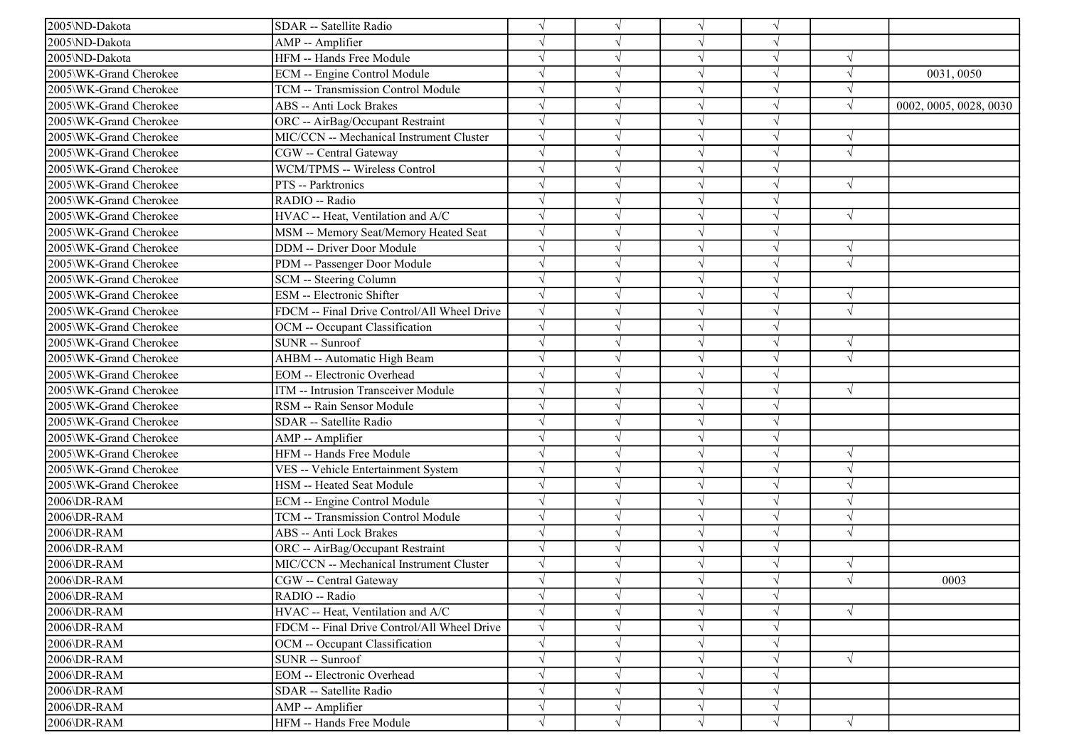| 2005\ND-Dakota         | SDAR -- Satellite Radio                     | $\sqrt{ }$ |           |            |            |            |                        |
|------------------------|---------------------------------------------|------------|-----------|------------|------------|------------|------------------------|
| 2005\ND-Dakota         | AMP -- Amplifier                            | $\sqrt{ }$ |           |            |            |            |                        |
| 2005\ND-Dakota         | HFM -- Hands Free Module                    | $\sqrt{ }$ |           |            |            | $\sqrt{ }$ |                        |
| 2005\WK-Grand Cherokee | ECM -- Engine Control Module                |            |           |            |            |            | 0031,0050              |
| 2005\WK-Grand Cherokee | TCM -- Transmission Control Module          | $\sqrt{}$  |           |            |            | $\sqrt{ }$ |                        |
| 2005\WK-Grand Cherokee | ABS -- Anti Lock Brakes                     | $\sqrt{ }$ |           |            |            | N          | 0002, 0005, 0028, 0030 |
| 2005\WK-Grand Cherokee | ORC -- AirBag/Occupant Restraint            | $\sqrt{ }$ |           |            |            |            |                        |
| 2005\WK-Grand Cherokee | MIC/CCN -- Mechanical Instrument Cluster    | $\sqrt{ }$ |           |            |            | $\sqrt{ }$ |                        |
| 2005\WK-Grand Cherokee | CGW -- Central Gateway                      | $\sqrt{ }$ |           | $\sqrt{ }$ |            | $\sqrt{ }$ |                        |
| 2005\WK-Grand Cherokee | WCM/TPMS -- Wireless Control                | $\sqrt{ }$ |           |            |            |            |                        |
| 2005\WK-Grand Cherokee | PTS -- Parktronics                          | $\sqrt{ }$ |           |            |            | $\sqrt{ }$ |                        |
| 2005\WK-Grand Cherokee | RADIO -- Radio                              | $\sqrt{ }$ |           |            |            |            |                        |
| 2005\WK-Grand Cherokee | HVAC -- Heat, Ventilation and A/C           | $\sqrt{ }$ |           |            |            | $\sqrt{ }$ |                        |
| 2005\WK-Grand Cherokee | MSM -- Memory Seat/Memory Heated Seat       | $\sqrt{ }$ |           |            |            |            |                        |
| 2005\WK-Grand Cherokee | DDM -- Driver Door Module                   | $\sqrt{ }$ |           | $\sqrt{ }$ |            | $\sqrt{ }$ |                        |
| 2005\WK-Grand Cherokee | PDM -- Passenger Door Module                | $\sqrt{ }$ |           |            |            | $\sqrt{}$  |                        |
| 2005\WK-Grand Cherokee | SCM -- Steering Column                      | $\sqrt{}$  |           |            |            |            |                        |
| 2005\WK-Grand Cherokee | ESM -- Electronic Shifter                   | $\sqrt{ }$ |           |            |            | $\sqrt{ }$ |                        |
| 2005\WK-Grand Cherokee | FDCM -- Final Drive Control/All Wheel Drive | $\sqrt{ }$ |           |            |            | N          |                        |
| 2005\WK-Grand Cherokee | OCM -- Occupant Classification              | $\sqrt{ }$ |           | $\sqrt{ }$ | V          |            |                        |
| 2005\WK-Grand Cherokee | SUNR -- Sunroof                             | $\sqrt{ }$ |           | $\sqrt{ }$ | $\sqrt{ }$ | $\sqrt{ }$ |                        |
| 2005\WK-Grand Cherokee | AHBM -- Automatic High Beam                 | $\sqrt{ }$ |           | $\sqrt{ }$ |            | $\sqrt{ }$ |                        |
| 2005\WK-Grand Cherokee | <b>EOM</b> -- Electronic Overhead           | $\sqrt{ }$ |           |            |            |            |                        |
| 2005\WK-Grand Cherokee | ITM -- Intrusion Transceiver Module         | $\sqrt{ }$ |           | $\sqrt{ }$ |            | $\sqrt{ }$ |                        |
| 2005\WK-Grand Cherokee | RSM -- Rain Sensor Module                   | $\sqrt{ }$ |           |            |            |            |                        |
| 2005\WK-Grand Cherokee | SDAR -- Satellite Radio                     | $\sqrt{ }$ |           |            |            |            |                        |
| 2005\WK-Grand Cherokee | AMP -- Amplifier                            | $\sqrt{ }$ |           | $\sqrt{ }$ |            |            |                        |
| 2005\WK-Grand Cherokee | HFM -- Hands Free Module                    | $\sqrt{ }$ |           |            |            | $\sqrt{ }$ |                        |
| 2005\WK-Grand Cherokee | VES -- Vehicle Entertainment System         | $\sqrt{ }$ |           |            |            |            |                        |
| 2005\WK-Grand Cherokee | HSM -- Heated Seat Module                   | $\sqrt{ }$ |           |            |            |            |                        |
| 2006\DR-RAM            | ECM -- Engine Control Module                | $\sqrt{ }$ |           |            |            |            |                        |
| 2006\DR-RAM            | TCM -- Transmission Control Module          | $\sqrt{ }$ | ٦I        | $\sqrt{ }$ |            | $\sqrt{ }$ |                        |
| 2006\DR-RAM            | ABS -- Anti Lock Brakes                     | $\sqrt{ }$ |           | $\sqrt{ }$ |            | $\sqrt{ }$ |                        |
| 2006\DR-RAM            | ORC -- AirBag/Occupant Restraint            | $\sqrt{ }$ |           | $\sqrt{ }$ |            |            |                        |
| 2006\DR-RAM            | MIC/CCN -- Mechanical Instrument Cluster    | $\sqrt{ }$ |           |            |            |            |                        |
| 2006\DR-RAM            | CGW -- Central Gateway                      | $\sqrt{ }$ |           |            |            |            | 0003                   |
| 2006\DR-RAM            | RADIO -- Radio                              | $\sqrt{ }$ | $\sqrt{}$ | $\sqrt{ }$ | $\sqrt{ }$ |            |                        |
| 2006\DR-RAM            | HVAC -- Heat, Ventilation and A/C           | $\sqrt{ }$ |           |            |            |            |                        |
| 2006\DR-RAM            | FDCM -- Final Drive Control/All Wheel Drive | $\sqrt{ }$ |           |            |            |            |                        |
| 2006\DR-RAM            | OCM -- Occupant Classification              | $\sqrt{}$  |           |            |            |            |                        |
| 2006\DR-RAM            | SUNR -- Sunroof                             | $\sqrt{}$  |           |            |            | $\sqrt{ }$ |                        |
| 2006\DR-RAM            | EOM -- Electronic Overhead                  | $\sqrt{}$  |           |            |            |            |                        |
| 2006\DR-RAM            | SDAR -- Satellite Radio                     | $\sqrt{}$  |           |            |            |            |                        |
| 2006\DR-RAM            | AMP -- Amplifier                            | $\sqrt{}$  |           | $\sqrt{ }$ |            |            |                        |
| 2006\DR-RAM            | HFM -- Hands Free Module                    | $\sqrt{ }$ |           |            |            | $\sqrt{ }$ |                        |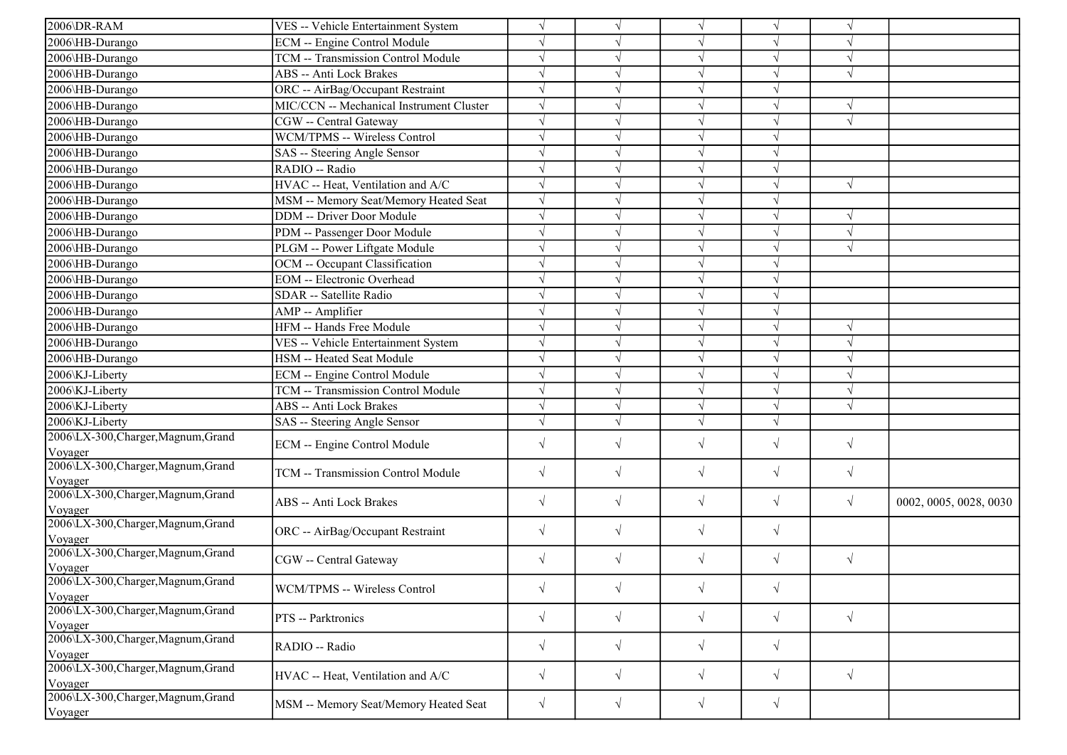| 2006\DR-RAM                                    | VES -- Vehicle Entertainment System      | $\sqrt{ }$ |            | $\sqrt{ }$ | $\sqrt{ }$ | $\sqrt{ }$ |                        |
|------------------------------------------------|------------------------------------------|------------|------------|------------|------------|------------|------------------------|
| 2006\HB-Durango                                | ECM -- Engine Control Module             |            |            | $\sqrt{ }$ | V          | $\sqrt{ }$ |                        |
| 2006\HB-Durango                                | TCM -- Transmission Control Module       |            |            | $\sqrt{ }$ | J          | $\sqrt{ }$ |                        |
| 2006\HB-Durango                                | ABS -- Anti Lock Brakes                  |            |            | $\sqrt{ }$ | $\sqrt{}$  | $\sqrt{ }$ |                        |
| 2006\HB-Durango                                | ORC -- AirBag/Occupant Restraint         |            |            | $\sqrt{ }$ |            |            |                        |
| 2006\HB-Durango                                | MIC/CCN -- Mechanical Instrument Cluster | $\sqrt{}$  |            | $\sqrt{ }$ |            | $\sqrt{ }$ |                        |
| 2006\HB-Durango                                | CGW -- Central Gateway                   |            |            | $\sqrt{ }$ | $\sqrt{}$  | $\sqrt{ }$ |                        |
| 2006\HB-Durango                                | WCM/TPMS -- Wireless Control             | $\sqrt{}$  |            | $\sqrt{ }$ | V          |            |                        |
| 2006\HB-Durango                                | SAS -- Steering Angle Sensor             | $\sqrt{ }$ |            | $\sqrt{ }$ | $\sqrt{}$  |            |                        |
| 2006\HB-Durango                                | RADIO -- Radio                           |            |            | $\sqrt{ }$ | $\sqrt{}$  |            |                        |
| 2006\HB-Durango                                | HVAC -- Heat, Ventilation and A/C        |            |            | $\sqrt{ }$ |            | $\sqrt{ }$ |                        |
| 2006\HB-Durango                                | MSM -- Memory Seat/Memory Heated Seat    |            |            | $\sqrt{}$  | V          |            |                        |
| 2006\HB-Durango                                | DDM -- Driver Door Module                |            |            | $\sqrt{ }$ | V          | $\sqrt{ }$ |                        |
| 2006\HB-Durango                                | PDM -- Passenger Door Module             |            |            | $\sqrt{ }$ | V          | $\sqrt{ }$ |                        |
| 2006\HB-Durango                                | PLGM -- Power Liftgate Module            |            |            | $\sqrt{ }$ | V          | $\sqrt{ }$ |                        |
| 2006\HB-Durango                                | OCM -- Occupant Classification           |            |            | $\sqrt{ }$ | J          |            |                        |
| 2006\HB-Durango                                | <b>EOM</b> -- Electronic Overhead        |            |            | $\sqrt{ }$ |            |            |                        |
| 2006\HB-Durango                                | SDAR -- Satellite Radio                  |            |            | $\sqrt{}$  |            |            |                        |
| 2006\HB-Durango                                | AMP -- Amplifier                         |            |            | $\sqrt{ }$ |            |            |                        |
| 2006\HB-Durango                                | HFM -- Hands Free Module                 |            |            | $\sqrt{ }$ | J          | $\sqrt{ }$ |                        |
| 2006\HB-Durango                                | VES -- Vehicle Entertainment System      | $\sqrt{ }$ |            | $\sqrt{ }$ | J          | $\sqrt{ }$ |                        |
| 2006\HB-Durango                                | HSM -- Heated Seat Module                | $\sqrt{ }$ |            | $\sqrt{ }$ | V          | $\sqrt{ }$ |                        |
| 2006\KJ-Liberty                                | <b>ECM</b> -- Engine Control Module      |            |            | $\sqrt{}$  |            | $\sqrt{ }$ |                        |
| 2006\KJ-Liberty                                | TCM -- Transmission Control Module       |            |            | $\sqrt{ }$ | J          | $\sqrt{ }$ |                        |
| 2006\KJ-Liberty                                | ABS -- Anti Lock Brakes                  |            |            | $\sqrt{ }$ | V          | $\sqrt{ }$ |                        |
| 2006\KJ-Liberty                                | SAS -- Steering Angle Sensor             |            | $\sqrt{ }$ | $\sqrt{}$  | $\sqrt{}$  |            |                        |
| 2006\LX-300, Charger, Magnum, Grand<br>Voyager | ECM -- Engine Control Module             | $\sqrt{}$  | $\sqrt{}$  | $\sqrt{}$  | $\sqrt{ }$ | $\sqrt{ }$ |                        |
| 2006\LX-300, Charger, Magnum, Grand<br>Voyager | TCM -- Transmission Control Module       | $\sqrt{}$  | $\sqrt{}$  | $\sqrt{}$  | $\sqrt{}$  | $\sqrt{ }$ |                        |
| 2006\LX-300, Charger, Magnum, Grand<br>Voyager | ABS -- Anti Lock Brakes                  | $\sqrt{}$  | $\sqrt{}$  | $\sqrt{}$  | $\sqrt{}$  | $\sqrt{ }$ | 0002, 0005, 0028, 0030 |
| 2006\LX-300, Charger, Magnum, Grand<br>Voyager | ORC -- AirBag/Occupant Restraint         | $\sqrt{}$  | $\sqrt{}$  | $\sqrt{}$  | $\sqrt{}$  |            |                        |
| 2006\LX-300, Charger, Magnum, Grand<br>Voyager | CGW -- Central Gateway                   | $\sqrt{}$  | $\sqrt{ }$ | $\sqrt{}$  | $\sqrt{}$  | $\sqrt{ }$ |                        |
| 2006\LX-300,Charger,Magnum,Grand<br>Voyager    | WCM/TPMS -- Wireless Control             | $\sqrt{}$  | $\sqrt{ }$ | $\sqrt{ }$ | $\sqrt{ }$ |            |                        |
| 2006\LX-300, Charger, Magnum, Grand<br>Voyager | PTS -- Parktronics                       | $\sqrt{}$  | $\sqrt{ }$ | $\sqrt{}$  | $\sqrt{ }$ | $\sqrt{ }$ |                        |
| 2006\LX-300,Charger,Magnum,Grand<br>Voyager    | RADIO -- Radio                           | $\sqrt{2}$ | $\sqrt{ }$ | $\sqrt{ }$ | $\sqrt{}$  |            |                        |
| 2006\LX-300, Charger, Magnum, Grand<br>Voyager | HVAC -- Heat, Ventilation and A/C        | $\sqrt{}$  | $\sqrt{ }$ | $\sqrt{}$  | $\sqrt{}$  | $\sqrt{ }$ |                        |
| 2006\LX-300, Charger, Magnum, Grand<br>Voyager | MSM -- Memory Seat/Memory Heated Seat    | $\sqrt{}$  | $\sqrt{ }$ | $\sqrt{}$  | $\sqrt{ }$ |            |                        |
|                                                |                                          |            |            |            |            |            |                        |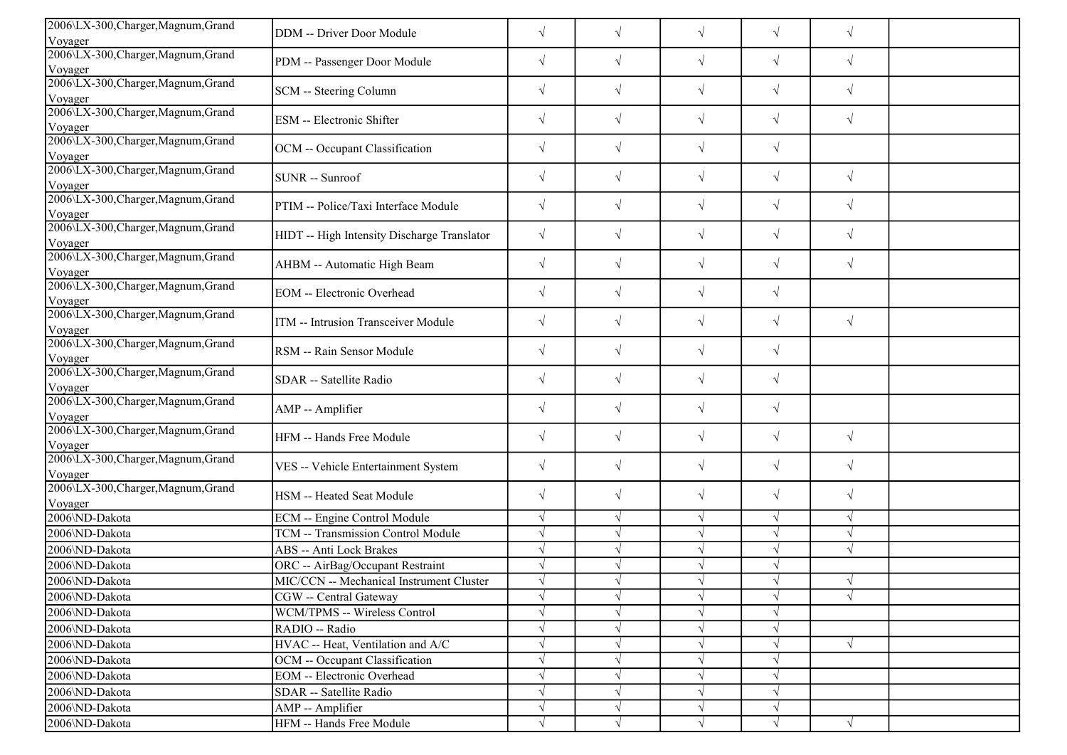| 2006\LX-300, Charger, Magnum, Grand<br>Voyager | DDM -- Driver Door Module                   | $\sqrt{}$  | $\sqrt{}$  | $\sqrt{}$  | $\sqrt{}$  | $\sqrt{}$  |  |
|------------------------------------------------|---------------------------------------------|------------|------------|------------|------------|------------|--|
| 2006\LX-300, Charger, Magnum, Grand            |                                             |            |            |            |            |            |  |
| Voyager                                        | PDM -- Passenger Door Module                | $\sqrt{}$  | $\sqrt{ }$ | $\sqrt{ }$ | $\sqrt{ }$ | $\sqrt{2}$ |  |
| 2006\LX-300, Charger, Magnum, Grand            |                                             |            |            |            |            |            |  |
| Voyager                                        | SCM -- Steering Column                      | $\sqrt{}$  | $\sqrt{ }$ | $\sqrt{ }$ | $\sqrt{}$  | $\sqrt{ }$ |  |
| 2006\LX-300, Charger, Magnum, Grand            |                                             |            |            |            |            |            |  |
| Voyager                                        | ESM -- Electronic Shifter                   | $\sqrt{ }$ | $\sqrt{ }$ | $\sqrt{}$  | $\sqrt{}$  | $\sqrt{ }$ |  |
| 2006\LX-300, Charger, Magnum, Grand            |                                             | $\sqrt{}$  | $\sqrt{ }$ | $\sqrt{}$  | $\sqrt{}$  |            |  |
| Voyager                                        | OCM -- Occupant Classification              |            |            |            |            |            |  |
| 2006\LX-300, Charger, Magnum, Grand            | SUNR -- Sunroof                             | $\sqrt{}$  | $\sqrt{ }$ | $\sqrt{}$  | $\sqrt{}$  | $\sqrt{ }$ |  |
| Voyager                                        |                                             |            |            |            |            |            |  |
| 2006\LX-300, Charger, Magnum, Grand            | PTIM -- Police/Taxi Interface Module        | $\sqrt{}$  | $\sqrt{ }$ | $\sqrt{ }$ | $\sqrt{2}$ | $\sqrt{ }$ |  |
| Voyager                                        |                                             |            |            |            |            |            |  |
| 2006\LX-300, Charger, Magnum, Grand            | HIDT -- High Intensity Discharge Translator | $\sqrt{}$  | $\sqrt{}$  | $\sqrt{}$  | $\sqrt{}$  | $\sqrt{ }$ |  |
| Voyager                                        |                                             |            |            |            |            |            |  |
| 2006\LX-300, Charger, Magnum, Grand            | AHBM -- Automatic High Beam                 | $\sqrt{}$  | $\sqrt{ }$ | $\sqrt{}$  | $\sqrt{}$  | $\sqrt{ }$ |  |
| Voyager                                        |                                             |            |            |            |            |            |  |
| 2006\LX-300, Charger, Magnum, Grand            | EOM -- Electronic Overhead                  | $\sqrt{}$  | $\sqrt{ }$ | $\sqrt{}$  | $\sqrt{}$  |            |  |
| Voyager<br>2006\LX-300, Charger, Magnum, Grand |                                             |            |            |            |            |            |  |
|                                                | ITM -- Intrusion Transceiver Module         | $\sqrt{}$  | $\sqrt{}$  | $\sqrt{}$  | $\sqrt{}$  | $\sqrt{ }$ |  |
| Voyager<br>2006\LX-300, Charger, Magnum, Grand |                                             |            |            |            |            |            |  |
| Voyager                                        | RSM -- Rain Sensor Module                   | $\sqrt{}$  | $\sqrt{ }$ | $\sqrt{}$  | $\sqrt{ }$ |            |  |
| 2006\LX-300, Charger, Magnum, Grand            |                                             |            |            |            |            |            |  |
| Voyager                                        | SDAR -- Satellite Radio                     | $\sqrt{}$  | $\sqrt{ }$ | $\sqrt{}$  | $\sqrt{}$  |            |  |
| 2006\LX-300, Charger, Magnum, Grand            |                                             |            |            |            |            |            |  |
| Voyager                                        | AMP -- Amplifier                            | $\sqrt{ }$ | $\sqrt{ }$ | $\sqrt{}$  | $\sqrt{}$  |            |  |
| 2006\LX-300, Charger, Magnum, Grand            |                                             |            |            |            |            |            |  |
| Voyager                                        | HFM -- Hands Free Module                    | $\sqrt{ }$ | $\sqrt{ }$ | $\sqrt{}$  | $\sqrt{}$  | $\sqrt{ }$ |  |
| 2006\LX-300, Charger, Magnum, Grand            |                                             |            |            |            |            |            |  |
| Voyager                                        | VES -- Vehicle Entertainment System         | $\sqrt{}$  | $\sqrt{}$  | $\sqrt{}$  | $\sqrt{}$  | $\sqrt{ }$ |  |
| 2006\LX-300, Charger, Magnum, Grand            |                                             | $\sqrt{}$  | $\sqrt{ }$ | $\sqrt{ }$ | $\sqrt{}$  | $\sqrt{ }$ |  |
| Voyager                                        | HSM -- Heated Seat Module                   |            |            |            |            |            |  |
| 2006\ND-Dakota                                 | ECM -- Engine Control Module                | $\sqrt{ }$ | $\sqrt{ }$ | $\sqrt{ }$ | $\sqrt{ }$ | $\sqrt{ }$ |  |
| 2006\ND-Dakota                                 | TCM -- Transmission Control Module          |            |            | $\sqrt{ }$ | $\sqrt{}$  | $\sqrt{ }$ |  |
| 2006\ND-Dakota                                 | ABS -- Anti Lock Brakes                     |            |            | $\sqrt{}$  | $\sqrt{}$  | $\sqrt{ }$ |  |
| 2006\ND-Dakota                                 | ORC -- AirBag/Occupant Restraint            |            | $\sqrt{ }$ | $\sqrt{}$  | $\sqrt{}$  |            |  |
| 2006\ND-Dakota                                 | MIC/CCN -- Mechanical Instrument Cluster    |            |            | $\sqrt{ }$ | $\sqrt{ }$ | $\sqrt{ }$ |  |
| 2006\ND-Dakota                                 | CGW -- Central Gateway                      | $\sqrt{ }$ | $\sqrt{ }$ | $\sqrt{ }$ | $\sqrt{}$  | $\sqrt{ }$ |  |
| 2006\ND-Dakota                                 | WCM/TPMS -- Wireless Control                |            |            | $\sqrt{}$  | V          |            |  |
| 2006\ND-Dakota                                 | RADIO -- Radio                              |            |            | $\sqrt{}$  |            |            |  |
| 2006\ND-Dakota                                 | HVAC -- Heat, Ventilation and A/C           |            |            | V          |            | $\sqrt{ }$ |  |
| 2006\ND-Dakota                                 | OCM -- Occupant Classification              |            |            | $\sqrt{}$  |            |            |  |
| 2006\ND-Dakota                                 | <b>EOM</b> -- Electronic Overhead           |            |            | $\sqrt{}$  | V          |            |  |
| 2006\ND-Dakota                                 | SDAR -- Satellite Radio                     |            | V          | $\sqrt{ }$ | V          |            |  |
| 2006\ND-Dakota                                 | AMP -- Amplifier                            | $\sqrt{ }$ | $\sqrt{ }$ | $\sqrt{}$  | $\sqrt{}$  |            |  |
| 2006\ND-Dakota                                 | HFM -- Hands Free Module                    |            |            | $\sqrt{ }$ |            |            |  |
|                                                |                                             |            | $\sqrt{}$  |            | $\sqrt{}$  | $\sqrt{}$  |  |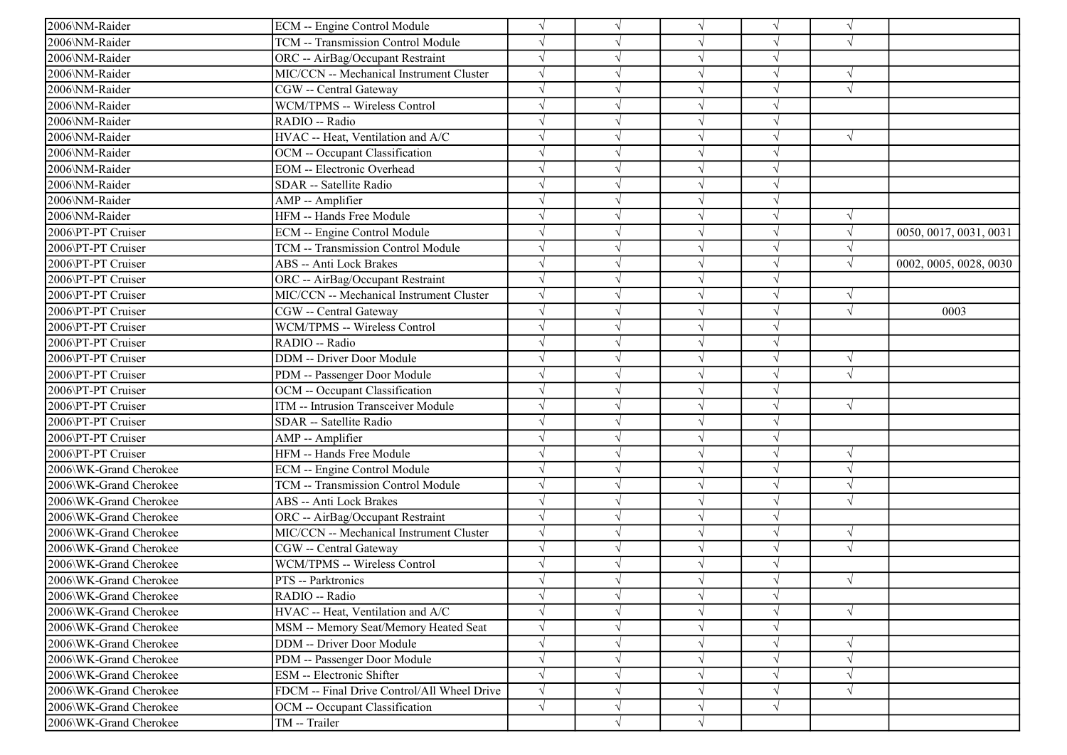| 2006\NM-Raider         | ECM -- Engine Control Module                | $\sqrt{}$  |            | $\sqrt{ }$ | V          | $\sqrt{ }$ |                        |
|------------------------|---------------------------------------------|------------|------------|------------|------------|------------|------------------------|
| 2006\NM-Raider         | TCM -- Transmission Control Module          | $\sqrt{}$  |            | $\sqrt{ }$ | $\sqrt{}$  | $\sqrt{ }$ |                        |
| 2006\NM-Raider         | ORC -- AirBag/Occupant Restraint            | $\sqrt{}$  |            | $\sqrt{ }$ | $\sqrt{}$  |            |                        |
| 2006\NM-Raider         | MIC/CCN -- Mechanical Instrument Cluster    |            |            |            |            |            |                        |
| 2006\NM-Raider         | CGW -- Central Gateway                      | $\sqrt{}$  |            | $\sqrt{}$  |            | $\sqrt{ }$ |                        |
| 2006\NM-Raider         | WCM/TPMS -- Wireless Control                | $\sqrt{}$  |            | $\sqrt{ }$ |            |            |                        |
| 2006\NM-Raider         | RADIO -- Radio                              | $\sqrt{}$  |            | V          | V          |            |                        |
| 2006\NM-Raider         | HVAC -- Heat, Ventilation and A/C           | $\sqrt{ }$ |            | $\sqrt{}$  | $\sqrt{}$  | $\sqrt{ }$ |                        |
| 2006\NM-Raider         | OCM -- Occupant Classification              | $\sqrt{}$  |            | $\sqrt{ }$ | $\sqrt{}$  |            |                        |
| 2006\NM-Raider         | <b>EOM</b> -- Electronic Overhead           |            |            | $\sqrt{}$  |            |            |                        |
| 2006\NM-Raider         | SDAR -- Satellite Radio                     |            |            | $\sqrt{}$  | J          |            |                        |
| 2006\NM-Raider         | AMP -- Amplifier                            |            |            | $\sqrt{}$  | V          |            |                        |
| 2006\NM-Raider         | HFM -- Hands Free Module                    |            |            | $\sqrt{ }$ | V          | $\sqrt{ }$ |                        |
| 2006\PT-PT Cruiser     | ECM -- Engine Control Module                | $\sqrt{}$  |            | $\sqrt{ }$ | V          | $\sqrt{ }$ | 0050, 0017, 0031, 0031 |
| 2006\PT-PT Cruiser     | TCM -- Transmission Control Module          | $\sqrt{ }$ |            | $\sqrt{}$  | J          | $\sqrt{ }$ |                        |
| 2006\PT-PT Cruiser     | <b>ABS</b> -- Anti Lock Brakes              |            |            | $\sqrt{}$  |            | $\sqrt{ }$ | 0002, 0005, 0028, 0030 |
| 2006\PT-PT Cruiser     | ORC -- AirBag/Occupant Restraint            | $\sqrt{}$  |            | $\sqrt{}$  |            |            |                        |
| 2006\PT-PT Cruiser     | MIC/CCN -- Mechanical Instrument Cluster    | $\sqrt{}$  |            | $\sqrt{}$  |            | $\sqrt{ }$ |                        |
| 2006\PT-PT Cruiser     | CGW -- Central Gateway                      | $\sqrt{}$  |            | $\sqrt{}$  | J          | $\sqrt{ }$ | 0003                   |
| 2006\PT-PT Cruiser     | WCM/TPMS -- Wireless Control                | $\sqrt{ }$ |            | $\sqrt{}$  | J          |            |                        |
| 2006\PT-PT Cruiser     | RADIO -- Radio                              | $\sqrt{ }$ |            | $\sqrt{ }$ | $\sqrt{}$  |            |                        |
| 2006\PT-PT Cruiser     | <b>DDM</b> -- Driver Door Module            | $\sqrt{}$  |            | $\sqrt{ }$ | $\sqrt{ }$ | $\sqrt{ }$ |                        |
| 2006\PT-PT Cruiser     | PDM -- Passenger Door Module                |            |            | $\sqrt{ }$ |            | $\sqrt{ }$ |                        |
| 2006\PT-PT Cruiser     | OCM -- Occupant Classification              |            |            | $\sqrt{ }$ |            |            |                        |
| 2006\PT-PT Cruiser     | <b>ITM</b> -- Intrusion Transceiver Module  | $\sqrt{}$  |            | $\sqrt{ }$ | V          | $\sqrt{ }$ |                        |
| 2006\PT-PT Cruiser     | SDAR -- Satellite Radio                     |            |            | $\sqrt{}$  | V          |            |                        |
| 2006\PT-PT Cruiser     | AMP -- Amplifier                            |            |            | $\sqrt{ }$ | $\sqrt{}$  |            |                        |
| 2006\PT-PT Cruiser     | HFM -- Hands Free Module                    | $\sqrt{}$  |            | $\sqrt{}$  | $\sqrt{}$  | $\sqrt{ }$ |                        |
| 2006\WK-Grand Cherokee | ECM -- Engine Control Module                |            |            | $\sqrt{ }$ |            |            |                        |
| 2006\WK-Grand Cherokee | TCM -- Transmission Control Module          |            |            | $\sqrt{}$  |            | $\sqrt{ }$ |                        |
| 2006\WK-Grand Cherokee | <b>ABS</b> -- Anti Lock Brakes              | $\sqrt{}$  |            | $\sqrt{}$  | J          | $\sqrt{ }$ |                        |
| 2006\WK-Grand Cherokee | ORC -- AirBag/Occupant Restraint            | $\sqrt{ }$ |            | $\sqrt{ }$ | V          |            |                        |
| 2006\WK-Grand Cherokee | MIC/CCN -- Mechanical Instrument Cluster    | $\sqrt{}$  |            | $\sqrt{ }$ | $\sqrt{}$  | $\sqrt{ }$ |                        |
| 2006\WK-Grand Cherokee | CGW -- Central Gateway                      | $\sqrt{ }$ |            | $\sqrt{ }$ | $\sqrt{ }$ | $\sqrt{ }$ |                        |
| 2006\WK-Grand Cherokee | <b>WCM/TPMS -- Wireless Control</b>         |            |            | $\sqrt{ }$ |            |            |                        |
| 2006\WK-Grand Cherokee | PTS -- Parktronics                          |            |            |            |            | $\sqrt{ }$ |                        |
| 2006\WK-Grand Cherokee | RADIO -- Radio                              | $\sqrt{}$  | $\sqrt{ }$ | $\sqrt{ }$ | $\sqrt{ }$ |            |                        |
| 2006\WK-Grand Cherokee | HVAC -- Heat, Ventilation and A/C           | $\sqrt{}$  |            | $\sqrt{}$  | V          | $\sqrt{ }$ |                        |
| 2006\WK-Grand Cherokee | MSM -- Memory Seat/Memory Heated Seat       | $\sqrt{}$  |            | $\sqrt{ }$ | V          |            |                        |
| 2006\WK-Grand Cherokee | <b>DDM</b> -- Driver Door Module            | $\sqrt{ }$ |            | $\sqrt{ }$ | J          | $\sqrt{ }$ |                        |
| 2006\WK-Grand Cherokee | PDM -- Passenger Door Module                |            |            | $\sqrt{}$  |            | $\sqrt{ }$ |                        |
| 2006\WK-Grand Cherokee | ESM -- Electronic Shifter                   | $\sqrt{}$  |            | $\sqrt{ }$ | V          | $\sqrt{ }$ |                        |
| 2006\WK-Grand Cherokee | FDCM -- Final Drive Control/All Wheel Drive | $\sqrt{ }$ |            | $\sqrt{}$  | V          | $\sqrt{ }$ |                        |
| 2006\WK-Grand Cherokee | OCM -- Occupant Classification              | $\sqrt{ }$ | V          | $\sqrt{ }$ | $\sqrt{}$  |            |                        |
| 2006\WK-Grand Cherokee | TM -- Trailer                               |            | $\sqrt{}$  | $\sqrt{ }$ |            |            |                        |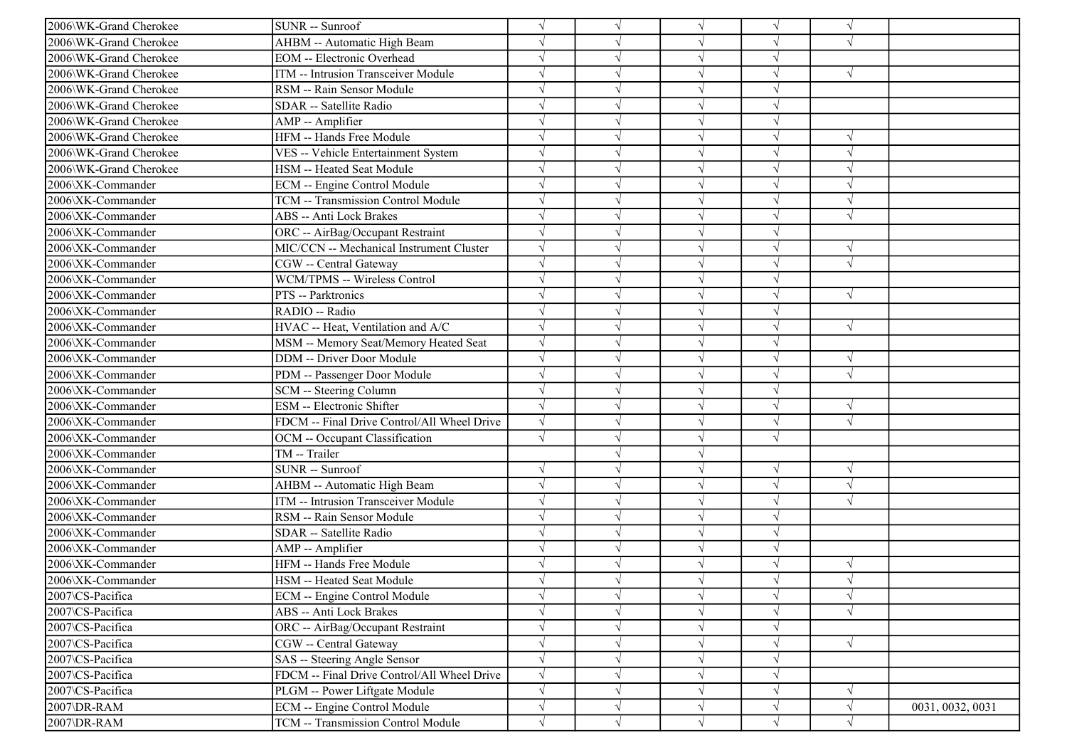| 2006\WK-Grand Cherokee | SUNR -- Sunroof                             | $\sqrt{}$  |            | $\sqrt{ }$ | V          | $\sqrt{ }$ |                  |
|------------------------|---------------------------------------------|------------|------------|------------|------------|------------|------------------|
| 2006\WK-Grand Cherokee | AHBM -- Automatic High Beam                 | $\sqrt{ }$ |            | $\sqrt{ }$ | $\sqrt{}$  | $\sqrt{ }$ |                  |
| 2006\WK-Grand Cherokee | <b>EOM</b> -- Electronic Overhead           | $\sqrt{}$  |            | $\sqrt{ }$ | $\sqrt{}$  |            |                  |
| 2006\WK-Grand Cherokee | ITM -- Intrusion Transceiver Module         |            |            |            |            | $\sqrt{ }$ |                  |
| 2006\WK-Grand Cherokee | RSM -- Rain Sensor Module                   |            |            | $\sqrt{}$  |            |            |                  |
| 2006\WK-Grand Cherokee | SDAR -- Satellite Radio                     | $\sqrt{}$  |            | $\sqrt{}$  | $\sqrt{}$  |            |                  |
| 2006\WK-Grand Cherokee | AMP -- Amplifier                            | $\sqrt{}$  |            | V          | V          |            |                  |
| 2006\WK-Grand Cherokee | HFM -- Hands Free Module                    | $\sqrt{ }$ |            | $\sqrt{ }$ | $\sqrt{}$  | $\sqrt{ }$ |                  |
| 2006\WK-Grand Cherokee | VES -- Vehicle Entertainment System         | $\sqrt{}$  |            | $\sqrt{ }$ | $\sqrt{}$  | $\sqrt{ }$ |                  |
| 2006\WK-Grand Cherokee | HSM -- Heated Seat Module                   |            |            | $\sqrt{ }$ |            | $\sqrt{ }$ |                  |
| 2006\XK-Commander      | <b>ECM</b> -- Engine Control Module         |            |            | $\sqrt{ }$ | J          | $\sqrt{ }$ |                  |
| 2006\XK-Commander      | TCM -- Transmission Control Module          |            |            | $\sqrt{}$  |            | $\sqrt{ }$ |                  |
| 2006\XK-Commander      | <b>ABS</b> -- Anti Lock Brakes              |            |            | $\sqrt{}$  | V          | $\sqrt{ }$ |                  |
| 2006\XK-Commander      | ORC -- AirBag/Occupant Restraint            | $\sqrt{}$  |            | $\sqrt{}$  | V          |            |                  |
| 2006\XK-Commander      | MIC/CCN -- Mechanical Instrument Cluster    | $\sqrt{}$  |            | $\sqrt{}$  | J          | $\sqrt{ }$ |                  |
| 2006\XK-Commander      | CGW -- Central Gateway                      |            |            | $\sqrt{}$  |            | $\sqrt{ }$ |                  |
| 2006\XK-Commander      | WCM/TPMS -- Wireless Control                | $\sqrt{}$  |            | $\sqrt{}$  |            |            |                  |
| 2006\XK-Commander      | PTS -- Parktronics                          |            |            | $\sqrt{}$  |            | $\sqrt{ }$ |                  |
| 2006\XK-Commander      | RADIO -- Radio                              | $\sqrt{}$  |            | $\sqrt{}$  | J          |            |                  |
| 2006\XK-Commander      | HVAC -- Heat, Ventilation and A/C           | $\sqrt{ }$ |            | $\sqrt{ }$ | J          | $\sqrt{ }$ |                  |
| 2006\XK-Commander      | MSM -- Memory Seat/Memory Heated Seat       | $\sqrt{}$  |            | $\sqrt{ }$ | $\sqrt{}$  |            |                  |
| 2006\XK-Commander      | <b>DDM</b> -- Driver Door Module            | $\sqrt{}$  |            | $\sqrt{ }$ | $\sqrt{ }$ | $\sqrt{ }$ |                  |
| 2006\XK-Commander      | PDM -- Passenger Door Module                |            |            | $\sqrt{ }$ |            | $\sqrt{ }$ |                  |
| 2006\XK-Commander      | SCM -- Steering Column                      |            |            | $\sqrt{ }$ |            |            |                  |
| 2006\XK-Commander      | <b>ESM</b> -- Electronic Shifter            | $\sqrt{}$  |            | $\sqrt{ }$ | V          | $\sqrt{ }$ |                  |
| 2006\XK-Commander      | FDCM -- Final Drive Control/All Wheel Drive | $\sqrt{ }$ |            | $\sqrt{ }$ | J          | $\sqrt{ }$ |                  |
| 2006\XK-Commander      | OCM -- Occupant Classification              | $\sqrt{}$  |            | $\sqrt{ }$ | $\sqrt{ }$ |            |                  |
| 2006\XK-Commander      | TM -- Trailer                               |            |            | $\sqrt{}$  |            |            |                  |
| 2006\XK-Commander      | SUNR -- Sunroof                             |            |            | $\sqrt{}$  | N          | $\sqrt{ }$ |                  |
| 2006\XK-Commander      | AHBM -- Automatic High Beam                 | $\sqrt{}$  |            | $\sqrt{ }$ |            | $\sqrt{ }$ |                  |
| 2006\XK-Commander      | ITM -- Intrusion Transceiver Module         | $\sqrt{}$  |            | $\sqrt{ }$ | J          | $\sqrt{ }$ |                  |
| 2006\XK-Commander      | RSM -- Rain Sensor Module                   | $\sqrt{}$  |            | $\sqrt{ }$ | V          |            |                  |
| 2006\XK-Commander      | SDAR -- Satellite Radio                     | $\sqrt{}$  |            | $\sqrt{ }$ | $\sqrt{}$  |            |                  |
| 2006\XK-Commander      | AMP -- Amplifier                            | $\sqrt{ }$ |            | $\sqrt{ }$ | $\sqrt{ }$ |            |                  |
| 2006\XK-Commander      | HFM -- Hands Free Module                    |            |            | $\sqrt{ }$ |            | $\sqrt{ }$ |                  |
| 2006\XK-Commander      | HSM -- Heated Seat Module                   |            |            |            |            | $\sqrt{ }$ |                  |
| 2007\CS-Pacifica       | ECM -- Engine Control Module                | $\sqrt{}$  | $\sqrt{ }$ | $\sqrt{}$  | $\sqrt{ }$ | $\sqrt{ }$ |                  |
| 2007\CS-Pacifica       | <b>ABS</b> -- Anti Lock Brakes              | $\sqrt{}$  |            | $\sqrt{}$  | V          | $\sqrt{ }$ |                  |
| 2007\CS-Pacifica       | ORC -- AirBag/Occupant Restraint            | $\sqrt{}$  |            | $\sqrt{}$  | V          |            |                  |
| 2007\CS-Pacifica       | CGW -- Central Gateway                      | $\sqrt{}$  |            | $\sqrt{}$  | J          | $\sqrt{ }$ |                  |
| 2007\CS-Pacifica       | SAS -- Steering Angle Sensor                |            |            | $\sqrt{}$  |            |            |                  |
| 2007\CS-Pacifica       | FDCM -- Final Drive Control/All Wheel Drive | $\sqrt{}$  |            | $\sqrt{}$  | V          |            |                  |
| 2007\CS-Pacifica       | PLGM -- Power Liftgate Module               | $\sqrt{}$  |            | $\sqrt{}$  | V          | $\sqrt{ }$ |                  |
| 2007\DR-RAM            | ECM -- Engine Control Module                | $\sqrt{}$  | V          | $\sqrt{}$  | $\sqrt{}$  | $\sqrt{ }$ | 0031, 0032, 0031 |
| 2007\DR-RAM            | TCM -- Transmission Control Module          | $\sqrt{}$  | $\sqrt{ }$ | $\sqrt{ }$ | $\sqrt{ }$ | $\sqrt{ }$ |                  |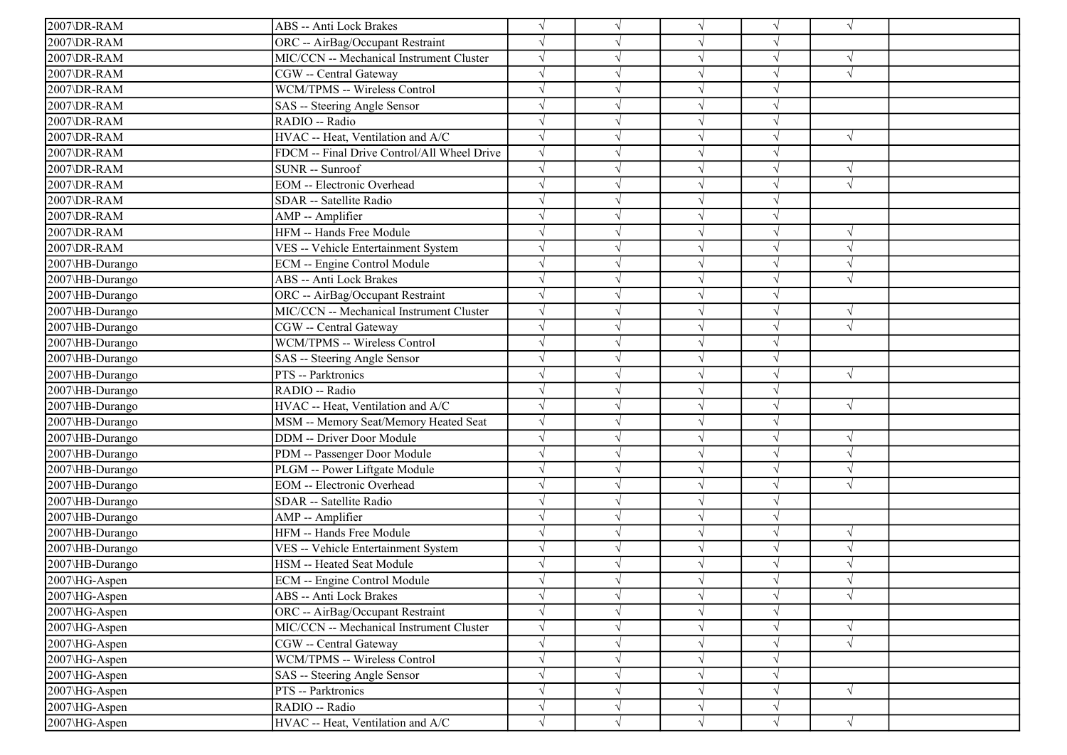| 2007\DR-RAM     | ABS -- Anti Lock Brakes                     | $\sqrt{}$  |            | $\sqrt{ }$ | $\sqrt{ }$ | $\sqrt{ }$ |  |
|-----------------|---------------------------------------------|------------|------------|------------|------------|------------|--|
| 2007\DR-RAM     | ORC -- AirBag/Occupant Restraint            |            |            | $\sqrt{ }$ | J          |            |  |
| 2007\DR-RAM     | MIC/CCN -- Mechanical Instrument Cluster    |            |            | $\sqrt{ }$ | J          | $\sqrt{ }$ |  |
| 2007\DR-RAM     | CGW -- Central Gateway                      |            |            | $\sqrt{}$  |            | $\sqrt{ }$ |  |
| 2007\DR-RAM     | WCM/TPMS -- Wireless Control                |            |            | V          |            |            |  |
| 2007\DR-RAM     | SAS -- Steering Angle Sensor                |            |            | $\sqrt{ }$ | V          |            |  |
| 2007\DR-RAM     | RADIO -- Radio                              | $\sqrt{ }$ |            | $\sqrt{ }$ | J          |            |  |
| 2007\DR-RAM     | HVAC -- Heat, Ventilation and A/C           | $\sqrt{ }$ |            | $\sqrt{ }$ | V          | $\sqrt{ }$ |  |
| 2007\DR-RAM     | FDCM -- Final Drive Control/All Wheel Drive |            |            | $\sqrt{}$  |            |            |  |
| 2007\DR-RAM     | SUNR -- Sunroof                             |            |            | $\sqrt{ }$ | J          | $\sqrt{ }$ |  |
| 2007\DR-RAM     | <b>EOM</b> -- Electronic Overhead           |            |            | $\sqrt{ }$ |            | $\sqrt{ }$ |  |
| 2007\DR-RAM     | SDAR -- Satellite Radio                     |            |            | $\sqrt{ }$ | V          |            |  |
| 2007\DR-RAM     | AMP -- Amplifier                            |            |            | $\sqrt{ }$ | V          |            |  |
| 2007\DR-RAM     | HFM -- Hands Free Module                    |            |            | $\sqrt{ }$ | J          | $\sqrt{ }$ |  |
| 2007\DR-RAM     | VES -- Vehicle Entertainment System         |            |            | $\sqrt{ }$ | $\sqrt{}$  | $\sqrt{ }$ |  |
| 2007\HB-Durango | ECM -- Engine Control Module                |            |            | $\sqrt{ }$ |            | $\sqrt{ }$ |  |
| 2007\HB-Durango | ABS -- Anti Lock Brakes                     |            |            | $\sqrt{ }$ |            | $\sqrt{ }$ |  |
| 2007\HB-Durango | ORC -- AirBag/Occupant Restraint            | $\sqrt{ }$ |            | $\sqrt{}$  | V          |            |  |
| 2007\HB-Durango | MIC/CCN -- Mechanical Instrument Cluster    | $\sqrt{ }$ |            | $\sqrt{ }$ | V          | $\sqrt{ }$ |  |
| 2007\HB-Durango | CGW -- Central Gateway                      | $\sqrt{ }$ |            | $\sqrt{ }$ | $\sqrt{}$  | $\sqrt{ }$ |  |
| 2007\HB-Durango | WCM/TPMS -- Wireless Control                | $\sqrt{}$  |            | $\sqrt{ }$ | V          |            |  |
| 2007\HB-Durango | SAS -- Steering Angle Sensor                |            |            | $\sqrt{ }$ | $\sqrt{ }$ |            |  |
| 2007\HB-Durango | PTS -- Parktronics                          |            |            | $\sqrt{ }$ |            | $\sqrt{ }$ |  |
| 2007\HB-Durango | RADIO -- Radio                              |            |            | $\sqrt{ }$ | V          |            |  |
| 2007\HB-Durango | HVAC -- Heat, Ventilation and A/C           |            |            | $\sqrt{ }$ | V          | $\sqrt{ }$ |  |
| 2007\HB-Durango | MSM -- Memory Seat/Memory Heated Seat       |            |            | $\sqrt{ }$ | V          |            |  |
| 2007\HB-Durango | DDM -- Driver Door Module                   |            |            | $\sqrt{ }$ | J          | $\sqrt{ }$ |  |
| 2007\HB-Durango | PDM -- Passenger Door Module                |            |            | $\sqrt{ }$ |            | $\sqrt{ }$ |  |
| 2007\HB-Durango | PLGM -- Power Liftgate Module               |            |            | $\sqrt{ }$ |            | $\sqrt{ }$ |  |
| 2007\HB-Durango | <b>EOM</b> -- Electronic Overhead           |            |            | $\sqrt{ }$ | V          | $\sqrt{ }$ |  |
| 2007\HB-Durango | SDAR -- Satellite Radio                     |            |            | $\sqrt{ }$ | V          |            |  |
| 2007\HB-Durango | AMP -- Amplifier                            | $\sqrt{}$  |            | $\sqrt{ }$ | V          |            |  |
| 2007\HB-Durango | HFM -- Hands Free Module                    |            |            | $\sqrt{ }$ | $\sqrt{ }$ | $\sqrt{ }$ |  |
| 2007\HB-Durango | VES -- Vehicle Entertainment System         |            |            | $\sqrt{ }$ |            | $\sqrt{ }$ |  |
| 2007\HB-Durango | HSM -- Heated Seat Module                   |            |            | $\sqrt{ }$ | ٦I         | $\sqrt{ }$ |  |
| 2007\HG-Aspen   | ECM -- Engine Control Module                |            |            |            |            | $\sqrt{ }$ |  |
| 2007\HG-Aspen   | ABS -- Anti Lock Brakes                     |            | $\sqrt{ }$ | $\sqrt{}$  | $\sqrt{ }$ | $\sqrt{ }$ |  |
| 2007\HG-Aspen   | ORC -- AirBag/Occupant Restraint            | $\sqrt{}$  |            | $\sqrt{ }$ | $\sqrt{ }$ |            |  |
| 2007\HG-Aspen   | MIC/CCN -- Mechanical Instrument Cluster    | $\sqrt{}$  |            | $\sqrt{ }$ | V          | $\sqrt{ }$ |  |
| 2007\HG-Aspen   | CGW -- Central Gateway                      |            |            | $\sqrt{ }$ |            | $\sqrt{ }$ |  |
| 2007\HG-Aspen   | WCM/TPMS -- Wireless Control                | $\sqrt{}$  |            | $\sqrt{ }$ | V          |            |  |
| 2007\HG-Aspen   | SAS -- Steering Angle Sensor                |            |            | $\sqrt{ }$ | V          |            |  |
| 2007\HG-Aspen   | PTS -- Parktronics                          | $\sqrt{}$  | V          | $\sqrt{ }$ | V          | $\sqrt{ }$ |  |
| 2007\HG-Aspen   | RADIO -- Radio                              | $\sqrt{}$  | $\sqrt{ }$ | $\sqrt{ }$ | $\sqrt{}$  |            |  |
| 2007\HG-Aspen   | HVAC -- Heat, Ventilation and A/C           | $\sqrt{}$  | $\sqrt{ }$ | $\sqrt{}$  | $\sqrt{}$  | $\sqrt{ }$ |  |
|                 |                                             |            |            |            |            |            |  |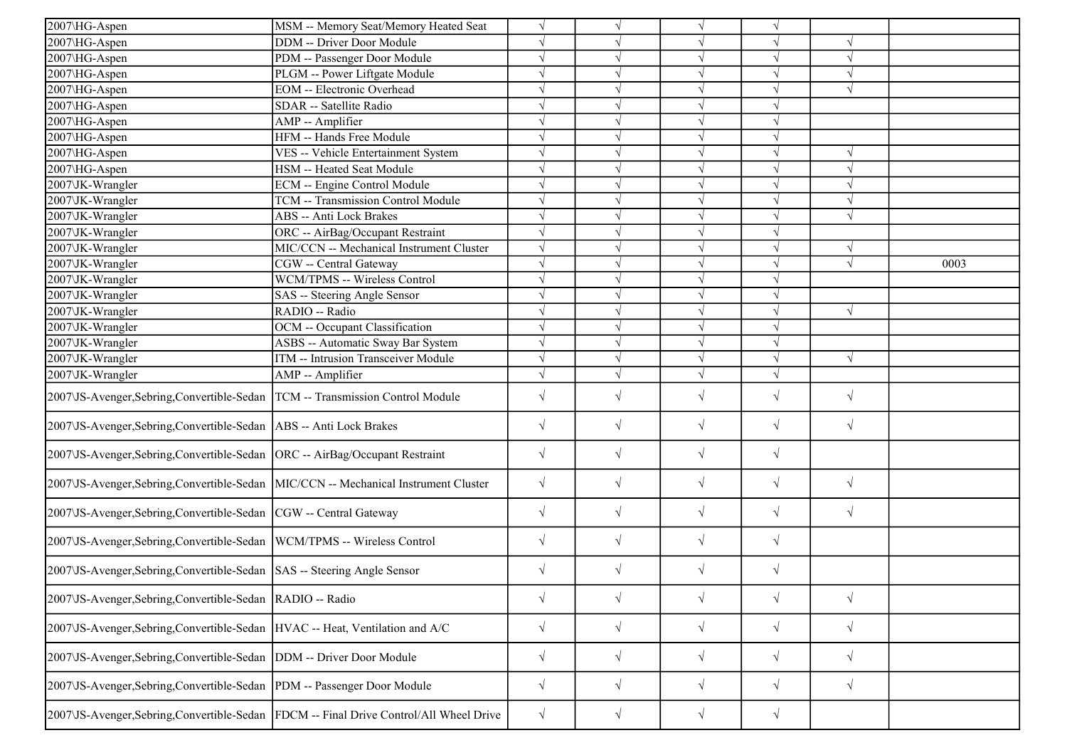| 2007\HG-Aspen                                                                       | MSM -- Memory Seat/Memory Heated Seat                                                   | $\sqrt{ }$ |            | $\sqrt{}$  | V          |            |      |
|-------------------------------------------------------------------------------------|-----------------------------------------------------------------------------------------|------------|------------|------------|------------|------------|------|
| 2007\HG-Aspen                                                                       | DDM -- Driver Door Module                                                               | $\sqrt{ }$ |            | $\sqrt{}$  | $\sqrt{}$  | $\sqrt{ }$ |      |
| 2007\HG-Aspen                                                                       | PDM -- Passenger Door Module                                                            | $\sqrt{ }$ |            | $\sqrt{ }$ | √          | $\sqrt{ }$ |      |
| 2007\HG-Aspen                                                                       | PLGM -- Power Liftgate Module                                                           | $\sqrt{ }$ |            | V          |            | $\sqrt{ }$ |      |
| 2007\HG-Aspen                                                                       | <b>EOM</b> -- Electronic Overhead                                                       | $\sqrt{}$  | $\sqrt{}$  | $\sqrt{}$  | J          | $\sqrt{ }$ |      |
| 2007\HG-Aspen                                                                       | SDAR -- Satellite Radio                                                                 | $\sqrt{ }$ |            | $\sqrt{}$  | $\sqrt{}$  |            |      |
| 2007\HG-Aspen                                                                       | AMP -- Amplifier                                                                        | $\sqrt{ }$ |            | V          | J          |            |      |
| 2007\HG-Aspen                                                                       | HFM -- Hands Free Module                                                                | $\sqrt{ }$ | V          | $\sqrt{ }$ | $\sqrt{}$  |            |      |
| 2007\HG-Aspen                                                                       | VES -- Vehicle Entertainment System                                                     | $\sqrt{ }$ | $\sqrt{ }$ | $\sqrt{ }$ | $\sqrt{ }$ | $\sqrt{ }$ |      |
| 2007\HG-Aspen                                                                       | HSM -- Heated Seat Module                                                               | $\sqrt{ }$ |            | $\sqrt{ }$ | $\sqrt{}$  | $\sqrt{ }$ |      |
| 2007\JK-Wrangler                                                                    | ECM -- Engine Control Module                                                            | $\sqrt{ }$ | $\sqrt{}$  | $\sqrt{}$  | $\sqrt{}$  | $\sqrt{ }$ |      |
| 2007\JK-Wrangler                                                                    | TCM -- Transmission Control Module                                                      | $\sqrt{ }$ | V          | $\sqrt{}$  | $\sqrt{}$  | $\sqrt{ }$ |      |
| 2007\JK-Wrangler                                                                    | ABS -- Anti Lock Brakes                                                                 | $\sqrt{ }$ |            | $\sqrt{}$  | V          | $\sqrt{ }$ |      |
| 2007\JK-Wrangler                                                                    | ORC -- AirBag/Occupant Restraint                                                        | $\sqrt{ }$ | $\sqrt{ }$ | $\sqrt{}$  | $\sqrt{}$  |            |      |
| 2007\JK-Wrangler                                                                    | MIC/CCN -- Mechanical Instrument Cluster                                                | $\sqrt{ }$ | J          | $\sqrt{}$  | J          | $\sqrt{ }$ |      |
| 2007\JK-Wrangler                                                                    | CGW -- Central Gateway                                                                  | $\sqrt{ }$ |            | $\sqrt{ }$ | $\sqrt{}$  | $\sqrt{ }$ | 0003 |
| 2007\JK-Wrangler                                                                    | WCM/TPMS -- Wireless Control                                                            | $\sqrt{}$  |            | $\sqrt{}$  |            |            |      |
| 2007\JK-Wrangler                                                                    | SAS -- Steering Angle Sensor                                                            | $\sqrt{ }$ |            | V          | V          |            |      |
| 2007\JK-Wrangler                                                                    | RADIO -- Radio                                                                          | $\sqrt{ }$ |            | $\sqrt{}$  | $\sqrt{}$  | $\sqrt{ }$ |      |
| 2007\JK-Wrangler                                                                    | OCM -- Occupant Classification                                                          | $\sqrt{ }$ |            | $\sqrt{ }$ | J          |            |      |
| 2007\JK-Wrangler                                                                    | ASBS -- Automatic Sway Bar System                                                       | $\sqrt{ }$ | J          | $\sqrt{ }$ | $\sqrt{ }$ |            |      |
| 2007\JK-Wrangler                                                                    | ITM -- Intrusion Transceiver Module                                                     | $\sqrt{ }$ | $\sqrt{ }$ | $\sqrt{}$  | $\sqrt{ }$ | $\sqrt{ }$ |      |
| 2007\JK-Wrangler                                                                    | AMP -- Amplifier                                                                        | $\sqrt{ }$ | $\sqrt{ }$ | $\sqrt{ }$ | $\sqrt{}$  |            |      |
| 2007\JS-Avenger,Sebring,Convertible-Sedan                                           | TCM -- Transmission Control Module                                                      | $\sqrt{ }$ | $\sqrt{}$  | $\sqrt{2}$ | $\sqrt{}$  | $\sqrt{ }$ |      |
| 2007\JS-Avenger, Sebring, Convertible-Sedan   ABS -- Anti Lock Brakes               |                                                                                         | $\sqrt{ }$ | $\sqrt{}$  | $\sqrt{}$  | $\sqrt{}$  | $\sqrt{ }$ |      |
| 2007\JS-Avenger,Sebring,Convertible-Sedan  ORC -- AirBag/Occupant Restraint         |                                                                                         | $\sqrt{ }$ | $\sqrt{}$  | $\sqrt{}$  | $\sqrt{}$  |            |      |
| 2007\JS-Avenger,Sebring,Convertible-Sedan  MIC/CCN -- Mechanical Instrument Cluster |                                                                                         | $\sqrt{ }$ | $\sqrt{ }$ | $\sqrt{}$  | $\sqrt{}$  | $\sqrt{ }$ |      |
| 2007\JS-Avenger, Sebring, Convertible-Sedan   CGW -- Central Gateway                |                                                                                         | $\sqrt{ }$ | $\sqrt{}$  | $\sqrt{ }$ | $\sqrt{}$  | $\sqrt{ }$ |      |
| 2007\JS-Avenger,Sebring,Convertible-Sedan  WCM/TPMS -- Wireless Control             |                                                                                         | $\sqrt{ }$ | $\sqrt{ }$ | $\sqrt{ }$ | $\sqrt{}$  |            |      |
| 2007\JS-Avenger,Sebring,Convertible-Sedan  SAS -- Steering Angle Sensor             |                                                                                         | $\sqrt{ }$ | $\sqrt{ }$ | $\sqrt{ }$ | $\sqrt{ }$ |            |      |
| 2007\JS-Avenger,Sebring,Convertible-Sedan  RADIO -- Radio                           |                                                                                         | $\sqrt{}$  | $\sqrt{ }$ | $\sqrt{ }$ | $\sqrt{}$  | $\sqrt{ }$ |      |
| 2007\JS-Avenger,Sebring,Convertible-Sedan HVAC -- Heat, Ventilation and A/C         |                                                                                         | $\sqrt{ }$ | $\sqrt{ }$ | $\sqrt{ }$ | $\sqrt{}$  | $\sqrt{ }$ |      |
| 2007\JS-Avenger,Sebring,Convertible-Sedan                                           | DDM -- Driver Door Module                                                               | $\sqrt{ }$ | $\sqrt{ }$ | $\sqrt{}$  | $\sqrt{}$  | $\sqrt{ }$ |      |
| 2007\JS-Avenger,Sebring,Convertible-Sedan  PDM -- Passenger Door Module             |                                                                                         | $\sqrt{}$  | $\sqrt{ }$ | $\sqrt{ }$ | $\sqrt{}$  | $\sqrt{ }$ |      |
|                                                                                     | 2007\JS-Avenger, Sebring, Convertible-Sedan FDCM -- Final Drive Control/All Wheel Drive | $\sqrt{ }$ | $\sqrt{}$  | $\sqrt{}$  | $\sqrt{ }$ |            |      |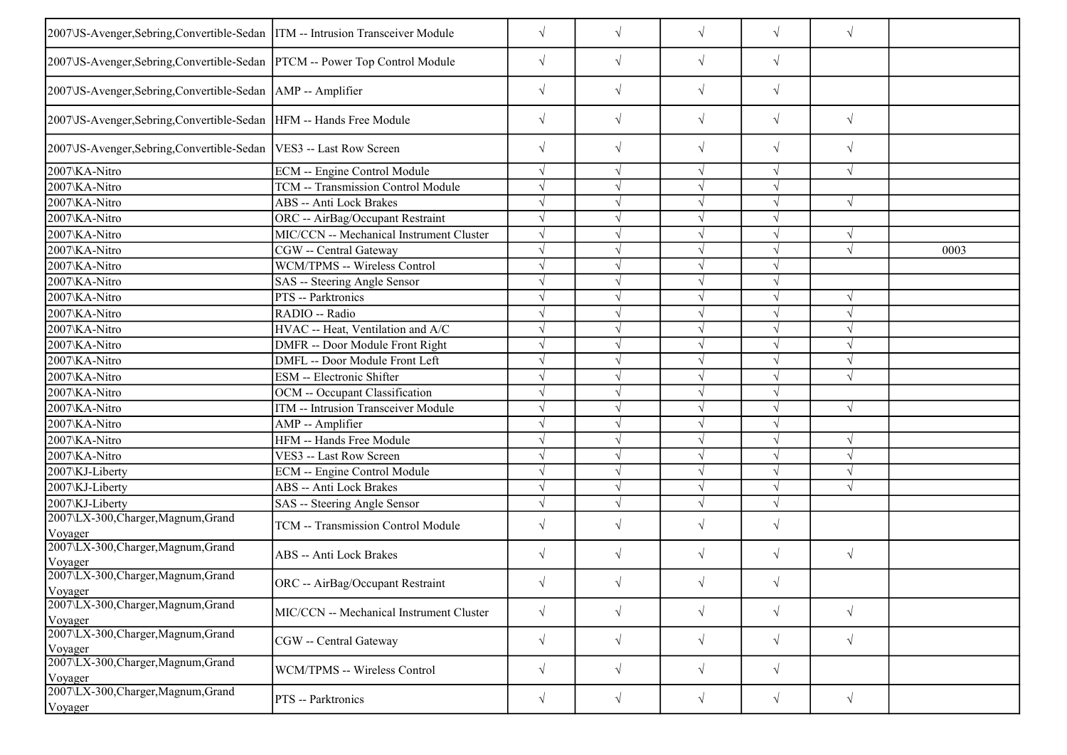| 2007\JS-Avenger,Sebring,Convertible-Sedan  ITM -- Intrusion Transceiver Module |                                          | $\sqrt{}$  | $\sqrt{ }$ | $\sqrt{ }$ | $\sqrt{ }$ | $\sqrt{}$  |      |
|--------------------------------------------------------------------------------|------------------------------------------|------------|------------|------------|------------|------------|------|
| 2007\JS-Avenger,Sebring,Convertible-Sedan  PTCM -- Power Top Control Module    |                                          | $\sqrt{}$  | $\sqrt{}$  | $\sqrt{}$  | $\sqrt{ }$ |            |      |
| 2007\JS-Avenger,Sebring,Convertible-Sedan   AMP -- Amplifier                   |                                          | $\sqrt{}$  | $\sqrt{}$  | $\sqrt{}$  | $\sqrt{ }$ |            |      |
| 2007\JS-Avenger, Sebring, Convertible-Sedan   HFM -- Hands Free Module         |                                          | $\sqrt{}$  | $\sqrt{}$  | $\sqrt{}$  | $\sqrt{ }$ | $\sqrt{ }$ |      |
| 2007\JS-Avenger, Sebring, Convertible-Sedan   VES3 -- Last Row Screen          |                                          | $\sqrt{}$  | $\sqrt{}$  | $\sqrt{}$  | $\sqrt{ }$ | $\sqrt{ }$ |      |
| 2007\KA-Nitro                                                                  | ECM -- Engine Control Module             | $\sqrt{}$  | $\sqrt{ }$ | $\sqrt{}$  | V          | $\sqrt{}$  |      |
| 2007\KA-Nitro                                                                  | TCM -- Transmission Control Module       |            |            | $\sqrt{ }$ |            |            |      |
| 2007\KA-Nitro                                                                  | ABS -- Anti Lock Brakes                  | $\sqrt{}$  |            | $\sqrt{ }$ | $\sqrt{ }$ | $\sqrt{ }$ |      |
| 2007\KA-Nitro                                                                  | ORC -- AirBag/Occupant Restraint         | $\sqrt{}$  |            | $\sqrt{}$  | V          |            |      |
| 2007\KA-Nitro                                                                  | MIC/CCN -- Mechanical Instrument Cluster | V          |            | $\sqrt{ }$ |            |            |      |
| 2007\KA-Nitro                                                                  | CGW -- Central Gateway                   | $\sqrt{}$  |            | $\sqrt{}$  |            | $\sqrt{ }$ | 0003 |
| 2007\KA-Nitro                                                                  | WCM/TPMS -- Wireless Control             | J          |            | $\sqrt{}$  |            |            |      |
| 2007\KA-Nitro                                                                  | SAS -- Steering Angle Sensor             |            |            | $\sqrt{}$  |            |            |      |
| 2007\KA-Nitro                                                                  | PTS -- Parktronics                       |            |            | $\sqrt{}$  |            | $\sqrt{ }$ |      |
| 2007\KA-Nitro                                                                  | RADIO -- Radio                           | $\sqrt{ }$ |            | $\sqrt{}$  |            |            |      |
| 2007\KA-Nitro                                                                  | HVAC -- Heat, Ventilation and A/C        |            |            | $\sqrt{ }$ |            |            |      |
| 2007\KA-Nitro                                                                  | DMFR -- Door Module Front Right          |            |            | $\sqrt{ }$ |            |            |      |
| 2007\KA-Nitro                                                                  | DMFL -- Door Module Front Left           |            |            | $\sqrt{ }$ |            | $\sqrt{ }$ |      |
| 2007\KA-Nitro                                                                  | ESM -- Electronic Shifter                |            |            | $\sqrt{ }$ |            |            |      |
| 2007\KA-Nitro                                                                  | OCM -- Occupant Classification           |            |            | $\sqrt{ }$ | $\sqrt{ }$ |            |      |
| 2007\KA-Nitro                                                                  | ITM -- Intrusion Transceiver Module      |            |            | $\sqrt{ }$ | J          | $\sqrt{ }$ |      |
| 2007\KA-Nitro                                                                  | AMP -- Amplifier                         |            |            | $\sqrt{}$  |            |            |      |
| 2007\KA-Nitro                                                                  | HFM -- Hands Free Module                 | $\sqrt{}$  |            | $\sqrt{ }$ | $\sqrt{ }$ | $\sqrt{ }$ |      |
| 2007\KA-Nitro                                                                  | VES3 -- Last Row Screen                  |            |            | $\sqrt{ }$ |            | $\sqrt{ }$ |      |
| 2007\KJ-Liberty                                                                | ECM -- Engine Control Module             |            |            | $\sqrt{}$  |            |            |      |
| 2007\KJ-Liberty                                                                | ABS -- Anti Lock Brakes                  |            |            | $\sqrt{ }$ |            | $\sqrt{ }$ |      |
| 2007\KJ-Liberty                                                                | SAS -- Steering Angle Sensor             |            |            | $\sqrt{ }$ |            |            |      |
| 2007\LX-300, Charger, Magnum, Grand<br>Voyager                                 | TCM -- Transmission Control Module       | $\sqrt{}$  | $\sqrt{ }$ | $\sqrt{}$  | $\sqrt{ }$ |            |      |
| 2007\LX-300, Charger, Magnum, Grand<br>Voyager                                 | ABS -- Anti Lock Brakes                  | $\sqrt{}$  | $\sqrt{ }$ | $\sqrt{}$  | $\sqrt{ }$ | $\sqrt{ }$ |      |
| 2007\LX-300,Charger,Magnum,Grand<br>Voyager                                    | ORC -- AirBag/Occupant Restraint         | $\sqrt{}$  | $\sqrt{}$  | $\sqrt{}$  | $\sqrt{}$  |            |      |
| 2007\LX-300, Charger, Magnum, Grand<br>Voyager                                 | MIC/CCN -- Mechanical Instrument Cluster | $\sqrt{}$  | $\sqrt{ }$ | $\sqrt{ }$ | $\sqrt{ }$ | $\sqrt{}$  |      |
| 2007\LX-300, Charger, Magnum, Grand<br>Voyager                                 | CGW -- Central Gateway                   | $\sqrt{}$  | $\sqrt{ }$ | $\sqrt{ }$ | $\sqrt{ }$ | $\sqrt{}$  |      |
| 2007\LX-300, Charger, Magnum, Grand<br>Voyager                                 | WCM/TPMS -- Wireless Control             | $\sqrt{}$  | $\sqrt{ }$ | $\sqrt{}$  | $\sqrt{ }$ |            |      |
| 2007\LX-300, Charger, Magnum, Grand<br>Voyager                                 | PTS -- Parktronics                       | $\sqrt{}$  | $\sqrt{ }$ | $\sqrt{ }$ | $\sqrt{ }$ | $\sqrt{}$  |      |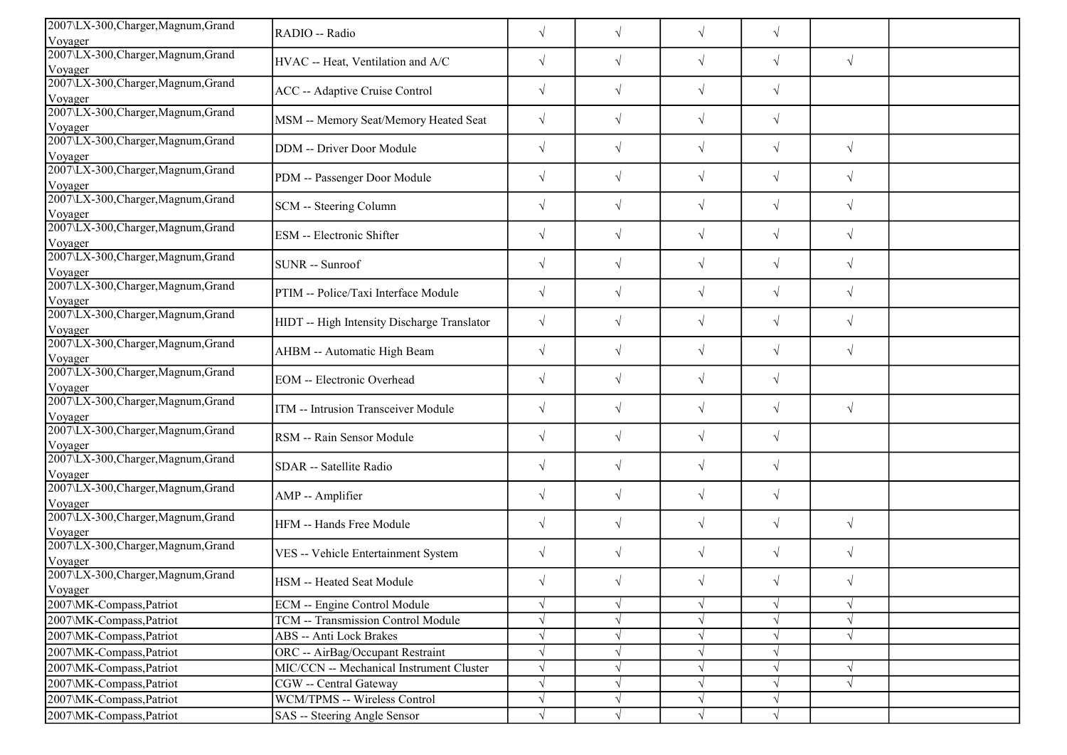| 2007\LX-300, Charger, Magnum, Grand<br>Voyager | RADIO -- Radio                              | $\sqrt{}$  | $\sqrt{}$  | $\sqrt{}$  | $\sqrt{}$  |            |  |
|------------------------------------------------|---------------------------------------------|------------|------------|------------|------------|------------|--|
| 2007\LX-300, Charger, Magnum, Grand<br>Voyager | HVAC -- Heat, Ventilation and A/C           | $\sqrt{}$  | $\sqrt{ }$ | $\sqrt{ }$ | $\sqrt{ }$ | $\sqrt{ }$ |  |
| 2007\LX-300, Charger, Magnum, Grand<br>Voyager | ACC -- Adaptive Cruise Control              | $\sqrt{}$  | $\sqrt{}$  | $\sqrt{}$  | $\sqrt{}$  |            |  |
| 2007\LX-300, Charger, Magnum, Grand<br>Voyager | MSM -- Memory Seat/Memory Heated Seat       | $\sqrt{}$  | $\sqrt{}$  | $\sqrt{ }$ | $\sqrt{}$  |            |  |
| 2007\LX-300, Charger, Magnum, Grand<br>Voyager | DDM -- Driver Door Module                   | $\sqrt{}$  | $\sqrt{}$  | $\sqrt{}$  | $\sqrt{ }$ | $\sqrt{ }$ |  |
| 2007\LX-300, Charger, Magnum, Grand<br>Voyager | PDM -- Passenger Door Module                | $\sqrt{}$  | $\sqrt{ }$ | $\sqrt{}$  | $\sqrt{ }$ | $\sqrt{ }$ |  |
| 2007\LX-300, Charger, Magnum, Grand<br>Voyager | SCM -- Steering Column                      | $\sqrt{}$  | $\sqrt{ }$ | $\sqrt{}$  | $\sqrt{}$  | $\sqrt{ }$ |  |
| 2007\LX-300, Charger, Magnum, Grand<br>Voyager | ESM -- Electronic Shifter                   | $\sqrt{}$  | $\sqrt{ }$ | $\sqrt{ }$ | $\sqrt{ }$ | $\sqrt{ }$ |  |
| 2007\LX-300, Charger, Magnum, Grand<br>Voyager | SUNR -- Sunroof                             | $\sqrt{}$  | $\sqrt{ }$ | $\sqrt{ }$ | $\sqrt{ }$ | $\sqrt{ }$ |  |
| 2007\LX-300, Charger, Magnum, Grand<br>Voyager | PTIM -- Police/Taxi Interface Module        | $\sqrt{}$  | $\sqrt{ }$ | $\sqrt{}$  | $\sqrt{ }$ | $\sqrt{ }$ |  |
| 2007\LX-300, Charger, Magnum, Grand<br>Voyager | HIDT -- High Intensity Discharge Translator | $\sqrt{}$  | $\sqrt{}$  | $\sqrt{}$  | $\sqrt{}$  | $\sqrt{ }$ |  |
| 2007\LX-300, Charger, Magnum, Grand<br>Voyager | AHBM -- Automatic High Beam                 | $\sqrt{}$  | $\sqrt{ }$ | $\sqrt{}$  | $\sqrt{}$  | $\sqrt{ }$ |  |
| 2007\LX-300, Charger, Magnum, Grand<br>Voyager | <b>EOM</b> -- Electronic Overhead           | $\sqrt{}$  | $\sqrt{ }$ | $\sqrt{}$  | $\sqrt{}$  |            |  |
| 2007\LX-300, Charger, Magnum, Grand<br>Voyager | ITM -- Intrusion Transceiver Module         | $\sqrt{ }$ | $\sqrt{ }$ | $\sqrt{ }$ | $\sqrt{ }$ | $\sqrt{ }$ |  |
| 2007\LX-300, Charger, Magnum, Grand<br>Voyager | RSM -- Rain Sensor Module                   | $\sqrt{}$  | $\sqrt{}$  | $\sqrt{ }$ | $\sqrt{ }$ |            |  |
| 2007\LX-300, Charger, Magnum, Grand<br>Voyager | SDAR -- Satellite Radio                     | $\sqrt{}$  | $\sqrt{ }$ | $\sqrt{}$  | $\sqrt{ }$ |            |  |
| 2007\LX-300, Charger, Magnum, Grand<br>Voyager | AMP -- Amplifier                            | $\sqrt{}$  | $\sqrt{ }$ | $\sqrt{ }$ | $\sqrt{}$  |            |  |
| 2007\LX-300, Charger, Magnum, Grand<br>Voyager | HFM -- Hands Free Module                    | $\sqrt{}$  | $\sqrt{ }$ | $\sqrt{ }$ | $\sqrt{ }$ | $\sqrt{ }$ |  |
| 2007\LX-300, Charger, Magnum, Grand<br>Voyager | VES -- Vehicle Entertainment System         | $\sqrt{}$  | $\sqrt{ }$ | $\sqrt{ }$ | $\sqrt{ }$ | $\sqrt{ }$ |  |
| 2007\LX-300, Charger, Magnum, Grand<br>Voyager | HSM -- Heated Seat Module                   | $\sqrt{}$  | $\sqrt{ }$ | $\sqrt{}$  | $\sqrt{}$  | $\sqrt{ }$ |  |
| 2007\MK-Compass, Patriot                       | ECM -- Engine Control Module                | $\sqrt{ }$ | $\sqrt{ }$ | $\sqrt{ }$ | $\sqrt{ }$ | $\sqrt{ }$ |  |
| 2007\MK-Compass,Patriot                        | TCM -- Transmission Control Module          | V          | $\sqrt{}$  | $\sqrt{ }$ | $\sqrt{ }$ | $\sqrt{ }$ |  |
| 2007\MK-Compass,Patriot                        | ABS -- Anti Lock Brakes                     |            |            | $\sqrt{ }$ |            | $\sqrt{ }$ |  |
| 2007\MK-Compass,Patriot                        | ORC -- AirBag/Occupant Restraint            |            |            | $\sqrt{ }$ |            |            |  |
| 2007\MK-Compass,Patriot                        | MIC/CCN -- Mechanical Instrument Cluster    |            |            | $\sqrt{ }$ |            | $\sqrt{ }$ |  |
| 2007\MK-Compass,Patriot                        | CGW -- Central Gateway                      |            |            | $\sqrt{ }$ |            | $\sqrt{ }$ |  |
| 2007\MK-Compass,Patriot                        | WCM/TPMS -- Wireless Control                | $\sqrt{ }$ | $\sqrt{ }$ | $\sqrt{ }$ | $\sqrt{ }$ |            |  |
| 2007\MK-Compass,Patriot                        | SAS -- Steering Angle Sensor                |            | $\sqrt{ }$ | $\sqrt{ }$ | $\sqrt{ }$ |            |  |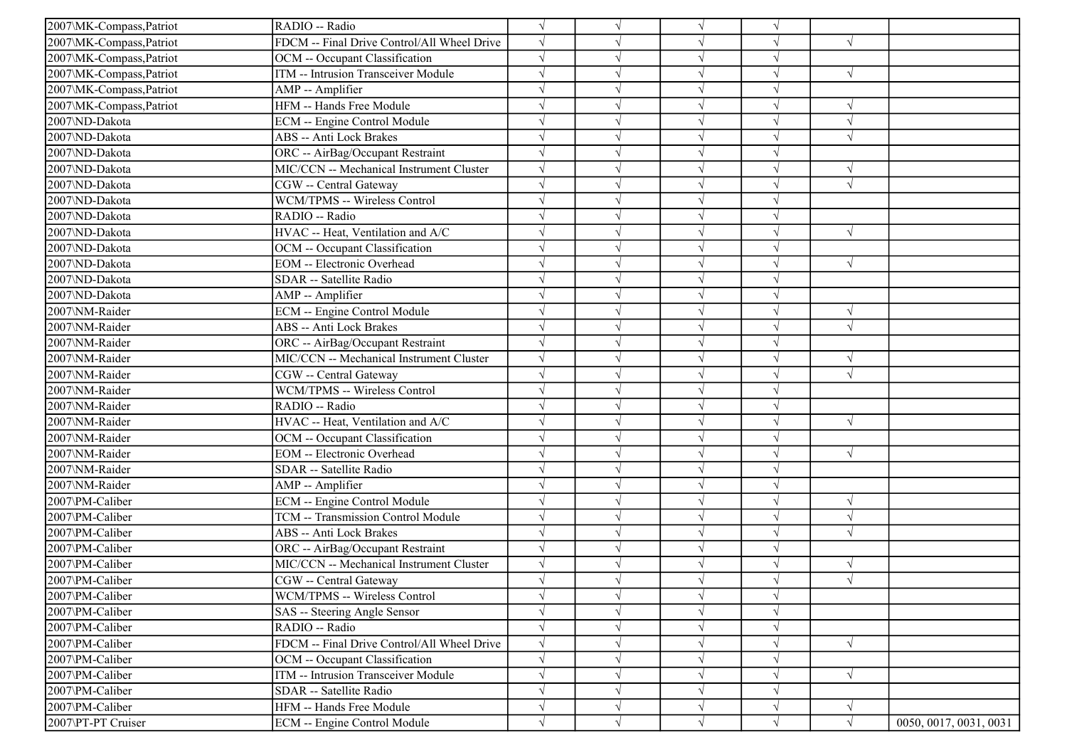| 2007\MK-Compass, Patriot | RADIO -- Radio                              | $\sqrt{}$  |            |               |            |               |                        |
|--------------------------|---------------------------------------------|------------|------------|---------------|------------|---------------|------------------------|
| 2007\MK-Compass,Patriot  | FDCM -- Final Drive Control/All Wheel Drive | $\sqrt{ }$ |            | $\sqrt{ }$    |            | $\sqrt{ }$    |                        |
| 2007\MK-Compass,Patriot  | OCM -- Occupant Classification              | $\sqrt{}$  |            |               |            |               |                        |
| 2007\MK-Compass,Patriot  | ITM -- Intrusion Transceiver Module         |            |            |               |            | $\sqrt{ }$    |                        |
| 2007\MK-Compass,Patriot  | AMP -- Amplifier                            | $\sqrt{2}$ |            |               |            |               |                        |
| 2007\MK-Compass,Patriot  | HFM -- Hands Free Module                    | $\sqrt{}$  |            | N             |            | $\sqrt{ }$    |                        |
| 2007\ND-Dakota           | ECM -- Engine Control Module                | $\sqrt{ }$ |            | V             |            | $\sqrt{ }$    |                        |
| 2007\ND-Dakota           | ABS -- Anti Lock Brakes                     | $\sqrt{}$  |            |               |            | $\sqrt{2}$    |                        |
| 2007\ND-Dakota           | ORC -- AirBag/Occupant Restraint            | $\sqrt{ }$ |            | $\sqrt{ }$    |            |               |                        |
| 2007\ND-Dakota           | MIC/CCN -- Mechanical Instrument Cluster    | $\sqrt{ }$ |            |               |            |               |                        |
| 2007\ND-Dakota           | CGW -- Central Gateway                      | $\sqrt{}$  |            |               |            | $\sqrt{ }$    |                        |
| 2007\ND-Dakota           | WCM/TPMS -- Wireless Control                | $\sqrt{}$  |            |               |            |               |                        |
| 2007\ND-Dakota           | RADIO -- Radio                              |            |            | N             |            |               |                        |
| 2007\ND-Dakota           | HVAC -- Heat, Ventilation and A/C           | $\sqrt{}$  |            | $\sqrt{ }$    | $\sqrt{ }$ | $\sqrt{ }$    |                        |
| 2007\ND-Dakota           | OCM -- Occupant Classification              | $\sqrt{}$  |            | $\sqrt{ }$    |            |               |                        |
| 2007\ND-Dakota           | <b>EOM</b> -- Electronic Overhead           |            |            |               |            | $\sqrt{ }$    |                        |
| 2007\ND-Dakota           | SDAR -- Satellite Radio                     |            |            |               |            |               |                        |
| 2007\ND-Dakota           | AMP -- Amplifier                            | $\sqrt{}$  |            |               |            |               |                        |
| 2007\NM-Raider           | ECM -- Engine Control Module                | $\sqrt{ }$ |            | $\mathcal{L}$ |            | $\sqrt{ }$    |                        |
| 2007\NM-Raider           | ABS -- Anti Lock Brakes                     | $\sqrt{ }$ |            | $\sqrt{ }$    |            | $\sqrt{ }$    |                        |
| 2007\NM-Raider           | ORC -- AirBag/Occupant Restraint            | $\sqrt{ }$ |            | $\sqrt{ }$    |            |               |                        |
| 2007\NM-Raider           | MIC/CCN -- Mechanical Instrument Cluster    | $\sqrt{ }$ |            | $\sqrt{ }$    |            | $\sqrt{ }$    |                        |
| 2007\NM-Raider           | CGW -- Central Gateway                      |            |            |               |            | $\sqrt{ }$    |                        |
| 2007\NM-Raider           | WCM/TPMS -- Wireless Control                |            |            |               |            |               |                        |
| 2007\NM-Raider           | RADIO -- Radio                              | $\sqrt{ }$ |            | N             |            |               |                        |
| 2007\NM-Raider           | HVAC -- Heat, Ventilation and A/C           |            |            |               |            | $\sqrt{ }$    |                        |
| 2007\NM-Raider           | OCM -- Occupant Classification              | $\sqrt{ }$ |            | $\sqrt{ }$    |            |               |                        |
| 2007\NM-Raider           | <b>EOM</b> -- Electronic Overhead           | $\sqrt{}$  |            |               |            | $\sqrt{ }$    |                        |
| 2007\NM-Raider           | SDAR -- Satellite Radio                     |            |            |               |            |               |                        |
| 2007\NM-Raider           | AMP -- Amplifier                            |            |            |               |            |               |                        |
| 2007\PM-Caliber          | ECM -- Engine Control Module                | $\sqrt{}$  |            |               |            | $\sqrt{ }$    |                        |
| 2007\PM-Caliber          | TCM -- Transmission Control Module          | $\sqrt{}$  |            |               |            | $\mathcal{A}$ |                        |
| 2007\PM-Caliber          | ABS -- Anti Lock Brakes                     | $\sqrt{}$  |            | $\sqrt{ }$    |            | $\sqrt{ }$    |                        |
| 2007\PM-Caliber          | ORC -- AirBag/Occupant Restraint            | $\sqrt{ }$ |            | $\sqrt{ }$    |            |               |                        |
| 2007\PM-Caliber          | MIC/CCN -- Mechanical Instrument Cluster    |            |            |               |            |               |                        |
| 2007\PM-Caliber          | CGW -- Central Gateway                      |            |            |               |            | $\sqrt{ }$    |                        |
| 2007\PM-Caliber          | WCM/TPMS -- Wireless Control                | $\sqrt{}$  | $\sqrt{ }$ | $\sqrt{}$     | $\sqrt{}$  |               |                        |
| 2007\PM-Caliber          | SAS -- Steering Angle Sensor                | $\sqrt{}$  |            | V             |            |               |                        |
| 2007\PM-Caliber          | RADIO -- Radio                              | $\sqrt{}$  |            |               |            |               |                        |
| 2007\PM-Caliber          | FDCM -- Final Drive Control/All Wheel Drive | $\sqrt{}$  |            |               |            | $\sqrt{ }$    |                        |
| 2007\PM-Caliber          | OCM -- Occupant Classification              |            |            |               |            |               |                        |
| 2007\PM-Caliber          | ITM -- Intrusion Transceiver Module         | $\sqrt{}$  |            | $\sqrt{}$     |            | $\sqrt{ }$    |                        |
| 2007\PM-Caliber          | SDAR -- Satellite Radio                     | $\sqrt{}$  |            |               |            |               |                        |
| 2007\PM-Caliber          | HFM -- Hands Free Module                    | $\sqrt{}$  |            | V             | V          | $\sqrt{ }$    |                        |
| 2007\PT-PT Cruiser       | ECM -- Engine Control Module                | $\sqrt{}$  | $\sqrt{ }$ | $\sqrt{ }$    | $\sqrt{}$  | $\sqrt{ }$    | 0050, 0017, 0031, 0031 |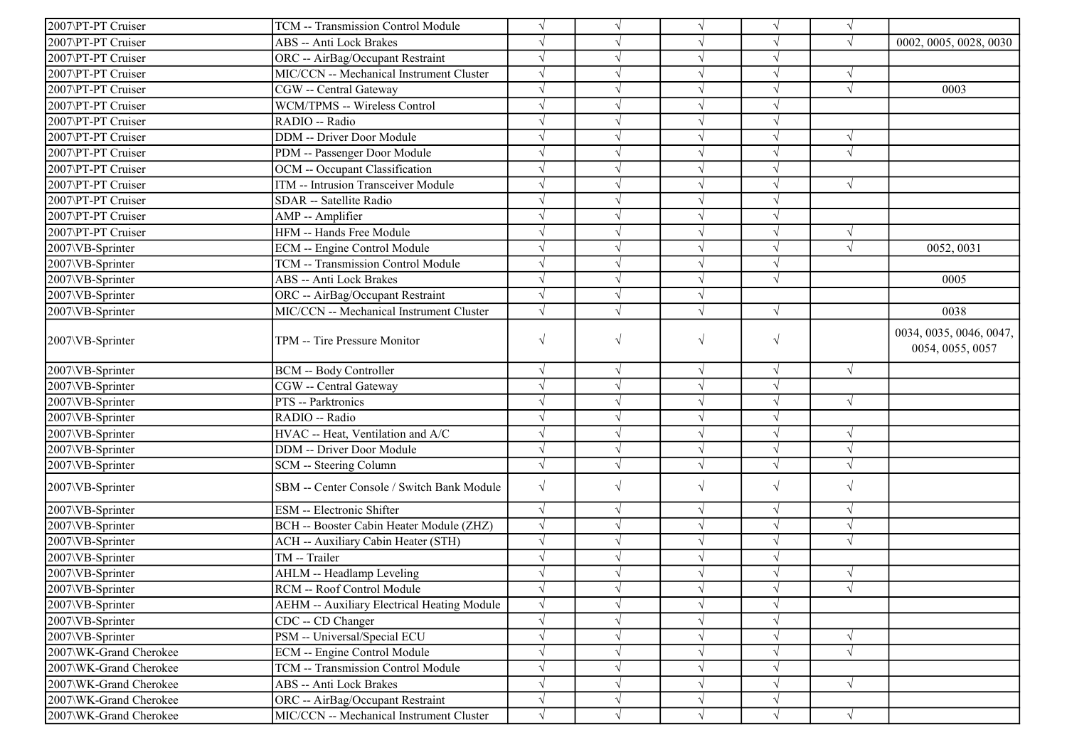| 2007\PT-PT Cruiser     | TCM -- Transmission Control Module          | $\sqrt{ }$ |            | $\sqrt{ }$ | $\sqrt{ }$ | $\sqrt{ }$ |                                             |
|------------------------|---------------------------------------------|------------|------------|------------|------------|------------|---------------------------------------------|
| 2007\PT-PT Cruiser     | <b>ABS</b> -- Anti Lock Brakes              | $\sqrt{ }$ | $\sqrt{ }$ | $\sqrt{ }$ | $\sqrt{ }$ | $\sqrt{ }$ | 0002, 0005, 0028, 0030                      |
| 2007\PT-PT Cruiser     | ORC -- AirBag/Occupant Restraint            | $\sqrt{ }$ | $\sqrt{}$  | $\sqrt{ }$ | $\sqrt{ }$ |            |                                             |
| 2007\PT-PT Cruiser     | MIC/CCN -- Mechanical Instrument Cluster    | $\sqrt{ }$ |            | $\sqrt{ }$ | $\sqrt{ }$ |            |                                             |
| 2007\PT-PT Cruiser     | CGW -- Central Gateway                      | $\sqrt{ }$ |            | $\sqrt{ }$ | $\sqrt{ }$ | $\sqrt{ }$ | 0003                                        |
| 2007\PT-PT Cruiser     | WCM/TPMS -- Wireless Control                | $\sqrt{ }$ |            | $\sqrt{ }$ | $\sqrt{ }$ |            |                                             |
| 2007\PT-PT Cruiser     | RADIO -- Radio                              | $\sqrt{ }$ |            | $\sqrt{ }$ | $\sqrt{ }$ |            |                                             |
| 2007\PT-PT Cruiser     | <b>DDM</b> -- Driver Door Module            | $\sqrt{ }$ | $\sqrt{}$  | $\sqrt{ }$ | $\sqrt{ }$ | $\sqrt{ }$ |                                             |
| 2007\PT-PT Cruiser     | PDM -- Passenger Door Module                | $\sqrt{ }$ | $\sqrt{}$  | $\sqrt{ }$ | $\sqrt{ }$ | $\sqrt{ }$ |                                             |
| 2007\PT-PT Cruiser     | OCM -- Occupant Classification              | $\sqrt{ }$ |            | $\sqrt{ }$ | $\sqrt{ }$ |            |                                             |
| 2007\PT-PT Cruiser     | <b>ITM</b> -- Intrusion Transceiver Module  | $\sqrt{ }$ |            | $\sqrt{ }$ | $\sqrt{ }$ | $\sqrt{ }$ |                                             |
| 2007\PT-PT Cruiser     | SDAR -- Satellite Radio                     | $\sqrt{ }$ |            | $\sqrt{ }$ | $\sqrt{ }$ |            |                                             |
| 2007\PT-PT Cruiser     | AMP -- Amplifier                            | $\sqrt{ }$ |            | $\sqrt{ }$ | $\sqrt{ }$ |            |                                             |
| 2007\PT-PT Cruiser     | HFM -- Hands Free Module                    | $\sqrt{ }$ | $\sqrt{}$  | $\sqrt{ }$ | $\sqrt{ }$ | V          |                                             |
| 2007\VB-Sprinter       | ECM -- Engine Control Module                | $\sqrt{ }$ |            | $\sqrt{ }$ | $\sqrt{ }$ | V          | 0052, 0031                                  |
| 2007\VB-Sprinter       | TCM -- Transmission Control Module          | $\sqrt{ }$ |            | $\sqrt{ }$ | $\sqrt{ }$ |            |                                             |
| 2007\VB-Sprinter       | <b>ABS</b> -- Anti Lock Brakes              | $\sqrt{}$  |            | $\sqrt{ }$ | $\sqrt{ }$ |            | 0005                                        |
| 2007\VB-Sprinter       | ORC -- AirBag/Occupant Restraint            | $\sqrt{ }$ |            |            |            |            |                                             |
| 2007\VB-Sprinter       | MIC/CCN -- Mechanical Instrument Cluster    | $\sqrt{ }$ |            | $\sqrt{ }$ | $\sqrt{ }$ |            | 0038                                        |
| 2007\VB-Sprinter       | TPM -- Tire Pressure Monitor                | $\sqrt{ }$ | $\sqrt{}$  | $\sqrt{ }$ | $\sqrt{ }$ |            | 0034, 0035, 0046, 0047,<br>0054, 0055, 0057 |
| 2007\VB-Sprinter       | <b>BCM -- Body Controller</b>               | $\sqrt{ }$ | $\sqrt{}$  | $\sqrt{}$  | $\sqrt{}$  | $\sqrt{ }$ |                                             |
| 2007\VB-Sprinter       | CGW -- Central Gateway                      | $\sqrt{ }$ |            | $\sqrt{ }$ | $\sqrt{ }$ |            |                                             |
| 2007\VB-Sprinter       | PTS -- Parktronics                          | $\sqrt{ }$ |            | $\sqrt{2}$ | $\sqrt{ }$ | $\sqrt{ }$ |                                             |
| 2007\VB-Sprinter       | RADIO -- Radio                              | $\sqrt{ }$ |            | $\sqrt{ }$ | $\sqrt{}$  |            |                                             |
| 2007\VB-Sprinter       | HVAC -- Heat, Ventilation and A/C           | $\sqrt{ }$ | $\sqrt{}$  | $\sqrt{ }$ | $\sqrt{ }$ | $\sqrt{ }$ |                                             |
| 2007\VB-Sprinter       | DDM -- Driver Door Module                   | $\sqrt{ }$ | $\sqrt{}$  | $\sqrt{ }$ | $\sqrt{ }$ | V          |                                             |
| 2007\VB-Sprinter       | SCM -- Steering Column                      | $\sqrt{ }$ | $\sqrt{}$  | $\sqrt{ }$ | $\sqrt{ }$ | $\sqrt{}$  |                                             |
| 2007\VB-Sprinter       | SBM -- Center Console / Switch Bank Module  | $\sqrt{ }$ | $\sqrt{}$  | $\sqrt{ }$ | $\sqrt{ }$ | $\sqrt{ }$ |                                             |
| 2007\VB-Sprinter       | ESM -- Electronic Shifter                   | $\sqrt{ }$ | $\sqrt{}$  | $\sqrt{ }$ | $\sqrt{ }$ | $\sqrt{}$  |                                             |
| 2007\VB-Sprinter       | BCH -- Booster Cabin Heater Module (ZHZ)    | $\sqrt{ }$ | $\sqrt{ }$ | $\sqrt{ }$ | $\sqrt{ }$ | $\sqrt{ }$ |                                             |
| 2007\VB-Sprinter       | ACH -- Auxiliary Cabin Heater (STH)         | $\sqrt{ }$ | $\sqrt{}$  | $\sqrt{ }$ | $\sqrt{ }$ | $\sqrt{ }$ |                                             |
| 2007\VB-Sprinter       | TM -- Trailer                               | $\sqrt{ }$ |            | $\sqrt{ }$ | $\sqrt{ }$ |            |                                             |
| 2007\VB-Sprinter       | AHLM -- Headlamp Leveling                   | $\sqrt{ }$ |            | $\sqrt{ }$ | $\sqrt{ }$ | $\sqrt{ }$ |                                             |
| 2007\VB-Sprinter       | RCM -- Roof Control Module                  | $\sqrt{ }$ | $\sqrt{}$  | $\sqrt{ }$ | $\sqrt{ }$ | $\sqrt{ }$ |                                             |
| 2007\VB-Sprinter       | AEHM -- Auxiliary Electrical Heating Module | $\sqrt{}$  | $\sqrt{}$  | $\sqrt{ }$ | $\sqrt{ }$ |            |                                             |
| 2007\VB-Sprinter       | CDC -- CD Changer                           | $\sqrt{ }$ |            | $\sqrt{ }$ | $\sqrt{ }$ |            |                                             |
| 2007\VB-Sprinter       | PSM -- Universal/Special ECU                | $\sqrt{}$  |            | $\sqrt{ }$ | $\sqrt{ }$ | $\sqrt{ }$ |                                             |
| 2007\WK-Grand Cherokee | ECM -- Engine Control Module                | $\sqrt{}$  |            | $\sqrt{ }$ | $\sqrt{ }$ | $\sqrt{ }$ |                                             |
| 2007\WK-Grand Cherokee | TCM -- Transmission Control Module          | $\sqrt{ }$ |            | $\sqrt{ }$ |            |            |                                             |
| 2007\WK-Grand Cherokee | ABS -- Anti Lock Brakes                     | $\sqrt{}$  |            | $\sqrt{ }$ | $\sqrt{ }$ | $\sqrt{ }$ |                                             |
| 2007\WK-Grand Cherokee | ORC -- AirBag/Occupant Restraint            | $\sqrt{ }$ | $\sqrt{}$  | $\sqrt{ }$ | $\sqrt{ }$ |            |                                             |
| 2007\WK-Grand Cherokee | MIC/CCN -- Mechanical Instrument Cluster    | $\sqrt{ }$ | $\sqrt{}$  | $\sqrt{ }$ | $\sqrt{ }$ | $\sqrt{ }$ |                                             |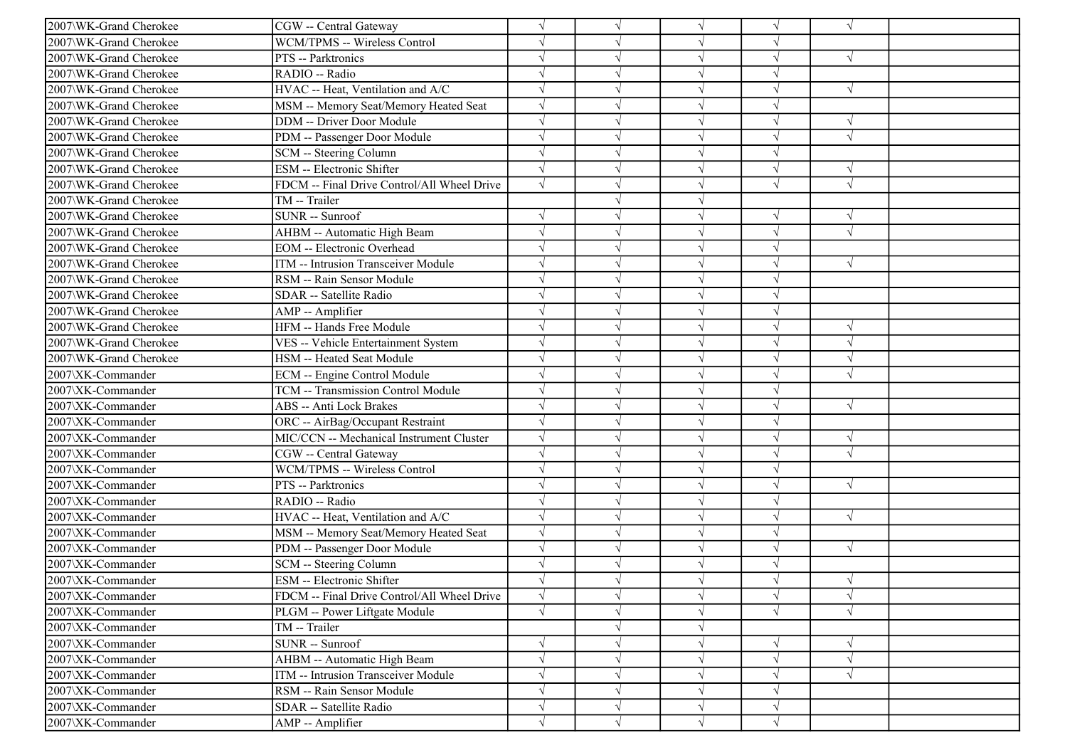| 2007\WK-Grand Cherokee | CGW -- Central Gateway                      |            |               | $\sqrt{ }$ | $\sqrt{}$  | $\sqrt{ }$ |  |
|------------------------|---------------------------------------------|------------|---------------|------------|------------|------------|--|
| 2007\WK-Grand Cherokee | WCM/TPMS -- Wireless Control                | $\sqrt{ }$ |               | $\sqrt{ }$ | V          |            |  |
| 2007\WK-Grand Cherokee | PTS -- Parktronics                          |            |               | $\sqrt{ }$ | $\sqrt{}$  | $\sqrt{ }$ |  |
| 2007\WK-Grand Cherokee | RADIO -- Radio                              |            |               | $\sqrt{ }$ |            |            |  |
| 2007\WK-Grand Cherokee | HVAC -- Heat, Ventilation and A/C           |            |               | $\sqrt{ }$ | J          | $\sqrt{ }$ |  |
| 2007\WK-Grand Cherokee | MSM -- Memory Seat/Memory Heated Seat       |            |               | $\sqrt{ }$ |            |            |  |
| 2007\WK-Grand Cherokee | DDM -- Driver Door Module                   |            |               | $\sqrt{ }$ | V          | $\sqrt{ }$ |  |
| 2007\WK-Grand Cherokee | PDM -- Passenger Door Module                | $\sqrt{ }$ |               | $\sqrt{ }$ | V          | $\sqrt{ }$ |  |
| 2007\WK-Grand Cherokee | SCM -- Steering Column                      | $\sqrt{}$  |               | $\sqrt{ }$ | $\sqrt{ }$ |            |  |
| 2007\WK-Grand Cherokee | ESM -- Electronic Shifter                   |            |               | $\sqrt{ }$ | $\sqrt{ }$ |            |  |
| 2007\WK-Grand Cherokee | FDCM -- Final Drive Control/All Wheel Drive | $\sqrt{}$  |               | $\sqrt{ }$ | $\sqrt{ }$ | $\sqrt{ }$ |  |
| 2007\WK-Grand Cherokee | TM -- Trailer                               |            |               | $\sqrt{ }$ |            |            |  |
| 2007\WK-Grand Cherokee | SUNR -- Sunroof                             |            |               | $\sqrt{ }$ | V          | $\sqrt{ }$ |  |
| 2007\WK-Grand Cherokee | AHBM -- Automatic High Beam                 |            |               | $\sqrt{ }$ | $\sqrt{}$  | $\sqrt{ }$ |  |
| 2007\WK-Grand Cherokee | <b>EOM</b> -- Electronic Overhead           |            |               | $\sqrt{ }$ | V          |            |  |
| 2007\WK-Grand Cherokee | ITM -- Intrusion Transceiver Module         |            |               | $\sqrt{ }$ |            | $\sqrt{ }$ |  |
| 2007\WK-Grand Cherokee | RSM -- Rain Sensor Module                   |            |               | $\sqrt{ }$ |            |            |  |
| 2007\WK-Grand Cherokee | SDAR -- Satellite Radio                     |            |               | $\sqrt{ }$ |            |            |  |
| 2007\WK-Grand Cherokee | AMP -- Amplifier                            |            |               | $\sqrt{ }$ | V          |            |  |
| 2007\WK-Grand Cherokee | HFM -- Hands Free Module                    |            |               | $\sqrt{ }$ | V          | $\sqrt{ }$ |  |
| 2007\WK-Grand Cherokee | VES -- Vehicle Entertainment System         |            |               | $\sqrt{ }$ |            | $\sqrt{ }$ |  |
| 2007\WK-Grand Cherokee | HSM -- Heated Seat Module                   |            |               | $\sqrt{ }$ |            | $\sqrt{ }$ |  |
| 2007\XK-Commander      | <b>ECM</b> -- Engine Control Module         |            |               | $\sqrt{ }$ |            | $\sqrt{ }$ |  |
| 2007\XK-Commander      | TCM -- Transmission Control Module          |            |               | $\sqrt{ }$ |            |            |  |
| 2007\XK-Commander      | <b>ABS</b> -- Anti Lock Brakes              |            |               | $\sqrt{ }$ | √          | $\sqrt{ }$ |  |
| 2007\XK-Commander      | ORC -- AirBag/Occupant Restraint            |            |               | $\sqrt{ }$ | V          |            |  |
| 2007\XK-Commander      | MIC/CCN -- Mechanical Instrument Cluster    |            |               | $\sqrt{ }$ | V          | $\sqrt{ }$ |  |
| 2007\XK-Commander      | CGW -- Central Gateway                      |            |               | $\sqrt{ }$ |            | $\sqrt{ }$ |  |
| 2007\XK-Commander      | WCM/TPMS -- Wireless Control                |            |               | $\sqrt{ }$ |            |            |  |
| 2007\XK-Commander      | PTS -- Parktronics                          |            |               | $\sqrt{ }$ |            | $\sqrt{ }$ |  |
| 2007\XK-Commander      | RADIO -- Radio                              | $\sqrt{ }$ |               | $\sqrt{ }$ | V          |            |  |
| 2007\XK-Commander      | HVAC -- Heat, Ventilation and A/C           |            |               | $\sqrt{ }$ | J          | $\sqrt{ }$ |  |
| 2007\XK-Commander      | MSM -- Memory Seat/Memory Heated Seat       | $\sqrt{}$  |               | $\sqrt{ }$ | V          |            |  |
| 2007\XK-Commander      | PDM -- Passenger Door Module                |            |               | $\sqrt{ }$ | $\sqrt{}$  | $\sqrt{ }$ |  |
| 2007\XK-Commander      | SCM -- Steering Column                      |            |               | $\sqrt{ }$ |            |            |  |
| 2007\XK-Commander      | ESM -- Electronic Shifter                   |            |               |            |            | $\sqrt{ }$ |  |
| 2007\XK-Commander      | FDCM -- Final Drive Control/All Wheel Drive | $\sqrt{}$  | $\sqrt{ }$    | $\sqrt{ }$ | $\sqrt{}$  | $\sqrt{ }$ |  |
| 2007\XK-Commander      | PLGM -- Power Liftgate Module               | $\sqrt{ }$ |               | $\sqrt{ }$ | √          | $\sqrt{ }$ |  |
| 2007\XK-Commander      | TM -- Trailer                               |            |               | $\sqrt{ }$ |            |            |  |
| 2007\XK-Commander      | SUNR -- Sunroof                             |            |               | $\sqrt{ }$ |            | $\sqrt{ }$ |  |
| 2007\XK-Commander      | AHBM -- Automatic High Beam                 |            |               | $\sqrt{}$  | $\sqrt{}$  | $\sqrt{ }$ |  |
| 2007\XK-Commander      | ITM -- Intrusion Transceiver Module         | $\sqrt{}$  |               | $\sqrt{ }$ | V          | $\sqrt{ }$ |  |
| 2007\XK-Commander      | RSM -- Rain Sensor Module                   |            |               | $\sqrt{ }$ |            |            |  |
| 2007\XK-Commander      | SDAR -- Satellite Radio                     | $\sqrt{}$  | $\mathcal{N}$ | $\sqrt{ }$ | $\sqrt{}$  |            |  |
| 2007\XK-Commander      | AMP -- Amplifier                            | $\sqrt{}$  | $\sqrt{ }$    | $\sqrt{ }$ | $\sqrt{}$  |            |  |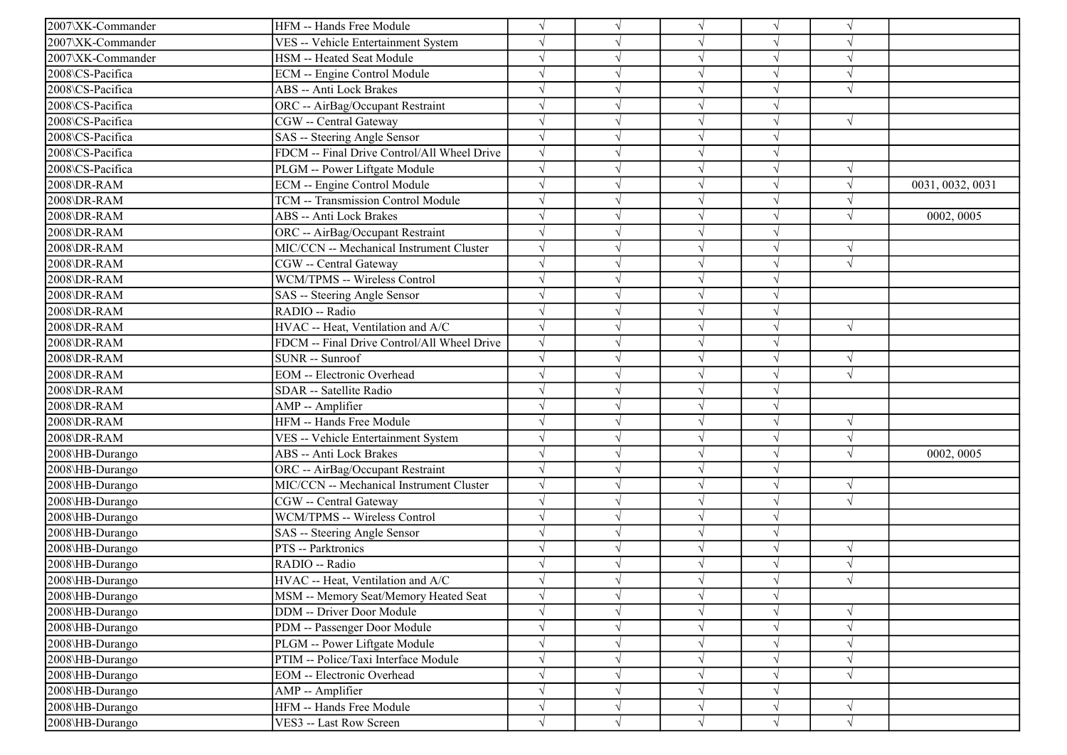| 2007\XK-Commander | HFM -- Hands Free Module                    | $\sqrt{ }$            |            |            |            |            |                  |
|-------------------|---------------------------------------------|-----------------------|------------|------------|------------|------------|------------------|
| 2007\XK-Commander | VES -- Vehicle Entertainment System         | $\sqrt{ }$            |            |            |            |            |                  |
| 2007\XK-Commander | HSM -- Heated Seat Module                   | $\sqrt{ }$            |            |            |            |            |                  |
| 2008\CS-Pacifica  | ECM -- Engine Control Module                |                       |            |            |            |            |                  |
| 2008\CS-Pacifica  | <b>ABS</b> -- Anti Lock Brakes              | $\sqrt{}$             |            |            |            | $\sqrt{ }$ |                  |
| 2008\CS-Pacifica  | ORC -- AirBag/Occupant Restraint            | $\sqrt{ }$            |            |            |            |            |                  |
| 2008\CS-Pacifica  | CGW -- Central Gateway                      | $\sqrt{ }$            |            |            |            | $\sqrt{ }$ |                  |
| 2008\CS-Pacifica  | SAS -- Steering Angle Sensor                | $\sqrt{ }$            |            |            |            |            |                  |
| 2008\CS-Pacifica  | FDCM -- Final Drive Control/All Wheel Drive | $\sqrt{ }$            |            | $\sqrt{ }$ |            |            |                  |
| 2008\CS-Pacifica  | PLGM -- Power Liftgate Module               | $\sqrt{}$             |            |            |            |            |                  |
| 2008\DR-RAM       | <b>ECM</b> -- Engine Control Module         | $\sqrt{}$             |            |            |            | $\sqrt{ }$ | 0031, 0032, 0031 |
| 2008\DR-RAM       | TCM -- Transmission Control Module          | $\sqrt{ }$            |            |            |            |            |                  |
| 2008\DR-RAM       | ABS -- Anti Lock Brakes                     | $\sqrt{ }$            |            |            |            | $\sqrt{ }$ | 0002, 0005       |
| 2008\DR-RAM       | ORC -- AirBag/Occupant Restraint            | $\sqrt{}$             |            |            |            |            |                  |
| 2008\DR-RAM       | MIC/CCN -- Mechanical Instrument Cluster    | $\sqrt{}$             |            | $\sqrt{ }$ |            | $\sqrt{ }$ |                  |
| 2008\DR-RAM       | CGW -- Central Gateway                      | $\sqrt{ }$            |            |            |            | $\sqrt{}$  |                  |
| 2008\DR-RAM       | WCM/TPMS -- Wireless Control                | $\sqrt{ }$            |            |            |            |            |                  |
| 2008\DR-RAM       | SAS -- Steering Angle Sensor                | $\sqrt{ }$            |            |            |            |            |                  |
| 2008\DR-RAM       | RADIO -- Radio                              | $\sqrt{ }$            |            |            |            |            |                  |
| 2008\DR-RAM       | HVAC -- Heat, Ventilation and A/C           | $\sqrt{ }$            |            |            | J          | $\sqrt{ }$ |                  |
| 2008\DR-RAM       | FDCM -- Final Drive Control/All Wheel Drive | $\sqrt{ }$            |            | $\sqrt{ }$ |            |            |                  |
| 2008\DR-RAM       | SUNR -- Sunroof                             | $\overline{\sqrt{ }}$ |            |            |            | $\sqrt{ }$ |                  |
| 2008\DR-RAM       | EOM -- Electronic Overhead                  | $\sqrt{ }$            |            |            |            | $\sqrt{ }$ |                  |
| 2008\DR-RAM       | SDAR -- Satellite Radio                     | $\sqrt{}$             |            |            |            |            |                  |
| 2008\DR-RAM       | AMP -- Amplifier                            | $\sqrt{ }$            |            | $\sqrt{ }$ |            |            |                  |
| 2008\DR-RAM       | HFM -- Hands Free Module                    | $\sqrt{ }$            |            |            |            |            |                  |
| 2008\DR-RAM       | VES -- Vehicle Entertainment System         | $\sqrt{ }$            |            |            |            | $\sqrt{ }$ |                  |
| 2008\HB-Durango   | ABS -- Anti Lock Brakes                     | $\sqrt{ }$            |            |            |            | $\sqrt{}$  | 0002, 0005       |
| 2008\HB-Durango   | ORC -- AirBag/Occupant Restraint            | $\sqrt{ }$            |            |            |            |            |                  |
| 2008\HB-Durango   | MIC/CCN -- Mechanical Instrument Cluster    | $\sqrt{}$             |            |            |            | $\sqrt{ }$ |                  |
| 2008\HB-Durango   | CGW -- Central Gateway                      | $\sqrt{ }$            |            |            |            | $\sqrt{ }$ |                  |
| 2008\HB-Durango   | WCM/TPMS -- Wireless Control                | $\sqrt{ }$            |            |            |            |            |                  |
| 2008\HB-Durango   | SAS -- Steering Angle Sensor                | $\sqrt{ }$            |            | $\sqrt{ }$ |            |            |                  |
| 2008\HB-Durango   | PTS -- Parktronics                          | $\sqrt{ }$            |            | $\sqrt{ }$ |            | $\sqrt{ }$ |                  |
| 2008\HB-Durango   | RADIO -- Radio                              | $\sqrt{ }$            |            |            |            | $\sqrt{ }$ |                  |
| 2008\HB-Durango   | HVAC -- Heat, Ventilation and A/C           |                       |            |            |            |            |                  |
| 2008\HB-Durango   | MSM -- Memory Seat/Memory Heated Seat       | $\sqrt{}$             | $\sqrt{ }$ | $\sqrt{ }$ |            |            |                  |
| 2008\HB-Durango   | DDM -- Driver Door Module                   | $\sqrt{}$             |            |            |            |            |                  |
| 2008\HB-Durango   | PDM -- Passenger Door Module                | $\sqrt{}$             |            | $\sqrt{ }$ |            | $\sqrt{ }$ |                  |
| 2008\HB-Durango   | PLGM -- Power Liftgate Module               | $\sqrt{}$             |            | $\sqrt{ }$ |            | V          |                  |
| 2008\HB-Durango   | PTIM -- Police/Taxi Interface Module        | $\sqrt{}$             |            |            |            |            |                  |
| 2008\HB-Durango   | <b>EOM</b> -- Electronic Overhead           | $\sqrt{ }$            |            | $\sqrt{ }$ |            | $\sqrt{ }$ |                  |
| 2008\HB-Durango   | AMP -- Amplifier                            | $\sqrt{}$             |            |            |            |            |                  |
| 2008\HB-Durango   | HFM -- Hands Free Module                    | $\sqrt{}$             |            | $\sqrt{ }$ | $\sqrt{ }$ | V          |                  |
| 2008\HB-Durango   | VES3 -- Last Row Screen                     | $\sqrt{ }$            | $\sqrt{ }$ | $\sqrt{ }$ | $\sqrt{}$  | $\sqrt{ }$ |                  |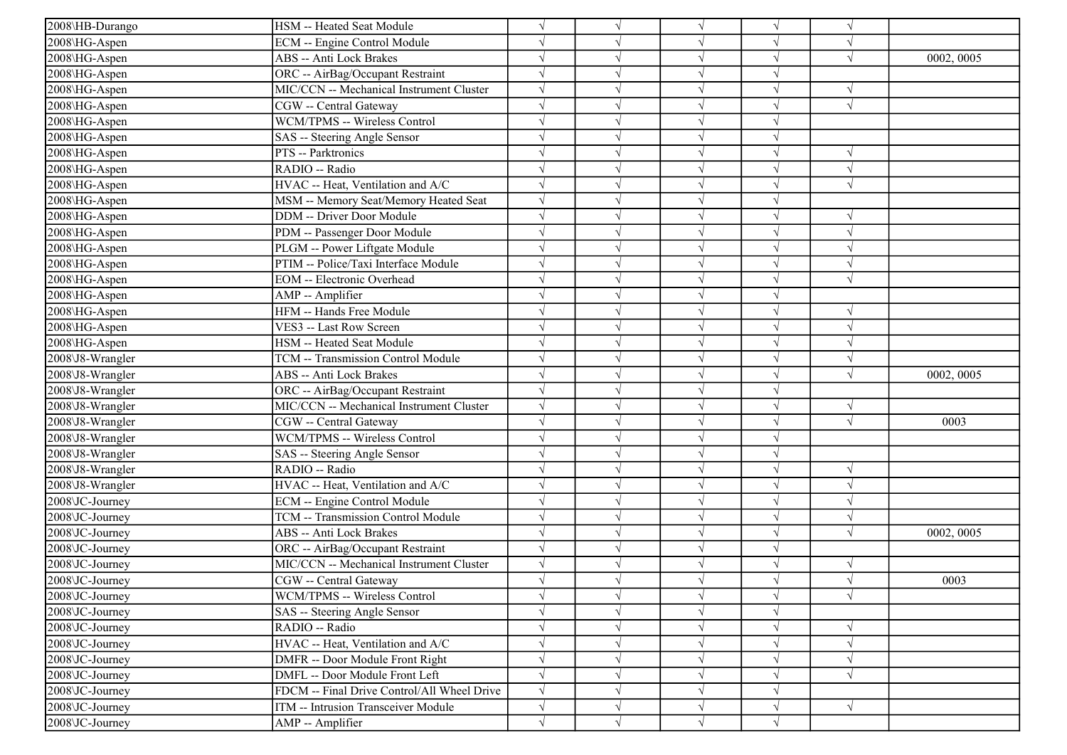| 2008\HB-Durango  | HSM -- Heated Seat Module                   | $\sqrt{ }$ |           |               |            |               |            |
|------------------|---------------------------------------------|------------|-----------|---------------|------------|---------------|------------|
| 2008\HG-Aspen    | ECM -- Engine Control Module                | $\sqrt{ }$ |           | $\sqrt{ }$    |            | $\sqrt{ }$    |            |
| 2008\HG-Aspen    | <b>ABS</b> -- Anti Lock Brakes              | $\sqrt{ }$ |           |               |            | $\sqrt{ }$    | 0002, 0005 |
| 2008\HG-Aspen    | ORC -- AirBag/Occupant Restraint            |            |           |               |            |               |            |
| 2008\HG-Aspen    | MIC/CCN -- Mechanical Instrument Cluster    | $\sqrt{ }$ |           |               |            | $\sqrt{ }$    |            |
| 2008\HG-Aspen    | CGW -- Central Gateway                      | $\sqrt{ }$ |           | $\sqrt{ }$    |            | $\sqrt{ }$    |            |
| 2008\HG-Aspen    | WCM/TPMS -- Wireless Control                | $\sqrt{ }$ |           | $\mathcal{L}$ |            |               |            |
| 2008\HG-Aspen    | SAS -- Steering Angle Sensor                | $\sqrt{ }$ |           | $\sqrt{ }$    |            |               |            |
| 2008\HG-Aspen    | PTS -- Parktronics                          | $\sqrt{ }$ |           | $\sqrt{ }$    |            | $\sqrt{ }$    |            |
| 2008\HG-Aspen    | RADIO -- Radio                              | $\sqrt{ }$ |           | $\sqrt{ }$    |            | $\sqrt{ }$    |            |
| 2008\HG-Aspen    | HVAC -- Heat, Ventilation and A/C           | $\sqrt{ }$ |           |               |            | $\sqrt{ }$    |            |
| 2008\HG-Aspen    | MSM -- Memory Seat/Memory Heated Seat       | $\sqrt{}$  |           |               |            |               |            |
| 2008\HG-Aspen    | <b>DDM</b> -- Driver Door Module            | $\sqrt{ }$ |           | $\mathcal{N}$ |            |               |            |
| 2008\HG-Aspen    | PDM -- Passenger Door Module                | $\sqrt{ }$ |           |               |            | $\sqrt{ }$    |            |
| 2008\HG-Aspen    | PLGM -- Power Liftgate Module               | $\sqrt{ }$ |           | $\sqrt{ }$    |            | $\sqrt{ }$    |            |
| 2008\HG-Aspen    | PTIM -- Police/Taxi Interface Module        |            |           |               |            |               |            |
| 2008\HG-Aspen    | <b>EOM</b> -- Electronic Overhead           | $\sqrt{ }$ |           |               |            | $\sqrt{ }$    |            |
| 2008\HG-Aspen    | AMP -- Amplifier                            | $\sqrt{ }$ |           |               |            |               |            |
| 2008\HG-Aspen    | HFM -- Hands Free Module                    | $\sqrt{ }$ |           | $\sqrt{ }$    |            | N             |            |
| 2008\HG-Aspen    | VES3 -- Last Row Screen                     | $\sqrt{ }$ |           | $\sqrt{ }$    | $\sqrt{ }$ | $\sqrt{ }$    |            |
| 2008\HG-Aspen    | HSM -- Heated Seat Module                   | $\sqrt{ }$ |           | $\sqrt{ }$    |            | $\sqrt{ }$    |            |
| 2008\J8-Wrangler | TCM -- Transmission Control Module          | $\sqrt{ }$ |           | $\sqrt{ }$    |            | $\sqrt{ }$    |            |
| 2008\J8-Wrangler | <b>ABS</b> -- Anti Lock Brakes              | $\sqrt{ }$ |           |               |            | $\sqrt{ }$    | 0002, 0005 |
| 2008\J8-Wrangler | ORC -- AirBag/Occupant Restraint            | $\sqrt{ }$ |           | $\sqrt{ }$    |            |               |            |
| 2008\J8-Wrangler | MIC/CCN -- Mechanical Instrument Cluster    | $\sqrt{ }$ | $\sqrt{}$ | $\sqrt{ }$    |            | $\sqrt{ }$    |            |
| 2008\J8-Wrangler | CGW -- Central Gateway                      | $\sqrt{ }$ |           |               |            | $\sqrt{ }$    | 0003       |
| 2008\J8-Wrangler | WCM/TPMS -- Wireless Control                | $\sqrt{ }$ |           | $\sqrt{ }$    |            |               |            |
| 2008\J8-Wrangler | SAS -- Steering Angle Sensor                | $\sqrt{ }$ |           | $\sqrt{ }$    |            |               |            |
| 2008\J8-Wrangler | RADIO -- Radio                              |            |           |               |            |               |            |
| 2008\J8-Wrangler | HVAC -- Heat, Ventilation and A/C           | $\sqrt{ }$ |           |               |            | $\sqrt{}$     |            |
| 2008\JC-Journey  | <b>ECM</b> -- Engine Control Module         | $\sqrt{ }$ |           | $\sqrt{ }$    |            | N             |            |
| 2008\JC-Journey  | <b>TCM -- Transmission Control Module</b>   | $\sqrt{ }$ |           | N             |            | $\mathcal{A}$ |            |
| 2008\JC-Journey  | <b>ABS</b> -- Anti Lock Brakes              | $\sqrt{}$  |           | $\sqrt{ }$    |            | $\sqrt{ }$    | 0002, 0005 |
| 2008\JC-Journey  | ORC -- AirBag/Occupant Restraint            | $\sqrt{}$  |           | $\sqrt{ }$    |            |               |            |
| 2008\JC-Journey  | MIC/CCN -- Mechanical Instrument Cluster    | $\sqrt{ }$ |           |               |            |               |            |
| 2008\JC-Journey  | CGW -- Central Gateway                      | $\sqrt{ }$ |           |               |            | $\sqrt{ }$    | 0003       |
| 2008\JC-Journey  | WCM/TPMS -- Wireless Control                | $\sqrt{}$  | $\sqrt{}$ | $\sqrt{}$     |            | $\sqrt{ }$    |            |
| 2008\JC-Journey  | SAS -- Steering Angle Sensor                | $\sqrt{}$  |           |               |            |               |            |
| 2008\JC-Journey  | RADIO -- Radio                              | $\sqrt{}$  |           |               |            | $\sqrt{ }$    |            |
| 2008\JC-Journey  | HVAC -- Heat, Ventilation and A/C           | $\sqrt{}$  |           | $\sqrt{ }$    |            | $\sqrt{ }$    |            |
| 2008\JC-Journey  | DMFR -- Door Module Front Right             | $\sqrt{}$  |           |               |            |               |            |
| 2008\JC-Journey  | DMFL -- Door Module Front Left              | $\sqrt{ }$ |           | $\sqrt{ }$    |            | $\sqrt{ }$    |            |
| 2008\JC-Journey  | FDCM -- Final Drive Control/All Wheel Drive | $\sqrt{ }$ |           |               |            |               |            |
| 2008\JC-Journey  | ITM -- Intrusion Transceiver Module         | $\sqrt{}$  |           | V             | $\sqrt{ }$ | $\sqrt{ }$    |            |
| 2008\JC-Journey  | AMP -- Amplifier                            | $\sqrt{}$  | V         | $\sqrt{ }$    | $\sqrt{ }$ |               |            |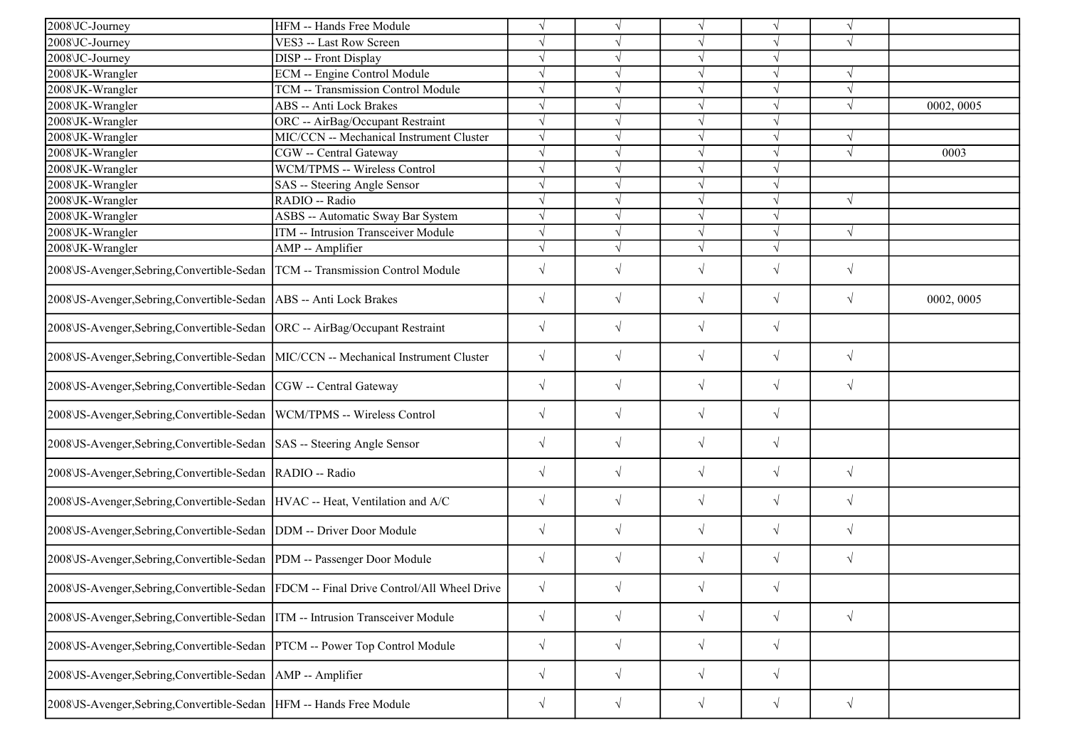| 2008\JC-Journey                                                                     | HFM -- Hands Free Module                                                              | $\sqrt{}$  |            | $\sqrt{}$  | V          | $\sqrt{ }$ |            |
|-------------------------------------------------------------------------------------|---------------------------------------------------------------------------------------|------------|------------|------------|------------|------------|------------|
| 2008\JC-Journey                                                                     | VES3 -- Last Row Screen                                                               | $\sqrt{}$  |            | $\sqrt{}$  | J          | $\sqrt{ }$ |            |
| 2008\JC-Journey                                                                     | <b>DISP</b> -- Front Display                                                          |            |            | $\sqrt{ }$ | V          |            |            |
| 2008\JK-Wrangler                                                                    | <b>ECM</b> -- Engine Control Module                                                   | $\sqrt{}$  |            | $\sqrt{ }$ | $\sqrt{}$  | $\sqrt{ }$ |            |
| 2008\JK-Wrangler                                                                    | TCM -- Transmission Control Module                                                    | $\sqrt{}$  |            | $\sqrt{ }$ | J          | $\sqrt{ }$ |            |
| 2008\JK-Wrangler                                                                    | <b>ABS</b> -- Anti Lock Brakes                                                        |            |            | $\sqrt{}$  |            | $\sqrt{ }$ | 0002, 0005 |
| 2008\JK-Wrangler                                                                    | ORC -- AirBag/Occupant Restraint                                                      | $\sqrt{ }$ |            | $\sqrt{ }$ | $\sqrt{}$  |            |            |
| 2008\JK-Wrangler                                                                    | MIC/CCN -- Mechanical Instrument Cluster                                              | $\sqrt{}$  |            | $\sqrt{}$  | J          | $\sqrt{ }$ |            |
| 2008\JK-Wrangler                                                                    | CGW -- Central Gateway                                                                | $\sqrt{}$  |            | $\sqrt{}$  | $\sqrt{}$  | $\sqrt{ }$ | 0003       |
| 2008\JK-Wrangler                                                                    | WCM/TPMS -- Wireless Control                                                          | $\sqrt{ }$ |            | $\sqrt{ }$ | $\sqrt{}$  |            |            |
| 2008\JK-Wrangler                                                                    | SAS -- Steering Angle Sensor                                                          | $\sqrt{}$  |            | $\sqrt{ }$ | $\sqrt{}$  |            |            |
| 2008\JK-Wrangler                                                                    | RADIO -- Radio                                                                        | $\sqrt{}$  |            | $\sqrt{}$  | $\sqrt{}$  | $\sqrt{ }$ |            |
| 2008\JK-Wrangler                                                                    | ASBS -- Automatic Sway Bar System                                                     | $\sqrt{ }$ |            | $\sqrt{}$  | J          |            |            |
| 2008\JK-Wrangler                                                                    | ITM -- Intrusion Transceiver Module                                                   | $\sqrt{}$  |            | $\sqrt{}$  | J          | $\sqrt{ }$ |            |
| 2008\JK-Wrangler                                                                    | AMP -- Amplifier                                                                      | $\sqrt{}$  | $\sqrt{ }$ | $\sqrt{}$  | $\sqrt{ }$ |            |            |
| 2008\JS-Avenger,Sebring,Convertible-Sedan  TCM -- Transmission Control Module       |                                                                                       | $\sqrt{}$  | $\sqrt{ }$ | $\sqrt{}$  | $\sqrt{}$  | $\sqrt{ }$ |            |
| 2008\JS-Avenger, Sebring, Convertible-Sedan   ABS -- Anti Lock Brakes               |                                                                                       | $\sqrt{}$  | $\sqrt{ }$ | $\sqrt{}$  | $\sqrt{}$  | $\sqrt{ }$ | 0002, 0005 |
| 2008\JS-Avenger,Sebring,Convertible-Sedan  ORC -- AirBag/Occupant Restraint         |                                                                                       | $\sqrt{}$  | $\sqrt{ }$ | $\sqrt{ }$ | $\sqrt{}$  |            |            |
| 2008\JS-Avenger,Sebring,Convertible-Sedan  MIC/CCN -- Mechanical Instrument Cluster |                                                                                       | $\sqrt{}$  | $\sqrt{}$  | $\sqrt{}$  | $\sqrt{ }$ | $\sqrt{ }$ |            |
| 2008\JS-Avenger,Sebring,Convertible-Sedan  CGW -- Central Gateway                   |                                                                                       | $\sqrt{}$  | $\sqrt{ }$ | $\sqrt{}$  | $\sqrt{}$  | $\sqrt{ }$ |            |
| 2008\JS-Avenger,Sebring,Convertible-Sedan  WCM/TPMS -- Wireless Control             |                                                                                       | $\sqrt{}$  | $\sqrt{ }$ | $\sqrt{}$  | $\sqrt{}$  |            |            |
| 2008\JS-Avenger,Sebring,Convertible-Sedan  SAS -- Steering Angle Sensor             |                                                                                       | $\sqrt{}$  | $\sqrt{ }$ | $\sqrt{ }$ | $\sqrt{}$  |            |            |
| 2008\JS-Avenger,Sebring,Convertible-Sedan  RADIO -- Radio                           |                                                                                       | $\sqrt{}$  | $\sqrt{ }$ | $\sqrt{}$  | $\sqrt{}$  | $\sqrt{ }$ |            |
| 2008\JS-Avenger,Sebring,Convertible-Sedan  HVAC -- Heat, Ventilation and A/C        |                                                                                       | $\sqrt{}$  | $\sqrt{ }$ | $\sqrt{}$  | $\sqrt{}$  | $\sqrt{ }$ |            |
| 2008\JS-Avenger,Sebring,Convertible-Sedan  DDM -- Driver Door Module                |                                                                                       | $\sqrt{}$  | $\sqrt{ }$ | $\sqrt{}$  | $\sqrt{ }$ | $\sqrt{ }$ |            |
| 2008\JS-Avenger,Sebring,Convertible-Sedan  PDM -- Passenger Door Module             |                                                                                       | $\sqrt{}$  | $\sqrt{}$  | $\sqrt{2}$ | $\sqrt{}$  | $\sqrt{ }$ |            |
|                                                                                     | 2008\JS-Avenger,Sebring,Convertible-Sedan FDCM -- Final Drive Control/All Wheel Drive | $\sqrt{}$  | $\sqrt{}$  | $\sqrt{}$  | $\sqrt{ }$ |            |            |
| 2008\JS-Avenger,Sebring,Convertible-Sedan  ITM -- Intrusion Transceiver Module      |                                                                                       | $\sqrt{}$  | $\sqrt{}$  | $\sqrt{ }$ | $\sqrt{ }$ | $\sqrt{ }$ |            |
| 2008\JS-Avenger,Sebring,Convertible-Sedan  PTCM -- Power Top Control Module         |                                                                                       | $\sqrt{}$  | $\sqrt{ }$ | $\sqrt{}$  | $\sqrt{}$  |            |            |
| 2008\JS-Avenger,Sebring,Convertible-Sedan   AMP -- Amplifier                        |                                                                                       | $\sqrt{}$  | $\sqrt{ }$ | $\sqrt{}$  | $\sqrt{}$  |            |            |
| 2008 JS-Avenger, Sebring, Convertible-Sedan   HFM -- Hands Free Module              |                                                                                       | $\sqrt{}$  | $\sqrt{ }$ | $\sqrt{}$  | $\sqrt{}$  | $\sqrt{ }$ |            |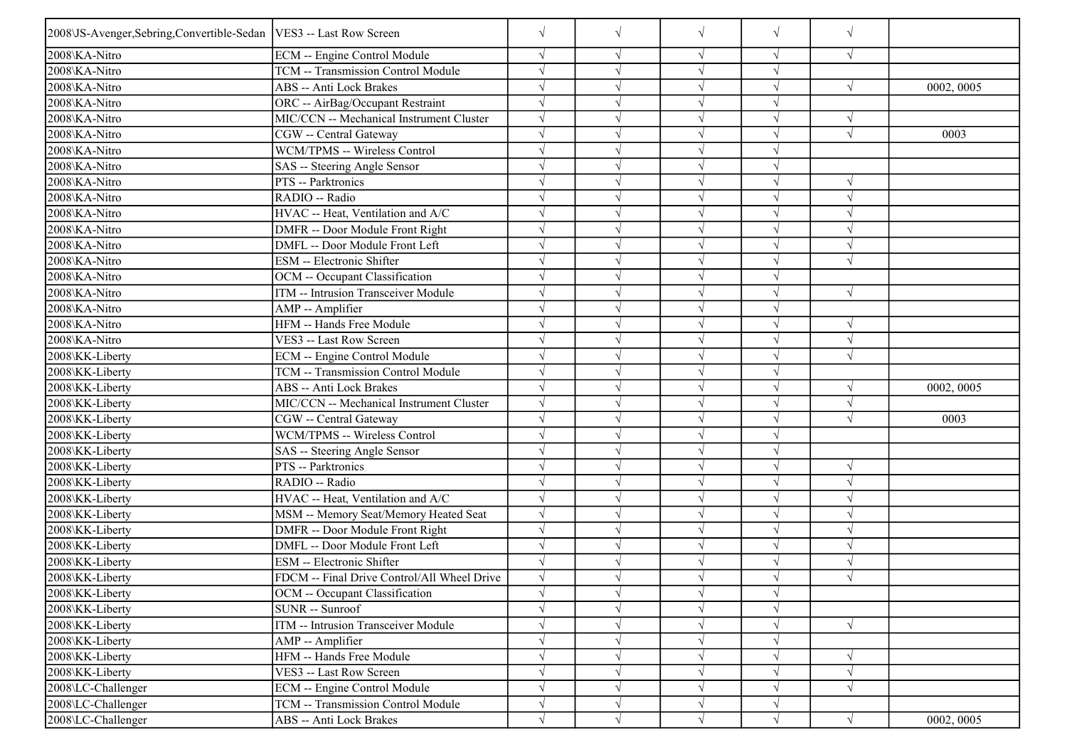| 2008\JS-Avenger, Sebring, Convertible-Sedan   VES3 -- Last Row Screen |                                             | $\sqrt{ }$ | $\sqrt{}$  | $\sqrt{ }$ | $\sqrt{}$  | $\sqrt{ }$ |            |
|-----------------------------------------------------------------------|---------------------------------------------|------------|------------|------------|------------|------------|------------|
| 2008\KA-Nitro                                                         | ECM -- Engine Control Module                | $\sqrt{ }$ | $\sqrt{}$  | $\sqrt{}$  | $\sqrt{}$  | $\sqrt{ }$ |            |
| 2008\KA-Nitro                                                         | TCM -- Transmission Control Module          | $\sqrt{ }$ | $\sqrt{}$  |            |            |            |            |
| 2008\KA-Nitro                                                         | ABS -- Anti Lock Brakes                     | $\sqrt{ }$ |            |            | $\sqrt{}$  | $\sqrt{ }$ | 0002, 0005 |
| 2008\KA-Nitro                                                         | ORC -- AirBag/Occupant Restraint            | $\sqrt{ }$ | V          | $\sqrt{ }$ | $\sqrt{ }$ |            |            |
| 2008\KA-Nitro                                                         | MIC/CCN -- Mechanical Instrument Cluster    | $\sqrt{ }$ | V          | $\sqrt{ }$ |            |            |            |
| 2008\KA-Nitro                                                         | CGW -- Central Gateway                      | $\sqrt{ }$ |            | $\sqrt{ }$ |            | $\sqrt{ }$ | 0003       |
| 2008\KA-Nitro                                                         | WCM/TPMS -- Wireless Control                | $\sqrt{ }$ | J          | $\sqrt{ }$ | $\sqrt{ }$ |            |            |
| 2008\KA-Nitro                                                         | SAS -- Steering Angle Sensor                | $\sqrt{ }$ |            |            |            |            |            |
| 2008\KA-Nitro                                                         | PTS -- Parktronics                          | $\sqrt{ }$ |            |            |            | $\sqrt{}$  |            |
| 2008\KA-Nitro                                                         | RADIO -- Radio                              | $\sqrt{ }$ | V          | $\sqrt{ }$ | $\sqrt{}$  | N          |            |
| 2008\KA-Nitro                                                         | HVAC -- Heat, Ventilation and A/C           | $\sqrt{ }$ | V          | $\sqrt{ }$ |            |            |            |
| 2008\KA-Nitro                                                         | DMFR -- Door Module Front Right             | $\sqrt{ }$ | V          | $\sqrt{ }$ | $\sqrt{}$  |            |            |
| 2008\KA-Nitro                                                         | DMFL -- Door Module Front Left              | $\sqrt{ }$ | $\sqrt{ }$ | $\sqrt{ }$ | $\sqrt{ }$ | $\sqrt{ }$ |            |
| 2008\KA-Nitro                                                         | ESM -- Electronic Shifter                   | $\sqrt{ }$ |            |            |            | $\sqrt{}$  |            |
| 2008\KA-Nitro                                                         | OCM -- Occupant Classification              | $\sqrt{ }$ | ٦I         | $\sqrt{ }$ | $\sqrt{}$  |            |            |
| 2008\KA-Nitro                                                         | ITM -- Intrusion Transceiver Module         | $\sqrt{ }$ |            |            |            | $\sqrt{ }$ |            |
| 2008\KA-Nitro                                                         | AMP -- Amplifier                            | $\sqrt{ }$ | $\sqrt{ }$ | $\sqrt{ }$ |            |            |            |
| 2008\KA-Nitro                                                         | HFM -- Hands Free Module                    | $\sqrt{ }$ | V          | $\sqrt{ }$ | $\sqrt{ }$ | $\sqrt{ }$ |            |
| 2008\KA-Nitro                                                         | VES3 -- Last Row Screen                     | $\sqrt{ }$ |            | $\sqrt{ }$ | $\sqrt{ }$ | $\sqrt{ }$ |            |
| 2008\KK-Liberty                                                       | <b>ECM</b> -- Engine Control Module         | $\sqrt{}$  |            |            |            | $\sqrt{ }$ |            |
| 2008\KK-Liberty                                                       | TCM -- Transmission Control Module          | $\sqrt{ }$ |            |            |            |            |            |
| 2008\KK-Liberty                                                       | ABS -- Anti Lock Brakes                     | $\sqrt{ }$ |            |            |            |            | 0002, 0005 |
| 2008\KK-Liberty                                                       | MIC/CCN -- Mechanical Instrument Cluster    | $\sqrt{ }$ | V          | $\sqrt{ }$ |            |            |            |
| 2008\KK-Liberty                                                       | CGW -- Central Gateway                      | $\sqrt{ }$ | V          | $\sqrt{ }$ | $\sqrt{ }$ | $\sqrt{ }$ | 0003       |
| 2008\KK-Liberty                                                       | WCM/TPMS -- Wireless Control                | $\sqrt{ }$ | V          | $\sqrt{ }$ | $\sqrt{ }$ |            |            |
| 2008\KK-Liberty                                                       | SAS -- Steering Angle Sensor                | $\sqrt{ }$ | $\sqrt{}$  | $\sqrt{ }$ | $\sqrt{}$  |            |            |
| 2008\KK-Liberty                                                       | PTS -- Parktronics                          | $\sqrt{ }$ |            |            |            |            |            |
| 2008\KK-Liberty                                                       | RADIO -- Radio                              | $\sqrt{ }$ |            |            | $\sqrt{ }$ | N          |            |
| 2008\KK-Liberty                                                       | HVAC -- Heat, Ventilation and A/C           | $\sqrt{ }$ | V          | $\sqrt{ }$ | $\sqrt{ }$ | N          |            |
| 2008\KK-Liberty                                                       | MSM -- Memory Seat/Memory Heated Seat       | $\sqrt{ }$ |            | $\sqrt{ }$ |            |            |            |
| 2008\KK-Liberty                                                       | DMFR -- Door Module Front Right             | $\sqrt{ }$ | $\sqrt{}$  | $\sqrt{ }$ | $\sqrt{ }$ | $\sqrt{ }$ |            |
| 2008\KK-Liberty                                                       | DMFL -- Door Module Front Left              | $\sqrt{ }$ |            | $\sqrt{ }$ | $\sqrt{ }$ |            |            |
| 2008\KK-Liberty                                                       | ESM -- Electronic Shifter                   | $\sqrt{ }$ |            |            |            |            |            |
| 2008\KK-Liberty                                                       | FDCM -- Final Drive Control/All Wheel Drive | $\sqrt{ }$ |            |            |            |            |            |
| 2008\KK-Liberty                                                       | OCM -- Occupant Classification              | $\sqrt{}$  | $\sqrt{}$  | $\sqrt{ }$ | $\sqrt{}$  |            |            |
| 2008\KK-Liberty                                                       | SUNR -- Sunroof                             | $\sqrt{ }$ |            |            |            |            |            |
| 2008\KK-Liberty                                                       | ITM -- Intrusion Transceiver Module         | $\sqrt{}$  | $\sqrt{}$  | $\sqrt{ }$ | $\sqrt{}$  | $\sqrt{ }$ |            |
| 2008\KK-Liberty                                                       | AMP -- Amplifier                            | $\sqrt{ }$ | $\sqrt{}$  | $\sqrt{}$  | $\sqrt{}$  |            |            |
| 2008\KK-Liberty                                                       | HFM -- Hands Free Module                    | $\sqrt{}$  | V          | $\sqrt{}$  |            | $\sqrt{ }$ |            |
| 2008\KK-Liberty                                                       | VES3 -- Last Row Screen                     | $\sqrt{ }$ | $\sqrt{ }$ | $\sqrt{ }$ | $\sqrt{}$  | $\sqrt{ }$ |            |
| 2008\LC-Challenger                                                    | <b>ECM</b> -- Engine Control Module         | $\sqrt{}$  | $\sqrt{}$  | $\sqrt{ }$ | $\sqrt{}$  | $\sqrt{}$  |            |
| 2008\LC-Challenger                                                    | TCM -- Transmission Control Module          | $\sqrt{}$  | $\sqrt{}$  | $\sqrt{ }$ | $\sqrt{}$  |            |            |
| 2008\LC-Challenger                                                    | ABS -- Anti Lock Brakes                     | $\sqrt{}$  | $\sqrt{}$  | $\sqrt{ }$ | $\sqrt{}$  | $\sqrt{ }$ | 0002, 0005 |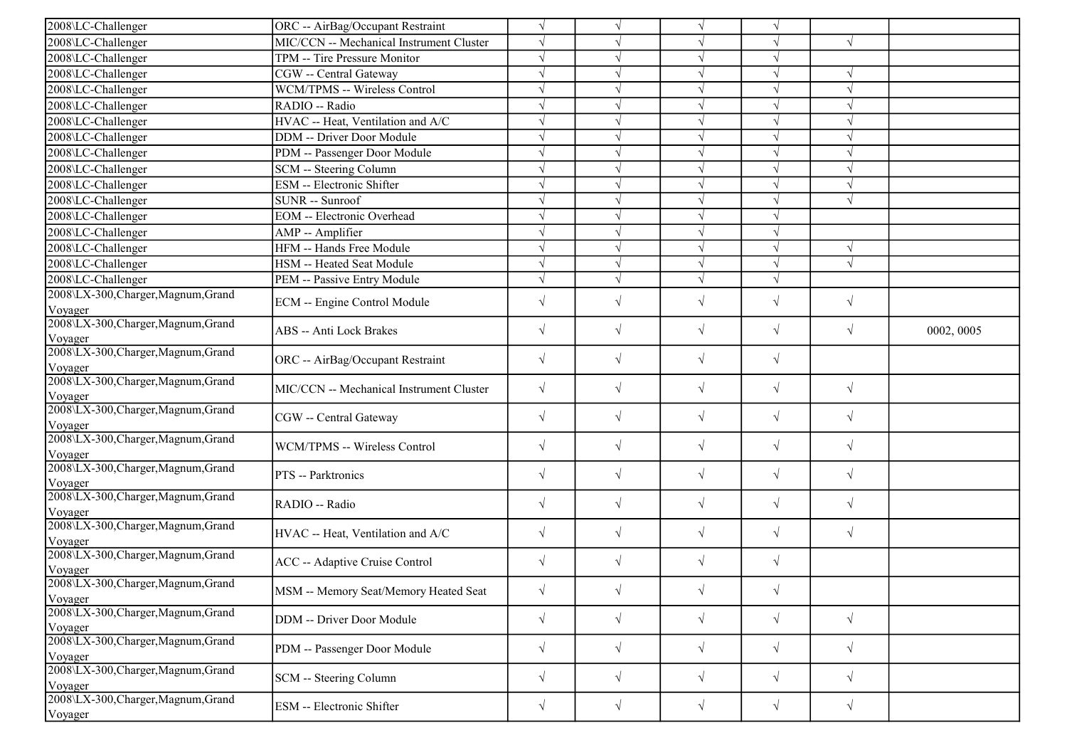| 2008\LC-Challenger                             | ORC -- AirBag/Occupant Restraint         | $\sqrt{ }$ |            |            |            |               |            |
|------------------------------------------------|------------------------------------------|------------|------------|------------|------------|---------------|------------|
| 2008\LC-Challenger                             | MIC/CCN -- Mechanical Instrument Cluster | $\sqrt{ }$ |            |            |            | $\sqrt{ }$    |            |
| 2008\LC-Challenger                             | TPM -- Tire Pressure Monitor             | $\sqrt{ }$ |            |            |            |               |            |
| 2008\LC-Challenger                             | CGW -- Central Gateway                   | $\sqrt{ }$ |            |            |            |               |            |
| 2008\LC-Challenger                             | <b>WCM/TPMS -- Wireless Control</b>      | $\sqrt{ }$ |            | $\sqrt{ }$ |            | $\sqrt{ }$    |            |
| 2008\LC-Challenger                             | RADIO -- Radio                           | $\sqrt{ }$ |            |            |            |               |            |
| 2008\LC-Challenger                             | HVAC -- Heat, Ventilation and A/C        | $\sqrt{ }$ |            |            |            |               |            |
| 2008\LC-Challenger                             | DDM -- Driver Door Module                | $\sqrt{}$  | $\sqrt{}$  | $\sqrt{ }$ |            | $\sqrt{ }$    |            |
| 2008\LC-Challenger                             | PDM -- Passenger Door Module             | $\sqrt{ }$ |            |            |            | $\mathcal{N}$ |            |
| 2008\LC-Challenger                             | SCM -- Steering Column                   | $\sqrt{ }$ |            | $\sqrt{ }$ |            | $\sqrt{ }$    |            |
| 2008\LC-Challenger                             | <b>ESM</b> -- Electronic Shifter         | $\sqrt{}$  |            | $\sqrt{ }$ |            | $\sqrt{ }$    |            |
| 2008\LC-Challenger                             | SUNR -- Sunroof                          | $\sqrt{ }$ |            |            |            | $\sqrt{ }$    |            |
| 2008\LC-Challenger                             | <b>EOM</b> -- Electronic Overhead        | $\sqrt{ }$ | V          | $\sqrt{ }$ |            |               |            |
| 2008\LC-Challenger                             | AMP -- Amplifier                         | $\sqrt{ }$ | $\sqrt{}$  | $\sqrt{ }$ |            |               |            |
| 2008\LC-Challenger                             | HFM -- Hands Free Module                 | $\sqrt{ }$ |            |            |            | V             |            |
| 2008\LC-Challenger                             | HSM -- Heated Seat Module                | $\sqrt{}$  | V          | $\sqrt{ }$ |            | $\sqrt{ }$    |            |
| 2008\LC-Challenger                             | PEM -- Passive Entry Module              | $\sqrt{}$  | $\sqrt{}$  | $\sqrt{}$  |            |               |            |
| 2008\LX-300, Charger, Magnum, Grand<br>Voyager | ECM -- Engine Control Module             | $\sqrt{2}$ | $\sqrt{}$  | $\sqrt{ }$ | $\sqrt{}$  | $\sqrt{ }$    |            |
| 2008\LX-300, Charger, Magnum, Grand<br>Voyager | <b>ABS</b> -- Anti Lock Brakes           | $\sqrt{}$  | $\sqrt{}$  | $\sqrt{ }$ | $\sqrt{}$  | $\sqrt{ }$    | 0002, 0005 |
| 2008\LX-300, Charger, Magnum, Grand<br>Voyager | ORC -- AirBag/Occupant Restraint         | $\sqrt{}$  | $\sqrt{}$  | $\sqrt{ }$ | $\sqrt{}$  |               |            |
| 2008\LX-300, Charger, Magnum, Grand<br>Voyager | MIC/CCN -- Mechanical Instrument Cluster | $\sqrt{ }$ | $\sqrt{}$  | $\sqrt{ }$ | $\sqrt{}$  | $\sqrt{ }$    |            |
| 2008\LX-300, Charger, Magnum, Grand<br>Voyager | CGW -- Central Gateway                   | $\sqrt{ }$ | $\sqrt{}$  | $\sqrt{ }$ | $\sqrt{}$  | $\sqrt{ }$    |            |
| 2008\LX-300, Charger, Magnum, Grand<br>Voyager | WCM/TPMS -- Wireless Control             | $\sqrt{}$  | $\sqrt{ }$ | $\sqrt{}$  | $\sqrt{}$  | $\sqrt{ }$    |            |
| 2008\LX-300, Charger, Magnum, Grand<br>Voyager | PTS -- Parktronics                       | $\sqrt{}$  | $\sqrt{}$  | $\sqrt{}$  | $\sqrt{}$  | $\sqrt{ }$    |            |
| 2008\LX-300, Charger, Magnum, Grand<br>Voyager | RADIO -- Radio                           | $\sqrt{}$  | $\sqrt{}$  | $\sqrt{}$  | $\sqrt{}$  | $\sqrt{ }$    |            |
| 2008\LX-300, Charger, Magnum, Grand<br>Voyager | HVAC -- Heat, Ventilation and A/C        | $\sqrt{}$  | $\sqrt{}$  | $\sqrt{}$  | $\sqrt{}$  | $\sqrt{ }$    |            |
| 2008\LX-300, Charger, Magnum, Grand<br>Voyager | <b>ACC</b> -- Adaptive Cruise Control    | $\sqrt{ }$ | $\sqrt{}$  | $\sqrt{}$  | $\sqrt{}$  |               |            |
| 2008\LX-300,Charger,Magnum,Grand<br>Voyager    | MSM -- Memory Seat/Memory Heated Seat    | $\sqrt{}$  | $\sqrt{ }$ | $\sqrt{ }$ | $\sqrt{ }$ |               |            |
| 2008\LX-300, Charger, Magnum, Grand<br>Voyager | DDM -- Driver Door Module                | $\sqrt{}$  | $\sqrt{}$  | $\sqrt{}$  | $\sqrt{}$  | $\sqrt{ }$    |            |
| 2008\LX-300, Charger, Magnum, Grand<br>Voyager | PDM -- Passenger Door Module             | $\sqrt{}$  | $\sqrt{ }$ | $\sqrt{}$  | $\sqrt{}$  | $\sqrt{ }$    |            |
| 2008\LX-300, Charger, Magnum, Grand<br>Voyager | SCM -- Steering Column                   | $\sqrt{ }$ | $\sqrt{ }$ | $\sqrt{}$  | $\sqrt{}$  | $\sqrt{ }$    |            |
| 2008\LX-300, Charger, Magnum, Grand<br>Voyager | ESM -- Electronic Shifter                | $\sqrt{ }$ | $\sqrt{ }$ | $\sqrt{}$  | $\sqrt{}$  | $\sqrt{ }$    |            |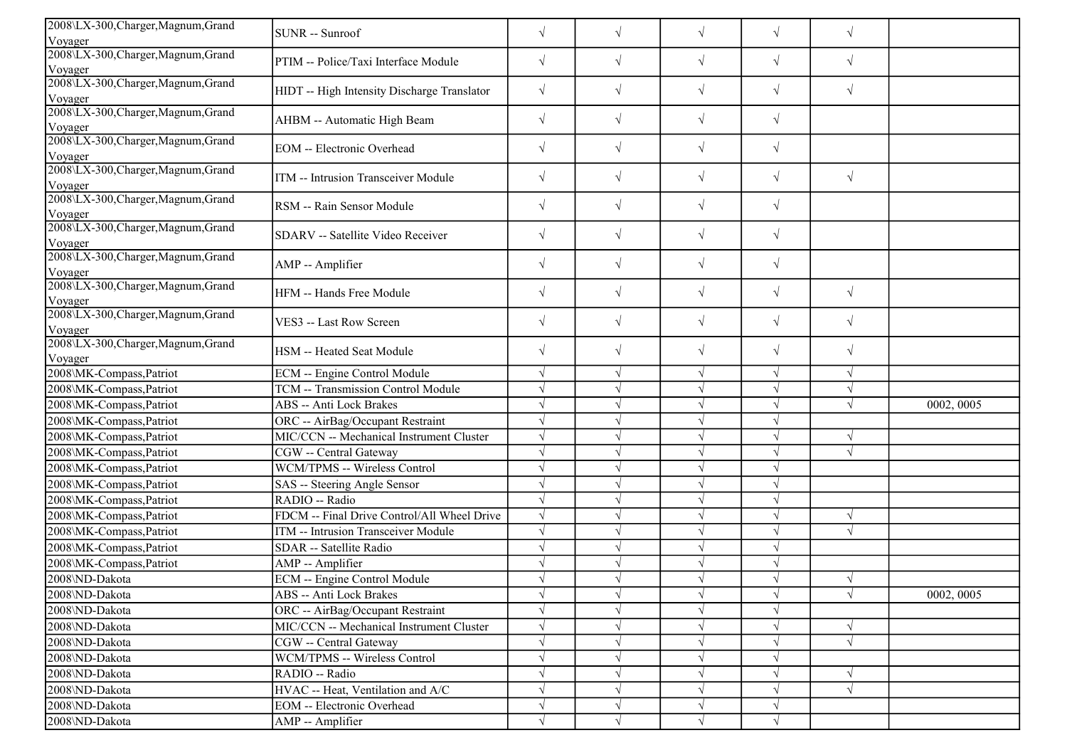| 2008\LX-300, Charger, Magnum, Grand<br>Voyager | SUNR -- Sunroof                             | $\sqrt{}$ | $\sqrt{}$  | $\sqrt{}$  | $\sqrt{}$  | $\sqrt{ }$ |            |
|------------------------------------------------|---------------------------------------------|-----------|------------|------------|------------|------------|------------|
| 2008\LX-300, Charger, Magnum, Grand<br>Voyager | PTIM -- Police/Taxi Interface Module        | $\sqrt{}$ | $\sqrt{ }$ | $\sqrt{}$  | $\sqrt{}$  | $\sqrt{ }$ |            |
| 2008\LX-300, Charger, Magnum, Grand<br>Voyager | HIDT -- High Intensity Discharge Translator | $\sqrt{}$ | $\sqrt{ }$ | $\sqrt{}$  | $\sqrt{}$  | $\sqrt{}$  |            |
| 2008\LX-300, Charger, Magnum, Grand<br>Voyager | AHBM -- Automatic High Beam                 | $\sqrt{}$ | $\sqrt{}$  | $\sqrt{}$  | $\sqrt{}$  |            |            |
| 2008\LX-300,Charger,Magnum,Grand<br>Voyager    | <b>EOM</b> -- Electronic Overhead           | $\sqrt{}$ | $\sqrt{}$  | $\sqrt{}$  | $\sqrt{}$  |            |            |
| 2008\LX-300, Charger, Magnum, Grand<br>Voyager | ITM -- Intrusion Transceiver Module         | $\sqrt{}$ | $\sqrt{2}$ | $\sqrt{}$  | $\sqrt{}$  | $\sqrt{ }$ |            |
| 2008\LX-300, Charger, Magnum, Grand<br>Voyager | RSM -- Rain Sensor Module                   | $\sqrt{}$ | $\sqrt{ }$ | $\sqrt{}$  | $\sqrt{}$  |            |            |
| 2008\LX-300, Charger, Magnum, Grand<br>Voyager | SDARV -- Satellite Video Receiver           | $\sqrt{}$ | $\sqrt{ }$ | $\sqrt{}$  | $\sqrt{}$  |            |            |
| 2008\LX-300, Charger, Magnum, Grand<br>Voyager | AMP -- Amplifier                            | $\sqrt{}$ | $\sqrt{}$  | $\sqrt{ }$ | $\sqrt{}$  |            |            |
| 2008\LX-300, Charger, Magnum, Grand<br>Voyager | HFM -- Hands Free Module                    | $\sqrt{}$ | $\sqrt{ }$ | $\sqrt{}$  | $\sqrt{}$  | $\sqrt{ }$ |            |
| 2008\LX-300, Charger, Magnum, Grand<br>Voyager | VES3 -- Last Row Screen                     | $\sqrt{}$ | $\sqrt{ }$ | $\sqrt{}$  | $\sqrt{}$  | $\sqrt{}$  |            |
| 2008\LX-300, Charger, Magnum, Grand<br>Voyager | HSM -- Heated Seat Module                   | $\sqrt{}$ | $\sqrt{ }$ | $\sqrt{}$  | $\sqrt{}$  | $\sqrt{ }$ |            |
| 2008\MK-Compass,Patriot                        | ECM -- Engine Control Module                | $\sqrt{}$ | $\sqrt{ }$ | $\sqrt{ }$ | $\sqrt{}$  | $\sqrt{ }$ |            |
| 2008\MK-Compass, Patriot                       | TCM -- Transmission Control Module          | $\sqrt{}$ |            | $\sqrt{ }$ | $\sqrt{}$  | $\sqrt{ }$ |            |
| 2008\MK-Compass,Patriot                        | <b>ABS</b> -- Anti Lock Brakes              |           |            | $\sqrt{}$  |            | $\sqrt{ }$ | 0002, 0005 |
| 2008\MK-Compass,Patriot                        | ORC -- AirBag/Occupant Restraint            |           |            | $\sqrt{ }$ | $\sqrt{ }$ |            |            |
| 2008\MK-Compass,Patriot                        | MIC/CCN -- Mechanical Instrument Cluster    |           |            | $\sqrt{ }$ | $\sqrt{}$  | $\sqrt{ }$ |            |
| 2008\MK-Compass, Patriot                       | CGW -- Central Gateway                      | $\sqrt{}$ |            | $\sqrt{}$  |            | $\sqrt{ }$ |            |
| 2008\MK-Compass,Patriot                        | WCM/TPMS -- Wireless Control                | $\sqrt{}$ | $\sqrt{ }$ | $\sqrt{ }$ | V          |            |            |
| 2008\MK-Compass,Patriot                        | SAS -- Steering Angle Sensor                | $\sqrt{}$ |            | $\sqrt{ }$ | $\sqrt{}$  |            |            |
| 2008\MK-Compass,Patriot                        | RADIO -- Radio                              |           |            | $\sqrt{ }$ | V          |            |            |
| 2008\MK-Compass,Patriot                        | FDCM -- Final Drive Control/All Wheel Drive |           |            | $\sqrt{ }$ |            | $\sqrt{ }$ |            |
| 2008\MK-Compass,Patriot                        | ITM -- Intrusion Transceiver Module         |           |            | $\sqrt{}$  |            | $\sqrt{ }$ |            |
| 2008\MK-Compass,Patriot                        | SDAR -- Satellite Radio                     | $\sqrt{}$ |            | $\sqrt{ }$ | V          |            |            |
| 2008\MK-Compass,Patriot                        | AMP -- Amplifier                            | $\sqrt{}$ |            | $\sqrt{ }$ |            |            |            |
| 2008\ND-Dakota                                 | ECM -- Engine Control Module                | $\sqrt{}$ |            | $\sqrt{ }$ | $\sqrt{}$  | $\sqrt{ }$ |            |
| 2008\ND-Dakota                                 | ABS -- Anti Lock Brakes                     | $\sqrt{}$ | $\sqrt{ }$ | $\sqrt{ }$ | $\sqrt{ }$ | $\sqrt{ }$ | 0002, 0005 |
| 2008\ND-Dakota                                 | ORC -- AirBag/Occupant Restraint            |           |            | $\sqrt{}$  |            |            |            |
| 2008\ND-Dakota                                 | MIC/CCN -- Mechanical Instrument Cluster    |           |            | $\sqrt{ }$ | $\sqrt{}$  | $\sqrt{ }$ |            |
| 2008\ND-Dakota                                 | CGW -- Central Gateway                      | $\sqrt{}$ |            | $\sqrt{}$  | V          | $\sqrt{}$  |            |
| 2008\ND-Dakota                                 | WCM/TPMS -- Wireless Control                |           |            | $\sqrt{}$  |            |            |            |
| 2008\ND-Dakota                                 | RADIO -- Radio                              |           |            | $\sqrt{ }$ | V          | $\sqrt{}$  |            |
| 2008\ND-Dakota                                 | HVAC -- Heat, Ventilation and A/C           |           |            | $\sqrt{}$  | V          | $\sqrt{ }$ |            |
| 2008\ND-Dakota                                 | EOM -- Electronic Overhead                  |           |            | $\sqrt{}$  |            |            |            |
| 2008\ND-Dakota                                 | AMP -- Amplifier                            | $\sqrt{}$ | V          | $\sqrt{ }$ | $\sqrt{}$  |            |            |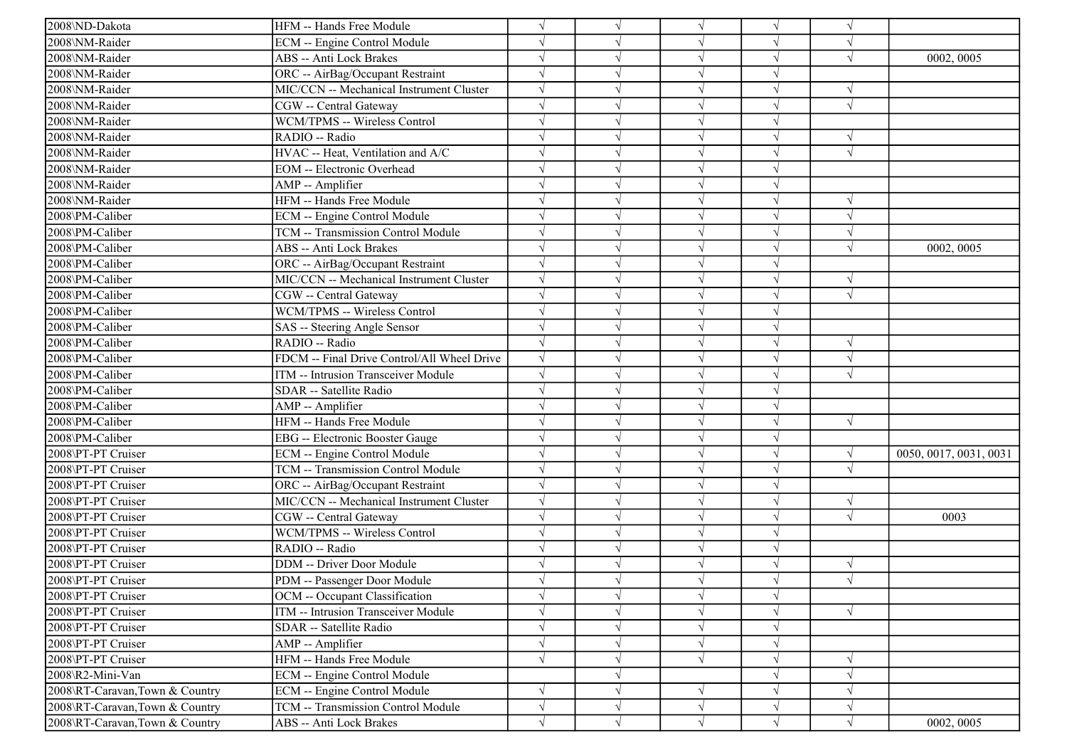| 2008\ND-Dakota                 | HFM -- Hands Free Module                    | $\sqrt{ }$ | $\sqrt{}$  | $\sqrt{ }$ | V          | $\sqrt{ }$ |                        |
|--------------------------------|---------------------------------------------|------------|------------|------------|------------|------------|------------------------|
| 2008\NM-Raider                 | ECM -- Engine Control Module                | $\sqrt{}$  |            |            |            |            |                        |
| 2008\NM-Raider                 | ABS -- Anti Lock Brakes                     | $\sqrt{ }$ |            |            |            |            | 0002, 0005             |
| 2008\NM-Raider                 | ORC -- AirBag/Occupant Restraint            | $\sqrt{}$  |            |            |            |            |                        |
| 2008\NM-Raider                 | MIC/CCN -- Mechanical Instrument Cluster    | $\sqrt{ }$ |            |            |            |            |                        |
| 2008\NM-Raider                 | CGW -- Central Gateway                      | $\sqrt{ }$ |            |            |            | V          |                        |
| 2008\NM-Raider                 | WCM/TPMS -- Wireless Control                | $\sqrt{ }$ |            |            |            |            |                        |
| 2008\NM-Raider                 | RADIO -- Radio                              | $\sqrt{ }$ |            | $\sqrt{ }$ |            | $\sqrt{ }$ |                        |
| 2008\NM-Raider                 | HVAC -- Heat, Ventilation and A/C           | $\sqrt{ }$ |            |            |            | $\sqrt{ }$ |                        |
| 2008\NM-Raider                 | <b>EOM</b> -- Electronic Overhead           | $\sqrt{}$  |            |            |            |            |                        |
| 2008\NM-Raider                 | AMP -- Amplifier                            | $\sqrt{ }$ |            |            |            |            |                        |
| 2008\NM-Raider                 | HFM -- Hands Free Module                    | $\sqrt{ }$ |            |            |            |            |                        |
| 2008\PM-Caliber                | ECM -- Engine Control Module                | $\sqrt{ }$ |            |            |            | $\sqrt{ }$ |                        |
| 2008\PM-Caliber                | TCM -- Transmission Control Module          | $\sqrt{}$  |            | $\sqrt{ }$ |            | $\sqrt{ }$ |                        |
| 2008\PM-Caliber                | ABS -- Anti Lock Brakes                     | $\sqrt{ }$ |            |            |            | $\sqrt{}$  | 0002, 0005             |
| 2008\PM-Caliber                | ORC -- AirBag/Occupant Restraint            | $\sqrt{ }$ |            |            |            |            |                        |
| 2008\PM-Caliber                | MIC/CCN -- Mechanical Instrument Cluster    | $\sqrt{ }$ |            |            |            | $\sqrt{ }$ |                        |
| 2008\PM-Caliber                | CGW -- Central Gateway                      | $\sqrt{ }$ |            |            |            |            |                        |
| 2008\PM-Caliber                | WCM/TPMS -- Wireless Control                | $\sqrt{ }$ |            |            |            |            |                        |
| 2008\PM-Caliber                | SAS -- Steering Angle Sensor                | $\sqrt{ }$ |            | $\sqrt{ }$ |            |            |                        |
| 2008\PM-Caliber                | RADIO -- Radio                              | $\sqrt{ }$ |            | $\sqrt{ }$ |            | $\sqrt{ }$ |                        |
| 2008\PM-Caliber                | FDCM -- Final Drive Control/All Wheel Drive | $\sqrt{ }$ |            |            |            | $\sqrt{ }$ |                        |
| 2008\PM-Caliber                | ITM -- Intrusion Transceiver Module         | $\sqrt{ }$ |            |            |            | $\sqrt{ }$ |                        |
| 2008\PM-Caliber                | SDAR -- Satellite Radio                     | $\sqrt{ }$ |            |            |            |            |                        |
| 2008\PM-Caliber                | AMP -- Amplifier                            | $\sqrt{ }$ |            |            |            |            |                        |
| 2008\PM-Caliber                | HFM -- Hands Free Module                    | $\sqrt{ }$ |            |            |            | $\sqrt{ }$ |                        |
| 2008\PM-Caliber                | EBG -- Electronic Booster Gauge             | $\sqrt{ }$ |            | $\sqrt{ }$ |            |            |                        |
| 2008\PT-PT Cruiser             | ECM -- Engine Control Module                | $\sqrt{ }$ |            |            |            |            | 0050, 0017, 0031, 0031 |
| 2008\PT-PT Cruiser             | TCM -- Transmission Control Module          | $\sqrt{}$  |            |            |            | $\sqrt{ }$ |                        |
| 2008\PT-PT Cruiser             | ORC -- AirBag/Occupant Restraint            | $\sqrt{ }$ |            |            |            |            |                        |
| 2008\PT-PT Cruiser             | MIC/CCN -- Mechanical Instrument Cluster    | $\sqrt{ }$ |            |            |            |            |                        |
| 2008\PT-PT Cruiser             | CGW -- Central Gateway                      | $\sqrt{ }$ |            |            |            | $\sqrt{ }$ | 0003                   |
| 2008\PT-PT Cruiser             | <b>WCM/TPMS -- Wireless Control</b>         | $\sqrt{ }$ |            | $\sqrt{ }$ |            |            |                        |
| 2008\PT-PT Cruiser             | RADIO -- Radio                              | $\sqrt{ }$ |            |            |            |            |                        |
| 2008\PT-PT Cruiser             | DDM -- Driver Door Module                   | $\sqrt{ }$ |            |            |            | $\sqrt{ }$ |                        |
| 2008\PT-PT Cruiser             | PDM -- Passenger Door Module                |            |            |            |            |            |                        |
| 2008\PT-PT Cruiser             | OCM -- Occupant Classification              | $\sqrt{}$  | $\sqrt{}$  | V          | $\sqrt{ }$ |            |                        |
| 2008\PT-PT Cruiser             | ITM -- Intrusion Transceiver Module         | $\sqrt{}$  |            | $\sqrt{ }$ | $\sqrt{ }$ | $\sqrt{ }$ |                        |
| 2008\PT-PT Cruiser             | SDAR -- Satellite Radio                     | $\sqrt{ }$ |            | $\sqrt{ }$ |            |            |                        |
| 2008\PT-PT Cruiser             | AMP -- Amplifier                            | $\sqrt{ }$ |            |            |            |            |                        |
| 2008\PT-PT Cruiser             | HFM -- Hands Free Module                    | $\sqrt{ }$ |            | $\sqrt{ }$ |            | $\sqrt{ }$ |                        |
| 2008\R2-Mini-Van               | ECM -- Engine Control Module                |            |            |            |            | $\sqrt{ }$ |                        |
| 2008\RT-Caravan,Town & Country | ECM -- Engine Control Module                | $\sqrt{ }$ |            |            |            |            |                        |
| 2008\RT-Caravan,Town & Country | TCM -- Transmission Control Module          | $\sqrt{}$  | $\sqrt{ }$ | $\sqrt{ }$ | $\sqrt{ }$ | $\sqrt{ }$ |                        |
| 2008\RT-Caravan,Town & Country | ABS -- Anti Lock Brakes                     | $\sqrt{ }$ | $\sqrt{}$  | $\sqrt{ }$ | $\sqrt{ }$ | $\sqrt{}$  | 0002, 0005             |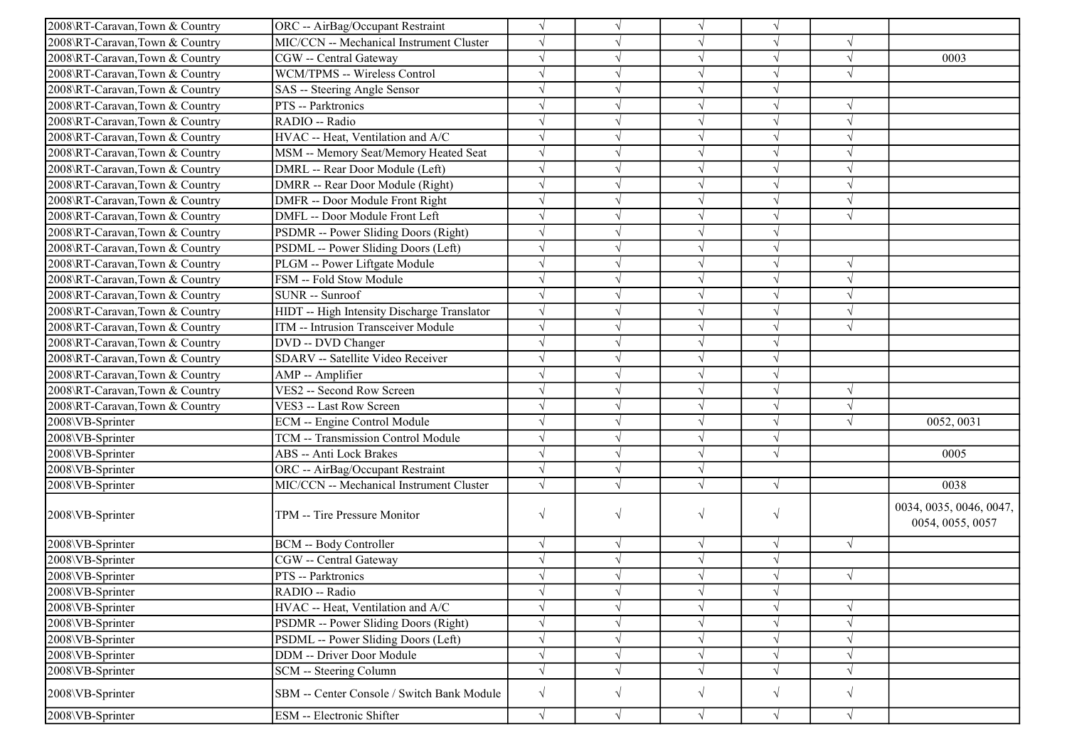| 2008\RT-Caravan,Town & Country | ORC -- AirBag/Occupant Restraint            | $\sqrt{ }$ |            |            |            |            |                                             |
|--------------------------------|---------------------------------------------|------------|------------|------------|------------|------------|---------------------------------------------|
| 2008\RT-Caravan,Town & Country | MIC/CCN -- Mechanical Instrument Cluster    | $\sqrt{ }$ |            | $\sqrt{ }$ |            |            |                                             |
| 2008\RT-Caravan,Town & Country | CGW -- Central Gateway                      | $\sqrt{ }$ |            | $\sqrt{}$  |            | $\sqrt{ }$ | 0003                                        |
| 2008\RT-Caravan,Town & Country | WCM/TPMS -- Wireless Control                | $\sqrt{ }$ |            |            |            |            |                                             |
| 2008\RT-Caravan,Town & Country | SAS -- Steering Angle Sensor                | $\sqrt{}$  |            |            |            |            |                                             |
| 2008\RT-Caravan,Town & Country | PTS -- Parktronics                          | $\sqrt{ }$ |            |            |            | V          |                                             |
| 2008\RT-Caravan,Town & Country | RADIO -- Radio                              | $\sqrt{ }$ |            | N          |            | $\sqrt{ }$ |                                             |
| 2008\RT-Caravan,Town & Country | HVAC -- Heat, Ventilation and A/C           | $\sqrt{ }$ | V          | $\sqrt{ }$ |            | $\sqrt{ }$ |                                             |
| 2008\RT-Caravan,Town & Country | MSM -- Memory Seat/Memory Heated Seat       | $\sqrt{ }$ |            | $\sqrt{ }$ |            | $\sqrt{ }$ |                                             |
| 2008\RT-Caravan,Town & Country | DMRL -- Rear Door Module (Left)             | $\sqrt{ }$ |            | $\sqrt{ }$ |            | $\sqrt{ }$ |                                             |
| 2008\RT-Caravan,Town & Country | DMRR -- Rear Door Module (Right)            | $\sqrt{ }$ |            | $\sqrt{ }$ |            | $\sqrt{ }$ |                                             |
| 2008\RT-Caravan,Town & Country | DMFR -- Door Module Front Right             | $\sqrt{ }$ |            |            |            | $\sqrt{ }$ |                                             |
| 2008\RT-Caravan,Town & Country | DMFL -- Door Module Front Left              | $\sqrt{ }$ |            | $\sqrt{ }$ |            | $\sqrt{ }$ |                                             |
| 2008\RT-Caravan,Town & Country | PSDMR -- Power Sliding Doors (Right)        | $\sqrt{}$  | V          |            |            |            |                                             |
| 2008\RT-Caravan,Town & Country | PSDML -- Power Sliding Doors (Left)         | $\sqrt{}$  |            | $\sqrt{ }$ |            |            |                                             |
| 2008\RT-Caravan,Town & Country | PLGM -- Power Liftgate Module               | $\sqrt{ }$ |            |            |            | V          |                                             |
| 2008\RT-Caravan,Town & Country | FSM -- Fold Stow Module                     | $\sqrt{}$  |            |            |            | V          |                                             |
| 2008\RT-Caravan,Town & Country | SUNR -- Sunroof                             | $\sqrt{ }$ |            |            |            |            |                                             |
| 2008\RT-Caravan,Town & Country | HIDT -- High Intensity Discharge Translator | $\sqrt{ }$ |            | $\sqrt{ }$ |            | V          |                                             |
| 2008\RT-Caravan,Town & Country | ITM -- Intrusion Transceiver Module         | $\sqrt{ }$ |            | $\sqrt{ }$ | J          | $\sqrt{ }$ |                                             |
| 2008\RT-Caravan,Town & Country | DVD -- DVD Changer                          | $\sqrt{ }$ |            | $\sqrt{ }$ | $\sqrt{ }$ |            |                                             |
| 2008\RT-Caravan,Town & Country | SDARV -- Satellite Video Receiver           | $\sqrt{ }$ |            | $\sqrt{}$  |            |            |                                             |
| 2008\RT-Caravan,Town & Country | AMP -- Amplifier                            | $\sqrt{ }$ |            | $\sqrt{ }$ |            |            |                                             |
| 2008\RT-Caravan,Town & Country | VES2 -- Second Row Screen                   | $\sqrt{ }$ |            | $\sqrt{ }$ |            | $\sqrt{ }$ |                                             |
| 2008\RT-Caravan,Town & Country | VES3 -- Last Row Screen                     | $\sqrt{ }$ | V          | $\sqrt{ }$ |            | $\sqrt{ }$ |                                             |
| 2008\VB-Sprinter               | ECM -- Engine Control Module                | $\sqrt{}$  |            |            |            | $\sqrt{ }$ | 0052, 0031                                  |
| 2008\VB-Sprinter               | TCM -- Transmission Control Module          | $\sqrt{ }$ |            | $\sqrt{ }$ |            |            |                                             |
| 2008\VB-Sprinter               | ABS -- Anti Lock Brakes                     | $\sqrt{ }$ |            |            | $\sqrt{ }$ |            | 0005                                        |
| 2008\VB-Sprinter               | ORC -- AirBag/Occupant Restraint            | $\sqrt{ }$ |            |            |            |            |                                             |
| 2008\VB-Sprinter               | MIC/CCN -- Mechanical Instrument Cluster    | $\sqrt{ }$ |            |            | $\sqrt{ }$ |            | 0038                                        |
| 2008\VB-Sprinter               | TPM -- Tire Pressure Monitor                | $\sqrt{ }$ | $\sqrt{}$  | $\sqrt{}$  | $\sqrt{ }$ |            | 0034, 0035, 0046, 0047,<br>0054, 0055, 0057 |
| 2008\VB-Sprinter               | <b>BCM -- Body Controller</b>               | $\sqrt{}$  | $\sqrt{ }$ | $\sqrt{ }$ | $\sqrt{ }$ | $\sqrt{ }$ |                                             |
| 2008\VB-Sprinter               | CGW -- Central Gateway                      | $\sqrt{}$  | $\sqrt{}$  | $\sqrt{ }$ |            |            |                                             |
| 2008\VB-Sprinter               | PTS -- Parktronics                          | $\sqrt{ }$ |            |            |            | $\sqrt{ }$ |                                             |
| 2008\VB-Sprinter               | RADIO -- Radio                              | $\sqrt{ }$ |            |            |            |            |                                             |
| 2008\VB-Sprinter               | HVAC -- Heat, Ventilation and A/C           | $\sqrt{}$  |            |            |            | $\sqrt{}$  |                                             |
| 2008\VB-Sprinter               | PSDMR -- Power Sliding Doors (Right)        | $\sqrt{}$  |            |            |            |            |                                             |
| 2008\VB-Sprinter               | PSDML -- Power Sliding Doors (Left)         | $\sqrt{}$  |            | $\sqrt{ }$ |            |            |                                             |
| 2008\VB-Sprinter               | DDM -- Driver Door Module                   | $\sqrt{ }$ | $\sqrt{}$  | $\sqrt{ }$ |            | $\sqrt{}$  |                                             |
| 2008\VB-Sprinter               | SCM -- Steering Column                      | $\sqrt{}$  |            |            |            | $\sqrt{}$  |                                             |
| 2008\VB-Sprinter               | SBM -- Center Console / Switch Bank Module  | $\sqrt{}$  | $\sqrt{}$  | $\sqrt{}$  | $\sqrt{}$  | $\sqrt{ }$ |                                             |
| 2008\VB-Sprinter               | <b>ESM</b> -- Electronic Shifter            | $\sqrt{ }$ | $\sqrt{}$  | $\sqrt{}$  | $\sqrt{}$  | $\sqrt{ }$ |                                             |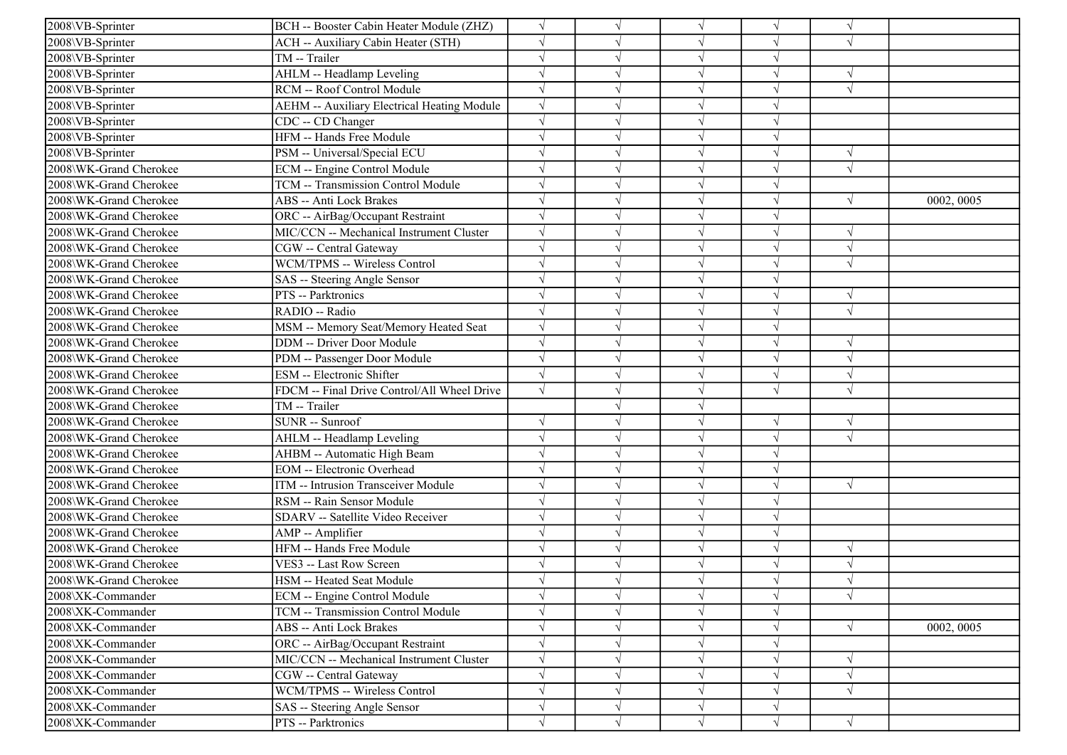| 2008\VB-Sprinter       | BCH -- Booster Cabin Heater Module (ZHZ)    | $\sqrt{}$  |            | $\sqrt{ }$ | $\sqrt{ }$ | $\sqrt{ }$ |            |
|------------------------|---------------------------------------------|------------|------------|------------|------------|------------|------------|
| 2008\VB-Sprinter       | ACH -- Auxiliary Cabin Heater (STH)         | $\sqrt{}$  |            | $\sqrt{ }$ | J          | $\sqrt{ }$ |            |
| 2008\VB-Sprinter       | TM -- Trailer                               |            |            | $\sqrt{ }$ |            |            |            |
| 2008\VB-Sprinter       | AHLM -- Headlamp Leveling                   | $\sqrt{}$  |            | $\sqrt{}$  |            | $\sqrt{ }$ |            |
| 2008\VB-Sprinter       | RCM -- Roof Control Module                  | $\sqrt{}$  |            | $\sqrt{}$  |            | $\sqrt{ }$ |            |
| 2008\VB-Sprinter       | AEHM -- Auxiliary Electrical Heating Module | $\sqrt{ }$ |            | $\sqrt{ }$ | J          |            |            |
| 2008\VB-Sprinter       | CDC -- CD Changer                           | $\sqrt{ }$ |            | $\sqrt{ }$ | J          |            |            |
| 2008\VB-Sprinter       | HFM -- Hands Free Module                    | $\sqrt{}$  |            | $\sqrt{ }$ | J          |            |            |
| 2008\VB-Sprinter       | PSM -- Universal/Special ECU                | $\sqrt{ }$ |            | $\sqrt{}$  | J          | $\sqrt{ }$ |            |
| 2008\WK-Grand Cherokee | <b>ECM</b> -- Engine Control Module         |            |            | $\sqrt{}$  |            | $\sqrt{ }$ |            |
| 2008\WK-Grand Cherokee | TCM -- Transmission Control Module          |            |            | $\sqrt{}$  |            |            |            |
| 2008\WK-Grand Cherokee | <b>ABS</b> -- Anti Lock Brakes              |            |            | $\sqrt{}$  | V          | $\sqrt{ }$ | 0002, 0005 |
| 2008\WK-Grand Cherokee | ORC -- AirBag/Occupant Restraint            | $\sqrt{}$  |            | $\sqrt{}$  | J          |            |            |
| 2008\WK-Grand Cherokee | MIC/CCN -- Mechanical Instrument Cluster    | $\sqrt{}$  |            | $\sqrt{}$  | J          | $\sqrt{ }$ |            |
| 2008\WK-Grand Cherokee | CGW -- Central Gateway                      | $\sqrt{}$  |            | $\sqrt{}$  | $\sqrt{}$  | $\sqrt{ }$ |            |
| 2008\WK-Grand Cherokee | WCM/TPMS -- Wireless Control                |            |            | $\sqrt{}$  |            | $\sqrt{ }$ |            |
| 2008\WK-Grand Cherokee | SAS -- Steering Angle Sensor                |            |            | $\sqrt{}$  |            |            |            |
| 2008\WK-Grand Cherokee | PTS -- Parktronics                          | $\sqrt{ }$ |            | $\sqrt{}$  | J          | $\sqrt{ }$ |            |
| 2008\WK-Grand Cherokee | RADIO -- Radio                              | $\sqrt{ }$ |            | $\sqrt{ }$ | V          | $\sqrt{ }$ |            |
| 2008\WK-Grand Cherokee | MSM -- Memory Seat/Memory Heated Seat       | $\sqrt{ }$ |            | $\sqrt{ }$ | J          |            |            |
| 2008\WK-Grand Cherokee | <b>DDM</b> -- Driver Door Module            | $\sqrt{ }$ |            | $\sqrt{ }$ | $\sqrt{ }$ | $\sqrt{ }$ |            |
| 2008\WK-Grand Cherokee | PDM -- Passenger Door Module                | $\sqrt{ }$ |            | $\sqrt{ }$ | J          | $\sqrt{ }$ |            |
| 2008\WK-Grand Cherokee | ESM -- Electronic Shifter                   | $\sqrt{}$  |            | $\sqrt{ }$ |            | $\sqrt{ }$ |            |
| 2008\WK-Grand Cherokee | FDCM -- Final Drive Control/All Wheel Drive | $\sqrt{ }$ |            | $\sqrt{}$  | $\sqrt{ }$ | $\sqrt{ }$ |            |
| 2008\WK-Grand Cherokee | TM -- Trailer                               |            |            | $\sqrt{}$  |            |            |            |
| 2008\WK-Grand Cherokee | SUNR -- Sunroof                             | $\sqrt{}$  |            | $\sqrt{}$  | V          | $\sqrt{ }$ |            |
| 2008\WK-Grand Cherokee | AHLM -- Headlamp Leveling                   | $\sqrt{}$  |            | $\sqrt{ }$ | $\sqrt{}$  | $\sqrt{ }$ |            |
| 2008\WK-Grand Cherokee | AHBM -- Automatic High Beam                 |            |            | $\sqrt{ }$ |            |            |            |
| 2008\WK-Grand Cherokee | <b>EOM</b> -- Electronic Overhead           |            |            | $\sqrt{ }$ | V          |            |            |
| 2008\WK-Grand Cherokee | ITM -- Intrusion Transceiver Module         | $\sqrt{}$  |            | $\sqrt{ }$ | J          | $\sqrt{ }$ |            |
| 2008\WK-Grand Cherokee | RSM -- Rain Sensor Module                   |            |            | $\sqrt{}$  | V          |            |            |
| 2008\WK-Grand Cherokee | SDARV -- Satellite Video Receiver           | $\sqrt{ }$ |            | $\sqrt{ }$ | V          |            |            |
| 2008\WK-Grand Cherokee | AMP -- Amplifier                            | $\sqrt{ }$ |            | $\sqrt{ }$ | $\sqrt{ }$ |            |            |
| 2008\WK-Grand Cherokee | HFM -- Hands Free Module                    |            |            | $\sqrt{ }$ |            | $\sqrt{ }$ |            |
| 2008\WK-Grand Cherokee | VES3 -- Last Row Screen                     | $\sqrt{}$  |            | $\sqrt{}$  |            | $\sqrt{ }$ |            |
| 2008\WK-Grand Cherokee | HSM -- Heated Seat Module                   |            |            |            |            | $\sqrt{ }$ |            |
| 2008\XK-Commander      | ECM -- Engine Control Module                | $\sqrt{}$  | $\sqrt{ }$ | $\sqrt{}$  | $\sqrt{ }$ | $\sqrt{ }$ |            |
| 2008\XK-Commander      | TCM -- Transmission Control Module          | $\sqrt{}$  |            | $\sqrt{ }$ | $\sqrt{ }$ |            |            |
| 2008\XK-Commander      | <b>ABS</b> -- Anti Lock Brakes              | $\sqrt{}$  |            | $\sqrt{ }$ | $\sqrt{ }$ | $\sqrt{ }$ | 0002, 0005 |
| 2008\XK-Commander      | ORC -- AirBag/Occupant Restraint            |            |            | $\sqrt{}$  |            |            |            |
| 2008\XK-Commander      | MIC/CCN -- Mechanical Instrument Cluster    | $\sqrt{}$  |            | $\sqrt{ }$ | V          | $\sqrt{ }$ |            |
| 2008\XK-Commander      | CGW -- Central Gateway                      | $\sqrt{}$  |            | $\sqrt{}$  | V          | $\sqrt{ }$ |            |
| 2008\XK-Commander      | WCM/TPMS -- Wireless Control                | $\sqrt{}$  |            | $\sqrt{}$  | $\sqrt{}$  | $\sqrt{ }$ |            |
| 2008\XK-Commander      | SAS -- Steering Angle Sensor                | $\sqrt{ }$ | $\sqrt{ }$ | $\sqrt{ }$ | $\sqrt{ }$ |            |            |
| 2008\XK-Commander      | PTS -- Parktronics                          | $\sqrt{}$  | $\sqrt{ }$ | $\sqrt{}$  | $\sqrt{}$  | $\sqrt{ }$ |            |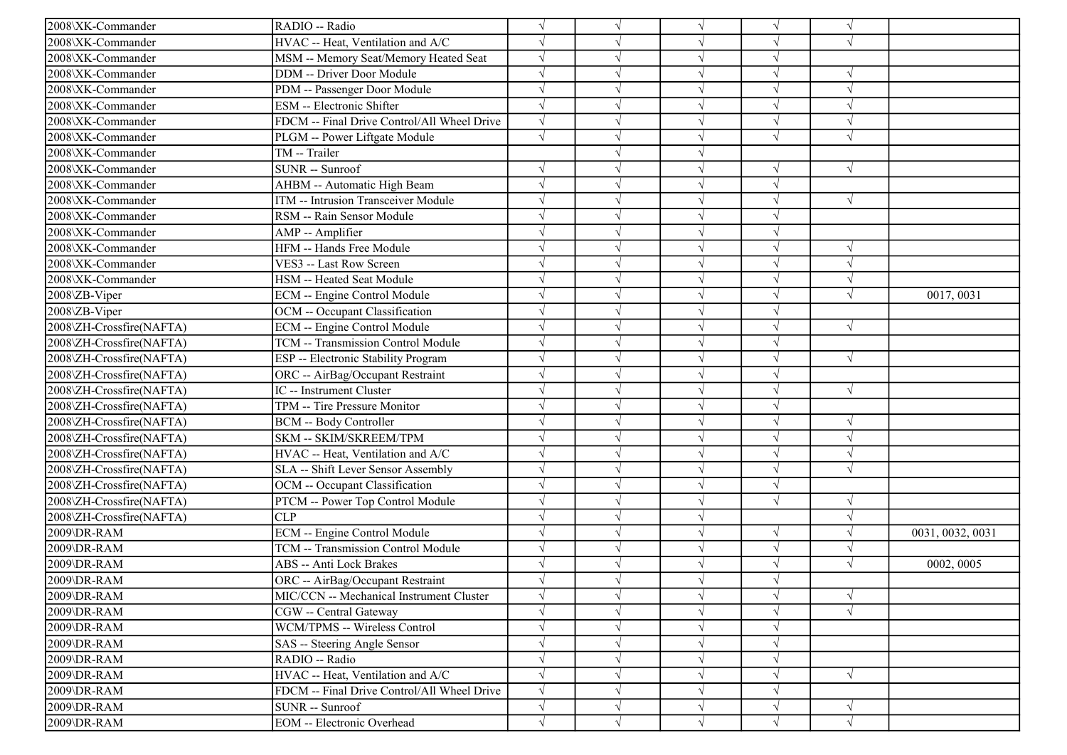| 2008\XK-Commander        | RADIO -- Radio                              |            | $\sqrt{ }$ | $\sqrt{ }$ | $\sqrt{}$ | $\sqrt{ }$ |                  |
|--------------------------|---------------------------------------------|------------|------------|------------|-----------|------------|------------------|
| 2008\XK-Commander        | HVAC -- Heat, Ventilation and A/C           |            |            | $\sqrt{ }$ |           | $\sqrt{ }$ |                  |
| 2008\XK-Commander        | MSM -- Memory Seat/Memory Heated Seat       |            |            | $\sqrt{ }$ |           |            |                  |
| 2008\XK-Commander        | <b>DDM</b> -- Driver Door Module            |            |            | $\sqrt{ }$ | $\sqrt{}$ | $\sqrt{2}$ |                  |
| 2008\XK-Commander        | PDM -- Passenger Door Module                |            |            | $\sqrt{ }$ |           |            |                  |
| 2008\XK-Commander        | ESM -- Electronic Shifter                   |            |            | $\sqrt{ }$ |           |            |                  |
| 2008\XK-Commander        | FDCM -- Final Drive Control/All Wheel Drive | $\sqrt{ }$ |            | $\sqrt{ }$ | $\sqrt{}$ | $\sqrt{ }$ |                  |
| 2008\XK-Commander        | PLGM -- Power Liftgate Module               |            |            | $\sqrt{ }$ |           | N          |                  |
| 2008\XK-Commander        | TM -- Trailer                               |            |            | $\sqrt{ }$ |           |            |                  |
| 2008\XK-Commander        | SUNR -- Sunroof                             |            |            | $\sqrt{ }$ | $\sqrt{}$ | $\sqrt{ }$ |                  |
| 2008\XK-Commander        | AHBM -- Automatic High Beam                 |            |            | $\sqrt{ }$ |           |            |                  |
| 2008\XK-Commander        | ITM -- Intrusion Transceiver Module         |            |            | $\sqrt{ }$ |           | $\sqrt{ }$ |                  |
| 2008\XK-Commander        | RSM -- Rain Sensor Module                   |            |            | $\sqrt{ }$ |           |            |                  |
| 2008\XK-Commander        | AMP -- Amplifier                            |            |            | $\sqrt{ }$ |           |            |                  |
| 2008\XK-Commander        | HFM -- Hands Free Module                    | $\sqrt{}$  |            | $\sqrt{ }$ | $\sqrt{}$ | $\sqrt{ }$ |                  |
| 2008\XK-Commander        | VES3 -- Last Row Screen                     |            |            | $\sqrt{ }$ | J         | $\sqrt{ }$ |                  |
| 2008\XK-Commander        | HSM -- Heated Seat Module                   |            |            | $\sqrt{ }$ |           |            |                  |
| 2008\ZB-Viper            | ECM -- Engine Control Module                |            |            | $\sqrt{ }$ |           | $\sqrt{ }$ | 0017, 0031       |
| 2008\ZB-Viper            | OCM -- Occupant Classification              |            |            | $\sqrt{ }$ |           |            |                  |
| 2008\ZH-Crossfire(NAFTA) | <b>ECM</b> -- Engine Control Module         |            |            | $\sqrt{ }$ | V         | $\sqrt{ }$ |                  |
| 2008\ZH-Crossfire(NAFTA) | <b>TCM -- Transmission Control Module</b>   | $\sqrt{}$  |            | $\sqrt{ }$ | V         |            |                  |
| 2008\ZH-Crossfire(NAFTA) | ESP -- Electronic Stability Program         | $\sqrt{ }$ |            | $\sqrt{ }$ | $\sqrt{}$ | $\sqrt{ }$ |                  |
| 2008\ZH-Crossfire(NAFTA) | ORC -- AirBag/Occupant Restraint            |            |            | $\sqrt{ }$ |           |            |                  |
| 2008\ZH-Crossfire(NAFTA) | IC -- Instrument Cluster                    |            |            | $\sqrt{ }$ | V         | $\sqrt{ }$ |                  |
| 2008\ZH-Crossfire(NAFTA) | TPM -- Tire Pressure Monitor                |            |            | $\sqrt{ }$ | V         |            |                  |
| 2008\ZH-Crossfire(NAFTA) | <b>BCM -- Body Controller</b>               |            |            | $\sqrt{ }$ | V         | $\gamma$   |                  |
| 2008\ZH-Crossfire(NAFTA) | SKM -- SKIM/SKREEM/TPM                      |            |            | $\sqrt{ }$ | V         | $\sqrt{ }$ |                  |
| 2008\ZH-Crossfire(NAFTA) | HVAC -- Heat, Ventilation and A/C           |            |            | $\sqrt{ }$ | V         | $\sqrt{ }$ |                  |
| 2008\ZH-Crossfire(NAFTA) | SLA -- Shift Lever Sensor Assembly          |            |            | $\sqrt{ }$ |           | $\sqrt{ }$ |                  |
| 2008\ZH-Crossfire(NAFTA) | OCM -- Occupant Classification              |            |            | $\sqrt{ }$ |           |            |                  |
| 2008\ZH-Crossfire(NAFTA) | PTCM -- Power Top Control Module            |            |            | $\sqrt{ }$ | J         | $\sqrt{ }$ |                  |
| 2008\ZH-Crossfire(NAFTA) | <b>CLP</b>                                  | $\sqrt{ }$ |            | $\sqrt{ }$ |           | $\sqrt{ }$ |                  |
| 2009\DR-RAM              | ECM -- Engine Control Module                | $\sqrt{ }$ |            | $\sqrt{ }$ | √         | $\sqrt{ }$ | 0031, 0032, 0031 |
| 2009\DR-RAM              | TCM -- Transmission Control Module          | $\sqrt{ }$ |            | $\sqrt{ }$ | $\sqrt{}$ | $\sqrt{ }$ |                  |
| 2009\DR-RAM              | <b>ABS</b> -- Anti Lock Brakes              |            |            | $\sqrt{ }$ | $\sqrt{}$ | $\sqrt{2}$ | 0002, 0005       |
| 2009\DR-RAM              | ORC -- AirBag/Occupant Restraint            |            |            |            |           |            |                  |
| 2009\DR-RAM              | MIC/CCN -- Mechanical Instrument Cluster    | $\sqrt{}$  | $\sqrt{}$  | $\sqrt{}$  | V         | $\sqrt{ }$ |                  |
| 2009\DR-RAM              | CGW -- Central Gateway                      | $\sqrt{}$  | $\sqrt{ }$ | $\sqrt{ }$ | $\sqrt{}$ | $\sqrt{ }$ |                  |
| 2009\DR-RAM              | WCM/TPMS -- Wireless Control                |            |            | $\sqrt{ }$ | V         |            |                  |
| 2009\DR-RAM              | SAS -- Steering Angle Sensor                |            |            | $\sqrt{ }$ |           |            |                  |
| 2009\DR-RAM              | RADIO -- Radio                              |            |            | $\sqrt{ }$ |           |            |                  |
| 2009\DR-RAM              | HVAC -- Heat, Ventilation and A/C           |            |            | V          |           | $\sqrt{ }$ |                  |
| 2009\DR-RAM              | FDCM -- Final Drive Control/All Wheel Drive | $\sqrt{}$  |            | $\sqrt{ }$ |           |            |                  |
| 2009\DR-RAM              | SUNR -- Sunroof                             | $\sqrt{}$  | $\sqrt{ }$ | $\sqrt{ }$ | V         | $\sqrt{ }$ |                  |
| 2009\DR-RAM              | EOM -- Electronic Overhead                  |            | V          | $\sqrt{ }$ |           | $\sqrt{ }$ |                  |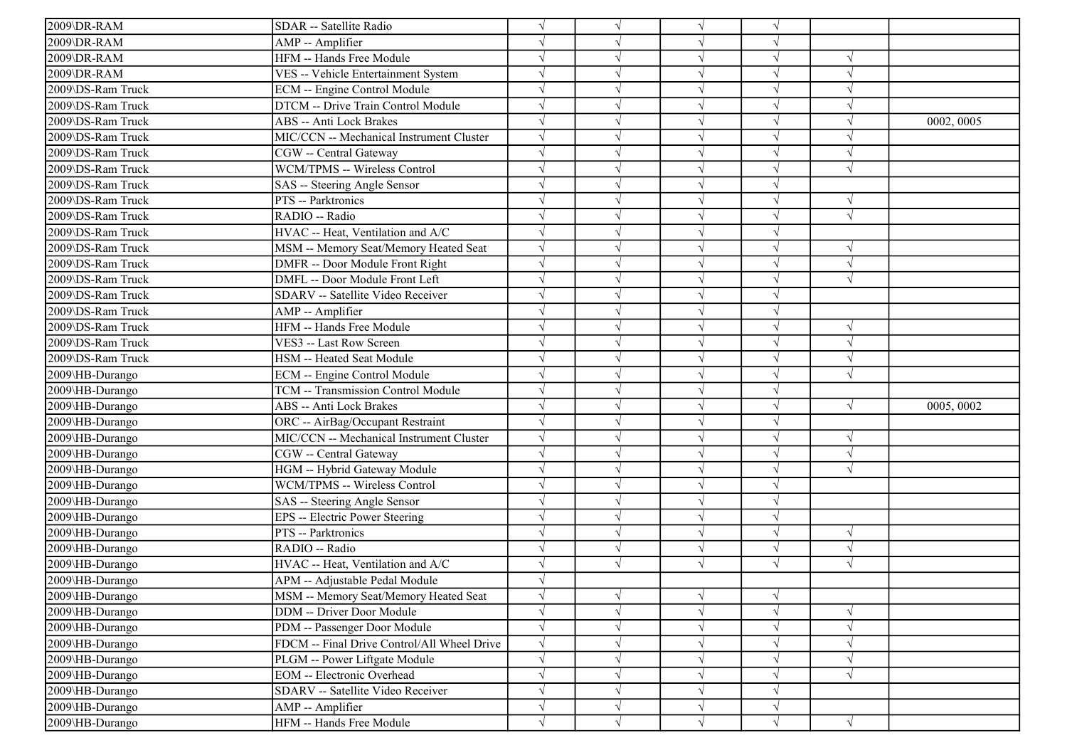| 2009\DR-RAM       | SDAR -- Satellite Radio                     | $\sqrt{}$  |            |            |            |            |            |
|-------------------|---------------------------------------------|------------|------------|------------|------------|------------|------------|
| 2009\DR-RAM       | AMP -- Amplifier                            | $\sqrt{ }$ |            | $\sqrt{ }$ |            |            |            |
| 2009\DR-RAM       | HFM -- Hands Free Module                    | $\sqrt{ }$ |            |            |            | $\sqrt{ }$ |            |
| 2009\DR-RAM       | VES -- Vehicle Entertainment System         | $\sqrt{ }$ |            |            |            |            |            |
| 2009\DS-Ram Truck | ECM -- Engine Control Module                | $\sqrt{}$  |            |            |            |            |            |
| 2009\DS-Ram Truck | DTCM -- Drive Train Control Module          | $\sqrt{ }$ |            |            |            |            |            |
| 2009\DS-Ram Truck | ABS -- Anti Lock Brakes                     | $\sqrt{ }$ |            |            |            |            | 0002, 0005 |
| 2009\DS-Ram Truck | MIC/CCN -- Mechanical Instrument Cluster    | $\sqrt{ }$ |            |            |            |            |            |
| 2009\DS-Ram Truck | CGW -- Central Gateway                      | $\sqrt{ }$ |            | $\sqrt{ }$ |            | $\sqrt{ }$ |            |
| 2009\DS-Ram Truck | WCM/TPMS -- Wireless Control                | $\sqrt{ }$ |            |            |            | $\sqrt{ }$ |            |
| 2009\DS-Ram Truck | SAS -- Steering Angle Sensor                | $\sqrt{ }$ |            |            |            |            |            |
| 2009\DS-Ram Truck | PTS -- Parktronics                          | $\sqrt{ }$ |            |            |            | $\sqrt{ }$ |            |
| 2009\DS-Ram Truck | RADIO -- Radio                              | $\sqrt{ }$ |            |            |            | $\sqrt{ }$ |            |
| 2009\DS-Ram Truck | HVAC -- Heat, Ventilation and A/C           | $\sqrt{ }$ |            |            |            |            |            |
| 2009\DS-Ram Truck | MSM -- Memory Seat/Memory Heated Seat       | $\sqrt{}$  |            | $\sqrt{ }$ |            | $\sqrt{ }$ |            |
| 2009\DS-Ram Truck | DMFR -- Door Module Front Right             | $\sqrt{ }$ |            |            |            |            |            |
| 2009\DS-Ram Truck | DMFL -- Door Module Front Left              | $\sqrt{}$  |            |            |            | $\sqrt{ }$ |            |
| 2009\DS-Ram Truck | SDARV -- Satellite Video Receiver           | $\sqrt{ }$ |            |            |            |            |            |
| 2009\DS-Ram Truck | AMP -- Amplifier                            | $\sqrt{ }$ |            |            |            |            |            |
| 2009\DS-Ram Truck | HFM -- Hands Free Module                    | $\sqrt{ }$ |            | $\sqrt{ }$ | $\sqrt{ }$ | $\sqrt{ }$ |            |
| 2009\DS-Ram Truck | VES3 -- Last Row Screen                     | $\sqrt{ }$ |            | $\sqrt{ }$ |            | $\sqrt{ }$ |            |
| 2009\DS-Ram Truck | HSM -- Heated Seat Module                   | $\sqrt{ }$ |            |            |            | $\sqrt{ }$ |            |
| 2009\HB-Durango   | ECM -- Engine Control Module                | $\sqrt{ }$ |            |            |            | $\sqrt{ }$ |            |
| 2009\HB-Durango   | TCM -- Transmission Control Module          | $\sqrt{ }$ |            | $\sqrt{ }$ |            |            |            |
| 2009\HB-Durango   | ABS -- Anti Lock Brakes                     | $\sqrt{ }$ |            |            |            | $\sqrt{ }$ | 0005, 0002 |
| 2009\HB-Durango   | ORC -- AirBag/Occupant Restraint            | $\sqrt{ }$ |            |            |            |            |            |
| 2009\HB-Durango   | MIC/CCN -- Mechanical Instrument Cluster    | $\sqrt{ }$ |            | $\sqrt{ }$ |            | $\sqrt{ }$ |            |
| 2009\HB-Durango   | CGW -- Central Gateway                      | $\sqrt{ }$ |            |            |            | $\sqrt{ }$ |            |
| 2009\HB-Durango   | HGM -- Hybrid Gateway Module                | $\sqrt{ }$ |            |            |            |            |            |
| 2009\HB-Durango   | WCM/TPMS -- Wireless Control                | $\sqrt{}$  |            |            |            |            |            |
| 2009\HB-Durango   | SAS -- Steering Angle Sensor                | $\sqrt{ }$ |            | $\sqrt{ }$ |            |            |            |
| 2009\HB-Durango   | EPS -- Electric Power Steering              | $\sqrt{ }$ |            | N          |            |            |            |
| 2009\HB-Durango   | PTS -- Parktronics                          | $\sqrt{ }$ |            | $\sqrt{ }$ |            | $\sqrt{ }$ |            |
| 2009\HB-Durango   | RADIO -- Radio                              | $\sqrt{ }$ |            | $\sqrt{}$  |            | $\sqrt{ }$ |            |
| 2009\HB-Durango   | HVAC -- Heat, Ventilation and A/C           | $\sqrt{ }$ | $\sqrt{ }$ |            |            | $\sqrt{ }$ |            |
| 2009\HB-Durango   | APM -- Adjustable Pedal Module              | $\sqrt{ }$ |            |            |            |            |            |
| 2009\HB-Durango   | MSM -- Memory Seat/Memory Heated Seat       | $\sqrt{}$  | $\sqrt{}$  | $\sqrt{}$  |            |            |            |
| 2009\HB-Durango   | DDM -- Driver Door Module                   | $\sqrt{ }$ |            |            |            |            |            |
| 2009\HB-Durango   | PDM -- Passenger Door Module                | $\sqrt{}$  |            | $\sqrt{ }$ |            | $\sqrt{ }$ |            |
| 2009\HB-Durango   | FDCM -- Final Drive Control/All Wheel Drive | $\sqrt{ }$ |            | $\sqrt{ }$ |            |            |            |
| 2009\HB-Durango   | PLGM -- Power Liftgate Module               | $\sqrt{}$  |            |            |            |            |            |
| 2009\HB-Durango   | <b>EOM</b> -- Electronic Overhead           | $\sqrt{ }$ |            | $\sqrt{ }$ |            | $\sqrt{ }$ |            |
| 2009\HB-Durango   | SDARV -- Satellite Video Receiver           | $\sqrt{ }$ |            | $\sqrt{ }$ |            |            |            |
| 2009\HB-Durango   | AMP -- Amplifier                            | $\sqrt{}$  |            | $\sqrt{ }$ | $\sqrt{ }$ |            |            |
| 2009\HB-Durango   | HFM -- Hands Free Module                    | $\sqrt{ }$ | $\sqrt{ }$ | $\sqrt{ }$ | $\sqrt{}$  | $\sqrt{ }$ |            |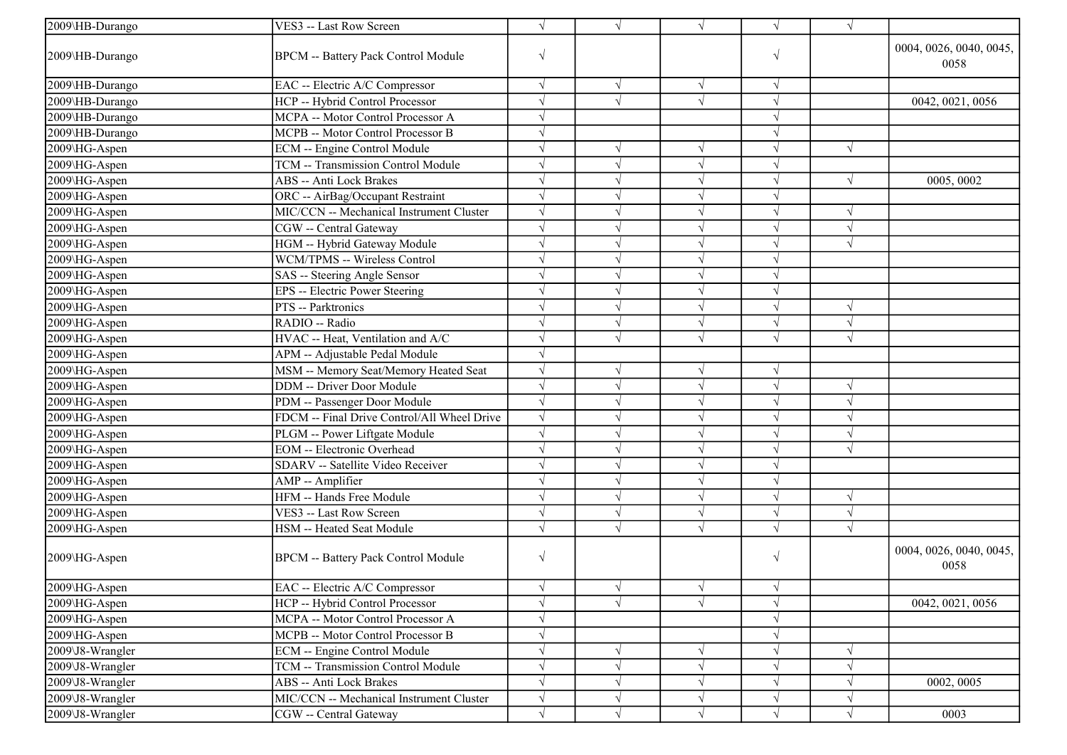| 2009\HB-Durango       | VES3 -- Last Row Screen                     | $\sqrt{ }$ | $\sqrt{ }$ | $\sqrt{ }$            | $\sqrt{ }$ | $\sqrt{ }$ |                                 |
|-----------------------|---------------------------------------------|------------|------------|-----------------------|------------|------------|---------------------------------|
| 2009\HB-Durango       | <b>BPCM -- Battery Pack Control Module</b>  | $\sqrt{ }$ |            |                       | $\sqrt{ }$ |            | 0004, 0026, 0040, 0045,<br>0058 |
| 2009\HB-Durango       | EAC -- Electric A/C Compressor              | $\sqrt{ }$ | $\sqrt{ }$ | $\sqrt{ }$            | $\sqrt{ }$ |            |                                 |
| 2009\HB-Durango       | HCP -- Hybrid Control Processor             | $\sqrt{ }$ | $\sqrt{2}$ | $\overline{\sqrt{2}}$ | $\sqrt{ }$ |            | 0042, 0021, 0056                |
| 2009\HB-Durango       | MCPA -- Motor Control Processor A           | $\sqrt{ }$ |            |                       | $\sqrt{ }$ |            |                                 |
| 2009\HB-Durango       | MCPB -- Motor Control Processor B           | $\sqrt{ }$ |            |                       | $\sqrt{ }$ |            |                                 |
| 2009\HG-Aspen         | ECM -- Engine Control Module                | $\sqrt{}$  | $\sqrt{}$  | $\sqrt{ }$            | $\sqrt{ }$ | $\sqrt{ }$ |                                 |
| 2009\HG-Aspen         | TCM -- Transmission Control Module          | $\sqrt{}$  | $\sqrt{}$  | $\sqrt{ }$            | $\sqrt{ }$ |            |                                 |
| 2009\HG-Aspen         | <b>ABS</b> -- Anti Lock Brakes              | $\sqrt{ }$ | $\sqrt{}$  | $\sqrt{ }$            | $\sqrt{ }$ | $\sqrt{ }$ | 0005, 0002                      |
| 2009\HG-Aspen         | ORC -- AirBag/Occupant Restraint            | $\sqrt{}$  | $\sqrt{}$  | $\sqrt{ }$            | $\sqrt{ }$ |            |                                 |
| 2009\HG-Aspen         | MIC/CCN -- Mechanical Instrument Cluster    | $\sqrt{}$  |            | $\sqrt{ }$            | $\sqrt{ }$ | $\sqrt{}$  |                                 |
| 2009\HG-Aspen         | CGW -- Central Gateway                      | $\sqrt{ }$ |            | $\sqrt{ }$            | $\sqrt{ }$ |            |                                 |
| 2009\HG-Aspen         | HGM -- Hybrid Gateway Module                | $\sqrt{ }$ |            | $\sqrt{ }$            | $\sqrt{ }$ | $\sqrt{}$  |                                 |
| 2009\HG-Aspen         | WCM/TPMS -- Wireless Control                | $\sqrt{ }$ | $\sqrt{}$  | $\sqrt{ }$            | $\sqrt{ }$ |            |                                 |
| 2009\HG-Aspen         | SAS -- Steering Angle Sensor                | $\sqrt{ }$ | $\sqrt{}$  | $\sqrt{ }$            | $\sqrt{ }$ |            |                                 |
| 2009\HG-Aspen         | EPS -- Electric Power Steering              | $\sqrt{ }$ | $\sqrt{}$  | $\sqrt{ }$            | $\sqrt{ }$ |            |                                 |
| $2009\text{MG-Aspen}$ | PTS -- Parktronics                          | $\sqrt{ }$ | $\sqrt{ }$ | $\sqrt{ }$            | $\sqrt{ }$ | $\sqrt{ }$ |                                 |
| 2009\HG-Aspen         | RADIO -- Radio                              | $\sqrt{ }$ |            | $\sqrt{ }$            | $\sqrt{ }$ | $\sqrt{ }$ |                                 |
| 2009\HG-Aspen         | HVAC -- Heat, Ventilation and A/C           | $\sqrt{ }$ | $\sqrt{ }$ | $\sqrt{ }$            | $\sqrt{ }$ | $\sqrt{ }$ |                                 |
| 2009\HG-Aspen         | APM -- Adjustable Pedal Module              | $\sqrt{ }$ |            |                       |            |            |                                 |
| 2009\HG-Aspen         | MSM -- Memory Seat/Memory Heated Seat       | $\sqrt{ }$ | $\sqrt{}$  | $\sqrt{ }$            | $\sqrt{ }$ |            |                                 |
| 2009\HG-Aspen         | DDM -- Driver Door Module                   | $\sqrt{ }$ | $\sqrt{}$  | $\sqrt{ }$            | $\sqrt{ }$ | $\sqrt{ }$ |                                 |
| 2009\HG-Aspen         | PDM -- Passenger Door Module                | $\sqrt{ }$ |            | $\sqrt{ }$            | $\sqrt{ }$ |            |                                 |
| 2009\HG-Aspen         | FDCM -- Final Drive Control/All Wheel Drive | $\sqrt{ }$ |            | $\sqrt{ }$            | $\sqrt{ }$ |            |                                 |
| 2009\HG-Aspen         | PLGM -- Power Liftgate Module               | $\sqrt{}$  |            | $\sqrt{ }$            | $\sqrt{}$  |            |                                 |
| 2009\HG-Aspen         | <b>EOM</b> -- Electronic Overhead           | $\sqrt{ }$ |            | $\sqrt{ }$            | $\sqrt{ }$ |            |                                 |
| 2009\HG-Aspen         | SDARV -- Satellite Video Receiver           | $\sqrt{ }$ | $\sqrt{}$  | $\sqrt{ }$            | $\sqrt{ }$ |            |                                 |
| 2009\HG-Aspen         | AMP -- Amplifier                            | $\sqrt{ }$ | $\sqrt{ }$ | $\sqrt{ }$            | $\sqrt{ }$ |            |                                 |
| 2009\HG-Aspen         | HFM -- Hands Free Module                    | $\sqrt{ }$ | $\sqrt{ }$ | $\sqrt{ }$            | $\sqrt{ }$ | $\sqrt{ }$ |                                 |
| 2009\HG-Aspen         | VES3 -- Last Row Screen                     | $\sqrt{ }$ | $\sqrt{ }$ | $\sqrt{ }$            | $\sqrt{ }$ | $\sqrt{ }$ |                                 |
| 2009\HG-Aspen         | HSM -- Heated Seat Module                   | $\sqrt{ }$ |            |                       | $\sqrt{ }$ | $\sqrt{ }$ |                                 |
| 2009\HG-Aspen         | <b>BPCM -- Battery Pack Control Module</b>  | $\sqrt{ }$ |            |                       | $\sqrt{ }$ |            | 0004, 0026, 0040, 0045,<br>0058 |
| 2009\HG-Aspen         | EAC -- Electric A/C Compressor              | √          | N          | N                     | $\sqrt{}$  |            |                                 |
| 2009\HG-Aspen         | HCP -- Hybrid Control Processor             | $\sqrt{ }$ |            |                       | $\sqrt{ }$ |            | 0042, 0021, 0056                |
| 2009\HG-Aspen         | MCPA -- Motor Control Processor A           | $\sqrt{ }$ |            |                       | $\sqrt{}$  |            |                                 |
| 2009\HG-Aspen         | MCPB -- Motor Control Processor B           | $\sqrt{ }$ |            |                       | $\sqrt{ }$ |            |                                 |
| 2009\J8-Wrangler      | <b>ECM</b> -- Engine Control Module         | $\sqrt{}$  |            | $\sqrt{ }$            | $\sqrt{}$  | V          |                                 |
| 2009\J8-Wrangler      | TCM -- Transmission Control Module          | $\sqrt{ }$ | $\sqrt{}$  | $\sqrt{ }$            | $\sqrt{}$  | V          |                                 |
| 2009\J8-Wrangler      | ABS -- Anti Lock Brakes                     | $\sqrt{ }$ | $\sqrt{}$  | $\sqrt{ }$            | $\sqrt{}$  | V          | 0002, 0005                      |
| 2009\J8-Wrangler      | MIC/CCN -- Mechanical Instrument Cluster    | $\sqrt{ }$ | $\sqrt{}$  | $\sqrt{ }$            | $\sqrt{}$  | $\sqrt{}$  |                                 |
| 2009\J8-Wrangler      | CGW -- Central Gateway                      | $\sqrt{ }$ | $\sqrt{}$  | $\sqrt{ }$            | $\sqrt{ }$ | $\sqrt{}$  | 0003                            |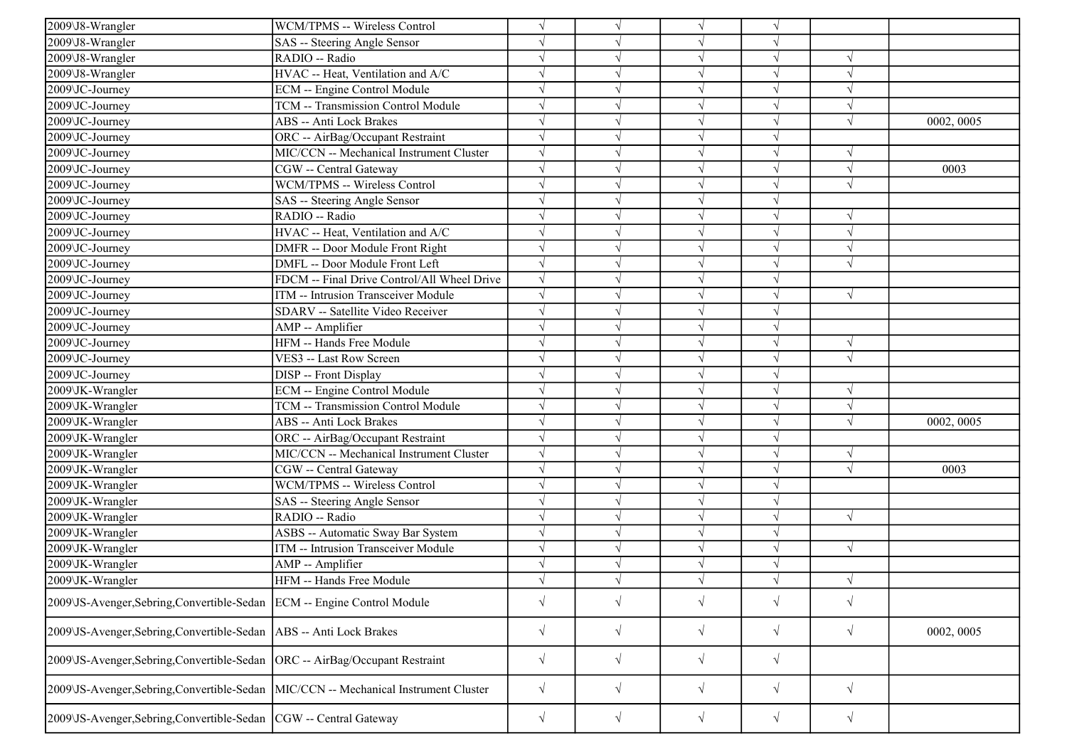| 2009\J8-Wrangler                                                                    | WCM/TPMS -- Wireless Control                | $\sqrt{ }$ | V          | $\sqrt{ }$ | $\sqrt{ }$ |            |            |
|-------------------------------------------------------------------------------------|---------------------------------------------|------------|------------|------------|------------|------------|------------|
| 2009\J8-Wrangler                                                                    | SAS -- Steering Angle Sensor                | $\sqrt{}$  |            | $\sqrt{ }$ | J          |            |            |
| 2009\J8-Wrangler                                                                    | RADIO -- Radio                              |            |            | $\sqrt{}$  | J          | $\sqrt{ }$ |            |
| 2009\J8-Wrangler                                                                    | HVAC -- Heat, Ventilation and A/C           | $\sqrt{}$  |            | $\sqrt{}$  |            | $\sqrt{ }$ |            |
| 2009\JC-Journey                                                                     | <b>ECM</b> -- Engine Control Module         | $\sqrt{}$  |            | $\sqrt{}$  |            | $\sqrt{ }$ |            |
| 2009\JC-Journey                                                                     | TCM -- Transmission Control Module          | $\sqrt{ }$ |            | $\sqrt{ }$ | J          | $\sqrt{ }$ |            |
| 2009\JC-Journey                                                                     | <b>ABS</b> -- Anti Lock Brakes              | $\sqrt{}$  |            | $\sqrt{}$  | J          | $\sqrt{ }$ | 0002, 0005 |
| 2009\JC-Journey                                                                     | ORC -- AirBag/Occupant Restraint            | $\sqrt{ }$ |            | $\sqrt{ }$ | J          |            |            |
| 2009\JC-Journey                                                                     | MIC/CCN -- Mechanical Instrument Cluster    | $\sqrt{}$  |            | $\sqrt{ }$ | $\sqrt{}$  | $\sqrt{ }$ |            |
| 2009\JC-Journey                                                                     | CGW -- Central Gateway                      |            |            | $\sqrt{}$  | J          | $\sqrt{ }$ | 0003       |
| 2009 JC-Journey                                                                     | <b>WCM/TPMS -- Wireless Control</b>         |            |            | $\sqrt{ }$ |            | $\sqrt{ }$ |            |
| 2009\JC-Journey                                                                     | SAS -- Steering Angle Sensor                | $\sqrt{}$  |            | $\sqrt{ }$ | V          |            |            |
| 2009\JC-Journey                                                                     | RADIO -- Radio                              | $\sqrt{}$  |            | $\sqrt{}$  | V          | $\sqrt{ }$ |            |
| 2009 JC-Journey                                                                     | HVAC -- Heat, Ventilation and A/C           | $\sqrt{}$  |            | $\sqrt{ }$ | J          | $\sqrt{ }$ |            |
| 2009\JC-Journey                                                                     | DMFR -- Door Module Front Right             | $\sqrt{}$  |            | $\sqrt{}$  | $\sqrt{}$  | $\sqrt{ }$ |            |
| 2009\JC-Journey                                                                     | DMFL -- Door Module Front Left              | $\sqrt{ }$ |            | $\sqrt{}$  |            | $\sqrt{ }$ |            |
| 2009\JC-Journey                                                                     | FDCM -- Final Drive Control/All Wheel Drive | $\sqrt{ }$ |            | $\sqrt{ }$ |            |            |            |
| 2009\JC-Journey                                                                     | ITM -- Intrusion Transceiver Module         | $\sqrt{}$  |            | $\sqrt{}$  | J          | $\sqrt{ }$ |            |
| 2009\JC-Journey                                                                     | SDARV -- Satellite Video Receiver           | $\sqrt{}$  |            | $\sqrt{ }$ | V          |            |            |
| 2009\JC-Journey                                                                     | AMP -- Amplifier                            | $\sqrt{}$  |            | $\sqrt{ }$ | $\sqrt{}$  |            |            |
| 2009\JC-Journey                                                                     | HFM -- Hands Free Module                    | $\sqrt{ }$ |            | $\sqrt{ }$ | $\sqrt{ }$ | $\sqrt{ }$ |            |
| 2009\JC-Journey                                                                     | VES3 -- Last Row Screen                     | $\sqrt{ }$ |            | $\sqrt{}$  | J          | $\sqrt{ }$ |            |
| 2009\JC-Journey                                                                     | <b>DISP</b> -- Front Display                |            |            | $\sqrt{ }$ | V          |            |            |
| 2009\JK-Wrangler                                                                    | <b>ECM</b> -- Engine Control Module         | $\sqrt{}$  |            | $\sqrt{ }$ | V          | $\sqrt{ }$ |            |
| 2009\JK-Wrangler                                                                    | TCM -- Transmission Control Module          |            |            | $\sqrt{}$  | V          | $\sqrt{ }$ |            |
| 2009\JK-Wrangler                                                                    | <b>ABS</b> -- Anti Lock Brakes              | $\sqrt{}$  |            | $\sqrt{}$  | V          | $\sqrt{ }$ | 0002, 0005 |
| 2009\JK-Wrangler                                                                    | ORC -- AirBag/Occupant Restraint            | $\sqrt{}$  |            | $\sqrt{ }$ | $\sqrt{}$  |            |            |
| 2009\JK-Wrangler                                                                    | MIC/CCN -- Mechanical Instrument Cluster    |            |            | $\sqrt{}$  |            | $\sqrt{ }$ |            |
| 2009\JK-Wrangler                                                                    | CGW -- Central Gateway                      | $\sqrt{}$  |            | $\sqrt{}$  |            | $\sqrt{ }$ | 0003       |
| 2009\JK-Wrangler                                                                    | WCM/TPMS -- Wireless Control                | $\sqrt{}$  |            | $\sqrt{}$  | J          |            |            |
| 2009\JK-Wrangler                                                                    | SAS -- Steering Angle Sensor                | $\sqrt{}$  |            | $\sqrt{}$  | V          |            |            |
| 2009\JK-Wrangler                                                                    | RADIO -- Radio                              | $\sqrt{}$  |            | $\sqrt{ }$ | $\sqrt{}$  | $\sqrt{ }$ |            |
| 2009\JK-Wrangler                                                                    | ASBS -- Automatic Sway Bar System           | $\sqrt{}$  |            | $\sqrt{ }$ | $\sqrt{ }$ |            |            |
| 2009\JK-Wrangler                                                                    | ITM -- Intrusion Transceiver Module         |            |            | $\sqrt{}$  |            | $\sqrt{ }$ |            |
| 2009\JK-Wrangler                                                                    | AMP -- Amplifier                            | $\sqrt{}$  |            | $\sqrt{}$  | V          |            |            |
| 2009\JK-Wrangler                                                                    | HFM -- Hands Free Module                    |            |            |            |            | $\sqrt{ }$ |            |
| 2009\JS-Avenger, Sebring, Convertible-Sedan ECM -- Engine Control Module            |                                             | $\sqrt{}$  | $\sqrt{}$  | $\sqrt{}$  | $\sqrt{}$  | $\sqrt{ }$ |            |
| 2009\JS-Avenger, Sebring, Convertible-Sedan   ABS -- Anti Lock Brakes               |                                             | $\sqrt{}$  | $\sqrt{ }$ | $\sqrt{ }$ | $\sqrt{}$  | $\sqrt{ }$ | 0002, 0005 |
| 2009\JS-Avenger,Sebring,Convertible-Sedan  ORC -- AirBag/Occupant Restraint         |                                             | $\sqrt{ }$ | $\sqrt{ }$ | $\sqrt{}$  | $\sqrt{}$  |            |            |
| 2009\JS-Avenger,Sebring,Convertible-Sedan  MIC/CCN -- Mechanical Instrument Cluster |                                             | $\sqrt{}$  | $\sqrt{ }$ | $\sqrt{}$  | $\sqrt{}$  | $\sqrt{ }$ |            |
| 2009\JS-Avenger, Sebring, Convertible-Sedan   CGW -- Central Gateway                |                                             | $\sqrt{}$  | $\sqrt{}$  | $\sqrt{}$  | $\sqrt{}$  | $\sqrt{ }$ |            |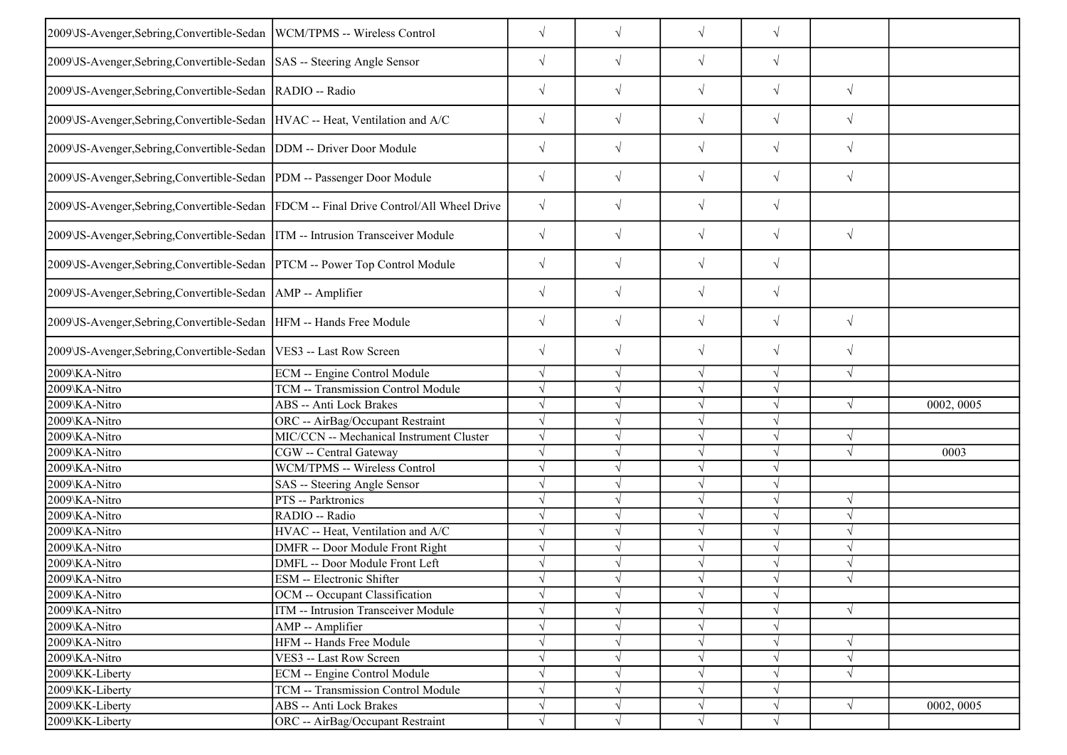| 2009\JS-Avenger, Sebring, Convertible-Sedan   WCM/TPMS -- Wireless Control     |                                                                                        | $\sqrt{}$  | $\sqrt{}$  | $\sqrt{ }$ | $\sqrt{}$  |            |            |
|--------------------------------------------------------------------------------|----------------------------------------------------------------------------------------|------------|------------|------------|------------|------------|------------|
| 2009\JS-Avenger,Sebring,Convertible-Sedan  SAS -- Steering Angle Sensor        |                                                                                        | $\sqrt{}$  | $\sqrt{ }$ | $\sqrt{}$  | $\sqrt{}$  |            |            |
|                                                                                |                                                                                        |            |            |            |            |            |            |
| 2009\JS-Avenger, Sebring, Convertible-Sedan   RADIO -- Radio                   |                                                                                        | $\sqrt{}$  | $\sqrt{ }$ | $\sqrt{}$  | $\sqrt{}$  | $\sqrt{ }$ |            |
| 2009\JS-Avenger,Sebring,Convertible-Sedan HVAC -- Heat, Ventilation and A/C    |                                                                                        | $\sqrt{ }$ | $\sqrt{ }$ | $\sqrt{ }$ | $\sqrt{}$  | $\sqrt{ }$ |            |
| 2009\JS-Avenger, Sebring, Convertible-Sedan   DDM -- Driver Door Module        |                                                                                        | $\sqrt{ }$ | $\sqrt{ }$ | $\sqrt{}$  | $\sqrt{}$  | $\sqrt{ }$ |            |
| 2009\JS-Avenger, Sebring, Convertible-Sedan  PDM -- Passenger Door Module      |                                                                                        | $\sqrt{}$  | $\sqrt{ }$ | $\sqrt{ }$ | $\sqrt{}$  | $\sqrt{ }$ |            |
|                                                                                | 2009\JS-Avenger,Sebring,Convertible-Sedan  FDCM -- Final Drive Control/All Wheel Drive | $\sqrt{}$  | $\sqrt{ }$ | $\sqrt{ }$ | $\sqrt{}$  |            |            |
| 2009\JS-Avenger,Sebring,Convertible-Sedan  ITM -- Intrusion Transceiver Module |                                                                                        | $\sqrt{}$  | $\sqrt{ }$ | $\sqrt{}$  | $\sqrt{}$  | $\sqrt{ }$ |            |
| 2009\JS-Avenger,Sebring,Convertible-Sedan  PTCM -- Power Top Control Module    |                                                                                        | $\sqrt{}$  | $\sqrt{}$  | $\sqrt{}$  | $\sqrt{}$  |            |            |
| 2009\JS-Avenger, Sebring, Convertible-Sedan   AMP -- Amplifier                 |                                                                                        | $\sqrt{}$  | $\sqrt{ }$ | $\sqrt{}$  | $\sqrt{}$  |            |            |
| 2009\JS-Avenger, Sebring, Convertible-Sedan   HFM -- Hands Free Module         |                                                                                        | $\sqrt{}$  | $\sqrt{ }$ | $\sqrt{}$  | $\sqrt{}$  | $\sqrt{ }$ |            |
| 2009\JS-Avenger, Sebring, Convertible-Sedan   VES3 -- Last Row Screen          |                                                                                        | $\sqrt{}$  | $\sqrt{ }$ | $\sqrt{ }$ | $\sqrt{}$  | $\sqrt{ }$ |            |
| 2009\KA-Nitro                                                                  | ECM -- Engine Control Module                                                           |            | $\sqrt{ }$ | $\sqrt{ }$ | J          | $\sqrt{ }$ |            |
| 2009\KA-Nitro                                                                  | TCM -- Transmission Control Module                                                     | $\sqrt{ }$ | $\sqrt{ }$ | $\sqrt{ }$ | V          |            |            |
| 2009\KA-Nitro                                                                  | ABS -- Anti Lock Brakes                                                                |            | $\sqrt{ }$ | $\sqrt{ }$ | $\sqrt{}$  | $\sqrt{ }$ | 0002, 0005 |
| 2009\KA-Nitro                                                                  | ORC -- AirBag/Occupant Restraint                                                       |            |            | $\sqrt{}$  |            |            |            |
| 2009\KA-Nitro                                                                  | MIC/CCN -- Mechanical Instrument Cluster                                               |            |            | $\sqrt{ }$ | $\sqrt{ }$ | $\sqrt{ }$ |            |
| 2009\KA-Nitro                                                                  | CGW -- Central Gateway                                                                 |            |            | $\sqrt{ }$ |            | $\sqrt{ }$ | 0003       |
| 2009\KA-Nitro                                                                  | WCM/TPMS -- Wireless Control                                                           |            |            | $\sqrt{}$  |            |            |            |
| 2009\KA-Nitro                                                                  | SAS -- Steering Angle Sensor                                                           | J          |            | $\sqrt{ }$ | $\sqrt{}$  |            |            |
| 2009\KA-Nitro                                                                  | PTS -- Parktronics                                                                     | $\sqrt{ }$ |            | $\sqrt{ }$ | $\sqrt{ }$ | $\sqrt{ }$ |            |
| 2009\KA-Nitro                                                                  | RADIO -- Radio                                                                         |            |            | $\sqrt{ }$ |            | $\sqrt{ }$ |            |
| 2009\KA-Nitro                                                                  | HVAC -- Heat, Ventilation and A/C                                                      |            |            | $\sqrt{ }$ | $\sqrt{}$  | $\sqrt{ }$ |            |
| 2009\KA-Nitro                                                                  | DMFR -- Door Module Front Right                                                        |            |            | $\sqrt{ }$ | $\sqrt{}$  | $\sqrt{ }$ |            |
| 2009\KA-Nitro                                                                  | DMFL -- Door Module Front Left                                                         |            |            | $\sqrt{ }$ | V          | $\sqrt{ }$ |            |
| 2009\KA-Nitro                                                                  | ESM -- Electronic Shifter                                                              | $\sqrt{ }$ | $\sqrt{ }$ | $\sqrt{ }$ | $\sqrt{ }$ | $\sqrt{ }$ |            |
| 2009\KA-Nitro                                                                  | OCM -- Occupant Classification                                                         | $\sqrt{ }$ | $\sqrt{ }$ | $\sqrt{ }$ | $\sqrt{ }$ |            |            |
|                                                                                |                                                                                        |            |            |            |            |            |            |
| 2009\KA-Nitro                                                                  | ITM -- Intrusion Transceiver Module                                                    |            |            | $\sqrt{}$  |            | $\sqrt{ }$ |            |
| 2009\KA-Nitro                                                                  | AMP -- Amplifier                                                                       |            | $\sqrt{ }$ | $\sqrt{ }$ | $\sqrt{}$  |            |            |
| 2009\KA-Nitro                                                                  | HFM -- Hands Free Module                                                               |            | $\sqrt{ }$ | $\sqrt{ }$ | $\sqrt{}$  | $\sqrt{ }$ |            |
| 2009\KA-Nitro                                                                  | VES3 -- Last Row Screen                                                                |            | $\sqrt{ }$ | $\sqrt{ }$ | V          | $\sqrt{ }$ |            |
| 2009\KK-Liberty                                                                | ECM -- Engine Control Module                                                           |            |            | $\sqrt{}$  |            | $\sqrt{ }$ |            |
| 2009\KK-Liberty                                                                | TCM -- Transmission Control Module                                                     |            |            | $\sqrt{}$  | $\sqrt{}$  |            |            |
| 2009\KK-Liberty                                                                | ABS -- Anti Lock Brakes                                                                |            |            | $\sqrt{}$  | $\sqrt{}$  | $\sqrt{}$  | 0002, 0005 |
| 2009\KK-Liberty                                                                | ORC -- AirBag/Occupant Restraint                                                       |            | V          | $\sqrt{ }$ | V          |            |            |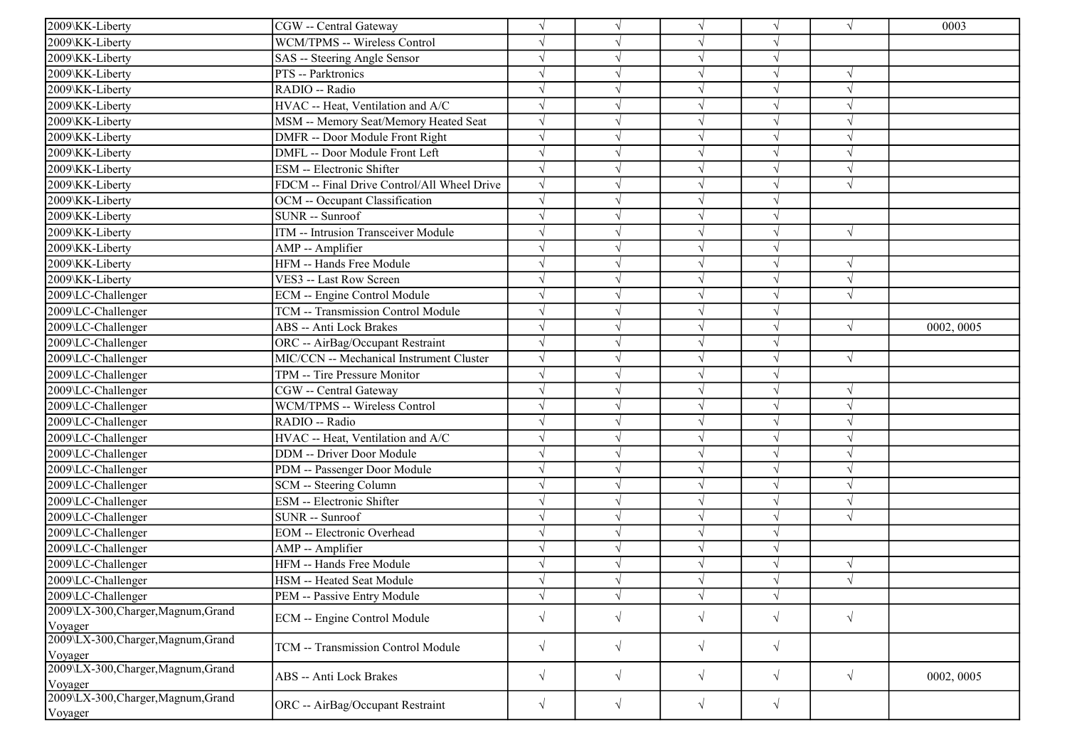| 2009\KK-Liberty                                | CGW -- Central Gateway                      | $\sqrt{}$  |            | $\sqrt{ }$ | V          | $\sqrt{ }$ | 0003       |
|------------------------------------------------|---------------------------------------------|------------|------------|------------|------------|------------|------------|
| 2009\KK-Liberty                                | WCM/TPMS -- Wireless Control                |            |            | V          |            |            |            |
| 2009\KK-Liberty                                | SAS -- Steering Angle Sensor                | $\sqrt{}$  |            | $\sqrt{}$  | V          |            |            |
| 2009\KK-Liberty                                | PTS -- Parktronics                          |            |            | V          | V          |            |            |
| 2009\KK-Liberty                                | RADIO -- Radio                              |            |            | $\sqrt{}$  | V          | $\sqrt{ }$ |            |
| 2009\KK-Liberty                                | HVAC -- Heat, Ventilation and A/C           | $\sqrt{ }$ |            | $\sqrt{ }$ | $\sqrt{}$  | $\sqrt{ }$ |            |
| 2009\KK-Liberty                                | MSM -- Memory Seat/Memory Heated Seat       |            |            | $\sqrt{}$  |            |            |            |
| 2009\KK-Liberty                                | DMFR -- Door Module Front Right             | $\sqrt{}$  |            | $\sqrt{}$  |            | $\sqrt{ }$ |            |
| 2009\KK-Liberty                                | DMFL -- Door Module Front Left              | $\sqrt{}$  |            | $\sqrt{ }$ |            | $\sqrt{ }$ |            |
| 2009\KK-Liberty                                | ESM -- Electronic Shifter                   | $\sqrt{}$  |            | $\sqrt{}$  | V          | $\gamma$   |            |
| 2009\KK-Liberty                                | FDCM -- Final Drive Control/All Wheel Drive | $\sqrt{}$  |            | $\sqrt{ }$ | J          | $\sqrt{ }$ |            |
| 2009\KK-Liberty                                | OCM -- Occupant Classification              | $\sqrt{ }$ |            | $\sqrt{ }$ | $\sqrt{}$  |            |            |
| 2009\KK-Liberty                                | <b>SUNR</b> -- Sunroof                      |            |            | $\sqrt{ }$ |            |            |            |
| 2009\KK-Liberty                                | <b>ITM</b> -- Intrusion Transceiver Module  | $\sqrt{}$  |            | $\sqrt{ }$ | N          | $\sqrt{ }$ |            |
| 2009\KK-Liberty                                | AMP -- Amplifier                            |            |            | $\sqrt{}$  |            |            |            |
| 2009\KK-Liberty                                | HFM -- Hands Free Module                    |            |            | $\sqrt{ }$ | V          | $\sqrt{ }$ |            |
| 2009\KK-Liberty                                | VES3 -- Last Row Screen                     | $\sqrt{}$  |            | $\sqrt{}$  | V          | $\sqrt{ }$ |            |
| 2009\LC-Challenger                             | <b>ECM</b> -- Engine Control Module         | $\sqrt{ }$ |            | $\sqrt{}$  | J          | $\sqrt{ }$ |            |
| 2009\LC-Challenger                             | TCM -- Transmission Control Module          |            |            | $\sqrt{ }$ |            |            |            |
| 2009\LC-Challenger                             | ABS -- Anti Lock Brakes                     |            |            | $\sqrt{}$  |            | $\sqrt{ }$ | 0002, 0005 |
| 2009\LC-Challenger                             | ORC -- AirBag/Occupant Restraint            | $\sqrt{}$  |            | $\sqrt{}$  |            |            |            |
| 2009\LC-Challenger                             | MIC/CCN -- Mechanical Instrument Cluster    | $\sqrt{ }$ |            | $\sqrt{}$  | J          | $\sqrt{ }$ |            |
| 2009\LC-Challenger                             | TPM -- Tire Pressure Monitor                | $\sqrt{ }$ |            | $\sqrt{ }$ | V          |            |            |
| 2009\LC-Challenger                             | CGW -- Central Gateway                      | $\sqrt{ }$ |            | $\sqrt{ }$ | $\sqrt{}$  | $\sqrt{ }$ |            |
| 2009\LC-Challenger                             | <b>WCM/TPMS -- Wireless Control</b>         | $\sqrt{}$  |            | $\sqrt{ }$ | $\sqrt{}$  | $\sqrt{ }$ |            |
| 2009\LC-Challenger                             | RADIO -- Radio                              |            |            | $\sqrt{}$  |            | $\sqrt{ }$ |            |
| 2009\LC-Challenger                             | HVAC -- Heat, Ventilation and A/C           |            |            | $\sqrt{}$  | J          | $\sqrt{ }$ |            |
| 2009\LC-Challenger                             | <b>DDM</b> -- Driver Door Module            | $\sqrt{ }$ |            | $\sqrt{}$  | J          | $\sqrt{ }$ |            |
| 2009\LC-Challenger                             | PDM -- Passenger Door Module                |            |            | V          | V          | $\sqrt{ }$ |            |
| 2009\LC-Challenger                             | SCM -- Steering Column                      | $\sqrt{}$  |            | $\sqrt{ }$ | $\sqrt{}$  | $\sqrt{ }$ |            |
| 2009\LC-Challenger                             | <b>ESM</b> -- Electronic Shifter            | $\sqrt{}$  |            | $\sqrt{}$  | $\sqrt{}$  | $\sqrt{ }$ |            |
| 2009\LC-Challenger                             | SUNR -- Sunroof                             |            |            | V          |            | $\sqrt{ }$ |            |
| 2009\LC-Challenger                             | <b>EOM</b> -- Electronic Overhead           |            |            | $\sqrt{}$  |            |            |            |
| 2009\LC-Challenger                             | AMP -- Amplifier                            | $\sqrt{}$  |            | $\sqrt{}$  | J          |            |            |
| 2009\LC-Challenger                             | HFM -- Hands Free Module                    | $\sqrt{ }$ |            | V          | V          | $\sqrt{ }$ |            |
| 2009\LC-Challenger                             | HSM -- Heated Seat Module                   | $\sqrt{}$  |            | $\sqrt{ }$ | V          | $\sqrt{ }$ |            |
| 2009\LC-Challenger                             | PEM -- Passive Entry Module                 | $\sqrt{}$  | $\sqrt{ }$ | $\sqrt{}$  | $\sqrt{ }$ |            |            |
| 2009\LX-300, Charger, Magnum, Grand<br>Voyager | ECM -- Engine Control Module                | $\sqrt{}$  | $\sqrt{ }$ | $\sqrt{}$  | $\sqrt{}$  | $\sqrt{ }$ |            |
| 2009\LX-300, Charger, Magnum, Grand<br>Voyager | TCM -- Transmission Control Module          | $\sqrt{}$  | $\sqrt{ }$ | $\sqrt{}$  | $\sqrt{}$  |            |            |
| 2009\LX-300, Charger, Magnum, Grand<br>Voyager | ABS -- Anti Lock Brakes                     | $\sqrt{}$  | $\sqrt{ }$ | $\sqrt{}$  | $\sqrt{}$  | $\sqrt{ }$ | 0002, 0005 |
| 2009\LX-300, Charger, Magnum, Grand<br>Voyager | ORC -- AirBag/Occupant Restraint            | $\sqrt{}$  | $\sqrt{}$  | $\sqrt{}$  | $\sqrt{}$  |            |            |
|                                                |                                             |            |            |            |            |            |            |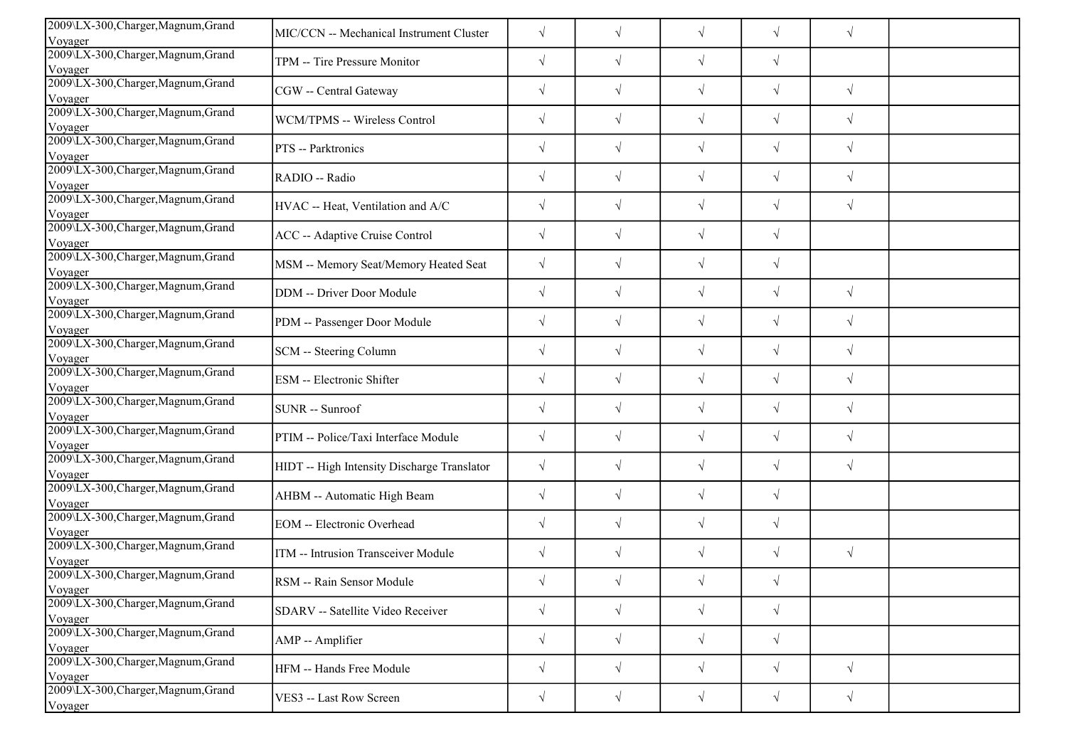| 2009\LX-300, Charger, Magnum, Grand<br>Voyager            | MIC/CCN -- Mechanical Instrument Cluster    | $\sqrt{}$  | $\sqrt{ }$ | $\sqrt{ }$ | $\sqrt{ }$ | $\sqrt{}$  |  |
|-----------------------------------------------------------|---------------------------------------------|------------|------------|------------|------------|------------|--|
| 2009\LX-300, Charger, Magnum, Grand                       | TPM -- Tire Pressure Monitor                | $\sqrt{}$  | $\sqrt{ }$ | $\sqrt{ }$ | $\sqrt{ }$ |            |  |
| Voyager<br>2009\LX-300, Charger, Magnum, Grand            | CGW -- Central Gateway                      | $\sqrt{}$  | $\sqrt{}$  | $\sqrt{}$  | $\sqrt{ }$ | $\sqrt{}$  |  |
| Voyager<br>2009\LX-300, Charger, Magnum, Grand            | WCM/TPMS -- Wireless Control                | $\sqrt{}$  | $\sqrt{}$  | $\sqrt{ }$ | $\sqrt{ }$ | $\sqrt{ }$ |  |
| Voyager<br>2009\LX-300, Charger, Magnum, Grand            | PTS -- Parktronics                          | $\sqrt{}$  | $\sqrt{}$  | $\sqrt{}$  | $\sqrt{ }$ | $\sqrt{ }$ |  |
| Voyager<br>2009\LX-300, Charger, Magnum, Grand            |                                             |            |            |            |            |            |  |
| Voyager                                                   | RADIO -- Radio                              | $\sqrt{}$  | $\sqrt{ }$ | $\sqrt{ }$ | $\sqrt{ }$ | $\sqrt{ }$ |  |
| 2009\LX-300, Charger, Magnum, Grand<br>Voyager            | HVAC -- Heat, Ventilation and A/C           | $\sqrt{}$  | $\sqrt{ }$ | $\sqrt{}$  | $\sqrt{ }$ | $\sqrt{}$  |  |
| 2009\LX-300, Charger, Magnum, Grand<br>Voyager            | ACC -- Adaptive Cruise Control              | $\sqrt{}$  | $\sqrt{ }$ | $\sqrt{}$  | $\sqrt{ }$ |            |  |
| 2009\LX-300, Charger, Magnum, Grand<br>Voyager            | MSM -- Memory Seat/Memory Heated Seat       | $\sqrt{}$  | $\sqrt{ }$ | $\sqrt{}$  | $\sqrt{ }$ |            |  |
| 2009\LX-300, Charger, Magnum, Grand<br>Voyager            | <b>DDM</b> -- Driver Door Module            | $\sqrt{}$  | $\sqrt{ }$ | $\sqrt{ }$ | $\sqrt{ }$ | $\sqrt{}$  |  |
| 2009\LX-300, Charger, Magnum, Grand<br>Voyager            | PDM -- Passenger Door Module                | $\sqrt{}$  | $\sqrt{ }$ | $\sqrt{ }$ | $\sqrt{ }$ | $\sqrt{}$  |  |
| 2009\LX-300, Charger, Magnum, Grand<br>Voyager            | SCM -- Steering Column                      | $\sqrt{}$  | $\sqrt{ }$ | $\sqrt{ }$ | $\sqrt{ }$ | $\sqrt{}$  |  |
| 2009\LX-300, Charger, Magnum, Grand<br>Voyager            | ESM -- Electronic Shifter                   | $\sqrt{}$  | $\sqrt{}$  | $\sqrt{ }$ | $\sqrt{ }$ | $\sqrt{}$  |  |
| 2009\LX-300, Charger, Magnum, Grand<br>Voyager            | SUNR -- Sunroof                             | $\sqrt{}$  | $\sqrt{}$  | $\sqrt{ }$ | $\sqrt{ }$ | $\sqrt{}$  |  |
| 2009\LX-300, Charger, Magnum, Grand<br>Voyager            | PTIM -- Police/Taxi Interface Module        | $\sqrt{}$  | $\sqrt{}$  | $\sqrt{ }$ | $\sqrt{ }$ | $\sqrt{}$  |  |
| 2009\LX-300, Charger, Magnum, Grand<br>Voyager            | HIDT -- High Intensity Discharge Translator | $\sqrt{ }$ | $\sqrt{ }$ | $\sqrt{ }$ | $\sqrt{}$  | $\sqrt{ }$ |  |
| 2009\LX-300, Charger, Magnum, Grand                       | AHBM -- Automatic High Beam                 | $\sqrt{}$  | $\sqrt{ }$ | $\sqrt{ }$ | $\sqrt{ }$ |            |  |
| Voyager<br>2009\LX-300, Charger, Magnum, Grand<br>Voyager | <b>EOM</b> -- Electronic Overhead           | $\sqrt{}$  | $\sqrt{}$  | $\sqrt{ }$ | $\sqrt{ }$ |            |  |
| 2009\LX-300, Charger, Magnum, Grand<br>Voyager            | ITM -- Intrusion Transceiver Module         | $\sqrt{}$  | $\sqrt{ }$ | $\sqrt{ }$ | $\sqrt{ }$ | $\sqrt{}$  |  |
| 2009\LX-300, Charger, Magnum, Grand                       | RSM -- Rain Sensor Module                   | $\sqrt{ }$ | $\sqrt{}$  | $\sqrt{}$  | $\sqrt{ }$ |            |  |
| Voyager<br>2009\LX-300, Charger, Magnum, Grand            | SDARV -- Satellite Video Receiver           | $\sqrt{}$  | $\sqrt{ }$ | $\sqrt{ }$ | $\sqrt{ }$ |            |  |
| Voyager<br>2009\LX-300, Charger, Magnum, Grand            | AMP -- Amplifier                            | $\sqrt{}$  | $\sqrt{ }$ | $\sqrt{ }$ | $\sqrt{ }$ |            |  |
| Voyager<br>2009\LX-300, Charger, Magnum, Grand            | HFM -- Hands Free Module                    | $\sqrt{}$  | $\sqrt{ }$ | $\sqrt{}$  | $\sqrt{ }$ | $\sqrt{}$  |  |
| Voyager<br>2009\LX-300, Charger, Magnum, Grand            | VES3 -- Last Row Screen                     | $\sqrt{}$  | $\sqrt{ }$ | $\sqrt{ }$ | $\sqrt{ }$ | $\sqrt{}$  |  |
| Voyager                                                   |                                             |            |            |            |            |            |  |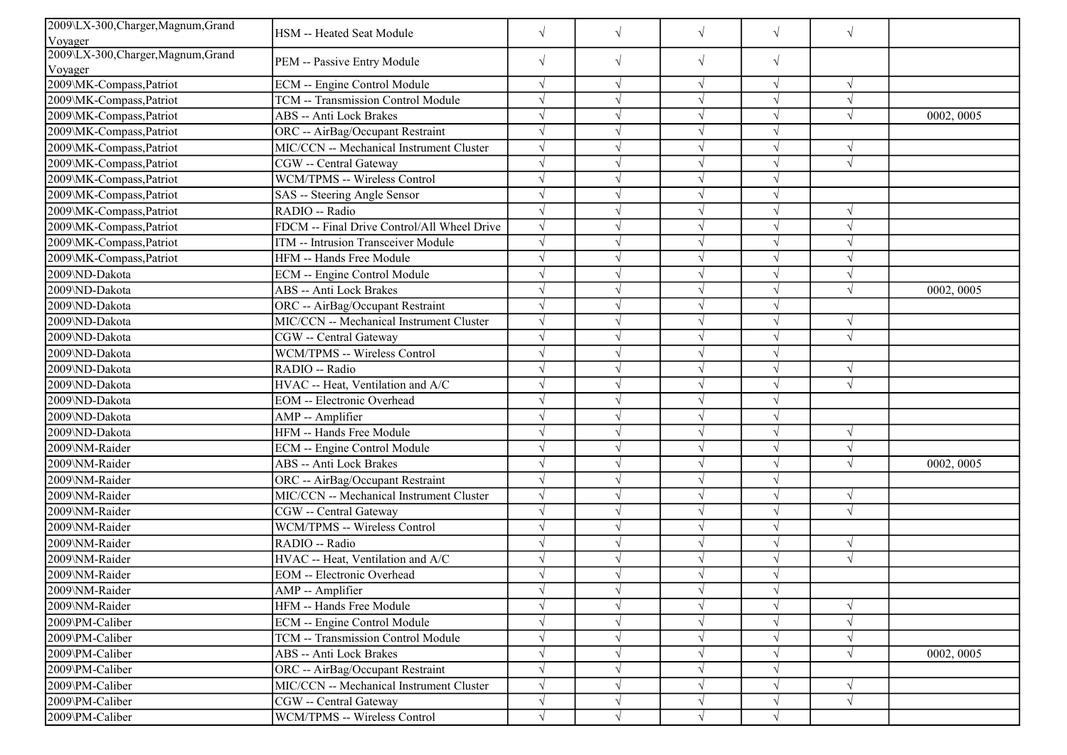| 2009\LX-300, Charger, Magnum, Grand            | HSM -- Heated Seat Module                   | $\sqrt{ }$ | $\sqrt{}$ | $\sqrt{}$     | $\sqrt{}$  | $\sqrt{ }$ |            |
|------------------------------------------------|---------------------------------------------|------------|-----------|---------------|------------|------------|------------|
| Voyager<br>2009\LX-300, Charger, Magnum, Grand |                                             |            |           |               |            |            |            |
| Voyager                                        | PEM -- Passive Entry Module                 | $\sqrt{}$  | $\sqrt{}$ | $\sqrt{}$     | $\sqrt{}$  |            |            |
| 2009\MK-Compass,Patriot                        | ECM -- Engine Control Module                | $\sqrt{ }$ | $\sqrt{}$ | $\sqrt{ }$    | $\sqrt{}$  | $\sqrt{ }$ |            |
| 2009\MK-Compass,Patriot                        | TCM -- Transmission Control Module          | $\sqrt{ }$ |           |               |            | $\sqrt{ }$ |            |
| 2009\MK-Compass,Patriot                        | <b>ABS</b> -- Anti Lock Brakes              | $\sqrt{ }$ |           |               |            | $\sqrt{ }$ | 0002, 0005 |
| 2009\MK-Compass,Patriot                        | ORC -- AirBag/Occupant Restraint            | $\sqrt{ }$ |           | $\mathcal{L}$ | $\sqrt{}$  |            |            |
| 2009\MK-Compass,Patriot                        | MIC/CCN -- Mechanical Instrument Cluster    | $\sqrt{ }$ |           | $\mathcal{L}$ | $\sqrt{}$  | $\lambda$  |            |
| 2009\MK-Compass,Patriot                        | CGW -- Central Gateway                      | $\sqrt{ }$ |           |               | $\sqrt{}$  | $\sqrt{ }$ |            |
| 2009\MK-Compass,Patriot                        | WCM/TPMS -- Wireless Control                | $\sqrt{ }$ |           | $\sqrt{ }$    |            |            |            |
| 2009\MK-Compass, Patriot                       | SAS -- Steering Angle Sensor                | $\sqrt{ }$ |           |               |            |            |            |
| 2009\MK-Compass, Patriot                       | RADIO -- Radio                              | $\sqrt{ }$ |           |               |            | $\sqrt{ }$ |            |
| 2009\MK-Compass,Patriot                        | FDCM -- Final Drive Control/All Wheel Drive | $\sqrt{ }$ |           |               | V          |            |            |
| 2009\MK-Compass,Patriot                        | ITM -- Intrusion Transceiver Module         | $\sqrt{ }$ |           | N             | $\sqrt{}$  |            |            |
| 2009\MK-Compass,Patriot                        | HFM -- Hands Free Module                    | $\sqrt{ }$ |           | $\sqrt{ }$    | $\sqrt{}$  | $\sqrt{ }$ |            |
| 2009\ND-Dakota                                 | <b>ECM</b> -- Engine Control Module         | $\sqrt{ }$ |           | $\sqrt{ }$    | $\sqrt{}$  | $\sqrt{ }$ |            |
| 2009\ND-Dakota                                 | ABS -- Anti Lock Brakes                     | $\sqrt{ }$ |           |               |            | $\sqrt{ }$ | 0002, 0005 |
| 2009\ND-Dakota                                 | ORC -- AirBag/Occupant Restraint            | $\sqrt{ }$ |           |               | $\sqrt{ }$ |            |            |
| 2009\ND-Dakota                                 | MIC/CCN -- Mechanical Instrument Cluster    | $\sqrt{ }$ |           |               |            | $\sqrt{ }$ |            |
| 2009\ND-Dakota                                 | CGW -- Central Gateway                      | $\sqrt{ }$ |           |               | $\sqrt{}$  | $\sqrt{ }$ |            |
| 2009\ND-Dakota                                 | WCM/TPMS -- Wireless Control                | $\sqrt{}$  |           | $\sqrt{ }$    | V          |            |            |
| 2009\ND-Dakota                                 | RADIO -- Radio                              | $\sqrt{ }$ |           | $\sqrt{ }$    | $\sqrt{ }$ | $\sqrt{ }$ |            |
| 2009\ND-Dakota                                 | HVAC -- Heat, Ventilation and A/C           | $\sqrt{ }$ |           |               |            | $\sqrt{ }$ |            |
| 2009\ND-Dakota                                 | <b>EOM</b> -- Electronic Overhead           | $\sqrt{ }$ |           |               |            |            |            |
| 2009\ND-Dakota                                 | AMP -- Amplifier                            | $\sqrt{ }$ |           |               |            |            |            |
| 2009\ND-Dakota                                 | HFM -- Hands Free Module                    | $\sqrt{ }$ |           | $\sqrt{ }$    | $\sqrt{}$  | $\sqrt{ }$ |            |
| 2009\NM-Raider                                 | ECM -- Engine Control Module                | $\sqrt{ }$ |           | N             | V          | $\sqrt{ }$ |            |
| 2009\NM-Raider                                 | ABS -- Anti Lock Brakes                     | $\sqrt{ }$ |           | $\sqrt{ }$    | $\sqrt{}$  | $\sqrt{ }$ | 0002, 0005 |
| 2009\NM-Raider                                 | ORC -- AirBag/Occupant Restraint            | $\sqrt{ }$ |           | $\sqrt{ }$    | $\sqrt{}$  |            |            |
| 2009\NM-Raider                                 | MIC/CCN -- Mechanical Instrument Cluster    | $\sqrt{ }$ |           |               |            | $\sqrt{ }$ |            |
| 2009\NM-Raider                                 | CGW -- Central Gateway                      | $\sqrt{ }$ |           | N             |            | $\sqrt{ }$ |            |
| 2009\NM-Raider                                 | <b>WCM/TPMS -- Wireless Control</b>         | $\sqrt{ }$ |           | $\sqrt{ }$    | $\sqrt{}$  |            |            |
| 2009\NM-Raider                                 | RADIO -- Radio                              | $\sqrt{ }$ |           |               |            | $\sqrt{ }$ |            |
| 2009\NM-Raider                                 | HVAC -- Heat, Ventilation and A/C           | $\sqrt{}$  |           | N             |            | $\sqrt{ }$ |            |
| 2009\NM-Raider                                 | <b>EOM</b> -- Electronic Overhead           | $\sqrt{}$  |           |               |            |            |            |
| 2009\NM-Raider                                 | AMP -- Amplifier                            | $\sqrt{ }$ |           |               | V          |            |            |
| 2009\NM-Raider                                 | HFM -- Hands Free Module                    | $\sqrt{}$  |           |               |            | $\sqrt{ }$ |            |
| 2009\PM-Caliber                                | ECM -- Engine Control Module                | $\sqrt{ }$ |           |               |            |            |            |
| 2009\PM-Caliber                                | TCM -- Transmission Control Module          | $\sqrt{}$  |           |               |            |            |            |
| 2009\PM-Caliber                                | ABS -- Anti Lock Brakes                     | $\sqrt{ }$ |           | V             | $\sqrt{}$  | $\sqrt{ }$ | 0002, 0005 |
| 2009\PM-Caliber                                | ORC -- AirBag/Occupant Restraint            | $\sqrt{ }$ |           |               |            |            |            |
| 2009\PM-Caliber                                | MIC/CCN -- Mechanical Instrument Cluster    | $\sqrt{}$  |           |               | V          | $\sqrt{ }$ |            |
| 2009\PM-Caliber                                | CGW -- Central Gateway                      | $\sqrt{}$  | V         | $\sqrt{}$     | $\sqrt{}$  | $\sqrt{ }$ |            |
| 2009\PM-Caliber                                | WCM/TPMS -- Wireless Control                | $\sqrt{ }$ |           |               | V          |            |            |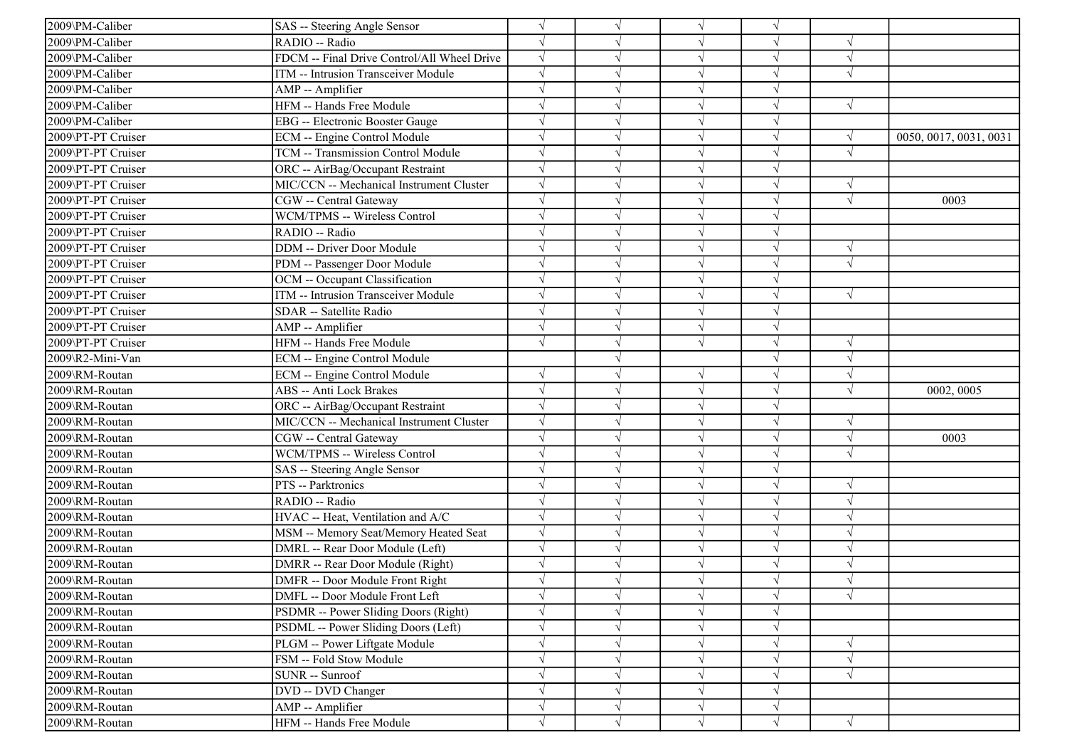| 2009\PM-Caliber    | SAS -- Steering Angle Sensor                | $\sqrt{ }$ |            |            |            |            |                        |
|--------------------|---------------------------------------------|------------|------------|------------|------------|------------|------------------------|
| 2009\PM-Caliber    | RADIO -- Radio                              | $\sqrt{ }$ |            | $\sqrt{ }$ | $\sqrt{ }$ |            |                        |
| 2009\PM-Caliber    | FDCM -- Final Drive Control/All Wheel Drive | $\sqrt{ }$ |            | $\sqrt{}$  |            | $\sqrt{ }$ |                        |
| 2009\PM-Caliber    | ITM -- Intrusion Transceiver Module         | $\sqrt{ }$ |            |            |            |            |                        |
| 2009\PM-Caliber    | AMP -- Amplifier                            | $\sqrt{ }$ |            | $\sqrt{ }$ |            |            |                        |
| 2009\PM-Caliber    | HFM -- Hands Free Module                    | $\sqrt{ }$ |            |            |            | $\sqrt{ }$ |                        |
| 2009\PM-Caliber    | EBG -- Electronic Booster Gauge             | $\sqrt{ }$ |            |            |            |            |                        |
| 2009\PT-PT Cruiser | <b>ECM -- Engine Control Module</b>         | $\sqrt{ }$ |            |            | $\sqrt{}$  | $\sqrt{ }$ | 0050, 0017, 0031, 0031 |
| 2009\PT-PT Cruiser | TCM -- Transmission Control Module          | $\sqrt{ }$ | ٦l         | $\sqrt{ }$ |            | $\sqrt{ }$ |                        |
| 2009\PT-PT Cruiser | ORC -- AirBag/Occupant Restraint            | $\sqrt{ }$ |            |            |            |            |                        |
| 2009\PT-PT Cruiser | MIC/CCN -- Mechanical Instrument Cluster    | $\sqrt{ }$ |            |            |            | $\sqrt{ }$ |                        |
| 2009\PT-PT Cruiser | CGW -- Central Gateway                      | $\sqrt{ }$ |            |            |            | $\sqrt{ }$ | 0003                   |
| 2009\PT-PT Cruiser | WCM/TPMS -- Wireless Control                | $\sqrt{}$  | V          |            |            |            |                        |
| 2009\PT-PT Cruiser | RADIO -- Radio                              | $\sqrt{ }$ | J          | $\sqrt{ }$ | J          |            |                        |
| 2009\PT-PT Cruiser | DDM -- Driver Door Module                   | $\sqrt{ }$ |            | $\sqrt{ }$ |            | $\sqrt{ }$ |                        |
| 2009\PT-PT Cruiser | PDM -- Passenger Door Module                | $\sqrt{ }$ |            |            |            | $\sqrt{}$  |                        |
| 2009\PT-PT Cruiser | OCM -- Occupant Classification              | $\sqrt{ }$ |            |            |            |            |                        |
| 2009\PT-PT Cruiser | ITM -- Intrusion Transceiver Module         | $\sqrt{ }$ |            |            |            | $\sqrt{ }$ |                        |
| 2009\PT-PT Cruiser | SDAR -- Satellite Radio                     | $\sqrt{ }$ | V          |            |            |            |                        |
| 2009\PT-PT Cruiser | AMP -- Amplifier                            | $\sqrt{ }$ | V          | $\sqrt{ }$ | $\sqrt{ }$ |            |                        |
| 2009\PT-PT Cruiser | HFM -- Hands Free Module                    | $\sqrt{ }$ |            | $\sqrt{ }$ | $\sqrt{ }$ | $\sqrt{ }$ |                        |
| 2009\R2-Mini-Van   | ECM -- Engine Control Module                |            |            |            |            | $\sqrt{ }$ |                        |
| 2009\RM-Routan     | <b>ECM</b> -- Engine Control Module         | $\sqrt{ }$ |            |            |            | $\sqrt{ }$ |                        |
| 2009\RM-Routan     | <b>ABS</b> -- Anti Lock Brakes              | $\sqrt{ }$ |            | $\sqrt{ }$ |            | $\sqrt{ }$ | 0002, 0005             |
| 2009\RM-Routan     | ORC -- AirBag/Occupant Restraint            | $\sqrt{ }$ |            | $\sqrt{ }$ | $\sqrt{ }$ |            |                        |
| 2009\RM-Routan     | MIC/CCN -- Mechanical Instrument Cluster    | $\sqrt{ }$ |            |            |            |            |                        |
| 2009\RM-Routan     | CGW -- Central Gateway                      | $\sqrt{ }$ |            | $\sqrt{ }$ | J          | $\sqrt{ }$ | 0003                   |
| 2009\RM-Routan     | WCM/TPMS -- Wireless Control                | $\sqrt{}$  |            | $\sqrt{}$  |            | $\sqrt{}$  |                        |
| 2009\RM-Routan     | SAS -- Steering Angle Sensor                | $\sqrt{ }$ |            |            |            |            |                        |
| 2009\RM-Routan     | PTS -- Parktronics                          | $\sqrt{ }$ |            | $\sqrt{ }$ |            | $\sqrt{}$  |                        |
| 2009\RM-Routan     | RADIO -- Radio                              | $\sqrt{ }$ |            | $\sqrt{ }$ |            |            |                        |
| 2009\RM-Routan     | HVAC -- Heat, Ventilation and A/C           | $\sqrt{ }$ | V          |            |            |            |                        |
| 2009\RM-Routan     | MSM -- Memory Seat/Memory Heated Seat       | $\sqrt{}$  |            | $\sqrt{ }$ |            |            |                        |
| 2009\RM-Routan     | DMRL -- Rear Door Module (Left)             | $\sqrt{ }$ |            | $\sqrt{}$  |            | $\sqrt{ }$ |                        |
| 2009\RM-Routan     | DMRR -- Rear Door Module (Right)            | $\sqrt{ }$ |            |            |            |            |                        |
| 2009\RM-Routan     | DMFR -- Door Module Front Right             |            |            |            |            |            |                        |
| 2009\RM-Routan     | DMFL -- Door Module Front Left              | $\sqrt{}$  | $\sqrt{ }$ | $\sqrt{}$  | $\sqrt{}$  | $\sqrt{ }$ |                        |
| 2009\RM-Routan     | PSDMR -- Power Sliding Doors (Right)        | $\sqrt{ }$ |            |            |            |            |                        |
| 2009\RM-Routan     | PSDML -- Power Sliding Doors (Left)         | $\sqrt{}$  |            | $\sqrt{ }$ |            |            |                        |
| 2009\RM-Routan     | PLGM -- Power Liftgate Module               | $\sqrt{ }$ |            | $\sqrt{ }$ |            | $\sqrt{}$  |                        |
| 2009\RM-Routan     | FSM -- Fold Stow Module                     | $\sqrt{}$  |            |            |            |            |                        |
| 2009\RM-Routan     | <b>SUNR</b> -- Sunroof                      | $\sqrt{}$  |            | $\sqrt{ }$ |            | $\sqrt{ }$ |                        |
| 2009\RM-Routan     | DVD -- DVD Changer                          | $\sqrt{}$  |            | $\sqrt{ }$ |            |            |                        |
| 2009\RM-Routan     | AMP -- Amplifier                            | $\sqrt{ }$ | V          | $\sqrt{}$  | $\sqrt{}$  |            |                        |
| 2009\RM-Routan     | HFM -- Hands Free Module                    | $\sqrt{ }$ | $\sqrt{ }$ |            | $\sqrt{}$  | $\sqrt{ }$ |                        |
|                    |                                             |            |            |            |            |            |                        |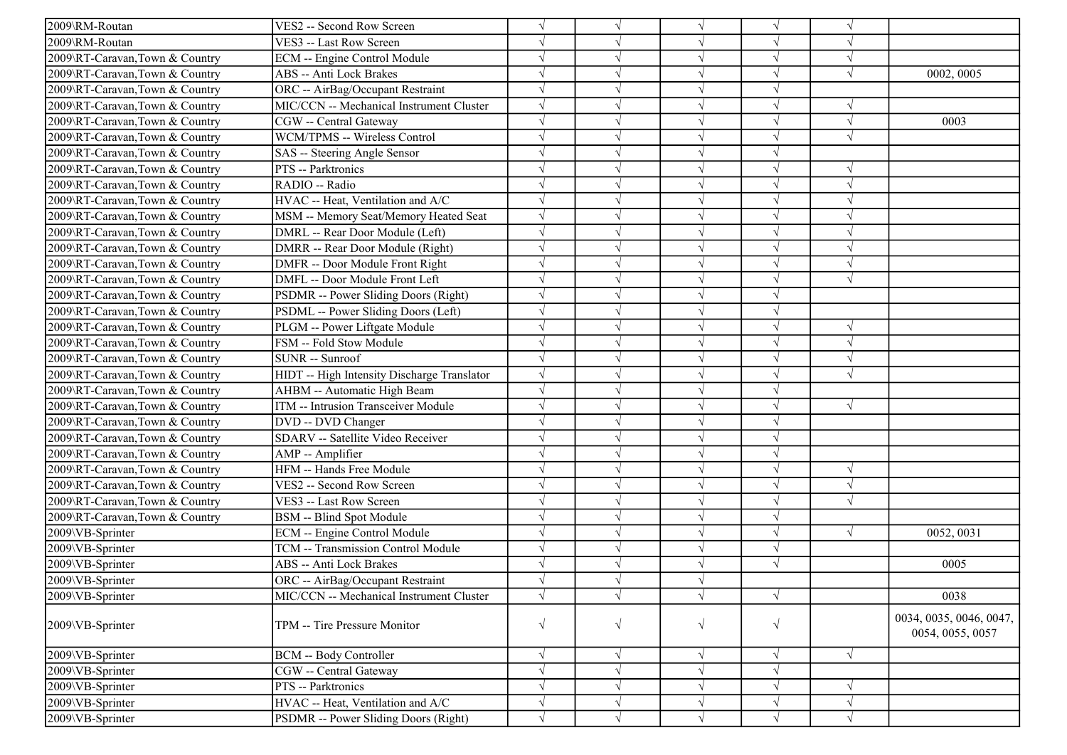| 2009\RM-Routan                 | VES2 -- Second Row Screen                   | $\sqrt{}$  |            | $\sqrt{ }$ | $\sqrt{ }$ | $\sqrt{ }$ |                                             |
|--------------------------------|---------------------------------------------|------------|------------|------------|------------|------------|---------------------------------------------|
| 2009\RM-Routan                 | VES3 -- Last Row Screen                     |            |            | $\sqrt{}$  | J          | $\sqrt{ }$ |                                             |
| 2009\RT-Caravan,Town & Country | ECM -- Engine Control Module                |            |            | $\sqrt{}$  |            |            |                                             |
| 2009\RT-Caravan,Town & Country | <b>ABS</b> -- Anti Lock Brakes              | $\sqrt{}$  |            | $\sqrt{}$  |            | $\sqrt{ }$ | 0002, 0005                                  |
| 2009\RT-Caravan,Town & Country | ORC -- AirBag/Occupant Restraint            | $\sqrt{}$  |            | $\sqrt{}$  |            |            |                                             |
| 2009\RT-Caravan,Town & Country | MIC/CCN -- Mechanical Instrument Cluster    | $\sqrt{ }$ |            | $\sqrt{}$  | J          | $\sqrt{ }$ |                                             |
| 2009\RT-Caravan,Town & Country | CGW -- Central Gateway                      | $\sqrt{ }$ |            | $\sqrt{ }$ | J          | $\sqrt{ }$ | 0003                                        |
| 2009\RT-Caravan,Town & Country | WCM/TPMS -- Wireless Control                | $\sqrt{}$  |            | $\sqrt{ }$ | J          | $\sqrt{ }$ |                                             |
| 2009\RT-Caravan,Town & Country | SAS -- Steering Angle Sensor                |            |            | $\sqrt{ }$ |            |            |                                             |
| 2009\RT-Caravan,Town & Country | PTS -- Parktronics                          |            |            | $\sqrt{}$  |            | $\sqrt{ }$ |                                             |
| 2009\RT-Caravan,Town & Country | RADIO -- Radio                              |            |            | V          |            | $\sqrt{ }$ |                                             |
| 2009\RT-Caravan,Town & Country | HVAC -- Heat, Ventilation and A/C           |            |            | $\sqrt{}$  | V          | $\sqrt{ }$ |                                             |
| 2009\RT-Caravan,Town & Country | MSM -- Memory Seat/Memory Heated Seat       | $\sqrt{}$  |            | $\sqrt{ }$ | V          | $\sqrt{ }$ |                                             |
| 2009\RT-Caravan,Town & Country | DMRL -- Rear Door Module (Left)             | $\sqrt{}$  |            | $\sqrt{ }$ | J          | $\sqrt{ }$ |                                             |
| 2009\RT-Caravan,Town & Country | DMRR -- Rear Door Module (Right)            | $\sqrt{}$  |            | $\sqrt{}$  | J          | $\sqrt{ }$ |                                             |
| 2009\RT-Caravan,Town & Country | DMFR -- Door Module Front Right             |            |            | $\sqrt{}$  |            | $\sqrt{ }$ |                                             |
| 2009\RT-Caravan,Town & Country | DMFL -- Door Module Front Left              |            |            | $\sqrt{}$  |            | $\sqrt{ }$ |                                             |
| 2009\RT-Caravan,Town & Country | PSDMR -- Power Sliding Doors (Right)        | $\sqrt{ }$ |            | $\sqrt{}$  | J          |            |                                             |
| 2009\RT-Caravan,Town & Country | PSDML -- Power Sliding Doors (Left)         | $\sqrt{ }$ |            | $\sqrt{ }$ | V          |            |                                             |
| 2009\RT-Caravan,Town & Country | PLGM -- Power Liftgate Module               | $\sqrt{ }$ |            | $\sqrt{ }$ | $\sqrt{}$  | $\sqrt{ }$ |                                             |
| 2009\RT-Caravan,Town & Country | FSM -- Fold Stow Module                     | $\sqrt{ }$ |            | $\sqrt{ }$ | $\sqrt{ }$ | $\sqrt{ }$ |                                             |
| 2009\RT-Caravan,Town & Country | SUNR -- Sunroof                             |            |            | $\sqrt{ }$ |            | $\sqrt{ }$ |                                             |
| 2009\RT-Caravan,Town & Country | HIDT -- High Intensity Discharge Translator | $\sqrt{}$  |            | $\sqrt{}$  |            | $\sqrt{ }$ |                                             |
| 2009\RT-Caravan,Town & Country | AHBM -- Automatic High Beam                 | $\sqrt{}$  |            | $\sqrt{ }$ | V          |            |                                             |
| 2009\RT-Caravan,Town & Country | ITM -- Intrusion Transceiver Module         |            |            | $\sqrt{ }$ | V          | $\sqrt{ }$ |                                             |
| 2009\RT-Caravan,Town & Country | DVD -- DVD Changer                          |            |            | $\sqrt{}$  | V          |            |                                             |
| 2009\RT-Caravan,Town & Country | SDARV -- Satellite Video Receiver           | $\sqrt{}$  |            | $\sqrt{ }$ | $\sqrt{}$  |            |                                             |
| 2009\RT-Caravan,Town & Country | AMP -- Amplifier                            |            |            | $\sqrt{ }$ |            |            |                                             |
| 2009\RT-Caravan,Town & Country | HFM -- Hands Free Module                    | $\sqrt{}$  |            | $\sqrt{}$  |            | $\sqrt{ }$ |                                             |
| 2009\RT-Caravan,Town & Country | VES2 -- Second Row Screen                   | $\sqrt{}$  |            | $\sqrt{}$  | J          | $\sqrt{ }$ |                                             |
| 2009\RT-Caravan,Town & Country | VES3 -- Last Row Screen                     | $\sqrt{}$  |            | $\sqrt{}$  | J          | $\sqrt{ }$ |                                             |
| 2009\RT-Caravan,Town & Country | <b>BSM</b> -- Blind Spot Module             | $\sqrt{}$  |            | $\sqrt{ }$ | $\sqrt{}$  |            |                                             |
| 2009\VB-Sprinter               | ECM -- Engine Control Module                | $\sqrt{ }$ |            | $\sqrt{ }$ | $\sqrt{ }$ | $\sqrt{ }$ | 0052, 0031                                  |
| 2009\VB-Sprinter               | TCM -- Transmission Control Module          |            |            | $\sqrt{}$  | J          |            |                                             |
| 2009\VB-Sprinter               | <b>ABS</b> -- Anti Lock Brakes              |            |            | V          | $\sqrt{ }$ |            | 0005                                        |
| 2009\VB-Sprinter               | ORC -- AirBag/Occupant Restraint            |            |            |            |            |            |                                             |
| 2009\VB-Sprinter               | MIC/CCN -- Mechanical Instrument Cluster    | $\sqrt{}$  | $\sqrt{}$  | $\sqrt{}$  | $\sqrt{}$  |            | 0038                                        |
| 2009\VB-Sprinter               | TPM -- Tire Pressure Monitor                | $\sqrt{}$  | $\sqrt{}$  | $\sqrt{}$  | $\sqrt{}$  |            | 0034, 0035, 0046, 0047,<br>0054, 0055, 0057 |
| 2009\VB-Sprinter               | <b>BCM</b> -- Body Controller               | $\sqrt{}$  | $\sqrt{ }$ | $\sqrt{}$  | $\sqrt{ }$ | $\sqrt{ }$ |                                             |
| 2009\VB-Sprinter               | CGW -- Central Gateway                      | $\sqrt{ }$ | $\sqrt{ }$ | $\sqrt{}$  | $\sqrt{ }$ |            |                                             |
| 2009\VB-Sprinter               | PTS -- Parktronics                          | $\sqrt{}$  | V          | $\sqrt{}$  | $\sqrt{}$  | $\sqrt{}$  |                                             |
| 2009\VB-Sprinter               | HVAC -- Heat, Ventilation and A/C           | $\sqrt{}$  | V          | $\sqrt{}$  | $\sqrt{}$  | $\sqrt{ }$ |                                             |
| 2009\VB-Sprinter               | PSDMR -- Power Sliding Doors (Right)        | $\sqrt{}$  | $\sqrt{ }$ | $\sqrt{}$  | $\sqrt{}$  | $\sqrt{ }$ |                                             |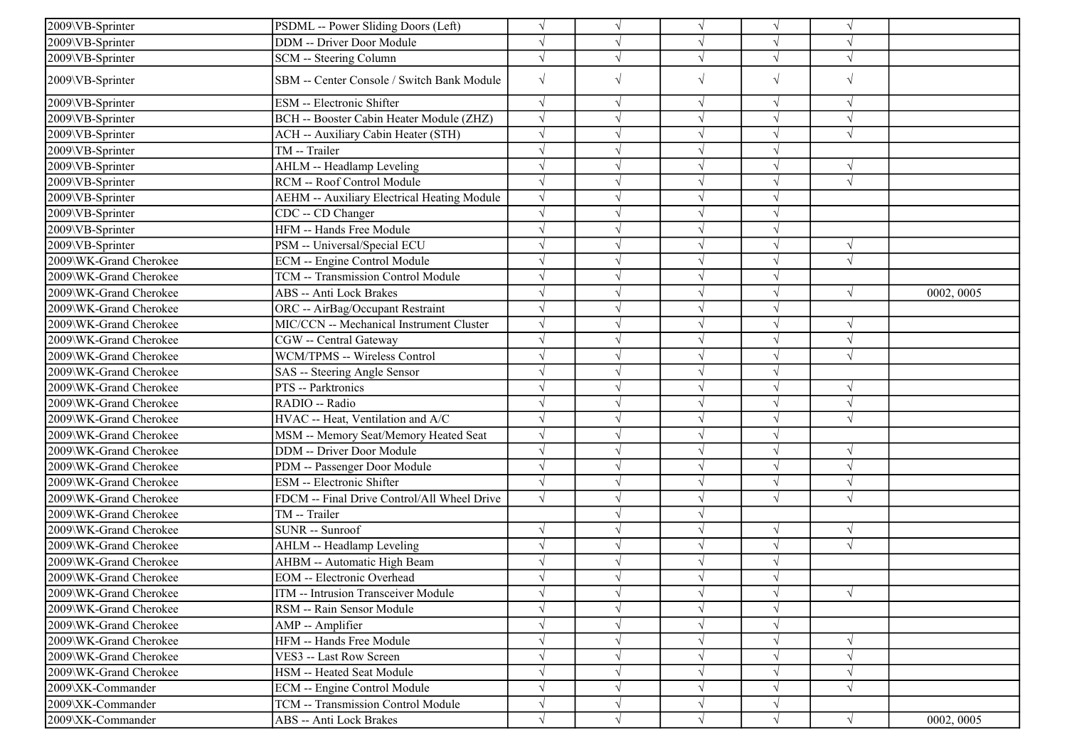| 2009\VB-Sprinter       | PSDML -- Power Sliding Doors (Left)                | $\sqrt{ }$ | $\sqrt{ }$ | $\sqrt{}$  | $\sqrt{ }$ | $\sqrt{ }$ |            |
|------------------------|----------------------------------------------------|------------|------------|------------|------------|------------|------------|
| 2009\VB-Sprinter       | DDM -- Driver Door Module                          | $\sqrt{ }$ | V          | $\sqrt{ }$ | $\sqrt{ }$ | $\sqrt{ }$ |            |
| 2009\VB-Sprinter       | SCM -- Steering Column                             | $\sqrt{ }$ | $\sqrt{}$  | $\sqrt{ }$ | $\sqrt{ }$ | $\sqrt{ }$ |            |
| 2009\VB-Sprinter       | SBM -- Center Console / Switch Bank Module         | $\sqrt{ }$ | $\sqrt{}$  | $\sqrt{ }$ | $\sqrt{ }$ | $\sqrt{ }$ |            |
| 2009\VB-Sprinter       | ESM -- Electronic Shifter                          | $\sqrt{ }$ | V          | $\sqrt{ }$ | $\sqrt{ }$ | V          |            |
| 2009\VB-Sprinter       | BCH -- Booster Cabin Heater Module (ZHZ)           | $\sqrt{ }$ | $\sqrt{}$  | $\sqrt{ }$ | $\sqrt{ }$ | $\sqrt{ }$ |            |
| 2009\VB-Sprinter       | ACH -- Auxiliary Cabin Heater (STH)                | $\sqrt{}$  | $\sqrt{}$  | $\sqrt{}$  | $\sqrt{}$  | $\sqrt{ }$ |            |
| 2009\VB-Sprinter       | TM -- Trailer                                      | $\sqrt{ }$ |            |            |            |            |            |
| 2009\VB-Sprinter       | AHLM -- Headlamp Leveling                          | $\sqrt{ }$ |            | $\sqrt{ }$ | $\sqrt{}$  | $\sqrt{ }$ |            |
| 2009\VB-Sprinter       | RCM -- Roof Control Module                         | $\sqrt{ }$ |            | $\sqrt{ }$ | $\sqrt{}$  | $\sqrt{ }$ |            |
| 2009\VB-Sprinter       | <b>AEHM -- Auxiliary Electrical Heating Module</b> | $\sqrt{ }$ | $\sqrt{}$  | $\sqrt{ }$ | $\sqrt{}$  |            |            |
| 2009\VB-Sprinter       | CDC -- CD Changer                                  | $\sqrt{ }$ | $\sqrt{}$  | $\sqrt{ }$ | $\sqrt{ }$ |            |            |
| 2009\VB-Sprinter       | HFM -- Hands Free Module                           | $\sqrt{ }$ | $\sqrt{}$  | $\sqrt{ }$ | $\sqrt{ }$ |            |            |
| 2009\VB-Sprinter       | PSM -- Universal/Special ECU                       | $\sqrt{ }$ |            | $\sqrt{ }$ | $\sqrt{}$  | $\sqrt{ }$ |            |
| 2009\WK-Grand Cherokee | ECM -- Engine Control Module                       | $\sqrt{ }$ |            | $\sqrt{ }$ | $\sqrt{ }$ | $\sqrt{ }$ |            |
| 2009\WK-Grand Cherokee | TCM -- Transmission Control Module                 | $\sqrt{ }$ |            | $\sqrt{ }$ | $\sqrt{}$  |            |            |
| 2009\WK-Grand Cherokee | ABS -- Anti Lock Brakes                            | $\sqrt{ }$ | $\sqrt{}$  | $\sqrt{ }$ | $\sqrt{}$  | $\sqrt{ }$ | 0002, 0005 |
| 2009\WK-Grand Cherokee | ORC -- AirBag/Occupant Restraint                   | $\sqrt{ }$ | $\sqrt{}$  | $\sqrt{ }$ | $\sqrt{ }$ |            |            |
| 2009\WK-Grand Cherokee | MIC/CCN -- Mechanical Instrument Cluster           | $\sqrt{ }$ | $\sqrt{}$  | $\sqrt{ }$ | $\sqrt{ }$ | $\sqrt{ }$ |            |
| 2009\WK-Grand Cherokee | CGW -- Central Gateway                             | $\sqrt{ }$ |            | $\sqrt{ }$ | $\sqrt{}$  | $\sqrt{}$  |            |
| 2009\WK-Grand Cherokee | WCM/TPMS -- Wireless Control                       | $\sqrt{ }$ |            |            |            | $\sqrt{ }$ |            |
| 2009\WK-Grand Cherokee | SAS -- Steering Angle Sensor                       | $\sqrt{ }$ |            | $\sqrt{ }$ | $\sqrt{}$  |            |            |
| 2009\WK-Grand Cherokee | PTS -- Parktronics                                 | $\sqrt{ }$ | $\sqrt{}$  | $\sqrt{ }$ | $\sqrt{}$  | $\sqrt{ }$ |            |
| 2009\WK-Grand Cherokee | RADIO -- Radio                                     | $\sqrt{ }$ | V          | $\sqrt{ }$ | $\sqrt{ }$ | N          |            |
| 2009\WK-Grand Cherokee | HVAC -- Heat, Ventilation and A/C                  | $\sqrt{ }$ | $\sqrt{}$  | $\sqrt{ }$ | $\sqrt{ }$ | $\sqrt{ }$ |            |
| 2009\WK-Grand Cherokee | MSM -- Memory Seat/Memory Heated Seat              | $\sqrt{ }$ | $\sqrt{}$  | $\sqrt{}$  | $\sqrt{ }$ |            |            |
| 2009\WK-Grand Cherokee | <b>DDM</b> -- Driver Door Module                   | $\sqrt{ }$ | J          | $\sqrt{ }$ | $\sqrt{ }$ | $\sqrt{ }$ |            |
| 2009\WK-Grand Cherokee | PDM -- Passenger Door Module                       | $\sqrt{ }$ |            | $\sqrt{ }$ | $\sqrt{}$  | $\sqrt{ }$ |            |
| 2009\WK-Grand Cherokee | ESM -- Electronic Shifter                          | $\sqrt{ }$ | $\sqrt{}$  | $\sqrt{}$  | $\sqrt{}$  | $\sqrt{ }$ |            |
| 2009\WK-Grand Cherokee | FDCM -- Final Drive Control/All Wheel Drive        | $\sqrt{ }$ | V          | $\sqrt{ }$ | $\sqrt{ }$ | $\sqrt{ }$ |            |
| 2009\WK-Grand Cherokee | TM -- Trailer                                      |            |            | $\sqrt{ }$ |            |            |            |
| 2009\WK-Grand Cherokee | SUNR -- Sunroof                                    | $\sqrt{ }$ | $\sqrt{}$  | $\sqrt{}$  | $\sqrt{}$  | $\sqrt{ }$ |            |
| 2009\WK-Grand Cherokee | AHLM -- Headlamp Leveling                          | $\sqrt{ }$ |            |            |            | $\sqrt{ }$ |            |
| 2009\WK-Grand Cherokee | <b>AHBM -- Automatic High Beam</b>                 | $\sqrt{ }$ |            | $\sqrt{ }$ | $\sqrt{}$  |            |            |
| 2009\WK-Grand Cherokee | <b>EOM</b> -- Electronic Overhead                  | $\sqrt{ }$ |            |            | $\sqrt{ }$ |            |            |
| 2009\WK-Grand Cherokee | ITM -- Intrusion Transceiver Module                | $\sqrt{ }$ | $\sqrt{ }$ | $\sqrt{ }$ | $\sqrt{}$  | $\sqrt{ }$ |            |
| 2009\WK-Grand Cherokee | RSM -- Rain Sensor Module                          | $\sqrt{ }$ |            | $\sqrt{ }$ | $\sqrt{ }$ |            |            |
| 2009\WK-Grand Cherokee | AMP -- Amplifier                                   | $\sqrt{ }$ | $\sqrt{}$  | $\sqrt{ }$ | $\sqrt{}$  |            |            |
| 2009\WK-Grand Cherokee | HFM -- Hands Free Module                           | $\sqrt{ }$ |            |            |            | $\sqrt{ }$ |            |
| 2009\WK-Grand Cherokee | VES3 -- Last Row Screen                            | $\sqrt{ }$ | $\sqrt{}$  | $\sqrt{ }$ | $\sqrt{ }$ | $\sqrt{ }$ |            |
| 2009\WK-Grand Cherokee | HSM -- Heated Seat Module                          | $\sqrt{ }$ | V          | $\sqrt{ }$ | $\sqrt{}$  | $\sqrt{ }$ |            |
| 2009\XK-Commander      | <b>ECM</b> -- Engine Control Module                | $\sqrt{ }$ | V          | $\sqrt{ }$ | $\sqrt{ }$ | $\sqrt{ }$ |            |
| 2009\XK-Commander      | TCM -- Transmission Control Module                 | $\sqrt{}$  | $\sqrt{}$  | $\sqrt{ }$ | $\sqrt{ }$ |            |            |
| 2009\XK-Commander      | ABS -- Anti Lock Brakes                            | $\sqrt{ }$ | $\sqrt{}$  | $\sqrt{ }$ | $\sqrt{ }$ | $\sqrt{ }$ | 0002, 0005 |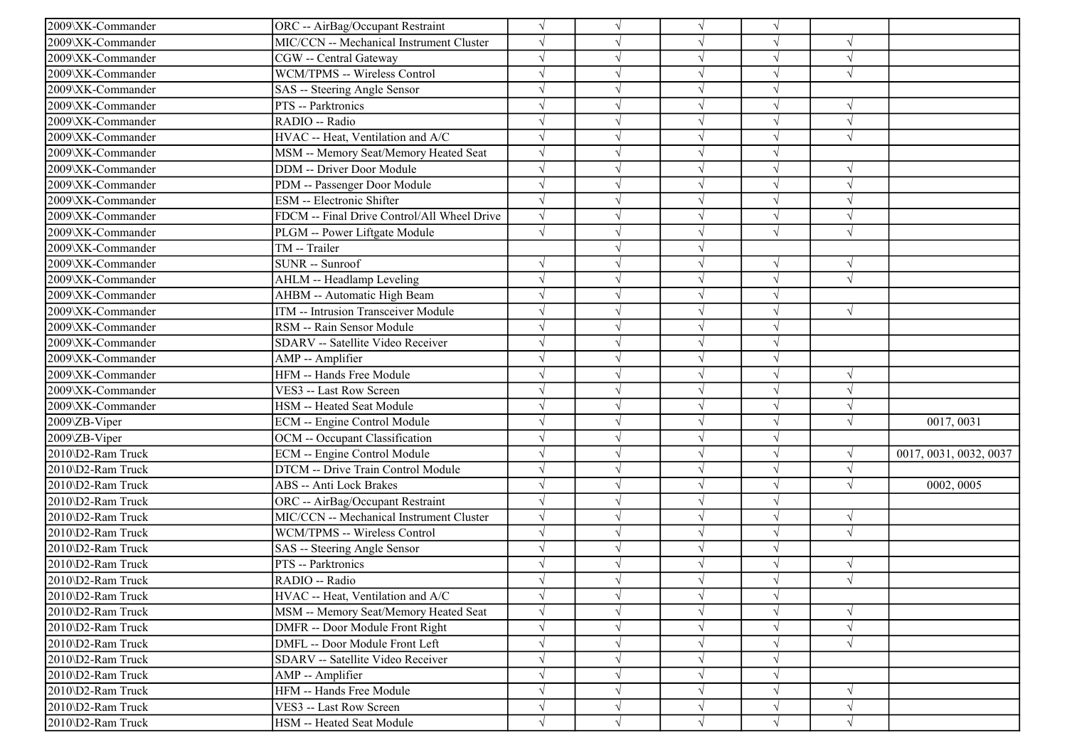| 2009\XK-Commander | ORC -- AirBag/Occupant Restraint            | $\sqrt{ }$ | $\sqrt{}$  | $\sqrt{ }$ | $\sqrt{ }$ |               |                        |
|-------------------|---------------------------------------------|------------|------------|------------|------------|---------------|------------------------|
| 2009\XK-Commander | MIC/CCN -- Mechanical Instrument Cluster    | $\sqrt{ }$ |            |            |            |               |                        |
| 2009\XK-Commander | CGW -- Central Gateway                      | $\sqrt{ }$ |            |            |            |               |                        |
| 2009\XK-Commander | WCM/TPMS -- Wireless Control                | $\sqrt{}$  |            |            |            | $\sqrt{}$     |                        |
| 2009\XK-Commander | SAS -- Steering Angle Sensor                | $\sqrt{ }$ |            |            |            |               |                        |
| 2009\XK-Commander | PTS -- Parktronics                          | $\sqrt{ }$ |            |            |            |               |                        |
| 2009\XK-Commander | RADIO -- Radio                              | $\sqrt{ }$ |            |            |            | $\sqrt{ }$    |                        |
| 2009\XK-Commander | HVAC -- Heat, Ventilation and A/C           | $\sqrt{ }$ |            | $\sqrt{ }$ |            | $\sqrt{ }$    |                        |
| 2009\XK-Commander | MSM -- Memory Seat/Memory Heated Seat       | $\sqrt{ }$ |            |            |            |               |                        |
| 2009\XK-Commander | DDM -- Driver Door Module                   | $\sqrt{ }$ |            |            |            |               |                        |
| 2009\XK-Commander | PDM -- Passenger Door Module                | $\sqrt{ }$ |            |            |            |               |                        |
| 2009\XK-Commander | ESM -- Electronic Shifter                   | $\sqrt{ }$ |            |            |            |               |                        |
| 2009\XK-Commander | FDCM -- Final Drive Control/All Wheel Drive | $\sqrt{ }$ |            |            |            | $\sqrt{ }$    |                        |
| 2009\XK-Commander | PLGM -- Power Liftgate Module               | $\sqrt{ }$ |            | $\sqrt{ }$ | $\sqrt{ }$ | $\sqrt{ }$    |                        |
| 2009\XK-Commander | TM -- Trailer                               |            |            |            |            |               |                        |
| 2009\XK-Commander | SUNR -- Sunroof                             | $\sqrt{ }$ |            |            |            | $\sqrt{ }$    |                        |
| 2009\XK-Commander | AHLM -- Headlamp Leveling                   | $\sqrt{}$  |            |            |            | $\sqrt{}$     |                        |
| 2009\XK-Commander | AHBM -- Automatic High Beam                 | $\sqrt{ }$ |            | $\sqrt{ }$ |            |               |                        |
| 2009\XK-Commander | ITM -- Intrusion Transceiver Module         | $\sqrt{ }$ |            | $\sqrt{ }$ |            | $\sqrt{ }$    |                        |
| 2009\XK-Commander | RSM -- Rain Sensor Module                   | $\sqrt{ }$ |            | $\sqrt{ }$ |            |               |                        |
| 2009\XK-Commander | SDARV -- Satellite Video Receiver           | $\sqrt{ }$ |            | $\sqrt{}$  |            |               |                        |
| 2009\XK-Commander | AMP -- Amplifier                            | $\sqrt{ }$ |            |            |            |               |                        |
| 2009\XK-Commander | HFM -- Hands Free Module                    | $\sqrt{}$  |            |            |            |               |                        |
| 2009\XK-Commander | VES3 -- Last Row Screen                     | $\sqrt{ }$ |            | $\sqrt{ }$ |            | $\sqrt{ }$    |                        |
| 2009\XK-Commander | HSM -- Heated Seat Module                   | $\sqrt{ }$ |            |            |            | $\mathcal{N}$ |                        |
| 2009\ZB-Viper     | ECM -- Engine Control Module                | $\sqrt{ }$ |            |            |            | $\sqrt{ }$    | 0017, 0031             |
| 2009\ZB-Viper     | OCM -- Occupant Classification              | $\sqrt{ }$ |            | $\sqrt{ }$ |            |               |                        |
| 2010\D2-Ram Truck | ECM -- Engine Control Module                | $\sqrt{ }$ |            |            |            |               | 0017, 0031, 0032, 0037 |
| 2010\D2-Ram Truck | DTCM -- Drive Train Control Module          | $\sqrt{}$  |            |            |            | $\sqrt{ }$    |                        |
| 2010\D2-Ram Truck | ABS -- Anti Lock Brakes                     | $\sqrt{ }$ |            |            |            | V             | 0002, 0005             |
| 2010\D2-Ram Truck | ORC -- AirBag/Occupant Restraint            | $\sqrt{ }$ |            |            |            |               |                        |
| 2010\D2-Ram Truck | MIC/CCN -- Mechanical Instrument Cluster    | $\sqrt{ }$ |            |            |            | $\sqrt{ }$    |                        |
| 2010\D2-Ram Truck | WCM/TPMS -- Wireless Control                | $\sqrt{ }$ |            | $\sqrt{ }$ |            | $\sqrt{ }$    |                        |
| 2010\D2-Ram Truck | SAS -- Steering Angle Sensor                | $\sqrt{ }$ |            |            |            |               |                        |
| 2010\D2-Ram Truck | PTS -- Parktronics                          | $\sqrt{ }$ |            |            |            | $\sqrt{ }$    |                        |
| 2010\D2-Ram Truck | RADIO -- Radio                              |            |            |            |            |               |                        |
| 2010\D2-Ram Truck | HVAC -- Heat, Ventilation and A/C           | $\sqrt{}$  | $\sqrt{ }$ | $\sqrt{ }$ | $\sqrt{ }$ |               |                        |
| 2010\D2-Ram Truck | MSM -- Memory Seat/Memory Heated Seat       | $\sqrt{}$  |            | $\sqrt{ }$ | $\sqrt{ }$ |               |                        |
| 2010\D2-Ram Truck | DMFR -- Door Module Front Right             | $\sqrt{}$  |            | $\sqrt{ }$ |            | $\sqrt{ }$    |                        |
| 2010\D2-Ram Truck | DMFL -- Door Module Front Left              | $\sqrt{ }$ |            |            |            |               |                        |
| 2010\D2-Ram Truck | SDARV -- Satellite Video Receiver           | $\sqrt{ }$ |            | $\sqrt{ }$ |            |               |                        |
| 2010\D2-Ram Truck | AMP -- Amplifier                            | $\sqrt{ }$ |            | $\sqrt{ }$ |            |               |                        |
| 2010\D2-Ram Truck | HFM -- Hands Free Module                    | $\sqrt{}$  |            | $\sqrt{ }$ | $\sqrt{ }$ | $\sqrt{ }$    |                        |
| 2010\D2-Ram Truck | VES3 -- Last Row Screen                     | $\sqrt{ }$ | $\sqrt{ }$ | $\sqrt{ }$ | $\sqrt{ }$ | $\sqrt{ }$    |                        |
| 2010\D2-Ram Truck | HSM -- Heated Seat Module                   | $\sqrt{}$  | $\sqrt{ }$ | $\sqrt{}$  | $\sqrt{}$  | $\sqrt{}$     |                        |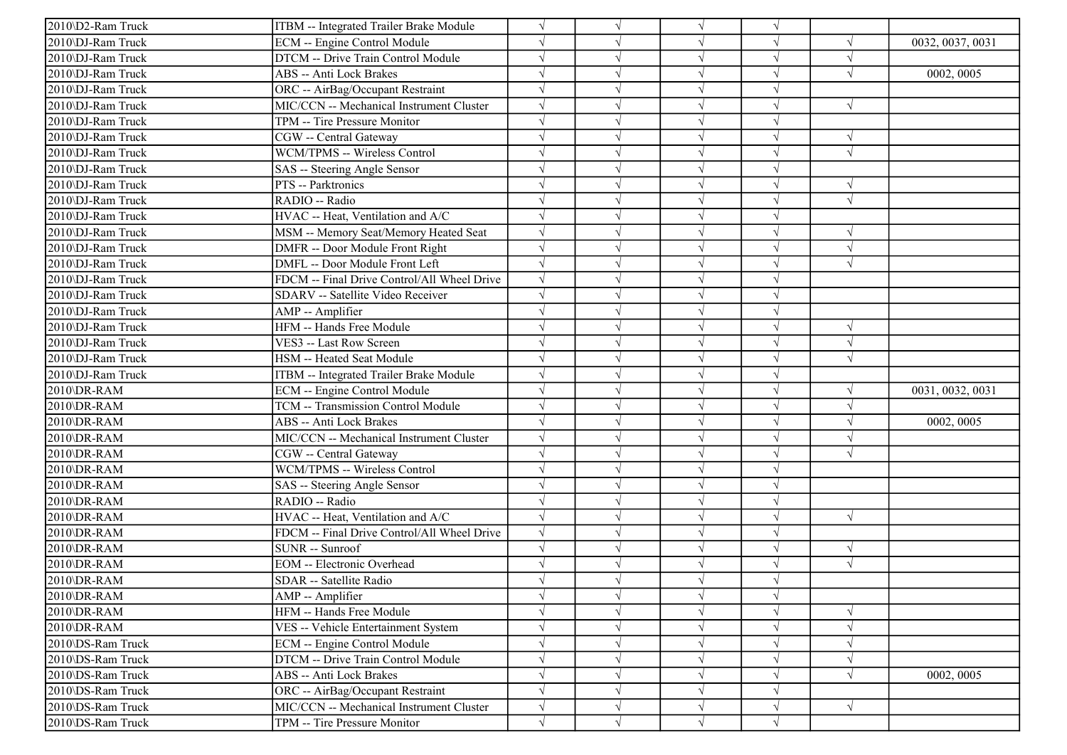| 2010\D2-Ram Truck | ITBM -- Integrated Trailer Brake Module     | $\sqrt{}$  | $\sqrt{}$ | $\sqrt{ }$ |            |            |                  |
|-------------------|---------------------------------------------|------------|-----------|------------|------------|------------|------------------|
| 2010\DJ-Ram Truck | <b>ECM</b> -- Engine Control Module         | $\sqrt{ }$ |           |            |            |            | 0032, 0037, 0031 |
| 2010\DJ-Ram Truck | DTCM -- Drive Train Control Module          | $\sqrt{}$  |           | $\sqrt{ }$ |            | $\sqrt{ }$ |                  |
| 2010\DJ-Ram Truck | ABS -- Anti Lock Brakes                     | $\sqrt{ }$ |           |            |            | $\sqrt{ }$ | 0002, 0005       |
| 2010\DJ-Ram Truck | ORC -- AirBag/Occupant Restraint            |            |           |            |            |            |                  |
| 2010\DJ-Ram Truck | MIC/CCN -- Mechanical Instrument Cluster    | $\sqrt{ }$ |           |            |            | $\sqrt{ }$ |                  |
| 2010\DJ-Ram Truck | TPM -- Tire Pressure Monitor                | $\sqrt{ }$ |           |            |            |            |                  |
| 2010\DJ-Ram Truck | CGW -- Central Gateway                      | $\sqrt{ }$ |           |            |            |            |                  |
| 2010\DJ-Ram Truck | WCM/TPMS -- Wireless Control                | $\sqrt{ }$ |           | $\sqrt{ }$ |            | $\sqrt{ }$ |                  |
| 2010\DJ-Ram Truck | SAS -- Steering Angle Sensor                | $\sqrt{}$  |           |            |            |            |                  |
| 2010\DJ-Ram Truck | PTS -- Parktronics                          |            |           |            |            |            |                  |
| 2010\DJ-Ram Truck | RADIO -- Radio                              | $\sqrt{ }$ |           |            |            | $\sqrt{ }$ |                  |
| 2010\DJ-Ram Truck | HVAC -- Heat, Ventilation and A/C           | $\sqrt{ }$ |           |            |            |            |                  |
| 2010\DJ-Ram Truck | MSM -- Memory Seat/Memory Heated Seat       | $\sqrt{ }$ |           |            |            | V          |                  |
| 2010\DJ-Ram Truck | <b>DMFR</b> -- Door Module Front Right      | $\sqrt{ }$ |           |            |            | $\sqrt{ }$ |                  |
| 2010\DJ-Ram Truck | DMFL -- Door Module Front Left              | $\sqrt{ }$ |           | $\sqrt{ }$ |            | $\sqrt{ }$ |                  |
| 2010\DJ-Ram Truck | FDCM -- Final Drive Control/All Wheel Drive | $\sqrt{ }$ |           |            |            |            |                  |
| 2010\DJ-Ram Truck | SDARV -- Satellite Video Receiver           | $\sqrt{ }$ |           |            |            |            |                  |
| 2010\DJ-Ram Truck | AMP -- Amplifier                            | $\sqrt{ }$ |           |            |            |            |                  |
| 2010\DJ-Ram Truck | HFM -- Hands Free Module                    | $\sqrt{ }$ |           | $\sqrt{ }$ |            | $\sqrt{ }$ |                  |
| 2010\DJ-Ram Truck | VES3 -- Last Row Screen                     | $\sqrt{ }$ |           |            |            | $\sqrt{ }$ |                  |
| 2010\DJ-Ram Truck | HSM -- Heated Seat Module                   | $\sqrt{ }$ |           | $\sqrt{ }$ |            | $\sqrt{ }$ |                  |
| 2010\DJ-Ram Truck | ITBM -- Integrated Trailer Brake Module     | $\sqrt{ }$ |           |            |            |            |                  |
| 2010\DR-RAM       | ECM -- Engine Control Module                | $\sqrt{ }$ |           |            |            | $\sqrt{ }$ | 0031, 0032, 0031 |
| 2010\DR-RAM       | TCM -- Transmission Control Module          | $\sqrt{ }$ |           |            |            | $\sqrt{ }$ |                  |
| 2010\DR-RAM       | <b>ABS</b> -- Anti Lock Brakes              | $\sqrt{ }$ |           |            |            |            | 0002, 0005       |
| 2010\DR-RAM       | MIC/CCN -- Mechanical Instrument Cluster    | $\sqrt{ }$ |           |            |            | $\sqrt{ }$ |                  |
| 2010\DR-RAM       | CGW -- Central Gateway                      | $\sqrt{ }$ |           | $\sqrt{ }$ |            | $\sqrt{ }$ |                  |
| 2010\DR-RAM       | WCM/TPMS -- Wireless Control                | $\sqrt{ }$ |           |            |            |            |                  |
| 2010\DR-RAM       | SAS -- Steering Angle Sensor                | $\sqrt{ }$ |           |            |            |            |                  |
| 2010\DR-RAM       | RADIO -- Radio                              | $\sqrt{ }$ |           |            |            |            |                  |
| 2010\DR-RAM       | HVAC -- Heat, Ventilation and A/C           | $\sqrt{ }$ |           | $\sqrt{ }$ |            | $\sqrt{ }$ |                  |
| 2010\DR-RAM       | FDCM -- Final Drive Control/All Wheel Drive | $\sqrt{ }$ |           |            |            |            |                  |
| 2010\DR-RAM       | SUNR -- Sunroof                             | $\sqrt{ }$ |           | $\sqrt{ }$ | $\sqrt{ }$ | $\sqrt{ }$ |                  |
| 2010\DR-RAM       | <b>EOM</b> -- Electronic Overhead           | $\sqrt{ }$ |           |            |            | $\sqrt{ }$ |                  |
| 2010\DR-RAM       | SDAR -- Satellite Radio                     |            |           |            |            |            |                  |
| 2010\DR-RAM       | AMP -- Amplifier                            | $\sqrt{}$  | V         | $\sqrt{ }$ |            |            |                  |
| 2010\DR-RAM       | HFM -- Hands Free Module                    | $\sqrt{}$  | √         | $\sqrt{ }$ |            |            |                  |
| 2010\DR-RAM       | VES -- Vehicle Entertainment System         | $\sqrt{ }$ |           |            |            | $\sqrt{ }$ |                  |
| 2010\DS-Ram Truck | <b>ECM</b> -- Engine Control Module         | $\sqrt{}$  |           | $\sqrt{ }$ |            |            |                  |
| 2010\DS-Ram Truck | DTCM -- Drive Train Control Module          | $\sqrt{}$  |           | $\sqrt{ }$ |            | $\sqrt{ }$ |                  |
| 2010\DS-Ram Truck | <b>ABS</b> -- Anti Lock Brakes              | $\sqrt{ }$ |           |            |            | $\sqrt{ }$ | 0002, 0005       |
| 2010\DS-Ram Truck | ORC -- AirBag/Occupant Restraint            | $\sqrt{ }$ |           | $\sqrt{ }$ |            |            |                  |
| 2010\DS-Ram Truck | MIC/CCN -- Mechanical Instrument Cluster    | $\sqrt{}$  | V         | V          | $\sqrt{ }$ | $\sqrt{ }$ |                  |
| 2010\DS-Ram Truck | TPM -- Tire Pressure Monitor                | $\sqrt{}$  | V         | $\sqrt{ }$ | $\sqrt{}$  |            |                  |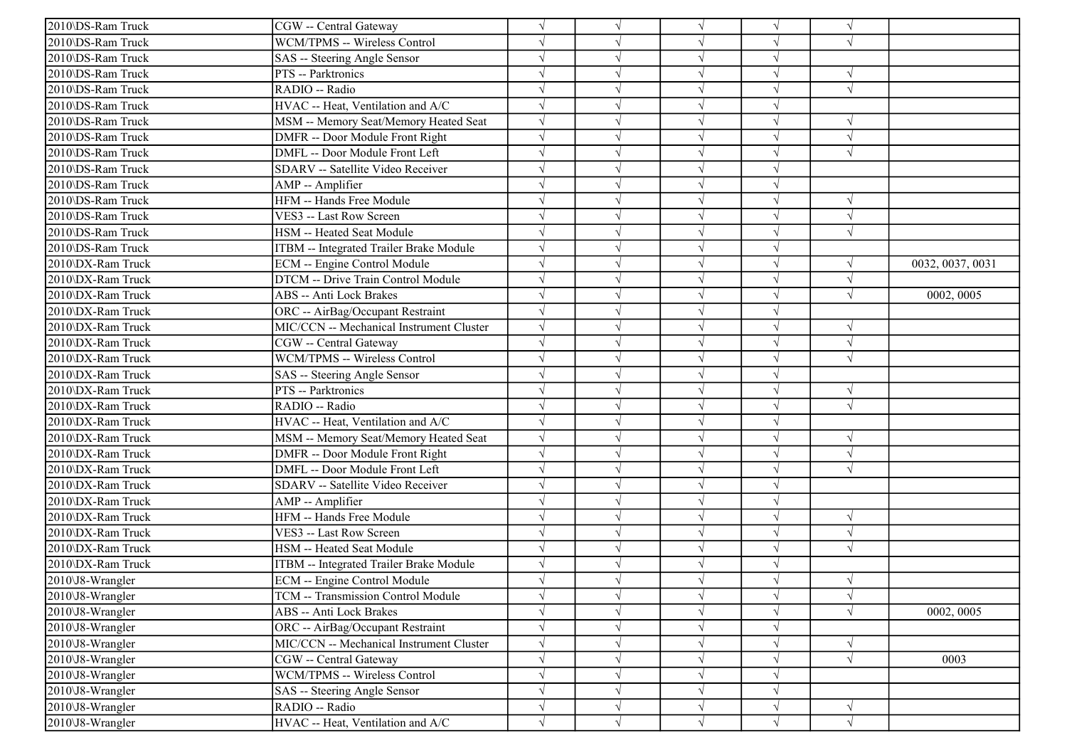| 2010\DS-Ram Truck         | CGW -- Central Gateway                   |            | $\sqrt{ }$ | $\sqrt{ }$ | $\sqrt{}$  | $\sqrt{ }$ |                  |
|---------------------------|------------------------------------------|------------|------------|------------|------------|------------|------------------|
| 2010\DS-Ram Truck         | WCM/TPMS -- Wireless Control             |            |            | $\sqrt{ }$ |            | $\sqrt{ }$ |                  |
| 2010\DS-Ram Truck         | SAS -- Steering Angle Sensor             |            |            | $\sqrt{ }$ |            |            |                  |
| 2010\DS-Ram Truck         | PTS -- Parktronics                       |            |            | $\sqrt{ }$ | $\sqrt{}$  | $\sqrt{ }$ |                  |
| 2010\DS-Ram Truck         | RADIO -- Radio                           |            |            | $\sqrt{}$  |            | $\sqrt{ }$ |                  |
| 2010\DS-Ram Truck         | HVAC -- Heat, Ventilation and A/C        |            |            | V          |            |            |                  |
| 2010\DS-Ram Truck         | MSM -- Memory Seat/Memory Heated Seat    |            |            | $\sqrt{}$  | $\sqrt{}$  | $\sqrt{ }$ |                  |
| 2010\DS-Ram Truck         | DMFR -- Door Module Front Right          |            |            | $\sqrt{ }$ |            | $\sqrt{ }$ |                  |
| 2010\DS-Ram Truck         | DMFL -- Door Module Front Left           |            |            | $\sqrt{ }$ |            | $\sqrt{ }$ |                  |
| 2010\DS-Ram Truck         | SDARV -- Satellite Video Receiver        |            |            | $\sqrt{ }$ | $\sqrt{}$  |            |                  |
| 2010\DS-Ram Truck         | AMP -- Amplifier                         |            |            | $\sqrt{ }$ |            |            |                  |
| 2010\DS-Ram Truck         | HFM -- Hands Free Module                 |            |            | $\sqrt{ }$ |            | $\sqrt{ }$ |                  |
| 2010\DS-Ram Truck         | VES3 -- Last Row Screen                  |            |            | $\sqrt{ }$ |            | $\sqrt{ }$ |                  |
| 2010\DS-Ram Truck         | HSM -- Heated Seat Module                |            |            | $\sqrt{ }$ |            | $\sqrt{ }$ |                  |
| 2010\DS-Ram Truck         | ITBM -- Integrated Trailer Brake Module  |            |            | $\sqrt{ }$ | $\sqrt{}$  |            |                  |
| 2010\DX-Ram Truck         | ECM -- Engine Control Module             |            |            | $\sqrt{}$  | $\sqrt{}$  | $\sqrt{ }$ | 0032, 0037, 0031 |
| 2010\DX-Ram Truck         | DTCM -- Drive Train Control Module       |            |            | $\sqrt{}$  |            |            |                  |
| 2010\DX-Ram Truck         | ABS -- Anti Lock Brakes                  |            |            | $\sqrt{ }$ |            | $\sqrt{ }$ | 0002, 0005       |
| 2010\DX-Ram Truck         | ORC -- AirBag/Occupant Restraint         |            |            | $\sqrt{ }$ |            |            |                  |
| 2010\DX-Ram Truck         | MIC/CCN -- Mechanical Instrument Cluster |            |            | $\sqrt{ }$ |            | $\sqrt{ }$ |                  |
| 2010\DX-Ram Truck         | CGW -- Central Gateway                   | J          |            | $\sqrt{ }$ | V          | $\sqrt{ }$ |                  |
| 2010\DX-Ram Truck         | WCM/TPMS -- Wireless Control             | $\sqrt{ }$ |            | $\sqrt{ }$ | $\sqrt{}$  | $\sqrt{ }$ |                  |
| 2010\DX-Ram Truck         | SAS -- Steering Angle Sensor             |            |            | $\sqrt{ }$ |            |            |                  |
| 2010\DX-Ram Truck         | PTS -- Parktronics                       |            |            | $\sqrt{}$  | $\sqrt{}$  | $\sqrt{ }$ |                  |
| 2010\DX-Ram Truck         | RADIO -- Radio                           |            |            | $\sqrt{ }$ |            | $\sqrt{ }$ |                  |
| 2010\DX-Ram Truck         | HVAC -- Heat, Ventilation and A/C        |            |            | $\sqrt{ }$ | V          |            |                  |
| 2010\DX-Ram Truck         | MSM -- Memory Seat/Memory Heated Seat    | J          |            | $\sqrt{ }$ | V          | $\sqrt{ }$ |                  |
| 2010\DX-Ram Truck         | DMFR -- Door Module Front Right          |            |            | $\sqrt{ }$ | J          | $\sqrt{ }$ |                  |
| 2010\DX-Ram Truck         | DMFL -- Door Module Front Left           |            |            | $\sqrt{ }$ |            | $\sqrt{ }$ |                  |
| 2010\DX-Ram Truck         | SDARV -- Satellite Video Receiver        |            |            | $\sqrt{}$  |            |            |                  |
| 2010\DX-Ram Truck         | AMP -- Amplifier                         |            |            | $\sqrt{ }$ |            |            |                  |
| 2010\DX-Ram Truck         | HFM -- Hands Free Module                 |            |            | $\sqrt{ }$ | J          | $\sqrt{ }$ |                  |
| 2010\DX-Ram Truck         | VES3 -- Last Row Screen                  |            |            | $\sqrt{ }$ | J          | $\sqrt{ }$ |                  |
| 2010\DX-Ram Truck         | HSM -- Heated Seat Module                |            |            | $\sqrt{ }$ | $\sqrt{}$  | $\sqrt{ }$ |                  |
| 2010\DX-Ram Truck         | ITBM -- Integrated Trailer Brake Module  |            |            | $\sqrt{ }$ | $\sqrt{}$  |            |                  |
| 2010\J8-Wrangler          | ECM -- Engine Control Module             |            |            |            |            | $\sqrt{ }$ |                  |
| $2010\text{V}$ 8-Wrangler | TCM -- Transmission Control Module       |            | $\sqrt{}$  | $\sqrt{}$  | $\sqrt{}$  | $\sqrt{ }$ |                  |
| 2010\J8-Wrangler          | ABS -- Anti Lock Brakes                  |            | $\sqrt{ }$ | $\sqrt{}$  | $\sqrt{}$  | $\sqrt{ }$ | 0002, 0005       |
| 2010\J8-Wrangler          | ORC -- AirBag/Occupant Restraint         |            |            | $\sqrt{}$  | V          |            |                  |
| 2010\J8-Wrangler          | MIC/CCN -- Mechanical Instrument Cluster | $\sqrt{}$  |            | $\sqrt{}$  | $\sqrt{}$  | $\sqrt{}$  |                  |
| 2010\J8-Wrangler          | CGW -- Central Gateway                   |            |            | $\sqrt{}$  | $\sqrt{}$  | $\sqrt{ }$ | 0003             |
| 2010\J8-Wrangler          | WCM/TPMS -- Wireless Control             |            |            | $\sqrt{}$  |            |            |                  |
| 2010\J8-Wrangler          | SAS -- Steering Angle Sensor             |            |            | $\sqrt{}$  | V          |            |                  |
| 2010\J8-Wrangler          | RADIO -- Radio                           | $\sqrt{}$  | $\sqrt{}$  | $\sqrt{}$  | V          | $\sqrt{}$  |                  |
| 2010\J8-Wrangler          | HVAC -- Heat, Ventilation and A/C        | $\sqrt{ }$ | $\sqrt{ }$ | $\sqrt{ }$ | $\sqrt{ }$ | $\sqrt{ }$ |                  |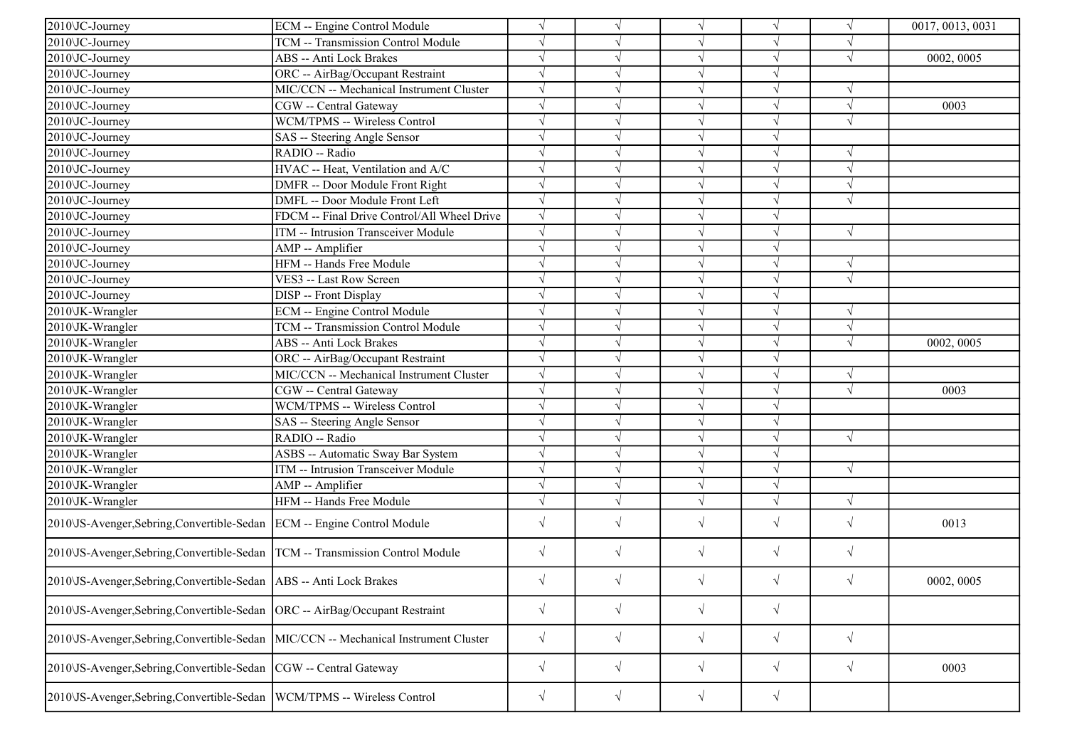| $2010$ JC-Journey                                                                   | ECM -- Engine Control Module                | $\sqrt{ }$ |            | $\sqrt{ }$ |            | $\sqrt{ }$ | 0017, 0013, 0031 |
|-------------------------------------------------------------------------------------|---------------------------------------------|------------|------------|------------|------------|------------|------------------|
| 2010\JC-Journey                                                                     | TCM -- Transmission Control Module          | $\sqrt{ }$ | $\sqrt{ }$ | $\sqrt{ }$ | $\sqrt{}$  | V          |                  |
| 2010\JC-Journey                                                                     | ABS -- Anti Lock Brakes                     | $\sqrt{ }$ | V          | $\sqrt{ }$ | $\sqrt{}$  | $\sqrt{ }$ | 0002, 0005       |
| 2010 JC-Journey                                                                     | ORC -- AirBag/Occupant Restraint            | $\sqrt{}$  |            | $\sqrt{ }$ | $\sqrt{}$  |            |                  |
| 2010 JC-Journey                                                                     | MIC/CCN -- Mechanical Instrument Cluster    | $\sqrt{}$  | V          | $\sqrt{ }$ | $\sqrt{}$  |            |                  |
| 2010\JC-Journey                                                                     | CGW -- Central Gateway                      | $\sqrt{ }$ |            |            |            | $\sqrt{}$  | 0003             |
| 2010\JC-Journey                                                                     | WCM/TPMS -- Wireless Control                | $\sqrt{ }$ |            | $\sqrt{ }$ |            | $\sqrt{ }$ |                  |
| 2010\JC-Journey                                                                     | SAS -- Steering Angle Sensor                | $\sqrt{ }$ | √          | $\sqrt{}$  | $\sqrt{}$  |            |                  |
| 2010\JC-Journey                                                                     | RADIO -- Radio                              | $\sqrt{ }$ | $\sqrt{ }$ | $\sqrt{ }$ | $\sqrt{ }$ | $\sqrt{ }$ |                  |
| 2010\JC-Journey                                                                     | HVAC -- Heat, Ventilation and A/C           | $\sqrt{}$  | $\sqrt{}$  | $\sqrt{ }$ | $\sqrt{}$  | $\sqrt{ }$ |                  |
| 2010\JC-Journey                                                                     | DMFR -- Door Module Front Right             | $\sqrt{ }$ | $\sqrt{ }$ | $\sqrt{}$  | $\sqrt{}$  | $\sqrt{ }$ |                  |
| 2010\JC-Journey                                                                     | DMFL -- Door Module Front Left              | $\sqrt{ }$ |            |            |            | $\sqrt{ }$ |                  |
| 2010\JC-Journey                                                                     | FDCM -- Final Drive Control/All Wheel Drive | $\sqrt{}$  | V          | $\sqrt{ }$ | $\sqrt{}$  |            |                  |
| 2010\JC-Journey                                                                     | ITM -- Intrusion Transceiver Module         | $\sqrt{}$  | $\sqrt{}$  | $\sqrt{ }$ | $\sqrt{}$  | $\sqrt{ }$ |                  |
| 2010\JC-Journey                                                                     | AMP -- Amplifier                            | $\sqrt{ }$ | V          | $\sqrt{ }$ |            |            |                  |
| 2010\JC-Journey                                                                     | HFM -- Hands Free Module                    | $\sqrt{}$  | V          | $\sqrt{}$  | $\sqrt{}$  | $\sqrt{ }$ |                  |
| 2010\JC-Journey                                                                     | VES3 -- Last Row Screen                     | $\sqrt{}$  | $\sqrt{}$  | $\sqrt{}$  | $\sqrt{ }$ | $\sqrt{ }$ |                  |
| 2010 JC-Journey                                                                     | DISP -- Front Display                       | $\sqrt{ }$ |            | $\sqrt{ }$ |            |            |                  |
| 2010\JK-Wrangler                                                                    | <b>ECM</b> -- Engine Control Module         | $\sqrt{ }$ |            | $\sqrt{ }$ | $\sqrt{}$  | $\sqrt{}$  |                  |
| 2010\JK-Wrangler                                                                    | TCM -- Transmission Control Module          | $\sqrt{}$  | $\sqrt{ }$ | $\sqrt{ }$ | $\sqrt{}$  | $\sqrt{}$  |                  |
| 2010\JK-Wrangler                                                                    | ABS -- Anti Lock Brakes                     | $\sqrt{ }$ | V          | $\sqrt{ }$ | $\sqrt{}$  | N          | 0002, 0005       |
| 2010\JK-Wrangler                                                                    | ORC -- AirBag/Occupant Restraint            | $\sqrt{ }$ | $\sqrt{}$  | $\sqrt{ }$ | $\sqrt{}$  |            |                  |
| 2010\JK-Wrangler                                                                    | MIC/CCN -- Mechanical Instrument Cluster    | $\sqrt{ }$ | $\sqrt{}$  | $\sqrt{ }$ | $\sqrt{}$  | $\sqrt{ }$ |                  |
| 2010\JK-Wrangler                                                                    | CGW -- Central Gateway                      | $\sqrt{ }$ | $\sqrt{ }$ |            |            | $\sqrt{ }$ | 0003             |
| 2010\JK-Wrangler                                                                    | WCM/TPMS -- Wireless Control                | $\sqrt{ }$ | V          | $\sqrt{ }$ | $\sqrt{}$  |            |                  |
| 2010\JK-Wrangler                                                                    | SAS -- Steering Angle Sensor                | $\sqrt{}$  | $\sqrt{}$  | $\sqrt{ }$ | $\sqrt{}$  |            |                  |
| 2010\JK-Wrangler                                                                    | RADIO -- Radio                              | $\sqrt{}$  | V          | $\sqrt{ }$ |            | $\sqrt{ }$ |                  |
| 2010\JK-Wrangler                                                                    | ASBS -- Automatic Sway Bar System           | $\sqrt{}$  | V          | $\sqrt{ }$ | $\sqrt{}$  |            |                  |
| 2010\JK-Wrangler                                                                    | ITM -- Intrusion Transceiver Module         | $\sqrt{}$  | V          | $\sqrt{ }$ | $\sqrt{}$  | $\sqrt{ }$ |                  |
| 2010\JK-Wrangler                                                                    | AMP -- Amplifier                            | $\sqrt{}$  |            |            |            |            |                  |
| 2010\JK-Wrangler                                                                    | HFM -- Hands Free Module                    | $\sqrt{ }$ | $\sqrt{}$  | $\sqrt{ }$ | $\sqrt{ }$ | $\sqrt{ }$ |                  |
| 2010\JS-Avenger,Sebring,Convertible-Sedan   ECM -- Engine Control Module            |                                             | $\sqrt{ }$ | $\sqrt{}$  | $\sqrt{ }$ | $\sqrt{}$  | $\sqrt{ }$ | 0013             |
| 2010 US-Avenger, Sebring, Convertible-Sedan   TCM -- Transmission Control Module    |                                             | $\sqrt{}$  | $\sqrt{}$  | $\sqrt{ }$ | $\sqrt{}$  | $\sqrt{ }$ |                  |
| 2010\JS-Avenger,Sebring,Convertible-Sedan   ABS -- Anti Lock Brakes                 |                                             | $\sqrt{}$  | $\sqrt{}$  |            | $\sqrt{}$  | $\sqrt{}$  | 0002, 0005       |
| 2010\JS-Avenger,Sebring,Convertible-Sedan                                           | ORC -- AirBag/Occupant Restraint            | $\sqrt{ }$ | $\sqrt{ }$ | $\sqrt{ }$ | $\sqrt{}$  |            |                  |
| 2010\JS-Avenger,Sebring,Convertible-Sedan  MIC/CCN -- Mechanical Instrument Cluster |                                             | $\sqrt{ }$ | $\sqrt{}$  | $\sqrt{ }$ | $\sqrt{}$  | $\sqrt{ }$ |                  |
| 2010\JS-Avenger,Sebring,Convertible-Sedan  CGW -- Central Gateway                   |                                             | $\sqrt{ }$ | $\sqrt{}$  | $\sqrt{ }$ | $\sqrt{}$  | $\sqrt{ }$ | 0003             |
| 2010\JS-Avenger,Sebring,Convertible-Sedan  WCM/TPMS -- Wireless Control             |                                             | $\sqrt{ }$ | $\sqrt{ }$ | $\sqrt{ }$ | $\sqrt{}$  |            |                  |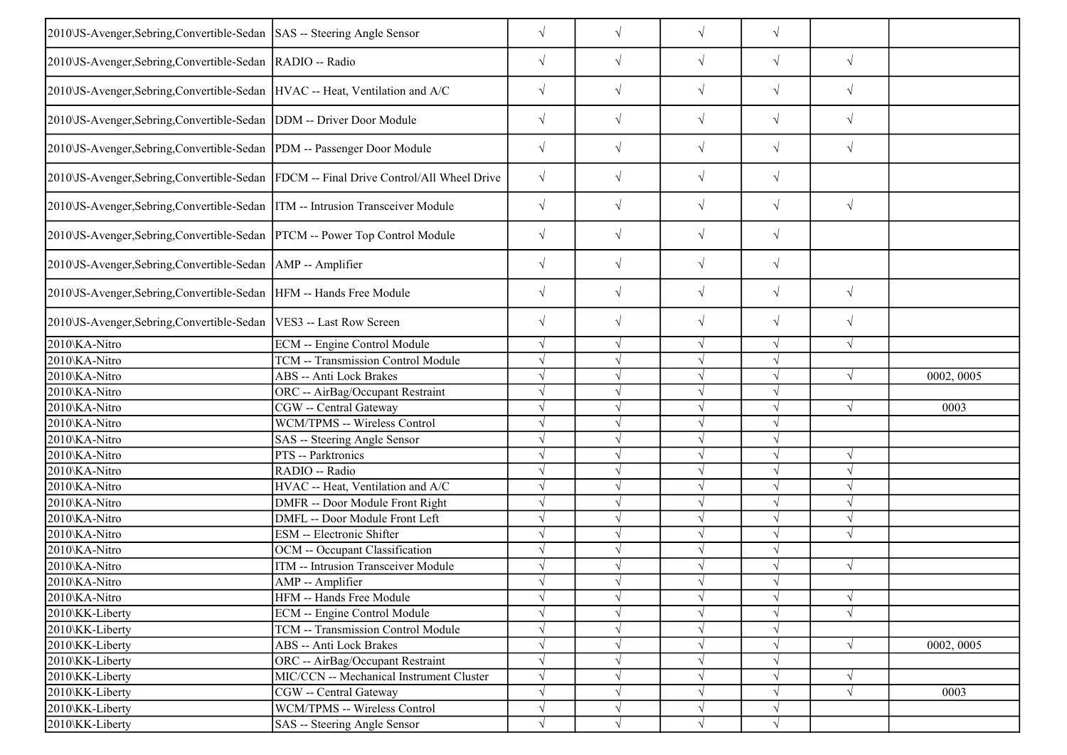| 2010\JS-Avenger,Sebring,Convertible-Sedan SAS -- Steering Angle Sensor         |                                                                                        | $\sqrt{}$  | $\sqrt{ }$ | $\sqrt{ }$ | $\sqrt{}$  |            |            |
|--------------------------------------------------------------------------------|----------------------------------------------------------------------------------------|------------|------------|------------|------------|------------|------------|
| 2010\JS-Avenger,Sebring,Convertible-Sedan  RADIO -- Radio                      |                                                                                        | $\sqrt{}$  | $\sqrt{}$  | $\sqrt{ }$ | $\sqrt{ }$ | $\sqrt{}$  |            |
| 2010\JS-Avenger,Sebring,Convertible-Sedan  HVAC -- Heat, Ventilation and A/C   |                                                                                        | $\sqrt{}$  | $\sqrt{ }$ | $\sqrt{ }$ | $\sqrt{}$  | $\sqrt{ }$ |            |
| 2010\JS-Avenger,Sebring,Convertible-Sedan   DDM -- Driver Door Module          |                                                                                        | $\sqrt{ }$ | $\sqrt{}$  | $\sqrt{ }$ | $\sqrt{}$  | $\sqrt{ }$ |            |
| 2010 JS-Avenger, Sebring, Convertible-Sedan   PDM -- Passenger Door Module     |                                                                                        | $\sqrt{}$  | $\sqrt{ }$ | $\sqrt{ }$ | $\sqrt{}$  | $\sqrt{ }$ |            |
|                                                                                | 2010\JS-Avenger,Sebring,Convertible-Sedan  FDCM -- Final Drive Control/All Wheel Drive | $\sqrt{}$  | $\sqrt{ }$ | $\sqrt{ }$ | $\sqrt{}$  |            |            |
| 2010\JS-Avenger,Sebring,Convertible-Sedan  ITM -- Intrusion Transceiver Module |                                                                                        | $\sqrt{}$  | $\sqrt{}$  | $\sqrt{ }$ | $\sqrt{}$  | $\sqrt{ }$ |            |
| 2010\JS-Avenger,Sebring,Convertible-Sedan  PTCM -- Power Top Control Module    |                                                                                        | $\sqrt{}$  | $\sqrt{}$  | $\sqrt{}$  | $\sqrt{}$  |            |            |
| 2010\JS-Avenger,Sebring,Convertible-Sedan   AMP -- Amplifier                   |                                                                                        | $\sqrt{}$  | $\sqrt{}$  | $\sqrt{ }$ | $\sqrt{}$  |            |            |
| 2010\JS-Avenger,Sebring,Convertible-Sedan  HFM -- Hands Free Module            |                                                                                        | $\sqrt{}$  | $\sqrt{ }$ | $\sqrt{ }$ | $\sqrt{}$  | $\sqrt{}$  |            |
| 2010\JS-Avenger, Sebring, Convertible-Sedan   VES3 -- Last Row Screen          |                                                                                        | $\sqrt{}$  | $\sqrt{ }$ | $\sqrt{}$  | $\sqrt{}$  | $\sqrt{}$  |            |
| 2010\KA-Nitro                                                                  | ECM -- Engine Control Module                                                           | $\sqrt{}$  | $\sqrt{ }$ | $\sqrt{ }$ | $\sqrt{}$  | $\sqrt{ }$ |            |
| 2010\KA-Nitro                                                                  | TCM -- Transmission Control Module                                                     |            |            | $\sqrt{ }$ | V          |            |            |
| 2010\KA-Nitro                                                                  | <b>ABS</b> -- Anti Lock Brakes                                                         |            |            | $\sqrt{ }$ | V          | $\sqrt{ }$ | 0002, 0005 |
| 2010\KA-Nitro                                                                  | ORC -- AirBag/Occupant Restraint                                                       | $\sqrt{ }$ |            | $\sqrt{ }$ | $\sqrt{ }$ |            |            |
| 2010\KA-Nitro                                                                  | CGW -- Central Gateway                                                                 |            |            | $\sqrt{ }$ | V          | $\sqrt{ }$ | 0003       |
| 2010\KA-Nitro                                                                  | WCM/TPMS -- Wireless Control                                                           |            |            | $\sqrt{ }$ | $\sqrt{ }$ |            |            |
| 2010\KA-Nitro                                                                  | SAS -- Steering Angle Sensor                                                           | $\sqrt{}$  |            | $\sqrt{ }$ | $\sqrt{}$  |            |            |
| 2010\KA-Nitro                                                                  | PTS -- Parktronics                                                                     |            |            | $\sqrt{ }$ |            | $\sqrt{ }$ |            |
| 2010\KA-Nitro                                                                  | RADIO -- Radio                                                                         |            |            | $\sqrt{ }$ |            | $\sqrt{ }$ |            |
| 2010\KA-Nitro                                                                  | HVAC -- Heat, Ventilation and A/C                                                      | $\sqrt{}$  |            | $\sqrt{ }$ | $\sqrt{}$  | $\sqrt{ }$ |            |
| 2010\KA-Nitro                                                                  | DMFR -- Door Module Front Right                                                        | $\sqrt{}$  |            | $\sqrt{ }$ | J          | $\sqrt{ }$ |            |
| 2010\KA-Nitro                                                                  | DMFL -- Door Module Front Left                                                         | $\sqrt{}$  |            | $\sqrt{ }$ | $\sqrt{}$  | $\sqrt{ }$ |            |
| 2010\KA-Nitro                                                                  | <b>ESM</b> -- Electronic Shifter                                                       | $\sqrt{ }$ | $\sqrt{ }$ | $\sqrt{ }$ | $\sqrt{}$  | $\sqrt{ }$ |            |
| 2010\KA-Nitro                                                                  | OCM -- Occupant Classification                                                         |            |            | $\sqrt{ }$ |            |            |            |
| 2010\KA-Nitro                                                                  | <b>ITM</b> -- Intrusion Transceiver Module                                             | $\sqrt{ }$ | $\sqrt{ }$ | $\sqrt{ }$ | $\sqrt{}$  | $\sqrt{ }$ |            |
| 2010\KA-Nitro                                                                  | AMP -- Amplifier                                                                       |            |            | $\sqrt{ }$ | $\sqrt{ }$ |            |            |
| 2010\KA-Nitro                                                                  | HFM -- Hands Free Module                                                               |            | $\sqrt{ }$ | $\sqrt{ }$ | V          | $\sqrt{ }$ |            |
| 2010\KK-Liberty                                                                | <b>ECM</b> -- Engine Control Module                                                    | $\sqrt{}$  |            | $\sqrt{ }$ | $\sqrt{}$  | $\sqrt{ }$ |            |
| 2010\KK-Liberty                                                                | TCM -- Transmission Control Module                                                     |            |            | $\sqrt{ }$ | V          |            |            |
| 2010\KK-Liberty                                                                | <b>ABS</b> -- Anti Lock Brakes                                                         |            |            | $\sqrt{ }$ |            | $\sqrt{ }$ | 0002, 0005 |
| 2010\KK-Liberty                                                                | ORC -- AirBag/Occupant Restraint                                                       | $\sqrt{}$  |            | $\sqrt{ }$ |            |            |            |
| 2010\KK-Liberty                                                                | MIC/CCN -- Mechanical Instrument Cluster                                               | $\sqrt{}$  |            | $\sqrt{ }$ | V          | $\sqrt{ }$ |            |
| 2010\KK-Liberty                                                                | CGW -- Central Gateway                                                                 | $\sqrt{}$  | V          | $\sqrt{ }$ | V          | $\sqrt{ }$ | 0003       |
| 2010\KK-Liberty                                                                | WCM/TPMS -- Wireless Control                                                           | $\sqrt{}$  | $\sqrt{ }$ | $\sqrt{ }$ | $\sqrt{}$  |            |            |
| 2010\KK-Liberty                                                                | SAS -- Steering Angle Sensor                                                           | $\sqrt{}$  | $\sqrt{}$  | $\sqrt{ }$ | $\sqrt{}$  |            |            |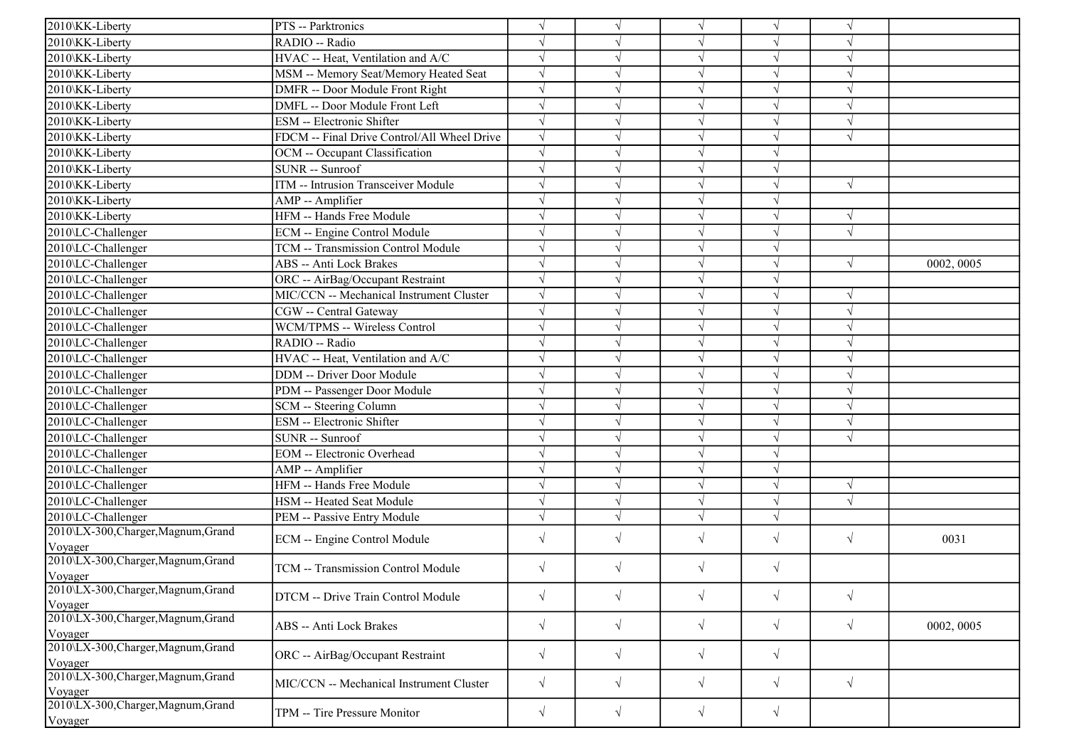| 2010\KK-Liberty                                | PTS -- Parktronics                          | $\sqrt{}$  |            | $\sqrt{}$  | V          | N          |            |
|------------------------------------------------|---------------------------------------------|------------|------------|------------|------------|------------|------------|
| 2010\KK-Liberty                                | RADIO -- Radio                              | $\sqrt{}$  |            | $\sqrt{}$  | $\sqrt{}$  | $\sqrt{ }$ |            |
| 2010\KK-Liberty                                | HVAC -- Heat, Ventilation and A/C           | $\sqrt{}$  |            | $\sqrt{}$  | $\sqrt{}$  | $\sqrt{ }$ |            |
| 2010\KK-Liberty                                | MSM -- Memory Seat/Memory Heated Seat       |            |            | V          |            |            |            |
| 2010\KK-Liberty                                | DMFR -- Door Module Front Right             | $\sqrt{}$  |            | $\sqrt{}$  | J          | $\sqrt{ }$ |            |
| 2010\KK-Liberty                                | DMFL -- Door Module Front Left              | $\sqrt{}$  |            | $\sqrt{ }$ | $\sqrt{}$  | $\sqrt{ }$ |            |
| 2010\KK-Liberty                                | <b>ESM</b> -- Electronic Shifter            | $\sqrt{ }$ |            | V          | V          | $\sqrt{ }$ |            |
| 2010\KK-Liberty                                | FDCM -- Final Drive Control/All Wheel Drive | $\sqrt{}$  |            | $\sqrt{ }$ | $\sqrt{}$  | $\sqrt{ }$ |            |
| 2010\KK-Liberty                                | OCM -- Occupant Classification              | $\sqrt{ }$ |            | $\sqrt{ }$ | $\sqrt{}$  |            |            |
| 2010\KK-Liberty                                | <b>SUNR</b> -- Sunroof                      |            |            | $\sqrt{ }$ | J          |            |            |
| 2010\KK-Liberty                                | ITM -- Intrusion Transceiver Module         | $\sqrt{}$  |            | $\sqrt{}$  | J          | $\sqrt{ }$ |            |
| 2010\KK-Liberty                                | AMP -- Amplifier                            |            |            | $\sqrt{}$  | V          |            |            |
| 2010\KK-Liberty                                | HFM -- Hands Free Module                    | $\sqrt{}$  |            | $\sqrt{ }$ | V          | $\sqrt{ }$ |            |
| 2010\LC-Challenger                             | <b>ECM</b> -- Engine Control Module         | $\sqrt{}$  |            | $\sqrt{}$  | V          | $\sqrt{ }$ |            |
| 2010\LC-Challenger                             | TCM -- Transmission Control Module          | $\sqrt{}$  |            | $\sqrt{}$  | J          |            |            |
| 2010\LC-Challenger                             | ABS -- Anti Lock Brakes                     |            |            | $\sqrt{}$  | J          | $\sqrt{ }$ | 0002, 0005 |
| 2010\LC-Challenger                             | ORC -- AirBag/Occupant Restraint            | $\sqrt{}$  |            | $\sqrt{}$  |            |            |            |
| 2010\LC-Challenger                             | MIC/CCN -- Mechanical Instrument Cluster    | $\sqrt{}$  |            | $\sqrt{}$  |            | $\sqrt{ }$ |            |
| 2010\LC-Challenger                             | CGW -- Central Gateway                      | $\sqrt{}$  |            | $\sqrt{}$  | J          | $\sqrt{ }$ |            |
| 2010\LC-Challenger                             | WCM/TPMS -- Wireless Control                | $\sqrt{ }$ |            | $\sqrt{}$  | J          | $\sqrt{ }$ |            |
| 2010\LC-Challenger                             | RADIO -- Radio                              | $\sqrt{}$  |            | $\sqrt{ }$ | $\sqrt{}$  | $\sqrt{ }$ |            |
| 2010\LC-Challenger                             | HVAC -- Heat, Ventilation and A/C           | $\sqrt{}$  |            | $\sqrt{}$  | $\sqrt{ }$ | $\sqrt{ }$ |            |
| 2010\LC-Challenger                             | <b>DDM</b> -- Driver Door Module            |            |            | $\sqrt{}$  |            | $\sqrt{ }$ |            |
| 2010\LC-Challenger                             | PDM -- Passenger Door Module                |            |            | $\sqrt{}$  |            | $\sqrt{ }$ |            |
| 2010\LC-Challenger                             | SCM -- Steering Column                      | $\sqrt{}$  |            | $\sqrt{ }$ | V          | $\sqrt{ }$ |            |
| 2010\LC-Challenger                             | <b>ESM</b> -- Electronic Shifter            | $\sqrt{}$  |            | $\sqrt{ }$ | J          | $\sqrt{ }$ |            |
| 2010\LC-Challenger                             | SUNR -- Sunroof                             | $\sqrt{}$  |            | $\sqrt{ }$ | $\sqrt{}$  | $\sqrt{ }$ |            |
| 2010\LC-Challenger                             | <b>EOM</b> -- Electronic Overhead           | $\sqrt{}$  |            | $\sqrt{}$  | J          |            |            |
| 2010\LC-Challenger                             | AMP -- Amplifier                            |            |            | $\sqrt{}$  |            |            |            |
| 2010\LC-Challenger                             | HFM -- Hands Free Module                    | $\sqrt{}$  |            | $\sqrt{}$  |            | $\sqrt{ }$ |            |
| 2010\LC-Challenger                             | HSM -- Heated Seat Module                   | $\sqrt{}$  |            | $\sqrt{}$  | J          | $\sqrt{ }$ |            |
| 2010\LC-Challenger                             | PEM -- Passive Entry Module                 | $\sqrt{ }$ |            | $\sqrt{}$  | J          |            |            |
| 2010\LX-300, Charger, Magnum, Grand            |                                             | $\sqrt{}$  | J          | $\sqrt{}$  | $\sqrt{}$  | $\sqrt{ }$ |            |
| Voyager                                        | ECM -- Engine Control Module                |            |            |            |            |            | 0031       |
| 2010\LX-300,Charger,Magnum,Grand<br>Voyager    | TCM -- Transmission Control Module          | $\sqrt{ }$ | V          | $\sqrt{}$  | $\sqrt{ }$ |            |            |
| 2010\LX-300,Charger,Magnum,Grand               | DTCM -- Drive Train Control Module          | $\sqrt{}$  | $\sqrt{ }$ | $\sqrt{}$  | $\sqrt{}$  | $\sqrt{ }$ |            |
| Voyager<br>2010\LX-300, Charger, Magnum, Grand | <b>ABS</b> -- Anti Lock Brakes              | $\sqrt{}$  | $\sqrt{ }$ | $\sqrt{ }$ | $\sqrt{}$  | $\sqrt{ }$ | 0002, 0005 |
| Voyager                                        |                                             |            |            |            |            |            |            |
| 2010\LX-300, Charger, Magnum, Grand<br>Voyager | ORC -- AirBag/Occupant Restraint            | $\sqrt{}$  | $\sqrt{ }$ | $\sqrt{}$  | $\sqrt{}$  |            |            |
| 2010\LX-300, Charger, Magnum, Grand<br>Voyager | MIC/CCN -- Mechanical Instrument Cluster    | $\sqrt{}$  | $\sqrt{ }$ | $\sqrt{}$  | $\sqrt{}$  | $\sqrt{ }$ |            |
| 2010\LX-300, Charger, Magnum, Grand<br>Voyager | TPM -- Tire Pressure Monitor                | $\sqrt{}$  | $\sqrt{ }$ | $\sqrt{}$  | $\sqrt{}$  |            |            |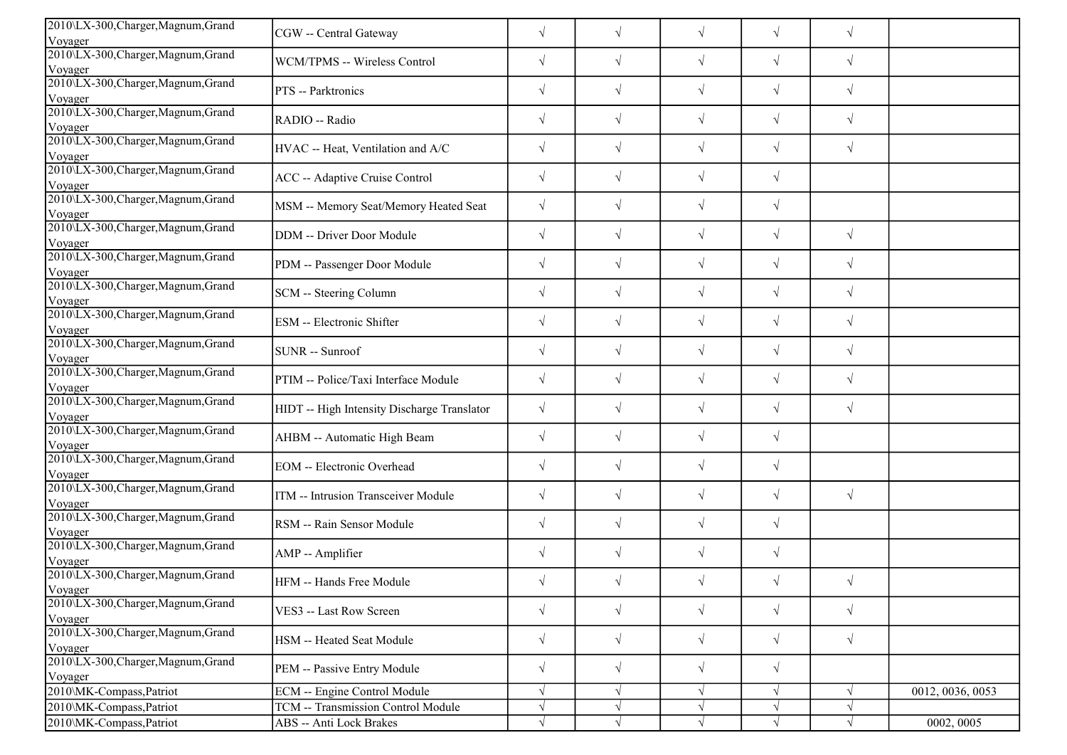| 2010\LX-300, Charger, Magnum, Grand<br>Voyager | CGW -- Central Gateway                      | $\sqrt{}$  | $\sqrt{ }$ | $\sqrt{}$  | $\sqrt{}$  | $\sqrt{ }$ |                  |
|------------------------------------------------|---------------------------------------------|------------|------------|------------|------------|------------|------------------|
| 2010\LX-300,Charger,Magnum,Grand<br>Voyager    | WCM/TPMS -- Wireless Control                | $\sqrt{ }$ | $\sqrt{ }$ | $\sqrt{}$  | $\sqrt{}$  | $\sqrt{ }$ |                  |
| 2010\LX-300,Charger,Magnum,Grand<br>Voyager    | PTS -- Parktronics                          | $\sqrt{}$  | $\sqrt{ }$ | $\sqrt{}$  | $\sqrt{}$  | $\sqrt{ }$ |                  |
| 2010\LX-300, Charger, Magnum, Grand<br>Voyager | RADIO -- Radio                              | $\sqrt{}$  | $\sqrt{}$  | $\sqrt{}$  | $\sqrt{}$  | $\sqrt{ }$ |                  |
| 2010\LX-300,Charger,Magnum,Grand<br>Voyager    | HVAC -- Heat, Ventilation and A/C           | $\sqrt{}$  | $\sqrt{ }$ | $\sqrt{}$  | $\sqrt{}$  | $\sqrt{ }$ |                  |
| 2010\LX-300, Charger, Magnum, Grand<br>Voyager | ACC -- Adaptive Cruise Control              | $\sqrt{}$  | $\sqrt{ }$ | $\sqrt{}$  | $\sqrt{}$  |            |                  |
| 2010\LX-300, Charger, Magnum, Grand<br>Voyager | MSM -- Memory Seat/Memory Heated Seat       | $\sqrt{}$  | $\sqrt{ }$ | $\sqrt{ }$ | $\sqrt{}$  |            |                  |
| 2010\LX-300,Charger,Magnum,Grand<br>Voyager    | DDM -- Driver Door Module                   | $\sqrt{}$  | $\sqrt{ }$ | $\sqrt{}$  | $\sqrt{}$  | $\sqrt{ }$ |                  |
| 2010\LX-300, Charger, Magnum, Grand<br>Voyager | PDM -- Passenger Door Module                | $\sqrt{}$  | $\sqrt{ }$ | $\sqrt{}$  | $\sqrt{}$  | $\sqrt{ }$ |                  |
| 2010\LX-300, Charger, Magnum, Grand<br>Voyager | SCM -- Steering Column                      | $\sqrt{}$  | $\sqrt{ }$ | $\sqrt{}$  | $\sqrt{}$  | $\sqrt{ }$ |                  |
| 2010\LX-300, Charger, Magnum, Grand<br>Voyager | ESM -- Electronic Shifter                   | $\sqrt{}$  | $\sqrt{ }$ | $\sqrt{}$  | $\sqrt{}$  | $\sqrt{2}$ |                  |
| 2010\LX-300,Charger,Magnum,Grand<br>Voyager    | SUNR -- Sunroof                             | $\sqrt{ }$ | $\sqrt{ }$ | $\sqrt{}$  | $\sqrt{}$  | $\sqrt{ }$ |                  |
| 2010\LX-300, Charger, Magnum, Grand<br>Voyager | PTIM -- Police/Taxi Interface Module        | $\sqrt{}$  | $\sqrt{ }$ | $\sqrt{}$  | $\sqrt{}$  | $\sqrt{ }$ |                  |
| 2010\LX-300,Charger,Magnum,Grand<br>Voyager    | HIDT -- High Intensity Discharge Translator | $\sqrt{ }$ | $\sqrt{}$  | $\sqrt{}$  | $\sqrt{}$  | $\sqrt{ }$ |                  |
| 2010\LX-300, Charger, Magnum, Grand<br>Voyager | AHBM -- Automatic High Beam                 | $\sqrt{}$  | $\sqrt{ }$ | $\sqrt{}$  | $\sqrt{}$  |            |                  |
| 2010\LX-300,Charger,Magnum,Grand<br>Voyager    | <b>EOM</b> -- Electronic Overhead           | $\sqrt{}$  | $\sqrt{}$  | $\sqrt{}$  | $\sqrt{}$  |            |                  |
| 2010\LX-300,Charger,Magnum,Grand<br>Voyager    | ITM -- Intrusion Transceiver Module         | $\sqrt{}$  | $\sqrt{ }$ | $\sqrt{ }$ | $\sqrt{}$  | $\sqrt{ }$ |                  |
| 2010\LX-300, Charger, Magnum, Grand<br>Voyager | RSM -- Rain Sensor Module                   | $\sqrt{}$  | $\sqrt{ }$ | $\sqrt{}$  | $\sqrt{}$  |            |                  |
| 2010\LX-300, Charger, Magnum, Grand<br>Voyager | AMP -- Amplifier                            | $\sqrt{ }$ | $\sqrt{ }$ | $\sqrt{}$  | $\sqrt{}$  |            |                  |
| 2010\LX-300, Charger, Magnum, Grand<br>Voyager | HFM -- Hands Free Module                    | $\sqrt{ }$ | $\sqrt{ }$ | $\sqrt{}$  | $\sqrt{ }$ | $\sqrt{ }$ |                  |
| 2010\LX-300, Charger, Magnum, Grand<br>Voyager | VES3 -- Last Row Screen                     | $\sqrt{}$  | $\sqrt{}$  | $\sqrt{ }$ | $\sqrt{ }$ | $\sqrt{ }$ |                  |
| 2010\LX-300, Charger, Magnum, Grand<br>Voyager | HSM -- Heated Seat Module                   | $\sqrt{}$  | $\sqrt{}$  | $\sqrt{ }$ | $\sqrt{ }$ | $\sqrt{ }$ |                  |
| 2010\LX-300,Charger,Magnum,Grand<br>Voyager    | PEM -- Passive Entry Module                 | $\sqrt{}$  | $\sqrt{ }$ | $\sqrt{ }$ | $\sqrt{ }$ |            |                  |
| 2010\MK-Compass,Patriot                        | ECM -- Engine Control Module                | $\sqrt{}$  | $\sqrt{ }$ | $\sqrt{}$  | $\sqrt{}$  | $\sqrt{ }$ | 0012, 0036, 0053 |
| 2010\MK-Compass, Patriot                       | TCM -- Transmission Control Module          | $\sqrt{}$  | $\sqrt{}$  | $\sqrt{ }$ | $\sqrt{}$  | $\sqrt{ }$ |                  |
| 2010\MK-Compass, Patriot                       | ABS -- Anti Lock Brakes                     | $\sqrt{}$  | $\sqrt{}$  | $\sqrt{}$  | $\sqrt{}$  | $\sqrt{ }$ | 0002, 0005       |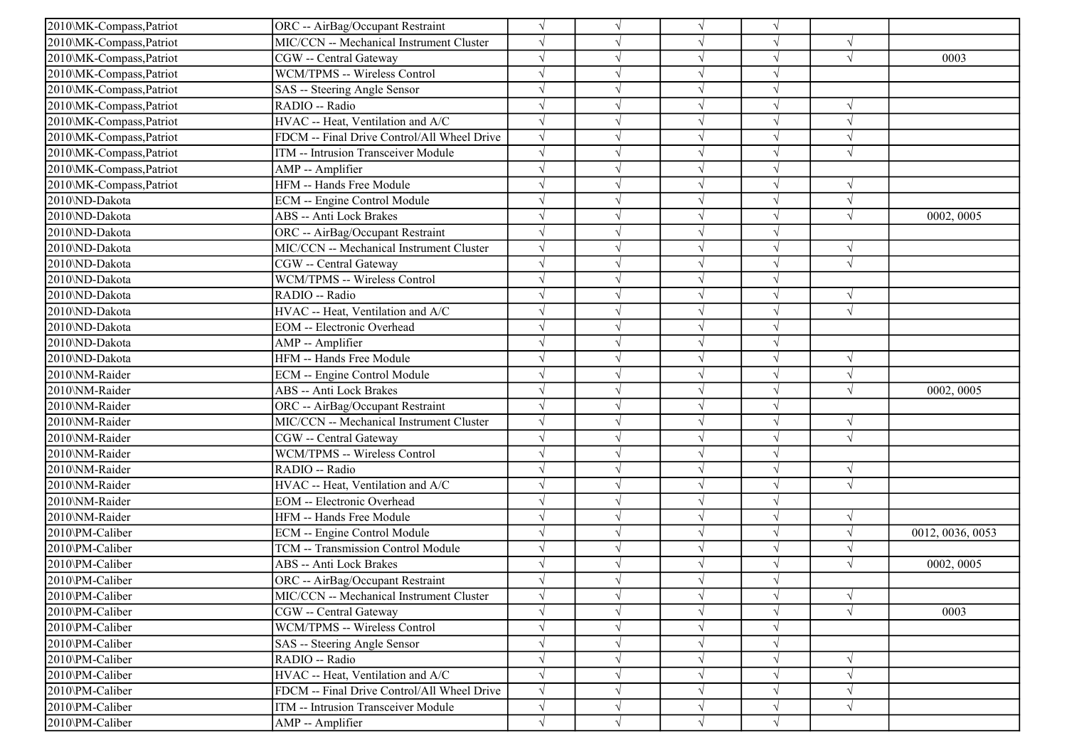| 2010\MK-Compass, Patriot | ORC -- AirBag/Occupant Restraint            |            |            | $\sqrt{ }$ | V          |            |                  |
|--------------------------|---------------------------------------------|------------|------------|------------|------------|------------|------------------|
| 2010\MK-Compass,Patriot  | MIC/CCN -- Mechanical Instrument Cluster    |            |            | $\sqrt{ }$ | V          | $\sqrt{ }$ |                  |
| 2010\MK-Compass,Patriot  | CGW -- Central Gateway                      |            |            | $\sqrt{ }$ | $\sqrt{}$  | $\sqrt{ }$ | 0003             |
| 2010\MK-Compass,Patriot  | WCM/TPMS -- Wireless Control                |            |            | $\sqrt{ }$ |            |            |                  |
| 2010\MK-Compass,Patriot  | SAS -- Steering Angle Sensor                |            |            | $\sqrt{}$  | V          |            |                  |
| 2010\MK-Compass,Patriot  | RADIO -- Radio                              |            |            | $\sqrt{ }$ | V          | $\sqrt{ }$ |                  |
| 2010\MK-Compass,Patriot  | HVAC -- Heat, Ventilation and A/C           |            |            | $\sqrt{ }$ | J          | $\sqrt{ }$ |                  |
| 2010\MK-Compass,Patriot  | FDCM -- Final Drive Control/All Wheel Drive | $\sqrt{ }$ |            | $\sqrt{ }$ | V          | $\sqrt{ }$ |                  |
| 2010\MK-Compass,Patriot  | ITM -- Intrusion Transceiver Module         |            |            | $\sqrt{ }$ | $\sqrt{ }$ | $\sqrt{ }$ |                  |
| 2010\MK-Compass,Patriot  | AMP -- Amplifier                            |            |            | $\sqrt{ }$ |            |            |                  |
| 2010\MK-Compass,Patriot  | HFM -- Hands Free Module                    |            |            | $\sqrt{}$  | J          | $\sqrt{ }$ |                  |
| 2010\ND-Dakota           | <b>ECM</b> -- Engine Control Module         |            |            | $\sqrt{ }$ |            | $\gamma$   |                  |
| 2010\ND-Dakota           | ABS -- Anti Lock Brakes                     |            |            | $\sqrt{ }$ | V          | $\sqrt{ }$ | 0002, 0005       |
| 2010\ND-Dakota           | ORC -- AirBag/Occupant Restraint            |            |            | $\sqrt{ }$ | V          |            |                  |
| 2010\ND-Dakota           | MIC/CCN -- Mechanical Instrument Cluster    |            |            | $\sqrt{ }$ | V          | $\sqrt{ }$ |                  |
| 2010\ND-Dakota           | CGW -- Central Gateway                      |            |            | $\sqrt{ }$ |            | $\sqrt{ }$ |                  |
| 2010\ND-Dakota           | WCM/TPMS -- Wireless Control                |            |            | $\sqrt{ }$ |            |            |                  |
| 2010\ND-Dakota           | RADIO -- Radio                              |            |            | $\sqrt{ }$ |            | $\sqrt{ }$ |                  |
| 2010\ND-Dakota           | HVAC -- Heat, Ventilation and A/C           |            |            | $\sqrt{ }$ | V          | $\sqrt{ }$ |                  |
| 2010\ND-Dakota           | EOM -- Electronic Overhead                  |            |            | $\sqrt{ }$ | V          |            |                  |
| 2010\ND-Dakota           | AMP -- Amplifier                            |            |            | $\sqrt{ }$ | $\sqrt{ }$ |            |                  |
| 2010\ND-Dakota           | HFM -- Hands Free Module                    |            |            | $\sqrt{ }$ | $\sqrt{}$  | $\sqrt{ }$ |                  |
| 2010\NM-Raider           | ECM -- Engine Control Module                |            |            | $\sqrt{ }$ |            | $\sqrt{ }$ |                  |
| 2010\NM-Raider           | ABS -- Anti Lock Brakes                     |            |            | $\sqrt{ }$ | J          | $\sqrt{ }$ | 0002, 0005       |
| 2010\NM-Raider           | ORC -- AirBag/Occupant Restraint            |            |            | $\sqrt{ }$ | V          |            |                  |
| 2010\NM-Raider           | MIC/CCN -- Mechanical Instrument Cluster    |            |            | $\sqrt{ }$ | J          | $\sqrt{ }$ |                  |
| 2010\NM-Raider           | CGW -- Central Gateway                      |            |            | $\sqrt{ }$ | J          | $\sqrt{ }$ |                  |
| 2010\NM-Raider           | WCM/TPMS -- Wireless Control                |            |            | $\sqrt{ }$ | $\sqrt{}$  |            |                  |
| 2010\NM-Raider           | RADIO -- Radio                              |            |            | $\sqrt{ }$ |            | $\sqrt{ }$ |                  |
| 2010\NM-Raider           | HVAC -- Heat, Ventilation and A/C           |            |            | $\sqrt{ }$ |            | $\sqrt{ }$ |                  |
| 2010\NM-Raider           | <b>EOM</b> -- Electronic Overhead           |            |            | $\sqrt{ }$ | V          |            |                  |
| 2010\NM-Raider           | HFM -- Hands Free Module                    |            |            | $\sqrt{ }$ | V          | $\sqrt{ }$ |                  |
| 2010\PM-Caliber          | ECM -- Engine Control Module                |            |            | $\sqrt{ }$ | V          | $\sqrt{ }$ | 0012, 0036, 0053 |
| 2010\PM-Caliber          | TCM -- Transmission Control Module          |            |            | $\sqrt{ }$ | $\sqrt{ }$ | $\sqrt{ }$ |                  |
| 2010\PM-Caliber          | ABS -- Anti Lock Brakes                     |            |            | $\sqrt{ }$ |            | $\sqrt{ }$ | 0002, 0005       |
| 2010\PM-Caliber          | ORC -- AirBag/Occupant Restraint            |            |            |            |            |            |                  |
| 2010\PM-Caliber          | MIC/CCN -- Mechanical Instrument Cluster    |            | $\sqrt{}$  | $\sqrt{}$  | $\sqrt{ }$ | $\sqrt{ }$ |                  |
| 2010\PM-Caliber          | CGW -- Central Gateway                      |            |            | $\sqrt{ }$ | V          | $\sqrt{ }$ | 0003             |
| 2010\PM-Caliber          | WCM/TPMS -- Wireless Control                |            |            | $\sqrt{ }$ | V          |            |                  |
| 2010\PM-Caliber          | SAS -- Steering Angle Sensor                |            |            | $\sqrt{ }$ | V          |            |                  |
| 2010\PM-Caliber          | RADIO -- Radio                              |            |            | $\sqrt{ }$ |            | $\sqrt{ }$ |                  |
| 2010\PM-Caliber          | HVAC -- Heat, Ventilation and A/C           |            |            | $\sqrt{ }$ | V          | $\sqrt{ }$ |                  |
| 2010\PM-Caliber          | FDCM -- Final Drive Control/All Wheel Drive |            |            | $\sqrt{ }$ |            | $\sqrt{ }$ |                  |
| 2010\PM-Caliber          | ITM -- Intrusion Transceiver Module         | $\sqrt{}$  | V          | $\sqrt{ }$ | V          | $\sqrt{ }$ |                  |
| 2010\PM-Caliber          | AMP -- Amplifier                            | $\sqrt{}$  | $\sqrt{ }$ | $\sqrt{ }$ | $\sqrt{ }$ |            |                  |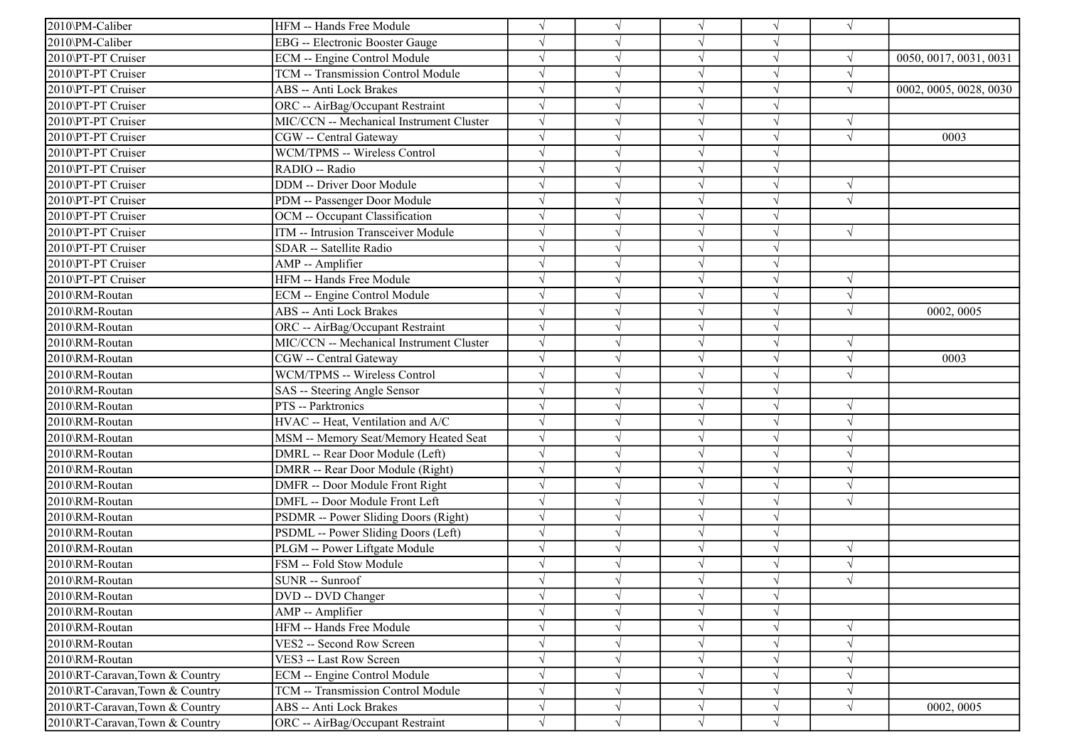| 2010\PM-Caliber                | HFM -- Hands Free Module                 | $\sqrt{ }$ |            |            |            | $\sqrt{ }$ |                        |
|--------------------------------|------------------------------------------|------------|------------|------------|------------|------------|------------------------|
| 2010\PM-Caliber                | <b>EBG</b> -- Electronic Booster Gauge   | $\sqrt{ }$ |            |            |            |            |                        |
| 2010\PT-PT Cruiser             | ECM -- Engine Control Module             | $\sqrt{}$  |            |            |            |            | 0050, 0017, 0031, 0031 |
| 2010\PT-PT Cruiser             | TCM -- Transmission Control Module       | $\sqrt{ }$ |            |            |            |            |                        |
| 2010\PT-PT Cruiser             | ABS -- Anti Lock Brakes                  | $\sqrt{}$  |            | $\sqrt{ }$ |            | $\sqrt{ }$ | 0002, 0005, 0028, 0030 |
| 2010\PT-PT Cruiser             | ORC -- AirBag/Occupant Restraint         | $\sqrt{ }$ |            |            |            |            |                        |
| 2010\PT-PT Cruiser             | MIC/CCN -- Mechanical Instrument Cluster | $\sqrt{ }$ |            |            |            |            |                        |
| 2010\PT-PT Cruiser             | CGW -- Central Gateway                   | $\sqrt{ }$ |            |            |            | $\sqrt{ }$ | 0003                   |
| 2010\PT-PT Cruiser             | WCM/TPMS -- Wireless Control             | $\sqrt{ }$ |            | $\sqrt{ }$ |            |            |                        |
| 2010\PT-PT Cruiser             | RADIO -- Radio                           | $\sqrt{ }$ |            |            |            |            |                        |
| 2010\PT-PT Cruiser             | <b>DDM</b> -- Driver Door Module         | $\sqrt{ }$ |            |            |            | $\sqrt{ }$ |                        |
| 2010\PT-PT Cruiser             | PDM -- Passenger Door Module             | $\sqrt{ }$ |            |            |            | $\sqrt{ }$ |                        |
| 2010\PT-PT Cruiser             | OCM -- Occupant Classification           | $\sqrt{ }$ |            | $\sqrt{ }$ |            |            |                        |
| 2010\PT-PT Cruiser             | ITM -- Intrusion Transceiver Module      | $\sqrt{ }$ |            |            |            | $\sqrt{ }$ |                        |
| 2010\PT-PT Cruiser             | SDAR -- Satellite Radio                  | $\sqrt{ }$ |            | $\sqrt{ }$ |            |            |                        |
| 2010\PT-PT Cruiser             | AMP -- Amplifier                         | $\sqrt{ }$ |            |            |            |            |                        |
| 2010\PT-PT Cruiser             | HFM -- Hands Free Module                 | $\sqrt{}$  |            |            |            | $\sqrt{ }$ |                        |
| 2010\RM-Routan                 | ECM -- Engine Control Module             | $\sqrt{ }$ |            |            |            |            |                        |
| 2010\RM-Routan                 | ABS -- Anti Lock Brakes                  | $\sqrt{ }$ |            |            |            |            | 0002, 0005             |
| 2010\RM-Routan                 | ORC -- AirBag/Occupant Restraint         | $\sqrt{ }$ |            | $\sqrt{ }$ | V          |            |                        |
| 2010\RM-Routan                 | MIC/CCN -- Mechanical Instrument Cluster | $\sqrt{ }$ |            | $\sqrt{ }$ | $\sqrt{ }$ | $\sqrt{ }$ |                        |
| 2010\RM-Routan                 | CGW -- Central Gateway                   | $\sqrt{}$  |            |            |            | $\sqrt{ }$ | 0003                   |
| 2010\RM-Routan                 | WCM/TPMS -- Wireless Control             | $\sqrt{ }$ |            |            |            | $\sqrt{ }$ |                        |
| 2010\RM-Routan                 | SAS -- Steering Angle Sensor             | $\sqrt{}$  |            | $\sqrt{ }$ |            |            |                        |
| 2010\RM-Routan                 | PTS -- Parktronics                       | $\sqrt{ }$ |            |            |            |            |                        |
| 2010\RM-Routan                 | HVAC -- Heat, Ventilation and A/C        | $\sqrt{ }$ |            |            |            |            |                        |
| 2010\RM-Routan                 | MSM -- Memory Seat/Memory Heated Seat    | $\sqrt{ }$ |            | $\sqrt{ }$ |            |            |                        |
| 2010\RM-Routan                 | DMRL -- Rear Door Module (Left)          | $\sqrt{ }$ |            |            |            |            |                        |
| 2010\RM-Routan                 | DMRR -- Rear Door Module (Right)         | $\sqrt{ }$ |            |            |            |            |                        |
| 2010\RM-Routan                 | DMFR -- Door Module Front Right          | $\sqrt{}$  |            |            |            |            |                        |
| 2010\RM-Routan                 | DMFL -- Door Module Front Left           | $\sqrt{ }$ |            |            |            | V          |                        |
| 2010\RM-Routan                 | PSDMR -- Power Sliding Doors (Right)     | $\sqrt{ }$ |            |            |            |            |                        |
| 2010\RM-Routan                 | PSDML -- Power Sliding Doors (Left)      | $\sqrt{ }$ |            | $\sqrt{ }$ |            |            |                        |
| 2010\RM-Routan                 | PLGM -- Power Liftgate Module            | $\sqrt{ }$ |            | $\sqrt{ }$ |            | $\sqrt{ }$ |                        |
| 2010\RM-Routan                 | FSM -- Fold Stow Module                  | $\sqrt{ }$ |            |            |            | $\sqrt{ }$ |                        |
| 2010\RM-Routan                 | SUNR -- Sunroof                          |            |            |            |            |            |                        |
| 2010\RM-Routan                 | DVD -- DVD Changer                       | $\sqrt{ }$ | $\sqrt{ }$ | $\sqrt{ }$ |            |            |                        |
| 2010\RM-Routan                 | AMP -- Amplifier                         | $\sqrt{}$  |            |            |            |            |                        |
| 2010\RM-Routan                 | HFM -- Hands Free Module                 | $\sqrt{}$  |            | $\sqrt{ }$ | $\sqrt{}$  | $\sqrt{ }$ |                        |
| 2010\RM-Routan                 | VES2 -- Second Row Screen                | $\sqrt{}$  |            | $\sqrt{ }$ |            | V          |                        |
| 2010\RM-Routan                 | VES3 -- Last Row Screen                  | $\sqrt{ }$ |            |            |            |            |                        |
| 2010\RT-Caravan,Town & Country | <b>ECM</b> -- Engine Control Module      | $\sqrt{}$  |            | $\sqrt{ }$ |            | V          |                        |
| 2010\RT-Caravan,Town & Country | TCM -- Transmission Control Module       | $\sqrt{ }$ |            | $\sqrt{ }$ |            |            |                        |
| 2010\RT-Caravan,Town & Country | ABS -- Anti Lock Brakes                  | $\sqrt{}$  |            | $\sqrt{ }$ | $\sqrt{ }$ | V          | 0002, 0005             |
| 2010\RT-Caravan,Town & Country | ORC -- AirBag/Occupant Restraint         | $\sqrt{ }$ | $\sqrt{ }$ | $\sqrt{ }$ | $\sqrt{}$  |            |                        |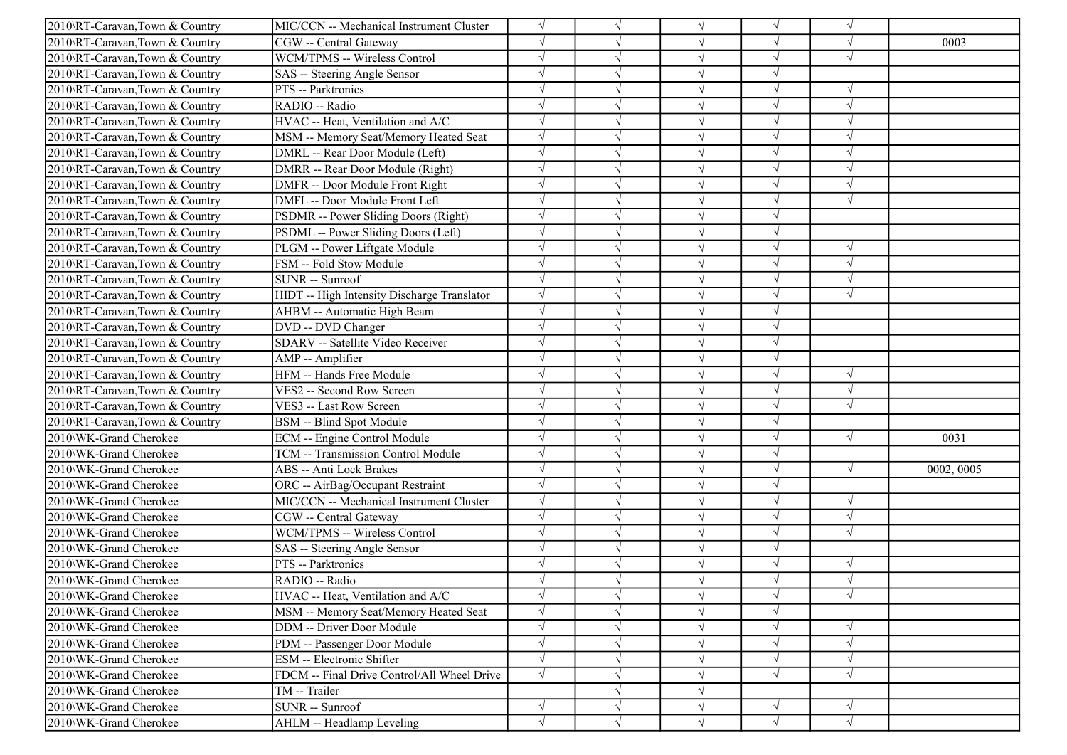| 2010\RT-Caravan,Town & Country | MIC/CCN -- Mechanical Instrument Cluster    |            |            | $\sqrt{ }$ | V          | $\gamma$      |            |
|--------------------------------|---------------------------------------------|------------|------------|------------|------------|---------------|------------|
| 2010\RT-Caravan,Town & Country | CGW -- Central Gateway                      |            |            | $\sqrt{ }$ | V          | $\sqrt{ }$    | 0003       |
| 2010\RT-Caravan,Town & Country | WCM/TPMS -- Wireless Control                |            |            | $\sqrt{ }$ | $\sqrt{}$  | $\sqrt{ }$    |            |
| 2010\RT-Caravan,Town & Country | SAS -- Steering Angle Sensor                |            |            | $\sqrt{ }$ |            |               |            |
| 2010\RT-Caravan,Town & Country | PTS -- Parktronics                          |            |            | $\sqrt{ }$ | V          | $\sqrt{ }$    |            |
| 2010\RT-Caravan,Town & Country | RADIO -- Radio                              |            |            | $\sqrt{ }$ |            | $\sqrt{ }$    |            |
| 2010\RT-Caravan,Town & Country | HVAC -- Heat, Ventilation and A/C           |            |            | $\sqrt{ }$ | J          | $\mathcal{A}$ |            |
| 2010\RT-Caravan,Town & Country | MSM -- Memory Seat/Memory Heated Seat       | $\sqrt{}$  |            | $\sqrt{ }$ | V          | $\sqrt{ }$    |            |
| 2010\RT-Caravan,Town & Country | DMRL -- Rear Door Module (Left)             | $\sqrt{}$  |            | $\sqrt{ }$ |            | $\sqrt{ }$    |            |
| 2010\RT-Caravan,Town & Country | DMRR -- Rear Door Module (Right)            |            |            | $\sqrt{ }$ |            | $\sqrt{ }$    |            |
| 2010\RT-Caravan,Town & Country | DMFR -- Door Module Front Right             |            |            | $\sqrt{ }$ |            | $\sqrt{ }$    |            |
| 2010\RT-Caravan,Town & Country | DMFL -- Door Module Front Left              |            |            | $\sqrt{ }$ |            | $\sqrt{ }$    |            |
| 2010\RT-Caravan,Town & Country | PSDMR -- Power Sliding Doors (Right)        |            |            | $\sqrt{ }$ | V          |               |            |
| 2010\RT-Caravan,Town & Country | PSDML -- Power Sliding Doors (Left)         |            |            | $\sqrt{ }$ | $\sqrt{}$  |               |            |
| 2010\RT-Caravan,Town & Country | PLGM -- Power Liftgate Module               |            |            | $\sqrt{ }$ | V          | $\sqrt{ }$    |            |
| 2010\RT-Caravan,Town & Country | FSM -- Fold Stow Module                     |            |            | $\sqrt{ }$ |            | $\sqrt{2}$    |            |
| 2010\RT-Caravan,Town & Country | SUNR -- Sunroof                             |            |            | $\sqrt{ }$ | J          | $\sqrt{ }$    |            |
| 2010\RT-Caravan,Town & Country | HIDT -- High Intensity Discharge Translator | $\sqrt{ }$ |            | $\sqrt{ }$ |            | $\sqrt{ }$    |            |
| 2010\RT-Caravan,Town & Country | AHBM -- Automatic High Beam                 | $\sqrt{ }$ |            | $\sqrt{ }$ | V          |               |            |
| 2010\RT-Caravan,Town & Country | DVD -- DVD Changer                          | $\sqrt{}$  |            | $\sqrt{ }$ | V          |               |            |
| 2010\RT-Caravan,Town & Country | SDARV -- Satellite Video Receiver           |            |            | $\sqrt{ }$ | V          |               |            |
| 2010\RT-Caravan,Town & Country | AMP -- Amplifier                            |            |            | $\sqrt{ }$ | $\sqrt{}$  |               |            |
| 2010\RT-Caravan,Town & Country | HFM -- Hands Free Module                    |            |            | $\sqrt{ }$ |            | $\sqrt{ }$    |            |
| 2010\RT-Caravan,Town & Country | VES2 -- Second Row Screen                   |            |            | $\sqrt{ }$ |            | $\sqrt{ }$    |            |
| 2010\RT-Caravan,Town & Country | VES3 -- Last Row Screen                     |            |            | $\sqrt{ }$ | $\sqrt{ }$ | $\sqrt{ }$    |            |
| 2010\RT-Caravan,Town & Country | BSM -- Blind Spot Module                    |            |            | $\sqrt{ }$ | V          |               |            |
| 2010\WK-Grand Cherokee         | ECM -- Engine Control Module                |            |            | $\sqrt{ }$ | V          | $\sqrt{ }$    | 0031       |
| 2010\WK-Grand Cherokee         | TCM -- Transmission Control Module          |            |            | $\sqrt{ }$ | V          |               |            |
| 2010\WK-Grand Cherokee         | <b>ABS</b> -- Anti Lock Brakes              |            |            | $\sqrt{ }$ | J          | $\sqrt{ }$    | 0002, 0005 |
| 2010\WK-Grand Cherokee         | ORC -- AirBag/Occupant Restraint            |            |            | $\sqrt{ }$ |            |               |            |
| 2010\WK-Grand Cherokee         | MIC/CCN -- Mechanical Instrument Cluster    | $\sqrt{ }$ |            | $\sqrt{ }$ | V          | $\sqrt{ }$    |            |
| 2010\WK-Grand Cherokee         | CGW -- Central Gateway                      | $\sqrt{ }$ |            | $\sqrt{ }$ | J          | $\sqrt{ }$    |            |
| 2010\WK-Grand Cherokee         | WCM/TPMS -- Wireless Control                | $\sqrt{}$  |            | $\sqrt{ }$ | V          | $\sqrt{ }$    |            |
| 2010\WK-Grand Cherokee         | SAS -- Steering Angle Sensor                |            |            | $\sqrt{ }$ | $\sqrt{}$  |               |            |
| 2010\WK-Grand Cherokee         | PTS -- Parktronics                          |            |            | $\sqrt{ }$ |            |               |            |
| 2010\WK-Grand Cherokee         | RADIO -- Radio                              |            |            |            |            | $\sqrt{ }$    |            |
| 2010\WK-Grand Cherokee         | HVAC -- Heat, Ventilation and A/C           | $\sqrt{ }$ | $\sqrt{ }$ | $\sqrt{ }$ | $\sqrt{}$  | $\sqrt{}$     |            |
| 2010\WK-Grand Cherokee         | MSM -- Memory Seat/Memory Heated Seat       | $\sqrt{}$  |            | $\sqrt{ }$ | V          |               |            |
| 2010\WK-Grand Cherokee         | <b>DDM</b> -- Driver Door Module            | $\sqrt{}$  |            | $\sqrt{ }$ | V          | $\sqrt{ }$    |            |
| 2010\WK-Grand Cherokee         | PDM -- Passenger Door Module                |            |            | $\sqrt{ }$ |            | $\sqrt{ }$    |            |
| 2010\WK-Grand Cherokee         | ESM -- Electronic Shifter                   |            |            | $\sqrt{ }$ |            | $\sqrt{ }$    |            |
| 2010\WK-Grand Cherokee         | FDCM -- Final Drive Control/All Wheel Drive | $\sqrt{ }$ |            | $\sqrt{ }$ | $\sqrt{}$  | $\sqrt{ }$    |            |
| 2010\WK-Grand Cherokee         | TM -- Trailer                               |            |            | $\sqrt{ }$ |            |               |            |
| 2010\WK-Grand Cherokee         | SUNR -- Sunroof                             | $\sqrt{}$  | $\sqrt{ }$ | $\sqrt{ }$ | V          | $\sqrt{ }$    |            |
| 2010\WK-Grand Cherokee         | AHLM -- Headlamp Leveling                   | $\sqrt{}$  | $\sqrt{}$  | $\sqrt{ }$ | $\sqrt{}$  | $\sqrt{}$     |            |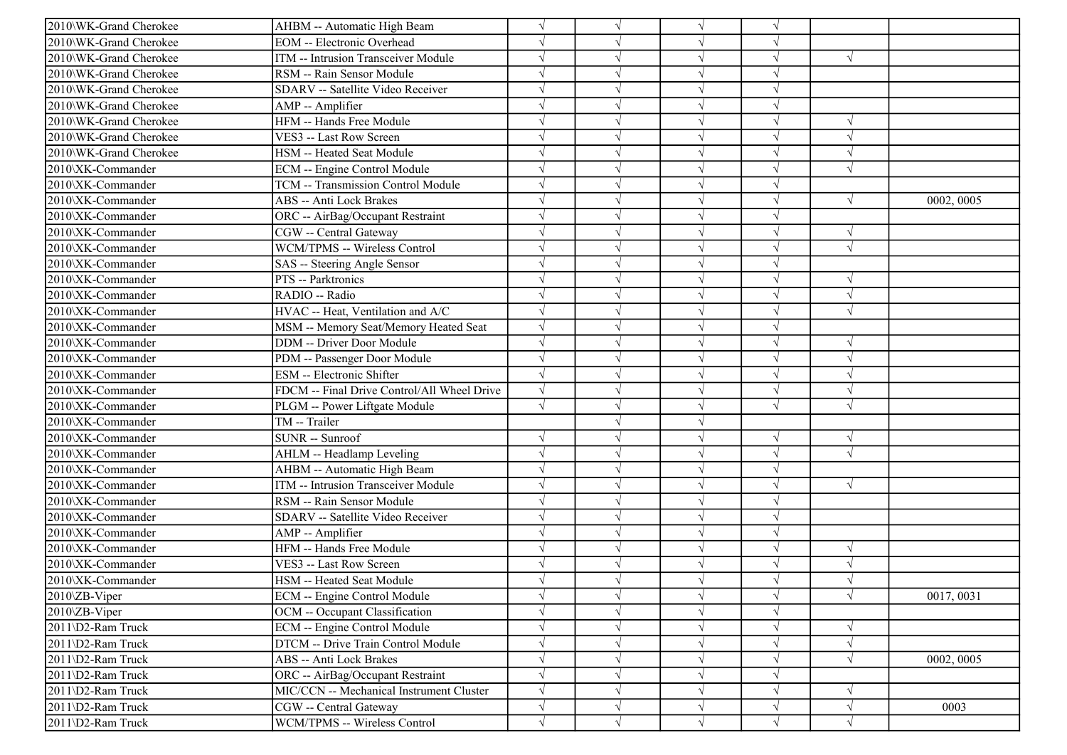| 2010\WK-Grand Cherokee | AHBM -- Automatic High Beam                 |            |            | $\sqrt{ }$ | V          |            |            |
|------------------------|---------------------------------------------|------------|------------|------------|------------|------------|------------|
| 2010\WK-Grand Cherokee | <b>EOM</b> -- Electronic Overhead           |            |            | $\sqrt{ }$ | V          |            |            |
| 2010\WK-Grand Cherokee | ITM -- Intrusion Transceiver Module         |            |            | $\sqrt{ }$ | $\sqrt{}$  | $\sqrt{ }$ |            |
| 2010\WK-Grand Cherokee | RSM -- Rain Sensor Module                   |            |            | $\sqrt{ }$ |            |            |            |
| 2010\WK-Grand Cherokee | SDARV -- Satellite Video Receiver           |            |            | $\sqrt{ }$ |            |            |            |
| 2010\WK-Grand Cherokee | AMP -- Amplifier                            |            |            | $\sqrt{ }$ | $\sqrt{}$  |            |            |
| 2010\WK-Grand Cherokee | HFM -- Hands Free Module                    |            |            | $\sqrt{ }$ | V          | $\sqrt{ }$ |            |
| 2010\WK-Grand Cherokee | VES3 -- Last Row Screen                     | $\sqrt{ }$ |            | $\sqrt{ }$ | V          | $\sqrt{ }$ |            |
| 2010\WK-Grand Cherokee | HSM -- Heated Seat Module                   |            |            | $\sqrt{ }$ | $\sqrt{ }$ | $\sqrt{ }$ |            |
| 2010\XK-Commander      | ECM -- Engine Control Module                |            |            | $\sqrt{ }$ |            | $\sqrt{ }$ |            |
| 2010\XK-Commander      | TCM -- Transmission Control Module          |            |            | $\sqrt{ }$ | J          |            |            |
| 2010\XK-Commander      | <b>ABS</b> -- Anti Lock Brakes              |            |            | $\sqrt{ }$ |            | $\sqrt{ }$ | 0002, 0005 |
| 2010\XK-Commander      | ORC -- AirBag/Occupant Restraint            |            |            | $\sqrt{ }$ | V          |            |            |
| 2010\XK-Commander      | CGW -- Central Gateway                      |            |            | $\sqrt{ }$ | $\sqrt{}$  | $\sqrt{ }$ |            |
| 2010\XK-Commander      | WCM/TPMS -- Wireless Control                | $\sqrt{ }$ |            | $\sqrt{ }$ | $\sqrt{}$  | $\sqrt{ }$ |            |
| 2010\XK-Commander      | SAS -- Steering Angle Sensor                |            |            | $\sqrt{ }$ |            |            |            |
| 2010\XK-Commander      | PTS -- Parktronics                          |            |            | $\sqrt{ }$ | $\sqrt{}$  | $\sqrt{ }$ |            |
| 2010\XK-Commander      | RADIO -- Radio                              |            |            | $\sqrt{ }$ |            | $\sqrt{ }$ |            |
| 2010\XK-Commander      | HVAC -- Heat, Ventilation and A/C           | $\sqrt{ }$ |            | $\sqrt{ }$ | V          | $\sqrt{ }$ |            |
| 2010\XK-Commander      | MSM -- Memory Seat/Memory Heated Seat       | $\sqrt{ }$ |            | $\sqrt{ }$ | V          |            |            |
| 2010\XK-Commander      | <b>DDM</b> -- Driver Door Module            |            |            | $\sqrt{ }$ | V          | $\sqrt{ }$ |            |
| 2010\XK-Commander      | PDM -- Passenger Door Module                |            |            | $\sqrt{ }$ | $\sqrt{ }$ | $\sqrt{ }$ |            |
| 2010\XK-Commander      | <b>ESM</b> -- Electronic Shifter            |            |            | $\sqrt{ }$ |            | $\sqrt{ }$ |            |
| 2010\XK-Commander      | FDCM -- Final Drive Control/All Wheel Drive |            |            | $\sqrt{ }$ |            | $\sqrt{ }$ |            |
| 2010\XK-Commander      | PLGM -- Power Liftgate Module               | $\sqrt{ }$ |            | $\sqrt{ }$ | $\sqrt{}$  | $\sqrt{ }$ |            |
| 2010\XK-Commander      | TM -- Trailer                               |            |            | $\sqrt{ }$ |            |            |            |
| 2010\XK-Commander      | SUNR -- Sunroof                             |            |            | $\sqrt{ }$ | $\sqrt{}$  | $\sqrt{ }$ |            |
| 2010\XK-Commander      | AHLM -- Headlamp Leveling                   |            |            | $\sqrt{ }$ | $\sqrt{}$  | $\sqrt{ }$ |            |
| 2010\XK-Commander      | AHBM -- Automatic High Beam                 |            |            | $\sqrt{ }$ | J          |            |            |
| 2010\XK-Commander      | ITM -- Intrusion Transceiver Module         |            |            | $\sqrt{ }$ |            | $\sqrt{ }$ |            |
| 2010\XK-Commander      | RSM -- Rain Sensor Module                   |            |            | $\sqrt{ }$ | V          |            |            |
| 2010\XK-Commander      | SDARV -- Satellite Video Receiver           |            |            | $\sqrt{ }$ | V          |            |            |
| 2010\XK-Commander      | AMP -- Amplifier                            |            |            | $\sqrt{ }$ | $\sqrt{}$  |            |            |
| 2010\XK-Commander      | HFM -- Hands Free Module                    | $\sqrt{ }$ |            | $\sqrt{ }$ | $\sqrt{}$  | $\sqrt{ }$ |            |
| 2010\XK-Commander      | VES3 -- Last Row Screen                     |            |            | $\sqrt{ }$ |            | $\sqrt{2}$ |            |
| 2010\XK-Commander      | HSM -- Heated Seat Module                   |            |            |            |            | $\sqrt{ }$ |            |
| 2010\ZB-Viper          | ECM -- Engine Control Module                | $\sqrt{}$  | $\sqrt{ }$ | $\sqrt{}$  | $\sqrt{}$  | $\sqrt{}$  | 0017, 0031 |
| 2010\ZB-Viper          | OCM -- Occupant Classification              |            |            | $\sqrt{ }$ | $\sqrt{ }$ |            |            |
| 2011\D2-Ram Truck      | <b>ECM</b> -- Engine Control Module         |            |            | $\sqrt{ }$ | $\sqrt{ }$ | $\sqrt{ }$ |            |
| 2011\D2-Ram Truck      | DTCM -- Drive Train Control Module          |            |            | $\sqrt{ }$ | V          | $\sqrt{ }$ |            |
| 2011\D2-Ram Truck      | <b>ABS</b> -- Anti Lock Brakes              |            |            | $\sqrt{ }$ |            | $\sqrt{ }$ | 0002, 0005 |
| 2011\D2-Ram Truck      | ORC -- AirBag/Occupant Restraint            | $\sqrt{}$  |            | $\sqrt{ }$ | V          |            |            |
| 2011\D2-Ram Truck      | MIC/CCN -- Mechanical Instrument Cluster    | $\sqrt{}$  |            | $\sqrt{ }$ | V          | $\sqrt{ }$ |            |
| 2011\D2-Ram Truck      | CGW -- Central Gateway                      | $\sqrt{}$  | $\sqrt{ }$ | $\sqrt{ }$ | $\sqrt{}$  | $\sqrt{ }$ | 0003       |
| 2011\D2-Ram Truck      | WCM/TPMS -- Wireless Control                | $\sqrt{}$  | $\sqrt{}$  | $\sqrt{ }$ | $\sqrt{}$  | $\sqrt{}$  |            |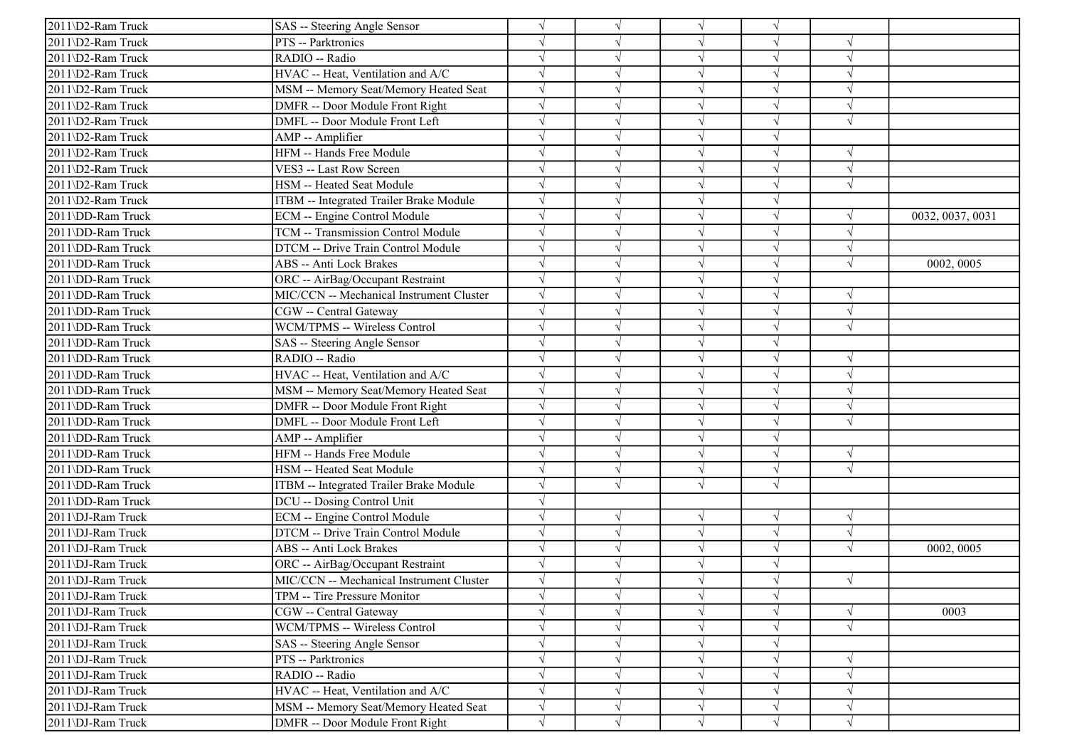| 2011\D2-Ram Truck | SAS -- Steering Angle Sensor             |            |            | $\sqrt{ }$ | $\sqrt{ }$ |            |                  |
|-------------------|------------------------------------------|------------|------------|------------|------------|------------|------------------|
| 2011\D2-Ram Truck | PTS -- Parktronics                       |            |            | $\sqrt{ }$ | V          | $\sqrt{ }$ |                  |
| 2011\D2-Ram Truck | RADIO -- Radio                           |            |            | $\sqrt{ }$ | $\sqrt{}$  | $\sqrt{ }$ |                  |
| 2011\D2-Ram Truck | HVAC -- Heat, Ventilation and A/C        |            |            | $\sqrt{ }$ |            |            |                  |
| 2011\D2-Ram Truck | MSM -- Memory Seat/Memory Heated Seat    | $\sqrt{}$  |            | $\sqrt{}$  | J          | $\sqrt{ }$ |                  |
| 2011\D2-Ram Truck | DMFR -- Door Module Front Right          |            |            | $\sqrt{ }$ | J          | $\sqrt{ }$ |                  |
| 2011\D2-Ram Truck | DMFL -- Door Module Front Left           |            |            | $\sqrt{ }$ | V          | $\sqrt{ }$ |                  |
| 2011\D2-Ram Truck | AMP -- Amplifier                         |            |            | $\sqrt{ }$ | J          |            |                  |
| 2011\D2-Ram Truck | HFM -- Hands Free Module                 |            |            | $\sqrt{ }$ | $\sqrt{ }$ | $\sqrt{ }$ |                  |
| 2011\D2-Ram Truck | VES3 -- Last Row Screen                  |            |            | $\sqrt{ }$ | J          | $\sqrt{ }$ |                  |
| 2011\D2-Ram Truck | HSM -- Heated Seat Module                |            |            | $\sqrt{}$  | J          | $\sqrt{ }$ |                  |
| 2011\D2-Ram Truck | ITBM -- Integrated Trailer Brake Module  |            |            | $\sqrt{ }$ | V          |            |                  |
| 2011\DD-Ram Truck | ECM -- Engine Control Module             |            |            | $\sqrt{ }$ | $\sqrt{ }$ | $\gamma$   | 0032, 0037, 0031 |
| 2011\DD-Ram Truck | TCM -- Transmission Control Module       |            |            | $\sqrt{ }$ | J          | $\sqrt{ }$ |                  |
| 2011\DD-Ram Truck | DTCM -- Drive Train Control Module       |            |            | $\sqrt{ }$ | J          | $\sqrt{ }$ |                  |
| 2011\DD-Ram Truck | ABS -- Anti Lock Brakes                  |            |            | $\sqrt{ }$ |            | $\sqrt{ }$ | 0002, 0005       |
| 2011\DD-Ram Truck | ORC -- AirBag/Occupant Restraint         |            |            | $\sqrt{ }$ |            |            |                  |
| 2011\DD-Ram Truck | MIC/CCN -- Mechanical Instrument Cluster |            |            | $\sqrt{ }$ |            | $\sqrt{ }$ |                  |
| 2011\DD-Ram Truck | CGW -- Central Gateway                   |            |            | $\sqrt{ }$ | $\sqrt{}$  | $\sqrt{ }$ |                  |
| 2011\DD-Ram Truck | WCM/TPMS -- Wireless Control             | $\sqrt{}$  |            | $\sqrt{ }$ | J          | $\sqrt{ }$ |                  |
| 2011\DD-Ram Truck | SAS -- Steering Angle Sensor             | $\sqrt{}$  |            | $\sqrt{ }$ | $\sqrt{ }$ |            |                  |
| 2011\DD-Ram Truck | RADIO -- Radio                           |            |            | $\sqrt{ }$ | $\sqrt{ }$ | $\sqrt{ }$ |                  |
| 2011\DD-Ram Truck | HVAC -- Heat, Ventilation and A/C        |            |            | $\sqrt{ }$ |            | $\sqrt{ }$ |                  |
| 2011\DD-Ram Truck | MSM -- Memory Seat/Memory Heated Seat    |            |            | $\sqrt{}$  | J          | $\sqrt{ }$ |                  |
| 2011\DD-Ram Truck | DMFR -- Door Module Front Right          | $\sqrt{}$  |            | $\sqrt{ }$ | $\sqrt{ }$ | $\sqrt{ }$ |                  |
| 2011\DD-Ram Truck | DMFL -- Door Module Front Left           |            |            | $\sqrt{ }$ | J          | $\sqrt{ }$ |                  |
| 2011\DD-Ram Truck | AMP -- Amplifier                         |            |            | $\sqrt{ }$ | $\sqrt{}$  |            |                  |
| 2011\DD-Ram Truck | HFM -- Hands Free Module                 |            |            | $\sqrt{ }$ | $\sqrt{}$  | $\sqrt{ }$ |                  |
| 2011\DD-Ram Truck | HSM -- Heated Seat Module                |            |            | $\sqrt{ }$ |            | $\sqrt{ }$ |                  |
| 2011\DD-Ram Truck | ITBM -- Integrated Trailer Brake Module  |            |            | $\sqrt{ }$ | J          |            |                  |
| 2011\DD-Ram Truck | DCU -- Dosing Control Unit               | $\sqrt{}$  |            |            |            |            |                  |
| 2011\DJ-Ram Truck | ECM -- Engine Control Module             | $\sqrt{ }$ | $\sqrt{ }$ | $\sqrt{ }$ | $\sqrt{ }$ | $\sqrt{ }$ |                  |
| 2011\DJ-Ram Truck | DTCM -- Drive Train Control Module       |            |            | $\sqrt{ }$ | $\sqrt{}$  | $\sqrt{ }$ |                  |
| 2011\DJ-Ram Truck | ABS -- Anti Lock Brakes                  |            |            | $\sqrt{ }$ | $\sqrt{ }$ | $\sqrt{ }$ | 0002, 0005       |
| 2011\DJ-Ram Truck | ORC -- AirBag/Occupant Restraint         |            |            | $\sqrt{ }$ |            |            |                  |
| 2011\DJ-Ram Truck | MIC/CCN -- Mechanical Instrument Cluster |            |            |            |            | $\sqrt{ }$ |                  |
| 2011\DJ-Ram Truck | TPM -- Tire Pressure Monitor             | $\sqrt{}$  | $\sqrt{}$  | $\sqrt{}$  | $\sqrt{ }$ |            |                  |
| 2011\DJ-Ram Truck | CGW -- Central Gateway                   | $\sqrt{}$  |            | $\sqrt{ }$ | $\sqrt{ }$ | $\sqrt{ }$ | 0003             |
| 2011\DJ-Ram Truck | WCM/TPMS -- Wireless Control             | $\sqrt{}$  |            | $\sqrt{ }$ | $\sqrt{ }$ | $\sqrt{ }$ |                  |
| 2011\DJ-Ram Truck | SAS -- Steering Angle Sensor             |            |            | $\sqrt{ }$ | V          |            |                  |
| 2011\DJ-Ram Truck | PTS -- Parktronics                       |            |            | $\sqrt{ }$ |            | $\sqrt{ }$ |                  |
| 2011\DJ-Ram Truck | RADIO -- Radio                           |            |            | $\sqrt{ }$ | V          | $\sqrt{ }$ |                  |
| 2011\DJ-Ram Truck | HVAC -- Heat, Ventilation and A/C        |            |            | $\sqrt{ }$ | V          | $\sqrt{ }$ |                  |
| 2011\DJ-Ram Truck | MSM -- Memory Seat/Memory Heated Seat    | $\sqrt{}$  | V          | $\sqrt{ }$ | $\sqrt{ }$ | $\sqrt{ }$ |                  |
| 2011\DJ-Ram Truck | DMFR -- Door Module Front Right          | $\sqrt{}$  | $\sqrt{ }$ | $\sqrt{ }$ | $\sqrt{ }$ | $\sqrt{ }$ |                  |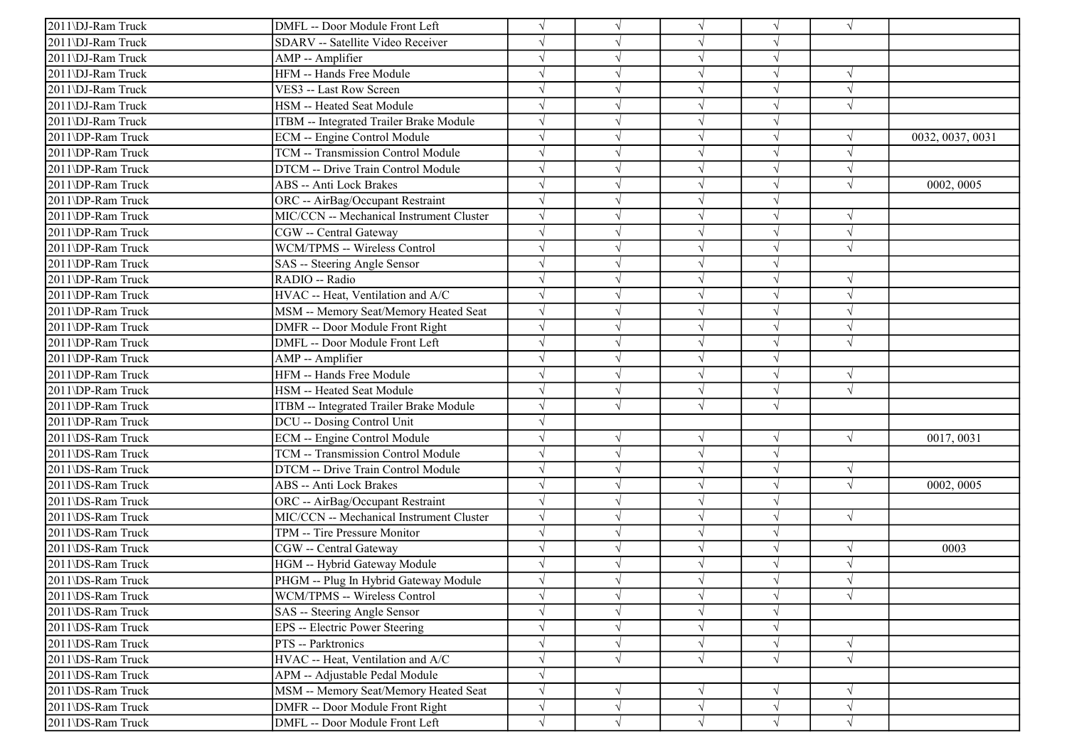| 2011\DJ-Ram Truck | DMFL -- Door Module Front Left           |            | $\sqrt{ }$ | $\sqrt{ }$ | $\sqrt{}$  | $\sqrt{ }$ |                  |
|-------------------|------------------------------------------|------------|------------|------------|------------|------------|------------------|
| 2011\DJ-Ram Truck | SDARV -- Satellite Video Receiver        |            |            | $\sqrt{ }$ |            |            |                  |
| 2011\DJ-Ram Truck | AMP -- Amplifier                         |            |            | $\sqrt{ }$ | $\sqrt{ }$ |            |                  |
| 2011\DJ-Ram Truck | HFM -- Hands Free Module                 |            |            | $\sqrt{ }$ | $\sqrt{}$  | $\sqrt{ }$ |                  |
| 2011\DJ-Ram Truck | VES3 -- Last Row Screen                  |            |            | $\sqrt{ }$ |            | $\sqrt{ }$ |                  |
| 2011\DJ-Ram Truck | HSM -- Heated Seat Module                |            |            | $\sqrt{ }$ |            | $\sqrt{ }$ |                  |
| 2011\DJ-Ram Truck | ITBM -- Integrated Trailer Brake Module  |            |            | $\sqrt{ }$ | $\sqrt{}$  |            |                  |
| 2011\DP-Ram Truck | ECM -- Engine Control Module             |            |            | $\sqrt{ }$ | J          | $\sqrt{ }$ | 0032, 0037, 0031 |
| 2011\DP-Ram Truck | TCM -- Transmission Control Module       |            |            | $\sqrt{ }$ |            | $\sqrt{ }$ |                  |
| 2011\DP-Ram Truck | DTCM -- Drive Train Control Module       |            |            | $\sqrt{ }$ | $\sqrt{}$  | $\sqrt{ }$ |                  |
| 2011\DP-Ram Truck | ABS -- Anti Lock Brakes                  |            |            | $\sqrt{ }$ |            | $\sqrt{ }$ | 0002, 0005       |
| 2011\DP-Ram Truck | ORC -- AirBag/Occupant Restraint         |            |            | $\sqrt{}$  |            |            |                  |
| 2011\DP-Ram Truck | MIC/CCN -- Mechanical Instrument Cluster |            |            | $\sqrt{}$  | V          | $\sqrt{ }$ |                  |
| 2011\DP-Ram Truck | CGW -- Central Gateway                   |            |            | $\sqrt{ }$ |            | $\sqrt{ }$ |                  |
| 2011\DP-Ram Truck | WCM/TPMS -- Wireless Control             |            |            | $\sqrt{ }$ | $\sqrt{}$  | $\sqrt{ }$ |                  |
| 2011\DP-Ram Truck | SAS -- Steering Angle Sensor             |            |            | $\sqrt{ }$ | $\sqrt{}$  |            |                  |
| 2011\DP-Ram Truck | RADIO -- Radio                           |            |            | $\sqrt{ }$ |            |            |                  |
| 2011\DP-Ram Truck | HVAC -- Heat, Ventilation and A/C        |            |            | $\sqrt{ }$ |            | $\sqrt{ }$ |                  |
| 2011\DP-Ram Truck | MSM -- Memory Seat/Memory Heated Seat    |            |            | $\sqrt{}$  |            | $\sqrt{ }$ |                  |
| 2011\DP-Ram Truck | DMFR -- Door Module Front Right          |            |            | $\sqrt{ }$ |            | $\sqrt{ }$ |                  |
| 2011\DP-Ram Truck | DMFL -- Door Module Front Left           | $\sqrt{}$  | $\sqrt{ }$ | $\sqrt{ }$ | J          | $\sqrt{ }$ |                  |
| 2011\DP-Ram Truck | AMP -- Amplifier                         | $\sqrt{ }$ |            | $\sqrt{ }$ | $\sqrt{ }$ |            |                  |
| 2011\DP-Ram Truck | HFM -- Hands Free Module                 |            |            | $\sqrt{ }$ | $\sqrt{}$  | $\sqrt{ }$ |                  |
| 2011\DP-Ram Truck | HSM -- Heated Seat Module                |            |            | $\sqrt{ }$ | $\sqrt{}$  | $\sqrt{ }$ |                  |
| 2011\DP-Ram Truck | ITBM -- Integrated Trailer Brake Module  |            |            | $\sqrt{ }$ | $\sqrt{}$  |            |                  |
| 2011\DP-Ram Truck | DCU -- Dosing Control Unit               |            |            |            |            |            |                  |
| 2011\DS-Ram Truck | ECM -- Engine Control Module             |            | $\sqrt{ }$ | $\sqrt{ }$ | $\sqrt{}$  | $\sqrt{ }$ | 0017, 0031       |
| 2011\DS-Ram Truck | TCM -- Transmission Control Module       |            | $\sqrt{ }$ | $\sqrt{ }$ | $\sqrt{}$  |            |                  |
| 2011\DS-Ram Truck | DTCM -- Drive Train Control Module       |            |            | $\sqrt{ }$ | V          | $\sqrt{ }$ |                  |
| 2011\DS-Ram Truck | ABS -- Anti Lock Brakes                  |            |            | $\sqrt{ }$ |            | $\sqrt{ }$ | 0002, 0005       |
| 2011\DS-Ram Truck | ORC -- AirBag/Occupant Restraint         |            |            | $\sqrt{ }$ | J          |            |                  |
| 2011\DS-Ram Truck | MIC/CCN -- Mechanical Instrument Cluster | $\sqrt{ }$ |            | $\sqrt{ }$ | $\sqrt{}$  | $\sqrt{ }$ |                  |
| 2011\DS-Ram Truck | TPM -- Tire Pressure Monitor             |            |            | $\sqrt{ }$ | V          |            |                  |
| 2011\DS-Ram Truck | CGW -- Central Gateway                   |            |            | $\sqrt{ }$ | $\sqrt{}$  | $\sqrt{ }$ | 0003             |
| 2011\DS-Ram Truck | HGM -- Hybrid Gateway Module             |            |            | $\sqrt{ }$ | $\sqrt{ }$ | $\sqrt{ }$ |                  |
| 2011\DS-Ram Truck | PHGM -- Plug In Hybrid Gateway Module    |            |            | $\sqrt{ }$ |            | $\sqrt{ }$ |                  |
| 2011\DS-Ram Truck | WCM/TPMS -- Wireless Control             |            | $\sqrt{}$  | $\sqrt{}$  | $\sqrt{}$  | $\sqrt{}$  |                  |
| 2011\DS-Ram Truck | SAS -- Steering Angle Sensor             |            | $\sqrt{ }$ | $\sqrt{}$  | $\sqrt{}$  |            |                  |
| 2011\DS-Ram Truck | EPS -- Electric Power Steering           |            |            | $\sqrt{}$  | V          |            |                  |
| 2011\DS-Ram Truck | PTS -- Parktronics                       |            | $\sqrt{}$  | $\sqrt{}$  | $\sqrt{}$  | $\sqrt{}$  |                  |
| 2011\DS-Ram Truck | HVAC -- Heat, Ventilation and A/C        |            | $\sqrt{ }$ | $\sqrt{}$  | $\sqrt{}$  | $\sqrt{}$  |                  |
| 2011\DS-Ram Truck | APM -- Adjustable Pedal Module           |            |            |            |            |            |                  |
| 2011\DS-Ram Truck | MSM -- Memory Seat/Memory Heated Seat    | $\sqrt{}$  | $\sqrt{ }$ | $\sqrt{}$  | V          | $\sqrt{ }$ |                  |
| 2011\DS-Ram Truck | DMFR -- Door Module Front Right          | $\sqrt{}$  | $\sqrt{}$  | $\sqrt{ }$ | $\sqrt{}$  | $\sqrt{}$  |                  |
| 2011\DS-Ram Truck | DMFL -- Door Module Front Left           | $\sqrt{}$  | $\sqrt{ }$ | $\sqrt{ }$ | $\sqrt{}$  | $\sqrt{ }$ |                  |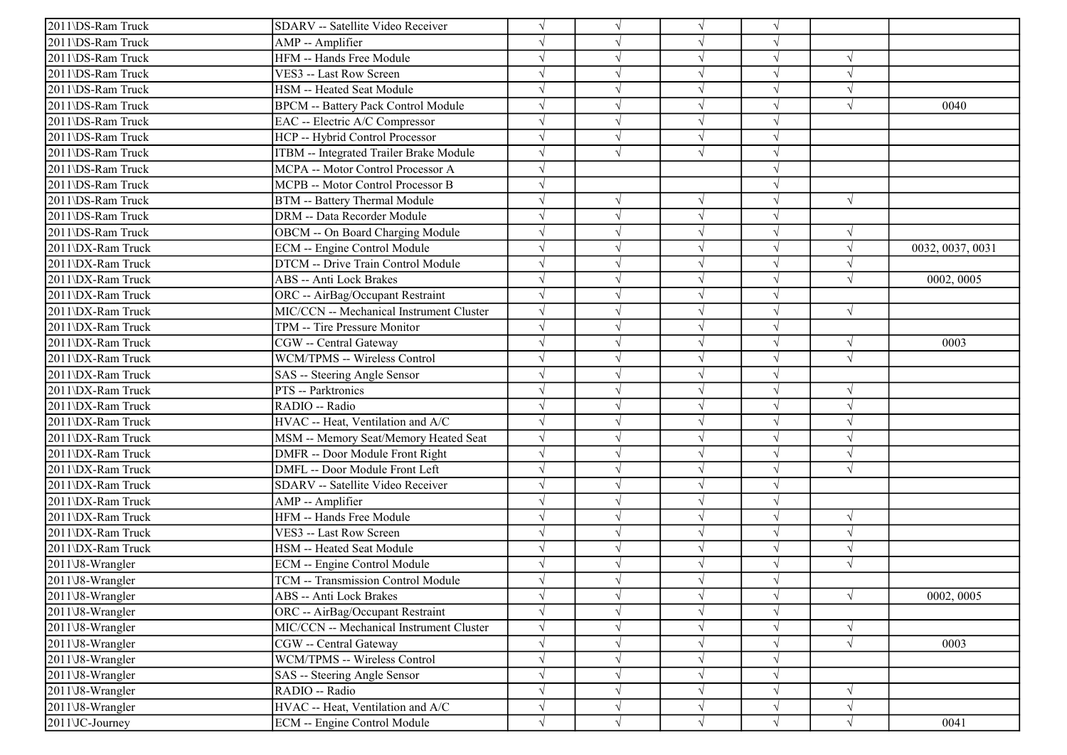| 2011\DS-Ram Truck | SDARV -- Satellite Video Receiver          |           |            | $\sqrt{ }$ | $\sqrt{ }$ |            |                  |
|-------------------|--------------------------------------------|-----------|------------|------------|------------|------------|------------------|
| 2011\DS-Ram Truck | AMP -- Amplifier                           |           |            | $\sqrt{ }$ | $\sqrt{ }$ |            |                  |
| 2011\DS-Ram Truck | HFM -- Hands Free Module                   |           |            | $\sqrt{ }$ | $\sqrt{ }$ | $\sqrt{ }$ |                  |
| 2011\DS-Ram Truck | VES3 -- Last Row Screen                    |           |            | $\sqrt{ }$ |            | $\gamma$   |                  |
| 2011\DS-Ram Truck | HSM -- Heated Seat Module                  |           |            | $\sqrt{ }$ | J          | $\sqrt{ }$ |                  |
| 2011\DS-Ram Truck | <b>BPCM -- Battery Pack Control Module</b> |           |            | $\sqrt{ }$ | J          | $\sqrt{ }$ | 0040             |
| 2011\DS-Ram Truck | EAC -- Electric A/C Compressor             |           |            | $\sqrt{ }$ | $\sqrt{ }$ |            |                  |
| 2011\DS-Ram Truck | HCP -- Hybrid Control Processor            |           | $\sqrt{ }$ | $\sqrt{ }$ | V          |            |                  |
| 2011\DS-Ram Truck | ITBM -- Integrated Trailer Brake Module    |           | $\sqrt{ }$ | $\sqrt{ }$ | $\sqrt{ }$ |            |                  |
| 2011\DS-Ram Truck | MCPA -- Motor Control Processor A          |           |            |            |            |            |                  |
| 2011\DS-Ram Truck | MCPB -- Motor Control Processor B          |           |            |            | J          |            |                  |
| 2011\DS-Ram Truck | BTM -- Battery Thermal Module              |           |            | $\sqrt{ }$ | V          | $\sqrt{ }$ |                  |
| 2011\DS-Ram Truck | DRM -- Data Recorder Module                |           |            | $\sqrt{ }$ | V          |            |                  |
| 2011\DS-Ram Truck | OBCM -- On Board Charging Module           |           | $\sqrt{ }$ | $\sqrt{ }$ | $\sqrt{ }$ | $\sqrt{ }$ |                  |
| 2011\DX-Ram Truck | ECM -- Engine Control Module               |           |            | $\sqrt{ }$ | V          | $\sqrt{ }$ | 0032, 0037, 0031 |
| 2011\DX-Ram Truck | DTCM -- Drive Train Control Module         |           |            | $\sqrt{}$  |            | $\sqrt{ }$ |                  |
| 2011\DX-Ram Truck | ABS -- Anti Lock Brakes                    |           |            | $\sqrt{ }$ |            | $\sqrt{ }$ | 0002, 0005       |
| 2011\DX-Ram Truck | ORC -- AirBag/Occupant Restraint           |           |            | $\sqrt{ }$ |            |            |                  |
| 2011\DX-Ram Truck | MIC/CCN -- Mechanical Instrument Cluster   |           |            | $\sqrt{ }$ | $\sqrt{}$  | $\sqrt{ }$ |                  |
| 2011\DX-Ram Truck | TPM -- Tire Pressure Monitor               | J         |            | $\sqrt{ }$ | V          |            |                  |
| 2011\DX-Ram Truck | CGW -- Central Gateway                     |           |            | $\sqrt{ }$ | $\sqrt{ }$ | $\sqrt{ }$ | 0003             |
| 2011\DX-Ram Truck | WCM/TPMS -- Wireless Control               |           |            | $\sqrt{ }$ | $\sqrt{ }$ | $\sqrt{ }$ |                  |
| 2011\DX-Ram Truck | SAS -- Steering Angle Sensor               |           |            | $\sqrt{ }$ | J          |            |                  |
| 2011\DX-Ram Truck | PTS -- Parktronics                         |           |            | $\sqrt{ }$ | $\sqrt{ }$ | $\sqrt{ }$ |                  |
| 2011\DX-Ram Truck | RADIO -- Radio                             |           |            | $\sqrt{ }$ | $\sqrt{ }$ | $\sqrt{ }$ |                  |
| 2011\DX-Ram Truck | HVAC -- Heat, Ventilation and A/C          |           |            | $\sqrt{ }$ | J          | $\sqrt{ }$ |                  |
| 2011\DX-Ram Truck | MSM -- Memory Seat/Memory Heated Seat      |           |            | $\sqrt{ }$ | V          | $\sqrt{ }$ |                  |
| 2011\DX-Ram Truck | DMFR -- Door Module Front Right            |           |            | $\sqrt{ }$ | $\sqrt{}$  | $\sqrt{ }$ |                  |
| 2011\DX-Ram Truck | DMFL -- Door Module Front Left             |           |            | $\sqrt{ }$ |            | $\sqrt{ }$ |                  |
| 2011\DX-Ram Truck | SDARV -- Satellite Video Receiver          |           |            | $\sqrt{ }$ |            |            |                  |
| 2011\DX-Ram Truck | AMP -- Amplifier                           |           |            | $\sqrt{ }$ | $\sqrt{ }$ |            |                  |
| 2011\DX-Ram Truck | HFM -- Hands Free Module                   |           |            | $\sqrt{ }$ | $\sqrt{ }$ | $\sqrt{ }$ |                  |
| 2011\DX-Ram Truck | VES3 -- Last Row Screen                    |           |            | $\sqrt{ }$ | $\sqrt{}$  | $\sqrt{ }$ |                  |
| 2011\DX-Ram Truck | HSM -- Heated Seat Module                  |           |            | $\sqrt{ }$ | $\sqrt{ }$ | $\sqrt{ }$ |                  |
| 2011\J8-Wrangler  | ECM -- Engine Control Module               |           |            | $\sqrt{ }$ |            | $\sqrt{ }$ |                  |
| 2011\J8-Wrangler  | TCM -- Transmission Control Module         |           |            |            |            |            |                  |
| 2011\J8-Wrangler  | ABS -- Anti Lock Brakes                    |           | $\sqrt{ }$ | $\sqrt{}$  | $\sqrt{}$  | $\sqrt{ }$ | 0002, 0005       |
| 2011\J8-Wrangler  | ORC -- AirBag/Occupant Restraint           |           |            | $\sqrt{}$  | $\sqrt{ }$ |            |                  |
| 2011\J8-Wrangler  | MIC/CCN -- Mechanical Instrument Cluster   |           | $\sqrt{ }$ | $\sqrt{}$  | $\sqrt{ }$ | $\sqrt{ }$ |                  |
| 2011\J8-Wrangler  | CGW -- Central Gateway                     |           |            | $\sqrt{}$  | V          | $\sqrt{ }$ | 0003             |
| 2011\J8-Wrangler  | WCM/TPMS -- Wireless Control               |           |            | $\sqrt{ }$ |            |            |                  |
| 2011\J8-Wrangler  | SAS -- Steering Angle Sensor               |           | $\sqrt{ }$ | $\sqrt{ }$ | V          |            |                  |
| 2011\J8-Wrangler  | RADIO -- Radio                             |           | $\sqrt{ }$ | $\sqrt{ }$ | V          | $\sqrt{ }$ |                  |
| 2011\J8-Wrangler  | HVAC -- Heat, Ventilation and A/C          | $\sqrt{}$ | $\sqrt{ }$ | $\sqrt{}$  | V          | $\sqrt{ }$ |                  |
| 2011\JC-Journey   | ECM -- Engine Control Module               | $\sqrt{}$ | $\sqrt{ }$ | $\sqrt{}$  | $\sqrt{}$  | $\sqrt{ }$ | 0041             |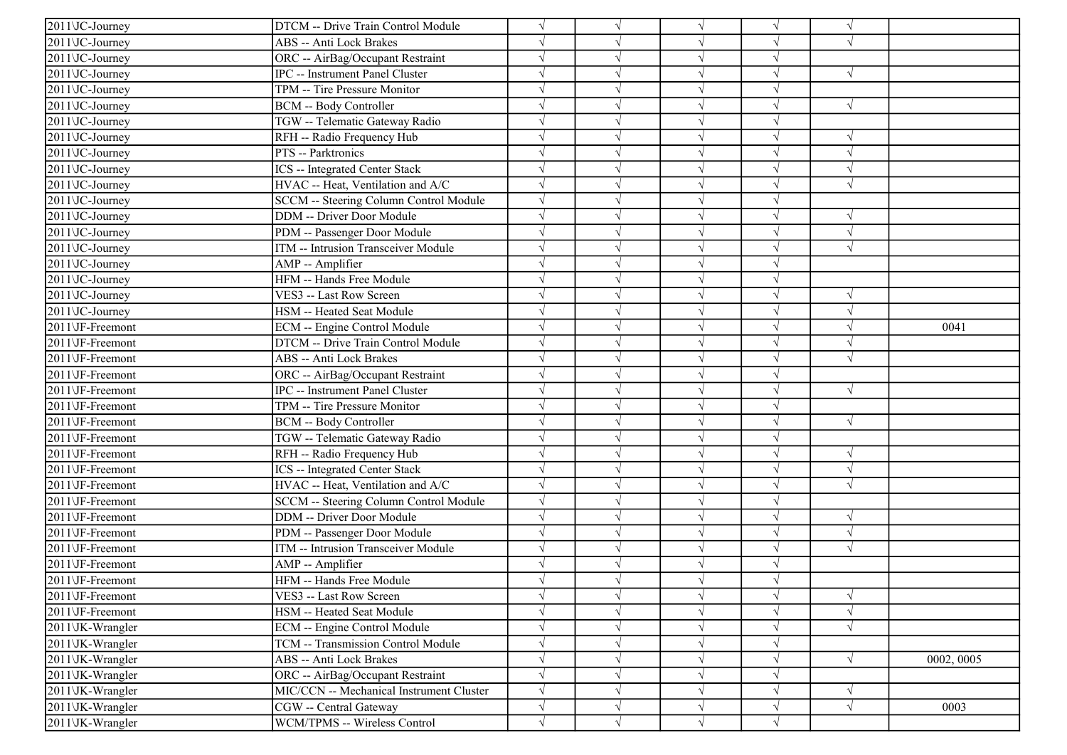| $\sqrt{2011\text{VC}}$ -Journey | DTCM -- Drive Train Control Module       |            |            | $\sqrt{ }$ |            | $\sqrt{ }$ |            |
|---------------------------------|------------------------------------------|------------|------------|------------|------------|------------|------------|
| 2011 JC-Journey                 | ABS -- Anti Lock Brakes                  |            |            | $\sqrt{ }$ | V          | $\sqrt{ }$ |            |
| 2011 JC-Journey                 | ORC -- AirBag/Occupant Restraint         |            |            | $\sqrt{}$  | V          |            |            |
| 2011\JC-Journey                 | IPC -- Instrument Panel Cluster          |            |            | V          |            | $\sqrt{ }$ |            |
| 2011\JC-Journey                 | TPM -- Tire Pressure Monitor             |            |            | $\sqrt{ }$ | J          |            |            |
| 2011\JC-Journey                 | BCM -- Body Controller                   |            |            | $\sqrt{}$  |            | $\sqrt{ }$ |            |
| 2011\JC-Journey                 | TGW -- Telematic Gateway Radio           |            |            | $\sqrt{ }$ | V          |            |            |
| 2011\JC-Journey                 | RFH -- Radio Frequency Hub               | $\sqrt{ }$ |            | $\sqrt{ }$ | $\sqrt{ }$ | $\sqrt{ }$ |            |
| 2011\JC-Journey                 | PTS -- Parktronics                       |            |            | $\sqrt{ }$ | $\sqrt{}$  | $\sqrt{ }$ |            |
| 2011\JC-Journey                 | ICS -- Integrated Center Stack           |            |            | $\sqrt{ }$ | $\sqrt{ }$ | $\sqrt{ }$ |            |
| 2011\JC-Journey                 | HVAC -- Heat, Ventilation and A/C        |            |            | $\sqrt{}$  | $\sqrt{ }$ | $\sqrt{ }$ |            |
| $\overline{20}11\$ UC-Journey   | SCCM -- Steering Column Control Module   |            |            | $\sqrt{}$  |            |            |            |
| 2011\JC-Journey                 | DDM -- Driver Door Module                |            |            | $\sqrt{ }$ | V          | $\sqrt{ }$ |            |
| 2011\JC-Journey                 | PDM -- Passenger Door Module             |            | $\sqrt{ }$ | $\sqrt{ }$ | $\sqrt{}$  | $\sqrt{ }$ |            |
| 2011\JC-Journey                 | ITM -- Intrusion Transceiver Module      |            |            | $\sqrt{}$  | J          | $\sqrt{ }$ |            |
| 2011\JC-Journey                 | AMP -- Amplifier                         |            |            | $\sqrt{ }$ |            |            |            |
| 2011\JC-Journey                 | HFM -- Hands Free Module                 |            |            | $\sqrt{}$  | $\sqrt{}$  |            |            |
| 2011\JC-Journey                 | VES3 -- Last Row Screen                  |            |            | $\sqrt{ }$ |            | $\sqrt{ }$ |            |
| 2011\JC-Journey                 | HSM -- Heated Seat Module                |            |            | $\sqrt{ }$ | J          | $\sqrt{ }$ |            |
| 2011\JF-Freemont                | ECM -- Engine Control Module             |            | $\sqrt{ }$ | $\sqrt{ }$ | J          | $\sqrt{ }$ | 0041       |
| 2011\JF-Freemont                | DTCM -- Drive Train Control Module       |            |            | $\sqrt{ }$ |            | $\sqrt{ }$ |            |
| 2011\JF-Freemont                | ABS -- Anti Lock Brakes                  |            |            | $\sqrt{ }$ | $\sqrt{}$  | $\sqrt{ }$ |            |
| 2011\JF-Freemont                | ORC -- AirBag/Occupant Restraint         |            |            | $\sqrt{ }$ | J          |            |            |
| 2011\JF-Freemont                | <b>IPC</b> -- Instrument Panel Cluster   |            |            | $\sqrt{}$  |            | $\sqrt{ }$ |            |
| 2011\JF-Freemont                | TPM -- Tire Pressure Monitor             |            | $\sqrt{ }$ | $\sqrt{ }$ | $\sqrt{}$  |            |            |
| 2011\JF-Freemont                | <b>BCM</b> -- Body Controller            |            |            | $\sqrt{ }$ |            | $\sqrt{ }$ |            |
| 2011\JF-Freemont                | TGW -- Telematic Gateway Radio           |            |            | $\sqrt{ }$ | V          |            |            |
| 2011\JF-Freemont                | RFH -- Radio Frequency Hub               |            |            | $\sqrt{}$  | V          | $\sqrt{ }$ |            |
| 2011\JF-Freemont                | ICS -- Integrated Center Stack           |            |            | $\sqrt{ }$ | J          | $\sqrt{ }$ |            |
| 2011\JF-Freemont                | HVAC -- Heat, Ventilation and A/C        |            |            | $\sqrt{ }$ |            | $\sqrt{ }$ |            |
| 2011\JF-Freemont                | SCCM -- Steering Column Control Module   | $\sqrt{ }$ |            | $\sqrt{ }$ | V          |            |            |
| 2011\JF-Freemont                | DDM -- Driver Door Module                |            |            | $\sqrt{ }$ | J          | $\sqrt{ }$ |            |
| 2011\JF-Freemont                | PDM -- Passenger Door Module             |            |            | $\sqrt{ }$ | V          | $\sqrt{ }$ |            |
| 2011\JF-Freemont                | ITM -- Intrusion Transceiver Module      |            |            | $\sqrt{ }$ | $\sqrt{ }$ | $\sqrt{ }$ |            |
| 2011\JF-Freemont                | AMP -- Amplifier                         |            |            | $\sqrt{ }$ |            |            |            |
| 2011\JF-Freemont                | HFM -- Hands Free Module                 |            |            | N          |            |            |            |
| 2011\JF-Freemont                | VES3 -- Last Row Screen                  |            | $\sqrt{ }$ | $\sqrt{ }$ | $\sqrt{}$  | $\sqrt{ }$ |            |
| 2011\JF-Freemont                | HSM -- Heated Seat Module                |            |            | $\sqrt{ }$ |            | $\sqrt{ }$ |            |
| 2011\JK-Wrangler                | ECM -- Engine Control Module             |            | $\sqrt{ }$ | $\sqrt{ }$ | V          | $\sqrt{ }$ |            |
| 2011\JK-Wrangler                | TCM -- Transmission Control Module       |            |            | $\sqrt{ }$ | V          |            |            |
| 2011\JK-Wrangler                | ABS -- Anti Lock Brakes                  |            |            | $\sqrt{}$  | V          | $\sqrt{ }$ | 0002, 0005 |
| 2011\JK-Wrangler                | ORC -- AirBag/Occupant Restraint         |            |            | $\sqrt{ }$ | V          |            |            |
| 2011\JK-Wrangler                | MIC/CCN -- Mechanical Instrument Cluster |            | $\sqrt{ }$ | $\sqrt{ }$ | V          | $\sqrt{ }$ |            |
| 2011\JK-Wrangler                | CGW -- Central Gateway                   | $\sqrt{}$  | $\sqrt{ }$ | $\sqrt{ }$ | $\sqrt{}$  | $\sqrt{ }$ | 0003       |
| 2011\JK-Wrangler                | WCM/TPMS -- Wireless Control             | $\sqrt{}$  | $\sqrt{}$  | $\sqrt{}$  | $\sqrt{}$  |            |            |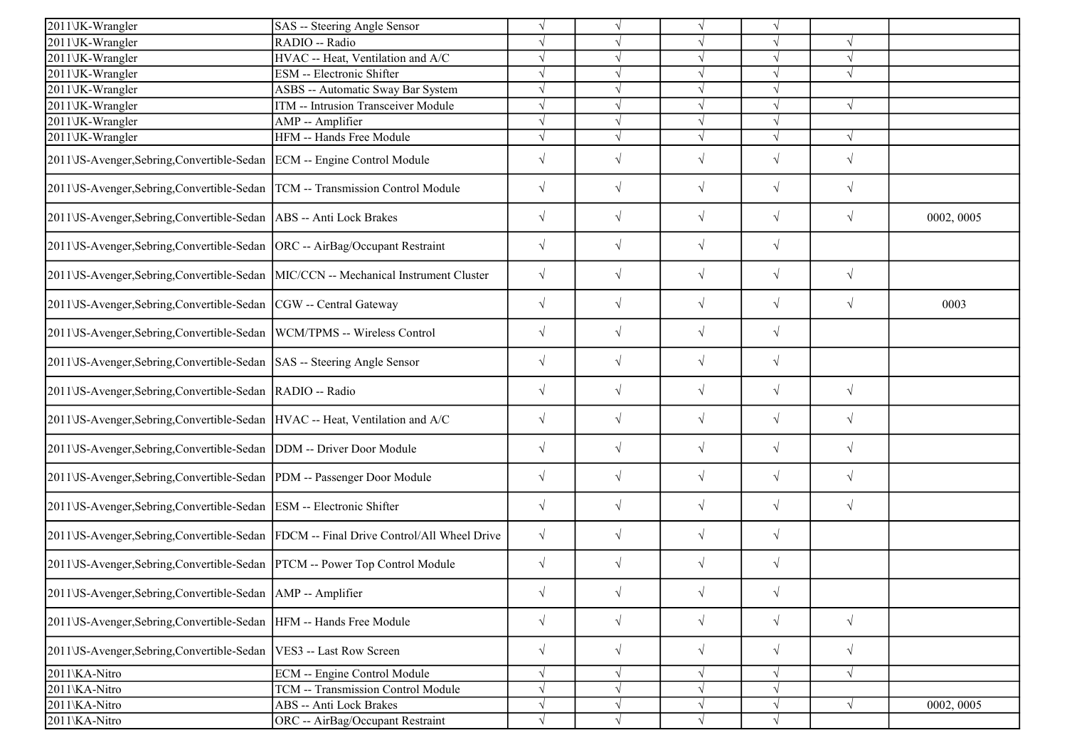| 2011\JK-Wrangler                                                                    | SAS -- Steering Angle Sensor                                                           | $\sqrt{ }$ | $\sqrt{ }$ | $\sqrt{}$             | $\sqrt{}$  |            |            |
|-------------------------------------------------------------------------------------|----------------------------------------------------------------------------------------|------------|------------|-----------------------|------------|------------|------------|
| 2011\JK-Wrangler                                                                    | RADIO -- Radio                                                                         | $\sqrt{ }$ |            |                       | V          |            |            |
| 2011\JK-Wrangler                                                                    | HVAC -- Heat, Ventilation and A/C                                                      | $\sqrt{}$  | J          | $\sqrt{ }$            | $\sqrt{ }$ | $\sqrt{ }$ |            |
| 2011\JK-Wrangler                                                                    | ESM -- Electronic Shifter                                                              | $\sqrt{}$  | J          | $\sqrt{}$             | $\sqrt{ }$ | $\sqrt{ }$ |            |
| 2011\JK-Wrangler                                                                    | ASBS -- Automatic Sway Bar System                                                      | $\sqrt{ }$ |            |                       |            |            |            |
| 2011\JK-Wrangler                                                                    | ITM -- Intrusion Transceiver Module                                                    | $\sqrt{}$  |            | $\sqrt{}$             | $\sqrt{}$  | $\sqrt{ }$ |            |
| 2011\JK-Wrangler                                                                    | AMP -- Amplifier                                                                       | $\sqrt{ }$ | J          | $\overline{\sqrt{2}}$ | $\sqrt{}$  |            |            |
| 2011\JK-Wrangler                                                                    | HFM -- Hands Free Module                                                               | $\sqrt{ }$ | J          |                       | $\sqrt{ }$ | $\sqrt{ }$ |            |
| 2011\JS-Avenger,Sebring,Convertible-Sedan ECM -- Engine Control Module              |                                                                                        | $\sqrt{ }$ | $\sqrt{}$  | $\sqrt{}$             | $\sqrt{}$  | $\sqrt{ }$ |            |
| 2011\JS-Avenger,Sebring,Convertible-Sedan  TCM -- Transmission Control Module       |                                                                                        | $\sqrt{ }$ | $\sqrt{}$  | $\sqrt{}$             | $\sqrt{}$  | $\sqrt{}$  |            |
| 2011\JS-Avenger,Sebring,Convertible-Sedan   ABS -- Anti Lock Brakes                 |                                                                                        | $\sqrt{ }$ | $\sqrt{}$  | $\sqrt{}$             | $\sqrt{}$  | $\sqrt{ }$ | 0002, 0005 |
| 2011\JS-Avenger,Sebring,Convertible-Sedan  ORC -- AirBag/Occupant Restraint         |                                                                                        | $\sqrt{ }$ | $\sqrt{ }$ | $\sqrt{ }$            | $\sqrt{}$  |            |            |
| 2011\JS-Avenger,Sebring,Convertible-Sedan  MIC/CCN -- Mechanical Instrument Cluster |                                                                                        | $\sqrt{}$  | $\sqrt{ }$ | $\sqrt{ }$            | $\sqrt{}$  | $\sqrt{ }$ |            |
| 2011\JS-Avenger,Sebring,Convertible-Sedan  CGW -- Central Gateway                   |                                                                                        | $\sqrt{ }$ | $\sqrt{}$  | $\sqrt{}$             | $\sqrt{}$  | $\sqrt{ }$ | 0003       |
| 2011\JS-Avenger,Sebring,Convertible-Sedan  WCM/TPMS -- Wireless Control             |                                                                                        | $\sqrt{}$  | $\sqrt{}$  | $\sqrt{ }$            | $\sqrt{}$  |            |            |
| 2011\JS-Avenger,Sebring,Convertible-Sedan  SAS -- Steering Angle Sensor             |                                                                                        | $\sqrt{ }$ | $\sqrt{}$  | $\sqrt{}$             | $\sqrt{}$  |            |            |
| 2011\JS-Avenger,Sebring,Convertible-Sedan  RADIO -- Radio                           |                                                                                        | $\sqrt{ }$ | $\sqrt{2}$ | $\sqrt{}$             | $\sqrt{}$  | $\sqrt{ }$ |            |
| 2011\JS-Avenger,Sebring,Convertible-Sedan HVAC -- Heat, Ventilation and A/C         |                                                                                        | $\sqrt{ }$ | $\sqrt{}$  | $\sqrt{ }$            | $\sqrt{}$  | $\sqrt{ }$ |            |
| 2011\JS-Avenger,Sebring,Convertible-Sedan  DDM -- Driver Door Module                |                                                                                        | $\sqrt{ }$ | $\sqrt{}$  | $\sqrt{}$             | $\sqrt{}$  | $\sqrt{ }$ |            |
| 2011\JS-Avenger,Sebring,Convertible-Sedan  PDM -- Passenger Door Module             |                                                                                        | $\sqrt{ }$ | $\sqrt{}$  | $\sqrt{}$             | $\sqrt{}$  | $\sqrt{}$  |            |
| 2011\JS-Avenger,Sebring,Convertible-Sedan   ESM -- Electronic Shifter               |                                                                                        | $\sqrt{ }$ | $\sqrt{}$  | $\sqrt{}$             | $\sqrt{}$  | $\sqrt{ }$ |            |
|                                                                                     | 2011\JS-Avenger,Sebring,Convertible-Sedan  FDCM -- Final Drive Control/All Wheel Drive | $\sqrt{}$  | $\sqrt{}$  | $\sqrt{}$             | $\sqrt{}$  |            |            |
| 2011\JS-Avenger, Sebring, Convertible-Sedan   PTCM -- Power Top Control Module      |                                                                                        | $\sqrt{}$  | $\sqrt{}$  | $\sqrt{ }$            | $\sqrt{}$  |            |            |
| 2011\JS-Avenger,Sebring,Convertible-Sedan   AMP -- Amplifier                        |                                                                                        | $\sqrt{}$  | $\sqrt{}$  | $\sqrt{}$             | $\sqrt{}$  |            |            |
| 2011\JS-Avenger, Sebring, Convertible-Sedan  HFM -- Hands Free Module               |                                                                                        | $\sqrt{ }$ | $\sqrt{}$  | $\sqrt{}$             | $\sqrt{}$  | $\sqrt{ }$ |            |
| 2011 VS-Avenger, Sebring, Convertible-Sedan   VES3 -- Last Row Screen               |                                                                                        | $\sqrt{ }$ | $\sqrt{}$  | $\sqrt{}$             | $\sqrt{}$  | $\sqrt{ }$ |            |
| 2011\KA-Nitro                                                                       | ECM -- Engine Control Module                                                           | $\sqrt{}$  | V          | V                     | V          | $\sqrt{ }$ |            |
| 2011\KA-Nitro                                                                       | TCM -- Transmission Control Module                                                     | $\sqrt{ }$ | V          | $\sqrt{}$             | $\sqrt{}$  |            |            |
| 2011\KA-Nitro                                                                       | ABS -- Anti Lock Brakes                                                                | $\sqrt{}$  | $\sqrt{ }$ | $\sqrt{}$             | $\sqrt{}$  | $\sqrt{ }$ | 0002, 0005 |
| 2011\KA-Nitro                                                                       | ORC -- AirBag/Occupant Restraint                                                       | $\sqrt{ }$ | $\sqrt{ }$ | $\sqrt{ }$            |            |            |            |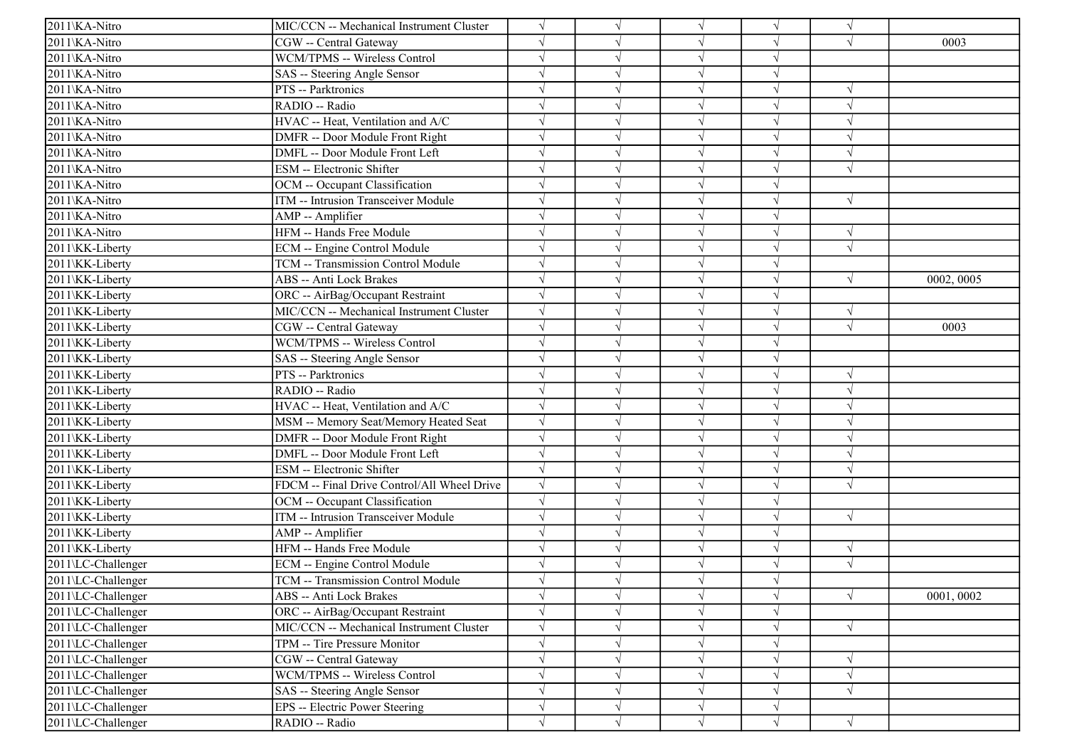| 2011\KA-Nitro      | MIC/CCN -- Mechanical Instrument Cluster    | V          |            | $\sqrt{ }$ |            | $\sqrt{ }$ |            |
|--------------------|---------------------------------------------|------------|------------|------------|------------|------------|------------|
| 2011\KA-Nitro      | CGW -- Central Gateway                      |            |            | $\sqrt{ }$ |            | $\sqrt{ }$ | 0003       |
| 2011\KA-Nitro      | WCM/TPMS -- Wireless Control                |            |            | $\sqrt{ }$ | $\sqrt{}$  |            |            |
| 2011\KA-Nitro      | SAS -- Steering Angle Sensor                |            |            | $\sqrt{}$  |            |            |            |
| 2011\KA-Nitro      | PTS -- Parktronics                          |            |            | $\sqrt{ }$ | $\sqrt{}$  | $\sqrt{ }$ |            |
| 2011\KA-Nitro      | RADIO -- Radio                              |            |            | $\sqrt{ }$ |            | $\sqrt{ }$ |            |
| 2011\KA-Nitro      | HVAC -- Heat, Ventilation and A/C           | $\sqrt{}$  |            | $\sqrt{ }$ | V          | $\sqrt{ }$ |            |
| 2011\KA-Nitro      | DMFR -- Door Module Front Right             | $\sqrt{ }$ |            | $\sqrt{ }$ | J          | $\sqrt{ }$ |            |
| 2011\KA-Nitro      | DMFL -- Door Module Front Left              |            |            | $\sqrt{ }$ | $\sqrt{ }$ | $\sqrt{ }$ |            |
| 2011\KA-Nitro      | ESM -- Electronic Shifter                   |            |            | $\sqrt{ }$ |            | $\sqrt{ }$ |            |
| 2011\KA-Nitro      | OCM -- Occupant Classification              |            |            | $\sqrt{ }$ |            |            |            |
| 2011\KA-Nitro      | ITM -- Intrusion Transceiver Module         |            |            | $\sqrt{}$  |            | $\sqrt{ }$ |            |
| 2011\KA-Nitro      | AMP -- Amplifier                            |            |            | $\sqrt{ }$ |            |            |            |
| 2011\KA-Nitro      | HFM -- Hands Free Module                    |            | $\sqrt{ }$ | $\sqrt{ }$ | $\sqrt{}$  | $\sqrt{ }$ |            |
| 2011\KK-Liberty    | ECM -- Engine Control Module                |            |            | $\sqrt{ }$ |            | $\sqrt{ }$ |            |
| 2011\KK-Liberty    | TCM -- Transmission Control Module          |            |            | $\sqrt{}$  |            |            |            |
| 2011\KK-Liberty    | ABS -- Anti Lock Brakes                     |            |            | $\sqrt{ }$ |            | $\sqrt{ }$ | 0002, 0005 |
| 2011\KK-Liberty    | ORC -- AirBag/Occupant Restraint            |            |            | V          |            |            |            |
| 2011\KK-Liberty    | MIC/CCN -- Mechanical Instrument Cluster    | $\sqrt{}$  |            | $\sqrt{}$  | V          | $\sqrt{ }$ |            |
| 2011\KK-Liberty    | CGW -- Central Gateway                      | $\sqrt{ }$ |            | $\sqrt{ }$ | J          | $\sqrt{ }$ | 0003       |
| 2011\KK-Liberty    | WCM/TPMS -- Wireless Control                | $\sqrt{}$  |            | $\sqrt{ }$ | $\sqrt{}$  |            |            |
| 2011\KK-Liberty    | SAS -- Steering Angle Sensor                |            |            | $\sqrt{ }$ | $\sqrt{}$  |            |            |
| 2011\KK-Liberty    | PTS -- Parktronics                          |            |            | $\sqrt{ }$ |            | $\sqrt{ }$ |            |
| 2011\KK-Liberty    | RADIO -- Radio                              |            |            | $\sqrt{ }$ | $\sqrt{ }$ | $\sqrt{ }$ |            |
| 2011\KK-Liberty    | HVAC -- Heat, Ventilation and A/C           |            |            | $\sqrt{ }$ | $\sqrt{ }$ | $\sqrt{ }$ |            |
| 2011\KK-Liberty    | MSM -- Memory Seat/Memory Heated Seat       |            |            | $\sqrt{ }$ |            | $\sqrt{ }$ |            |
| 2011\KK-Liberty    | DMFR -- Door Module Front Right             | $\sqrt{}$  |            | $\sqrt{ }$ |            | $\sqrt{ }$ |            |
| 2011\KK-Liberty    | DMFL -- Door Module Front Left              |            |            | $\sqrt{}$  | $\sqrt{}$  | $\sqrt{ }$ |            |
| 2011\KK-Liberty    | ESM -- Electronic Shifter                   |            |            | $\sqrt{ }$ |            |            |            |
| 2011\KK-Liberty    | FDCM -- Final Drive Control/All Wheel Drive | $\sqrt{}$  |            | $\sqrt{}$  |            | $\sqrt{ }$ |            |
| 2011\KK-Liberty    | OCM -- Occupant Classification              | $\sqrt{}$  |            | $\sqrt{ }$ | V          |            |            |
| 2011\KK-Liberty    | ITM -- Intrusion Transceiver Module         | $\sqrt{}$  |            | $\sqrt{ }$ | V          | $\sqrt{ }$ |            |
| 2011\KK-Liberty    | AMP -- Amplifier                            |            |            | $\sqrt{ }$ | $\sqrt{}$  |            |            |
| 2011\KK-Liberty    | HFM -- Hands Free Module                    | $\sqrt{ }$ |            | $\sqrt{ }$ | $\sqrt{ }$ | $\sqrt{ }$ |            |
| 2011\LC-Challenger | ECM -- Engine Control Module                |            |            | $\sqrt{ }$ |            | $\sqrt{ }$ |            |
| 2011\LC-Challenger | TCM -- Transmission Control Module          |            |            |            |            |            |            |
| 2011\LC-Challenger | ABS -- Anti Lock Brakes                     | $\sqrt{}$  | $\sqrt{ }$ | $\sqrt{}$  | $\sqrt{}$  | $\sqrt{ }$ | 0001,0002  |
| 2011\LC-Challenger | ORC -- AirBag/Occupant Restraint            | $\sqrt{}$  |            | $\sqrt{}$  |            |            |            |
| 2011\LC-Challenger | MIC/CCN -- Mechanical Instrument Cluster    | $\sqrt{}$  | V          | $\sqrt{ }$ | $\sqrt{}$  | $\sqrt{ }$ |            |
| 2011\LC-Challenger | TPM -- Tire Pressure Monitor                | $\sqrt{}$  |            | $\sqrt{}$  | V          |            |            |
| 2011\LC-Challenger | CGW -- Central Gateway                      |            |            | $\sqrt{}$  |            | $\sqrt{ }$ |            |
| 2011\LC-Challenger | WCM/TPMS -- Wireless Control                | $\sqrt{}$  |            | $\sqrt{ }$ | V          | $\sqrt{ }$ |            |
| 2011\LC-Challenger | SAS -- Steering Angle Sensor                | $\sqrt{}$  |            | $\sqrt{}$  |            | $\sqrt{ }$ |            |
| 2011\LC-Challenger | EPS -- Electric Power Steering              | $\sqrt{}$  | V          | $\sqrt{}$  | V          |            |            |
| 2011\LC-Challenger | RADIO -- Radio                              | $\sqrt{}$  | $\sqrt{}$  | $\sqrt{ }$ | $\sqrt{}$  | $\sqrt{}$  |            |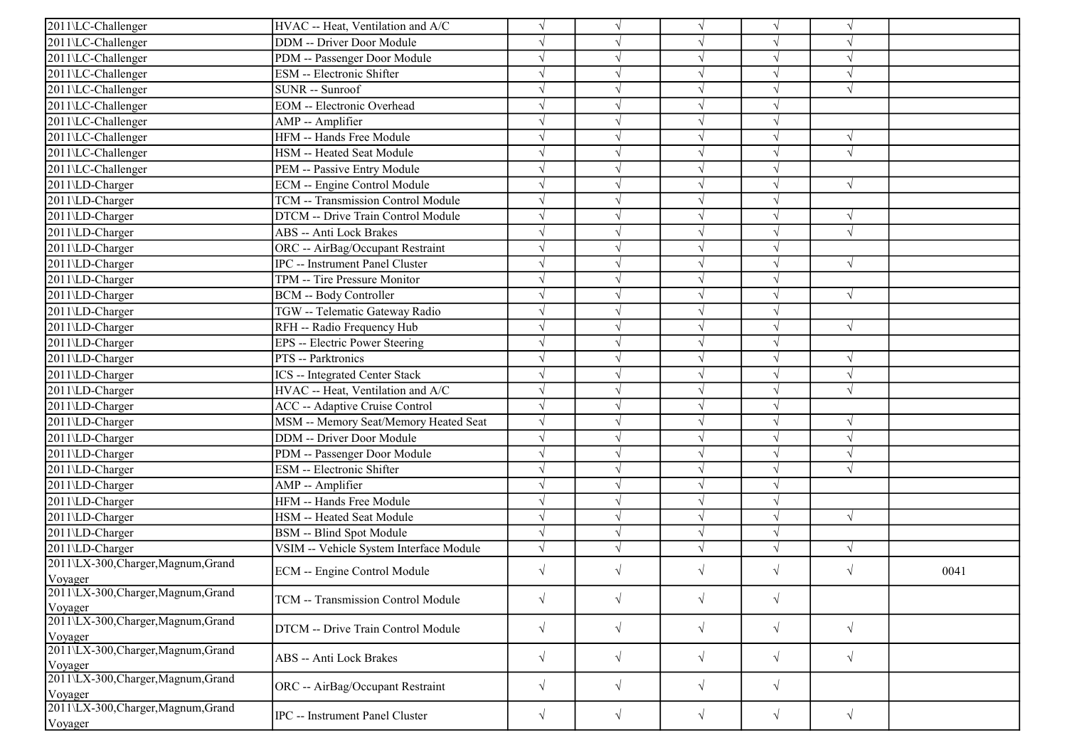| 2011\LC-Challenger                             | HVAC -- Heat, Ventilation and A/C       |            |            |                          | V          | $\gamma$   |      |
|------------------------------------------------|-----------------------------------------|------------|------------|--------------------------|------------|------------|------|
|                                                | <b>DDM</b> -- Driver Door Module        |            |            | $\sqrt{ }$<br>$\sqrt{ }$ | V          | $\sqrt{2}$ |      |
| 2011\LC-Challenger                             | PDM -- Passenger Door Module            |            |            | $\sqrt{ }$               | $\sqrt{}$  | $\sqrt{ }$ |      |
| 2011\LC-Challenger                             |                                         |            |            |                          |            |            |      |
| 2011\LC-Challenger                             | ESM -- Electronic Shifter               |            |            | $\sqrt{ }$               |            |            |      |
| 2011\LC-Challenger                             | SUNR -- Sunroof                         |            |            | $\sqrt{ }$               | V          | $\sqrt{ }$ |      |
| 2011\LC-Challenger                             | <b>EOM</b> -- Electronic Overhead       | $\sqrt{}$  |            | $\sqrt{ }$               | J          |            |      |
| 2011\LC-Challenger                             | AMP -- Amplifier                        |            |            | $\sqrt{ }$               | V          |            |      |
| 2011\LC-Challenger                             | HFM -- Hands Free Module                | $\sqrt{}$  |            | $\sqrt{ }$               | $\sqrt{ }$ | $\sqrt{ }$ |      |
| 2011\LC-Challenger                             | HSM -- Heated Seat Module               |            |            | $\sqrt{ }$               | $\sqrt{ }$ | $\sqrt{ }$ |      |
| 2011\LC-Challenger                             | PEM -- Passive Entry Module             |            |            | $\sqrt{ }$               | $\sqrt{}$  |            |      |
| 2011\LD-Charger                                | <b>ECM</b> -- Engine Control Module     |            |            | $\sqrt{}$                | $\sqrt{}$  | $\sqrt{ }$ |      |
| 2011\LD-Charger                                | TCM -- Transmission Control Module      |            |            | $\sqrt{ }$               |            |            |      |
| 2011\LD-Charger                                | DTCM -- Drive Train Control Module      |            |            | $\sqrt{ }$               | V          | $\sqrt{ }$ |      |
| 2011\LD-Charger                                | <b>ABS</b> -- Anti Lock Brakes          |            | $\sqrt{ }$ | $\sqrt{ }$               | $\sqrt{}$  | $\sqrt{ }$ |      |
| 2011\LD-Charger                                | ORC -- AirBag/Occupant Restraint        |            |            | $\sqrt{ }$               | V          |            |      |
| 2011\LD-Charger                                | <b>IPC</b> -- Instrument Panel Cluster  |            |            | $\sqrt{ }$               | J          | $\sqrt{ }$ |      |
| 2011\LD-Charger                                | TPM -- Tire Pressure Monitor            |            |            | $\sqrt{ }$               | J          |            |      |
| 2011\LD-Charger                                | <b>BCM -- Body Controller</b>           |            |            | $\sqrt{ }$               |            | $\sqrt{ }$ |      |
| 2011\LD-Charger                                | TGW -- Telematic Gateway Radio          | $\sqrt{}$  |            | $\sqrt{ }$               | V          |            |      |
| 2011\LD-Charger                                | RFH -- Radio Frequency Hub              | $\sqrt{ }$ | $\sqrt{ }$ | $\sqrt{ }$               | V          | $\sqrt{ }$ |      |
| 2011\LD-Charger                                | EPS -- Electric Power Steering          |            |            | $\sqrt{ }$               | V          |            |      |
| 2011\LD-Charger                                | PTS -- Parktronics                      |            |            | $\sqrt{ }$               | $\sqrt{}$  | $\sqrt{ }$ |      |
| 2011\LD-Charger                                | ICS -- Integrated Center Stack          |            |            | $\sqrt{ }$               | J          | $\sqrt{ }$ |      |
| 2011\LD-Charger                                | HVAC -- Heat, Ventilation and A/C       |            |            | $\sqrt{ }$               |            | $\sqrt{ }$ |      |
| 2011\LD-Charger                                | <b>ACC</b> -- Adaptive Cruise Control   | $\sqrt{ }$ | $\sqrt{ }$ | $\sqrt{ }$               | $\sqrt{ }$ |            |      |
| 2011\LD-Charger                                | MSM -- Memory Seat/Memory Heated Seat   |            |            | $\sqrt{ }$               | V          | $\sqrt{ }$ |      |
| 2011\LD-Charger                                | <b>DDM</b> -- Driver Door Module        |            |            | $\sqrt{ }$               | V          | $\sqrt{ }$ |      |
| 2011\LD-Charger                                | PDM -- Passenger Door Module            |            |            | $\sqrt{ }$               | V          | $\sqrt{ }$ |      |
| 2011\LD-Charger                                | <b>ESM</b> -- Electronic Shifter        |            |            | $\sqrt{ }$               | N          | $\sqrt{ }$ |      |
| 2011\LD-Charger                                | AMP -- Amplifier                        |            |            | $\sqrt{ }$               |            |            |      |
| 2011\LD-Charger                                | HFM -- Hands Free Module                | $\sqrt{}$  |            | $\sqrt{ }$               | V          |            |      |
| 2011\LD-Charger                                | HSM -- Heated Seat Module               | $\sqrt{ }$ |            | $\sqrt{ }$               | V          | $\sqrt{ }$ |      |
| 2011\LD-Charger                                | <b>BSM</b> -- Blind Spot Module         | $\sqrt{ }$ | $\sqrt{ }$ | $\sqrt{ }$               | $\sqrt{}$  |            |      |
| 2011\LD-Charger                                | VSIM -- Vehicle System Interface Module | $\sqrt{}$  |            | $\sqrt{ }$               | $\sqrt{ }$ | $\sqrt{ }$ |      |
| 2011\LX-300, Charger, Magnum, Grand            |                                         | $\sqrt{ }$ | $\sqrt{ }$ |                          |            | $\sqrt{ }$ |      |
| Voyager                                        | ECM -- Engine Control Module            |            |            | $\sqrt{ }$               | $\sqrt{}$  |            | 0041 |
| 2011\LX-300, Charger, Magnum, Grand<br>Voyager | TCM -- Transmission Control Module      | $\sqrt{}$  | $\sqrt{}$  | $\sqrt{ }$               | $\sqrt{}$  |            |      |
| 2011\LX-300, Charger, Magnum, Grand<br>Voyager | DTCM -- Drive Train Control Module      | $\sqrt{}$  | $\sqrt{ }$ | $\sqrt{}$                | $\sqrt{}$  | $\sqrt{ }$ |      |
| 2011\LX-300, Charger, Magnum, Grand<br>Voyager | ABS -- Anti Lock Brakes                 | $\sqrt{}$  | $\sqrt{ }$ | $\sqrt{ }$               | $\sqrt{}$  | $\sqrt{ }$ |      |
| 2011\LX-300, Charger, Magnum, Grand<br>Voyager | ORC -- AirBag/Occupant Restraint        | $\sqrt{}$  | $\sqrt{}$  | $\sqrt{ }$               | $\sqrt{}$  |            |      |
| 2011\LX-300, Charger, Magnum, Grand<br>Voyager | IPC -- Instrument Panel Cluster         | $\sqrt{}$  | $\sqrt{}$  | $\sqrt{ }$               | $\sqrt{ }$ | $\sqrt{ }$ |      |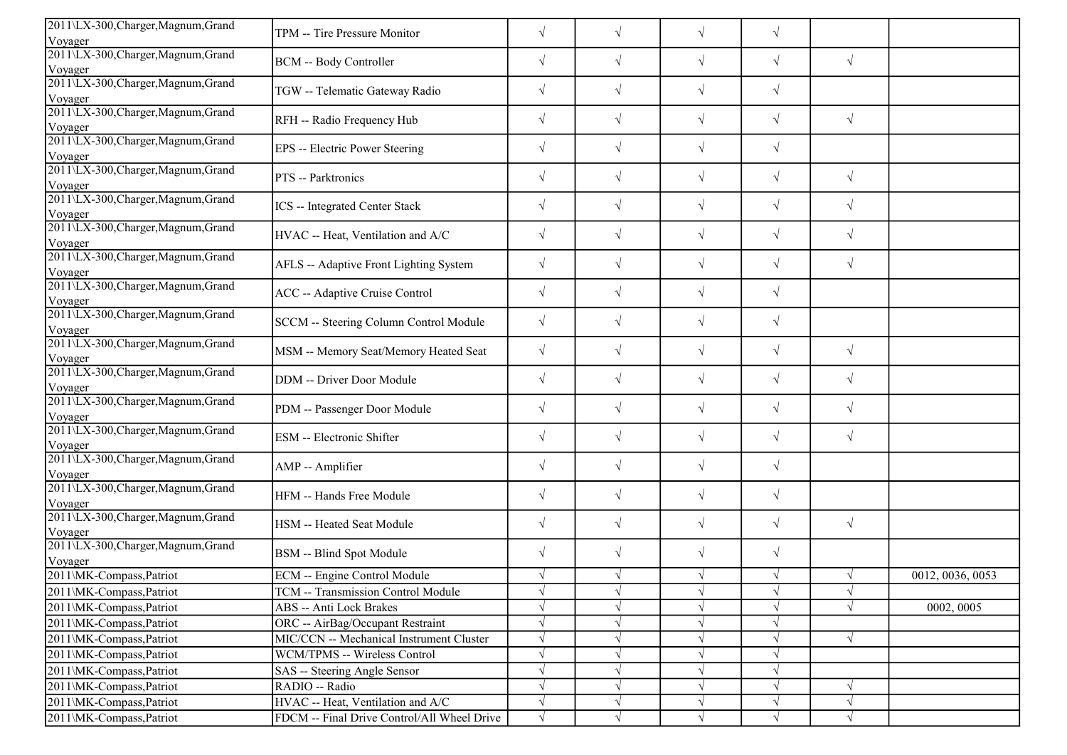| 2011\LX-300,Charger,Magnum,Grand               | TPM -- Tire Pressure Monitor                | $\sqrt{}$  | $\sqrt{ }$ | $\sqrt{}$  | $\sqrt{}$  |            |                  |
|------------------------------------------------|---------------------------------------------|------------|------------|------------|------------|------------|------------------|
| Voyager                                        |                                             |            |            |            |            |            |                  |
| 2011\LX-300, Charger, Magnum, Grand<br>Voyager | <b>BCM -- Body Controller</b>               | $\sqrt{}$  | $\sqrt{ }$ | $\sqrt{ }$ | $\sqrt{}$  | $\sqrt{ }$ |                  |
| 2011\LX-300, Charger, Magnum, Grand<br>Voyager | TGW -- Telematic Gateway Radio              | $\sqrt{}$  | $\sqrt{}$  | $\sqrt{}$  | $\sqrt{}$  |            |                  |
| 2011\LX-300,Charger,Magnum,Grand               | RFH -- Radio Frequency Hub                  | $\sqrt{ }$ | $\sqrt{ }$ | $\sqrt{ }$ | $\sqrt{}$  | $\sqrt{ }$ |                  |
| Voyager                                        |                                             |            |            |            |            |            |                  |
| 2011\LX-300, Charger, Magnum, Grand<br>Voyager | EPS -- Electric Power Steering              | $\sqrt{ }$ | $\sqrt{ }$ | $\sqrt{}$  | $\sqrt{}$  |            |                  |
| 2011\LX-300, Charger, Magnum, Grand<br>Voyager | PTS -- Parktronics                          | $\sqrt{}$  | $\sqrt{ }$ | $\sqrt{ }$ | $\sqrt{}$  | $\sqrt{ }$ |                  |
| 2011\LX-300, Charger, Magnum, Grand<br>Voyager | ICS -- Integrated Center Stack              | $\sqrt{ }$ | $\sqrt{}$  | $\sqrt{}$  | $\sqrt{}$  | $\sqrt{ }$ |                  |
| 2011\LX-300, Charger, Magnum, Grand<br>Voyager | HVAC -- Heat, Ventilation and A/C           | $\sqrt{}$  | $\sqrt{}$  | $\sqrt{}$  | $\sqrt{}$  | $\sqrt{ }$ |                  |
| 2011\LX-300, Charger, Magnum, Grand<br>Voyager | AFLS -- Adaptive Front Lighting System      | $\sqrt{}$  | $\sqrt{ }$ | $\sqrt{}$  | $\sqrt{}$  | $\sqrt{ }$ |                  |
| 2011\LX-300, Charger, Magnum, Grand<br>Voyager | ACC -- Adaptive Cruise Control              | $\sqrt{}$  | $\sqrt{}$  | $\sqrt{}$  | $\sqrt{}$  |            |                  |
| 2011\LX-300, Charger, Magnum, Grand<br>Voyager | SCCM -- Steering Column Control Module      | $\sqrt{}$  | $\sqrt{}$  | $\sqrt{}$  | $\sqrt{ }$ |            |                  |
| 2011\LX-300, Charger, Magnum, Grand<br>Voyager | MSM -- Memory Seat/Memory Heated Seat       | $\sqrt{}$  | $\sqrt{}$  | $\sqrt{ }$ | $\sqrt{}$  | $\sqrt{ }$ |                  |
| 2011\LX-300, Charger, Magnum, Grand<br>Voyager | DDM -- Driver Door Module                   | $\sqrt{}$  | $\sqrt{}$  | $\sqrt{}$  | $\sqrt{}$  | $\sqrt{ }$ |                  |
| 2011\LX-300, Charger, Magnum, Grand<br>Voyager | PDM -- Passenger Door Module                | $\sqrt{ }$ | $\sqrt{}$  | $\sqrt{ }$ | $\sqrt{}$  | $\sqrt{ }$ |                  |
| 2011\LX-300,Charger,Magnum,Grand<br>Voyager    | ESM -- Electronic Shifter                   | $\sqrt{ }$ | $\sqrt{ }$ | $\sqrt{}$  | $\sqrt{}$  | $\sqrt{ }$ |                  |
| 2011\LX-300, Charger, Magnum, Grand<br>Voyager | AMP -- Amplifier                            | $\sqrt{ }$ | $\sqrt{ }$ | $\sqrt{ }$ | $\sqrt{}$  |            |                  |
| 2011\LX-300, Charger, Magnum, Grand<br>Voyager | HFM -- Hands Free Module                    | $\sqrt{}$  | $\sqrt{}$  | $\sqrt{ }$ | $\sqrt{}$  |            |                  |
| 2011\LX-300, Charger, Magnum, Grand<br>Voyager | HSM -- Heated Seat Module                   | $\sqrt{}$  | $\sqrt{}$  | $\sqrt{}$  | $\sqrt{}$  | $\sqrt{ }$ |                  |
| 2011\LX-300, Charger, Magnum, Grand<br>Voyager | BSM -- Blind Spot Module                    | $\sqrt{ }$ | $\sqrt{}$  | $\sqrt{ }$ | $\sqrt{}$  |            |                  |
| 2011\MK-Compass, Patriot                       | ECM -- Engine Control Module                |            | $\sqrt{ }$ | $\sqrt{ }$ | $\sqrt{}$  | $\sqrt{ }$ | 0012, 0036, 0053 |
| 2011\MK-Compass,Patriot                        | TCM -- Transmission Control Module          | $\sqrt{}$  | $\sqrt{ }$ | $\sqrt{ }$ | $\sqrt{ }$ | $\sqrt{ }$ |                  |
| 2011\MK-Compass, Patriot                       | ABS -- Anti Lock Brakes                     |            |            | $\sqrt{ }$ | J          | $\sqrt{ }$ | 0002, 0005       |
| 2011\MK-Compass, Patriot                       | ORC -- AirBag/Occupant Restraint            |            |            | $\sqrt{}$  |            |            |                  |
| 2011\MK-Compass, Patriot                       | MIC/CCN -- Mechanical Instrument Cluster    |            |            | $\sqrt{}$  | V          | $\sqrt{ }$ |                  |
| 2011\MK-Compass, Patriot                       | WCM/TPMS -- Wireless Control                |            |            | $\sqrt{}$  |            |            |                  |
| 2011\MK-Compass, Patriot                       | SAS -- Steering Angle Sensor                |            |            | $\sqrt{ }$ | V          |            |                  |
| 2011\MK-Compass, Patriot                       | RADIO -- Radio                              |            | $\sqrt{ }$ | $\sqrt{ }$ | $\sqrt{}$  | $\sqrt{ }$ |                  |
| 2011\MK-Compass,Patriot                        | HVAC -- Heat, Ventilation and A/C           |            | $\sqrt{ }$ | $\sqrt{ }$ |            | $\sqrt{ }$ |                  |
| 2011\MK-Compass, Patriot                       | FDCM -- Final Drive Control/All Wheel Drive |            | $\sqrt{ }$ | $\sqrt{ }$ | $\sqrt{}$  | $\sqrt{ }$ |                  |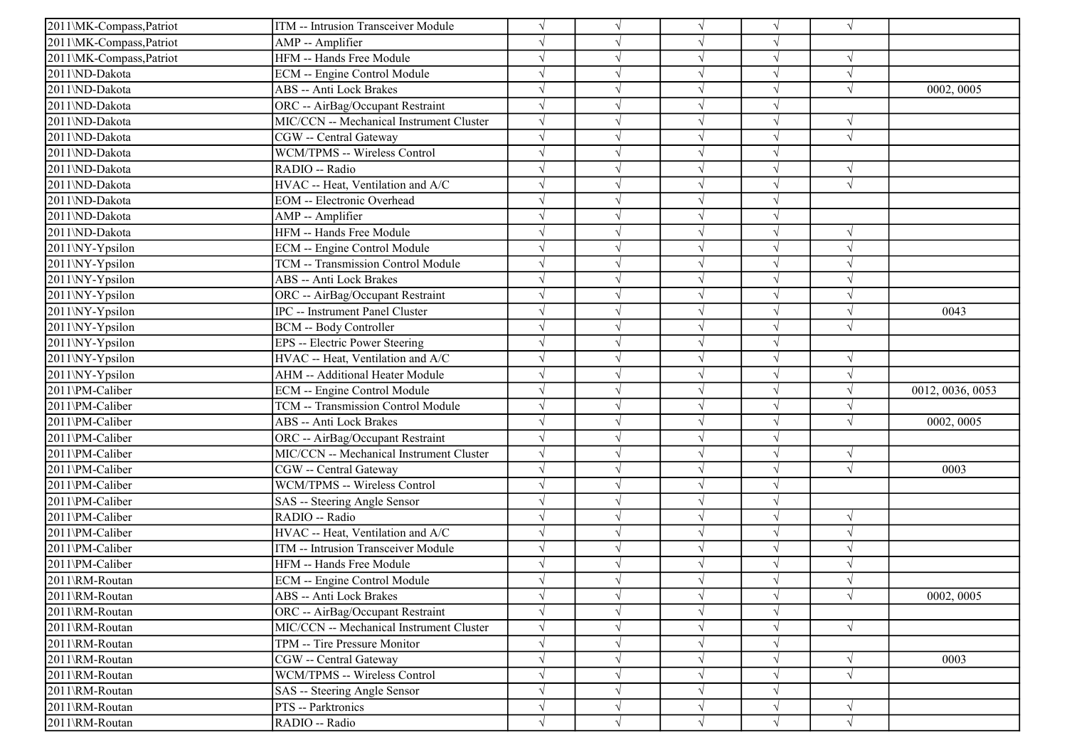| 2011\MK-Compass, Patriot | ITM -- Intrusion Transceiver Module      |            |            | $\sqrt{ }$ | $\sqrt{ }$ | $\sqrt{ }$ |                  |
|--------------------------|------------------------------------------|------------|------------|------------|------------|------------|------------------|
| 2011\MK-Compass, Patriot | AMP -- Amplifier                         |            |            | $\sqrt{ }$ | V          |            |                  |
| 2011\MK-Compass, Patriot | HFM -- Hands Free Module                 |            |            | $\sqrt{ }$ | V          | $\sqrt{ }$ |                  |
| 2011\ND-Dakota           | ECM -- Engine Control Module             |            |            | $\sqrt{ }$ |            | $\sqrt{ }$ |                  |
| 2011\ND-Dakota           | ABS -- Anti Lock Brakes                  |            |            | $\sqrt{ }$ | V          | $\sqrt{ }$ | 0002, 0005       |
| 2011\ND-Dakota           | ORC -- AirBag/Occupant Restraint         |            |            | $\sqrt{ }$ |            |            |                  |
| 2011\ND-Dakota           | MIC/CCN -- Mechanical Instrument Cluster |            |            | $\sqrt{ }$ |            | $\sqrt{ }$ |                  |
| 2011\ND-Dakota           | CGW -- Central Gateway                   |            |            | $\sqrt{ }$ | J          | $\sqrt{ }$ |                  |
| 2011\ND-Dakota           | WCM/TPMS -- Wireless Control             |            |            | $\sqrt{ }$ | V          |            |                  |
| 2011\ND-Dakota           | RADIO -- Radio                           |            |            | $\sqrt{ }$ | V          | $\sqrt{ }$ |                  |
| 2011\ND-Dakota           | HVAC -- Heat, Ventilation and A/C        |            |            | $\sqrt{ }$ | $\sqrt{}$  | $\sqrt{ }$ |                  |
| 2011\ND-Dakota           | <b>EOM</b> -- Electronic Overhead        |            |            | $\sqrt{ }$ |            |            |                  |
| 2011\ND-Dakota           | AMP -- Amplifier                         |            |            | $\sqrt{ }$ | V          |            |                  |
| 2011\ND-Dakota           | HFM -- Hands Free Module                 |            |            | $\sqrt{ }$ | J          | $\sqrt{ }$ |                  |
| 2011\NY-Ypsilon          | ECM -- Engine Control Module             |            |            | $\sqrt{ }$ | J          | $\gamma$   |                  |
| 2011\NY-Ypsilon          | TCM -- Transmission Control Module       |            |            | $\sqrt{ }$ | V          | $\sqrt{ }$ |                  |
| 2011\NY-Ypsilon          | ABS -- Anti Lock Brakes                  |            |            | $\sqrt{ }$ | $\sqrt{}$  | $\sqrt{ }$ |                  |
| 2011\NY-Ypsilon          | ORC -- AirBag/Occupant Restraint         |            |            | $\sqrt{ }$ |            |            |                  |
| 2011\NY-Ypsilon          | IPC -- Instrument Panel Cluster          |            |            | $\sqrt{}$  |            | $\sqrt{ }$ | 0043             |
| 2011\NY-Ypsilon          | <b>BCM -- Body Controller</b>            |            |            | $\sqrt{ }$ | $\sqrt{}$  | $\sqrt{ }$ |                  |
| 2011\NY-Ypsilon          | <b>EPS</b> -- Electric Power Steering    |            |            | $\sqrt{ }$ | V          |            |                  |
| 2011\NY-Ypsilon          | HVAC -- Heat, Ventilation and A/C        |            |            | $\sqrt{ }$ | V          | $\sqrt{ }$ |                  |
| 2011\NY-Ypsilon          | AHM -- Additional Heater Module          |            |            | $\sqrt{ }$ | $\sqrt{ }$ | $\sqrt{ }$ |                  |
| 2011\PM-Caliber          | ECM -- Engine Control Module             |            |            | $\sqrt{ }$ | $\sqrt{ }$ | $\sqrt{ }$ | 0012, 0036, 0053 |
| 2011\PM-Caliber          | TCM -- Transmission Control Module       |            |            | $\sqrt{}$  | V          | $\sqrt{ }$ |                  |
| 2011\PM-Caliber          | ABS -- Anti Lock Brakes                  |            |            | $\sqrt{ }$ |            | $\sqrt{ }$ | 0002, 0005       |
| 2011\PM-Caliber          | ORC -- AirBag/Occupant Restraint         |            |            | $\sqrt{ }$ | V          |            |                  |
| 2011\PM-Caliber          | MIC/CCN -- Mechanical Instrument Cluster |            |            | $\sqrt{ }$ | V          | $\sqrt{ }$ |                  |
| 2011\PM-Caliber          | CGW -- Central Gateway                   |            |            | $\sqrt{ }$ |            | $\sqrt{ }$ | 0003             |
| 2011\PM-Caliber          | WCM/TPMS -- Wireless Control             |            |            | $\sqrt{ }$ |            |            |                  |
| 2011\PM-Caliber          | SAS -- Steering Angle Sensor             |            |            | $\sqrt{}$  |            |            |                  |
| 2011\PM-Caliber          | RADIO -- Radio                           |            |            | $\sqrt{ }$ |            | $\sqrt{ }$ |                  |
| 2011\PM-Caliber          | HVAC -- Heat, Ventilation and A/C        |            |            | $\sqrt{ }$ | V          | $\sqrt{ }$ |                  |
| 2011\PM-Caliber          | ITM -- Intrusion Transceiver Module      |            |            | $\sqrt{ }$ | V          | $\sqrt{ }$ |                  |
| 2011\PM-Caliber          | HFM -- Hands Free Module                 |            |            | $\sqrt{ }$ | $\sqrt{ }$ | $\sqrt{ }$ |                  |
| 2011\RM-Routan           | ECM -- Engine Control Module             |            |            | $\sqrt{ }$ | $\sqrt{ }$ | $\sqrt{ }$ |                  |
| 2011\RM-Routan           | ABS -- Anti Lock Brakes                  | $\sqrt{ }$ | $\sqrt{ }$ | $\sqrt{ }$ | $\sqrt{ }$ | $\sqrt{ }$ | 0002, 0005       |
| 2011\RM-Routan           | ORC -- AirBag/Occupant Restraint         |            | $\sqrt{ }$ | $\sqrt{ }$ | $\sqrt{ }$ |            |                  |
| 2011\RM-Routan           | MIC/CCN -- Mechanical Instrument Cluster |            | $\sqrt{ }$ | $\sqrt{ }$ | $\sqrt{ }$ | $\sqrt{ }$ |                  |
| 2011\RM-Routan           | TPM -- Tire Pressure Monitor             |            |            | $\sqrt{ }$ | V          |            |                  |
| 2011\RM-Routan           | CGW -- Central Gateway                   | $\sqrt{}$  | $\sqrt{ }$ | $\sqrt{ }$ | $\sqrt{ }$ | $\sqrt{ }$ | 0003             |
| 2011\RM-Routan           | WCM/TPMS -- Wireless Control             |            |            | $\sqrt{ }$ | $\sqrt{}$  | $\sqrt{ }$ |                  |
| 2011\RM-Routan           | SAS -- Steering Angle Sensor             |            |            | $\sqrt{ }$ |            |            |                  |
| 2011\RM-Routan           | PTS -- Parktronics                       |            | $\sqrt{ }$ | $\sqrt{}$  | V          | $\sqrt{ }$ |                  |
| 2011\RM-Routan           | RADIO -- Radio                           | $\sqrt{}$  | $\sqrt{ }$ | $\sqrt{ }$ | $\sqrt{ }$ | $\sqrt{ }$ |                  |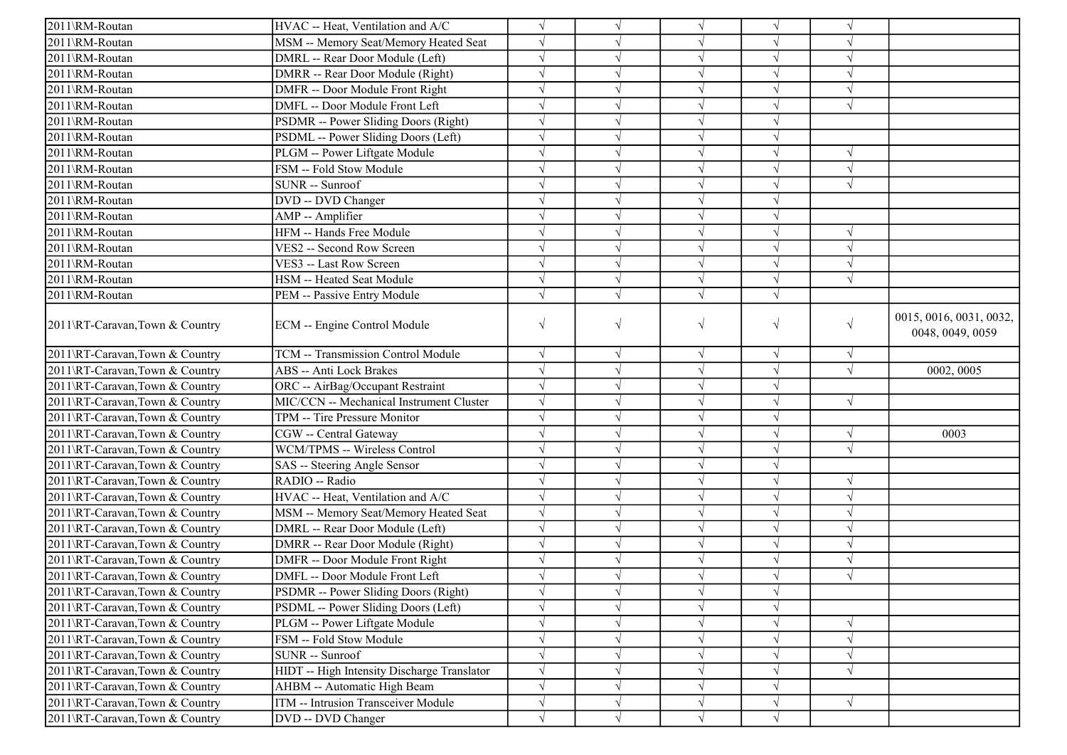| 2011\RM-Routan                 | HVAC -- Heat, Ventilation and A/C           | $\sqrt{ }$ |            | $\sqrt{ }$ |            |            |                                             |
|--------------------------------|---------------------------------------------|------------|------------|------------|------------|------------|---------------------------------------------|
| 2011\RM-Routan                 | MSM -- Memory Seat/Memory Heated Seat       | $\sqrt{ }$ |            | $\sqrt{ }$ |            |            |                                             |
| 2011\RM-Routan                 | DMRL -- Rear Door Module (Left)             | $\sqrt{}$  |            |            |            | $\sqrt{ }$ |                                             |
| 2011\RM-Routan                 | DMRR -- Rear Door Module (Right)            | $\sqrt{}$  |            |            |            |            |                                             |
| 2011\RM-Routan                 | DMFR -- Door Module Front Right             | $\sqrt{ }$ |            |            |            | $\sqrt{ }$ |                                             |
| 2011\RM-Routan                 | DMFL -- Door Module Front Left              | $\sqrt{}$  |            |            |            | $\sqrt{}$  |                                             |
| 2011\RM-Routan                 | PSDMR -- Power Sliding Doors (Right)        | $\sqrt{ }$ |            |            |            |            |                                             |
| 2011\RM-Routan                 | PSDML -- Power Sliding Doors (Left)         | $\sqrt{ }$ |            | $\sqrt{ }$ |            |            |                                             |
| 2011\RM-Routan                 | PLGM -- Power Liftgate Module               | $\sqrt{ }$ |            | $\sqrt{ }$ |            | $\sqrt{ }$ |                                             |
| 2011\RM-Routan                 | FSM -- Fold Stow Module                     | $\sqrt{ }$ |            | $\sqrt{ }$ |            | $\sqrt{ }$ |                                             |
| 2011\RM-Routan                 | SUNR -- Sunroof                             | $\sqrt{ }$ |            | $\sqrt{}$  |            | $\sqrt{ }$ |                                             |
| 2011\RM-Routan                 | DVD -- DVD Changer                          | $\sqrt{ }$ |            |            |            |            |                                             |
| 2011\RM-Routan                 | AMP -- Amplifier                            | $\sqrt{ }$ |            |            |            |            |                                             |
| 2011\RM-Routan                 | HFM -- Hands Free Module                    | $\sqrt{ }$ |            | $\sqrt{ }$ | $\sqrt{ }$ | V          |                                             |
| 2011\RM-Routan                 | VES2 -- Second Row Screen                   | $\sqrt{ }$ |            |            |            |            |                                             |
| 2011\RM-Routan                 | VES3 -- Last Row Screen                     | $\sqrt{ }$ |            | $\sqrt{ }$ |            | $\sqrt{ }$ |                                             |
| 2011\RM-Routan                 | HSM -- Heated Seat Module                   | $\sqrt{ }$ |            | $\sqrt{}$  |            | $\sqrt{ }$ |                                             |
| 2011\RM-Routan                 | PEM -- Passive Entry Module                 | $\sqrt{ }$ |            |            |            |            |                                             |
| 2011\RT-Caravan,Town & Country | ECM -- Engine Control Module                | $\sqrt{ }$ | $\sqrt{ }$ | $\sqrt{}$  | $\sqrt{ }$ | $\sqrt{ }$ | 0015, 0016, 0031, 0032,<br>0048, 0049, 0059 |
| 2011\RT-Caravan,Town & Country | TCM -- Transmission Control Module          | $\sqrt{ }$ | $\sqrt{ }$ | $\sqrt{ }$ | $\sqrt{ }$ | $\sqrt{ }$ |                                             |
| 2011\RT-Caravan,Town & Country | ABS -- Anti Lock Brakes                     | $\sqrt{ }$ |            | $\sqrt{ }$ |            | $\sqrt{ }$ | 0002, 0005                                  |
| 2011\RT-Caravan,Town & Country | ORC -- AirBag/Occupant Restraint            | $\sqrt{ }$ |            | $\sqrt{ }$ |            |            |                                             |
| 2011\RT-Caravan,Town & Country | MIC/CCN -- Mechanical Instrument Cluster    | $\sqrt{ }$ |            |            |            | $\sqrt{ }$ |                                             |
| 2011\RT-Caravan,Town & Country | TPM -- Tire Pressure Monitor                | $\sqrt{ }$ |            |            |            |            |                                             |
| 2011\RT-Caravan,Town & Country | CGW -- Central Gateway                      | $\sqrt{ }$ |            | $\sqrt{ }$ |            | $\sqrt{ }$ | 0003                                        |
| 2011\RT-Caravan,Town & Country | WCM/TPMS -- Wireless Control                | $\sqrt{ }$ |            | $\sqrt{ }$ |            | N          |                                             |
| 2011\RT-Caravan,Town & Country | SAS -- Steering Angle Sensor                | $\sqrt{ }$ |            |            |            |            |                                             |
| 2011\RT-Caravan,Town & Country | RADIO -- Radio                              | $\sqrt{ }$ | $\sqrt{ }$ | $\sqrt{ }$ | $\sqrt{ }$ | $\sqrt{ }$ |                                             |
| 2011\RT-Caravan,Town & Country | HVAC -- Heat, Ventilation and A/C           | $\sqrt{}$  |            |            |            | $\sqrt{ }$ |                                             |
| 2011\RT-Caravan,Town & Country | MSM -- Memory Seat/Memory Heated Seat       | $\sqrt{}$  |            | $\sqrt{ }$ |            | $\sqrt{ }$ |                                             |
| 2011\RT-Caravan,Town & Country | DMRL -- Rear Door Module (Left)             | $\sqrt{ }$ |            | $\sqrt{ }$ |            | V          |                                             |
| 2011\RT-Caravan,Town & Country | DMRR -- Rear Door Module (Right)            | $\sqrt{ }$ |            |            |            |            |                                             |
| 2011\RT-Caravan,Town & Country | DMFR -- Door Module Front Right             | $\sqrt{}$  |            | $\sqrt{ }$ |            | $\sqrt{ }$ |                                             |
| 2011\RT-Caravan,Town & Country | DMFL -- Door Module Front Left              | $\sqrt{}$  |            |            |            | $\sqrt{}$  |                                             |
| 2011\RT-Caravan,Town & Country | PSDMR -- Power Sliding Doors (Right)        | $\sqrt{ }$ |            |            |            |            |                                             |
| 2011\RT-Caravan,Town & Country | PSDML -- Power Sliding Doors (Left)         | $\sqrt{ }$ |            |            |            |            |                                             |
| 2011\RT-Caravan,Town & Country | PLGM -- Power Liftgate Module               | $\sqrt{ }$ |            |            |            | $\sqrt{ }$ |                                             |
| 2011\RT-Caravan,Town & Country | FSM -- Fold Stow Module                     | $\sqrt{}$  |            |            |            |            |                                             |
| 2011\RT-Caravan,Town & Country | SUNR -- Sunroof                             | $\sqrt{ }$ |            | $\sqrt{ }$ |            |            |                                             |
| 2011\RT-Caravan,Town & Country | HIDT -- High Intensity Discharge Translator | $\sqrt{ }$ |            | $\sqrt{ }$ |            | $\sqrt{ }$ |                                             |
| 2011\RT-Caravan,Town & Country | AHBM -- Automatic High Beam                 | $\sqrt{}$  | $\sqrt{}$  | $\sqrt{ }$ |            |            |                                             |
| 2011\RT-Caravan,Town & Country | ITM -- Intrusion Transceiver Module         | $\sqrt{ }$ | $\sqrt{}$  | $\sqrt{}$  | $\sqrt{ }$ | $\sqrt{ }$ |                                             |
| 2011\RT-Caravan,Town & Country | DVD -- DVD Changer                          | $\sqrt{ }$ | $\sqrt{ }$ | $\sqrt{ }$ |            |            |                                             |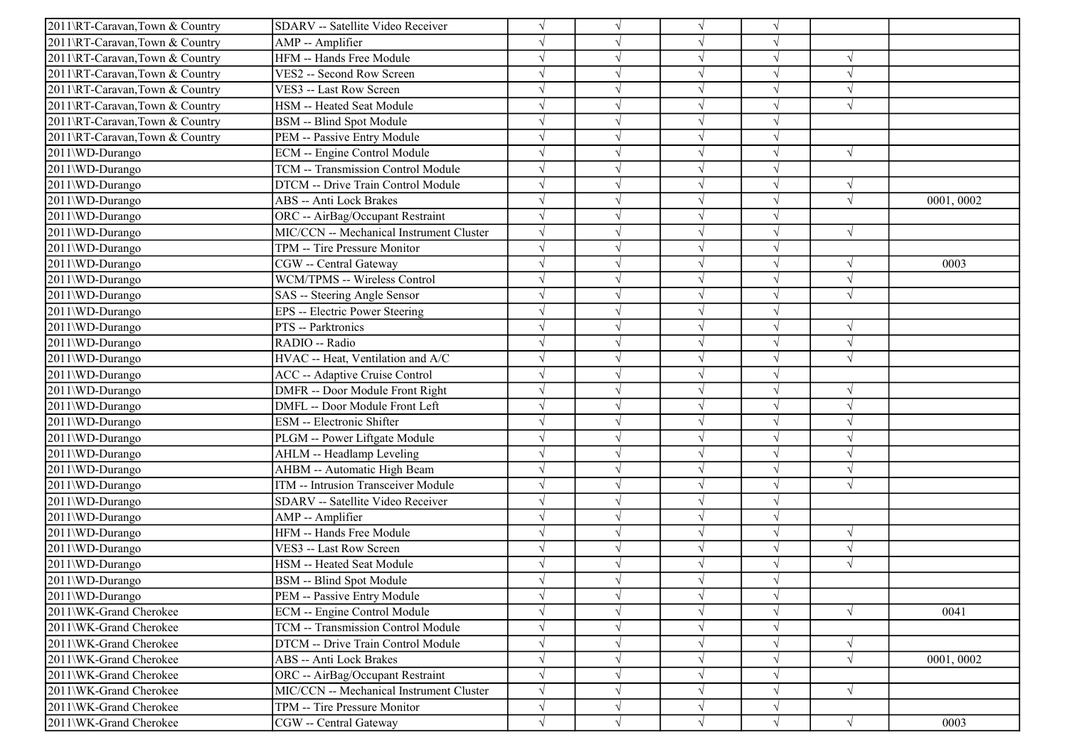| 2011\RT-Caravan,Town & Country | SDARV -- Satellite Video Receiver        |            |            | $\sqrt{ }$ |            |            |           |
|--------------------------------|------------------------------------------|------------|------------|------------|------------|------------|-----------|
| 2011\RT-Caravan,Town & Country | AMP -- Amplifier                         |            |            | $\sqrt{ }$ | V          |            |           |
| 2011\RT-Caravan,Town & Country | HFM -- Hands Free Module                 |            |            | $\sqrt{}$  | V          | $\sqrt{ }$ |           |
| 2011\RT-Caravan,Town & Country | VES2 -- Second Row Screen                |            |            | V          |            |            |           |
| 2011\RT-Caravan,Town & Country | VES3 -- Last Row Screen                  |            |            | $\sqrt{ }$ | J          | $\sqrt{ }$ |           |
| 2011\RT-Caravan,Town & Country | HSM -- Heated Seat Module                |            |            | $\sqrt{ }$ |            | $\sqrt{ }$ |           |
| 2011\RT-Caravan,Town & Country | BSM -- Blind Spot Module                 |            |            | $\sqrt{ }$ | V          |            |           |
| 2011\RT-Caravan,Town & Country | PEM -- Passive Entry Module              |            |            | $\sqrt{ }$ | V          |            |           |
| 2011\WD-Durango                | ECM -- Engine Control Module             |            |            | $\sqrt{ }$ | $\sqrt{}$  | $\sqrt{ }$ |           |
| 2011\WD-Durango                | TCM -- Transmission Control Module       |            |            | $\sqrt{ }$ |            |            |           |
| 2011\WD-Durango                | DTCM -- Drive Train Control Module       |            |            | $\sqrt{ }$ | $\sqrt{}$  | $\sqrt{ }$ |           |
| 2011\WD-Durango                | ABS -- Anti Lock Brakes                  |            |            | $\sqrt{}$  |            | $\sqrt{ }$ | 0001,0002 |
| 2011\WD-Durango                | ORC -- AirBag/Occupant Restraint         |            |            | $\sqrt{}$  | V          |            |           |
| 2011\WD-Durango                | MIC/CCN -- Mechanical Instrument Cluster | $\sqrt{ }$ | $\sqrt{ }$ | $\sqrt{}$  | $\sqrt{}$  | $\sqrt{ }$ |           |
| 2011\WD-Durango                | TPM -- Tire Pressure Monitor             |            |            | $\sqrt{}$  |            |            |           |
| 2011\WD-Durango                | CGW -- Central Gateway                   |            |            | $\sqrt{}$  | J          | $\sqrt{ }$ | 0003      |
| 2011\WD-Durango                | WCM/TPMS -- Wireless Control             |            |            | $\sqrt{}$  |            | $\sqrt{ }$ |           |
| 2011\WD-Durango                | SAS -- Steering Angle Sensor             |            |            | $\sqrt{}$  |            | $\sqrt{ }$ |           |
| 2011\WD-Durango                | EPS -- Electric Power Steering           |            |            | $\sqrt{ }$ | J          |            |           |
| 2011\WD-Durango                | PTS -- Parktronics                       |            | $\sqrt{ }$ | $\sqrt{ }$ | V          | $\sqrt{ }$ |           |
| 2011\WD-Durango                | RADIO -- Radio                           |            |            | $\sqrt{ }$ |            | $\sqrt{ }$ |           |
| 2011\WD-Durango                | HVAC -- Heat, Ventilation and A/C        |            |            | $\sqrt{ }$ | $\sqrt{}$  | $\sqrt{ }$ |           |
| 2011\WD-Durango                | ACC -- Adaptive Cruise Control           |            |            | $\sqrt{ }$ | J          |            |           |
| 2011\WD-Durango                | DMFR -- Door Module Front Right          |            |            | $\sqrt{}$  |            | $\sqrt{ }$ |           |
| 2011\WD-Durango                | DMFL -- Door Module Front Left           |            | $\sqrt{ }$ | $\sqrt{ }$ | $\sqrt{ }$ | $\sqrt{ }$ |           |
| 2011\WD-Durango                | ESM -- Electronic Shifter                |            |            | $\sqrt{ }$ |            | $\sqrt{ }$ |           |
| 2011\WD-Durango                | PLGM -- Power Liftgate Module            |            |            | $\sqrt{}$  |            | $\sqrt{ }$ |           |
| 2011\WD-Durango                | AHLM -- Headlamp Leveling                |            |            | $\sqrt{}$  | J          | $\sqrt{ }$ |           |
| 2011\WD-Durango                | AHBM -- Automatic High Beam              |            |            | $\sqrt{ }$ |            | $\sqrt{ }$ |           |
| 2011\WD-Durango                | ITM -- Intrusion Transceiver Module      |            |            | $\sqrt{ }$ |            | $\sqrt{ }$ |           |
| 2011\WD-Durango                | SDARV -- Satellite Video Receiver        |            |            | $\sqrt{ }$ | V          |            |           |
| 2011\WD-Durango                | AMP -- Amplifier                         |            |            | $\sqrt{ }$ | J          |            |           |
| 2011\WD-Durango                | HFM -- Hands Free Module                 |            |            | $\sqrt{ }$ | V          | $\sqrt{ }$ |           |
| 2011\WD-Durango                | VES3 -- Last Row Screen                  |            |            | $\sqrt{ }$ | $\sqrt{ }$ | $\sqrt{ }$ |           |
| 2011\WD-Durango                | HSM -- Heated Seat Module                |            |            | $\sqrt{}$  |            | $\sqrt{ }$ |           |
| 2011\WD-Durango                | <b>BSM</b> -- Blind Spot Module          |            |            | N          |            |            |           |
| 2011\WD-Durango                | PEM -- Passive Entry Module              |            | $\sqrt{ }$ | $\sqrt{ }$ | $\sqrt{}$  |            |           |
| 2011\WK-Grand Cherokee         | ECM -- Engine Control Module             |            |            | $\sqrt{}$  | V          | $\sqrt{ }$ | 0041      |
| 2011\WK-Grand Cherokee         | TCM -- Transmission Control Module       |            | $\sqrt{ }$ | $\sqrt{ }$ | V          |            |           |
| 2011\WK-Grand Cherokee         | DTCM -- Drive Train Control Module       |            |            | $\sqrt{ }$ | V          | $\sqrt{ }$ |           |
| 2011\WK-Grand Cherokee         | ABS -- Anti Lock Brakes                  |            |            | $\sqrt{}$  |            | $\sqrt{ }$ | 0001,0002 |
| 2011\WK-Grand Cherokee         | ORC -- AirBag/Occupant Restraint         |            |            | $\sqrt{ }$ | V          |            |           |
| 2011\WK-Grand Cherokee         | MIC/CCN -- Mechanical Instrument Cluster |            | V          | $\sqrt{ }$ | V          | $\sqrt{ }$ |           |
| 2011\WK-Grand Cherokee         | TPM -- Tire Pressure Monitor             | $\sqrt{}$  | $\sqrt{ }$ | $\sqrt{ }$ | $\sqrt{}$  |            |           |
| 2011\WK-Grand Cherokee         | CGW -- Central Gateway                   | $\sqrt{}$  | $\sqrt{ }$ | $\sqrt{ }$ | $\sqrt{}$  | $\sqrt{}$  | 0003      |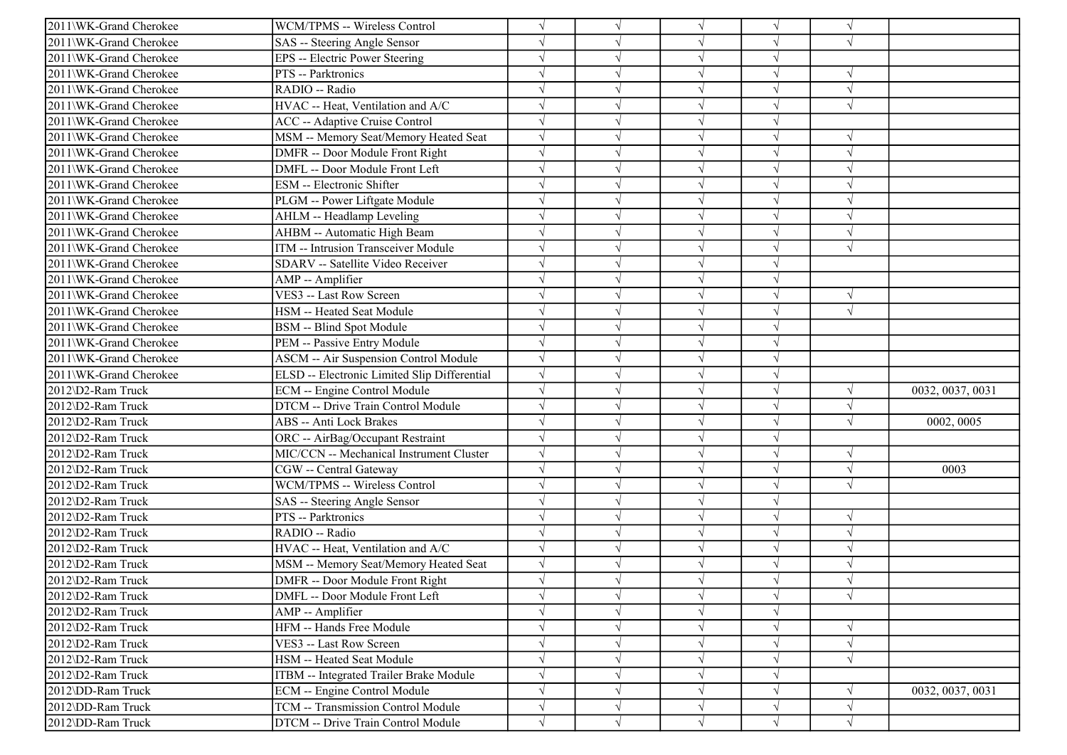| 2011\WK-Grand Cherokee | WCM/TPMS -- Wireless Control                 |            |            | $\sqrt{ }$ |            | $\sqrt{ }$ |                  |
|------------------------|----------------------------------------------|------------|------------|------------|------------|------------|------------------|
| 2011\WK-Grand Cherokee | SAS -- Steering Angle Sensor                 |            |            | $\sqrt{ }$ |            | $\sqrt{ }$ |                  |
| 2011\WK-Grand Cherokee | EPS -- Electric Power Steering               |            |            | $\sqrt{ }$ | $\sqrt{}$  |            |                  |
| 2011\WK-Grand Cherokee | PTS -- Parktronics                           |            |            | $\sqrt{}$  |            |            |                  |
| 2011\WK-Grand Cherokee | RADIO -- Radio                               |            |            | $\sqrt{ }$ |            | $\sqrt{ }$ |                  |
| 2011\WK-Grand Cherokee | HVAC -- Heat, Ventilation and A/C            |            |            | $\sqrt{ }$ |            | $\sqrt{ }$ |                  |
| 2011\WK-Grand Cherokee | ACC -- Adaptive Cruise Control               |            |            | $\sqrt{ }$ | V          |            |                  |
| 2011\WK-Grand Cherokee | MSM -- Memory Seat/Memory Heated Seat        | $\sqrt{ }$ |            | $\sqrt{ }$ | $\sqrt{}$  | $\sqrt{ }$ |                  |
| 2011\WK-Grand Cherokee | DMFR -- Door Module Front Right              |            |            | $\sqrt{ }$ |            | $\sqrt{ }$ |                  |
| 2011\WK-Grand Cherokee | DMFL -- Door Module Front Left               |            |            | $\sqrt{ }$ |            |            |                  |
| 2011\WK-Grand Cherokee | ESM -- Electronic Shifter                    |            |            | $\sqrt{ }$ | $\sqrt{ }$ | $\sqrt{ }$ |                  |
| 2011\WK-Grand Cherokee | PLGM -- Power Liftgate Module                |            |            | $\sqrt{ }$ |            | $\sqrt{ }$ |                  |
| 2011\WK-Grand Cherokee | AHLM -- Headlamp Leveling                    |            |            | $\sqrt{ }$ | V          | $\sqrt{ }$ |                  |
| 2011\WK-Grand Cherokee | AHBM -- Automatic High Beam                  |            | $\sqrt{ }$ | $\sqrt{ }$ | $\sqrt{}$  | $\sqrt{ }$ |                  |
| 2011\WK-Grand Cherokee | ITM -- Intrusion Transceiver Module          |            |            | $\sqrt{ }$ |            | $\sqrt{ }$ |                  |
| 2011\WK-Grand Cherokee | SDARV -- Satellite Video Receiver            |            |            | $\sqrt{}$  |            |            |                  |
| 2011\WK-Grand Cherokee | AMP -- Amplifier                             |            |            | $\sqrt{ }$ | $\sqrt{}$  |            |                  |
| 2011\WK-Grand Cherokee | VES3 -- Last Row Screen                      |            |            | $\sqrt{ }$ |            | $\sqrt{ }$ |                  |
| 2011\WK-Grand Cherokee | HSM -- Heated Seat Module                    |            |            | $\sqrt{ }$ | J          | $\sqrt{ }$ |                  |
| 2011\WK-Grand Cherokee | <b>BSM</b> -- Blind Spot Module              |            |            | $\sqrt{ }$ | V          |            |                  |
| 2011\WK-Grand Cherokee | PEM -- Passive Entry Module                  |            |            | $\sqrt{ }$ |            |            |                  |
| 2011\WK-Grand Cherokee | <b>ASCM -- Air Suspension Control Module</b> |            |            | $\sqrt{ }$ | $\sqrt{}$  |            |                  |
| 2011\WK-Grand Cherokee | ELSD -- Electronic Limited Slip Differential |            |            | $\sqrt{ }$ | $\sqrt{}$  |            |                  |
| 2012\D2-Ram Truck      | ECM -- Engine Control Module                 |            |            | $\sqrt{ }$ |            | $\sqrt{ }$ | 0032, 0037, 0031 |
| 2012\D2-Ram Truck      | DTCM -- Drive Train Control Module           |            |            | $\sqrt{ }$ | $\sqrt{}$  | $\sqrt{ }$ |                  |
| 2012\D2-Ram Truck      | ABS -- Anti Lock Brakes                      |            |            | $\sqrt{ }$ |            | $\sqrt{ }$ | 0002, 0005       |
| 2012\D2-Ram Truck      | ORC -- AirBag/Occupant Restraint             |            |            | $\sqrt{ }$ |            |            |                  |
| 2012\D2-Ram Truck      | MIC/CCN -- Mechanical Instrument Cluster     |            |            | $\sqrt{ }$ | V          | $\sqrt{ }$ |                  |
| 2012\D2-Ram Truck      | CGW -- Central Gateway                       |            |            | $\sqrt{ }$ |            | $\sqrt{ }$ | 0003             |
| 2012\D2-Ram Truck      | WCM/TPMS -- Wireless Control                 |            |            | $\sqrt{ }$ |            | $\sqrt{ }$ |                  |
| 2012\D2-Ram Truck      | SAS -- Steering Angle Sensor                 |            |            | $\sqrt{ }$ | $\sqrt{ }$ |            |                  |
| 2012\D2-Ram Truck      | PTS -- Parktronics                           |            |            | $\sqrt{ }$ | J          | $\sqrt{ }$ |                  |
| 2012\D2-Ram Truck      | RADIO -- Radio                               |            |            | $\sqrt{ }$ |            | $\sqrt{ }$ |                  |
| 2012\D2-Ram Truck      | HVAC -- Heat, Ventilation and A/C            |            |            | $\sqrt{ }$ | $\sqrt{ }$ | $\sqrt{ }$ |                  |
| 2012\D2-Ram Truck      | MSM -- Memory Seat/Memory Heated Seat        |            |            | $\sqrt{ }$ |            |            |                  |
| 2012\D2-Ram Truck      | DMFR -- Door Module Front Right              |            |            |            |            |            |                  |
| 2012\D2-Ram Truck      | DMFL -- Door Module Front Left               |            | $\sqrt{ }$ | $\sqrt{ }$ | $\sqrt{}$  | $\sqrt{ }$ |                  |
| 2012\D2-Ram Truck      | AMP -- Amplifier                             |            |            | $\sqrt{ }$ | V          |            |                  |
| 2012\D2-Ram Truck      | HFM -- Hands Free Module                     |            |            | $\sqrt{ }$ | V          | $\sqrt{ }$ |                  |
| 2012\D2-Ram Truck      | VES3 -- Last Row Screen                      |            |            | $\sqrt{ }$ |            | $\sqrt{ }$ |                  |
| 2012\D2-Ram Truck      | HSM -- Heated Seat Module                    |            |            | $\sqrt{}$  |            | $\sqrt{ }$ |                  |
| 2012\D2-Ram Truck      | ITBM -- Integrated Trailer Brake Module      |            |            | $\sqrt{ }$ | V          |            |                  |
| 2012\DD-Ram Truck      | ECM -- Engine Control Module                 |            |            | $\sqrt{ }$ | V          | $\sqrt{ }$ | 0032, 0037, 0031 |
| 2012\DD-Ram Truck      | TCM -- Transmission Control Module           | $\sqrt{}$  | $\sqrt{ }$ | $\sqrt{ }$ | V          | $\sqrt{ }$ |                  |
| 2012\DD-Ram Truck      | DTCM -- Drive Train Control Module           | $\sqrt{}$  | $\sqrt{}$  | $\sqrt{ }$ | $\sqrt{}$  | $\sqrt{ }$ |                  |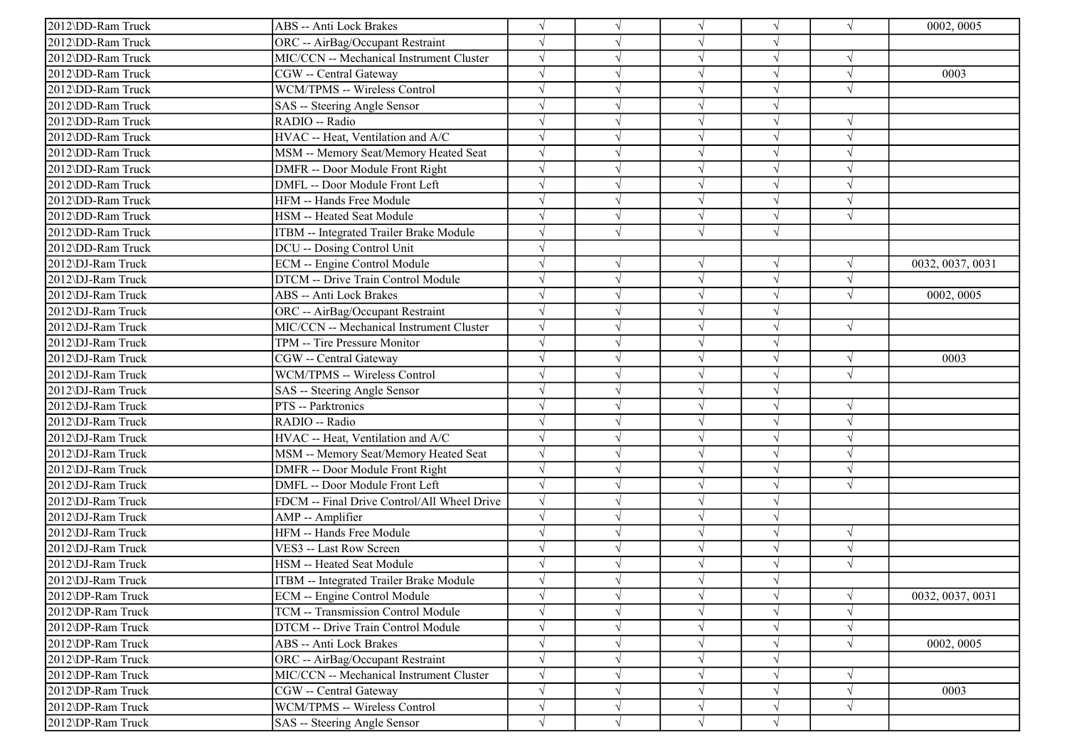| 2012\DD-Ram Truck | ABS -- Anti Lock Brakes                     |            |            | $\sqrt{ }$ | $\sqrt{ }$ | $\sqrt{ }$ | 0002, 0005       |
|-------------------|---------------------------------------------|------------|------------|------------|------------|------------|------------------|
| 2012\DD-Ram Truck | ORC -- AirBag/Occupant Restraint            |            |            | $\sqrt{ }$ | V          |            |                  |
| 2012\DD-Ram Truck | MIC/CCN -- Mechanical Instrument Cluster    |            |            | $\sqrt{ }$ | $\sqrt{}$  | $\sqrt{ }$ |                  |
| 2012\DD-Ram Truck | CGW -- Central Gateway                      |            |            | $\sqrt{ }$ |            | $\sqrt{ }$ | 0003             |
| 2012\DD-Ram Truck | WCM/TPMS -- Wireless Control                |            |            | $\sqrt{ }$ | J          | $\sqrt{ }$ |                  |
| 2012\DD-Ram Truck | SAS -- Steering Angle Sensor                |            |            | $\sqrt{ }$ | J          |            |                  |
| 2012\DD-Ram Truck | RADIO -- Radio                              |            |            | $\sqrt{ }$ | V          | $\sqrt{ }$ |                  |
| 2012\DD-Ram Truck | HVAC -- Heat, Ventilation and A/C           |            |            | $\sqrt{ }$ | V          | $\sqrt{ }$ |                  |
| 2012\DD-Ram Truck | MSM -- Memory Seat/Memory Heated Seat       |            |            | $\sqrt{ }$ | $\sqrt{ }$ | $\sqrt{ }$ |                  |
| 2012\DD-Ram Truck | DMFR -- Door Module Front Right             |            |            | $\sqrt{ }$ |            | $\sqrt{ }$ |                  |
| 2012\DD-Ram Truck | DMFL -- Door Module Front Left              |            |            | $\sqrt{}$  | J          | $\sqrt{ }$ |                  |
| 2012\DD-Ram Truck | HFM -- Hands Free Module                    |            |            | $\sqrt{ }$ |            | $\sqrt{ }$ |                  |
| 2012\DD-Ram Truck | HSM -- Heated Seat Module                   |            |            | $\sqrt{ }$ | V          | $\sqrt{ }$ |                  |
| 2012\DD-Ram Truck | ITBM -- Integrated Trailer Brake Module     |            | $\sqrt{ }$ | $\sqrt{ }$ | $\sqrt{ }$ |            |                  |
| 2012\DD-Ram Truck | DCU -- Dosing Control Unit                  |            |            |            |            |            |                  |
| 2012\DJ-Ram Truck | ECM -- Engine Control Module                |            |            | $\sqrt{ }$ | J          | $\sqrt{ }$ | 0032, 0037, 0031 |
| 2012\DJ-Ram Truck | DTCM -- Drive Train Control Module          |            |            | $\sqrt{}$  |            | $\sqrt{ }$ |                  |
| 2012\DJ-Ram Truck | ABS -- Anti Lock Brakes                     |            |            | $\sqrt{ }$ |            | $\sqrt{ }$ | 0002, 0005       |
| 2012\DJ-Ram Truck | ORC -- AirBag/Occupant Restraint            |            |            | $\sqrt{ }$ | $\sqrt{}$  |            |                  |
| 2012\DJ-Ram Truck | MIC/CCN -- Mechanical Instrument Cluster    | $\sqrt{ }$ |            | $\sqrt{ }$ | V          | $\sqrt{ }$ |                  |
| 2012\DJ-Ram Truck | TPM -- Tire Pressure Monitor                |            |            | $\sqrt{ }$ | $\sqrt{ }$ |            |                  |
| 2012\DJ-Ram Truck | <b>CGW</b> -- Central Gateway               |            |            | $\sqrt{ }$ | $\sqrt{ }$ | $\sqrt{ }$ | 0003             |
| 2012\DJ-Ram Truck | WCM/TPMS -- Wireless Control                |            |            | $\sqrt{ }$ |            | $\sqrt{ }$ |                  |
| 2012\DJ-Ram Truck | SAS -- Steering Angle Sensor                |            |            | $\sqrt{ }$ | $\sqrt{ }$ |            |                  |
| 2012\DJ-Ram Truck | PTS -- Parktronics                          |            |            | $\sqrt{ }$ | $\sqrt{ }$ | $\sqrt{ }$ |                  |
| 2012\DJ-Ram Truck | RADIO -- Radio                              |            |            | $\sqrt{ }$ | J          | $\sqrt{ }$ |                  |
| 2012\DJ-Ram Truck | HVAC -- Heat, Ventilation and A/C           |            |            | $\sqrt{ }$ | V          | $\sqrt{ }$ |                  |
| 2012\DJ-Ram Truck | MSM -- Memory Seat/Memory Heated Seat       |            |            | $\sqrt{ }$ | $\sqrt{}$  | $\sqrt{ }$ |                  |
| 2012\DJ-Ram Truck | DMFR -- Door Module Front Right             |            |            | $\sqrt{ }$ |            |            |                  |
| 2012\DJ-Ram Truck | DMFL -- Door Module Front Left              |            |            | $\sqrt{ }$ |            | $\sqrt{ }$ |                  |
| 2012\DJ-Ram Truck | FDCM -- Final Drive Control/All Wheel Drive | $\sqrt{ }$ |            | $\sqrt{ }$ | J          |            |                  |
| 2012\DJ-Ram Truck | AMP -- Amplifier                            | $\sqrt{ }$ |            | $\sqrt{ }$ | $\sqrt{ }$ |            |                  |
| 2012\DJ-Ram Truck | HFM -- Hands Free Module                    |            |            | $\sqrt{ }$ | $\sqrt{}$  | $\sqrt{ }$ |                  |
| 2012\DJ-Ram Truck | VES3 -- Last Row Screen                     |            |            | $\sqrt{ }$ | $\sqrt{ }$ | $\sqrt{ }$ |                  |
| 2012\DJ-Ram Truck | HSM -- Heated Seat Module                   |            |            | $\sqrt{ }$ |            | $\sqrt{ }$ |                  |
| 2012\DJ-Ram Truck | ITBM -- Integrated Trailer Brake Module     |            |            |            |            |            |                  |
| 2012\DP-Ram Truck | ECM -- Engine Control Module                |            | $\sqrt{ }$ | $\sqrt{}$  | $\sqrt{ }$ | $\sqrt{ }$ | 0032, 0037, 0031 |
| 2012\DP-Ram Truck | TCM -- Transmission Control Module          |            |            | $\sqrt{ }$ | V          | $\sqrt{ }$ |                  |
| 2012\DP-Ram Truck | DTCM -- Drive Train Control Module          |            |            | $\sqrt{ }$ | $\sqrt{ }$ | $\sqrt{ }$ |                  |
| 2012\DP-Ram Truck | ABS -- Anti Lock Brakes                     |            |            | $\sqrt{ }$ | V          | $\sqrt{ }$ | 0002, 0005       |
| 2012\DP-Ram Truck | ORC -- AirBag/Occupant Restraint            |            |            | $\sqrt{ }$ |            |            |                  |
| 2012\DP-Ram Truck | MIC/CCN -- Mechanical Instrument Cluster    |            |            | $\sqrt{ }$ | V          | $\sqrt{ }$ |                  |
| 2012\DP-Ram Truck | CGW -- Central Gateway                      |            |            | $\sqrt{ }$ | V          | $\sqrt{ }$ | 0003             |
| 2012\DP-Ram Truck | WCM/TPMS -- Wireless Control                | $\sqrt{ }$ | V          | $\sqrt{ }$ | $\sqrt{ }$ | $\sqrt{ }$ |                  |
| 2012\DP-Ram Truck | SAS -- Steering Angle Sensor                | $\sqrt{ }$ | $\sqrt{ }$ | $\sqrt{ }$ | $\sqrt{ }$ |            |                  |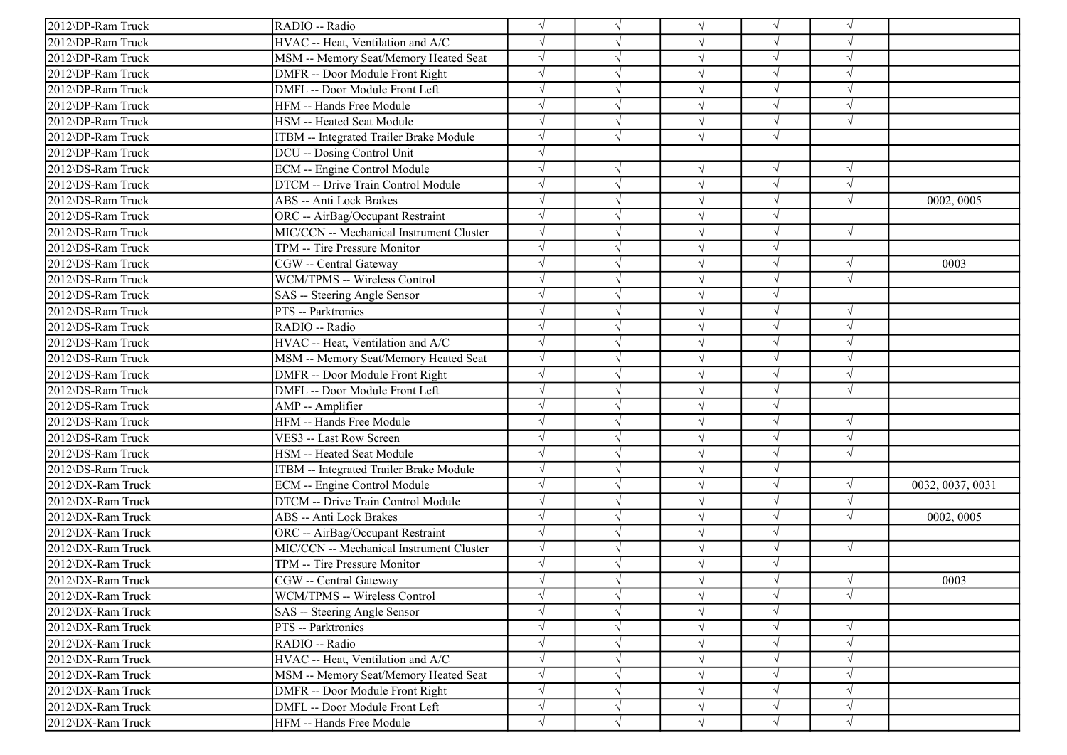| 2012\DP-Ram Truck | RADIO -- Radio                           |            |            | $\sqrt{ }$ | $\sqrt{ }$ | $\gamma$   |                  |
|-------------------|------------------------------------------|------------|------------|------------|------------|------------|------------------|
| 2012\DP-Ram Truck | HVAC -- Heat, Ventilation and A/C        |            |            | $\sqrt{ }$ | V          | $\sqrt{ }$ |                  |
| 2012\DP-Ram Truck | MSM -- Memory Seat/Memory Heated Seat    |            |            | $\sqrt{ }$ | $\sqrt{}$  | $\sqrt{ }$ |                  |
| 2012\DP-Ram Truck | DMFR -- Door Module Front Right          |            |            | $\sqrt{ }$ |            |            |                  |
| 2012\DP-Ram Truck | DMFL -- Door Module Front Left           |            |            | $\sqrt{ }$ | J          | $\sqrt{ }$ |                  |
| 2012\DP-Ram Truck | HFM -- Hands Free Module                 |            |            | $\sqrt{ }$ | J          | $\sqrt{ }$ |                  |
| 2012\DP-Ram Truck | HSM -- Heated Seat Module                |            |            | $\sqrt{ }$ | $\sqrt{ }$ | $\sqrt{ }$ |                  |
| 2012\DP-Ram Truck | ITBM -- Integrated Trailer Brake Module  |            |            | $\sqrt{ }$ | $\sqrt{ }$ |            |                  |
| 2012\DP-Ram Truck | DCU -- Dosing Control Unit               |            |            |            |            |            |                  |
| 2012\DS-Ram Truck | ECM -- Engine Control Module             |            |            | $\sqrt{ }$ |            | $\sqrt{ }$ |                  |
| 2012\DS-Ram Truck | DTCM -- Drive Train Control Module       |            |            | $\sqrt{ }$ | J          | $\sqrt{ }$ |                  |
| 2012\DS-Ram Truck | ABS -- Anti Lock Brakes                  |            |            | $\sqrt{ }$ |            | $\sqrt{ }$ | 0002, 0005       |
| 2012\DS-Ram Truck | ORC -- AirBag/Occupant Restraint         |            |            | $\sqrt{ }$ | V          |            |                  |
| 2012\DS-Ram Truck | MIC/CCN -- Mechanical Instrument Cluster |            |            | $\sqrt{ }$ | V          | $\sqrt{ }$ |                  |
| 2012\DS-Ram Truck | TPM -- Tire Pressure Monitor             |            |            | $\sqrt{ }$ | J          |            |                  |
| 2012\DS-Ram Truck | CGW -- Central Gateway                   |            |            | $\sqrt{ }$ |            | $\sqrt{ }$ | 0003             |
| 2012\DS-Ram Truck | WCM/TPMS -- Wireless Control             |            |            | $\sqrt{ }$ |            | $\sqrt{ }$ |                  |
| 2012\DS-Ram Truck | SAS -- Steering Angle Sensor             |            |            | $\sqrt{ }$ |            |            |                  |
| 2012\DS-Ram Truck | PTS -- Parktronics                       |            |            | $\sqrt{ }$ | $\sqrt{}$  | $\sqrt{ }$ |                  |
| 2012\DS-Ram Truck | RADIO -- Radio                           |            |            | $\sqrt{ }$ | V          | $\sqrt{ }$ |                  |
| 2012\DS-Ram Truck | HVAC -- Heat, Ventilation and A/C        |            |            | $\sqrt{ }$ | J          | $\sqrt{ }$ |                  |
| 2012\DS-Ram Truck | MSM -- Memory Seat/Memory Heated Seat    |            |            | $\sqrt{ }$ | $\sqrt{}$  | $\sqrt{ }$ |                  |
| 2012\DS-Ram Truck | DMFR -- Door Module Front Right          |            |            | $\sqrt{ }$ |            | $\sqrt{ }$ |                  |
| 2012\DS-Ram Truck | DMFL -- Door Module Front Left           |            |            | $\sqrt{ }$ | J          | $\sqrt{ }$ |                  |
| 2012\DS-Ram Truck | AMP -- Amplifier                         |            |            | $\sqrt{ }$ | $\sqrt{ }$ |            |                  |
| 2012\DS-Ram Truck | HFM -- Hands Free Module                 |            |            | $\sqrt{ }$ | ٦I         | $\sqrt{ }$ |                  |
| 2012\DS-Ram Truck | VES3 -- Last Row Screen                  |            |            | $\sqrt{ }$ | V          | $\sqrt{ }$ |                  |
| 2012\DS-Ram Truck | HSM -- Heated Seat Module                |            |            | $\sqrt{ }$ | $\sqrt{}$  | $\sqrt{ }$ |                  |
| 2012\DS-Ram Truck | ITBM -- Integrated Trailer Brake Module  |            |            | $\sqrt{ }$ |            |            |                  |
| 2012\DX-Ram Truck | ECM -- Engine Control Module             |            |            | $\sqrt{ }$ |            | $\sqrt{ }$ | 0032, 0037, 0031 |
| 2012\DX-Ram Truck | DTCM -- Drive Train Control Module       |            |            | $\sqrt{ }$ | J          | $\sqrt{ }$ |                  |
| 2012\DX-Ram Truck | ABS -- Anti Lock Brakes                  |            |            | $\sqrt{ }$ | $\sqrt{ }$ | $\sqrt{ }$ | 0002, 0005       |
| 2012\DX-Ram Truck | ORC -- AirBag/Occupant Restraint         |            |            | $\sqrt{ }$ | $\sqrt{}$  |            |                  |
| 2012\DX-Ram Truck | MIC/CCN -- Mechanical Instrument Cluster |            |            | $\sqrt{ }$ | $\sqrt{ }$ | $\sqrt{ }$ |                  |
| 2012\DX-Ram Truck | TPM -- Tire Pressure Monitor             |            |            | $\sqrt{ }$ |            |            |                  |
| 2012\DX-Ram Truck | CGW -- Central Gateway                   |            |            |            |            | $\sqrt{ }$ | 0003             |
| 2012\DX-Ram Truck | WCM/TPMS -- Wireless Control             |            | $\sqrt{ }$ | $\sqrt{}$  | $\sqrt{ }$ | $\sqrt{ }$ |                  |
| 2012\DX-Ram Truck | SAS -- Steering Angle Sensor             |            |            | $\sqrt{ }$ | V          |            |                  |
| 2012\DX-Ram Truck | PTS -- Parktronics                       |            |            | $\sqrt{ }$ | $\sqrt{ }$ | $\sqrt{ }$ |                  |
| 2012\DX-Ram Truck | RADIO -- Radio                           |            |            | $\sqrt{ }$ | V          | $\sqrt{ }$ |                  |
| 2012\DX-Ram Truck | HVAC -- Heat, Ventilation and A/C        |            |            | $\sqrt{ }$ |            |            |                  |
| 2012\DX-Ram Truck | MSM -- Memory Seat/Memory Heated Seat    | $\sqrt{ }$ |            | $\sqrt{ }$ | V          | $\sqrt{ }$ |                  |
| 2012\DX-Ram Truck | DMFR -- Door Module Front Right          | $\sqrt{ }$ |            | $\sqrt{ }$ |            | $\sqrt{ }$ |                  |
| 2012\DX-Ram Truck | DMFL -- Door Module Front Left           | $\sqrt{}$  | V          | $\sqrt{}$  | V          | $\sqrt{ }$ |                  |
| 2012\DX-Ram Truck | HFM -- Hands Free Module                 | $\sqrt{ }$ | $\sqrt{ }$ | $\sqrt{ }$ | $\sqrt{ }$ | $\sqrt{ }$ |                  |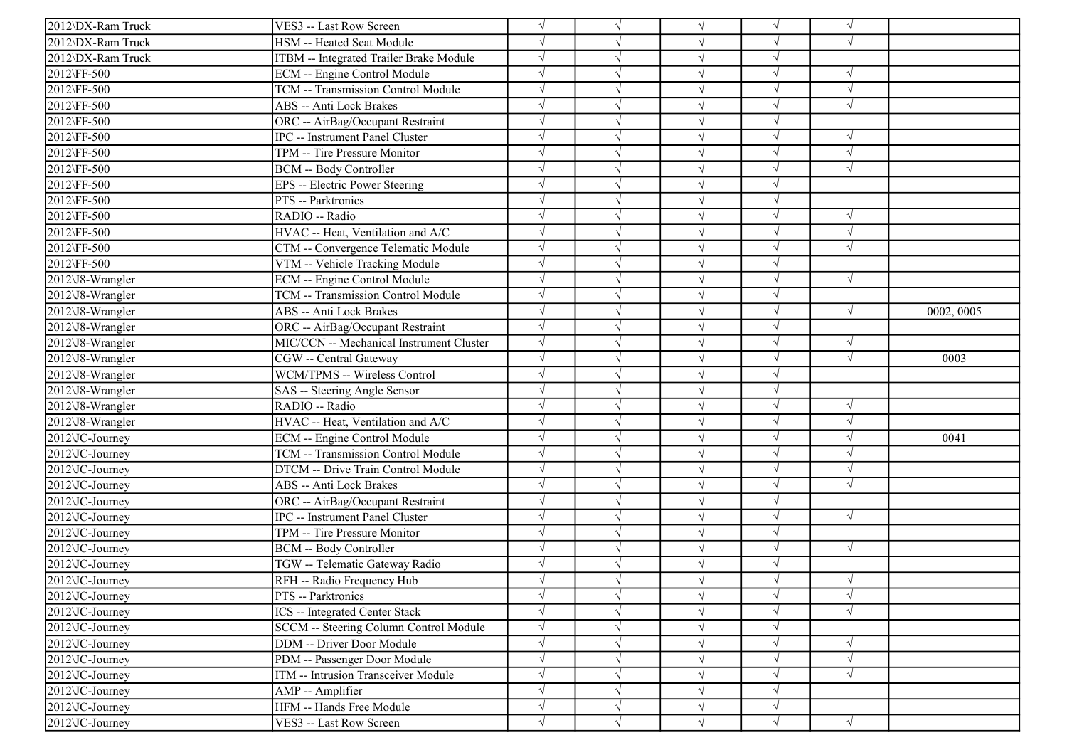| 2012\DX-Ram Truck | VES3 -- Last Row Screen                   | $\sqrt{}$  |            | $\sqrt{}$  |            | $\sqrt{ }$ |            |
|-------------------|-------------------------------------------|------------|------------|------------|------------|------------|------------|
| 2012\DX-Ram Truck | HSM -- Heated Seat Module                 |            |            | $\sqrt{}$  | V          | $\sqrt{ }$ |            |
| 2012\DX-Ram Truck | ITBM -- Integrated Trailer Brake Module   | $\sqrt{}$  |            | $\sqrt{}$  | V          |            |            |
| 2012\FF-500       | ECM -- Engine Control Module              |            |            | $\sqrt{ }$ | J          | $\sqrt{ }$ |            |
| 2012\FF-500       | <b>TCM -- Transmission Control Module</b> |            |            | $\sqrt{}$  | J          | $\sqrt{ }$ |            |
| 2012\FF-500       | ABS -- Anti Lock Brakes                   |            |            | $\sqrt{}$  |            | $\sqrt{ }$ |            |
| 2012\FF-500       | ORC -- AirBag/Occupant Restraint          |            |            | $\sqrt{}$  |            |            |            |
| 2012\FF-500       | <b>IPC</b> -- Instrument Panel Cluster    | $\sqrt{}$  |            | $\sqrt{}$  | J          | $\sqrt{ }$ |            |
| 2012\FF-500       | TPM -- Tire Pressure Monitor              | $\sqrt{ }$ |            | $\sqrt{ }$ | V          | $\sqrt{ }$ |            |
| 2012\FF-500       | <b>BCM -- Body Controller</b>             | $\sqrt{}$  |            | $\sqrt{}$  | $\sqrt{}$  | $\sqrt{ }$ |            |
| 2012\FF-500       | <b>EPS</b> -- Electric Power Steering     | $\sqrt{}$  |            | $\sqrt{}$  | J          |            |            |
| 2012\FF-500       | PTS -- Parktronics                        |            |            | $\sqrt{}$  |            |            |            |
| 2012\FF-500       | RADIO -- Radio                            |            |            | $\sqrt{ }$ | V          | $\sqrt{ }$ |            |
| 2012\FF-500       | HVAC -- Heat, Ventilation and A/C         | $\sqrt{}$  |            | $\sqrt{}$  | V          | $\sqrt{ }$ |            |
| 2012\FF-500       | CTM -- Convergence Telematic Module       |            |            | $\sqrt{}$  | V          | $\sqrt{ }$ |            |
| 2012\FF-500       | VTM -- Vehicle Tracking Module            | $\sqrt{}$  |            | $\sqrt{ }$ | V          |            |            |
| 2012\J8-Wrangler  | <b>ECM</b> -- Engine Control Module       | $\sqrt{}$  |            | $\sqrt{ }$ | $\sqrt{}$  | $\sqrt{ }$ |            |
| 2012\J8-Wrangler  | TCM -- Transmission Control Module        |            |            | $\sqrt{}$  |            |            |            |
| 2012\J8-Wrangler  | <b>ABS</b> -- Anti Lock Brakes            | $\sqrt{}$  |            | $\sqrt{}$  |            | $\sqrt{ }$ | 0002, 0005 |
| 2012\J8-Wrangler  | ORC -- AirBag/Occupant Restraint          | $\sqrt{ }$ |            | $\sqrt{}$  | V          |            |            |
| 2012\J8-Wrangler  | MIC/CCN -- Mechanical Instrument Cluster  | $\sqrt{ }$ |            | $\sqrt{}$  | J          | $\sqrt{ }$ |            |
| 2012\J8-Wrangler  | CGW -- Central Gateway                    | $\sqrt{}$  |            | $\sqrt{ }$ | $\sqrt{}$  | $\sqrt{ }$ | 0003       |
| 2012\J8-Wrangler  | WCM/TPMS -- Wireless Control              | $\sqrt{ }$ |            | $\sqrt{ }$ | $\sqrt{ }$ |            |            |
| 2012\J8-Wrangler  | SAS -- Steering Angle Sensor              |            |            | $\sqrt{}$  | $\sqrt{}$  |            |            |
| 2012\J8-Wrangler  | RADIO -- Radio                            | $\sqrt{}$  |            | $\sqrt{}$  | V          | $\sqrt{ }$ |            |
| 2012\J8-Wrangler  | HVAC -- Heat, Ventilation and A/C         |            |            | $\sqrt{}$  | J          | $\sqrt{ }$ |            |
| 2012\JC-Journey   | <b>ECM</b> -- Engine Control Module       | $\sqrt{}$  |            | $\sqrt{}$  | V          | $\sqrt{ }$ | 0041       |
| 2012\JC-Journey   | TCM -- Transmission Control Module        | $\sqrt{}$  |            | $\sqrt{ }$ | V          | $\sqrt{ }$ |            |
| 2012\JC-Journey   | DTCM -- Drive Train Control Module        | $\sqrt{}$  |            | $\sqrt{ }$ | J          | $\sqrt{ }$ |            |
| 2012\JC-Journey   | ABS -- Anti Lock Brakes                   |            |            | $\sqrt{}$  |            | $\sqrt{ }$ |            |
| 2012\JC-Journey   | ORC -- AirBag/Occupant Restraint          | $\sqrt{}$  |            | $\sqrt{ }$ | V          |            |            |
| 2012\JC-Journey   | <b>IPC</b> -- Instrument Panel Cluster    | $\sqrt{}$  |            | $\sqrt{}$  |            | $\sqrt{ }$ |            |
| 2012\JC-Journey   | TPM -- Tire Pressure Monitor              | $\sqrt{}$  |            | $\sqrt{}$  | $\sqrt{}$  |            |            |
| 2012\JC-Journey   | <b>BCM -- Body Controller</b>             | $\sqrt{ }$ |            | $\sqrt{ }$ | V          | $\sqrt{ }$ |            |
| 2012\JC-Journey   | TGW -- Telematic Gateway Radio            | $\sqrt{ }$ |            | $\sqrt{ }$ | $\sqrt{ }$ |            |            |
| 2012\JC-Journey   | RFH -- Radio Frequency Hub                |            |            |            | J          | $\sqrt{ }$ |            |
| 2012\JC-Journey   | PTS -- Parktronics                        | $\sqrt{ }$ | $\sqrt{ }$ | $\sqrt{}$  | $\sqrt{ }$ | $\sqrt{ }$ |            |
| 2012\JC-Journey   | <b>ICS</b> -- Integrated Center Stack     | $\sqrt{ }$ |            | $\sqrt{}$  | V          | $\sqrt{ }$ |            |
| 2012\JC-Journey   | SCCM -- Steering Column Control Module    | $\sqrt{}$  |            | $\sqrt{}$  | V          |            |            |
| 2012\JC-Journey   | <b>DDM</b> -- Driver Door Module          | $\sqrt{}$  |            | $\sqrt{}$  | V          | $\sqrt{ }$ |            |
| 2012\JC-Journey   | PDM -- Passenger Door Module              | $\sqrt{ }$ |            | $\sqrt{ }$ | $\sqrt{}$  | $\sqrt{ }$ |            |
| $2012$ JC-Journey | ITM -- Intrusion Transceiver Module       | $\sqrt{}$  |            | $\sqrt{}$  | $\sqrt{}$  | $\sqrt{ }$ |            |
| 2012\JC-Journey   | AMP -- Amplifier                          |            |            | $\sqrt{}$  |            |            |            |
| 2012\JC-Journey   | HFM -- Hands Free Module                  | $\sqrt{}$  |            | $\sqrt{}$  | V          |            |            |
| 2012\JC-Journey   | VES3 -- Last Row Screen                   | $\sqrt{ }$ | $\sqrt{}$  | $\sqrt{}$  | $\sqrt{ }$ | $\sqrt{ }$ |            |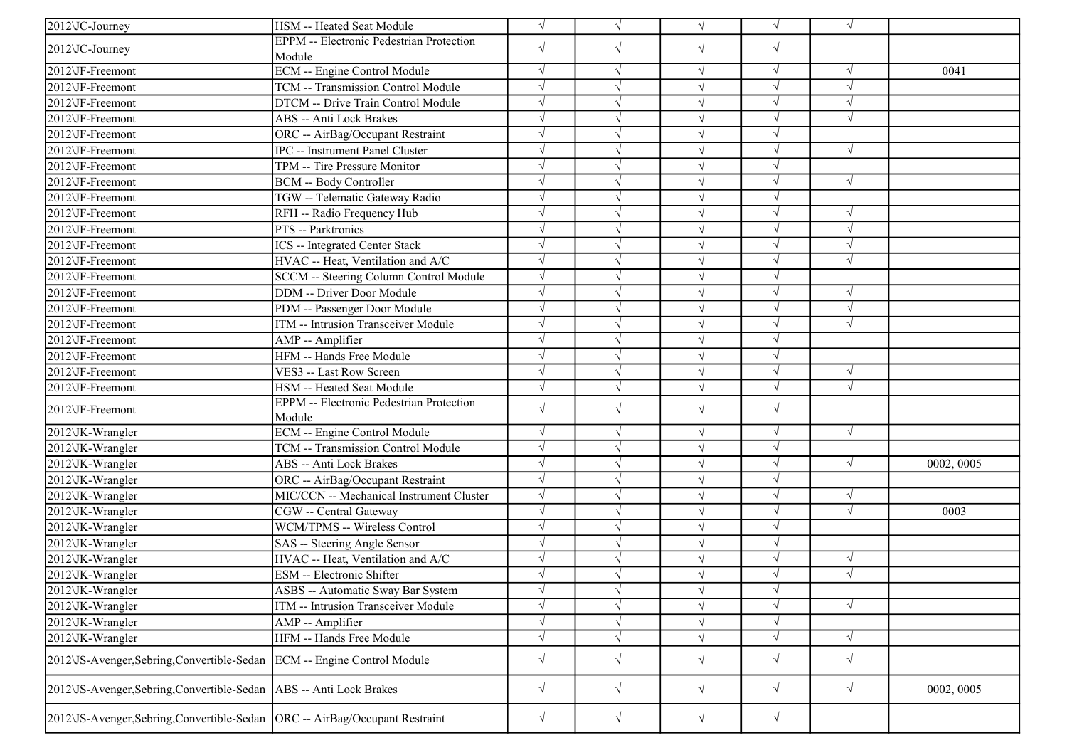| 2012\JC-Journey                                                                | HSM -- Heated Seat Module                       | $\sqrt{ }$ | $\sqrt{ }$ | $\sqrt{ }$    | $\sqrt{}$  | $\sqrt{ }$ |            |
|--------------------------------------------------------------------------------|-------------------------------------------------|------------|------------|---------------|------------|------------|------------|
| 2012\JC-Journey                                                                | <b>EPPM</b> -- Electronic Pedestrian Protection | $\sqrt{}$  | $\sqrt{}$  | $\sqrt{ }$    | $\sqrt{}$  |            |            |
|                                                                                | Module                                          |            |            |               |            |            |            |
| 2012\JF-Freemont                                                               | <b>ECM</b> -- Engine Control Module             | $\sqrt{ }$ | $\sqrt{ }$ | $\sqrt{ }$    | $\sqrt{}$  | $\sqrt{ }$ | 0041       |
| 2012\JF-Freemont                                                               | <b>TCM -- Transmission Control Module</b>       | $\sqrt{ }$ |            |               |            | $\sqrt{ }$ |            |
| 2012\JF-Freemont                                                               | DTCM -- Drive Train Control Module              | $\sqrt{ }$ |            | $\mathcal{N}$ |            | $\sqrt{ }$ |            |
| 2012\JF-Freemont                                                               | ABS -- Anti Lock Brakes                         | $\sqrt{ }$ |            |               |            | $\sqrt{ }$ |            |
| 2012\JF-Freemont                                                               | ORC -- AirBag/Occupant Restraint                | $\sqrt{ }$ |            | $\sqrt{ }$    |            |            |            |
| 2012\JF-Freemont                                                               | IPC -- Instrument Panel Cluster                 | $\sqrt{ }$ |            |               |            | $\sqrt{ }$ |            |
| 2012\JF-Freemont                                                               | TPM -- Tire Pressure Monitor                    | $\sqrt{ }$ |            |               |            |            |            |
| 2012\JF-Freemont                                                               | BCM -- Body Controller                          | $\sqrt{ }$ |            |               |            | $\sqrt{ }$ |            |
| 2012\JF-Freemont                                                               | TGW -- Telematic Gateway Radio                  | $\sqrt{ }$ |            | N             | $\sqrt{}$  |            |            |
| 2012\JF-Freemont                                                               | RFH -- Radio Frequency Hub                      | $\sqrt{ }$ |            |               | $\sqrt{ }$ | $\sqrt{ }$ |            |
| 2012\JF-Freemont                                                               | PTS -- Parktronics                              | $\sqrt{ }$ |            | $\sqrt{ }$    |            | $\sqrt{ }$ |            |
| 2012\JF-Freemont                                                               | <b>ICS</b> -- Integrated Center Stack           | $\sqrt{}$  |            |               |            | $\sqrt{ }$ |            |
| 2012\JF-Freemont                                                               | HVAC -- Heat, Ventilation and A/C               | $\sqrt{ }$ |            |               |            | $\sqrt{ }$ |            |
| 2012\JF-Freemont                                                               | SCCM -- Steering Column Control Module          | $\sqrt{}$  |            |               |            |            |            |
| 2012\JF-Freemont                                                               | DDM -- Driver Door Module                       | $\sqrt{ }$ |            | $\sqrt{ }$    | $\sqrt{}$  | $\sqrt{ }$ |            |
| 2012\JF-Freemont                                                               | PDM -- Passenger Door Module                    | $\sqrt{ }$ |            |               |            | $\sqrt{ }$ |            |
| 2012\JF-Freemont                                                               | ITM -- Intrusion Transceiver Module             | $\sqrt{ }$ |            | $\sqrt{ }$    |            | $\sqrt{ }$ |            |
| 2012\JF-Freemont                                                               | AMP -- Amplifier                                | $\sqrt{ }$ |            |               |            |            |            |
| 2012\JF-Freemont                                                               | HFM -- Hands Free Module                        | $\sqrt{}$  |            |               |            |            |            |
| 2012\JF-Freemont                                                               | VES3 -- Last Row Screen                         | $\sqrt{ }$ |            | $\sqrt{ }$    |            | $\sqrt{ }$ |            |
| 2012\JF-Freemont                                                               | HSM -- Heated Seat Module                       | $\sqrt{ }$ | V          | $\sqrt{ }$    | $\sqrt{ }$ | $\sqrt{ }$ |            |
|                                                                                | <b>EPPM</b> -- Electronic Pedestrian Protection |            |            |               |            |            |            |
| 2012\JF-Freemont                                                               | Module                                          | $\sqrt{ }$ | $\sqrt{}$  | $\sqrt{ }$    | $\sqrt{}$  |            |            |
| 2012\JK-Wrangler                                                               | <b>ECM</b> -- Engine Control Module             | $\sqrt{ }$ | V          | $\sqrt{ }$    | $\sqrt{}$  | $\sqrt{ }$ |            |
| 2012\JK-Wrangler                                                               | TCM -- Transmission Control Module              | $\sqrt{ }$ |            | $\sqrt{ }$    | $\sqrt{}$  |            |            |
| 2012\JK-Wrangler                                                               | ABS -- Anti Lock Brakes                         | $\sqrt{ }$ |            | $\sqrt{ }$    | $\sqrt{ }$ | $\sqrt{ }$ | 0002, 0005 |
| 2012\JK-Wrangler                                                               | ORC -- AirBag/Occupant Restraint                | $\sqrt{ }$ |            |               | $\sqrt{}$  |            |            |
| 2012\JK-Wrangler                                                               | MIC/CCN -- Mechanical Instrument Cluster        | $\sqrt{ }$ |            | $\sqrt{ }$    | $\sqrt{ }$ | $\sqrt{ }$ |            |
| 2012\JK-Wrangler                                                               | CGW -- Central Gateway                          | $\sqrt{}$  |            | $\sqrt{ }$    |            | $\sqrt{ }$ | 0003       |
| 2012\JK-Wrangler                                                               | WCM/TPMS -- Wireless Control                    | $\sqrt{ }$ |            |               |            |            |            |
| 2012\JK-Wrangler                                                               | SAS -- Steering Angle Sensor                    | $\sqrt{ }$ |            |               |            |            |            |
| 2012\JK-Wrangler                                                               | HVAC -- Heat, Ventilation and A/C               | $\sqrt{ }$ | V          | $\mathcal{N}$ | $\sqrt{}$  | $\sqrt{ }$ |            |
| 2012\JK-Wrangler                                                               | ESM -- Electronic Shifter                       | $\sqrt{ }$ |            |               |            | $\sqrt{ }$ |            |
| 2012\JK-Wrangler                                                               | ASBS -- Automatic Sway Bar System               | $\sqrt{ }$ | $\sqrt{}$  | $\sqrt{ }$    | $\sqrt{ }$ |            |            |
| 2012\JK-Wrangler                                                               | ITM -- Intrusion Transceiver Module             | $\sqrt{}$  | V          | $\sqrt{ }$    | $\sqrt{}$  | $\sqrt{ }$ |            |
| 2012\JK-Wrangler                                                               | AMP -- Amplifier                                | $\sqrt{ }$ | V          | $\sqrt{ }$    | $\sqrt{}$  |            |            |
| 2012\JK-Wrangler                                                               | HFM -- Hands Free Module                        | $\sqrt{ }$ | $\sqrt{}$  | $\sqrt{ }$    | $\sqrt{}$  | $\sqrt{ }$ |            |
|                                                                                |                                                 |            |            |               |            |            |            |
| 2012\JS-Avenger,Sebring,Convertible-Sedan                                      | ECM -- Engine Control Module                    | $\sqrt{ }$ | $\sqrt{}$  | $\sqrt{}$     | $\sqrt{}$  | $\sqrt{ }$ |            |
| 2012\JS-Avenger,Sebring,Convertible-Sedan                                      | ABS -- Anti Lock Brakes                         | $\sqrt{}$  | $\sqrt{}$  | $\sqrt{}$     | $\sqrt{}$  | $\sqrt{ }$ | 0002, 0005 |
| 2012\JS-Avenger, Sebring, Convertible-Sedan   ORC -- AirBag/Occupant Restraint |                                                 | $\sqrt{ }$ | $\sqrt{}$  | $\sqrt{}$     | $\sqrt{}$  |            |            |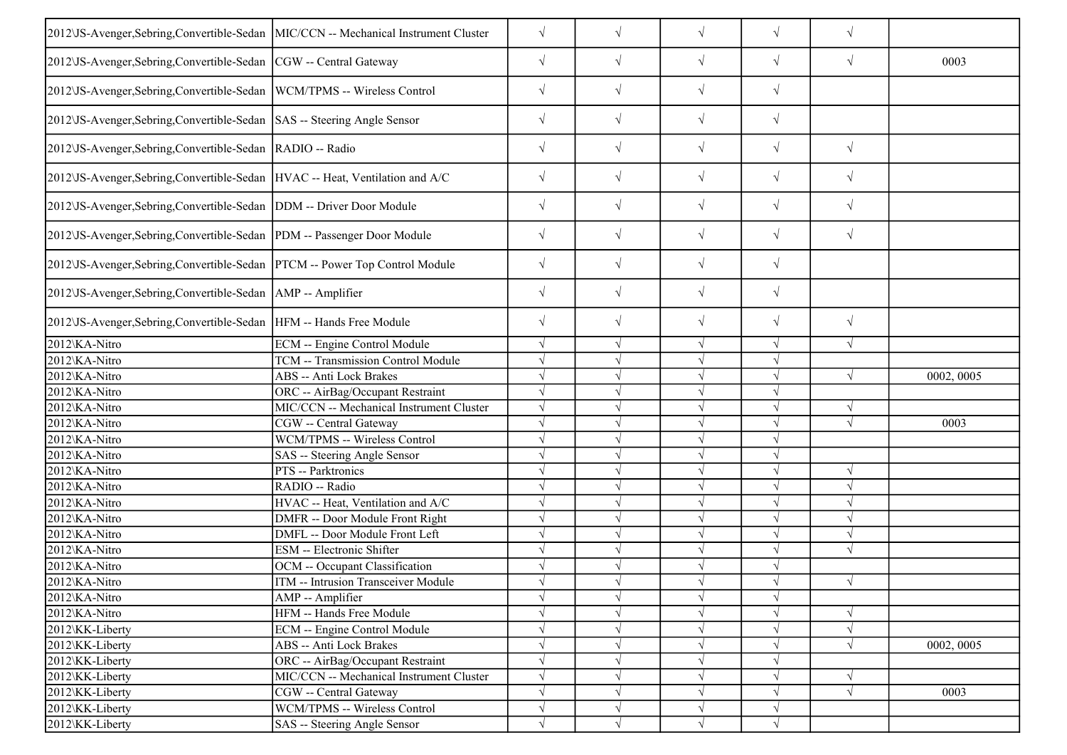| 2012 VS-Avenger, Sebring, Convertible-Sedan MIC/CCN -- Mechanical Instrument Cluster |                                          | $\sqrt{}$  | $\sqrt{ }$ | $\sqrt{}$  | $\sqrt{ }$ | $\sqrt{}$  |            |
|--------------------------------------------------------------------------------------|------------------------------------------|------------|------------|------------|------------|------------|------------|
| 2012\JS-Avenger,Sebring,Convertible-Sedan  CGW -- Central Gateway                    |                                          | $\sqrt{}$  | $\sqrt{ }$ | $\sqrt{ }$ | $\sqrt{ }$ | $\sqrt{ }$ | 0003       |
| 2012 US-Avenger, Sebring, Convertible-Sedan   WCM/TPMS -- Wireless Control           |                                          | $\sqrt{}$  | $\sqrt{}$  | $\sqrt{}$  | $\sqrt{ }$ |            |            |
| 2012 US-Avenger, Sebring, Convertible-Sedan   SAS -- Steering Angle Sensor           |                                          | $\sqrt{}$  | $\sqrt{ }$ | $\sqrt{}$  | $\sqrt{}$  |            |            |
| 2012\JS-Avenger,Sebring,Convertible-Sedan  RADIO -- Radio                            |                                          | $\sqrt{}$  | $\sqrt{ }$ | $\sqrt{}$  | $\sqrt{}$  | $\sqrt{}$  |            |
| 2012 US-Avenger, Sebring, Convertible-Sedan   HVAC -- Heat, Ventilation and A/C      |                                          | $\sqrt{}$  | $\sqrt{ }$ | $\sqrt{}$  | $\sqrt{ }$ | $\sqrt{}$  |            |
| 2012 US-Avenger, Sebring, Convertible-Sedan   DDM -- Driver Door Module              |                                          | $\sqrt{}$  | $\sqrt{ }$ | $\sqrt{ }$ | $\sqrt{ }$ | $\sqrt{ }$ |            |
| 2012 US-Avenger, Sebring, Convertible-Sedan  PDM -- Passenger Door Module            |                                          | $\sqrt{}$  | $\sqrt{ }$ | $\sqrt{}$  | $\sqrt{ }$ | $\sqrt{}$  |            |
| 2012 JS-Avenger, Sebring, Convertible-Sedan   PTCM -- Power Top Control Module       |                                          | $\sqrt{}$  | $\sqrt{ }$ | $\sqrt{}$  | $\sqrt{}$  |            |            |
| 2012\JS-Avenger,Sebring,Convertible-Sedan   AMP -- Amplifier                         |                                          | $\sqrt{}$  | $\sqrt{ }$ | $\sqrt{}$  | $\sqrt{ }$ |            |            |
| 2012 US-Avenger, Sebring, Convertible-Sedan   HFM -- Hands Free Module               |                                          | $\sqrt{}$  | $\sqrt{ }$ | $\sqrt{}$  | $\sqrt{ }$ | $\sqrt{}$  |            |
| 2012\KA-Nitro                                                                        | ECM -- Engine Control Module             | $\sqrt{}$  | $\sqrt{ }$ | $\sqrt{ }$ | $\sqrt{ }$ | $\sqrt{}$  |            |
| 2012\KA-Nitro                                                                        | TCM -- Transmission Control Module       |            |            | $\sqrt{ }$ |            |            |            |
| 2012\KA-Nitro                                                                        | ABS -- Anti Lock Brakes                  |            |            | $\sqrt{ }$ | $\sqrt{ }$ | $\sqrt{ }$ | 0002, 0005 |
| 2012\KA-Nitro                                                                        | ORC -- AirBag/Occupant Restraint         | $\sqrt{}$  |            | $\sqrt{}$  | V          |            |            |
| 2012\KA-Nitro                                                                        | MIC/CCN -- Mechanical Instrument Cluster | $\sqrt{}$  |            | $\sqrt{ }$ |            | $\sqrt{ }$ |            |
| 2012\KA-Nitro                                                                        | CGW -- Central Gateway                   | $\sqrt{}$  |            | $\sqrt{ }$ |            | $\sqrt{ }$ | 0003       |
| 2012\KA-Nitro                                                                        | WCM/TPMS -- Wireless Control             | $\sqrt{}$  |            | $\sqrt{ }$ | J          |            |            |
| 2012\KA-Nitro                                                                        | SAS -- Steering Angle Sensor             |            |            | $\sqrt{ }$ |            |            |            |
| 2012\KA-Nitro                                                                        | PTS -- Parktronics                       |            |            | $\sqrt{ }$ |            | $\sqrt{ }$ |            |
| 2012\KA-Nitro                                                                        | RADIO -- Radio                           | $\sqrt{}$  |            | $\sqrt{ }$ |            | $\sqrt{ }$ |            |
| 2012\KA-Nitro                                                                        | HVAC -- Heat, Ventilation and A/C        | $\sqrt{}$  |            | $\sqrt{ }$ |            |            |            |
| 2012\KA-Nitro                                                                        | DMFR -- Door Module Front Right          | $\sqrt{ }$ |            | $\sqrt{ }$ |            |            |            |
| 2012\KA-Nitro                                                                        | DMFL -- Door Module Front Left           | $\sqrt{}$  |            | $\sqrt{}$  | $\sqrt{}$  | $\sqrt{ }$ |            |
| 2012\KA-Nitro                                                                        | ESM -- Electronic Shifter                |            |            | $\sqrt{ }$ |            |            |            |
| 2012\KA-Nitro                                                                        | OCM -- Occupant Classification           | $\sqrt{}$  |            | $\sqrt{ }$ | $\sqrt{ }$ |            |            |
| 2012\KA-Nitro                                                                        | ITM -- Intrusion Transceiver Module      | $\sqrt{ }$ |            | $\sqrt{ }$ | $\sqrt{ }$ | $\sqrt{ }$ |            |
| 2012\KA-Nitro                                                                        | AMP -- Amplifier                         | V          | $\sqrt{}$  | $\sqrt{}$  |            |            |            |
| 2012\KA-Nitro                                                                        | HFM -- Hands Free Module                 | $\sqrt{}$  | $\sqrt{ }$ | $\sqrt{ }$ | $\sqrt{ }$ | $\sqrt{ }$ |            |
| 2012\KK-Liberty                                                                      | ECM -- Engine Control Module             |            |            | $\sqrt{}$  |            | $\sqrt{}$  |            |
| 2012\KK-Liberty                                                                      | ABS -- Anti Lock Brakes                  |            |            | $\sqrt{}$  |            |            | 0002, 0005 |
| 2012\KK-Liberty                                                                      | ORC -- AirBag/Occupant Restraint         | $\sqrt{}$  |            | $\sqrt{ }$ | V          |            |            |
| 2012\KK-Liberty                                                                      | MIC/CCN -- Mechanical Instrument Cluster | $\sqrt{}$  |            | $\sqrt{}$  | $\sqrt{ }$ | $\sqrt{ }$ |            |
| 2012\KK-Liberty                                                                      | CGW -- Central Gateway                   | $\sqrt{}$  |            | $\sqrt{ }$ |            | $\sqrt{}$  | 0003       |
| 2012\KK-Liberty                                                                      | WCM/TPMS -- Wireless Control             | $\sqrt{}$  | $\sqrt{ }$ | $\sqrt{ }$ | $\sqrt{ }$ |            |            |
| 2012\KK-Liberty                                                                      | SAS -- Steering Angle Sensor             | $\sqrt{}$  | $\sqrt{}$  | $\sqrt{ }$ | $\sqrt{}$  |            |            |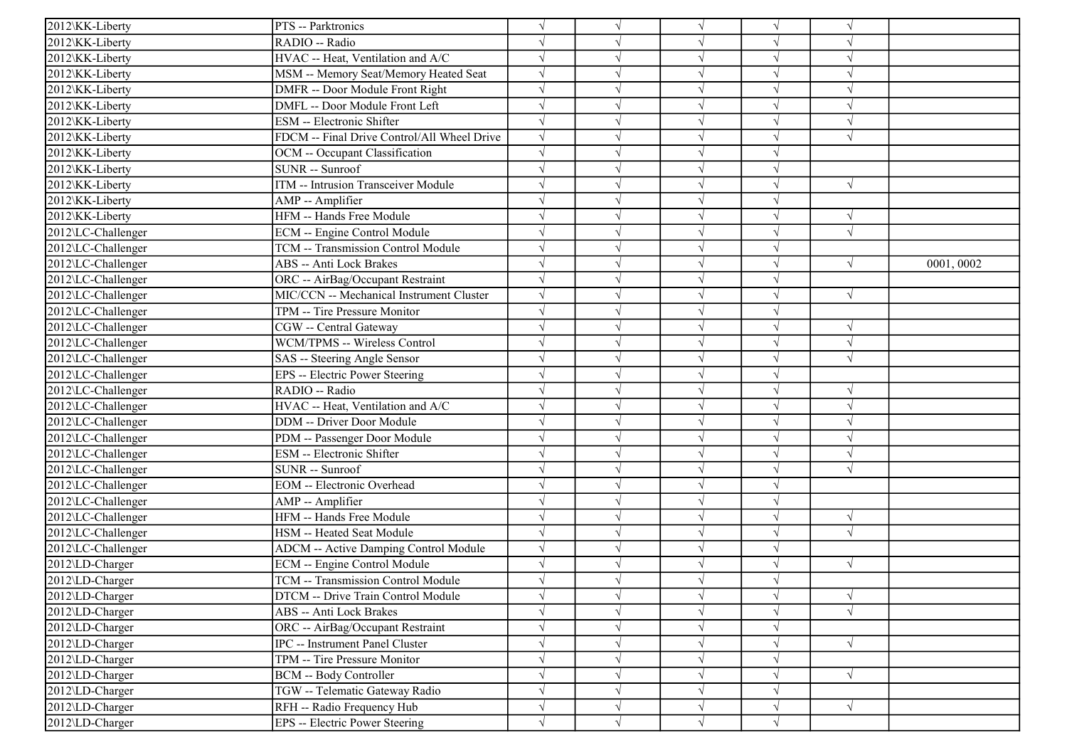| 2012\KK-Liberty    | PTS -- Parktronics                           | $\sqrt{}$  |           | $\sqrt{}$  | $\sqrt{ }$ | $\sqrt{ }$ |           |
|--------------------|----------------------------------------------|------------|-----------|------------|------------|------------|-----------|
| 2012\KK-Liberty    | RADIO -- Radio                               |            |           | $\sqrt{}$  | V          |            |           |
| 2012\KK-Liberty    | HVAC -- Heat, Ventilation and A/C            | $\sqrt{ }$ |           | $\sqrt{}$  | J          | $\sqrt{ }$ |           |
| 2012\KK-Liberty    | MSM -- Memory Seat/Memory Heated Seat        | $\sqrt{}$  |           | $\sqrt{ }$ | $\sqrt{}$  | $\sqrt{ }$ |           |
| 2012\KK-Liberty    | DMFR -- Door Module Front Right              |            |           | $\sqrt{}$  |            |            |           |
| 2012\KK-Liberty    | DMFL -- Door Module Front Left               | $\sqrt{}$  |           | $\sqrt{}$  |            |            |           |
| 2012\KK-Liberty    | <b>ESM</b> -- Electronic Shifter             | $\sqrt{ }$ |           | $\sqrt{}$  | $\sqrt{}$  | $\sqrt{ }$ |           |
| 2012\KK-Liberty    | FDCM -- Final Drive Control/All Wheel Drive  | $\sqrt{ }$ |           | $\sqrt{ }$ | V          | $\sqrt{ }$ |           |
| 2012\KK-Liberty    | OCM -- Occupant Classification               | $\sqrt{}$  |           | $\sqrt{ }$ | $\sqrt{}$  |            |           |
| 2012\KK-Liberty    | $SUNR - Sunroof$                             | $\sqrt{}$  |           | $\sqrt{ }$ | $\sqrt{}$  |            |           |
| 2012\KK-Liberty    | ITM -- Intrusion Transceiver Module          |            |           | $\sqrt{ }$ |            | $\sqrt{ }$ |           |
| 2012\KK-Liberty    | AMP -- Amplifier                             |            |           | $\sqrt{}$  |            |            |           |
| 2012\KK-Liberty    | HFM -- Hands Free Module                     |            |           | $\sqrt{}$  | V          | $\sqrt{ }$ |           |
| 2012\LC-Challenger | <b>ECM</b> -- Engine Control Module          |            |           | $\sqrt{}$  | V          | $\sqrt{ }$ |           |
| 2012\LC-Challenger | TCM -- Transmission Control Module           | $\sqrt{}$  |           | $\sqrt{}$  | V          |            |           |
| 2012\LC-Challenger | <b>ABS</b> -- Anti Lock Brakes               | $\sqrt{}$  |           | $\sqrt{}$  | $\sqrt{}$  | $\sqrt{ }$ | 0001,0002 |
| 2012\LC-Challenger | ORC -- AirBag/Occupant Restraint             |            |           | $\sqrt{}$  |            |            |           |
| 2012\LC-Challenger | MIC/CCN -- Mechanical Instrument Cluster     | $\sqrt{}$  |           | $\sqrt{}$  | N          | $\sqrt{ }$ |           |
| 2012\LC-Challenger | TPM -- Tire Pressure Monitor                 | $\sqrt{}$  |           | $\sqrt{}$  |            |            |           |
| 2012\LC-Challenger | CGW -- Central Gateway                       | $\sqrt{}$  |           | $\sqrt{}$  | $\sqrt{}$  | $\sqrt{ }$ |           |
| 2012\LC-Challenger | WCM/TPMS -- Wireless Control                 | $\sqrt{ }$ |           | $\sqrt{ }$ | V          | $\sqrt{ }$ |           |
| 2012\LC-Challenger | SAS -- Steering Angle Sensor                 | $\sqrt{ }$ |           | $\sqrt{ }$ | J          | $\sqrt{ }$ |           |
| 2012\LC-Challenger | EPS -- Electric Power Steering               |            |           | $\sqrt{}$  | J          |            |           |
| 2012\LC-Challenger | RADIO -- Radio                               |            |           | $\sqrt{}$  | J          | $\sqrt{ }$ |           |
| 2012\LC-Challenger | HVAC -- Heat, Ventilation and A/C            |            |           | $\sqrt{}$  | J          | $\sqrt{ }$ |           |
| 2012\LC-Challenger | <b>DDM</b> -- Driver Door Module             |            |           | $\sqrt{}$  | J          | $\sqrt{ }$ |           |
| 2012\LC-Challenger | PDM -- Passenger Door Module                 | $\sqrt{}$  |           | $\sqrt{}$  | J          | $\sqrt{ }$ |           |
| 2012\LC-Challenger | <b>ESM</b> -- Electronic Shifter             | $\sqrt{ }$ |           | $\sqrt{ }$ | $\sqrt{}$  | $\sqrt{ }$ |           |
| 2012\LC-Challenger | SUNR -- Sunroof                              |            |           | $\sqrt{}$  |            | $\sqrt{ }$ |           |
| 2012\LC-Challenger | <b>EOM</b> -- Electronic Overhead            |            |           | $\sqrt{}$  |            |            |           |
| 2012\LC-Challenger | AMP -- Amplifier                             | $\sqrt{ }$ |           | $\sqrt{}$  | V          |            |           |
| 2012\LC-Challenger | HFM -- Hands Free Module                     | $\sqrt{}$  |           | $\sqrt{}$  | J          | $\sqrt{ }$ |           |
| 2012\LC-Challenger | HSM -- Heated Seat Module                    | $\sqrt{ }$ |           | $\sqrt{}$  | J          | $\sqrt{ }$ |           |
| 2012\LC-Challenger | <b>ADCM</b> -- Active Damping Control Module | $\sqrt{}$  |           | $\sqrt{ }$ | $\sqrt{}$  |            |           |
| 2012\LD-Charger    | ECM -- Engine Control Module                 | $\sqrt{}$  |           | $\sqrt{}$  | V          | $\sqrt{ }$ |           |
| 2012\LD-Charger    | TCM -- Transmission Control Module           |            |           |            | $\sqrt{ }$ |            |           |
| 2012\LD-Charger    | DTCM -- Drive Train Control Module           | $\sqrt{}$  | V         | $\sqrt{}$  | V          | $\sqrt{ }$ |           |
| 2012\LD-Charger    | ABS -- Anti Lock Brakes                      | $\sqrt{}$  | V         | $\sqrt{}$  | V          | $\sqrt{ }$ |           |
| 2012\LD-Charger    | ORC -- AirBag/Occupant Restraint             | $\sqrt{}$  |           | $\sqrt{}$  | V          |            |           |
| 2012\LD-Charger    | <b>IPC</b> -- Instrument Panel Cluster       | $\sqrt{}$  |           | $\sqrt{}$  | $\sqrt{}$  | $\sqrt{ }$ |           |
| 2012\LD-Charger    | TPM -- Tire Pressure Monitor                 | $\sqrt{}$  |           | $\sqrt{}$  | $\sqrt{}$  |            |           |
| 2012\LD-Charger    | <b>BCM</b> -- Body Controller                | $\sqrt{}$  |           | $\sqrt{ }$ | V          | $\sqrt{ }$ |           |
| 2012\LD-Charger    | TGW -- Telematic Gateway Radio               | $\sqrt{ }$ |           | $\sqrt{}$  | V          |            |           |
| 2012\LD-Charger    | RFH -- Radio Frequency Hub                   | $\sqrt{}$  | V         | $\sqrt{}$  | V          | $\sqrt{ }$ |           |
| 2012\LD-Charger    | EPS -- Electric Power Steering               | $\sqrt{}$  | $\sqrt{}$ | $\sqrt{ }$ | $\sqrt{ }$ |            |           |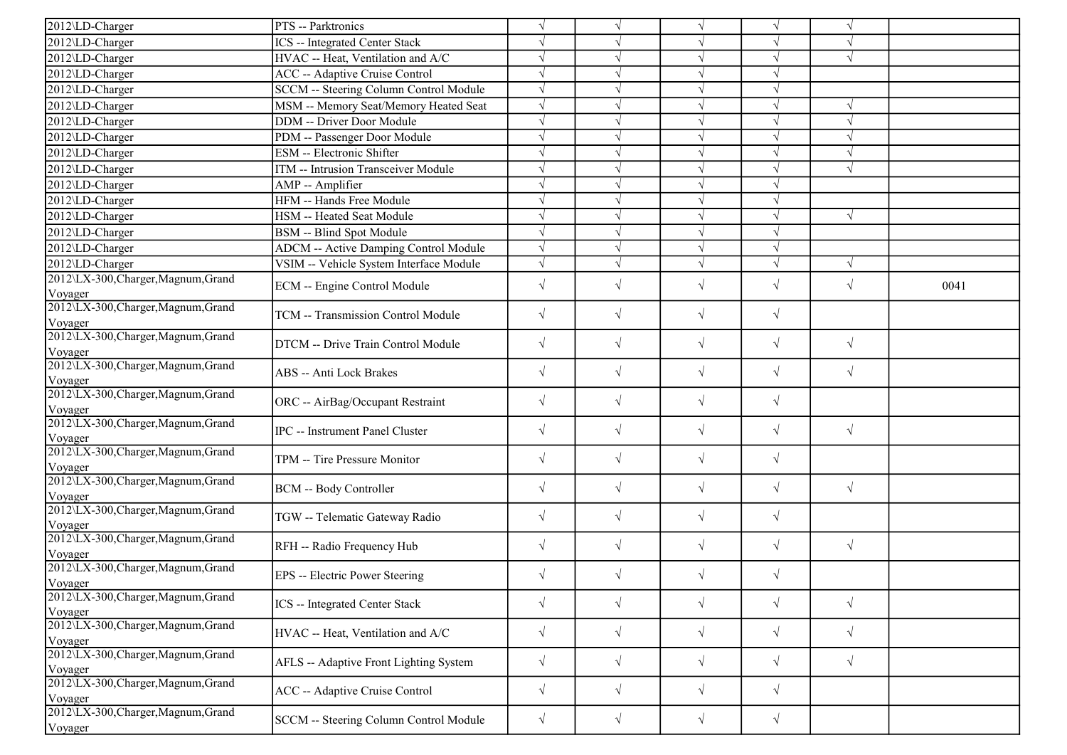| 2012\LD-Charger                                | PTS -- Parktronics                            | $\sqrt{ }$ |            | $\sqrt{ }$ |            |            |      |
|------------------------------------------------|-----------------------------------------------|------------|------------|------------|------------|------------|------|
| 2012\LD-Charger                                | ICS -- Integrated Center Stack                | $\sqrt{ }$ |            |            |            |            |      |
| 2012\LD-Charger                                | HVAC -- Heat, Ventilation and A/C             | $\sqrt{ }$ |            |            |            | $\sqrt{ }$ |      |
| 2012\LD-Charger                                | ACC -- Adaptive Cruise Control                | $\sqrt{ }$ |            |            |            |            |      |
| 2012\LD-Charger                                | <b>SCCM</b> -- Steering Column Control Module | $\sqrt{}$  |            | $\sqrt{ }$ |            |            |      |
| 2012\LD-Charger                                | MSM -- Memory Seat/Memory Heated Seat         | $\sqrt{ }$ |            |            |            | $\sqrt{ }$ |      |
| 2012\LD-Charger                                | DDM -- Driver Door Module                     | $\sqrt{ }$ |            | $\sqrt{ }$ |            | N          |      |
| 2012\LD-Charger                                | PDM -- Passenger Door Module                  | $\sqrt{ }$ | J          | $\sqrt{ }$ |            | V          |      |
| 2012\LD-Charger                                | ESM -- Electronic Shifter                     | $\sqrt{ }$ |            | $\sqrt{ }$ |            | $\sqrt{ }$ |      |
| 2012\LD-Charger                                | ITM -- Intrusion Transceiver Module           | $\sqrt{ }$ |            | $\sqrt{ }$ | $\sqrt{ }$ | $\sqrt{ }$ |      |
| 2012\LD-Charger                                | AMP -- Amplifier                              | $\sqrt{ }$ | J          | $\sqrt{ }$ |            |            |      |
| 2012\LD-Charger                                | HFM -- Hands Free Module                      | $\sqrt{}$  |            |            |            |            |      |
| 2012\LD-Charger                                | HSM -- Heated Seat Module                     | $\sqrt{ }$ |            | $\sqrt{2}$ |            | $\sqrt{ }$ |      |
| 2012\LD-Charger                                | <b>BSM</b> -- Blind Spot Module               | $\sqrt{}$  | J          | $\sqrt{ }$ |            |            |      |
| 2012\LD-Charger                                | <b>ADCM</b> -- Active Damping Control Module  | $\sqrt{ }$ | V          |            |            |            |      |
| 2012\LD-Charger                                | VSIM -- Vehicle System Interface Module       | $\sqrt{}$  | V          | $\sqrt{ }$ | $\sqrt{}$  | $\sqrt{ }$ |      |
| 2012\LX-300, Charger, Magnum, Grand            |                                               |            |            |            |            |            |      |
| Voyager                                        | ECM -- Engine Control Module                  | $\sqrt{ }$ | $\sqrt{}$  | $\sqrt{}$  | $\sqrt{}$  | $\sqrt{ }$ | 0041 |
| 2012\LX-300, Charger, Magnum, Grand            | TCM -- Transmission Control Module            | $\sqrt{ }$ | $\sqrt{2}$ | $\sqrt{}$  | $\sqrt{}$  |            |      |
| Voyager                                        |                                               |            |            |            |            |            |      |
| 2012\LX-300, Charger, Magnum, Grand            | DTCM -- Drive Train Control Module            | $\sqrt{ }$ | $\sqrt{}$  | $\sqrt{ }$ | $\sqrt{}$  | $\sqrt{ }$ |      |
| Voyager                                        |                                               |            |            |            |            |            |      |
| 2012\LX-300, Charger, Magnum, Grand            | ABS -- Anti Lock Brakes                       | $\sqrt{}$  | $\sqrt{}$  | $\sqrt{}$  | $\sqrt{ }$ | $\sqrt{ }$ |      |
| Voyager<br>2012\LX-300, Charger, Magnum, Grand |                                               |            |            |            |            |            |      |
| Voyager                                        | ORC -- AirBag/Occupant Restraint              | $\sqrt{ }$ | $\sqrt{}$  | $\sqrt{}$  | $\sqrt{}$  |            |      |
| 2012\LX-300, Charger, Magnum, Grand            |                                               |            |            |            |            |            |      |
| Voyager                                        | <b>IPC</b> -- Instrument Panel Cluster        | $\sqrt{ }$ | $\sqrt{}$  | $\sqrt{}$  | $\sqrt{}$  | $\sqrt{ }$ |      |
| 2012\LX-300, Charger, Magnum, Grand            |                                               |            | $\sqrt{}$  |            | $\sqrt{}$  |            |      |
| Voyager                                        | TPM -- Tire Pressure Monitor                  | $\sqrt{ }$ |            | $\sqrt{}$  |            |            |      |
| 2012\LX-300, Charger, Magnum, Grand            | BCM -- Body Controller                        | $\sqrt{ }$ | $\sqrt{}$  | $\sqrt{}$  | $\sqrt{}$  | $\sqrt{ }$ |      |
| Voyager                                        |                                               |            |            |            |            |            |      |
| 2012\LX-300, Charger, Magnum, Grand            | TGW -- Telematic Gateway Radio                | $\sqrt{ }$ | $\sqrt{}$  | $\sqrt{}$  | $\sqrt{}$  |            |      |
| Voyager<br>2012\LX-300, Charger, Magnum, Grand |                                               |            |            |            |            |            |      |
| Voyager                                        | RFH -- Radio Frequency Hub                    | $\sqrt{ }$ | $\sqrt{}$  | $\sqrt{}$  | $\sqrt{}$  | $\sqrt{ }$ |      |
| 2012\LX-300, Charger, Magnum, Grand            |                                               |            |            |            |            |            |      |
| <b>V</b> ovager                                | EPS -- Electric Power Steering                | $\sqrt{ }$ |            |            | $\sqrt{}$  |            |      |
| 2012\LX-300, Charger, Magnum, Grand            |                                               |            |            |            |            |            |      |
| Voyager                                        | <b>ICS</b> -- Integrated Center Stack         | $\sqrt{ }$ | $\sqrt{}$  | $\sqrt{}$  | $\sqrt{}$  | $\sqrt{ }$ |      |
| 2012\LX-300, Charger, Magnum, Grand            |                                               | $\sqrt{ }$ | $\sqrt{ }$ | $\sqrt{}$  | $\sqrt{}$  | $\sqrt{ }$ |      |
| Voyager                                        | HVAC -- Heat, Ventilation and A/C             |            |            |            |            |            |      |
| 2012\LX-300, Charger, Magnum, Grand            | AFLS -- Adaptive Front Lighting System        | $\sqrt{ }$ | $\sqrt{}$  | $\sqrt{}$  | $\sqrt{}$  | $\sqrt{ }$ |      |
| Voyager                                        |                                               |            |            |            |            |            |      |
| 2012\LX-300, Charger, Magnum, Grand            | ACC -- Adaptive Cruise Control                | $\sqrt{ }$ | $\sqrt{}$  | $\sqrt{}$  | $\sqrt{}$  |            |      |
| Voyager<br>2012\LX-300, Charger, Magnum, Grand |                                               |            |            |            |            |            |      |
|                                                | SCCM -- Steering Column Control Module        | $\sqrt{ }$ | $\sqrt{}$  | $\sqrt{}$  | $\sqrt{}$  |            |      |
| Voyager                                        |                                               |            |            |            |            |            |      |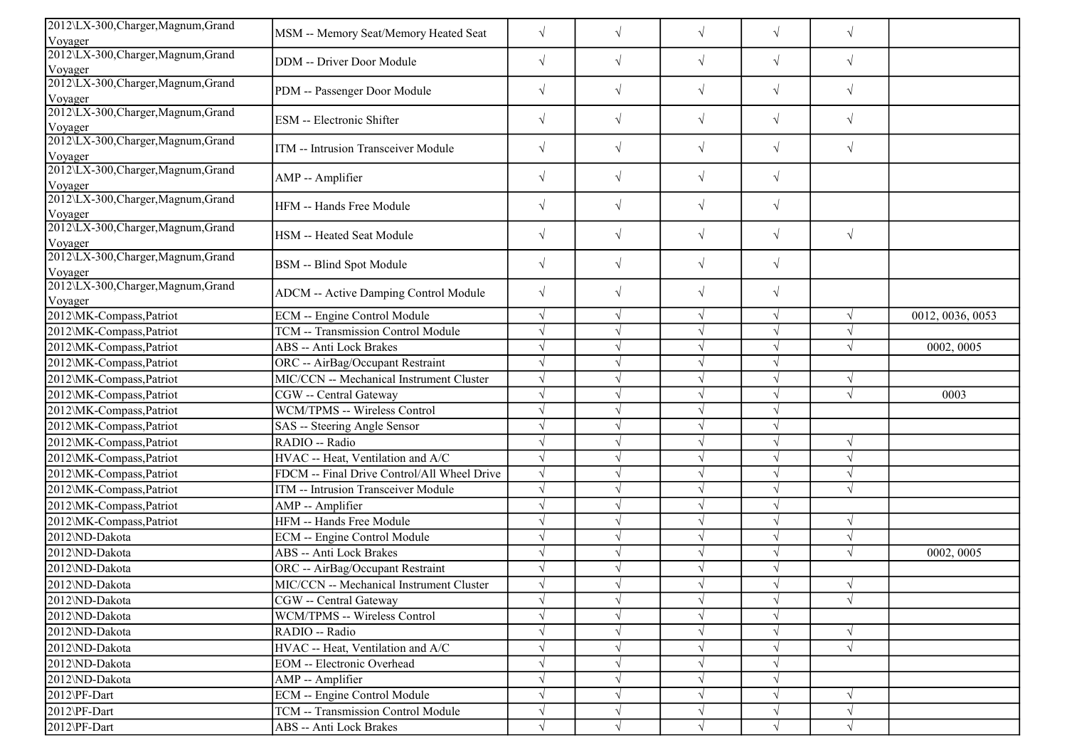| 2012\LX-300,Charger,Magnum,Grand               |                                              |            |            |            |           |            |                  |
|------------------------------------------------|----------------------------------------------|------------|------------|------------|-----------|------------|------------------|
| Voyager                                        | MSM -- Memory Seat/Memory Heated Seat        | $\sqrt{}$  | $\sqrt{}$  | $\sqrt{}$  | $\sqrt{}$ | $\sqrt{ }$ |                  |
| 2012\LX-300, Charger, Magnum, Grand<br>Voyager | DDM -- Driver Door Module                    | $\sqrt{}$  | $\sqrt{ }$ | $\sqrt{}$  | $\sqrt{}$ | $\sqrt{ }$ |                  |
| 2012\LX-300, Charger, Magnum, Grand<br>Voyager | PDM -- Passenger Door Module                 | $\sqrt{}$  | $\sqrt{ }$ | $\sqrt{ }$ | $\sqrt{}$ | $\sqrt{ }$ |                  |
| 2012\LX-300, Charger, Magnum, Grand<br>Voyager | ESM -- Electronic Shifter                    | $\sqrt{ }$ | $\sqrt{ }$ | $\sqrt{}$  | $\sqrt{}$ | $\sqrt{ }$ |                  |
| 2012\LX-300, Charger, Magnum, Grand<br>Voyager | ITM -- Intrusion Transceiver Module          | $\sqrt{}$  | $\sqrt{ }$ | $\sqrt{}$  | $\sqrt{}$ | $\sqrt{ }$ |                  |
| 2012\LX-300, Charger, Magnum, Grand<br>Voyager | AMP -- Amplifier                             | $\sqrt{}$  | $\sqrt{}$  | $\sqrt{}$  | $\sqrt{}$ |            |                  |
| 2012\LX-300, Charger, Magnum, Grand<br>Voyager | HFM -- Hands Free Module                     | $\sqrt{}$  | $\sqrt{ }$ | $\sqrt{ }$ | $\sqrt{}$ |            |                  |
| 2012\LX-300, Charger, Magnum, Grand<br>Voyager | HSM -- Heated Seat Module                    | $\sqrt{}$  | $\sqrt{}$  | $\sqrt{}$  | $\sqrt{}$ | $\sqrt{ }$ |                  |
| 2012\LX-300, Charger, Magnum, Grand<br>Voyager | BSM -- Blind Spot Module                     | $\sqrt{}$  | $\sqrt{ }$ | $\sqrt{ }$ | $\sqrt{}$ |            |                  |
| 2012\LX-300, Charger, Magnum, Grand<br>Voyager | ADCM -- Active Damping Control Module        | $\sqrt{}$  | $\sqrt{ }$ | $\sqrt{}$  | $\sqrt{}$ |            |                  |
| 2012\MK-Compass,Patriot                        | <b>ECM</b> -- Engine Control Module          | $\sqrt{ }$ | $\sqrt{ }$ | $\sqrt{ }$ | $\sqrt{}$ | $\sqrt{ }$ | 0012, 0036, 0053 |
| 2012\MK-Compass,Patriot                        | TCM -- Transmission Control Module           | V          |            | $\sqrt{ }$ | V         | $\sqrt{ }$ |                  |
| 2012\MK-Compass,Patriot                        | ABS -- Anti Lock Brakes                      |            |            | $\sqrt{ }$ | J         | $\sqrt{ }$ | 0002, 0005       |
| 2012\MK-Compass,Patriot                        | ORC -- AirBag/Occupant Restraint             |            |            | $\sqrt{ }$ | V         |            |                  |
| 2012\MK-Compass, Patriot                       | MIC/CCN -- Mechanical Instrument Cluster     |            |            | $\sqrt{ }$ |           | $\sqrt{ }$ |                  |
| 2012\MK-Compass, Patriot                       | CGW -- Central Gateway                       |            |            | $\sqrt{ }$ |           | $\sqrt{ }$ | 0003             |
| 2012\MK-Compass,Patriot                        | WCM/TPMS -- Wireless Control                 |            |            | $\sqrt{ }$ | $\sqrt{}$ |            |                  |
| 2012\MK-Compass,Patriot                        | SAS -- Steering Angle Sensor                 |            |            | $\sqrt{ }$ | J         |            |                  |
| 2012\MK-Compass,Patriot                        | RADIO -- Radio                               |            |            | $\sqrt{ }$ | $\sqrt{}$ | $\sqrt{ }$ |                  |
| 2012\MK-Compass,Patriot                        | HVAC -- Heat, Ventilation and A/C            | $\sqrt{ }$ |            | $\sqrt{ }$ | $\sqrt{}$ | $\sqrt{ }$ |                  |
|                                                | FDCM -- Final Drive Control/All Wheel Drive  |            |            | $\sqrt{ }$ |           | $\sqrt{ }$ |                  |
| 2012\MK-Compass,Patriot                        |                                              |            |            | $\sqrt{}$  |           | $\sqrt{ }$ |                  |
| 2012\MK-Compass,Patriot                        | ITM -- Intrusion Transceiver Module          |            |            |            | V         |            |                  |
| 2012\MK-Compass,Patriot                        | AMP -- Amplifier<br>HFM -- Hands Free Module |            |            | $\sqrt{}$  |           |            |                  |
| 2012\MK-Compass,Patriot                        |                                              |            |            | V          | V         | $\sqrt{ }$ |                  |
| 2012\ND-Dakota                                 | <b>ECM</b> -- Engine Control Module          |            |            | $\sqrt{ }$ | V         | $\sqrt{ }$ |                  |
| 2012\ND-Dakota                                 | ABS -- Anti Lock Brakes                      |            |            | $\sqrt{ }$ |           | $\sqrt{ }$ | 0002, 0005       |
| 2012\ND-Dakota                                 | ORC -- AirBag/Occupant Restraint             |            |            | V          |           |            |                  |
| $2012$ ND-Dakota                               | MIC/CCN -- Mechanical Instrument Cluster     | $\sqrt{}$  | V.         |            | $\sqrt{}$ | $\sqrt{ }$ |                  |
| 2012\ND-Dakota                                 | CGW -- Central Gateway                       |            |            | $\sqrt{ }$ |           | $\sqrt{ }$ |                  |
| 2012\ND-Dakota                                 | WCM/TPMS -- Wireless Control                 |            |            | $\sqrt{ }$ |           |            |                  |
| 2012\ND-Dakota                                 | RADIO -- Radio                               |            |            | $\sqrt{ }$ |           | $\sqrt{ }$ |                  |
| 2012\ND-Dakota                                 | HVAC -- Heat, Ventilation and A/C            |            |            | $\sqrt{ }$ |           | $\sqrt{ }$ |                  |
| 2012\ND-Dakota                                 | EOM -- Electronic Overhead                   |            |            | $\sqrt{ }$ |           |            |                  |
| 2012\ND-Dakota                                 | AMP -- Amplifier                             |            |            | $\sqrt{ }$ | V         |            |                  |
| 2012\PF-Dart                                   | ECM -- Engine Control Module                 |            |            | $\sqrt{ }$ | V         | $\sqrt{ }$ |                  |
| 2012\PF-Dart                                   | TCM -- Transmission Control Module           | $\sqrt{}$  | $\sqrt{}$  | $\sqrt{ }$ | V         | $\sqrt{ }$ |                  |
| 2012\PF-Dart                                   | ABS -- Anti Lock Brakes                      | $\sqrt{}$  | $\sqrt{ }$ | $\sqrt{ }$ | $\sqrt{}$ | $\sqrt{ }$ |                  |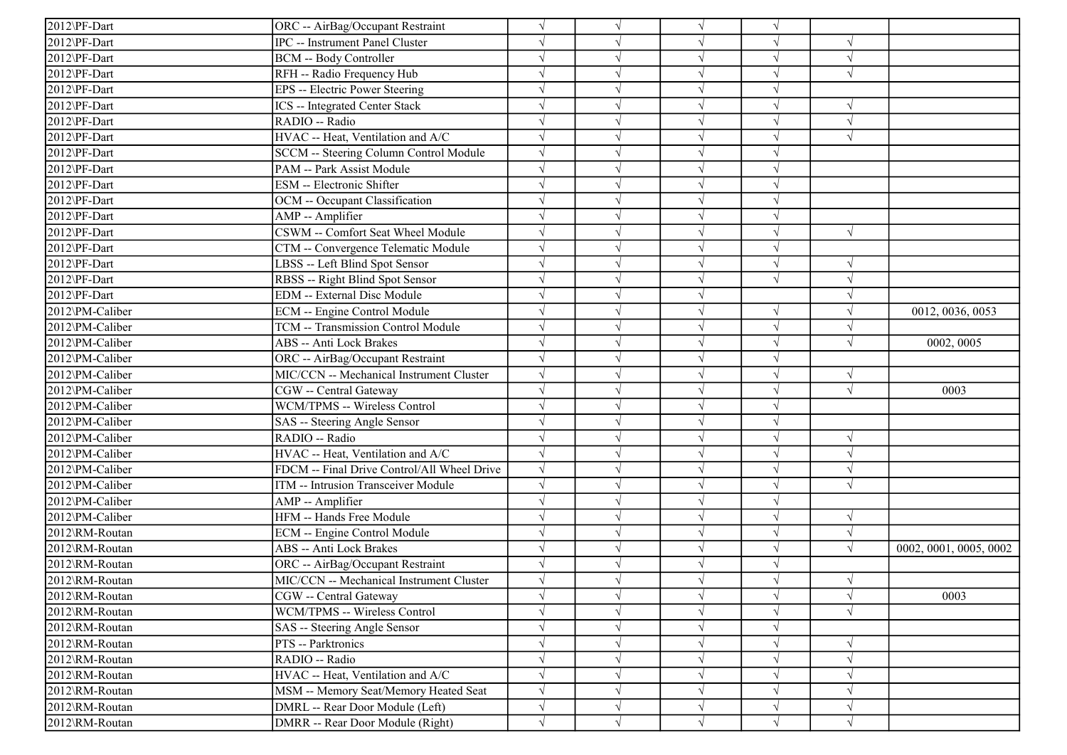| 2012\PF-Dart    | ORC -- AirBag/Occupant Restraint            | $\sqrt{ }$ |           |            |            |            |                        |
|-----------------|---------------------------------------------|------------|-----------|------------|------------|------------|------------------------|
| 2012\PF-Dart    | <b>IPC</b> -- Instrument Panel Cluster      | $\sqrt{}$  |           | $\sqrt{ }$ |            |            |                        |
| 2012\PF-Dart    | <b>BCM -- Body Controller</b>               | $\sqrt{ }$ |           |            |            | $\sqrt{ }$ |                        |
| 2012\PF-Dart    | RFH -- Radio Frequency Hub                  | $\sqrt{ }$ |           |            |            |            |                        |
| 2012\PF-Dart    | EPS -- Electric Power Steering              | $\sqrt{}$  |           |            |            |            |                        |
| 2012\PF-Dart    | ICS -- Integrated Center Stack              | $\sqrt{}$  |           |            |            | V          |                        |
| 2012\PF-Dart    | RADIO -- Radio                              | $\sqrt{ }$ |           |            |            | $\sqrt{ }$ |                        |
| 2012\PF-Dart    | HVAC -- Heat, Ventilation and A/C           | $\sqrt{ }$ |           |            |            | $\sqrt{ }$ |                        |
| 2012\PF-Dart    | SCCM -- Steering Column Control Module      | $\sqrt{ }$ |           | $\sqrt{ }$ |            |            |                        |
| 2012\PF-Dart    | PAM -- Park Assist Module                   | $\sqrt{ }$ |           | $\sqrt{ }$ |            |            |                        |
| 2012\PF-Dart    | ESM -- Electronic Shifter                   | $\sqrt{ }$ |           |            |            |            |                        |
| 2012\PF-Dart    | OCM -- Occupant Classification              | $\sqrt{ }$ |           |            |            |            |                        |
| 2012\PF-Dart    | AMP -- Amplifier                            | $\sqrt{ }$ | V         |            |            |            |                        |
| 2012\PF-Dart    | CSWM -- Comfort Seat Wheel Module           | $\sqrt{}$  | √         |            |            | $\sqrt{ }$ |                        |
| 2012\PF-Dart    | CTM -- Convergence Telematic Module         | $\sqrt{}$  |           | $\sqrt{ }$ |            |            |                        |
| 2012\PF-Dart    | LBSS -- Left Blind Spot Sensor              | $\sqrt{ }$ |           |            |            | V          |                        |
| 2012\PF-Dart    | RBSS -- Right Blind Spot Sensor             | $\sqrt{}$  |           |            |            | V          |                        |
| 2012\PF-Dart    | <b>EDM</b> -- External Disc Module          | $\sqrt{}$  |           |            |            |            |                        |
| 2012\PM-Caliber | ECM -- Engine Control Module                | $\sqrt{ }$ |           | $\sqrt{ }$ | $\sqrt{ }$ |            | 0012, 0036, 0053       |
| 2012\PM-Caliber | TCM -- Transmission Control Module          | $\sqrt{ }$ |           | $\sqrt{ }$ | $\sqrt{}$  |            |                        |
| 2012\PM-Caliber | ABS -- Anti Lock Brakes                     | $\sqrt{ }$ |           | $\sqrt{ }$ | $\sqrt{ }$ | $\sqrt{ }$ | 0002, 0005             |
| 2012\PM-Caliber | ORC -- AirBag/Occupant Restraint            | $\sqrt{ }$ |           |            |            |            |                        |
| 2012\PM-Caliber | MIC/CCN -- Mechanical Instrument Cluster    | $\sqrt{ }$ |           |            |            | $\sqrt{ }$ |                        |
| 2012\PM-Caliber | CGW -- Central Gateway                      | $\sqrt{ }$ |           | $\sqrt{ }$ |            | $\sqrt{ }$ | 0003                   |
| 2012\PM-Caliber | WCM/TPMS -- Wireless Control                | $\sqrt{ }$ |           | $\sqrt{ }$ |            |            |                        |
| 2012\PM-Caliber | SAS -- Steering Angle Sensor                | $\sqrt{ }$ |           |            |            |            |                        |
| 2012\PM-Caliber | RADIO -- Radio                              | $\sqrt{ }$ |           | $\sqrt{ }$ |            | $\sqrt{ }$ |                        |
| 2012\PM-Caliber | HVAC -- Heat, Ventilation and A/C           | $\sqrt{ }$ |           |            |            | $\sqrt{ }$ |                        |
| 2012\PM-Caliber | FDCM -- Final Drive Control/All Wheel Drive | $\sqrt{ }$ |           |            |            |            |                        |
| 2012\PM-Caliber | ITM -- Intrusion Transceiver Module         | $\sqrt{ }$ |           |            |            | $\sqrt{}$  |                        |
| 2012\PM-Caliber | AMP -- Amplifier                            | $\sqrt{ }$ |           |            |            |            |                        |
| 2012\PM-Caliber | HFM -- Hands Free Module                    | $\sqrt{ }$ |           | N          |            | $\sqrt{ }$ |                        |
| 2012\RM-Routan  | ECM -- Engine Control Module                | $\sqrt{ }$ |           | $\sqrt{ }$ |            |            |                        |
| 2012\RM-Routan  | ABS -- Anti Lock Brakes                     | $\sqrt{ }$ |           | $\sqrt{ }$ |            | $\sqrt{ }$ | 0002, 0001, 0005, 0002 |
| 2012\RM-Routan  | ORC -- AirBag/Occupant Restraint            | $\sqrt{ }$ |           |            |            |            |                        |
| 2012\RM-Routan  | MIC/CCN -- Mechanical Instrument Cluster    | $\sqrt{ }$ |           |            |            |            |                        |
| 2012\RM-Routan  | CGW -- Central Gateway                      | $\sqrt{}$  | $\sqrt{}$ | $\sqrt{ }$ |            | $\sqrt{ }$ | 0003                   |
| 2012\RM-Routan  | WCM/TPMS -- Wireless Control                | $\sqrt{}$  |           |            |            | V          |                        |
| 2012\RM-Routan  | SAS -- Steering Angle Sensor                | $\sqrt{}$  |           |            |            |            |                        |
| 2012\RM-Routan  | PTS -- Parktronics                          | $\sqrt{}$  |           | $\sqrt{ }$ |            | V          |                        |
| 2012\RM-Routan  | RADIO -- Radio                              | $\sqrt{}$  |           |            |            |            |                        |
| 2012\RM-Routan  | HVAC -- Heat, Ventilation and A/C           | $\sqrt{ }$ |           | $\sqrt{ }$ |            | V          |                        |
| 2012\RM-Routan  | MSM -- Memory Seat/Memory Heated Seat       | $\sqrt{ }$ |           | $\sqrt{ }$ |            |            |                        |
| 2012\RM-Routan  | DMRL -- Rear Door Module (Left)             | $\sqrt{}$  |           | $\sqrt{ }$ | $\sqrt{ }$ | N          |                        |
| 2012\RM-Routan  | DMRR -- Rear Door Module (Right)            | $\sqrt{ }$ | $\sqrt{}$ | $\sqrt{ }$ | $\sqrt{ }$ | $\sqrt{ }$ |                        |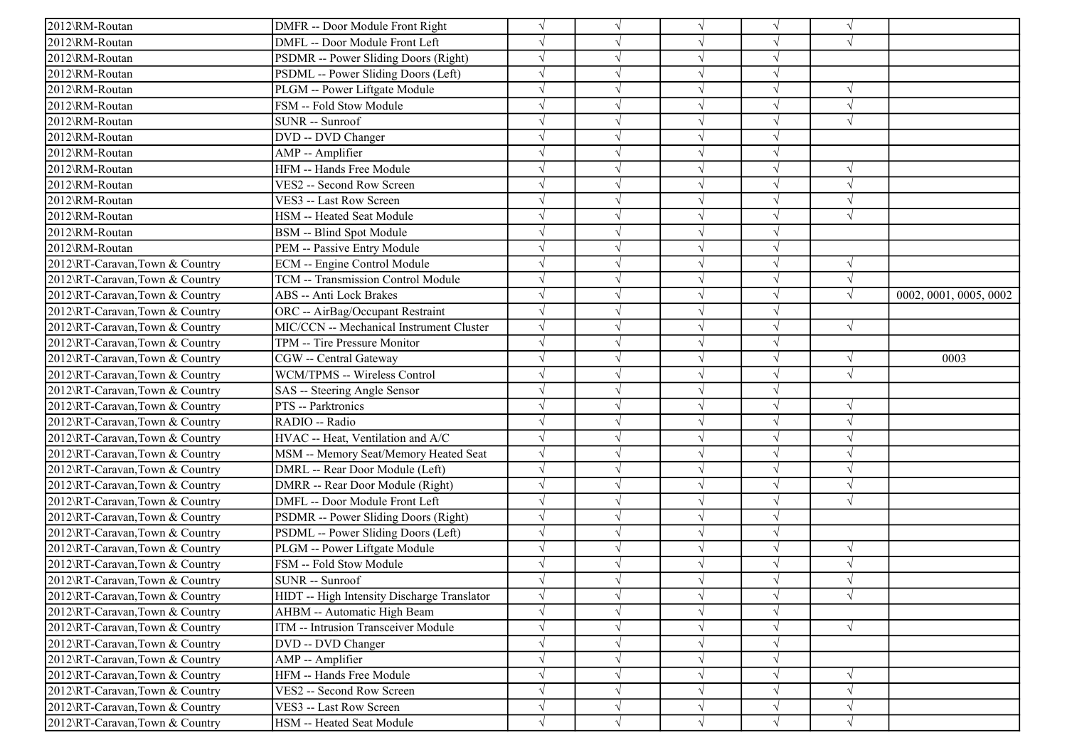| 2012\RM-Routan                 | DMFR -- Door Module Front Right             | $\sqrt{ }$ |               | $\sqrt{}$  |            | $\sqrt{ }$ |                        |
|--------------------------------|---------------------------------------------|------------|---------------|------------|------------|------------|------------------------|
| 2012\RM-Routan                 | DMFL -- Door Module Front Left              | $\sqrt{ }$ |               | $\sqrt{}$  | V          | $\sqrt{ }$ |                        |
| 2012\RM-Routan                 | PSDMR -- Power Sliding Doors (Right)        | $\sqrt{ }$ |               | $\sqrt{}$  | V          |            |                        |
| 2012\RM-Routan                 | PSDML -- Power Sliding Doors (Left)         | $\sqrt{ }$ |               | $\sqrt{}$  | J          |            |                        |
| 2012\RM-Routan                 | PLGM -- Power Liftgate Module               | $\sqrt{ }$ |               | V          | J          | $\sqrt{ }$ |                        |
| 2012\RM-Routan                 | FSM -- Fold Stow Module                     |            |               | $\sqrt{}$  |            | $\sqrt{ }$ |                        |
| 2012\RM-Routan                 | SUNR -- Sunroof                             | $\sqrt{ }$ |               | $\sqrt{}$  |            | $\sqrt{ }$ |                        |
| 2012\RM-Routan                 | DVD -- DVD Changer                          | $\sqrt{ }$ |               | $\sqrt{}$  | J          |            |                        |
| 2012\RM-Routan                 | AMP -- Amplifier                            | $\sqrt{ }$ |               | $\sqrt{ }$ | J          |            |                        |
| 2012\RM-Routan                 | HFM -- Hands Free Module                    | $\sqrt{}$  |               | $\sqrt{ }$ | $\sqrt{}$  | $\sqrt{ }$ |                        |
| 2012\RM-Routan                 | VES2 -- Second Row Screen                   | $\sqrt{ }$ |               | $\sqrt{}$  | J          | $\sqrt{ }$ |                        |
| 2012\RM-Routan                 | VES3 -- Last Row Screen                     |            |               | $\sqrt{}$  |            | $\sqrt{ }$ |                        |
| 2012\RM-Routan                 | HSM -- Heated Seat Module                   |            |               | $\sqrt{}$  |            | $\sqrt{ }$ |                        |
| 2012\RM-Routan                 | BSM -- Blind Spot Module                    | $\sqrt{ }$ |               | $\sqrt{}$  | V          |            |                        |
| 2012\RM-Routan                 | PEM -- Passive Entry Module                 | $\sqrt{ }$ |               | V          | V          |            |                        |
| 2012\RT-Caravan,Town & Country | ECM -- Engine Control Module                | $\sqrt{ }$ |               | $\sqrt{}$  | $\sqrt{}$  | $\sqrt{ }$ |                        |
| 2012\RT-Caravan,Town & Country | TCM -- Transmission Control Module          | $\sqrt{ }$ |               | $\sqrt{}$  | $\sqrt{}$  | $\sqrt{ }$ |                        |
| 2012\RT-Caravan,Town & Country | ABS -- Anti Lock Brakes                     |            |               | V          |            | $\sqrt{ }$ | 0002, 0001, 0005, 0002 |
| 2012\RT-Caravan,Town & Country | ORC -- AirBag/Occupant Restraint            | $\sqrt{}$  |               | $\sqrt{}$  |            |            |                        |
| 2012\RT-Caravan,Town & Country | MIC/CCN -- Mechanical Instrument Cluster    | $\sqrt{ }$ |               | $\sqrt{}$  | $\sqrt{}$  | $\sqrt{ }$ |                        |
| 2012\RT-Caravan,Town & Country | TPM -- Tire Pressure Monitor                | $\sqrt{ }$ |               | $\sqrt{}$  | V          |            |                        |
| 2012\RT-Caravan,Town & Country | CGW -- Central Gateway                      | $\sqrt{ }$ |               | $\sqrt{ }$ | $\sqrt{ }$ | $\sqrt{ }$ | 0003                   |
| 2012\RT-Caravan,Town & Country | WCM/TPMS -- Wireless Control                | $\sqrt{}$  |               | $\sqrt{ }$ | $\sqrt{ }$ | $\sqrt{ }$ |                        |
| 2012\RT-Caravan,Town & Country | SAS -- Steering Angle Sensor                | $\sqrt{ }$ |               | $\sqrt{ }$ | V          |            |                        |
| 2012\RT-Caravan,Town & Country | PTS -- Parktronics                          | $\sqrt{ }$ |               | $\sqrt{}$  | $\sqrt{ }$ | $\sqrt{ }$ |                        |
| 2012\RT-Caravan,Town & Country | RADIO -- Radio                              |            |               | $\sqrt{}$  | J          | $\sqrt{ }$ |                        |
| 2012\RT-Caravan,Town & Country | HVAC -- Heat, Ventilation and A/C           | $\sqrt{ }$ |               | $\sqrt{}$  | V          | $\sqrt{ }$ |                        |
| 2012\RT-Caravan,Town & Country | MSM -- Memory Seat/Memory Heated Seat       | $\sqrt{}$  |               | $\sqrt{ }$ | $\sqrt{ }$ | $\sqrt{ }$ |                        |
| 2012\RT-Caravan,Town & Country | DMRL -- Rear Door Module (Left)             | $\sqrt{}$  |               | $\sqrt{ }$ | J          | $\sqrt{ }$ |                        |
| 2012\RT-Caravan,Town & Country | DMRR -- Rear Door Module (Right)            |            |               | $\sqrt{}$  |            |            |                        |
| 2012\RT-Caravan,Town & Country | DMFL -- Door Module Front Left              | $\sqrt{ }$ |               | $\sqrt{}$  |            | $\sqrt{ }$ |                        |
| 2012\RT-Caravan,Town & Country | PSDMR -- Power Sliding Doors (Right)        | $\sqrt{ }$ |               | $\sqrt{}$  | V          |            |                        |
| 2012\RT-Caravan,Town & Country | PSDML -- Power Sliding Doors (Left)         | $\sqrt{}$  |               | $\sqrt{ }$ | $\sqrt{}$  |            |                        |
| 2012\RT-Caravan,Town & Country | PLGM -- Power Liftgate Module               | $\sqrt{ }$ |               | $\sqrt{ }$ | J          | $\sqrt{ }$ |                        |
| 2012\RT-Caravan,Town & Country | FSM -- Fold Stow Module                     | $\sqrt{ }$ |               | $\sqrt{ }$ | $\sqrt{ }$ | $\sqrt{ }$ |                        |
| 2012\RT-Caravan,Town & Country | SUNR -- Sunroof                             |            |               |            |            | $\sqrt{ }$ |                        |
| 2012\RT-Caravan,Town & Country | HIDT -- High Intensity Discharge Translator | $\sqrt{ }$ | $\mathcal{N}$ | $\sqrt{}$  | $\sqrt{ }$ | $\sqrt{ }$ |                        |
| 2012\RT-Caravan,Town & Country | AHBM -- Automatic High Beam                 | $\sqrt{}$  | V             | $\sqrt{}$  | $\sqrt{ }$ |            |                        |
| 2012\RT-Caravan,Town & Country | ITM -- Intrusion Transceiver Module         | $\sqrt{}$  |               | $\sqrt{}$  | $\sqrt{ }$ | $\sqrt{ }$ |                        |
| 2012\RT-Caravan,Town & Country | DVD -- DVD Changer                          | $\sqrt{}$  |               | $\sqrt{ }$ | V          |            |                        |
| 2012\RT-Caravan,Town & Country | AMP -- Amplifier                            | $\sqrt{ }$ |               | $\sqrt{}$  | $\sqrt{ }$ |            |                        |
| 2012\RT-Caravan,Town & Country | HFM -- Hands Free Module                    | $\sqrt{}$  |               | $\sqrt{}$  | $\sqrt{}$  | $\sqrt{}$  |                        |
| 2012\RT-Caravan,Town & Country | VES2 -- Second Row Screen                   | $\sqrt{ }$ |               | $\sqrt{}$  |            | $\sqrt{ }$ |                        |
| 2012\RT-Caravan,Town & Country | VES3 -- Last Row Screen                     | $\sqrt{ }$ |               | $\sqrt{}$  | V          | $\sqrt{ }$ |                        |
| 2012\RT-Caravan,Town & Country | HSM -- Heated Seat Module                   | $\sqrt{}$  | $\sqrt{ }$    | $\sqrt{ }$ | $\sqrt{ }$ | $\sqrt{}$  |                        |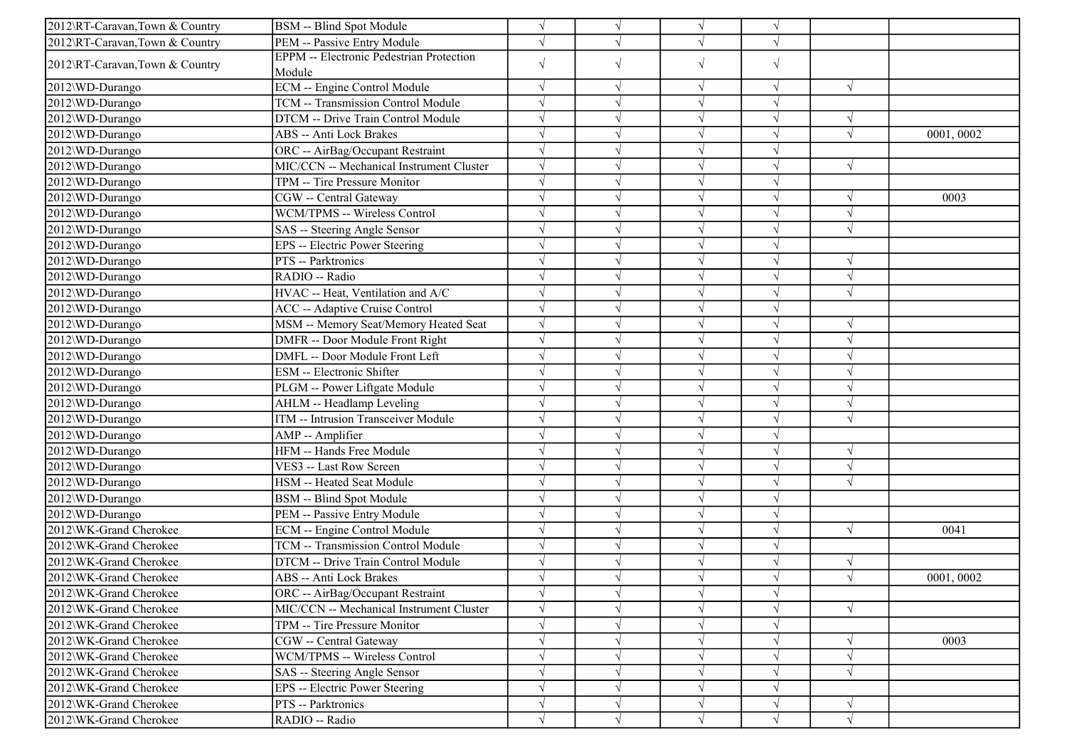| 2012\RT-Caravan,Town & Country | BSM -- Blind Spot Module                                  | $\sqrt{ }$ |            | $\sqrt{}$  | $\sqrt{ }$ |            |           |
|--------------------------------|-----------------------------------------------------------|------------|------------|------------|------------|------------|-----------|
| 2012\RT-Caravan,Town & Country | PEM -- Passive Entry Module                               | $\sqrt{ }$ | V          | $\sqrt{ }$ | $\sqrt{ }$ |            |           |
| 2012\RT-Caravan,Town & Country | <b>EPPM</b> -- Electronic Pedestrian Protection<br>Module | $\sqrt{}$  | $\sqrt{}$  | $\sqrt{}$  | $\sqrt{ }$ |            |           |
| 2012\WD-Durango                | <b>ECM</b> -- Engine Control Module                       | $\sqrt{ }$ |            | $\sqrt{ }$ | $\sqrt{ }$ | $\sqrt{}$  |           |
| 2012\WD-Durango                | TCM -- Transmission Control Module                        | $\sqrt{ }$ | V          | $\sqrt{}$  | $\sqrt{ }$ |            |           |
| 2012\WD-Durango                | DTCM -- Drive Train Control Module                        | $\sqrt{ }$ |            | $\sqrt{ }$ | V          | $\sqrt{ }$ |           |
| 2012\WD-Durango                | ABS -- Anti Lock Brakes                                   | $\sqrt{ }$ |            | $\sqrt{}$  | $\sqrt{}$  | $\sqrt{ }$ | 0001,0002 |
| 2012\WD-Durango                | ORC -- AirBag/Occupant Restraint                          | $\sqrt{ }$ |            | $\sqrt{ }$ | $\sqrt{}$  |            |           |
| 2012\WD-Durango                | MIC/CCN -- Mechanical Instrument Cluster                  | $\sqrt{ }$ |            | $\sqrt{}$  |            | $\sqrt{ }$ |           |
| 2012\WD-Durango                | TPM -- Tire Pressure Monitor                              | $\sqrt{ }$ |            | $\sqrt{ }$ | J          |            |           |
| 2012\WD-Durango                | CGW -- Central Gateway                                    | $\sqrt{ }$ |            | $\sqrt{}$  | V          | $\sqrt{ }$ | 0003      |
| 2012\WD-Durango                | WCM/TPMS -- Wireless Control                              | $\sqrt{ }$ |            | $\sqrt{ }$ | V          | $\sqrt{ }$ |           |
| 2012\WD-Durango                | SAS -- Steering Angle Sensor                              | $\sqrt{ }$ |            | $\sqrt{ }$ | J          | $\sqrt{ }$ |           |
| 2012\WD-Durango                | EPS -- Electric Power Steering                            | $\sqrt{ }$ |            | $\sqrt{ }$ | $\sqrt{}$  |            |           |
| 2012\WD-Durango                | PTS -- Parktronics                                        | $\sqrt{ }$ |            | $\sqrt{ }$ | J          | $\gamma$   |           |
| 2012\WD-Durango                | RADIO -- Radio                                            | $\sqrt{ }$ |            | $\sqrt{}$  | J          | $\sqrt{ }$ |           |
| 2012\WD-Durango                | HVAC -- Heat, Ventilation and A/C                         | $\sqrt{ }$ |            | $\sqrt{}$  |            | $\sqrt{ }$ |           |
| 2012\WD-Durango                | ACC -- Adaptive Cruise Control                            | $\sqrt{ }$ |            | $\sqrt{}$  | V          |            |           |
| 2012\WD-Durango                | MSM -- Memory Seat/Memory Heated Seat                     | $\sqrt{ }$ |            | $\sqrt{}$  | V          | $\sqrt{ }$ |           |
| 2012\WD-Durango                | DMFR -- Door Module Front Right                           | $\sqrt{ }$ |            | $\sqrt{}$  | J          | $\sqrt{ }$ |           |
| 2012\WD-Durango                | DMFL -- Door Module Front Left                            | $\sqrt{ }$ |            | $\sqrt{}$  |            | $\sqrt{2}$ |           |
| 2012\WD-Durango                | ESM -- Electronic Shifter                                 | $\sqrt{ }$ |            | $\sqrt{ }$ |            | $\sqrt{ }$ |           |
| 2012\WD-Durango                | PLGM -- Power Liftgate Module                             | $\sqrt{ }$ |            | $\sqrt{}$  |            | $\sqrt{ }$ |           |
| 2012\WD-Durango                | AHLM -- Headlamp Leveling                                 | $\sqrt{ }$ |            | $\sqrt{ }$ | J          | $\sqrt{ }$ |           |
| 2012\WD-Durango                | ITM -- Intrusion Transceiver Module                       | $\sqrt{ }$ |            | $\sqrt{ }$ | J          | $\sqrt{ }$ |           |
| 2012\WD-Durango                | AMP -- Amplifier                                          | $\sqrt{ }$ |            | $\sqrt{ }$ | $\sqrt{ }$ |            |           |
| 2012\WD-Durango                | HFM -- Hands Free Module                                  | $\sqrt{ }$ |            | $\sqrt{}$  | $\sqrt{ }$ | $\sqrt{ }$ |           |
| 2012\WD-Durango                | VES3 -- Last Row Screen                                   | $\sqrt{ }$ |            | $\sqrt{}$  | J          | $\sqrt{ }$ |           |
| 2012\WD-Durango                | HSM -- Heated Seat Module                                 | $\sqrt{ }$ |            | $\sqrt{}$  | V          | $\sqrt{ }$ |           |
| 2012\WD-Durango                | BSM -- Blind Spot Module                                  | $\sqrt{ }$ |            | $\sqrt{}$  | V          |            |           |
| 2012\WD-Durango                | PEM -- Passive Entry Module                               | $\sqrt{ }$ |            | $\sqrt{}$  | V          |            |           |
| 2012\WK-Grand Cherokee         | ECM -- Engine Control Module                              | $\sqrt{ }$ |            | $\sqrt{ }$ | $\sqrt{}$  | $\sqrt{}$  | 0041      |
| 2012\WK-Grand Cherokee         | TCM -- Transmission Control Module                        | $\sqrt{ }$ |            | $\sqrt{ }$ | $\sqrt{}$  |            |           |
| 2012\WK-Grand Cherokee         | DTCM -- Drive Train Control Module                        |            |            | $\sqrt{ }$ |            | V          |           |
| 2012\WK-Grand Cherokee         | ABS -- Anti Lock Brakes                                   | $\sqrt{ }$ |            |            |            | $\sqrt{ }$ | 0001,0002 |
| 2012\WK-Grand Cherokee         | ORC -- AirBag/Occupant Restraint                          | $\sqrt{}$  |            | $\sqrt{}$  | V          |            |           |
| 2012\WK-Grand Cherokee         | MIC/CCN -- Mechanical Instrument Cluster                  | $\sqrt{ }$ |            |            |            | $\sqrt{ }$ |           |
| 2012\WK-Grand Cherokee         | TPM -- Tire Pressure Monitor                              | $\sqrt{}$  |            | $\sqrt{}$  | V          |            |           |
| 2012\WK-Grand Cherokee         | CGW -- Central Gateway                                    | $\sqrt{}$  |            | $\sqrt{}$  |            | $\sqrt{ }$ | 0003      |
| 2012\WK-Grand Cherokee         | WCM/TPMS -- Wireless Control                              |            |            | $\sqrt{}$  |            | $\sqrt{ }$ |           |
| 2012\WK-Grand Cherokee         | SAS -- Steering Angle Sensor                              | $\sqrt{ }$ | V          | $\sqrt{}$  | $\sqrt{ }$ | $\sqrt{ }$ |           |
| 2012\WK-Grand Cherokee         | EPS -- Electric Power Steering                            | $\sqrt{ }$ |            | $\sqrt{}$  | V          |            |           |
| 2012\WK-Grand Cherokee         | PTS -- Parktronics                                        | $\sqrt{}$  |            | V          | V          | $\sqrt{ }$ |           |
| 2012\WK-Grand Cherokee         | RADIO -- Radio                                            | $\sqrt{}$  | $\sqrt{ }$ | $\sqrt{}$  | $\sqrt{ }$ | $\sqrt{}$  |           |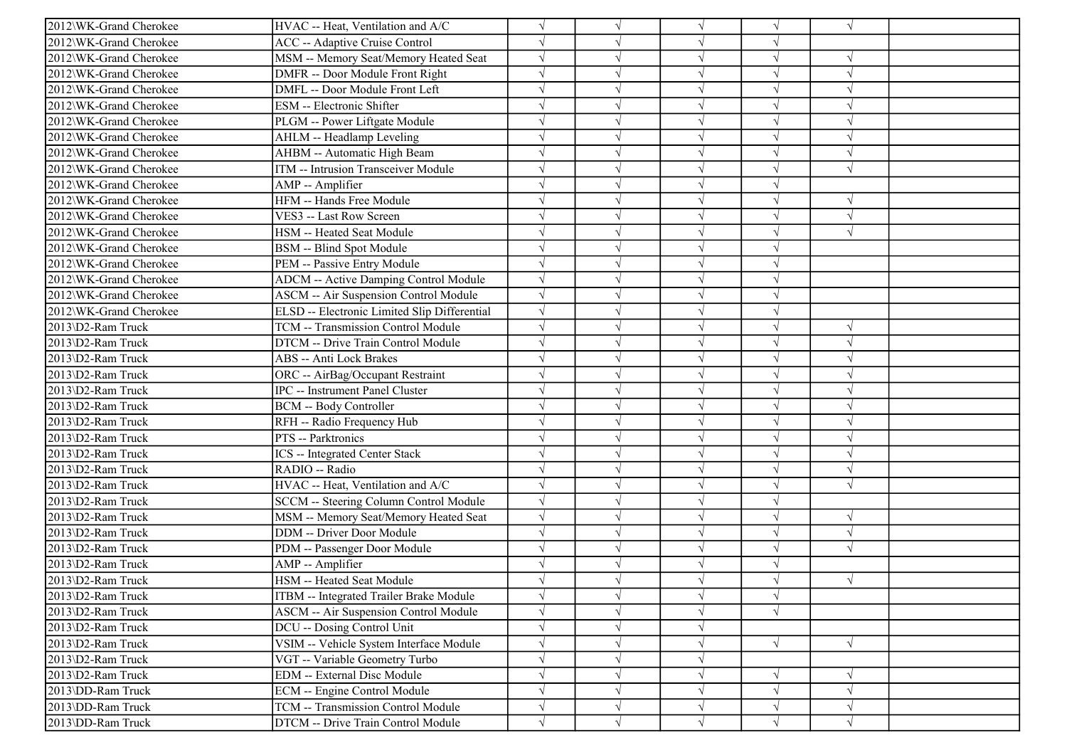| 2012\WK-Grand Cherokee | HVAC -- Heat, Ventilation and A/C            |            |            | $\sqrt{ }$ | $\sqrt{}$  | $\sqrt{ }$    |  |
|------------------------|----------------------------------------------|------------|------------|------------|------------|---------------|--|
| 2012\WK-Grand Cherokee | <b>ACC</b> -- Adaptive Cruise Control        |            |            | $\sqrt{ }$ | V          |               |  |
| 2012\WK-Grand Cherokee | MSM -- Memory Seat/Memory Heated Seat        | $\sqrt{}$  |            | $\sqrt{ }$ | $\sqrt{}$  | $\sqrt{ }$    |  |
| 2012\WK-Grand Cherokee | DMFR -- Door Module Front Right              |            |            | $\sqrt{ }$ |            |               |  |
| 2012\WK-Grand Cherokee | DMFL -- Door Module Front Left               |            |            | $\sqrt{ }$ | V          | $\sqrt{ }$    |  |
| 2012\WK-Grand Cherokee | ESM -- Electronic Shifter                    |            |            | $\sqrt{ }$ |            | $\sqrt{ }$    |  |
| 2012\WK-Grand Cherokee | PLGM -- Power Liftgate Module                |            |            | $\sqrt{ }$ | J          | $\mathcal{A}$ |  |
| 2012\WK-Grand Cherokee | AHLM -- Headlamp Leveling                    | $\sqrt{ }$ |            | $\sqrt{ }$ | V          | $\sqrt{ }$    |  |
| 2012\WK-Grand Cherokee | AHBM -- Automatic High Beam                  |            |            | $\sqrt{ }$ | $\sqrt{}$  | $\sqrt{ }$    |  |
| 2012\WK-Grand Cherokee | ITM -- Intrusion Transceiver Module          |            |            | $\sqrt{ }$ |            | $\sqrt{ }$    |  |
| 2012\WK-Grand Cherokee | AMP -- Amplifier                             |            |            | $\sqrt{ }$ | V          |               |  |
| 2012\WK-Grand Cherokee | HFM -- Hands Free Module                     |            |            | $\sqrt{ }$ |            | $\sqrt{ }$    |  |
| 2012\WK-Grand Cherokee | VES3 -- Last Row Screen                      |            |            | $\sqrt{ }$ | V          | $\sqrt{ }$    |  |
| 2012\WK-Grand Cherokee | HSM -- Heated Seat Module                    |            |            | $\sqrt{ }$ | $\sqrt{}$  | $\sqrt{ }$    |  |
| 2012\WK-Grand Cherokee | BSM -- Blind Spot Module                     |            |            | $\sqrt{ }$ | V          |               |  |
| 2012\WK-Grand Cherokee | PEM -- Passive Entry Module                  |            |            | $\sqrt{ }$ |            |               |  |
| 2012\WK-Grand Cherokee | <b>ADCM</b> -- Active Damping Control Module | $\sqrt{}$  |            | $\sqrt{ }$ |            |               |  |
| 2012\WK-Grand Cherokee | <b>ASCM -- Air Suspension Control Module</b> | $\sqrt{ }$ |            | $\sqrt{ }$ |            |               |  |
| 2012\WK-Grand Cherokee | ELSD -- Electronic Limited Slip Differential | $\sqrt{ }$ |            | $\sqrt{ }$ | V          |               |  |
| 2013\D2-Ram Truck      | TCM -- Transmission Control Module           | $\sqrt{ }$ |            | $\sqrt{ }$ | V          | $\sqrt{ }$    |  |
| 2013\D2-Ram Truck      | DTCM -- Drive Train Control Module           |            |            | $\sqrt{ }$ |            | $\sqrt{ }$    |  |
| 2013\D2-Ram Truck      | ABS -- Anti Lock Brakes                      |            |            | $\sqrt{ }$ | $\sqrt{ }$ | $\sqrt{ }$    |  |
| 2013\D2-Ram Truck      | ORC -- AirBag/Occupant Restraint             |            |            | $\sqrt{ }$ |            | $\sqrt{ }$    |  |
| 2013\D2-Ram Truck      | IPC -- Instrument Panel Cluster              |            |            | $\sqrt{ }$ |            | $\sqrt{ }$    |  |
| 2013\D2-Ram Truck      | <b>BCM -- Body Controller</b>                | $\sqrt{}$  |            | $\sqrt{ }$ | √          | $\sqrt{ }$    |  |
| 2013\D2-Ram Truck      | RFH -- Radio Frequency Hub                   |            |            | $\sqrt{ }$ |            | $\sqrt{ }$    |  |
| 2013\D2-Ram Truck      | PTS -- Parktronics                           |            |            | $\sqrt{ }$ |            | $\sqrt{ }$    |  |
| 2013\D2-Ram Truck      | <b>ICS</b> -- Integrated Center Stack        |            |            | $\sqrt{ }$ | J          | $\sqrt{ }$    |  |
| 2013\D2-Ram Truck      | RADIO -- Radio                               |            |            | $\sqrt{ }$ |            | $\mathcal{N}$ |  |
| 2013\D2-Ram Truck      | HVAC -- Heat, Ventilation and A/C            |            |            | $\sqrt{ }$ |            | $\sqrt{ }$    |  |
| 2013\D2-Ram Truck      | SCCM -- Steering Column Control Module       | $\sqrt{ }$ |            | $\sqrt{ }$ | V          |               |  |
| 2013\D2-Ram Truck      | MSM -- Memory Seat/Memory Heated Seat        | $\sqrt{ }$ |            | $\sqrt{ }$ | V          | $\sqrt{ }$    |  |
| 2013\D2-Ram Truck      | <b>DDM</b> -- Driver Door Module             |            |            | $\sqrt{ }$ | V          | $\sqrt{ }$    |  |
| 2013\D2-Ram Truck      | PDM -- Passenger Door Module                 |            |            | $\sqrt{ }$ | $\sqrt{}$  | $\sqrt{ }$    |  |
| 2013\D2-Ram Truck      | AMP -- Amplifier                             |            |            | $\sqrt{ }$ |            |               |  |
| 2013\D2-Ram Truck      | HSM -- Heated Seat Module                    |            |            |            |            | $\sqrt{ }$    |  |
| 2013\D2-Ram Truck      | ITBM -- Integrated Trailer Brake Module      | $\sqrt{}$  | $\sqrt{ }$ | $\sqrt{ }$ | $\sqrt{}$  |               |  |
| 2013\D2-Ram Truck      | <b>ASCM -- Air Suspension Control Module</b> | $\sqrt{}$  |            | $\sqrt{ }$ | $\sqrt{}$  |               |  |
| 2013\D2-Ram Truck      | DCU -- Dosing Control Unit                   |            |            | $\sqrt{ }$ |            |               |  |
| 2013\D2-Ram Truck      | VSIM -- Vehicle System Interface Module      |            |            | $\sqrt{ }$ | $\sqrt{}$  | $\sqrt{ }$    |  |
| 2013\D2-Ram Truck      | VGT -- Variable Geometry Turbo               |            |            | $\sqrt{ }$ |            |               |  |
| 2013\D2-Ram Truck      | <b>EDM</b> -- External Disc Module           | $\sqrt{}$  |            | $\sqrt{ }$ | $\sqrt{ }$ | $\sqrt{ }$    |  |
| 2013\DD-Ram Truck      | <b>ECM</b> -- Engine Control Module          |            | $\sqrt{ }$ | $\sqrt{ }$ | V          | $\sqrt{ }$    |  |
| 2013\DD-Ram Truck      | TCM -- Transmission Control Module           | $\sqrt{}$  | $\sqrt{ }$ | $\sqrt{ }$ | $\sqrt{}$  | $\sqrt{ }$    |  |
| 2013\DD-Ram Truck      | DTCM -- Drive Train Control Module           | $\sqrt{}$  | $\sqrt{ }$ | $\sqrt{ }$ | $\sqrt{}$  | $\sqrt{}$     |  |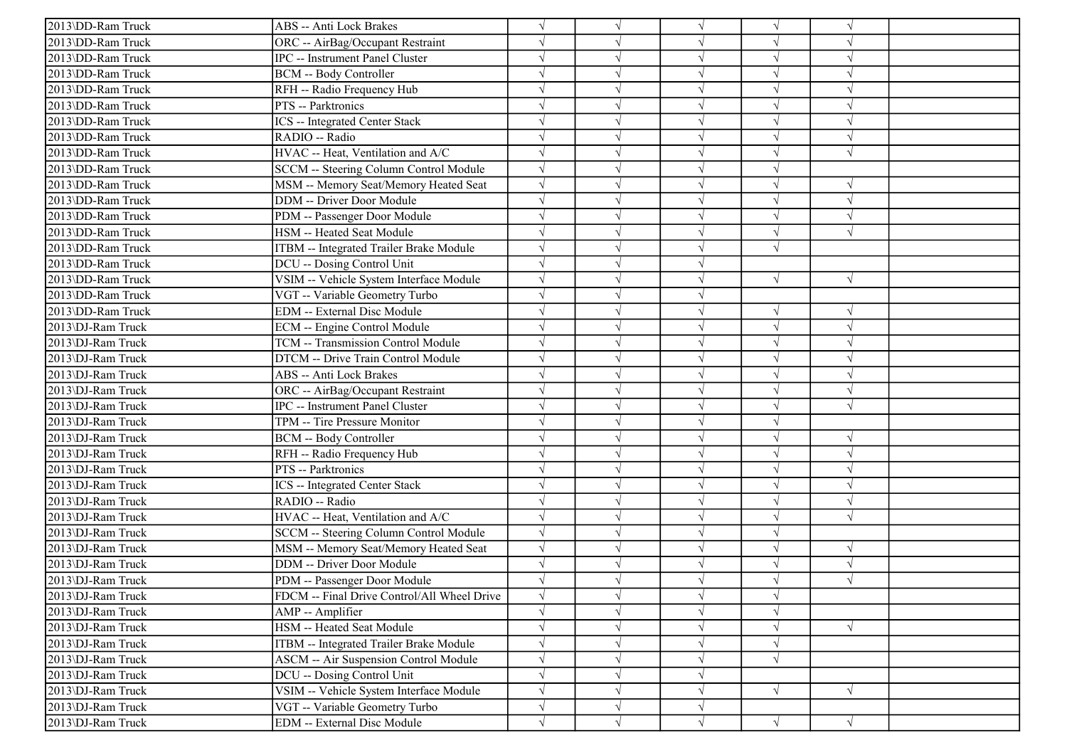| 2013\DD-Ram Truck | <b>ABS</b> -- Anti Lock Brakes               | $\sqrt{}$  |            | $\sqrt{ }$ | $\sqrt{}$  | $\sqrt{ }$               |  |
|-------------------|----------------------------------------------|------------|------------|------------|------------|--------------------------|--|
| 2013\DD-Ram Truck | ORC -- AirBag/Occupant Restraint             |            |            | $\sqrt{ }$ |            | $\sqrt{2}$               |  |
| 2013\DD-Ram Truck | IPC -- Instrument Panel Cluster              |            |            | $\sqrt{ }$ |            |                          |  |
| 2013\DD-Ram Truck | <b>BCM -- Body Controller</b>                |            |            | $\sqrt{ }$ |            | $\sqrt{ }$               |  |
| 2013\DD-Ram Truck | RFH -- Radio Frequency Hub                   |            |            | $\sqrt{ }$ |            | N                        |  |
| 2013\DD-Ram Truck | PTS -- Parktronics                           |            |            | $\sqrt{ }$ | J          | $\mathcal{A}$            |  |
| 2013\DD-Ram Truck | <b>ICS</b> -- Integrated Center Stack        | $\sqrt{ }$ |            | $\sqrt{ }$ | J          | $\sqrt{ }$               |  |
| 2013\DD-Ram Truck | RADIO -- Radio                               |            |            | $\sqrt{ }$ |            | $\sqrt{ }$               |  |
| 2013\DD-Ram Truck | HVAC -- Heat, Ventilation and A/C            |            |            | $\sqrt{ }$ |            | $\sqrt{ }$               |  |
| 2013\DD-Ram Truck | SCCM -- Steering Column Control Module       |            |            | $\sqrt{ }$ |            |                          |  |
| 2013\DD-Ram Truck | MSM -- Memory Seat/Memory Heated Seat        |            |            | $\sqrt{ }$ |            | $\mathcal{N}$            |  |
| 2013\DD-Ram Truck | DDM -- Driver Door Module                    |            |            | $\sqrt{ }$ | V          | $\sqrt{ }$               |  |
| 2013\DD-Ram Truck | PDM -- Passenger Door Module                 |            |            | $\sqrt{ }$ | V          | $\sqrt{ }$               |  |
| 2013\DD-Ram Truck | HSM -- Heated Seat Module                    |            |            | $\sqrt{ }$ | V          | $\sqrt{ }$               |  |
| 2013\DD-Ram Truck | ITBM -- Integrated Trailer Brake Module      | $\sqrt{}$  |            | $\sqrt{ }$ | $\sqrt{}$  |                          |  |
| 2013\DD-Ram Truck | DCU -- Dosing Control Unit                   |            |            | $\sqrt{ }$ |            |                          |  |
| 2013\DD-Ram Truck | VSIM -- Vehicle System Interface Module      | $\sqrt{}$  |            | $\sqrt{ }$ | √          | $\sqrt{ }$               |  |
| 2013\DD-Ram Truck | VGT -- Variable Geometry Turbo               | $\sqrt{ }$ |            | $\sqrt{ }$ |            |                          |  |
| 2013\DD-Ram Truck | <b>EDM</b> -- External Disc Module           |            |            | $\sqrt{ }$ | $\sqrt{ }$ | $\sqrt{ }$               |  |
| 2013\DJ-Ram Truck | <b>ECM</b> -- Engine Control Module          | $\sqrt{}$  |            | $\sqrt{ }$ |            | $\sqrt{2}$               |  |
| 2013\DJ-Ram Truck | TCM -- Transmission Control Module           |            |            | $\sqrt{ }$ | $\sqrt{}$  | $\sqrt{ }$               |  |
| 2013\DJ-Ram Truck | DTCM -- Drive Train Control Module           |            |            | $\sqrt{ }$ |            | $\mathcal{N}$            |  |
| 2013\DJ-Ram Truck | <b>ABS</b> -- Anti Lock Brakes               |            |            | $\sqrt{ }$ |            | $\sqrt{ }$               |  |
| 2013\DJ-Ram Truck | ORC -- AirBag/Occupant Restraint             |            |            | $\sqrt{ }$ | V          | $\sqrt{ }$               |  |
| 2013\DJ-Ram Truck | <b>IPC</b> -- Instrument Panel Cluster       |            |            | $\sqrt{ }$ |            | $\sqrt{ }$               |  |
| 2013\DJ-Ram Truck | TPM -- Tire Pressure Monitor                 |            |            | $\sqrt{ }$ | V          |                          |  |
| 2013\DJ-Ram Truck | <b>BCM -- Body Controller</b>                | $\sqrt{ }$ |            | $\sqrt{ }$ | V          | $\sqrt{ }$               |  |
| 2013\DJ-Ram Truck | RFH -- Radio Frequency Hub                   |            |            | $\sqrt{ }$ |            |                          |  |
| 2013\DJ-Ram Truck | PTS -- Parktronics                           |            |            | $\sqrt{ }$ |            | $\sqrt{ }$               |  |
| 2013\DJ-Ram Truck | ICS -- Integrated Center Stack               |            |            | $\sqrt{ }$ |            |                          |  |
| 2013\DJ-Ram Truck | RADIO -- Radio                               |            |            | $\sqrt{ }$ |            | N                        |  |
| 2013\DJ-Ram Truck | HVAC -- Heat, Ventilation and A/C            | $\sqrt{}$  |            | $\sqrt{ }$ | V          | $\sqrt{ }$               |  |
| 2013\DJ-Ram Truck | SCCM -- Steering Column Control Module       | $\sqrt{ }$ |            | $\sqrt{ }$ | $\sqrt{}$  |                          |  |
| 2013\DJ-Ram Truck | MSM -- Memory Seat/Memory Heated Seat        |            |            | $\sqrt{ }$ |            |                          |  |
| 2013\DJ-Ram Truck | <b>DDM</b> -- Driver Door Module             |            |            | $\sqrt{ }$ |            | $\sqrt{ }$               |  |
| 2013\DJ-Ram Truck | PDM -- Passenger Door Module                 |            |            |            |            | $\overline{\mathcal{N}}$ |  |
| 2013\DJ-Ram Truck | FDCM -- Final Drive Control/All Wheel Drive  | $\sqrt{}$  | $\sqrt{ }$ | $\sqrt{}$  | $\sqrt{}$  |                          |  |
| 2013\DJ-Ram Truck | AMP -- Amplifier                             | $\sqrt{}$  |            | $\sqrt{}$  | $\sqrt{}$  |                          |  |
| 2013\DJ-Ram Truck | HSM -- Heated Seat Module                    |            |            | $\sqrt{ }$ | $\sqrt{}$  | $\sqrt{ }$               |  |
| 2013\DJ-Ram Truck | ITBM -- Integrated Trailer Brake Module      |            |            | $\sqrt{ }$ |            |                          |  |
| 2013\DJ-Ram Truck | <b>ASCM -- Air Suspension Control Module</b> | $\sqrt{}$  |            | $\sqrt{ }$ | $\sqrt{ }$ |                          |  |
| 2013\DJ-Ram Truck | DCU -- Dosing Control Unit                   | $\sqrt{}$  |            | $\sqrt{ }$ |            |                          |  |
| 2013\DJ-Ram Truck | VSIM -- Vehicle System Interface Module      | $\sqrt{}$  | $\sqrt{}$  | $\sqrt{ }$ | $\sqrt{}$  | $\sqrt{ }$               |  |
| 2013\DJ-Ram Truck | VGT -- Variable Geometry Turbo               | $\sqrt{ }$ | $\sqrt{ }$ | $\sqrt{ }$ |            |                          |  |
| 2013\DJ-Ram Truck | EDM -- External Disc Module                  | $\sqrt{}$  | $\sqrt{}$  | $\sqrt{}$  | $\sqrt{ }$ | $\sqrt{ }$               |  |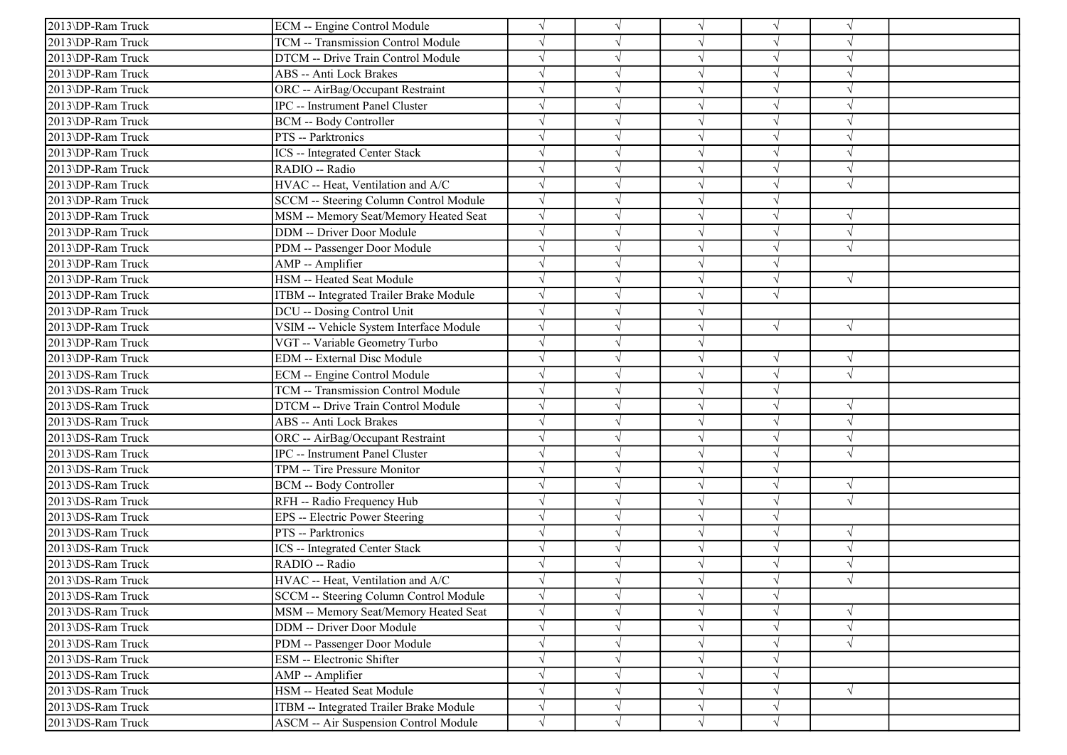| 2013\DP-Ram Truck | ECM -- Engine Control Module            |            |            | $\sqrt{ }$ |            |            |  |
|-------------------|-----------------------------------------|------------|------------|------------|------------|------------|--|
| 2013\DP-Ram Truck | TCM -- Transmission Control Module      |            |            | $\sqrt{ }$ |            | $\sqrt{ }$ |  |
| 2013\DP-Ram Truck | DTCM -- Drive Train Control Module      |            |            | $\sqrt{ }$ | $\sqrt{}$  | $\sqrt{ }$ |  |
| 2013\DP-Ram Truck | ABS -- Anti Lock Brakes                 |            |            | V          |            |            |  |
| 2013\DP-Ram Truck | ORC -- AirBag/Occupant Restraint        |            |            | $\sqrt{ }$ |            | $\sqrt{ }$ |  |
| 2013\DP-Ram Truck | IPC -- Instrument Panel Cluster         |            |            | $\sqrt{ }$ |            | $\sqrt{ }$ |  |
| 2013\DP-Ram Truck | <b>BCM -- Body Controller</b>           |            |            | $\sqrt{ }$ |            | N          |  |
| 2013\DP-Ram Truck | PTS -- Parktronics                      |            |            | $\sqrt{ }$ | J          | $\sqrt{ }$ |  |
| 2013\DP-Ram Truck | <b>ICS</b> -- Integrated Center Stack   |            |            | $\sqrt{ }$ |            | $\sqrt{ }$ |  |
| 2013\DP-Ram Truck | RADIO -- Radio                          |            |            | $\sqrt{ }$ |            |            |  |
| 2013\DP-Ram Truck | HVAC -- Heat, Ventilation and A/C       |            |            | $\sqrt{}$  | J          | $\sqrt{ }$ |  |
| 2013\DP-Ram Truck | SCCM -- Steering Column Control Module  |            |            | $\sqrt{ }$ |            |            |  |
| 2013\DP-Ram Truck | MSM -- Memory Seat/Memory Heated Seat   |            |            | $\sqrt{ }$ | V          | $\sqrt{ }$ |  |
| 2013\DP-Ram Truck | DDM -- Driver Door Module               |            | $\sqrt{ }$ | $\sqrt{ }$ | V          | $\sqrt{ }$ |  |
| 2013\DP-Ram Truck | PDM -- Passenger Door Module            |            |            | $\sqrt{ }$ |            | $\sqrt{ }$ |  |
| 2013\DP-Ram Truck | AMP -- Amplifier                        |            |            | $\sqrt{ }$ |            |            |  |
| 2013\DP-Ram Truck | HSM -- Heated Seat Module               |            |            | $\sqrt{ }$ | $\sqrt{}$  | $\sqrt{ }$ |  |
| 2013\DP-Ram Truck | ITBM -- Integrated Trailer Brake Module |            |            | $\sqrt{}$  |            |            |  |
| 2013\DP-Ram Truck | DCU -- Dosing Control Unit              |            |            | $\sqrt{ }$ |            |            |  |
| 2013\DP-Ram Truck | VSIM -- Vehicle System Interface Module | $\sqrt{ }$ |            | $\sqrt{ }$ | $\sqrt{ }$ | $\sqrt{ }$ |  |
| 2013\DP-Ram Truck | VGT -- Variable Geometry Turbo          |            |            | $\sqrt{ }$ |            |            |  |
| 2013\DP-Ram Truck | EDM -- External Disc Module             |            |            | $\sqrt{ }$ | $\sqrt{ }$ | $\sqrt{ }$ |  |
| 2013\DS-Ram Truck | ECM -- Engine Control Module            |            |            | $\sqrt{ }$ | $\sqrt{ }$ | $\sqrt{ }$ |  |
| 2013\DS-Ram Truck | TCM -- Transmission Control Module      |            |            | $\sqrt{ }$ |            |            |  |
| 2013\DS-Ram Truck | DTCM -- Drive Train Control Module      |            |            | $\sqrt{ }$ | $\sqrt{}$  | $\sqrt{ }$ |  |
| 2013\DS-Ram Truck | ABS -- Anti Lock Brakes                 |            |            | $\sqrt{ }$ |            | $\sqrt{ }$ |  |
| 2013\DS-Ram Truck | ORC -- AirBag/Occupant Restraint        |            |            | $\sqrt{ }$ |            | $\sqrt{ }$ |  |
| 2013\DS-Ram Truck | <b>IPC</b> -- Instrument Panel Cluster  |            |            | $\sqrt{ }$ |            | $\sqrt{ }$ |  |
| 2013\DS-Ram Truck | TPM -- Tire Pressure Monitor            |            |            | $\sqrt{}$  |            |            |  |
| 2013\DS-Ram Truck | <b>BCM -- Body Controller</b>           |            |            | $\sqrt{}$  |            | $\sqrt{ }$ |  |
| 2013\DS-Ram Truck | RFH -- Radio Frequency Hub              |            |            | $\sqrt{ }$ | J          | $\sqrt{ }$ |  |
| 2013\DS-Ram Truck | EPS -- Electric Power Steering          |            |            | $\sqrt{ }$ | J          |            |  |
| 2013\DS-Ram Truck | PTS -- Parktronics                      |            |            | $\sqrt{ }$ | V          | $\sqrt{ }$ |  |
| 2013\DS-Ram Truck | ICS -- Integrated Center Stack          |            |            | $\sqrt{ }$ | $\sqrt{}$  | $\sqrt{ }$ |  |
| 2013\DS-Ram Truck | RADIO -- Radio                          |            |            | $\sqrt{ }$ |            |            |  |
| 2013\DS-Ram Truck | HVAC -- Heat, Ventilation and A/C       |            |            |            |            |            |  |
| 2013\DS-Ram Truck | SCCM -- Steering Column Control Module  |            | $\sqrt{ }$ | $\sqrt{ }$ | $\sqrt{}$  |            |  |
| 2013\DS-Ram Truck | MSM -- Memory Seat/Memory Heated Seat   |            |            | $\sqrt{}$  | V          | $\sqrt{ }$ |  |
| 2013\DS-Ram Truck | DDM -- Driver Door Module               |            |            | $\sqrt{ }$ |            | $\sqrt{ }$ |  |
| 2013\DS-Ram Truck | PDM -- Passenger Door Module            |            |            | $\sqrt{ }$ |            | $\sqrt{ }$ |  |
| 2013\DS-Ram Truck | ESM -- Electronic Shifter               |            |            | $\sqrt{}$  |            |            |  |
| 2013\DS-Ram Truck | AMP -- Amplifier                        |            |            | $\sqrt{}$  | V          |            |  |
| 2013\DS-Ram Truck | HSM -- Heated Seat Module               |            | $\sqrt{ }$ | $\sqrt{}$  |            | $\sqrt{ }$ |  |
| 2013\DS-Ram Truck | ITBM -- Integrated Trailer Brake Module | $\sqrt{}$  | $\sqrt{ }$ | $\sqrt{ }$ | V          |            |  |
| 2013\DS-Ram Truck | ASCM -- Air Suspension Control Module   | $\sqrt{}$  | $\sqrt{ }$ | $\sqrt{ }$ | $\sqrt{}$  |            |  |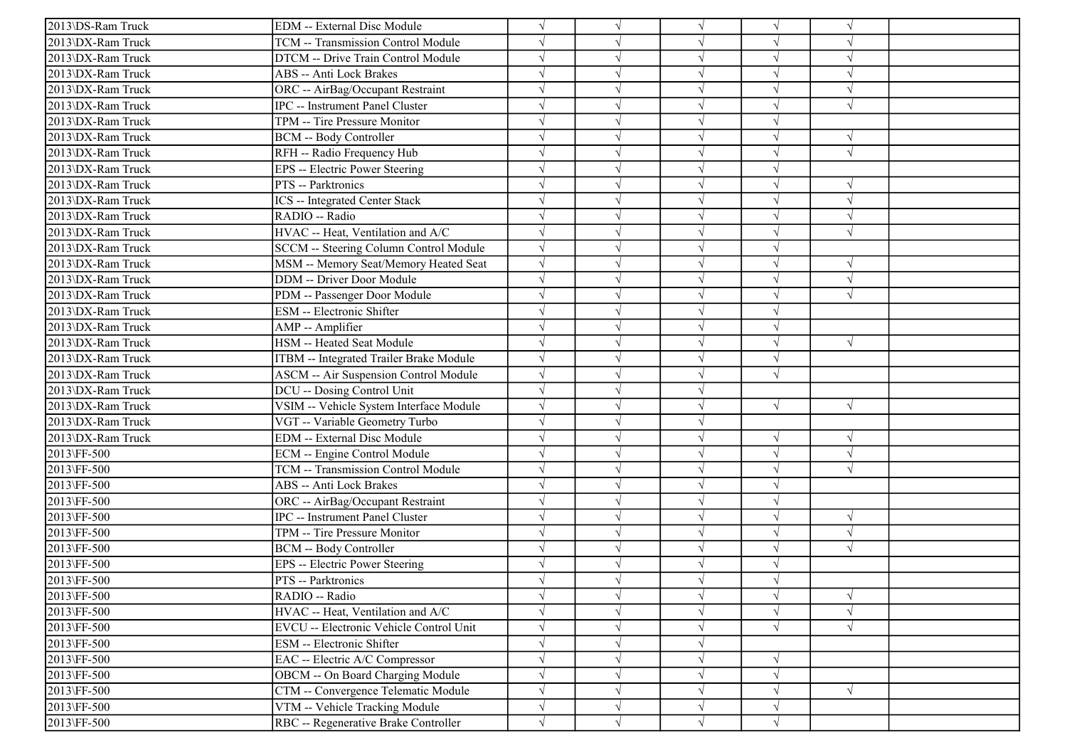| 2013\DS-Ram Truck | <b>EDM</b> -- External Disc Module            |            | $\sqrt{ }$ | $\sqrt{ }$ | $\sqrt{}$  | $\sqrt{ }$ |  |
|-------------------|-----------------------------------------------|------------|------------|------------|------------|------------|--|
| 2013\DX-Ram Truck | TCM -- Transmission Control Module            |            |            | $\sqrt{ }$ |            |            |  |
| 2013\DX-Ram Truck | DTCM -- Drive Train Control Module            |            |            | $\sqrt{ }$ |            | $\sqrt{ }$ |  |
| 2013\DX-Ram Truck | ABS -- Anti Lock Brakes                       |            |            | $\sqrt{ }$ | $\sqrt{}$  | $\sqrt{ }$ |  |
| 2013\DX-Ram Truck | ORC -- AirBag/Occupant Restraint              |            |            | $\sqrt{ }$ |            |            |  |
| 2013\DX-Ram Truck | IPC -- Instrument Panel Cluster               |            |            | $\sqrt{ }$ |            | $\sqrt{ }$ |  |
| 2013\DX-Ram Truck | TPM -- Tire Pressure Monitor                  |            |            | $\sqrt{}$  | J          |            |  |
| 2013\DX-Ram Truck | <b>BCM -- Body Controller</b>                 |            |            | $\sqrt{ }$ |            | $\sqrt{ }$ |  |
| 2013\DX-Ram Truck | RFH -- Radio Frequency Hub                    |            |            | $\sqrt{ }$ |            | $\sqrt{ }$ |  |
| 2013\DX-Ram Truck | EPS -- Electric Power Steering                |            |            | $\sqrt{ }$ | $\sqrt{ }$ |            |  |
| 2013\DX-Ram Truck | PTS -- Parktronics                            |            |            | $\sqrt{ }$ |            |            |  |
| 2013\DX-Ram Truck | ICS -- Integrated Center Stack                |            |            | $\sqrt{ }$ |            | $\sqrt{ }$ |  |
| 2013\DX-Ram Truck | RADIO -- Radio                                |            |            | $\sqrt{ }$ |            | $\sqrt{ }$ |  |
| 2013\DX-Ram Truck | HVAC -- Heat, Ventilation and A/C             |            |            | $\sqrt{ }$ |            | $\sqrt{ }$ |  |
| 2013\DX-Ram Truck | <b>SCCM</b> -- Steering Column Control Module | $\sqrt{ }$ |            | $\sqrt{ }$ | $\sqrt{}$  |            |  |
| 2013\DX-Ram Truck | MSM -- Memory Seat/Memory Heated Seat         |            |            | $\sqrt{ }$ | $\sqrt{}$  | $\sqrt{ }$ |  |
| 2013\DX-Ram Truck | DDM -- Driver Door Module                     |            |            | $\sqrt{ }$ |            |            |  |
| 2013\DX-Ram Truck | PDM -- Passenger Door Module                  |            |            | $\sqrt{ }$ |            | $\sqrt{ }$ |  |
| 2013\DX-Ram Truck | ESM -- Electronic Shifter                     |            |            | $\sqrt{}$  |            |            |  |
| 2013\DX-Ram Truck | AMP -- Amplifier                              |            |            | $\sqrt{ }$ | V          |            |  |
| 2013\DX-Ram Truck | HSM -- Heated Seat Module                     | $\sqrt{ }$ |            | $\sqrt{ }$ | $\sqrt{ }$ | $\sqrt{ }$ |  |
| 2013\DX-Ram Truck | ITBM -- Integrated Trailer Brake Module       | $\sqrt{ }$ |            | $\sqrt{ }$ | $\sqrt{}$  |            |  |
| 2013\DX-Ram Truck | <b>ASCM -- Air Suspension Control Module</b>  |            |            | $\sqrt{ }$ | $\sqrt{}$  |            |  |
| 2013\DX-Ram Truck | DCU -- Dosing Control Unit                    |            |            | $\sqrt{}$  |            |            |  |
| 2013\DX-Ram Truck | VSIM -- Vehicle System Interface Module       |            |            | $\sqrt{ }$ | $\sqrt{ }$ | $\sqrt{ }$ |  |
| 2013\DX-Ram Truck | VGT -- Variable Geometry Turbo                |            |            | $\sqrt{ }$ |            |            |  |
| 2013\DX-Ram Truck | EDM -- External Disc Module                   |            |            | $\sqrt{ }$ | $\sqrt{}$  | $\sqrt{ }$ |  |
| 2013\FF-500       | ECM -- Engine Control Module                  |            |            | $\sqrt{ }$ | $\sqrt{}$  | $\sqrt{ }$ |  |
| 2013\FF-500       | TCM -- Transmission Control Module            |            |            | $\sqrt{ }$ |            | $\sqrt{ }$ |  |
| 2013\FF-500       | ABS -- Anti Lock Brakes                       |            |            | $\sqrt{ }$ |            |            |  |
| 2013\FF-500       | ORC -- AirBag/Occupant Restraint              |            |            | $\sqrt{ }$ | V          |            |  |
| 2013\FF-500       | <b>IPC</b> -- Instrument Panel Cluster        |            |            | $\sqrt{ }$ | J          | $\sqrt{ }$ |  |
| 2013\FF-500       | TPM -- Tire Pressure Monitor                  |            |            | $\sqrt{ }$ | J          | $\sqrt{ }$ |  |
| 2013\FF-500       | <b>BCM</b> -- Body Controller                 |            |            | $\sqrt{ }$ | $\sqrt{}$  | $\sqrt{ }$ |  |
| 2013\FF-500       | EPS -- Electric Power Steering                |            |            | $\sqrt{ }$ |            |            |  |
| 2013\FF-500       | <b>PTS</b> -- Parktronics                     |            |            |            |            |            |  |
| 2013\FF-500       | RADIO -- Radio                                |            | $\sqrt{}$  | $\sqrt{}$  | $\sqrt{}$  | $\sqrt{ }$ |  |
| 2013\FF-500       | HVAC -- Heat, Ventilation and A/C             |            | $\sqrt{ }$ | $\sqrt{ }$ | $\sqrt{}$  | $\sqrt{ }$ |  |
| 2013\FF-500       | EVCU -- Electronic Vehicle Control Unit       |            |            | $\sqrt{ }$ | √          | $\sqrt{ }$ |  |
| 2013\FF-500       | ESM -- Electronic Shifter                     |            |            | $\sqrt{}$  |            |            |  |
| 2013\FF-500       | EAC -- Electric A/C Compressor                |            |            | $\sqrt{}$  |            |            |  |
| 2013\FF-500       | OBCM -- On Board Charging Module              |            |            | $\sqrt{ }$ | V          |            |  |
| 2013\FF-500       | CTM -- Convergence Telematic Module           |            |            | $\sqrt{}$  |            | $\sqrt{ }$ |  |
| 2013\FF-500       | VTM -- Vehicle Tracking Module                | $\sqrt{}$  | $\sqrt{ }$ | $\sqrt{}$  | $\sqrt{}$  |            |  |
| 2013\FF-500       | RBC -- Regenerative Brake Controller          |            |            | $\sqrt{ }$ | J          |            |  |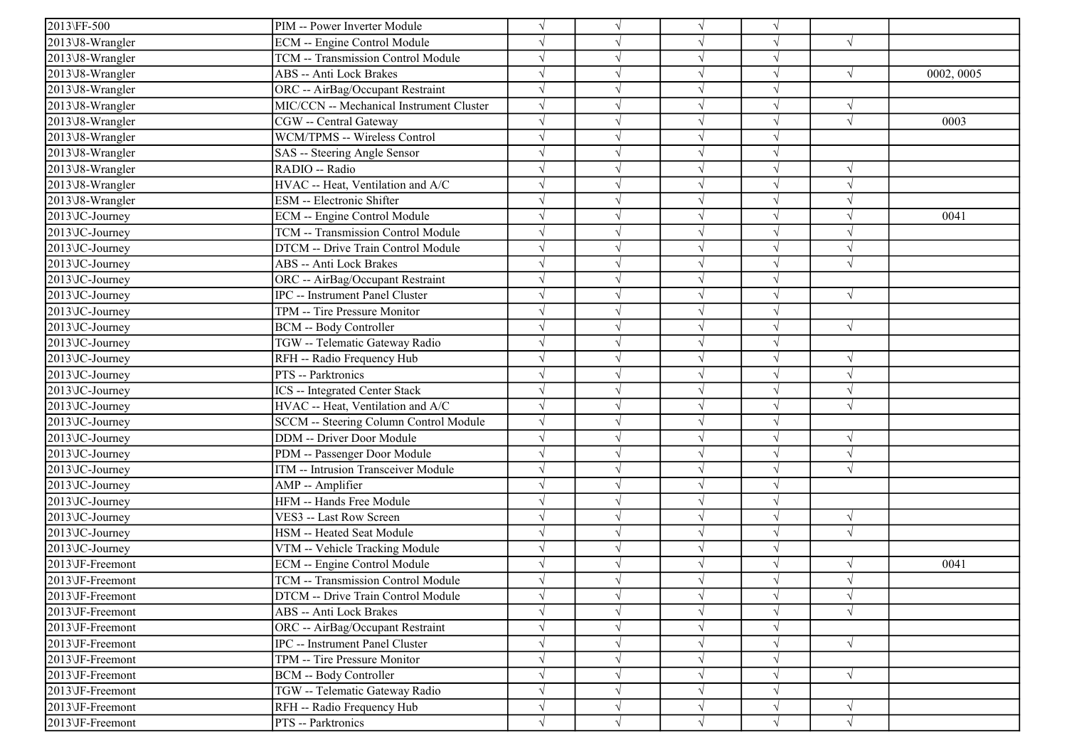| 2013\FF-500                  | PIM -- Power Inverter Module             |            |            | $\sqrt{ }$ |            |            |            |
|------------------------------|------------------------------------------|------------|------------|------------|------------|------------|------------|
| 2013\J8-Wrangler             | ECM -- Engine Control Module             |            |            | $\sqrt{}$  | V          | $\sqrt{ }$ |            |
| 2013\J8-Wrangler             | TCM -- Transmission Control Module       |            |            | $\sqrt{}$  | V          |            |            |
| 2013\J8-Wrangler             | ABS -- Anti Lock Brakes                  |            |            | V          |            | $\sqrt{ }$ | 0002, 0005 |
| 2013\J8-Wrangler             | ORC -- AirBag/Occupant Restraint         |            |            | $\sqrt{ }$ |            |            |            |
| 2013\J8-Wrangler             | MIC/CCN -- Mechanical Instrument Cluster |            |            | $\sqrt{ }$ | J          | $\sqrt{ }$ |            |
| 2013\J8-Wrangler             | CGW -- Central Gateway                   |            |            | $\sqrt{ }$ | V          | $\sqrt{ }$ | 0003       |
| 2013\J8-Wrangler             | WCM/TPMS -- Wireless Control             | $\sqrt{ }$ |            | $\sqrt{ }$ | V          |            |            |
| 2013\J8-Wrangler             | SAS -- Steering Angle Sensor             |            |            | $\sqrt{ }$ | $\sqrt{}$  |            |            |
| 2013\J8-Wrangler             | RADIO -- Radio                           |            |            | $\sqrt{ }$ | $\sqrt{ }$ |            |            |
| 2013\J8-Wrangler             | HVAC -- Heat, Ventilation and A/C        |            |            | $\sqrt{}$  | $\sqrt{ }$ | $\sqrt{ }$ |            |
| 2013\J8-Wrangler             | ESM -- Electronic Shifter                |            |            | $\sqrt{}$  |            | $\sqrt{ }$ |            |
| 2013\JC-Journey              | ECM -- Engine Control Module             |            |            | $\sqrt{ }$ | V          | $\sqrt{ }$ | 0041       |
| 2013 JC-Journey              | TCM -- Transmission Control Module       |            | $\sqrt{}$  | $\sqrt{ }$ | $\sqrt{}$  | $\sqrt{ }$ |            |
| 2013\JC-Journey              | DTCM -- Drive Train Control Module       |            |            | $\sqrt{}$  | J          | $\sqrt{ }$ |            |
| 2013\JC-Journey              | ABS -- Anti Lock Brakes                  |            |            | $\sqrt{ }$ |            | $\sqrt{ }$ |            |
| 2013\JC-Journey              | ORC -- AirBag/Occupant Restraint         |            |            | $\sqrt{}$  |            |            |            |
| 2013\JC-Journey              | IPC -- Instrument Panel Cluster          |            |            | $\sqrt{ }$ |            | $\sqrt{ }$ |            |
| 2013\JC-Journey              | TPM -- Tire Pressure Monitor             |            |            | $\sqrt{ }$ | J          |            |            |
| 2013\JC-Journey              | <b>BCM -- Body Controller</b>            |            | $\sqrt{ }$ | $\sqrt{ }$ | V          | $\sqrt{ }$ |            |
| 2013\JC-Journey              | TGW -- Telematic Gateway Radio           |            |            | $\sqrt{ }$ |            |            |            |
| 2013\JC-Journey              | RFH -- Radio Frequency Hub               |            |            | $\sqrt{ }$ | $\sqrt{}$  | $\sqrt{ }$ |            |
| 2013\JC-Journey              | PTS -- Parktronics                       |            |            | $\sqrt{}$  | J          | $\sqrt{ }$ |            |
| 2013\JC-Journey              | ICS -- Integrated Center Stack           |            |            | $\sqrt{}$  |            | $\sqrt{ }$ |            |
| $2013\overline{JC}$ -Journey | HVAC -- Heat, Ventilation and A/C        |            | $\sqrt{ }$ | $\sqrt{ }$ | $\sqrt{}$  | $\sqrt{ }$ |            |
| 2013\JC-Journey              | SCCM -- Steering Column Control Module   |            |            | $\sqrt{}$  | V          |            |            |
| 2013\JC-Journey              | DDM -- Driver Door Module                |            |            | $\sqrt{ }$ | $\sqrt{ }$ | $\sqrt{ }$ |            |
| 2013\JC-Journey              | PDM -- Passenger Door Module             |            |            | $\sqrt{ }$ | J          | $\sqrt{ }$ |            |
| 2013\JC-Journey              | ITM -- Intrusion Transceiver Module      |            |            | $\sqrt{ }$ |            | $\sqrt{ }$ |            |
| $2013$ JC-Journey            | AMP -- Amplifier                         |            |            | $\sqrt{ }$ |            |            |            |
| 2013\JC-Journey              | HFM -- Hands Free Module                 |            |            | $\sqrt{ }$ | V          |            |            |
| 2013\JC-Journey              | VES3 -- Last Row Screen                  |            |            | $\sqrt{ }$ | J          | $\sqrt{ }$ |            |
| 2013\JC-Journey              | HSM -- Heated Seat Module                |            |            | $\sqrt{ }$ | V          | $\sqrt{ }$ |            |
| 2013\JC-Journey              | VTM -- Vehicle Tracking Module           |            |            | $\sqrt{ }$ | $\sqrt{ }$ |            |            |
| 2013\JF-Freemont             | <b>ECM</b> -- Engine Control Module      |            |            | $\sqrt{}$  | J          | $\sqrt{ }$ | 0041       |
| 2013\JF-Freemont             | TCM -- Transmission Control Module       |            |            | $\sqrt{ }$ |            | $\sqrt{ }$ |            |
| 2013\JF-Freemont             | DTCM -- Drive Train Control Module       |            | $\sqrt{ }$ | $\sqrt{ }$ | $\sqrt{}$  | $\sqrt{ }$ |            |
| 2013\JF-Freemont             | ABS -- Anti Lock Brakes                  |            |            | $\sqrt{}$  |            | $\sqrt{ }$ |            |
| 2013\JF-Freemont             | ORC -- AirBag/Occupant Restraint         |            |            | $\sqrt{}$  |            |            |            |
| 2013\JF-Freemont             | IPC -- Instrument Panel Cluster          |            |            | $\sqrt{}$  | V          | $\sqrt{ }$ |            |
| 2013\JF-Freemont             | TPM -- Tire Pressure Monitor             |            |            | $\sqrt{}$  |            |            |            |
| 2013\JF-Freemont             | BCM -- Body Controller                   |            |            | $\sqrt{ }$ | V          | $\sqrt{ }$ |            |
| 2013\JF-Freemont             | TGW -- Telematic Gateway Radio           |            |            | $\sqrt{}$  |            |            |            |
| 2013\JF-Freemont             | RFH -- Radio Frequency Hub               | $\sqrt{ }$ | $\sqrt{}$  | $\sqrt{ }$ | V          | $\sqrt{ }$ |            |
| 2013\JF-Freemont             | PTS -- Parktronics                       |            | $\sqrt{}$  | $\sqrt{ }$ | $\sqrt{}$  | $\sqrt{ }$ |            |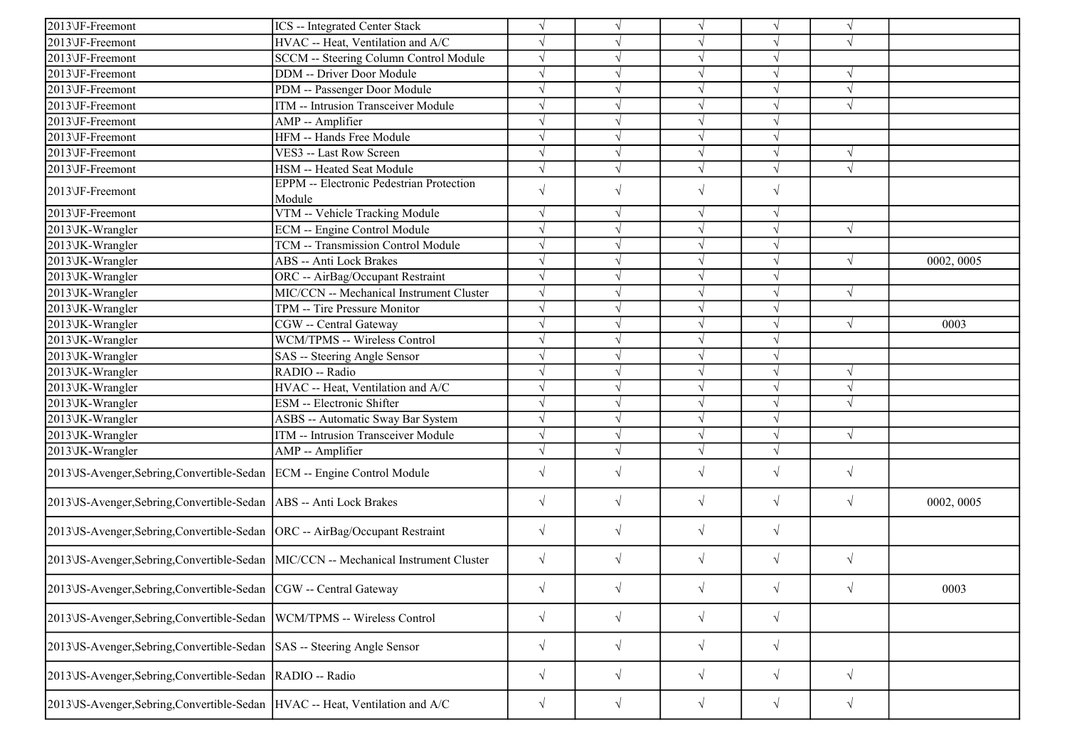| 2013\JF-Freemont                                                                    | ICS -- Integrated Center Stack                            | $\sqrt{}$  |            | $\sqrt{ }$            |            | $\sqrt{ }$ |            |
|-------------------------------------------------------------------------------------|-----------------------------------------------------------|------------|------------|-----------------------|------------|------------|------------|
| 2013\JF-Freemont                                                                    | HVAC -- Heat, Ventilation and A/C                         | $\sqrt{}$  |            | $\sqrt{ }$            | V          | $\sqrt{ }$ |            |
| 2013\JF-Freemont                                                                    | SCCM -- Steering Column Control Module                    | $\sqrt{}$  |            | $\sqrt{ }$            | $\sqrt{ }$ |            |            |
| 2013\JF-Freemont                                                                    | <b>DDM</b> -- Driver Door Module                          | $\sqrt{}$  |            | $\sqrt{ }$            | V          | $\sqrt{ }$ |            |
| 2013\JF-Freemont                                                                    | PDM -- Passenger Door Module                              | $\sqrt{}$  |            | $\sqrt{ }$            | $\sqrt{ }$ | $\sqrt{ }$ |            |
| 2013\JF-Freemont                                                                    | ITM -- Intrusion Transceiver Module                       |            |            | $\sqrt{ }$            |            | $\sqrt{ }$ |            |
| 2013\JF-Freemont                                                                    | AMP -- Amplifier                                          |            |            | $\sqrt{ }$            |            |            |            |
| 2013\JF-Freemont                                                                    | HFM -- Hands Free Module                                  | $\sqrt{ }$ |            | $\sqrt{ }$            | $\sqrt{ }$ |            |            |
| 2013\JF-Freemont                                                                    | VES3 -- Last Row Screen                                   | $\sqrt{ }$ |            | $\sqrt{ }$            | $\sqrt{ }$ | $\sqrt{ }$ |            |
| 2013\JF-Freemont                                                                    | HSM -- Heated Seat Module                                 | $\sqrt{}$  |            | $\sqrt{ }$            | $\sqrt{}$  | $\sqrt{ }$ |            |
| 2013\JF-Freemont                                                                    | <b>EPPM</b> -- Electronic Pedestrian Protection<br>Module | $\sqrt{}$  | $\sqrt{ }$ | $\sqrt{ }$            | $\sqrt{}$  |            |            |
| 2013\JF-Freemont                                                                    | VTM -- Vehicle Tracking Module                            | $\sqrt{ }$ | $\sqrt{ }$ | $\sqrt{ }$            | $\sqrt{ }$ |            |            |
| 2013\JK-Wrangler                                                                    | <b>ECM</b> -- Engine Control Module                       | $\sqrt{ }$ |            | $\sqrt{ }$            | $\sqrt{}$  | $\sqrt{ }$ |            |
| 2013\JK-Wrangler                                                                    | TCM -- Transmission Control Module                        | $\sqrt{ }$ |            | $\sqrt{ }$            | $\sqrt{ }$ |            |            |
| 2013\JK-Wrangler                                                                    | ABS -- Anti Lock Brakes                                   |            |            | $\sqrt{}$             | J          | $\sqrt{ }$ | 0002, 0005 |
| 2013\JK-Wrangler                                                                    | ORC -- AirBag/Occupant Restraint                          | $\sqrt{}$  |            | $\sqrt{}$             | V          |            |            |
| 2013\JK-Wrangler                                                                    | MIC/CCN -- Mechanical Instrument Cluster                  | $\sqrt{}$  |            | $\sqrt{ }$            | V          | $\sqrt{ }$ |            |
| 2013\JK-Wrangler                                                                    | TPM -- Tire Pressure Monitor                              | $\sqrt{}$  |            | $\sqrt{ }$            | V          |            |            |
| 2013\JK-Wrangler                                                                    | CGW -- Central Gateway                                    | $\sqrt{}$  |            | $\sqrt{ }$            | $\sqrt{ }$ | $\sqrt{ }$ | 0003       |
| 2013\JK-Wrangler                                                                    | <b>WCM/TPMS -- Wireless Control</b>                       | $\sqrt{}$  |            | $\sqrt{ }$            | J          |            |            |
| 2013\JK-Wrangler                                                                    | SAS -- Steering Angle Sensor                              |            |            | $\sqrt{ }$            |            |            |            |
| 2013\JK-Wrangler                                                                    | RADIO -- Radio                                            |            |            | $\sqrt{ }$            |            | $\sqrt{ }$ |            |
| 2013\JK-Wrangler                                                                    | HVAC -- Heat, Ventilation and A/C                         | $\sqrt{}$  |            | $\sqrt{ }$            |            | $\sqrt{ }$ |            |
| 2013\JK-Wrangler                                                                    | ESM -- Electronic Shifter                                 | $\sqrt{}$  |            | $\sqrt{}$             | $\sqrt{}$  | $\sqrt{ }$ |            |
| 2013\JK-Wrangler                                                                    | ASBS -- Automatic Sway Bar System                         | $\sqrt{}$  |            | $\sqrt{ }$            | V          |            |            |
| 2013\JK-Wrangler                                                                    | ITM -- Intrusion Transceiver Module                       | $\sqrt{}$  | $\sqrt{ }$ | $\sqrt{ }$            | $\sqrt{ }$ | $\sqrt{ }$ |            |
| 2013\JK-Wrangler                                                                    | AMP -- Amplifier                                          | $\sqrt{}$  | $\sqrt{ }$ | $\overline{\sqrt{2}}$ | $\sqrt{ }$ |            |            |
| 2013\JS-Avenger,Sebring,Convertible-Sedan   ECM -- Engine Control Module            |                                                           | $\sqrt{}$  | $\sqrt{ }$ | $\sqrt{ }$            | $\sqrt{}$  | $\sqrt{ }$ |            |
| 2013\JS-Avenger,Sebring,Convertible-Sedan   ABS -- Anti Lock Brakes                 |                                                           | $\sqrt{}$  | $\sqrt{}$  | $\sqrt{}$             | $\sqrt{}$  | $\sqrt{ }$ | 0002, 0005 |
| 2013\JS-Avenger,Sebring,Convertible-Sedan  ORC -- AirBag/Occupant Restraint         |                                                           | $\sqrt{}$  | $\sqrt{ }$ | $\sqrt{ }$            | $\sqrt{}$  |            |            |
| 2013\JS-Avenger,Sebring,Convertible-Sedan  MIC/CCN -- Mechanical Instrument Cluster |                                                           | $\sqrt{}$  | $\sqrt{}$  | $\sqrt{}$             | $\sqrt{}$  | $\sqrt{}$  |            |
| 2013 JS-Avenger, Sebring, Convertible-Sedan   CGW -- Central Gateway                |                                                           | $\sqrt{}$  | $\sqrt{ }$ | $\sqrt{ }$            | $\sqrt{ }$ | $\sqrt{ }$ | 0003       |
| 2013\JS-Avenger,Sebring,Convertible-Sedan  WCM/TPMS -- Wireless Control             |                                                           | $\sqrt{}$  | $\sqrt{ }$ | $\sqrt{ }$            | $\sqrt{}$  |            |            |
| 2013 VS-Avenger, Sebring, Convertible-Sedan   SAS -- Steering Angle Sensor          |                                                           | $\sqrt{ }$ | $\sqrt{ }$ | $\sqrt{ }$            | $\sqrt{}$  |            |            |
| 2013\JS-Avenger,Sebring,Convertible-Sedan  RADIO -- Radio                           |                                                           | $\sqrt{}$  | $\sqrt{ }$ | $\sqrt{}$             | $\sqrt{}$  | $\sqrt{}$  |            |
| 2013\JS-Avenger,Sebring,Convertible-Sedan  HVAC -- Heat, Ventilation and A/C        |                                                           | $\sqrt{}$  | $\sqrt{ }$ | $\sqrt{}$             | $\sqrt{}$  | $\sqrt{ }$ |            |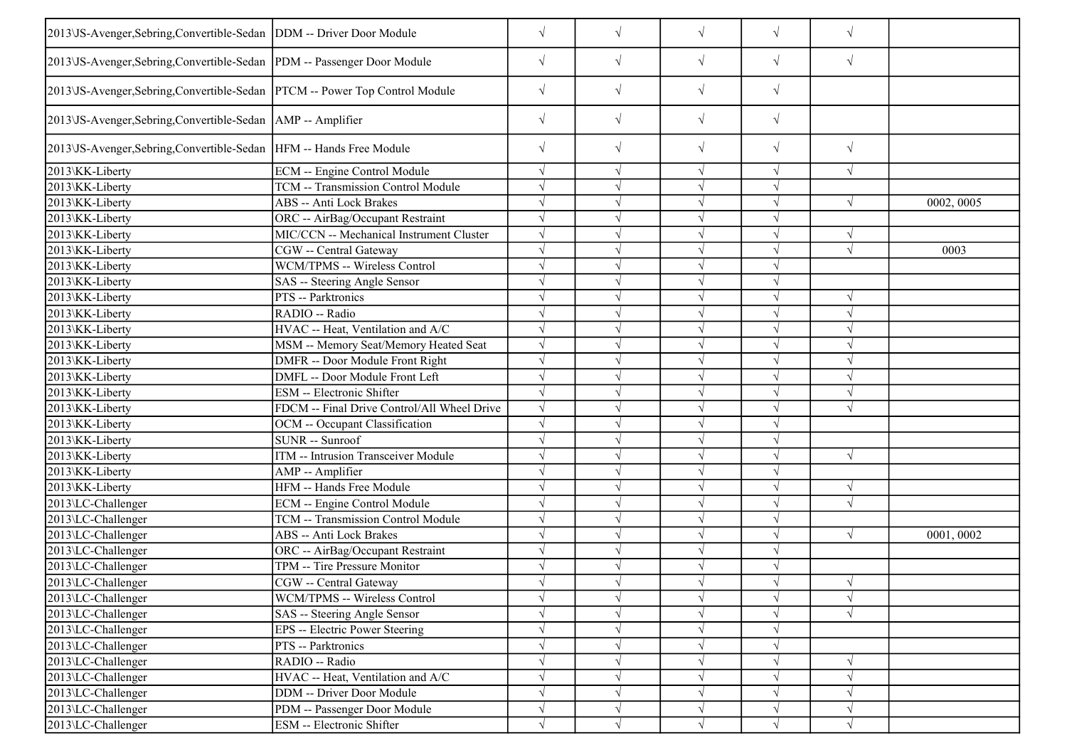| 2013\JS-Avenger, Sebring, Convertible-Sedan   DDM -- Driver Door Module     |                                             | $\sqrt{}$  | $\sqrt{}$  | $\sqrt{}$  | $\sqrt{}$ | $\sqrt{ }$ |            |
|-----------------------------------------------------------------------------|---------------------------------------------|------------|------------|------------|-----------|------------|------------|
| 2013\JS-Avenger,Sebring,Convertible-Sedan  PDM -- Passenger Door Module     |                                             | $\sqrt{}$  | $\sqrt{}$  | $\sqrt{ }$ | $\sqrt{}$ | $\sqrt{ }$ |            |
| 2013\JS-Avenger,Sebring,Convertible-Sedan  PTCM -- Power Top Control Module |                                             | $\sqrt{}$  | $\sqrt{}$  | $\sqrt{ }$ | $\sqrt{}$ |            |            |
| 2013\JS-Avenger,Sebring,Convertible-Sedan   AMP -- Amplifier                |                                             | $\sqrt{ }$ | $\sqrt{ }$ | $\sqrt{ }$ | $\sqrt{}$ |            |            |
| 2013 VS-Avenger, Sebring, Convertible-Sedan   HFM -- Hands Free Module      |                                             | $\sqrt{ }$ | $\sqrt{ }$ | $\sqrt{ }$ | $\sqrt{}$ | $\sqrt{ }$ |            |
| 2013\KK-Liberty                                                             | ECM -- Engine Control Module                | $\sqrt{ }$ | $\sqrt{ }$ | $\sqrt{ }$ | $\sqrt{}$ | $\sqrt{ }$ |            |
| 2013\KK-Liberty                                                             | TCM -- Transmission Control Module          |            |            | $\sqrt{ }$ | V         |            |            |
| 2013\KK-Liberty                                                             | <b>ABS</b> -- Anti Lock Brakes              | $\sqrt{}$  | $\sqrt{ }$ | $\sqrt{ }$ | $\sqrt{}$ | $\sqrt{ }$ | 0002, 0005 |
| 2013\KK-Liberty                                                             | ORC -- AirBag/Occupant Restraint            | $\sqrt{ }$ |            | $\sqrt{ }$ | V         |            |            |
| 2013\KK-Liberty                                                             | MIC/CCN -- Mechanical Instrument Cluster    |            |            | $\sqrt{ }$ | $\sqrt{}$ | $\sqrt{ }$ |            |
| 2013\KK-Liberty                                                             | CGW -- Central Gateway                      |            |            | $\sqrt{ }$ | J         | $\sqrt{ }$ | 0003       |
| 2013\KK-Liberty                                                             | WCM/TPMS -- Wireless Control                |            |            | $\sqrt{ }$ |           |            |            |
| 2013\KK-Liberty                                                             | SAS -- Steering Angle Sensor                | $\sqrt{ }$ |            | $\sqrt{ }$ | V         |            |            |
| 2013\KK-Liberty                                                             | PTS -- Parktronics                          | $\sqrt{}$  |            | $\sqrt{ }$ | V         | $\sqrt{ }$ |            |
| 2013\KK-Liberty                                                             | RADIO -- Radio                              | $\sqrt{ }$ |            | $\sqrt{ }$ | $\sqrt{}$ | $\sqrt{ }$ |            |
| 2013\KK-Liberty                                                             | HVAC -- Heat, Ventilation and A/C           |            |            | $\sqrt{ }$ | $\sqrt{}$ | $\sqrt{ }$ |            |
| 2013\KK-Liberty                                                             | MSM -- Memory Seat/Memory Heated Seat       |            |            | $\sqrt{ }$ | J         | $\Delta$   |            |
| 2013\KK-Liberty                                                             | DMFR -- Door Module Front Right             |            |            | $\sqrt{ }$ |           | $\sqrt{ }$ |            |
| 2013\KK-Liberty                                                             | DMFL -- Door Module Front Left              | $\sqrt{ }$ |            | $\sqrt{ }$ | $\sqrt{}$ | $\sqrt{ }$ |            |
| 2013\KK-Liberty                                                             | ESM -- Electronic Shifter                   |            |            | $\sqrt{ }$ | J         | $\sqrt{ }$ |            |
| 2013\KK-Liberty                                                             | FDCM -- Final Drive Control/All Wheel Drive | $\sqrt{ }$ |            | $\sqrt{ }$ | V         | $\sqrt{ }$ |            |
| 2013\KK-Liberty                                                             | OCM -- Occupant Classification              |            |            | $\sqrt{ }$ | $\sqrt{}$ |            |            |
| 2013\KK-Liberty                                                             | SUNR -- Sunroof                             |            |            | $\sqrt{ }$ |           |            |            |
| 2013\KK-Liberty                                                             | ITM -- Intrusion Transceiver Module         |            |            | $\sqrt{ }$ |           | $\sqrt{ }$ |            |
| 2013\KK-Liberty                                                             | AMP -- Amplifier                            |            |            | $\sqrt{ }$ | J         |            |            |
| 2013\KK-Liberty                                                             | HFM -- Hands Free Module                    |            |            | $\sqrt{ }$ | V         | $\sqrt{ }$ |            |
| 2013\LC-Challenger                                                          | <b>ECM</b> -- Engine Control Module         | $\sqrt{ }$ |            | $\sqrt{ }$ | $\sqrt{}$ | $\sqrt{ }$ |            |
| 2013\LC-Challenger                                                          | TCM -- Transmission Control Module          | $\sqrt{ }$ |            | $\sqrt{ }$ | $\sqrt{}$ |            |            |
| 2013\LC-Challenger                                                          | ABS -- Anti Lock Brakes                     |            |            | $\sqrt{ }$ | $\sqrt{}$ | $\sqrt{ }$ | 0001,0002  |
| 2013\LC-Challenger                                                          | ORC -- AirBag/Occupant Restraint            |            |            | $\sqrt{ }$ | V         |            |            |
| 2013\LC-Challenger                                                          | TPM -- Tire Pressure Monitor                |            |            | $\sqrt{ }$ | V         |            |            |
| 2013\LC-Challenger                                                          | CGW -- Central Gateway                      |            |            | $\sqrt{ }$ | ٦I        | $\sqrt{ }$ |            |
| 2013\LC-Challenger                                                          | WCM/TPMS -- Wireless Control                | $\sqrt{}$  | $\sqrt{}$  | $\sqrt{ }$ | $\sqrt{}$ | $\sqrt{ }$ |            |
| 2013\LC-Challenger                                                          | SAS -- Steering Angle Sensor                |            |            | $\sqrt{ }$ |           | $\sqrt{ }$ |            |
| 2013\LC-Challenger                                                          | EPS -- Electric Power Steering              |            |            | $\sqrt{ }$ |           |            |            |
| 2013\LC-Challenger                                                          | PTS -- Parktronics                          |            |            | $\sqrt{ }$ |           |            |            |
| 2013\LC-Challenger                                                          | RADIO -- Radio                              |            |            | $\sqrt{ }$ |           | $\sqrt{ }$ |            |
| 2013\LC-Challenger                                                          | HVAC -- Heat, Ventilation and A/C           |            |            | $\sqrt{ }$ |           | $\sqrt{ }$ |            |
| 2013\LC-Challenger                                                          | DDM -- Driver Door Module                   |            |            | $\sqrt{ }$ | V         | $\sqrt{ }$ |            |
| 2013\LC-Challenger                                                          | PDM -- Passenger Door Module                | $\sqrt{}$  | $\sqrt{ }$ | $\sqrt{ }$ | $\sqrt{}$ | $\sqrt{ }$ |            |
| 2013\LC-Challenger                                                          | ESM -- Electronic Shifter                   |            | $\sqrt{}$  | $\sqrt{ }$ | $\sqrt{}$ | $\sqrt{}$  |            |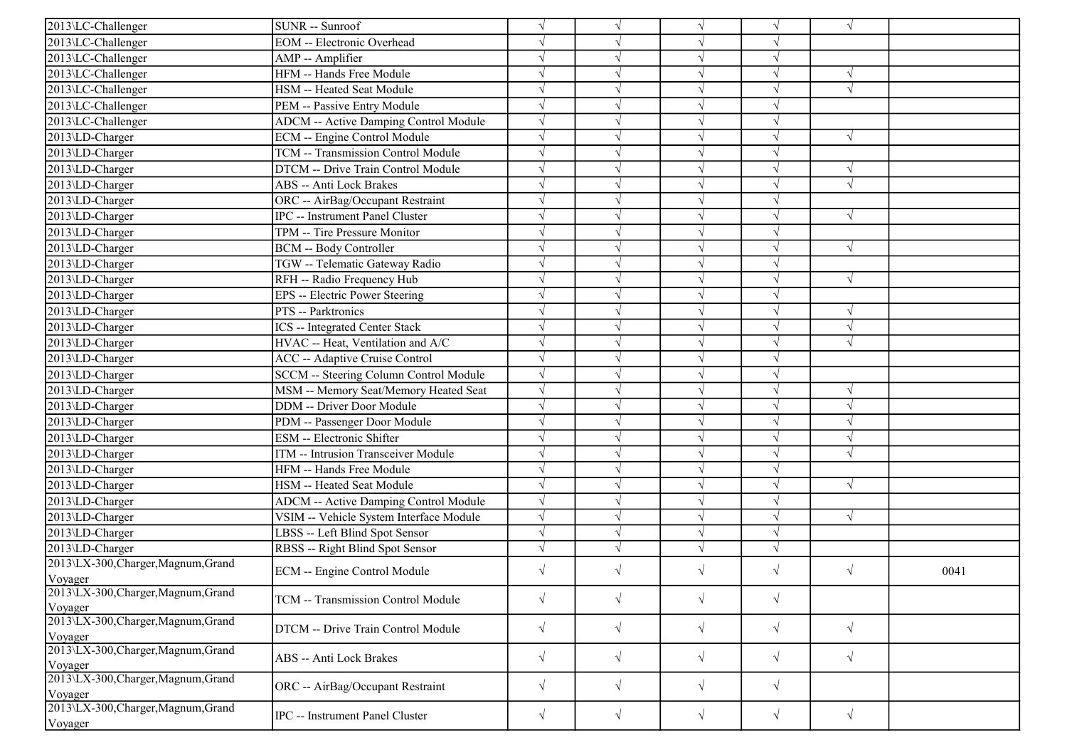| 2013\LC-Challenger                             | SUNR -- Sunroof                         |            |            | $\sqrt{ }$ | V          | $\sqrt{ }$ |      |
|------------------------------------------------|-----------------------------------------|------------|------------|------------|------------|------------|------|
| 2013\LC-Challenger                             | <b>EOM</b> -- Electronic Overhead       | $\sqrt{}$  |            | $\sqrt{ }$ | V          |            |      |
| 2013\LC-Challenger                             | AMP -- Amplifier                        | $\sqrt{}$  |            | $\sqrt{ }$ | $\sqrt{}$  |            |      |
| 2013\LC-Challenger                             | HFM -- Hands Free Module                |            |            | $\sqrt{ }$ |            |            |      |
| 2013\LC-Challenger                             | HSM -- Heated Seat Module               | $\sqrt{}$  |            | $\sqrt{ }$ | J          | $\sqrt{ }$ |      |
| 2013\LC-Challenger                             | PEM -- Passive Entry Module             | $\sqrt{}$  |            | $\sqrt{ }$ | V          |            |      |
| 2013\LC-Challenger                             | ADCM -- Active Damping Control Module   | $\sqrt{ }$ |            | $\sqrt{ }$ | V          |            |      |
| 2013\LD-Charger                                | ECM -- Engine Control Module            | $\sqrt{ }$ |            | $\sqrt{ }$ | V          | $\sqrt{ }$ |      |
| 2013\LD-Charger                                | TCM -- Transmission Control Module      | $\sqrt{ }$ |            | $\sqrt{ }$ | $\sqrt{ }$ |            |      |
| 2013\LD-Charger                                | DTCM -- Drive Train Control Module      |            |            | $\sqrt{ }$ | J          | $\gamma$   |      |
| 2013\LD-Charger                                | ABS -- Anti Lock Brakes                 | $\sqrt{}$  |            | $\sqrt{ }$ | J          | $\sqrt{ }$ |      |
| 2013\LD-Charger                                | ORC -- AirBag/Occupant Restraint        |            |            | $\sqrt{ }$ | V          |            |      |
| 2013\LD-Charger                                | IPC -- Instrument Panel Cluster         | $\sqrt{}$  |            | $\sqrt{ }$ | $\sqrt{ }$ | $\sqrt{ }$ |      |
| 2013\LD-Charger                                | TPM -- Tire Pressure Monitor            | $\sqrt{}$  |            | $\sqrt{ }$ | V          |            |      |
| 2013\LD-Charger                                | <b>BCM -- Body Controller</b>           | $\sqrt{}$  |            | $\sqrt{ }$ | V          | $\sqrt{ }$ |      |
| 2013\LD-Charger                                | TGW -- Telematic Gateway Radio          |            |            | $\sqrt{ }$ |            |            |      |
| 2013\LD-Charger                                | RFH -- Radio Frequency Hub              |            |            | $\sqrt{}$  | J          | $\sqrt{ }$ |      |
| 2013\LD-Charger                                | EPS -- Electric Power Steering          |            |            | $\sqrt{ }$ |            |            |      |
| 2013\LD-Charger                                | PTS -- Parktronics                      | $\sqrt{ }$ |            | $\sqrt{ }$ | V          | $\sqrt{ }$ |      |
| 2013\LD-Charger                                | <b>ICS</b> -- Integrated Center Stack   | $\sqrt{ }$ |            | $\sqrt{ }$ | V          | $\sqrt{ }$ |      |
| 2013\LD-Charger                                | HVAC -- Heat, Ventilation and A/C       | $\sqrt{ }$ |            | $\sqrt{ }$ | V          | $\sqrt{ }$ |      |
| 2013\LD-Charger                                | ACC -- Adaptive Cruise Control          | $\sqrt{ }$ |            | $\sqrt{ }$ | $\sqrt{ }$ |            |      |
| 2013\LD-Charger                                | SCCM -- Steering Column Control Module  | $\sqrt{}$  |            | $\sqrt{}$  | J          |            |      |
| 2013\LD-Charger                                | MSM -- Memory Seat/Memory Heated Seat   | $\sqrt{}$  |            | $\sqrt{ }$ |            | $\sqrt{ }$ |      |
| 2013\LD-Charger                                | DDM -- Driver Door Module               | $\sqrt{}$  |            | $\sqrt{ }$ | $\sqrt{ }$ | $\sqrt{ }$ |      |
| 2013\LD-Charger                                | PDM -- Passenger Door Module            | $\sqrt{}$  |            | $\sqrt{ }$ | V          | $\sqrt{ }$ |      |
| 2013\LD-Charger                                | ESM -- Electronic Shifter               | $\sqrt{}$  |            | $\sqrt{ }$ | V          | $\sqrt{ }$ |      |
| 2013\LD-Charger                                | ITM -- Intrusion Transceiver Module     | $\sqrt{}$  |            | $\sqrt{ }$ | $\sqrt{}$  | $\sqrt{ }$ |      |
| 2013\LD-Charger                                | HFM -- Hands Free Module                | $\sqrt{}$  |            | $\sqrt{ }$ | N          |            |      |
| 2013\LD-Charger                                | HSM -- Heated Seat Module               | $\sqrt{}$  |            | $\sqrt{ }$ |            | $\sqrt{ }$ |      |
| 2013\LD-Charger                                | ADCM -- Active Damping Control Module   | $\sqrt{}$  |            | $\sqrt{ }$ | V          |            |      |
| 2013\LD-Charger                                | VSIM -- Vehicle System Interface Module | $\sqrt{ }$ |            | $\sqrt{ }$ | V          | $\sqrt{ }$ |      |
| 2013\LD-Charger                                | LBSS -- Left Blind Spot Sensor          | $\sqrt{ }$ | $\sqrt{ }$ | $\sqrt{}$  | $\sqrt{ }$ |            |      |
| 2013\LD-Charger                                | RBSS -- Right Blind Spot Sensor         | $\sqrt{}$  |            | $\sqrt{ }$ | $\sqrt{ }$ |            |      |
| 2013\LX-300, Charger, Magnum, Grand            | ECM -- Engine Control Module            | $\sqrt{ }$ |            | $\sqrt{ }$ | $\sqrt{ }$ | $\sqrt{ }$ | 0041 |
| Voyager                                        |                                         |            |            |            |            |            |      |
| 2013\LX-300, Charger, Magnum, Grand<br>Voyager | TCM -- Transmission Control Module      | $\sqrt{}$  | $\sqrt{ }$ | $\sqrt{}$  | $\sqrt{}$  |            |      |
| 2013\LX-300,Charger,Magnum,Grand<br>Voyager    | DTCM -- Drive Train Control Module      | $\sqrt{}$  | $\sqrt{ }$ | $\sqrt{ }$ | $\sqrt{}$  | $\sqrt{ }$ |      |
| 2013\LX-300, Charger, Magnum, Grand<br>Voyager | ABS -- Anti Lock Brakes                 | $\sqrt{}$  | $\sqrt{ }$ | $\sqrt{ }$ | $\sqrt{}$  | $\sqrt{ }$ |      |
| 2013\LX-300, Charger, Magnum, Grand<br>Voyager | ORC -- AirBag/Occupant Restraint        | $\sqrt{}$  | $\sqrt{}$  | $\sqrt{}$  | $\sqrt{}$  |            |      |
| 2013\LX-300,Charger,Magnum,Grand<br>Voyager    | <b>IPC</b> -- Instrument Panel Cluster  | $\sqrt{}$  | $\sqrt{ }$ | $\sqrt{ }$ | $\sqrt{ }$ | $\sqrt{ }$ |      |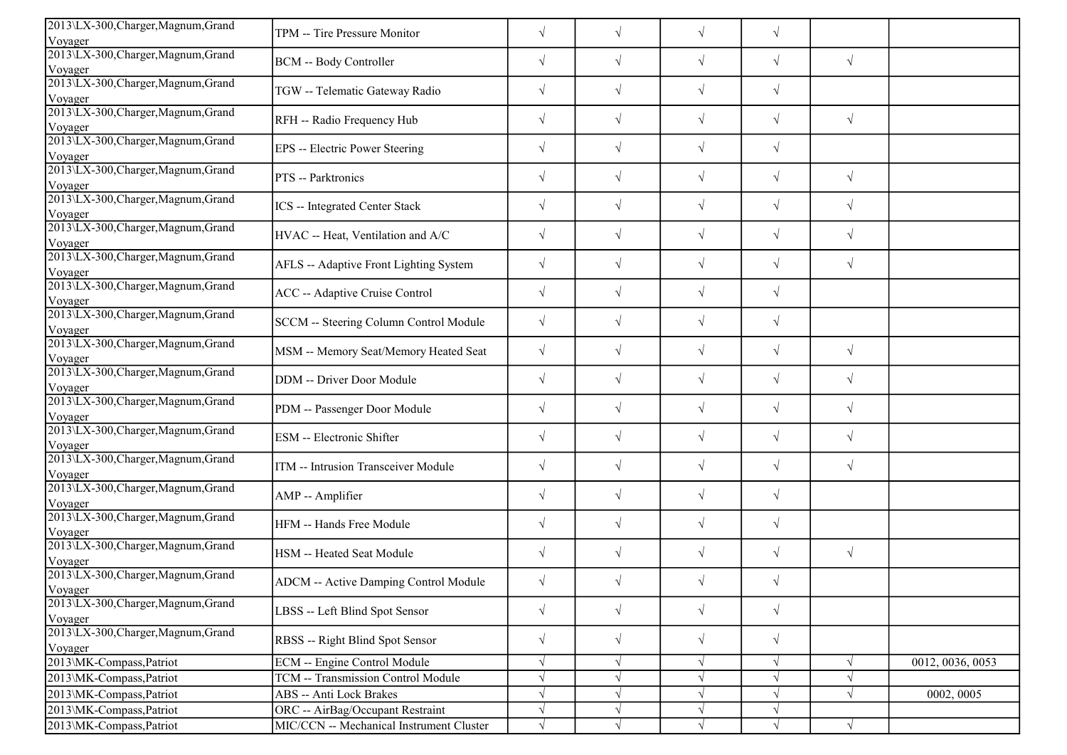| 2013\LX-300, Charger, Magnum, Grand<br>Voyager | TPM -- Tire Pressure Monitor                 | $\sqrt{}$  | $\sqrt{}$  | $\sqrt{}$  | $\sqrt{}$  |            |                  |
|------------------------------------------------|----------------------------------------------|------------|------------|------------|------------|------------|------------------|
| 2013\LX-300, Charger, Magnum, Grand<br>Voyager | BCM -- Body Controller                       | $\sqrt{}$  | $\sqrt{}$  | $\sqrt{ }$ | $\sqrt{ }$ | $\sqrt{ }$ |                  |
| 2013\LX-300, Charger, Magnum, Grand<br>Voyager | TGW -- Telematic Gateway Radio               | $\sqrt{}$  | $\sqrt{}$  | $\sqrt{}$  | $\sqrt{}$  |            |                  |
| 2013\LX-300, Charger, Magnum, Grand<br>Voyager | RFH -- Radio Frequency Hub                   | $\sqrt{}$  | $\sqrt{}$  | $\sqrt{ }$ | $\sqrt{ }$ | $\sqrt{ }$ |                  |
| 2013\LX-300, Charger, Magnum, Grand<br>Voyager | EPS -- Electric Power Steering               | $\sqrt{}$  | $\sqrt{}$  | $\sqrt{ }$ | $\sqrt{ }$ |            |                  |
| 2013\LX-300, Charger, Magnum, Grand<br>Voyager | PTS -- Parktronics                           | $\sqrt{}$  | $\sqrt{}$  | $\sqrt{ }$ | $\sqrt{ }$ | $\sqrt{ }$ |                  |
| 2013\LX-300, Charger, Magnum, Grand<br>Voyager | ICS -- Integrated Center Stack               | $\sqrt{}$  | $\sqrt{}$  | $\sqrt{ }$ | $\sqrt{ }$ | $\sqrt{ }$ |                  |
| 2013\LX-300, Charger, Magnum, Grand<br>Voyager | HVAC -- Heat, Ventilation and A/C            | $\sqrt{}$  | $\sqrt{}$  | $\sqrt{ }$ | $\sqrt{ }$ | $\sqrt{}$  |                  |
| 2013\LX-300, Charger, Magnum, Grand<br>Voyager | AFLS -- Adaptive Front Lighting System       | $\sqrt{}$  | $\sqrt{}$  | $\sqrt{ }$ | $\sqrt{}$  | $\sqrt{ }$ |                  |
| 2013\LX-300, Charger, Magnum, Grand<br>Voyager | ACC -- Adaptive Cruise Control               | $\sqrt{}$  | $\sqrt{}$  | $\sqrt{ }$ | $\sqrt{ }$ |            |                  |
| 2013\LX-300, Charger, Magnum, Grand<br>Voyager | SCCM -- Steering Column Control Module       | $\sqrt{}$  | $\sqrt{}$  | $\sqrt{ }$ | $\sqrt{ }$ |            |                  |
| 2013\LX-300, Charger, Magnum, Grand<br>Voyager | MSM -- Memory Seat/Memory Heated Seat        | $\sqrt{}$  | $\sqrt{}$  | $\sqrt{ }$ | $\sqrt{ }$ | $\sqrt{ }$ |                  |
| 2013\LX-300, Charger, Magnum, Grand<br>Voyager | DDM -- Driver Door Module                    | $\sqrt{}$  | $\sqrt{}$  | $\sqrt{}$  | $\sqrt{ }$ | $\sqrt{ }$ |                  |
| 2013\LX-300, Charger, Magnum, Grand<br>Voyager | PDM -- Passenger Door Module                 | $\sqrt{}$  | $\sqrt{}$  | $\sqrt{ }$ | $\sqrt{}$  | $\sqrt{ }$ |                  |
| 2013\LX-300, Charger, Magnum, Grand<br>Voyager | ESM -- Electronic Shifter                    | $\sqrt{}$  | $\sqrt{}$  | $\sqrt{ }$ | $\sqrt{}$  | $\sqrt{ }$ |                  |
| 2013\LX-300, Charger, Magnum, Grand<br>Voyager | ITM -- Intrusion Transceiver Module          | $\sqrt{}$  | $\sqrt{}$  | $\sqrt{ }$ | $\sqrt{ }$ | $\sqrt{ }$ |                  |
| 2013\LX-300, Charger, Magnum, Grand<br>Voyager | AMP -- Amplifier                             | $\sqrt{}$  | $\sqrt{ }$ | $\sqrt{ }$ | $\sqrt{ }$ |            |                  |
| 2013\LX-300, Charger, Magnum, Grand<br>Voyager | HFM -- Hands Free Module                     | $\sqrt{}$  | $\sqrt{ }$ | $\sqrt{ }$ | $\sqrt{}$  |            |                  |
| 2013\LX-300, Charger, Magnum, Grand<br>Voyager | HSM -- Heated Seat Module                    | $\sqrt{}$  | $\sqrt{}$  | $\sqrt{ }$ | $\sqrt{}$  | $\sqrt{ }$ |                  |
| 2013\LX-300, Charger, Magnum, Grand<br>Voyager | <b>ADCM -- Active Damping Control Module</b> | $\sqrt{ }$ | $\sqrt{ }$ | $\sqrt{ }$ | $\sqrt{ }$ |            |                  |
| 2013\LX-300, Charger, Magnum, Grand<br>Voyager | LBSS -- Left Blind Spot Sensor               | $\sqrt{}$  | $\sqrt{}$  | $\sqrt{ }$ | $\sqrt{ }$ |            |                  |
| 2013\LX-300, Charger, Magnum, Grand<br>Voyager | RBSS -- Right Blind Spot Sensor              | $\sqrt{}$  | $\sqrt{}$  | $\sqrt{ }$ | $\sqrt{ }$ |            |                  |
| 2013\MK-Compass, Patriot                       | ECM -- Engine Control Module                 | $\sqrt{}$  | $\sqrt{ }$ | $\sqrt{ }$ | $\sqrt{ }$ | $\sqrt{}$  | 0012, 0036, 0053 |
| 2013\MK-Compass,Patriot                        | TCM -- Transmission Control Module           | $\sqrt{ }$ | $\sqrt{ }$ | $\sqrt{}$  | $\sqrt{ }$ | $\sqrt{ }$ |                  |
| 2013\MK-Compass,Patriot                        | <b>ABS</b> -- Anti Lock Brakes               | $\sqrt{ }$ |            | $\sqrt{ }$ | $\sqrt{ }$ | $\sqrt{ }$ | 0002, 0005       |
| 2013\MK-Compass,Patriot                        | ORC -- AirBag/Occupant Restraint             | V          | $\sqrt{ }$ | $\sqrt{ }$ | $\sqrt{ }$ |            |                  |
| 2013\MK-Compass,Patriot                        | MIC/CCN -- Mechanical Instrument Cluster     | $\sqrt{ }$ | $\sqrt{}$  | $\sqrt{}$  | $\sqrt{ }$ | $\sqrt{ }$ |                  |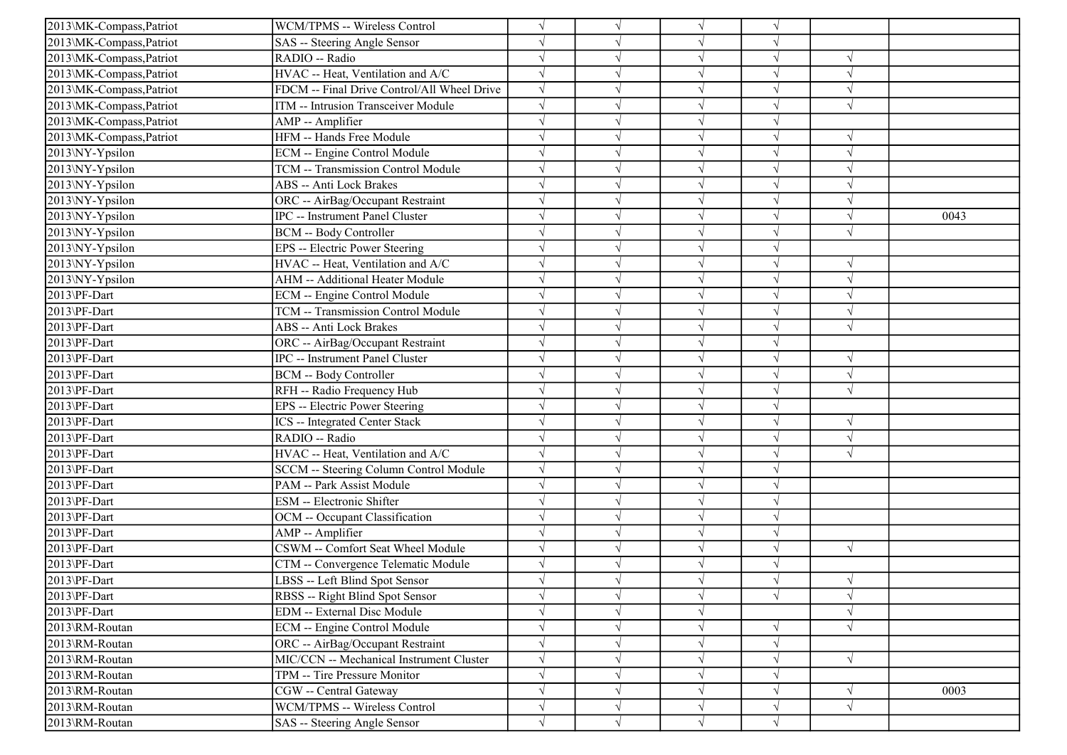| 2013\MK-Compass, Patriot | WCM/TPMS -- Wireless Control                |            |            | $\sqrt{ }$ |            |            |      |
|--------------------------|---------------------------------------------|------------|------------|------------|------------|------------|------|
| 2013\MK-Compass,Patriot  | SAS -- Steering Angle Sensor                |            |            | $\sqrt{ }$ | V          |            |      |
| 2013\MK-Compass, Patriot | RADIO -- Radio                              | $\sqrt{ }$ |            | $\sqrt{ }$ | V          | $\sqrt{ }$ |      |
| 2013\MK-Compass, Patriot | HVAC -- Heat, Ventilation and A/C           |            |            | $\sqrt{}$  |            |            |      |
| 2013\MK-Compass, Patriot | FDCM -- Final Drive Control/All Wheel Drive | $\sqrt{ }$ |            | $\sqrt{ }$ |            | $\sqrt{ }$ |      |
| 2013\MK-Compass, Patriot | ITM -- Intrusion Transceiver Module         | $\sqrt{}$  |            | $\sqrt{ }$ |            | $\sqrt{ }$ |      |
| 2013\MK-Compass, Patriot | AMP -- Amplifier                            | $\sqrt{}$  |            | $\sqrt{ }$ | V          |            |      |
| 2013\MK-Compass,Patriot  | HFM -- Hands Free Module                    |            |            | $\sqrt{ }$ | V          | $\sqrt{ }$ |      |
| 2013\NY-Ypsilon          | ECM -- Engine Control Module                |            |            | $\sqrt{ }$ | $\sqrt{ }$ | $\sqrt{ }$ |      |
| 2013\NY-Ypsilon          | TCM -- Transmission Control Module          |            |            | $\sqrt{ }$ |            |            |      |
| 2013\NY-Ypsilon          | <b>ABS</b> -- Anti Lock Brakes              |            |            | $\sqrt{ }$ |            | $\sqrt{ }$ |      |
| 2013\NY-Ypsilon          | ORC -- AirBag/Occupant Restraint            |            |            | $\sqrt{}$  |            | $\sqrt{ }$ |      |
| 2013\NY-Ypsilon          | IPC -- Instrument Panel Cluster             | $\sqrt{}$  |            | $\sqrt{}$  |            | $\sqrt{ }$ | 0043 |
| 2013\NY-Ypsilon          | <b>BCM -- Body Controller</b>               | $\sqrt{}$  | $\sqrt{ }$ | $\sqrt{ }$ | V          | $\sqrt{ }$ |      |
| 2013\NY-Ypsilon          | EPS -- Electric Power Steering              |            |            | $\sqrt{ }$ |            |            |      |
| 2013\NY-Ypsilon          | HVAC -- Heat, Ventilation and A/C           |            |            | $\sqrt{}$  |            | $\sqrt{ }$ |      |
| 2013\NY-Ypsilon          | AHM -- Additional Heater Module             |            |            | $\sqrt{ }$ |            | $\sqrt{ }$ |      |
| 2013\PF-Dart             | ECM -- Engine Control Module                |            |            | $\sqrt{}$  |            |            |      |
| 2013\PF-Dart             | TCM -- Transmission Control Module          | $\sqrt{}$  |            | $\sqrt{}$  |            | $\sqrt{ }$ |      |
| 2013\PF-Dart             | ABS -- Anti Lock Brakes                     | $\sqrt{}$  |            | $\sqrt{ }$ |            | $\sqrt{ }$ |      |
| 2013\PF-Dart             | ORC -- AirBag/Occupant Restraint            | $\sqrt{}$  |            | $\sqrt{ }$ | $\sqrt{ }$ |            |      |
| 2013\PF-Dart             | IPC -- Instrument Panel Cluster             |            |            | $\sqrt{}$  | $\sqrt{}$  | $\sqrt{ }$ |      |
| 2013\PF-Dart             | <b>BCM -- Body Controller</b>               |            |            | $\sqrt{ }$ |            | $\sqrt{ }$ |      |
| 2013\PF-Dart             | RFH -- Radio Frequency Hub                  |            |            | $\sqrt{ }$ | $\sqrt{ }$ | $\sqrt{ }$ |      |
| 2013\PF-Dart             | EPS -- Electric Power Steering              | $\sqrt{ }$ |            | $\sqrt{}$  | $\sqrt{}$  |            |      |
| 2013\PF-Dart             | ICS -- Integrated Center Stack              |            |            | $\sqrt{ }$ |            | $\sqrt{ }$ |      |
| 2013\PF-Dart             | RADIO -- Radio                              |            |            | $\sqrt{ }$ | J          | $\sqrt{ }$ |      |
| 2013\PF-Dart             | HVAC -- Heat, Ventilation and A/C           |            |            | $\sqrt{ }$ |            | $\sqrt{ }$ |      |
| 2013\PF-Dart             | SCCM -- Steering Column Control Module      |            |            | $\sqrt{ }$ |            |            |      |
| 2013\PF-Dart             | PAM -- Park Assist Module                   |            |            | $\sqrt{}$  |            |            |      |
| 2013\PF-Dart             | ESM -- Electronic Shifter                   | $\sqrt{}$  |            | $\sqrt{ }$ | V          |            |      |
| 2013\PF-Dart             | OCM -- Occupant Classification              | $\sqrt{}$  |            | $\sqrt{ }$ | V          |            |      |
| 2013\PF-Dart             | AMP -- Amplifier                            |            |            | $\sqrt{ }$ | $\sqrt{}$  |            |      |
| 2013\PF-Dart             | CSWM -- Comfort Seat Wheel Module           | $\sqrt{}$  |            | $\sqrt{ }$ | $\sqrt{}$  | $\sqrt{ }$ |      |
| 2013\PF-Dart             | CTM -- Convergence Telematic Module         |            |            | $\sqrt{ }$ |            |            |      |
| 2013\PF-Dart             | LBSS -- Left Blind Spot Sensor              |            |            | $\sqrt{ }$ |            | $\sqrt{ }$ |      |
| 2013\PF-Dart             | RBSS -- Right Blind Spot Sensor             | $\sqrt{}$  | $\sqrt{ }$ | $\sqrt{ }$ | $\sqrt{ }$ | $\sqrt{ }$ |      |
| 2013\PF-Dart             | <b>EDM</b> -- External Disc Module          | $\sqrt{}$  |            | $\sqrt{ }$ |            | $\sqrt{ }$ |      |
| 2013\RM-Routan           | ECM -- Engine Control Module                | $\sqrt{}$  | V          | $\sqrt{ }$ |            | $\sqrt{ }$ |      |
| 2013\RM-Routan           | ORC -- AirBag/Occupant Restraint            |            |            | $\sqrt{}$  | V          |            |      |
| 2013\RM-Routan           | MIC/CCN -- Mechanical Instrument Cluster    |            |            | $\sqrt{}$  |            | $\sqrt{ }$ |      |
| 2013\RM-Routan           | TPM -- Tire Pressure Monitor                | $\sqrt{}$  |            | $\sqrt{ }$ |            |            |      |
| 2013\RM-Routan           | CGW -- Central Gateway                      |            |            | $\sqrt{ }$ |            | $\sqrt{ }$ | 0003 |
| 2013\RM-Routan           | WCM/TPMS -- Wireless Control                | $\sqrt{}$  | V          | $\sqrt{ }$ | V          | $\sqrt{ }$ |      |
| 2013\RM-Routan           | SAS -- Steering Angle Sensor                | $\sqrt{}$  | $\sqrt{}$  | $\sqrt{ }$ | $\sqrt{}$  |            |      |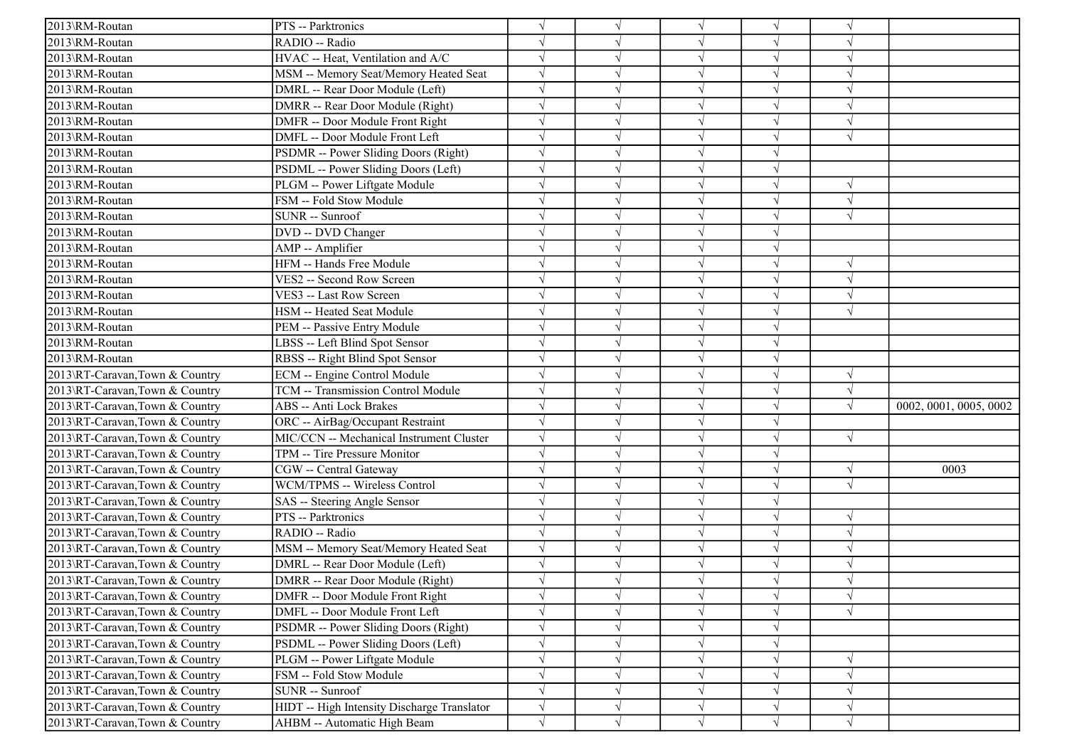| 2013\RM-Routan                 | PTS -- Parktronics                          | $\sqrt{ }$ |   | $\sqrt{}$  | $\sqrt{ }$ | $\sqrt{ }$ |                        |
|--------------------------------|---------------------------------------------|------------|---|------------|------------|------------|------------------------|
| 2013\RM-Routan                 | RADIO -- Radio                              |            |   | $\sqrt{}$  |            |            |                        |
| 2013\RM-Routan                 | HVAC -- Heat, Ventilation and A/C           | $\sqrt{ }$ |   | $\sqrt{}$  |            | $\sqrt{ }$ |                        |
| 2013\RM-Routan                 | MSM -- Memory Seat/Memory Heated Seat       | $\sqrt{ }$ |   | $\sqrt{}$  | $\sqrt{}$  | $\sqrt{2}$ |                        |
| 2013\RM-Routan                 | DMRL -- Rear Door Module (Left)             |            |   |            |            |            |                        |
| 2013\RM-Routan                 | DMRR -- Rear Door Module (Right)            | $\sqrt{ }$ |   |            |            |            |                        |
| 2013\RM-Routan                 | DMFR -- Door Module Front Right             | $\sqrt{ }$ |   | $\sqrt{}$  | J          | $\sqrt{ }$ |                        |
| 2013\RM-Routan                 | DMFL -- Door Module Front Left              | $\sqrt{ }$ |   | $\sqrt{ }$ |            | $\sqrt{ }$ |                        |
| 2013\RM-Routan                 | PSDMR -- Power Sliding Doors (Right)        | $\sqrt{ }$ |   | $\sqrt{ }$ | J          |            |                        |
| 2013\RM-Routan                 | PSDML -- Power Sliding Doors (Left)         | $\sqrt{ }$ |   | $\sqrt{ }$ | $\sqrt{ }$ |            |                        |
| 2013\RM-Routan                 | PLGM -- Power Liftgate Module               |            |   | $\sqrt{ }$ |            | $\sqrt{ }$ |                        |
| 2013\RM-Routan                 | FSM -- Fold Stow Module                     |            |   | $\sqrt{}$  |            | $\sqrt{ }$ |                        |
| 2013\RM-Routan                 | SUNR -- Sunroof                             |            |   | $\sqrt{}$  | V          | $\sqrt{ }$ |                        |
| 2013\RM-Routan                 | DVD -- DVD Changer                          |            |   | $\sqrt{}$  | V          |            |                        |
| 2013\RM-Routan                 | AMP -- Amplifier                            | $\sqrt{ }$ |   | $\sqrt{}$  | J          |            |                        |
| 2013\RM-Routan                 | HFM -- Hands Free Module                    | $\sqrt{ }$ |   | $\sqrt{ }$ | $\sqrt{}$  | $\sqrt{ }$ |                        |
| 2013\RM-Routan                 | VES2 -- Second Row Screen                   |            |   | $\sqrt{}$  |            | $\sqrt{ }$ |                        |
| 2013\RM-Routan                 | VES3 -- Last Row Screen                     | $\sqrt{ }$ |   | $\sqrt{}$  |            | $\sqrt{ }$ |                        |
| 2013\RM-Routan                 | HSM -- Heated Seat Module                   | $\sqrt{ }$ |   | $\sqrt{}$  |            | $\sqrt{ }$ |                        |
| 2013\RM-Routan                 | PEM -- Passive Entry Module                 | $\sqrt{ }$ |   | $\sqrt{}$  | J          |            |                        |
| 2013\RM-Routan                 | LBSS -- Left Blind Spot Sensor              | $\sqrt{ }$ |   | $\sqrt{}$  | J          |            |                        |
| 2013\RM-Routan                 | RBSS -- Right Blind Spot Sensor             | $\sqrt{ }$ |   | $\sqrt{ }$ | V          |            |                        |
| 2013\RT-Caravan,Town & Country | ECM -- Engine Control Module                | $\sqrt{ }$ |   | $\sqrt{ }$ |            | $\sqrt{ }$ |                        |
| 2013\RT-Caravan,Town & Country | TCM -- Transmission Control Module          |            |   | $\sqrt{}$  |            | $\sqrt{ }$ |                        |
| 2013\RT-Caravan,Town & Country | <b>ABS -- Anti Lock Brakes</b>              |            |   | $\sqrt{}$  |            | $\sqrt{ }$ | 0002, 0001, 0005, 0002 |
| 2013\RT-Caravan,Town & Country | ORC -- AirBag/Occupant Restraint            | $\sqrt{ }$ |   | $\sqrt{}$  | V          |            |                        |
| 2013\RT-Caravan,Town & Country | MIC/CCN -- Mechanical Instrument Cluster    | $\sqrt{ }$ |   | $\sqrt{}$  | J          | $\sqrt{ }$ |                        |
| 2013\RT-Caravan,Town & Country | TPM -- Tire Pressure Monitor                | $\sqrt{ }$ |   | $\sqrt{}$  | J          |            |                        |
| 2013\RT-Caravan,Town & Country | CGW -- Central Gateway                      |            |   | $\sqrt{}$  | J          | $\sqrt{ }$ | 0003                   |
| 2013\RT-Caravan,Town & Country | WCM/TPMS -- Wireless Control                |            |   | $\sqrt{}$  |            | $\sqrt{ }$ |                        |
| 2013\RT-Caravan,Town & Country | SAS -- Steering Angle Sensor                | $\sqrt{ }$ |   | $\sqrt{}$  |            |            |                        |
| 2013\RT-Caravan,Town & Country | PTS -- Parktronics                          | $\sqrt{ }$ |   | $\sqrt{}$  | J          | $\sqrt{ }$ |                        |
| 2013\RT-Caravan,Town & Country | RADIO -- Radio                              | $\sqrt{ }$ |   | $\sqrt{ }$ | J          | $\sqrt{ }$ |                        |
| 2013\RT-Caravan,Town & Country | MSM -- Memory Seat/Memory Heated Seat       | $\sqrt{ }$ |   | $\sqrt{ }$ | $\sqrt{}$  | $\sqrt{ }$ |                        |
| 2013\RT-Caravan,Town & Country | DMRL -- Rear Door Module (Left)             | $\sqrt{ }$ |   | $\sqrt{ }$ | $\sqrt{ }$ | $\sqrt{ }$ |                        |
| 2013\RT-Caravan,Town & Country | DMRR -- Rear Door Module (Right)            |            |   |            |            |            |                        |
| 2013\RT-Caravan,Town & Country | DMFR -- Door Module Front Right             | $\sqrt{}$  |   | $\sqrt{}$  | $\sqrt{ }$ | $\sqrt{ }$ |                        |
| 2013\RT-Caravan,Town & Country | DMFL -- Door Module Front Left              | $\sqrt{}$  |   | $\sqrt{}$  | $\sqrt{ }$ | $\sqrt{ }$ |                        |
| 2013\RT-Caravan,Town & Country | PSDMR -- Power Sliding Doors (Right)        | $\sqrt{}$  |   | $\sqrt{}$  | V          |            |                        |
| 2013\RT-Caravan,Town & Country | PSDML -- Power Sliding Doors (Left)         | $\sqrt{}$  |   | $\sqrt{}$  | $\sqrt{}$  |            |                        |
| 2013\RT-Caravan,Town & Country | PLGM -- Power Liftgate Module               | $\sqrt{}$  |   | $\sqrt{}$  | V          | $\sqrt{ }$ |                        |
| 2013\RT-Caravan,Town & Country | FSM -- Fold Stow Module                     | $\sqrt{ }$ |   | V          |            | $\sqrt{ }$ |                        |
| 2013\RT-Caravan,Town & Country | SUNR -- Sunroof                             | $\sqrt{ }$ |   | $\sqrt{}$  | V          | $\sqrt{ }$ |                        |
| 2013\RT-Caravan,Town & Country | HIDT -- High Intensity Discharge Translator | $\sqrt{}$  | V | $\sqrt{}$  | V          | $\sqrt{ }$ |                        |
| 2013\RT-Caravan,Town & Country | AHBM -- Automatic High Beam                 | $\sqrt{ }$ | V | $\sqrt{ }$ | $\sqrt{ }$ | $\sqrt{ }$ |                        |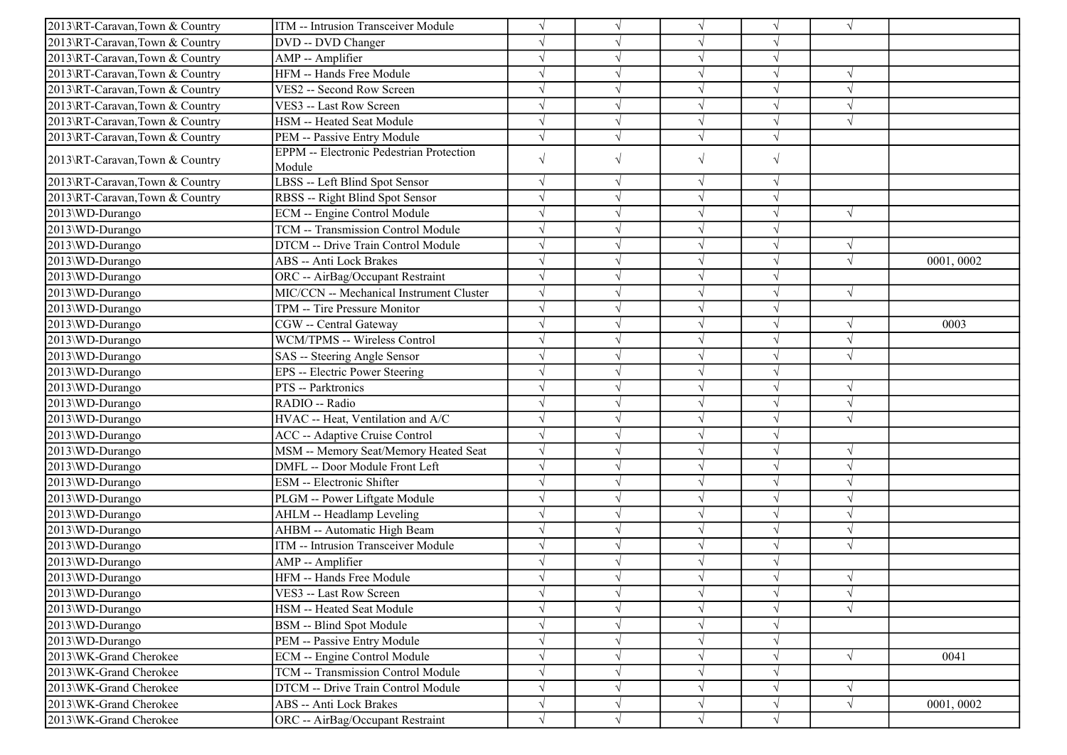| 2013\RT-Caravan,Town & Country | ITM -- Intrusion Transceiver Module             |            |            | $\sqrt{ }$ | V          | $\sqrt{ }$ |           |
|--------------------------------|-------------------------------------------------|------------|------------|------------|------------|------------|-----------|
| 2013\RT-Caravan,Town & Country | DVD -- DVD Changer                              |            |            | $\sqrt{ }$ | V          |            |           |
| 2013\RT-Caravan,Town & Country | AMP -- Amplifier                                |            |            | $\sqrt{}$  | $\sqrt{}$  |            |           |
| 2013\RT-Caravan,Town & Country | HFM -- Hands Free Module                        |            |            | $\sqrt{ }$ |            |            |           |
| 2013\RT-Caravan,Town & Country | VES2 -- Second Row Screen                       |            |            | $\sqrt{ }$ | J          | $\sqrt{ }$ |           |
| 2013\RT-Caravan,Town & Country | VES3 -- Last Row Screen                         |            |            | $\sqrt{ }$ | $\sqrt{}$  | $\sqrt{ }$ |           |
| 2013\RT-Caravan,Town & Country | HSM -- Heated Seat Module                       |            |            | $\sqrt{ }$ | $\sqrt{ }$ | $\sqrt{ }$ |           |
| 2013\RT-Caravan,Town & Country | PEM -- Passive Entry Module                     | $\sqrt{ }$ | $\sqrt{}$  | $\sqrt{ }$ | $\sqrt{}$  |            |           |
|                                | <b>EPPM</b> -- Electronic Pedestrian Protection | $\sqrt{}$  | $\sqrt{ }$ | $\sqrt{ }$ | $\sqrt{}$  |            |           |
| 2013\RT-Caravan,Town & Country | Module                                          |            |            |            |            |            |           |
| 2013\RT-Caravan,Town & Country | LBSS -- Left Blind Spot Sensor                  | $\sqrt{}$  | $\sqrt{ }$ | $\sqrt{ }$ | $\sqrt{ }$ |            |           |
| 2013\RT-Caravan,Town & Country | RBSS -- Right Blind Spot Sensor                 | $\sqrt{ }$ | $\sqrt{ }$ | $\sqrt{ }$ | $\sqrt{}$  |            |           |
| 2013\WD-Durango                | ECM -- Engine Control Module                    |            |            | $\sqrt{ }$ | V          | $\sqrt{ }$ |           |
| 2013\WD-Durango                | TCM -- Transmission Control Module              | $\sqrt{ }$ |            | $\sqrt{ }$ | $\sqrt{}$  |            |           |
| 2013\WD-Durango                | DTCM -- Drive Train Control Module              |            |            | $\sqrt{ }$ | V          | $\sqrt{ }$ |           |
| 2013\WD-Durango                | <b>ABS</b> -- Anti Lock Brakes                  |            |            | $\sqrt{ }$ |            | $\sqrt{ }$ | 0001,0002 |
| 2013\WD-Durango                | ORC -- AirBag/Occupant Restraint                | $\sqrt{ }$ |            | $\sqrt{ }$ | $\sqrt{}$  |            |           |
| 2013\WD-Durango                | MIC/CCN -- Mechanical Instrument Cluster        |            |            | $\sqrt{ }$ | V          | $\sqrt{ }$ |           |
| 2013\WD-Durango                | TPM -- Tire Pressure Monitor                    |            |            | $\sqrt{ }$ | V          |            |           |
| 2013\WD-Durango                | CGW -- Central Gateway                          |            |            | $\sqrt{ }$ | $\sqrt{ }$ | $\sqrt{ }$ | 0003      |
| 2013\WD-Durango                | WCM/TPMS -- Wireless Control                    |            |            | $\sqrt{ }$ |            | $\sqrt{2}$ |           |
| 2013\WD-Durango                | SAS -- Steering Angle Sensor                    |            |            | $\sqrt{ }$ |            | $\sqrt{ }$ |           |
| 2013\WD-Durango                | EPS -- Electric Power Steering                  | $\sqrt{ }$ |            | $\sqrt{ }$ | V          |            |           |
| 2013\WD-Durango                | PTS -- Parktronics                              |            |            | $\sqrt{ }$ | V          | $\sqrt{ }$ |           |
| 2013\WD-Durango                | RADIO -- Radio                                  |            |            | $\sqrt{ }$ | V          | $\sqrt{ }$ |           |
| 2013\WD-Durango                | HVAC -- Heat, Ventilation and A/C               | $\sqrt{ }$ |            | $\sqrt{ }$ | $\sqrt{}$  | $\sqrt{ }$ |           |
| 2013\WD-Durango                | <b>ACC</b> -- Adaptive Cruise Control           |            |            | $\sqrt{ }$ | V          |            |           |
| 2013\WD-Durango                | MSM -- Memory Seat/Memory Heated Seat           |            |            | $\sqrt{}$  | V          | $\sqrt{ }$ |           |
| 2013\WD-Durango                | DMFL -- Door Module Front Left                  |            |            | $\sqrt{ }$ |            | $\sqrt{ }$ |           |
| 2013\WD-Durango                | ESM -- Electronic Shifter                       |            |            | $\sqrt{ }$ | V          | $\sqrt{ }$ |           |
| 2013\WD-Durango                | PLGM -- Power Liftgate Module                   |            |            | $\sqrt{ }$ | V          | $\sqrt{ }$ |           |
| 2013\WD-Durango                | AHLM -- Headlamp Leveling                       |            |            | $\sqrt{ }$ | V          | $\sqrt{ }$ |           |
| 2013\WD-Durango                | AHBM -- Automatic High Beam                     |            |            | $\sqrt{ }$ | J          | $\sqrt{2}$ |           |
| 2013\WD-Durango                | ITM -- Intrusion Transceiver Module             |            |            | $\sqrt{ }$ |            | $\sqrt{ }$ |           |
| 2013\WD-Durango                | AMP -- Amplifier                                |            |            | $\sqrt{ }$ |            |            |           |
| 2013\WD-Durango                | HFM -- Hands Free Module                        |            |            | $\sqrt{ }$ | V          | $\sqrt{ }$ |           |
| 2013\WD-Durango                | VES3 -- Last Row Screen                         | $\sqrt{}$  | $\sqrt{}$  | $\sqrt{ }$ | $\sqrt{}$  | $\sqrt{}$  |           |
| 2013\WD-Durango                | HSM -- Heated Seat Module                       |            |            | $\sqrt{ }$ |            | $\sqrt{ }$ |           |
| 2013\WD-Durango                | <b>BSM</b> -- Blind Spot Module                 |            |            | $\sqrt{ }$ | $\sqrt{ }$ |            |           |
| 2013\WD-Durango                | PEM -- Passive Entry Module                     |            | $\sqrt{ }$ | $\sqrt{}$  | $\sqrt{}$  |            |           |
| 2013\WK-Grand Cherokee         | ECM -- Engine Control Module                    |            | $\sqrt{ }$ | $\sqrt{ }$ | V          | $\sqrt{ }$ | 0041      |
| 2013\WK-Grand Cherokee         | TCM -- Transmission Control Module              | $\sqrt{}$  | V          | $\sqrt{ }$ | $\sqrt{}$  |            |           |
| 2013\WK-Grand Cherokee         | DTCM -- Drive Train Control Module              | $\sqrt{}$  |            | $\sqrt{}$  | $\sqrt{}$  | $\sqrt{ }$ |           |
| 2013\WK-Grand Cherokee         | ABS -- Anti Lock Brakes                         | $\sqrt{}$  |            | $\sqrt{}$  | $\sqrt{}$  | $\sqrt{ }$ | 0001,0002 |
| 2013\WK-Grand Cherokee         | ORC -- AirBag/Occupant Restraint                | $\sqrt{}$  | $\sqrt{}$  | $\sqrt{ }$ | $\sqrt{}$  |            |           |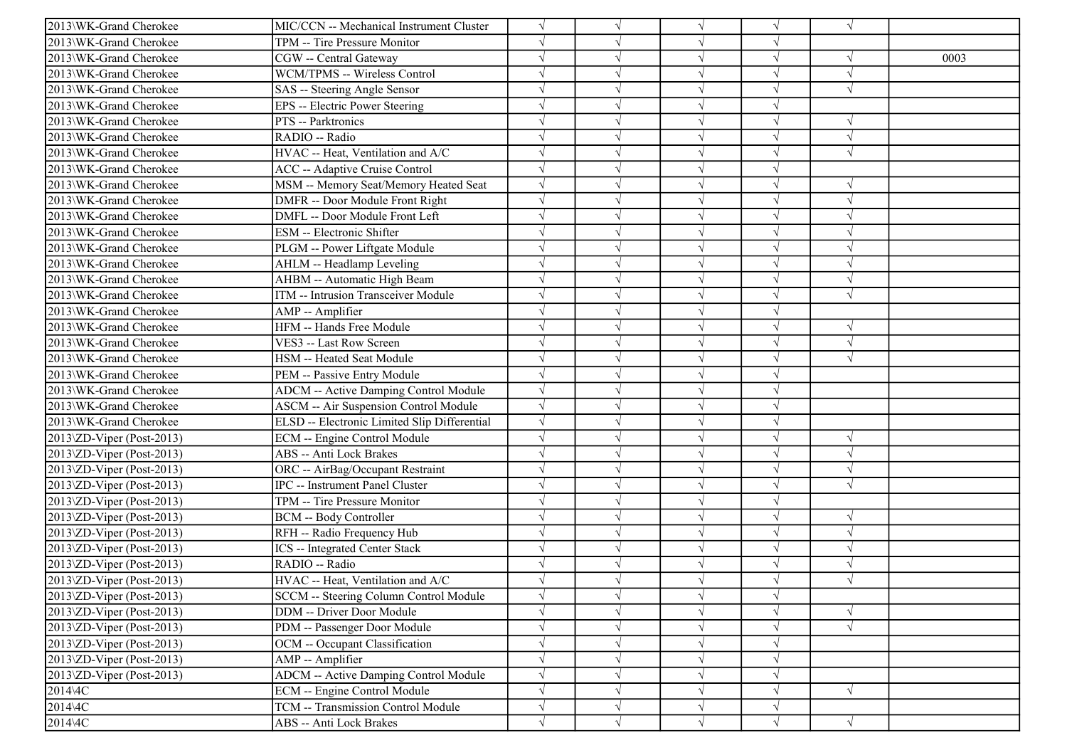| 2013\WK-Grand Cherokee                 | MIC/CCN -- Mechanical Instrument Cluster     |            |            | $\sqrt{ }$ | $\sqrt{}$  | $\sqrt{ }$    |      |
|----------------------------------------|----------------------------------------------|------------|------------|------------|------------|---------------|------|
| 2013\WK-Grand Cherokee                 | TPM -- Tire Pressure Monitor                 |            |            | $\sqrt{ }$ | V          |               |      |
| 2013\WK-Grand Cherokee                 | CGW -- Central Gateway                       |            |            | $\sqrt{ }$ | $\sqrt{}$  | $\sqrt{ }$    | 0003 |
| 2013\WK-Grand Cherokee                 | WCM/TPMS -- Wireless Control                 |            |            | $\sqrt{ }$ |            | $\mathcal{N}$ |      |
| 2013\WK-Grand Cherokee                 | SAS -- Steering Angle Sensor                 |            |            | $\sqrt{ }$ | J          | $\sqrt{ }$    |      |
| 2013\WK-Grand Cherokee                 | EPS -- Electric Power Steering               |            |            | $\sqrt{ }$ |            |               |      |
| 2013\WK-Grand Cherokee                 | PTS -- Parktronics                           |            |            | $\sqrt{ }$ | V          | $\sqrt{ }$    |      |
| 2013\WK-Grand Cherokee                 | RADIO -- Radio                               | $\sqrt{}$  |            | $\sqrt{ }$ | V          | $\sqrt{ }$    |      |
| 2013\WK-Grand Cherokee                 | HVAC -- Heat, Ventilation and A/C            |            |            | $\sqrt{ }$ | $\sqrt{}$  | $\sqrt{ }$    |      |
| 2013\WK-Grand Cherokee                 | <b>ACC</b> -- Adaptive Cruise Control        |            |            | $\sqrt{ }$ |            |               |      |
| 2013\WK-Grand Cherokee                 | MSM -- Memory Seat/Memory Heated Seat        |            |            | $\sqrt{}$  | $\sqrt{ }$ | $\sqrt{ }$    |      |
| 2013\WK-Grand Cherokee                 | DMFR -- Door Module Front Right              |            |            | $\sqrt{ }$ |            | $\sqrt{2}$    |      |
| 2013\WK-Grand Cherokee                 | DMFL -- Door Module Front Left               |            |            | $\sqrt{ }$ | V          | $\sqrt{ }$    |      |
| 2013\WK-Grand Cherokee                 | <b>ESM</b> -- Electronic Shifter             |            |            | $\sqrt{ }$ | $\sqrt{}$  | $\sqrt{ }$    |      |
| 2013\WK-Grand Cherokee                 | PLGM -- Power Liftgate Module                |            |            | $\sqrt{ }$ | V          | $\sqrt{ }$    |      |
| 2013\WK-Grand Cherokee                 | AHLM -- Headlamp Leveling                    |            |            | $\sqrt{ }$ |            | $\sqrt{2}$    |      |
| 2013\WK-Grand Cherokee                 | AHBM -- Automatic High Beam                  |            |            | $\sqrt{ }$ | J          | $\sqrt{ }$    |      |
| 2013\WK-Grand Cherokee                 | ITM -- Intrusion Transceiver Module          |            |            | $\sqrt{ }$ |            | $\sqrt{ }$    |      |
| 2013\WK-Grand Cherokee                 | AMP -- Amplifier                             |            |            | $\sqrt{ }$ | V          |               |      |
| 2013\WK-Grand Cherokee                 | HFM -- Hands Free Module                     | $\sqrt{ }$ |            | $\sqrt{ }$ | $\sqrt{}$  | $\sqrt{ }$    |      |
| 2013\WK-Grand Cherokee                 | VES3 -- Last Row Screen                      |            |            | $\sqrt{ }$ | V          | $\sqrt{ }$    |      |
| 2013\WK-Grand Cherokee                 | HSM -- Heated Seat Module                    |            |            | $\sqrt{ }$ | V          | $\sqrt{ }$    |      |
| 2013\WK-Grand Cherokee                 | PEM -- Passive Entry Module                  |            |            | $\sqrt{ }$ |            |               |      |
| 2013\WK-Grand Cherokee                 | <b>ADCM</b> -- Active Damping Control Module |            |            | $\sqrt{ }$ |            |               |      |
| 2013\WK-Grand Cherokee                 | <b>ASCM -- Air Suspension Control Module</b> | $\sqrt{ }$ |            | $\sqrt{ }$ | $\sqrt{}$  |               |      |
| 2013\WK-Grand Cherokee                 | ELSD -- Electronic Limited Slip Differential | $\sqrt{}$  |            | $\sqrt{ }$ | $\sqrt{}$  |               |      |
| 2013\ZD-Viper (Post-2013)              | ECM -- Engine Control Module                 | $\sqrt{ }$ |            | $\sqrt{ }$ | V          | $\sqrt{ }$    |      |
| 2013\ZD-Viper (Post-2013)              | ABS -- Anti Lock Brakes                      |            |            | $\sqrt{ }$ | V          | $\sqrt{ }$    |      |
| 2013\ZD-Viper (Post-2013)              | ORC -- AirBag/Occupant Restraint             |            |            | $\sqrt{ }$ |            | $\mathcal{N}$ |      |
| 2013\ZD-Viper (Post-2013)              | IPC -- Instrument Panel Cluster              |            |            | $\sqrt{ }$ |            | $\sqrt{ }$    |      |
| 2013\ZD-Viper (Post-2013)              | TPM -- Tire Pressure Monitor                 |            |            | $\sqrt{ }$ | V          |               |      |
| 2013\ZD-Viper (Post-2013)              | BCM -- Body Controller                       |            |            | $\sqrt{ }$ | V          | $\sqrt{ }$    |      |
| 2013\ZD-Viper (Post-2013)              | RFH -- Radio Frequency Hub                   |            |            | $\sqrt{ }$ | $\sqrt{}$  | $\sqrt{ }$    |      |
| 2013\ZD-Viper (Post-2013)              | <b>ICS</b> -- Integrated Center Stack        | $\sqrt{}$  |            | $\sqrt{ }$ | $\sqrt{}$  | $\sqrt{ }$    |      |
| 2013\ZD-Viper (Post-2013)              | RADIO -- Radio                               |            |            | $\sqrt{ }$ |            |               |      |
| $2013\text{ZD-Viper}$ (Post-2013)      | HVAC -- Heat, Ventilation and A/C            |            |            |            |            |               |      |
| $2013\Omega$ -Viper (Post-2013)        | SCCM -- Steering Column Control Module       | $\sqrt{}$  | $\sqrt{}$  | $\sqrt{}$  | $\sqrt{}$  |               |      |
| 2013\ZD-Viper (Post-2013)              | DDM -- Driver Door Module                    |            |            | $\sqrt{ }$ | $\sqrt{ }$ | $\sqrt{ }$    |      |
| $2013\overline{2}D$ -Viper (Post-2013) | PDM -- Passenger Door Module                 | $\sqrt{}$  |            | $\sqrt{ }$ | V          | $\sqrt{ }$    |      |
| $2013\overline{2}D$ -Viper (Post-2013) | OCM -- Occupant Classification               |            |            | $\sqrt{ }$ | V          |               |      |
| $2013\text{ZD-Viper}$ (Post-2013)      | AMP -- Amplifier                             |            |            | $\sqrt{ }$ |            |               |      |
| $2013\text{ZD-Viper}$ (Post-2013)      | <b>ADCM</b> -- Active Damping Control Module | $\sqrt{}$  |            | $\sqrt{ }$ | V          |               |      |
| 2014\4C                                | <b>ECM</b> -- Engine Control Module          | $\sqrt{}$  | $\sqrt{ }$ | $\sqrt{ }$ | V          | $\sqrt{ }$    |      |
| 2014\4C                                | TCM -- Transmission Control Module           | $\sqrt{}$  | $\sqrt{ }$ | $\sqrt{ }$ | V          |               |      |
| 2014\4C                                | ABS -- Anti Lock Brakes                      | $\sqrt{}$  | $\sqrt{ }$ | $\sqrt{ }$ | $\sqrt{}$  | $\sqrt{}$     |      |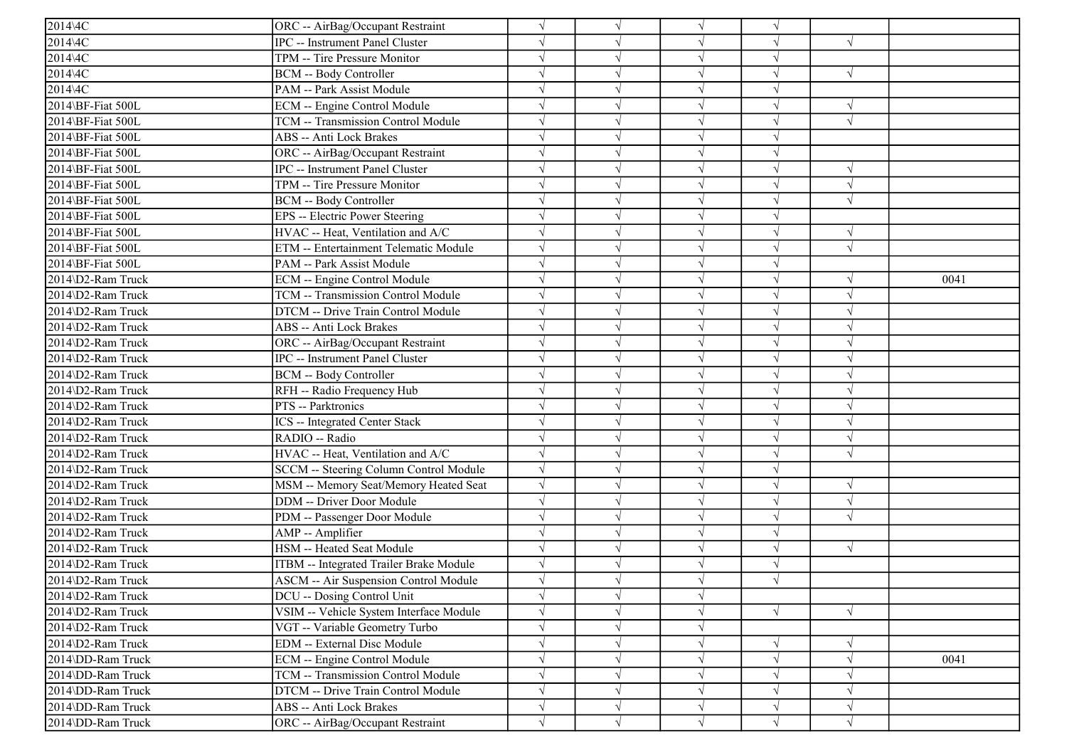| $2014$ 4C         | ORC -- AirBag/Occupant Restraint               | V          |            | $\sqrt{}$  |            |            |      |
|-------------------|------------------------------------------------|------------|------------|------------|------------|------------|------|
| 2014\4C           | <b>IPC</b> -- Instrument Panel Cluster         | $\sqrt{}$  |            | $\sqrt{ }$ |            | $\sqrt{ }$ |      |
| 2014\4C           | TPM -- Tire Pressure Monitor                   | $\sqrt{}$  |            | $\sqrt{}$  | $\sqrt{ }$ |            |      |
| 2014\4C           | BCM -- Body Controller                         |            |            | $\sqrt{}$  |            | $\sqrt{ }$ |      |
| 2014\4C           | PAM -- Park Assist Module                      |            |            | $\sqrt{}$  |            |            |      |
| 2014\BF-Fiat 500L | ECM -- Engine Control Module                   | $\sqrt{}$  |            | $\sqrt{}$  | V          | $\sqrt{ }$ |      |
| 2014\BF-Fiat 500L | TCM -- Transmission Control Module             | $\sqrt{}$  |            | $\sqrt{ }$ |            | $\sqrt{ }$ |      |
| 2014\BF-Fiat 500L | <b>ABS</b> -- Anti Lock Brakes                 | $\sqrt{}$  |            | $\sqrt{ }$ |            |            |      |
| 2014\BF-Fiat 500L | ORC -- AirBag/Occupant Restraint               | $\sqrt{}$  |            | $\sqrt{ }$ | $\sqrt{ }$ |            |      |
| 2014\BF-Fiat 500L | <b>IPC</b> -- Instrument Panel Cluster         | $\sqrt{}$  |            | $\sqrt{ }$ |            | $\sqrt{ }$ |      |
| 2014\BF-Fiat 500L | TPM -- Tire Pressure Monitor                   |            |            | $\sqrt{}$  |            | $\sqrt{ }$ |      |
| 2014\BF-Fiat 500L | <b>BCM -- Body Controller</b>                  |            |            | $\sqrt{}$  |            | $\sqrt{ }$ |      |
| 2014\BF-Fiat 500L | EPS -- Electric Power Steering                 | $\sqrt{}$  |            | $\sqrt{}$  |            |            |      |
| 2014\BF-Fiat 500L | HVAC -- Heat, Ventilation and A/C              | $\sqrt{}$  |            | $\sqrt{}$  | $\sqrt{}$  | $\sqrt{ }$ |      |
| 2014\BF-Fiat 500L | ETM -- Entertainment Telematic Module          |            |            | $\sqrt{}$  |            | $\sqrt{ }$ |      |
| 2014\BF-Fiat 500L | PAM -- Park Assist Module                      |            |            | $\sqrt{}$  |            |            |      |
| 2014\D2-Ram Truck | ECM -- Engine Control Module                   |            |            | $\sqrt{}$  |            | $\sqrt{ }$ | 0041 |
| 2014\D2-Ram Truck | TCM -- Transmission Control Module             |            |            | $\sqrt{}$  |            |            |      |
| 2014\D2-Ram Truck | DTCM -- Drive Train Control Module             | $\sqrt{}$  |            | $\sqrt{}$  |            | $\sqrt{ }$ |      |
| 2014\D2-Ram Truck | <b>ABS</b> -- Anti Lock Brakes                 | $\sqrt{}$  |            | $\sqrt{ }$ |            | $\sqrt{ }$ |      |
| 2014\D2-Ram Truck | ORC -- AirBag/Occupant Restraint               | $\sqrt{}$  |            | $\sqrt{ }$ | $\sqrt{ }$ | $\sqrt{ }$ |      |
| 2014\D2-Ram Truck | <b>IPC</b> -- Instrument Panel Cluster         | $\sqrt{}$  |            | $\sqrt{ }$ | $\sqrt{ }$ | $\sqrt{ }$ |      |
| 2014\D2-Ram Truck | BCM -- Body Controller                         |            |            | $\sqrt{ }$ |            | $\sqrt{ }$ |      |
| 2014\D2-Ram Truck | RFH -- Radio Frequency Hub                     | $\sqrt{}$  |            | $\sqrt{}$  | V          | $\sqrt{ }$ |      |
| 2014\D2-Ram Truck | PTS -- Parktronics                             | $\sqrt{}$  |            | $\sqrt{}$  | $\sqrt{ }$ | $\sqrt{ }$ |      |
| 2014\D2-Ram Truck | ICS -- Integrated Center Stack                 |            |            | $\sqrt{ }$ |            | $\sqrt{ }$ |      |
| 2014\D2-Ram Truck | RADIO -- Radio                                 | $\sqrt{}$  |            | $\sqrt{ }$ |            | $\sqrt{ }$ |      |
| 2014\D2-Ram Truck | HVAC -- Heat, Ventilation and A/C              | $\sqrt{}$  |            | $\sqrt{}$  |            | $\sqrt{ }$ |      |
| 2014\D2-Ram Truck | <b>SCCM -- Steering Column Control Module</b>  |            |            | $\sqrt{}$  |            |            |      |
| 2014\D2-Ram Truck | MSM -- Memory Seat/Memory Heated Seat          | $\sqrt{}$  |            | $\sqrt{}$  |            | $\sqrt{ }$ |      |
| 2014\D2-Ram Truck | DDM -- Driver Door Module                      | $\sqrt{}$  |            | $\sqrt{}$  | J          | $\sqrt{ }$ |      |
| 2014\D2-Ram Truck | PDM -- Passenger Door Module                   | $\sqrt{ }$ |            | $\sqrt{ }$ |            | $\sqrt{ }$ |      |
| 2014\D2-Ram Truck | AMP -- Amplifier                               | $\sqrt{}$  |            | $\sqrt{ }$ | V          |            |      |
| 2014\D2-Ram Truck | HSM -- Heated Seat Module                      | $\sqrt{}$  |            | $\sqrt{ }$ |            | $\sqrt{ }$ |      |
| 2014\D2-Ram Truck | <b>ITBM</b> -- Integrated Trailer Brake Module |            |            | $\sqrt{}$  |            |            |      |
| 2014\D2-Ram Truck | <b>ASCM -- Air Suspension Control Module</b>   |            |            |            |            |            |      |
| 2014\D2-Ram Truck | DCU -- Dosing Control Unit                     | $\sqrt{}$  | $\sqrt{ }$ | $\sqrt{}$  |            |            |      |
| 2014\D2-Ram Truck | VSIM -- Vehicle System Interface Module        | $\sqrt{}$  |            | $\sqrt{}$  |            | $\sqrt{ }$ |      |
| 2014\D2-Ram Truck | VGT -- Variable Geometry Turbo                 | $\sqrt{}$  |            | $\sqrt{ }$ |            |            |      |
| 2014\D2-Ram Truck | EDM -- External Disc Module                    | $\sqrt{}$  |            | $\sqrt{}$  |            | $\sqrt{ }$ |      |
| 2014\DD-Ram Truck | ECM -- Engine Control Module                   |            |            | $\sqrt{}$  |            | $\sqrt{ }$ | 0041 |
| 2014\DD-Ram Truck | TCM -- Transmission Control Module             | $\sqrt{}$  |            | $\sqrt{ }$ | V          | $\sqrt{ }$ |      |
| 2014\DD-Ram Truck | DTCM -- Drive Train Control Module             | $\sqrt{}$  |            | $\sqrt{}$  |            | $\sqrt{ }$ |      |
| 2014\DD-Ram Truck | <b>ABS</b> -- Anti Lock Brakes                 | $\sqrt{}$  |            | $\sqrt{}$  | V          | $\sqrt{ }$ |      |
| 2014\DD-Ram Truck | ORC -- AirBag/Occupant Restraint               | $\sqrt{}$  | $\sqrt{}$  | $\sqrt{ }$ | $\sqrt{ }$ | $\sqrt{ }$ |      |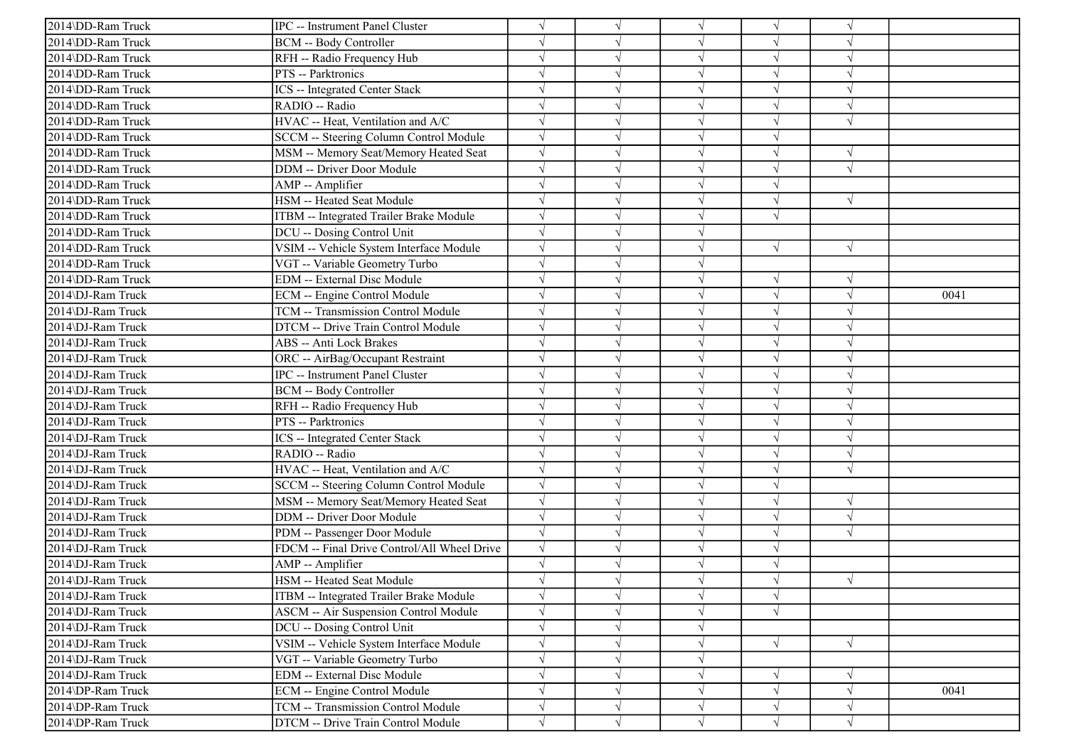| 2014\DD-Ram Truck | IPC -- Instrument Panel Cluster              |            |            | $\sqrt{ }$ | V          |               |      |
|-------------------|----------------------------------------------|------------|------------|------------|------------|---------------|------|
| 2014\DD-Ram Truck | <b>BCM -- Body Controller</b>                |            |            | $\sqrt{ }$ | V          | $\sqrt{ }$    |      |
| 2014\DD-Ram Truck | RFH -- Radio Frequency Hub                   |            |            | $\sqrt{ }$ | $\sqrt{}$  | $\sqrt{ }$    |      |
| 2014\DD-Ram Truck | PTS -- Parktronics                           |            |            | $\sqrt{ }$ |            |               |      |
| 2014\DD-Ram Truck | ICS -- Integrated Center Stack               | $\sqrt{}$  |            | $\sqrt{ }$ | J          | $\sqrt{ }$    |      |
| 2014\DD-Ram Truck | RADIO -- Radio                               |            |            | $\sqrt{ }$ |            | $\sqrt{ }$    |      |
| 2014\DD-Ram Truck | HVAC -- Heat, Ventilation and A/C            |            |            | $\sqrt{ }$ | V          | $\mathcal{N}$ |      |
| 2014\DD-Ram Truck | SCCM -- Steering Column Control Module       | $\sqrt{}$  |            | $\sqrt{ }$ | $\sqrt{}$  |               |      |
| 2014\DD-Ram Truck | MSM -- Memory Seat/Memory Heated Seat        | $\sqrt{}$  |            | $\sqrt{ }$ | $\sqrt{}$  | $\sqrt{ }$    |      |
| 2014\DD-Ram Truck | <b>DDM</b> -- Driver Door Module             |            |            | $\sqrt{ }$ | $\sqrt{}$  | $\sqrt{ }$    |      |
| 2014\DD-Ram Truck | AMP -- Amplifier                             |            |            | $\sqrt{ }$ | $\sqrt{ }$ |               |      |
| 2014\DD-Ram Truck | HSM -- Heated Seat Module                    |            |            | $\sqrt{ }$ | $\sqrt{}$  | $\sqrt{}$     |      |
| 2014\DD-Ram Truck | ITBM -- Integrated Trailer Brake Module      |            |            | $\sqrt{ }$ | $\sqrt{ }$ |               |      |
| 2014\DD-Ram Truck | DCU -- Dosing Control Unit                   | $\sqrt{}$  |            | $\sqrt{ }$ |            |               |      |
| 2014\DD-Ram Truck | VSIM -- Vehicle System Interface Module      | $\sqrt{}$  |            | $\sqrt{ }$ | $\sqrt{ }$ | $\sqrt{ }$    |      |
| 2014\DD-Ram Truck | VGT -- Variable Geometry Turbo               |            |            | $\sqrt{ }$ |            |               |      |
| 2014\DD-Ram Truck | <b>EDM</b> -- External Disc Module           |            |            | $\sqrt{}$  | $\sqrt{}$  | $\sqrt{ }$    |      |
| 2014\DJ-Ram Truck | ECM -- Engine Control Module                 |            |            | $\sqrt{ }$ |            | $\sqrt{ }$    | 0041 |
| 2014\DJ-Ram Truck | TCM -- Transmission Control Module           | $\sqrt{}$  |            | $\sqrt{ }$ | V          | $\sqrt{ }$    |      |
| 2014\DJ-Ram Truck | DTCM -- Drive Train Control Module           | $\sqrt{ }$ |            | $\sqrt{ }$ | $\sqrt{ }$ | $\sqrt{ }$    |      |
| 2014\DJ-Ram Truck | <b>ABS</b> -- Anti Lock Brakes               |            |            | $\sqrt{ }$ | V          | $\sqrt{ }$    |      |
| 2014\DJ-Ram Truck | ORC -- AirBag/Occupant Restraint             |            |            | $\sqrt{ }$ | V          | $\sqrt{ }$    |      |
| 2014\DJ-Ram Truck | IPC -- Instrument Panel Cluster              |            |            | $\sqrt{ }$ |            | $\sqrt{ }$    |      |
| 2014\DJ-Ram Truck | <b>BCM -- Body Controller</b>                |            |            | $\sqrt{ }$ |            | $\sqrt{2}$    |      |
| 2014\DJ-Ram Truck | RFH -- Radio Frequency Hub                   |            |            | $\sqrt{ }$ | $\sqrt{ }$ | $\sqrt{ }$    |      |
| 2014\DJ-Ram Truck | PTS -- Parktronics                           |            |            | $\sqrt{ }$ |            | $\sqrt{ }$    |      |
| 2014\DJ-Ram Truck | <b>ICS</b> -- Integrated Center Stack        |            |            | $\sqrt{ }$ | V          | $\sqrt{ }$    |      |
| 2014\DJ-Ram Truck | RADIO -- Radio                               |            |            | $\sqrt{ }$ | V          | $\sqrt{ }$    |      |
| 2014\DJ-Ram Truck | HVAC -- Heat, Ventilation and A/C            |            |            | $\sqrt{ }$ |            | $\sqrt{2}$    |      |
| 2014\DJ-Ram Truck | SCCM -- Steering Column Control Module       | $\sqrt{ }$ |            | $\sqrt{ }$ |            |               |      |
| 2014\DJ-Ram Truck | MSM -- Memory Seat/Memory Heated Seat        | $\sqrt{}$  |            | $\sqrt{ }$ | V          | $\sqrt{ }$    |      |
| 2014\DJ-Ram Truck | DDM -- Driver Door Module                    | $\sqrt{ }$ |            | $\sqrt{ }$ | V          | $\sqrt{ }$    |      |
| 2014\DJ-Ram Truck | PDM -- Passenger Door Module                 | $\sqrt{}$  |            | $\sqrt{ }$ | V          | $\sqrt{ }$    |      |
| 2014\DJ-Ram Truck | FDCM -- Final Drive Control/All Wheel Drive  | $\sqrt{}$  |            | $\sqrt{ }$ | $\sqrt{}$  |               |      |
| 2014\DJ-Ram Truck | AMP -- Amplifier                             |            |            | $\sqrt{ }$ |            |               |      |
| 2014\DJ-Ram Truck | HSM -- Heated Seat Module                    |            |            |            |            | $\sqrt{ }$    |      |
| 2014\DJ-Ram Truck | ITBM -- Integrated Trailer Brake Module      | $\sqrt{}$  | $\sqrt{}$  | $\sqrt{}$  | $\sqrt{}$  |               |      |
| 2014\DJ-Ram Truck | <b>ASCM -- Air Suspension Control Module</b> | $\sqrt{}$  |            | $\sqrt{ }$ | $\sqrt{}$  |               |      |
| 2014\DJ-Ram Truck | DCU -- Dosing Control Unit                   |            |            | $\sqrt{ }$ |            |               |      |
| 2014\DJ-Ram Truck | VSIM -- Vehicle System Interface Module      | $\sqrt{ }$ |            | $\sqrt{ }$ | $\sqrt{}$  | $\sqrt{}$     |      |
| 2014\DJ-Ram Truck | VGT -- Variable Geometry Turbo               |            |            | $\sqrt{ }$ |            |               |      |
| 2014\DJ-Ram Truck | <b>EDM</b> -- External Disc Module           | $\sqrt{}$  |            | $\sqrt{ }$ | $\sqrt{ }$ | $\sqrt{ }$    |      |
| 2014\DP-Ram Truck | <b>ECM</b> -- Engine Control Module          | $\sqrt{ }$ | $\sqrt{ }$ | $\sqrt{ }$ | $\sqrt{ }$ | $\sqrt{ }$    | 0041 |
| 2014\DP-Ram Truck | TCM -- Transmission Control Module           | $\sqrt{}$  | $\sqrt{ }$ | $\sqrt{ }$ | $\sqrt{}$  | $\sqrt{ }$    |      |
| 2014\DP-Ram Truck | DTCM -- Drive Train Control Module           | $\sqrt{}$  | $\sqrt{}$  | $\sqrt{ }$ | $\sqrt{}$  | $\sqrt{}$     |      |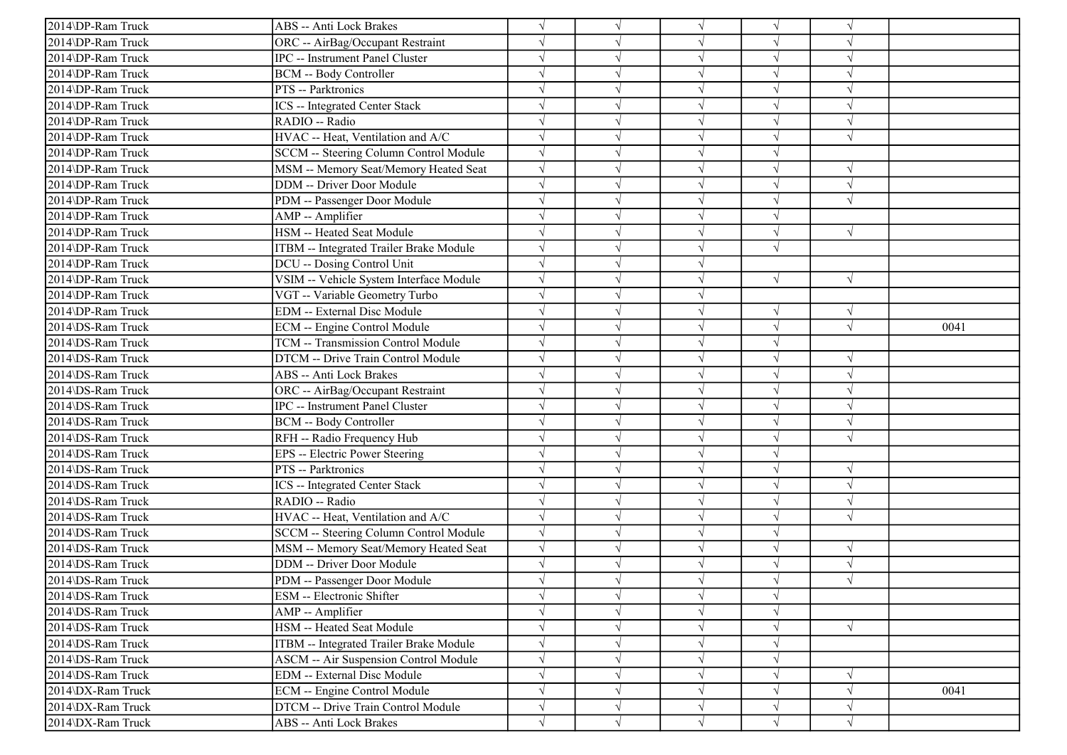| 2014\DP-Ram Truck | ABS -- Anti Lock Brakes                      |            |            | $\sqrt{ }$ |            |            |      |
|-------------------|----------------------------------------------|------------|------------|------------|------------|------------|------|
| 2014\DP-Ram Truck | ORC -- AirBag/Occupant Restraint             |            |            | $\sqrt{ }$ |            |            |      |
| 2014\DP-Ram Truck | IPC -- Instrument Panel Cluster              |            |            | $\sqrt{ }$ | $\sqrt{}$  | $\sqrt{ }$ |      |
| 2014\DP-Ram Truck | <b>BCM -- Body Controller</b>                |            |            | $\sqrt{}$  |            |            |      |
| 2014\DP-Ram Truck | PTS -- Parktronics                           |            |            | $\sqrt{ }$ |            | $\sqrt{ }$ |      |
| 2014\DP-Ram Truck | <b>ICS</b> -- Integrated Center Stack        |            |            | $\sqrt{ }$ |            | $\sqrt{ }$ |      |
| 2014\DP-Ram Truck | RADIO -- Radio                               |            |            | $\sqrt{ }$ |            | $\sqrt{ }$ |      |
| 2014\DP-Ram Truck | HVAC -- Heat, Ventilation and A/C            | $\sqrt{ }$ |            | $\sqrt{ }$ | J          | $\sqrt{ }$ |      |
| 2014\DP-Ram Truck | SCCM -- Steering Column Control Module       |            |            | $\sqrt{ }$ |            |            |      |
| 2014\DP-Ram Truck | MSM -- Memory Seat/Memory Heated Seat        |            |            | $\sqrt{ }$ |            |            |      |
| 2014\DP-Ram Truck | DDM -- Driver Door Module                    |            |            | $\sqrt{}$  | J          | $\sqrt{ }$ |      |
| 2014\DP-Ram Truck | PDM -- Passenger Door Module                 |            |            | $\sqrt{}$  |            | $\sqrt{ }$ |      |
| 2014\DP-Ram Truck | AMP -- Amplifier                             |            |            | $\sqrt{ }$ | V          |            |      |
| 2014\DP-Ram Truck | HSM -- Heated Seat Module                    |            |            | $\sqrt{ }$ | $\sqrt{}$  | $\sqrt{ }$ |      |
| 2014\DP-Ram Truck | ITBM -- Integrated Trailer Brake Module      |            |            | $\sqrt{ }$ | $\sqrt{}$  |            |      |
| 2014\DP-Ram Truck | DCU -- Dosing Control Unit                   |            |            | $\sqrt{ }$ |            |            |      |
| 2014\DP-Ram Truck | VSIM -- Vehicle System Interface Module      |            |            | $\sqrt{ }$ | $\sqrt{}$  | $\sqrt{ }$ |      |
| 2014\DP-Ram Truck | VGT -- Variable Geometry Turbo               |            |            | $\sqrt{}$  |            |            |      |
| 2014\DP-Ram Truck | EDM -- External Disc Module                  |            |            | $\sqrt{ }$ | V          | $\sqrt{ }$ |      |
| 2014\DS-Ram Truck | ECM -- Engine Control Module                 |            |            | $\sqrt{ }$ | J          | $\sqrt{ }$ | 0041 |
| 2014\DS-Ram Truck | TCM -- Transmission Control Module           |            |            | $\sqrt{ }$ |            |            |      |
| 2014\DS-Ram Truck | DTCM -- Drive Train Control Module           |            |            | $\sqrt{ }$ | $\sqrt{}$  | $\sqrt{ }$ |      |
| 2014\DS-Ram Truck | ABS -- Anti Lock Brakes                      |            |            | $\sqrt{ }$ |            | $\sqrt{ }$ |      |
| 2014\DS-Ram Truck | ORC -- AirBag/Occupant Restraint             |            |            | $\sqrt{ }$ |            | $\sqrt{ }$ |      |
| 2014\DS-Ram Truck | <b>IPC</b> -- Instrument Panel Cluster       |            |            | $\sqrt{ }$ | $\sqrt{}$  | $\sqrt{ }$ |      |
| 2014\DS-Ram Truck | <b>BCM -- Body Controller</b>                |            |            | $\sqrt{ }$ |            | $\sqrt{ }$ |      |
| 2014\DS-Ram Truck | RFH -- Radio Frequency Hub                   |            |            | $\sqrt{ }$ |            | $\sqrt{ }$ |      |
| 2014\DS-Ram Truck | EPS -- Electric Power Steering               |            |            | $\sqrt{ }$ | V          |            |      |
| 2014\DS-Ram Truck | PTS -- Parktronics                           |            |            | $\sqrt{}$  |            |            |      |
| 2014\DS-Ram Truck | ICS -- Integrated Center Stack               |            |            | $\sqrt{ }$ |            | $\sqrt{ }$ |      |
| 2014\DS-Ram Truck | RADIO -- Radio                               |            |            | $\sqrt{ }$ | J          | $\sqrt{ }$ |      |
| 2014\DS-Ram Truck | HVAC -- Heat, Ventilation and A/C            |            |            | $\sqrt{ }$ |            | $\sqrt{ }$ |      |
| 2014\DS-Ram Truck | SCCM -- Steering Column Control Module       | $\sqrt{ }$ |            | $\sqrt{ }$ | V          |            |      |
| 2014\DS-Ram Truck | MSM -- Memory Seat/Memory Heated Seat        |            |            | $\sqrt{ }$ | $\sqrt{ }$ | $\sqrt{ }$ |      |
| 2014\DS-Ram Truck | DDM -- Driver Door Module                    |            |            | $\sqrt{}$  |            |            |      |
| 2014\DS-Ram Truck | PDM -- Passenger Door Module                 |            |            |            |            |            |      |
| 2014\DS-Ram Truck | ESM -- Electronic Shifter                    |            | $\sqrt{ }$ | $\sqrt{ }$ | $\sqrt{}$  |            |      |
| 2014\DS-Ram Truck | AMP -- Amplifier                             |            |            | $\sqrt{ }$ | V          |            |      |
| 2014\DS-Ram Truck | HSM -- Heated Seat Module                    |            | $\sqrt{ }$ | $\sqrt{ }$ | V          | $\sqrt{ }$ |      |
| 2014\DS-Ram Truck | ITBM -- Integrated Trailer Brake Module      |            |            | $\sqrt{ }$ |            |            |      |
| 2014\DS-Ram Truck | <b>ASCM -- Air Suspension Control Module</b> |            |            | $\sqrt{}$  |            |            |      |
| 2014\DS-Ram Truck | EDM -- External Disc Module                  |            |            | $\sqrt{ }$ | V          | $\sqrt{ }$ |      |
| 2014\DX-Ram Truck | ECM -- Engine Control Module                 |            |            | $\sqrt{}$  |            | $\sqrt{ }$ | 0041 |
| 2014\DX-Ram Truck | DTCM -- Drive Train Control Module           | $\sqrt{ }$ | $\sqrt{}$  | $\sqrt{ }$ | V          | $\sqrt{ }$ |      |
| 2014\DX-Ram Truck | ABS -- Anti Lock Brakes                      | $\sqrt{ }$ | $\sqrt{ }$ | $\sqrt{ }$ | $\sqrt{}$  | $\sqrt{ }$ |      |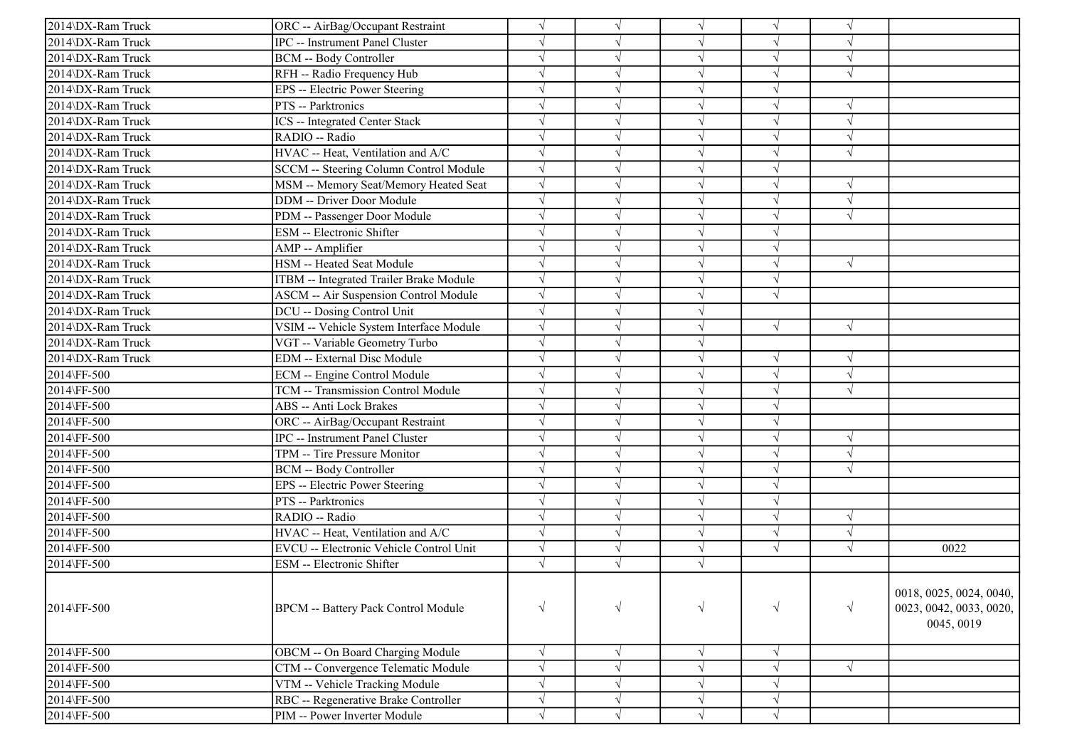| 2014\DX-Ram Truck | ORC -- AirBag/Occupant Restraint             | $\sqrt{}$             |            |            |            |            |                                                                  |
|-------------------|----------------------------------------------|-----------------------|------------|------------|------------|------------|------------------------------------------------------------------|
| 2014\DX-Ram Truck | <b>IPC</b> -- Instrument Panel Cluster       | $\sqrt{}$             |            | $\sqrt{ }$ |            |            |                                                                  |
| 2014\DX-Ram Truck | <b>BCM -- Body Controller</b>                | $\sqrt{ }$            |            | $\sqrt{ }$ |            | $\sqrt{ }$ |                                                                  |
| 2014\DX-Ram Truck | RFH -- Radio Frequency Hub                   | $\sqrt{ }$            |            |            |            |            |                                                                  |
| 2014\DX-Ram Truck | EPS -- Electric Power Steering               | $\sqrt{}$             |            |            |            |            |                                                                  |
| 2014\DX-Ram Truck | PTS -- Parktronics                           | $\sqrt{ }$            |            |            |            | V          |                                                                  |
| 2014\DX-Ram Truck | <b>ICS</b> -- Integrated Center Stack        | $\sqrt{ }$            |            |            |            | $\sqrt{ }$ |                                                                  |
| 2014\DX-Ram Truck | RADIO -- Radio                               | $\sqrt{ }$            |            |            |            | $\sqrt{ }$ |                                                                  |
| 2014\DX-Ram Truck | HVAC -- Heat, Ventilation and A/C            | $\sqrt{ }$            |            | $\sqrt{ }$ |            | $\sqrt{ }$ |                                                                  |
| 2014\DX-Ram Truck | SCCM -- Steering Column Control Module       | $\sqrt{ }$            |            |            |            |            |                                                                  |
| 2014\DX-Ram Truck | MSM -- Memory Seat/Memory Heated Seat        | $\sqrt{ }$            |            |            |            | $\sqrt{ }$ |                                                                  |
| 2014\DX-Ram Truck | DDM -- Driver Door Module                    | $\sqrt{ }$            |            |            |            | $\sqrt{ }$ |                                                                  |
| 2014\DX-Ram Truck | PDM -- Passenger Door Module                 | $\sqrt{ }$            |            |            |            | $\sqrt{ }$ |                                                                  |
| 2014\DX-Ram Truck | ESM -- Electronic Shifter                    | $\sqrt{ }$            |            |            |            |            |                                                                  |
| 2014\DX-Ram Truck | AMP -- Amplifier                             | $\sqrt{ }$            |            | $\sqrt{ }$ |            |            |                                                                  |
| 2014\DX-Ram Truck | HSM -- Heated Seat Module                    | $\sqrt{ }$            |            |            |            | $\sqrt{ }$ |                                                                  |
| 2014\DX-Ram Truck | ITBM -- Integrated Trailer Brake Module      | $\sqrt{}$             |            |            |            |            |                                                                  |
| 2014\DX-Ram Truck | <b>ASCM -- Air Suspension Control Module</b> | $\sqrt{ }$            |            |            |            |            |                                                                  |
| 2014\DX-Ram Truck | DCU -- Dosing Control Unit                   | $\sqrt{ }$            |            |            |            |            |                                                                  |
| 2014\DX-Ram Truck | VSIM -- Vehicle System Interface Module      | $\sqrt{ }$            |            | $\sqrt{ }$ | $\sqrt{ }$ | $\sqrt{ }$ |                                                                  |
| 2014\DX-Ram Truck | VGT -- Variable Geometry Turbo               | $\sqrt{ }$            |            | $\sqrt{ }$ |            |            |                                                                  |
| 2014\DX-Ram Truck | <b>EDM</b> -- External Disc Module           | $\overline{\sqrt{ }}$ |            | $\sqrt{ }$ |            | $\sqrt{ }$ |                                                                  |
| 2014\FF-500       | ECM -- Engine Control Module                 | $\sqrt{ }$            |            |            |            | $\sqrt{ }$ |                                                                  |
| 2014\FF-500       | TCM -- Transmission Control Module           | $\sqrt{ }$            |            |            |            | $\sqrt{ }$ |                                                                  |
| 2014\FF-500       | ABS -- Anti Lock Brakes                      | $\sqrt{ }$            | V          |            |            |            |                                                                  |
| 2014\FF-500       | ORC -- AirBag/Occupant Restraint             | $\sqrt{ }$            |            |            |            |            |                                                                  |
| 2014\FF-500       | IPC -- Instrument Panel Cluster              | $\sqrt{ }$            |            | $\sqrt{ }$ |            | $\sqrt{ }$ |                                                                  |
| 2014\FF-500       | TPM -- Tire Pressure Monitor                 | $\sqrt{ }$            |            |            |            | $\sqrt{ }$ |                                                                  |
| 2014\FF-500       | BCM -- Body Controller                       | $\sqrt{ }$            |            |            |            |            |                                                                  |
| 2014\FF-500       | EPS -- Electric Power Steering               | $\sqrt{}$             |            |            |            |            |                                                                  |
| 2014\FF-500       | PTS -- Parktronics                           | $\sqrt{ }$            |            |            |            |            |                                                                  |
| 2014\FF-500       | RADIO -- Radio                               | $\sqrt{ }$            |            | N          |            | $\sqrt{ }$ |                                                                  |
| 2014\FF-500       | HVAC -- Heat, Ventilation and A/C            | $\sqrt{ }$            |            | $\sqrt{ }$ |            | $\sqrt{ }$ |                                                                  |
| 2014\FF-500       | EVCU -- Electronic Vehicle Control Unit      | $\sqrt{ }$            | $\sqrt{ }$ | $\sqrt{ }$ | $\sqrt{ }$ | $\sqrt{ }$ | 0022                                                             |
| 2014\FF-500       | ESM -- Electronic Shifter                    | $\sqrt{ }$            | $\sqrt{ }$ |            |            |            |                                                                  |
| 2014\FF-500       | BPCM -- Battery Pack Control Module          | $\sqrt{}$             |            | $\sqrt{}$  | $\sqrt{}$  | $\sqrt{ }$ | 0018, 0025, 0024, 0040,<br>0023, 0042, 0033, 0020,<br>0045, 0019 |
| 2014\FF-500       | OBCM -- On Board Charging Module             | $\sqrt{ }$            | $\sqrt{ }$ | $\sqrt{ }$ | $\sqrt{ }$ |            |                                                                  |
| 2014\FF-500       | CTM -- Convergence Telematic Module          | $\sqrt{}$             |            |            |            | $\sqrt{ }$ |                                                                  |
| 2014\FF-500       | VTM -- Vehicle Tracking Module               | $\sqrt{}$             |            |            |            |            |                                                                  |
| 2014\FF-500       | RBC -- Regenerative Brake Controller         | $\sqrt{ }$            | $\sqrt{}$  | $\sqrt{}$  | $\sqrt{}$  |            |                                                                  |
| 2014\FF-500       | PIM -- Power Inverter Module                 | $\sqrt{ }$            | $\sqrt{}$  | $\sqrt{ }$ | $\sqrt{ }$ |            |                                                                  |
|                   |                                              |                       |            |            |            |            |                                                                  |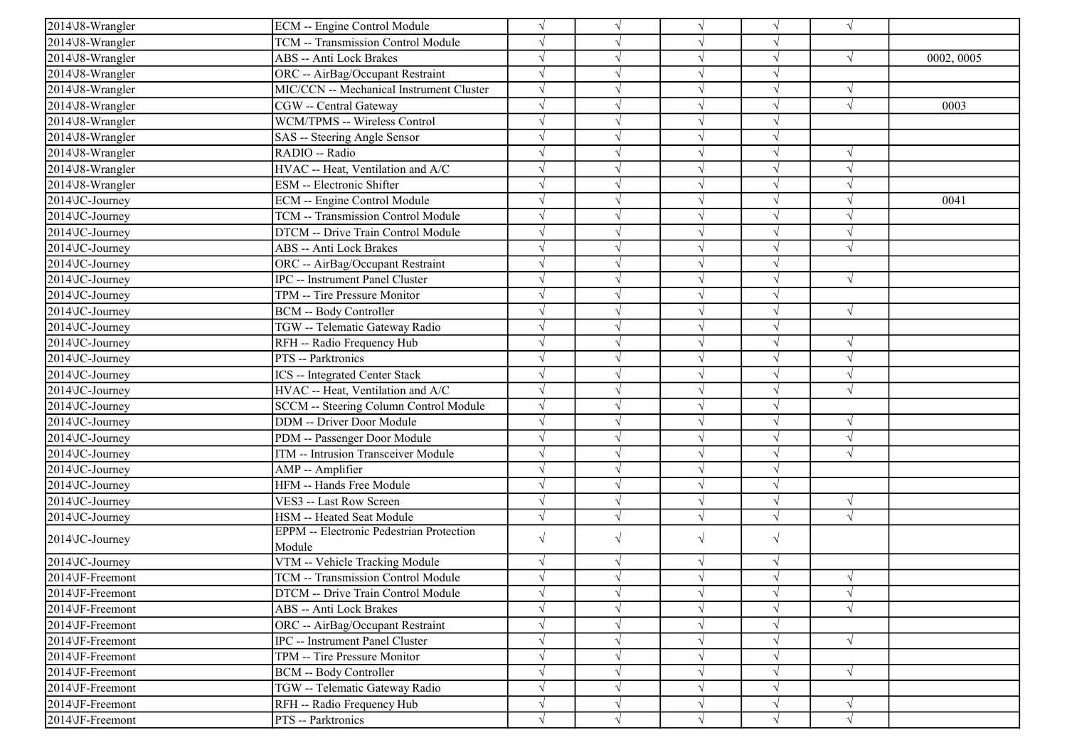| $2014\overline{3}8$ -Wrangler                  | ECM -- Engine Control Module                    | $\sqrt{}$  |            | $\sqrt{ }$ | $\sqrt{ }$ | $\sqrt{}$  |            |
|------------------------------------------------|-------------------------------------------------|------------|------------|------------|------------|------------|------------|
| 2014\J8-Wrangler                               | <b>TCM -- Transmission Control Module</b>       | $\sqrt{}$  |            | $\sqrt{ }$ | V          |            |            |
| 2014\J8-Wrangler                               | ABS -- Anti Lock Brakes                         |            |            | $\sqrt{ }$ | J          | $\sqrt{ }$ | 0002, 0005 |
| 2014\J8-Wrangler                               | ORC -- AirBag/Occupant Restraint                | $\sqrt{}$  |            | $\sqrt{ }$ | V          |            |            |
| 2014\J8-Wrangler                               | MIC/CCN -- Mechanical Instrument Cluster        | $\sqrt{}$  |            | $\sqrt{ }$ |            | $\sqrt{ }$ |            |
| 2014\J8-Wrangler                               | CGW -- Central Gateway                          | $\sqrt{ }$ |            | $\sqrt{ }$ | V          | $\sqrt{ }$ | 0003       |
| 2014\J8-Wrangler                               | WCM/TPMS -- Wireless Control                    | $\sqrt{ }$ |            | $\sqrt{ }$ | V          |            |            |
| 2014\J8-Wrangler                               | SAS -- Steering Angle Sensor                    | $\sqrt{}$  |            | $\sqrt{ }$ | V          |            |            |
| 2014\J8-Wrangler                               | RADIO -- Radio                                  | $\sqrt{}$  |            | $\sqrt{ }$ | J          | $\sqrt{ }$ |            |
| 2014\J8-Wrangler                               | HVAC -- Heat, Ventilation and A/C               |            |            | $\sqrt{ }$ | J          | $\sqrt{ }$ |            |
| 2014\J8-Wrangler                               | ESM -- Electronic Shifter                       |            |            | $\sqrt{ }$ |            | $\sqrt{ }$ |            |
| 2014\JC-Journey                                | ECM -- Engine Control Module                    | $\sqrt{}$  |            | $\sqrt{ }$ | $\sqrt{ }$ | $\sqrt{ }$ | 0041       |
| 2014\JC-Journey                                | TCM -- Transmission Control Module              | $\sqrt{}$  |            | $\sqrt{ }$ | $\sqrt{ }$ | $\sqrt{ }$ |            |
| 2014\JC-Journey                                | DTCM -- Drive Train Control Module              | $\sqrt{}$  |            | $\sqrt{ }$ | V          | $\sqrt{ }$ |            |
| 2014\JC-Journey                                | ABS -- Anti Lock Brakes                         | $\sqrt{}$  |            | $\sqrt{ }$ | V          | $\sqrt{ }$ |            |
| 2014\JC-Journey                                | ORC -- AirBag/Occupant Restraint                |            |            | $\sqrt{}$  |            |            |            |
| 2014\JC-Journey                                | IPC -- Instrument Panel Cluster                 | $\sqrt{}$  |            | $\sqrt{ }$ |            | $\sqrt{ }$ |            |
| 2014\JC-Journey                                | TPM -- Tire Pressure Monitor                    | $\sqrt{}$  |            | $\sqrt{ }$ | V          |            |            |
| 2014\JC-Journey                                | <b>BCM -- Body Controller</b>                   | $\sqrt{}$  |            | $\sqrt{ }$ | V          | $\sqrt{ }$ |            |
| 2014\JC-Journey                                | TGW -- Telematic Gateway Radio                  | $\sqrt{}$  |            | $\sqrt{ }$ | $\sqrt{ }$ |            |            |
| 2014\JC-Journey                                | RFH -- Radio Frequency Hub                      | $\sqrt{}$  |            | $\sqrt{ }$ | $\sqrt{ }$ | $\sqrt{ }$ |            |
| 2014\JC-Journey                                | PTS -- Parktronics                              | $\sqrt{}$  |            | $\sqrt{ }$ | J          | $\sqrt{ }$ |            |
| 2014\JC-Journey                                | <b>ICS</b> -- Integrated Center Stack           | $\sqrt{}$  |            | $\sqrt{ }$ | V          | $\sqrt{ }$ |            |
| 2014\JC-Journey                                | HVAC -- Heat, Ventilation and A/C               | $\sqrt{}$  |            | $\sqrt{ }$ | $\sqrt{ }$ | $\sqrt{ }$ |            |
| 2014\JC-Journey                                | SCCM -- Steering Column Control Module          | $\sqrt{}$  |            | $\sqrt{ }$ | V          |            |            |
| 2014 JC-Journey                                | <b>DDM</b> -- Driver Door Module                | $\sqrt{}$  |            | $\sqrt{ }$ | $\sqrt{ }$ | $\sqrt{ }$ |            |
| 2014 JC-Journey                                | PDM -- Passenger Door Module                    | $\sqrt{}$  |            | $\sqrt{ }$ | $\sqrt{}$  | $\sqrt{ }$ |            |
| 2014\JC-Journey                                | ITM -- Intrusion Transceiver Module             |            |            | $\sqrt{ }$ |            | $\sqrt{ }$ |            |
| 2014\JC-Journey                                | AMP -- Amplifier                                | $\sqrt{}$  |            | $\sqrt{ }$ | V          |            |            |
| 2014\JC-Journey                                | HFM -- Hands Free Module                        | $\sqrt{}$  |            | $\sqrt{ }$ | V          |            |            |
| 2014\JC-Journey                                | VES3 -- Last Row Screen                         | $\sqrt{}$  |            | $\sqrt{ }$ | V          | $\sqrt{ }$ |            |
| 2014\JC-Journey                                | HSM -- Heated Seat Module                       | $\sqrt{}$  |            | $\sqrt{}$  | $\sqrt{}$  | $\sqrt{ }$ |            |
| 2014\JC-Journey                                | <b>EPPM</b> -- Electronic Pedestrian Protection | $\sqrt{}$  | $\sqrt{ }$ | $\sqrt{ }$ | $\sqrt{ }$ |            |            |
|                                                | Module                                          |            |            |            |            |            |            |
| 2014\JC-Journey                                | VTM -- Vehicle Tracking Module                  | $\sqrt{}$  | $\sqrt{}$  | $\sqrt{ }$ | $\sqrt{}$  |            |            |
| 2014\JF-Freemont                               | TCM -- Transmission Control Module              | $\sqrt{ }$ |            | $\sqrt{ }$ | $\sqrt{ }$ | $\sqrt{ }$ |            |
| 2014\JF-Freemont                               | DTCM -- Drive Train Control Module              | $\sqrt{}$  | $\sqrt{ }$ | $\sqrt{}$  | $\sqrt{ }$ | $\sqrt{ }$ |            |
| 2014\JF-Freemont                               | <b>ABS</b> -- Anti Lock Brakes                  | $\sqrt{}$  |            | $\sqrt{ }$ | $\sqrt{ }$ | $\sqrt{ }$ |            |
| 2014\JF-Freemont                               | ORC -- AirBag/Occupant Restraint                | $\sqrt{}$  |            | $\sqrt{ }$ | V          |            |            |
| 2014\JF-Freemont                               | IPC -- Instrument Panel Cluster                 | $\sqrt{}$  |            | $\sqrt{ }$ | $\sqrt{ }$ | $\sqrt{ }$ |            |
| 2014\JF-Freemont                               | TPM -- Tire Pressure Monitor                    | $\sqrt{}$  |            | $\sqrt{ }$ | $\sqrt{ }$ |            |            |
| 2014\JF-Freemont                               | BCM -- Body Controller                          | $\sqrt{}$  |            | $\sqrt{ }$ | V          | $\sqrt{ }$ |            |
| $\overline{20}14\overline{\text{VF-Freemont}}$ | TGW -- Telematic Gateway Radio                  | $\sqrt{}$  |            | $\sqrt{}$  | V          |            |            |
| 2014\JF-Freemont                               | RFH -- Radio Frequency Hub                      | $\sqrt{}$  |            | $\sqrt{}$  | $\sqrt{}$  | $\sqrt{ }$ |            |
| 2014\JF-Freemont                               | PTS -- Parktronics                              | V          | V          | $\sqrt{ }$ | V          | $\sqrt{ }$ |            |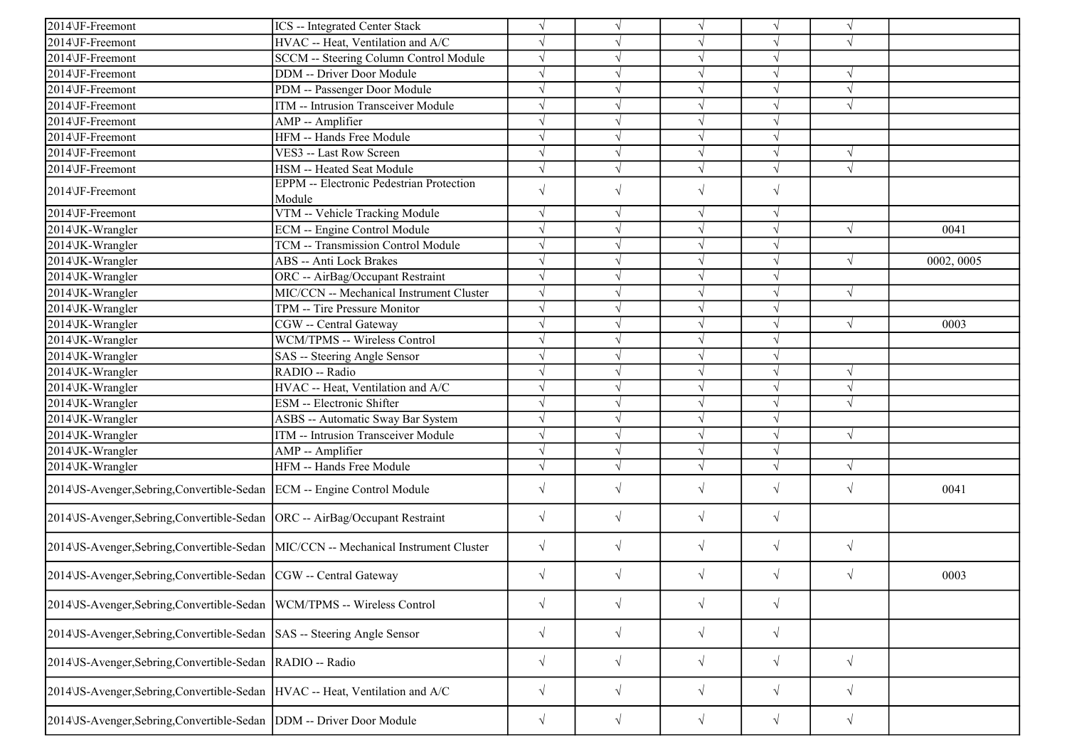| 2014\JF-Freemont                                                                    | ICS -- Integrated Center Stack                            | $\sqrt{}$  |            | $\sqrt{ }$ | V          | $\sqrt{ }$ |            |
|-------------------------------------------------------------------------------------|-----------------------------------------------------------|------------|------------|------------|------------|------------|------------|
| 2014\JF-Freemont                                                                    | HVAC -- Heat, Ventilation and A/C                         | $\sqrt{}$  |            | $\sqrt{ }$ | V          | $\sqrt{ }$ |            |
| 2014\JF-Freemont                                                                    | SCCM -- Steering Column Control Module                    | $\sqrt{}$  |            | $\sqrt{ }$ | $\sqrt{ }$ |            |            |
| 2014\JF-Freemont                                                                    | DDM -- Driver Door Module                                 |            |            | $\sqrt{ }$ | J          |            |            |
| 2014\JF-Freemont                                                                    | PDM -- Passenger Door Module                              | $\sqrt{}$  |            | $\sqrt{ }$ | $\sqrt{}$  | $\sqrt{ }$ |            |
| 2014\JF-Freemont                                                                    | ITM -- Intrusion Transceiver Module                       | $\sqrt{}$  |            | $\sqrt{ }$ | $\sqrt{}$  | $\sqrt{ }$ |            |
| 2014\JF-Freemont                                                                    | AMP -- Amplifier                                          | $\sqrt{ }$ |            | $\sqrt{ }$ | V          |            |            |
| 2014\JF-Freemont                                                                    | HFM -- Hands Free Module                                  | $\sqrt{ }$ |            | $\sqrt{ }$ | $\sqrt{ }$ |            |            |
| 2014\JF-Freemont                                                                    | VES3 -- Last Row Screen                                   | $\sqrt{}$  |            | $\sqrt{}$  | $\sqrt{}$  | $\sqrt{ }$ |            |
| 2014\JF-Freemont                                                                    | HSM -- Heated Seat Module                                 | $\sqrt{}$  |            | $\sqrt{}$  | $\sqrt{ }$ | $\sqrt{ }$ |            |
| 2014\JF-Freemont                                                                    | <b>EPPM</b> -- Electronic Pedestrian Protection<br>Module | $\sqrt{}$  | $\sqrt{ }$ | $\sqrt{ }$ | $\sqrt{}$  |            |            |
| 2014\JF-Freemont                                                                    | VTM -- Vehicle Tracking Module                            | $\sqrt{}$  | $\sqrt{ }$ | $\sqrt{ }$ | $\sqrt{ }$ |            |            |
| 2014\JK-Wrangler                                                                    | ECM -- Engine Control Module                              | $\sqrt{}$  |            | $\sqrt{ }$ | $\sqrt{ }$ | $\sqrt{ }$ | 0041       |
| 2014\JK-Wrangler                                                                    | TCM -- Transmission Control Module                        | $\sqrt{}$  |            | $\sqrt{ }$ | J          |            |            |
| 2014\JK-Wrangler                                                                    | ABS -- Anti Lock Brakes                                   | $\sqrt{ }$ |            | $\sqrt{}$  | V          | $\sqrt{}$  | 0002, 0005 |
| 2014\JK-Wrangler                                                                    | ORC -- AirBag/Occupant Restraint                          | $\sqrt{ }$ | V          | $\sqrt{ }$ | $\sqrt{ }$ |            |            |
| 2014\JK-Wrangler                                                                    | MIC/CCN -- Mechanical Instrument Cluster                  | $\sqrt{ }$ |            | $\sqrt{ }$ | V          | $\sqrt{ }$ |            |
| 2014\JK-Wrangler                                                                    | TPM -- Tire Pressure Monitor                              | $\sqrt{}$  |            | $\sqrt{ }$ | V          |            |            |
| 2014\JK-Wrangler                                                                    | CGW -- Central Gateway                                    | $\sqrt{}$  |            | $\sqrt{ }$ | $\sqrt{ }$ | $\sqrt{ }$ | 0003       |
| 2014\JK-Wrangler                                                                    | WCM/TPMS -- Wireless Control                              | $\sqrt{}$  |            | $\sqrt{ }$ | J          |            |            |
| 2014\JK-Wrangler                                                                    | SAS -- Steering Angle Sensor                              | $\sqrt{}$  |            | $\sqrt{}$  | J          |            |            |
| 2014\JK-Wrangler                                                                    | RADIO -- Radio                                            | $\sqrt{}$  |            | $\sqrt{ }$ | V          | $\sqrt{ }$ |            |
| 2014\JK-Wrangler                                                                    | HVAC -- Heat, Ventilation and A/C                         | $\sqrt{ }$ |            | $\sqrt{ }$ | V          | $\sqrt{ }$ |            |
| 2014\JK-Wrangler                                                                    | ESM -- Electronic Shifter                                 | $\sqrt{}$  |            | $\sqrt{ }$ | $\sqrt{}$  | $\sqrt{ }$ |            |
| 2014\JK-Wrangler                                                                    | ASBS -- Automatic Sway Bar System                         | $\sqrt{ }$ |            | $\sqrt{ }$ | $\sqrt{ }$ |            |            |
| 2014\JK-Wrangler                                                                    | ITM -- Intrusion Transceiver Module                       | $\sqrt{}$  |            | $\sqrt{}$  | $\sqrt{ }$ | $\sqrt{ }$ |            |
| 2014\JK-Wrangler                                                                    | AMP -- Amplifier                                          | $\sqrt{}$  |            | $\sqrt{}$  | $\sqrt{ }$ |            |            |
| 2014\JK-Wrangler                                                                    | HFM -- Hands Free Module                                  | $\sqrt{}$  | $\sqrt{ }$ | $\sqrt{ }$ | $\sqrt{ }$ | $\sqrt{ }$ |            |
| 2014 US-Avenger, Sebring, Convertible-Sedan ECM -- Engine Control Module            |                                                           | $\sqrt{ }$ | $\sqrt{ }$ | $\sqrt{}$  | $\sqrt{}$  | $\sqrt{ }$ | 0041       |
| 2014\JS-Avenger,Sebring,Convertible-Sedan  ORC -- AirBag/Occupant Restraint         |                                                           | $\sqrt{}$  | $\sqrt{ }$ | $\sqrt{}$  | $\sqrt{}$  |            |            |
| 2014\JS-Avenger,Sebring,Convertible-Sedan  MIC/CCN -- Mechanical Instrument Cluster |                                                           | $\sqrt{}$  | $\sqrt{ }$ | $\sqrt{}$  | $\sqrt{}$  | $\sqrt{}$  |            |
| 2014\JS-Avenger, Sebring, Convertible-Sedan   CGW -- Central Gateway                |                                                           | $\sqrt{}$  | $\sqrt{ }$ | $\sqrt{}$  | $\sqrt{}$  | $\sqrt{ }$ | 0003       |
| 2014\JS-Avenger,Sebring,Convertible-Sedan  WCM/TPMS -- Wireless Control             |                                                           | $\sqrt{}$  | $\sqrt{ }$ | $\sqrt{ }$ | $\sqrt{ }$ |            |            |
| 2014 US-Avenger, Sebring, Convertible-Sedan   SAS -- Steering Angle Sensor          |                                                           | $\sqrt{}$  | $\sqrt{ }$ | $\sqrt{ }$ | $\sqrt{}$  |            |            |
| 2014\JS-Avenger,Sebring,Convertible-Sedan  RADIO -- Radio                           |                                                           | $\sqrt{}$  | $\sqrt{ }$ | $\sqrt{}$  | $\sqrt{}$  | $\sqrt{ }$ |            |
| 2014\JS-Avenger,Sebring,Convertible-Sedan HVAC -- Heat, Ventilation and A/C         |                                                           | $\sqrt{}$  | $\sqrt{ }$ | $\sqrt{}$  | $\sqrt{}$  | $\sqrt{ }$ |            |
| 2014 US-Avenger, Sebring, Convertible-Sedan   DDM -- Driver Door Module             |                                                           | $\sqrt{}$  | $\sqrt{ }$ | $\sqrt{ }$ | $\sqrt{}$  | $\sqrt{ }$ |            |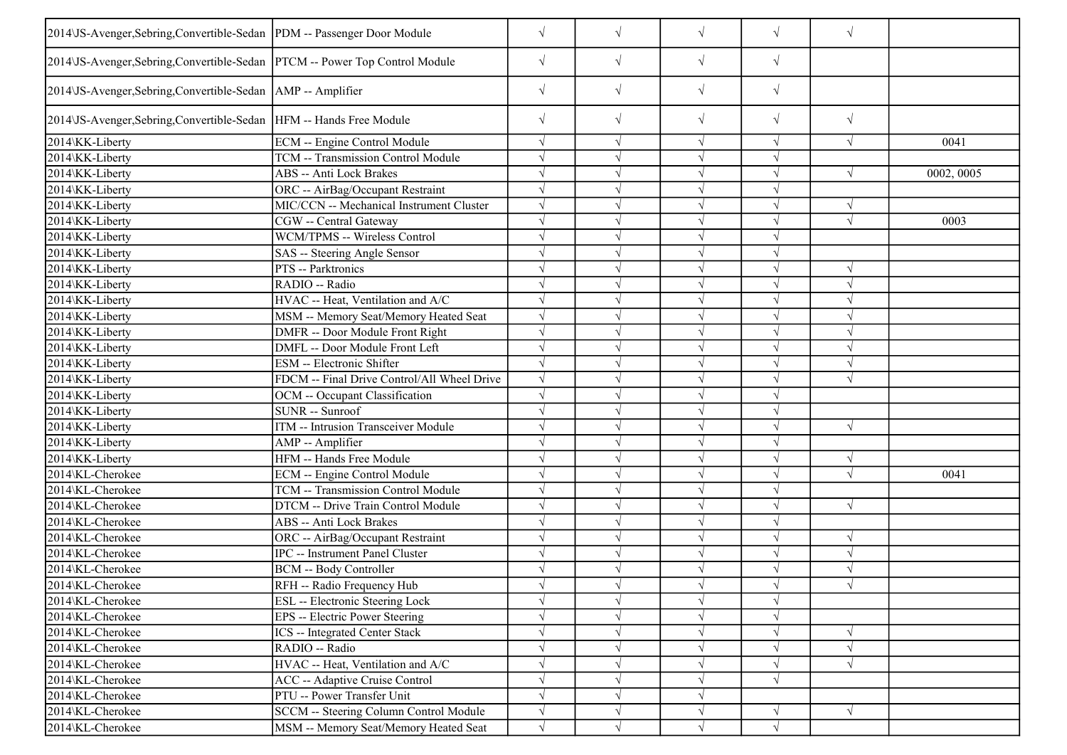| 2014 JS-Avenger, Sebring, Convertible-Sedan   PDM -- Passenger Door Module  |                                             | $\sqrt{}$  | $\sqrt{ }$ | $\sqrt{ }$ | $\sqrt{}$  | $\sqrt{}$  |            |
|-----------------------------------------------------------------------------|---------------------------------------------|------------|------------|------------|------------|------------|------------|
| 2014\JS-Avenger,Sebring,Convertible-Sedan  PTCM -- Power Top Control Module |                                             | $\sqrt{}$  | $\sqrt{}$  | $\sqrt{}$  | $\sqrt{}$  |            |            |
| 2014\JS-Avenger,Sebring,Convertible-Sedan   AMP -- Amplifier                |                                             | $\sqrt{ }$ | $\sqrt{ }$ | $\sqrt{}$  | $\sqrt{}$  |            |            |
| 2014\JS-Avenger, Sebring, Convertible-Sedan   HFM -- Hands Free Module      |                                             | $\sqrt{ }$ | $\sqrt{ }$ | $\sqrt{}$  | $\sqrt{}$  | $\sqrt{}$  |            |
| 2014\KK-Liberty                                                             | ECM -- Engine Control Module                |            | $\sqrt{ }$ | $\sqrt{ }$ | V          | $\sqrt{ }$ | 0041       |
| 2014\KK-Liberty                                                             | TCM -- Transmission Control Module          |            |            | $\sqrt{ }$ | $\sqrt{ }$ |            |            |
| 2014\KK-Liberty                                                             | <b>ABS</b> -- Anti Lock Brakes              |            |            | $\sqrt{}$  | $\sqrt{ }$ | $\sqrt{ }$ | 0002, 0005 |
| 2014\KK-Liberty                                                             | ORC -- AirBag/Occupant Restraint            |            |            | $\sqrt{}$  |            |            |            |
| 2014\KK-Liberty                                                             | MIC/CCN -- Mechanical Instrument Cluster    |            |            | $\sqrt{ }$ |            | $\sqrt{ }$ |            |
| 2014\KK-Liberty                                                             | CGW -- Central Gateway                      |            |            | $\sqrt{ }$ | J          | $\sqrt{ }$ | 0003       |
| 2014\KK-Liberty                                                             | WCM/TPMS -- Wireless Control                |            |            | $\sqrt{ }$ |            |            |            |
| 2014\KK-Liberty                                                             | SAS -- Steering Angle Sensor                |            |            | $\sqrt{ }$ | $\sqrt{}$  |            |            |
| 2014\KK-Liberty                                                             | PTS -- Parktronics                          |            |            | $\sqrt{ }$ | $\sqrt{}$  | $\sqrt{ }$ |            |
| 2014\KK-Liberty                                                             | RADIO -- Radio                              |            |            | $\sqrt{ }$ |            |            |            |
| 2014\KK-Liberty                                                             | HVAC -- Heat, Ventilation and A/C           |            |            | $\sqrt{ }$ |            |            |            |
| 2014\KK-Liberty                                                             | MSM -- Memory Seat/Memory Heated Seat       |            |            | $\sqrt{}$  | $\sqrt{}$  | $\sqrt{ }$ |            |
| 2014\KK-Liberty                                                             | DMFR -- Door Module Front Right             |            |            | $\sqrt{ }$ |            |            |            |
| 2014\KK-Liberty                                                             | DMFL -- Door Module Front Left              |            |            | $\sqrt{ }$ |            | $\sqrt{ }$ |            |
| 2014\KK-Liberty                                                             | ESM -- Electronic Shifter                   |            |            | $\sqrt{ }$ |            | $\sqrt{ }$ |            |
| 2014\KK-Liberty                                                             | FDCM -- Final Drive Control/All Wheel Drive |            |            | $\sqrt{}$  |            |            |            |
| 2014\KK-Liberty                                                             | OCM -- Occupant Classification              |            |            | $\sqrt{ }$ |            |            |            |
| 2014\KK-Liberty                                                             | SUNR -- Sunroof                             |            |            | $\sqrt{ }$ |            |            |            |
| 2014\KK-Liberty                                                             | ITM -- Intrusion Transceiver Module         |            |            | $\sqrt{}$  |            | $\sqrt{ }$ |            |
| 2014\KK-Liberty                                                             | AMP -- Amplifier                            | $\sqrt{ }$ | $\sqrt{ }$ | $\sqrt{ }$ |            |            |            |
| 2014\KK-Liberty                                                             | HFM -- Hands Free Module                    | $\sqrt{ }$ |            | $\sqrt{ }$ | $\sqrt{ }$ | $\sqrt{ }$ |            |
| 2014\KL-Cherokee                                                            | <b>ECM</b> -- Engine Control Module         |            |            | $\sqrt{ }$ |            | $\sqrt{ }$ | 0041       |
| 2014\KL-Cherokee                                                            | TCM -- Transmission Control Module          |            |            | $\sqrt{ }$ |            |            |            |
| 2014\KL-Cherokee                                                            | DTCM -- Drive Train Control Module          |            |            | $\sqrt{}$  | V          | $\sqrt{ }$ |            |
| 2014\KL-Cherokee                                                            | <b>ABS</b> -- Anti Lock Brakes              |            | $\sqrt{ }$ | $\sqrt{}$  |            |            |            |
| 2014\KL-Cherokee                                                            | ORC -- AirBag/Occupant Restraint            |            | $\sqrt{ }$ | $\sqrt{ }$ | $\sqrt{ }$ | $\sqrt{ }$ |            |
| 2014\KL-Cherokee                                                            | IPC -- Instrument Panel Cluster             |            |            | $\sqrt{ }$ |            | $\sqrt{ }$ |            |
| 2014\KL-Cherokee                                                            | <b>BCM -- Body Controller</b>               |            |            | $\sqrt{}$  |            | $\sqrt{ }$ |            |
| 2014\KL-Cherokee                                                            | RFH -- Radio Frequency Hub                  |            |            |            |            |            |            |
| 2014\KL-Cherokee                                                            | ESL -- Electronic Steering Lock             |            |            | $\sqrt{ }$ | $\sqrt{}$  |            |            |
| 2014\KL-Cherokee                                                            | EPS -- Electric Power Steering              |            |            | $\sqrt{ }$ | V          |            |            |
| 2014\KL-Cherokee                                                            | <b>ICS</b> -- Integrated Center Stack       |            |            | $\sqrt{ }$ |            | $\sqrt{ }$ |            |
| 2014\KL-Cherokee                                                            | RADIO -- Radio                              |            |            | $\sqrt{ }$ |            | $\sqrt{}$  |            |
| 2014\KL-Cherokee                                                            | HVAC -- Heat, Ventilation and A/C           |            | $\sqrt{ }$ | $\sqrt{ }$ | $\sqrt{}$  | $\sqrt{}$  |            |
| 2014\KL-Cherokee                                                            | <b>ACC</b> -- Adaptive Cruise Control       |            | V          | $\sqrt{ }$ | $\sqrt{ }$ |            |            |
| 2014\KL-Cherokee                                                            | PTU -- Power Transfer Unit                  |            | $\sqrt{ }$ | $\sqrt{ }$ |            |            |            |
| 2014\KL-Cherokee                                                            | SCCM -- Steering Column Control Module      | $\sqrt{}$  | $\sqrt{ }$ | $\sqrt{}$  | $\sqrt{}$  | $\sqrt{ }$ |            |
| 2014\KL-Cherokee                                                            | MSM -- Memory Seat/Memory Heated Seat       | $\sqrt{ }$ | $\sqrt{ }$ | $\sqrt{ }$ | $\sqrt{ }$ |            |            |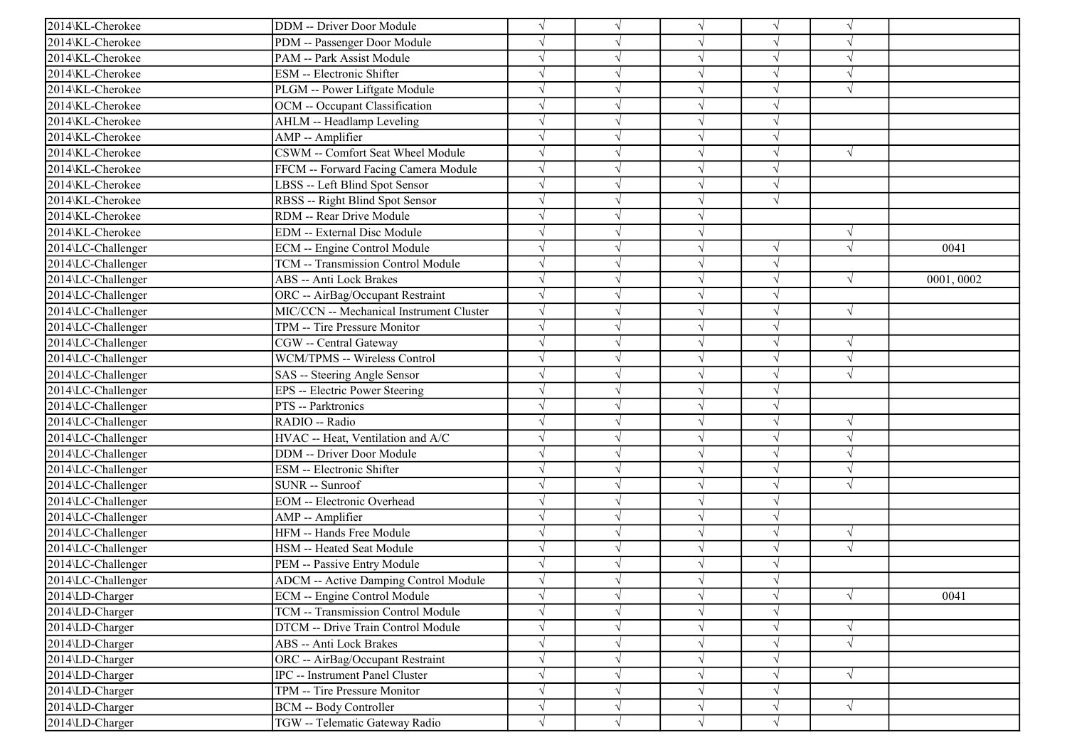| 2014\KL-Cherokee   | DDM -- Driver Door Module                |            |            | $\sqrt{ }$ | $\sqrt{ }$ | $\gamma$   |           |
|--------------------|------------------------------------------|------------|------------|------------|------------|------------|-----------|
| 2014\KL-Cherokee   | PDM -- Passenger Door Module             |            |            | $\sqrt{ }$ | V          | $\sqrt{ }$ |           |
| 2014\KL-Cherokee   | PAM -- Park Assist Module                |            |            | $\sqrt{ }$ | $\sqrt{}$  | $\sqrt{ }$ |           |
| 2014\KL-Cherokee   | ESM -- Electronic Shifter                |            |            | $\sqrt{ }$ |            |            |           |
| 2014\KL-Cherokee   | PLGM -- Power Liftgate Module            |            |            | $\sqrt{ }$ | V          | $\sqrt{ }$ |           |
| 2014\KL-Cherokee   | OCM -- Occupant Classification           |            |            | $\sqrt{ }$ | V          |            |           |
| 2014\KL-Cherokee   | AHLM -- Headlamp Leveling                |            |            | $\sqrt{ }$ | V          |            |           |
| 2014\KL-Cherokee   | AMP -- Amplifier                         |            |            | $\sqrt{ }$ | V          |            |           |
| 2014\KL-Cherokee   | CSWM -- Comfort Seat Wheel Module        |            |            | $\sqrt{ }$ | $\sqrt{ }$ | $\sqrt{ }$ |           |
| 2014\KL-Cherokee   | FFCM -- Forward Facing Camera Module     |            |            | $\sqrt{ }$ | J          |            |           |
| 2014\KL-Cherokee   | LBSS -- Left Blind Spot Sensor           |            |            | $\sqrt{ }$ | V          |            |           |
| 2014\KL-Cherokee   | RBSS -- Right Blind Spot Sensor          |            |            | $\sqrt{ }$ | $\sqrt{ }$ |            |           |
| 2014\KL-Cherokee   | RDM -- Rear Drive Module                 |            |            | $\sqrt{ }$ |            |            |           |
| 2014\KL-Cherokee   | <b>EDM</b> -- External Disc Module       |            |            | $\sqrt{ }$ |            | $\sqrt{ }$ |           |
| 2014\LC-Challenger | ECM -- Engine Control Module             |            |            | $\sqrt{ }$ | $\sqrt{ }$ | $\sqrt{ }$ | 0041      |
| 2014\LC-Challenger | TCM -- Transmission Control Module       |            |            | $\sqrt{ }$ | $\sqrt{}$  |            |           |
| 2014\LC-Challenger | ABS -- Anti Lock Brakes                  |            |            | $\sqrt{ }$ | J          | $\sqrt{ }$ | 0001,0002 |
| 2014\LC-Challenger | ORC -- AirBag/Occupant Restraint         |            |            | $\sqrt{ }$ |            |            |           |
| 2014\LC-Challenger | MIC/CCN -- Mechanical Instrument Cluster |            |            | $\sqrt{ }$ | $\sqrt{}$  | $\sqrt{ }$ |           |
| 2014\LC-Challenger | TPM -- Tire Pressure Monitor             | V          |            | $\sqrt{ }$ | V          |            |           |
| 2014\LC-Challenger | CGW -- Central Gateway                   |            |            | $\sqrt{ }$ | $\sqrt{ }$ | $\sqrt{ }$ |           |
| 2014\LC-Challenger | WCM/TPMS -- Wireless Control             |            |            | $\sqrt{ }$ | $\sqrt{ }$ | $\sqrt{ }$ |           |
| 2014\LC-Challenger | SAS -- Steering Angle Sensor             |            |            | $\sqrt{ }$ |            | $\sqrt{ }$ |           |
| 2014\LC-Challenger | EPS -- Electric Power Steering           |            |            | $\sqrt{}$  | $\sqrt{ }$ |            |           |
| 2014\LC-Challenger | PTS -- Parktronics                       |            | $\sqrt{ }$ | $\sqrt{ }$ | $\sqrt{ }$ |            |           |
| 2014\LC-Challenger | RADIO -- Radio                           |            |            | $\sqrt{ }$ | V          | $\sqrt{ }$ |           |
| 2014\LC-Challenger | HVAC -- Heat, Ventilation and A/C        |            |            | $\sqrt{ }$ | V          | $\sqrt{ }$ |           |
| 2014\LC-Challenger | DDM -- Driver Door Module                |            |            | $\sqrt{}$  | $\sqrt{}$  | $\sqrt{ }$ |           |
| 2014\LC-Challenger | ESM -- Electronic Shifter                |            |            | $\sqrt{ }$ |            | $\gamma$   |           |
| 2014\LC-Challenger | SUNR -- Sunroof                          |            |            | $\sqrt{ }$ |            | $\sqrt{ }$ |           |
| 2014\LC-Challenger | <b>EOM</b> -- Electronic Overhead        |            |            | $\sqrt{ }$ | V          |            |           |
| 2014\LC-Challenger | AMP -- Amplifier                         |            |            | $\sqrt{ }$ | $\sqrt{ }$ |            |           |
| 2014\LC-Challenger | HFM -- Hands Free Module                 |            |            | $\sqrt{ }$ | $\sqrt{}$  | $\sqrt{ }$ |           |
| 2014\LC-Challenger | HSM -- Heated Seat Module                |            |            | $\sqrt{ }$ | $\sqrt{ }$ | $\sqrt{ }$ |           |
| 2014\LC-Challenger | PEM -- Passive Entry Module              |            |            | $\sqrt{ }$ |            |            |           |
| 2014\LC-Challenger | ADCM -- Active Damping Control Module    |            |            |            |            |            |           |
| 2014\LD-Charger    | ECM -- Engine Control Module             |            | $\sqrt{}$  | $\sqrt{ }$ | $\sqrt{}$  | $\sqrt{ }$ | 0041      |
| 2014\LD-Charger    | TCM -- Transmission Control Module       |            |            | $\sqrt{ }$ | V          |            |           |
| 2014\LD-Charger    | DTCM -- Drive Train Control Module       |            | $\sqrt{ }$ | $\sqrt{}$  | $\sqrt{ }$ | $\sqrt{ }$ |           |
| 2014\LD-Charger    | ABS -- Anti Lock Brakes                  |            |            | $\sqrt{}$  | V          | $\sqrt{ }$ |           |
| 2014\LD-Charger    | ORC -- AirBag/Occupant Restraint         |            |            | $\sqrt{ }$ |            |            |           |
| 2014\LD-Charger    | IPC -- Instrument Panel Cluster          |            | V          | $\sqrt{ }$ | V          | $\sqrt{ }$ |           |
| 2014\LD-Charger    | TPM -- Tire Pressure Monitor             |            | V          | $\sqrt{ }$ | V          |            |           |
| 2014\LD-Charger    | <b>BCM -- Body Controller</b>            | $\sqrt{ }$ | $\sqrt{ }$ | $\sqrt{ }$ | V          | $\sqrt{ }$ |           |
| 2014\LD-Charger    | TGW -- Telematic Gateway Radio           | $\sqrt{}$  | $\sqrt{ }$ | $\sqrt{ }$ | $\sqrt{}$  |            |           |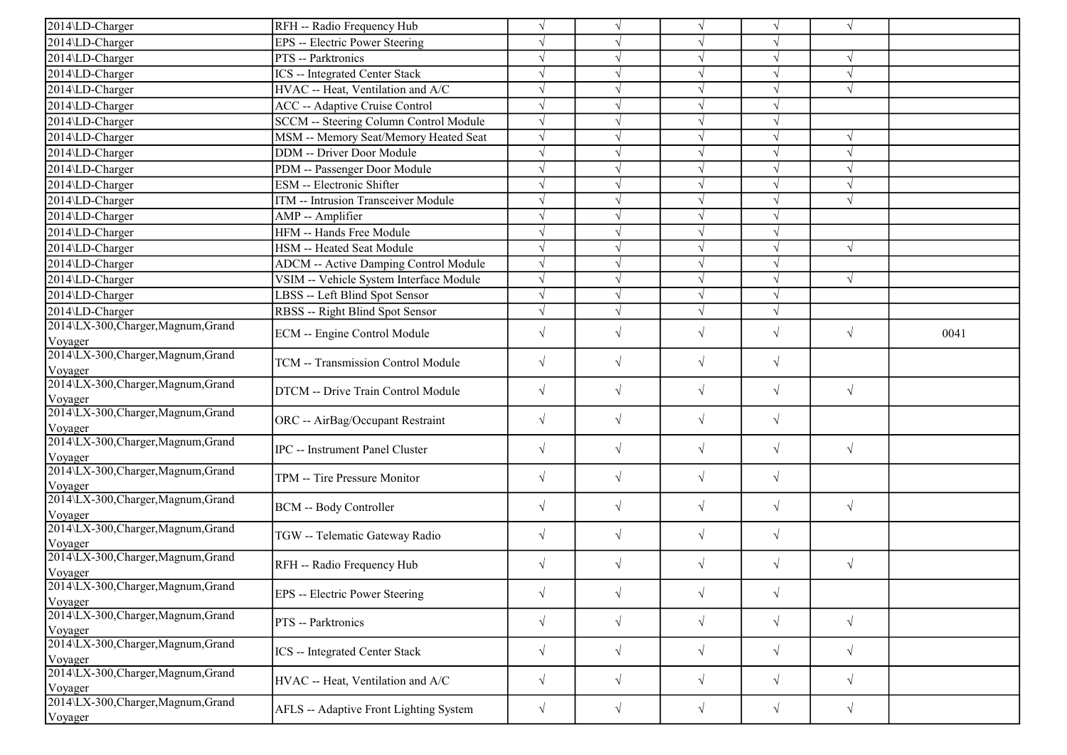| 2014\LD-Charger                                           | RFH -- Radio Frequency Hub                   | $\sqrt{ }$ | $\sqrt{ }$ | $\sqrt{ }$ |            | $\sqrt{ }$ |      |
|-----------------------------------------------------------|----------------------------------------------|------------|------------|------------|------------|------------|------|
| 2014\LD-Charger                                           | <b>EPS</b> -- Electric Power Steering        | $\sqrt{}$  |            |            |            |            |      |
| 2014\LD-Charger                                           | PTS -- Parktronics                           | $\sqrt{ }$ |            | $\sqrt{ }$ | $\sqrt{ }$ | $\sqrt{ }$ |      |
| 2014\LD-Charger                                           | <b>ICS</b> -- Integrated Center Stack        | $\sqrt{ }$ |            | $\sqrt{ }$ |            | $\sqrt{ }$ |      |
| 2014\LD-Charger                                           | HVAC -- Heat, Ventilation and A/C            | $\sqrt{ }$ |            |            |            |            |      |
| 2014\LD-Charger                                           | ACC -- Adaptive Cruise Control               | $\sqrt{ }$ |            | $\sqrt{ }$ |            |            |      |
| 2014\LD-Charger                                           | SCCM -- Steering Column Control Module       | $\sqrt{ }$ |            |            |            |            |      |
| 2014\LD-Charger                                           | MSM -- Memory Seat/Memory Heated Seat        | $\sqrt{ }$ |            | N          |            |            |      |
| 2014\LD-Charger                                           | DDM -- Driver Door Module                    | $\sqrt{ }$ |            | $\sqrt{ }$ |            | $\sqrt{ }$ |      |
| 2014\LD-Charger                                           | PDM -- Passenger Door Module                 | $\sqrt{ }$ |            | $\sqrt{ }$ |            | $\sqrt{ }$ |      |
| 2014\LD-Charger                                           | ESM -- Electronic Shifter                    | $\sqrt{ }$ |            |            |            | $\sqrt{ }$ |      |
| 2014\LD-Charger                                           | ITM -- Intrusion Transceiver Module          | $\sqrt{ }$ |            | $\sqrt{ }$ |            | $\sqrt{ }$ |      |
| 2014\LD-Charger                                           | AMP -- Amplifier                             | $\sqrt{ }$ |            |            |            |            |      |
| 2014\LD-Charger                                           | HFM -- Hands Free Module                     | $\sqrt{ }$ |            |            |            |            |      |
| 2014\LD-Charger                                           | HSM -- Heated Seat Module                    | $\sqrt{ }$ | V          | $\sqrt{ }$ | J          | $\sqrt{ }$ |      |
| 2014\LD-Charger                                           | <b>ADCM</b> -- Active Damping Control Module | $\sqrt{ }$ | V          | $\sqrt{}$  |            |            |      |
| 2014\LD-Charger                                           | VSIM -- Vehicle System Interface Module      | $\sqrt{ }$ |            |            |            | $\sqrt{ }$ |      |
| 2014\LD-Charger                                           | LBSS -- Left Blind Spot Sensor               | $\sqrt{ }$ | $\sqrt{}$  | $\sqrt{2}$ |            |            |      |
| 2014\LD-Charger                                           | RBSS -- Right Blind Spot Sensor              | $\sqrt{}$  |            |            |            |            |      |
| 2014\LX-300, Charger, Magnum, Grand                       |                                              |            |            |            |            |            |      |
| Voyager                                                   | ECM -- Engine Control Module                 | $\sqrt{ }$ | $\sqrt{}$  | $\sqrt{ }$ | $\sqrt{}$  | $\sqrt{ }$ | 0041 |
| 2014\LX-300, Charger, Magnum, Grand                       | TCM -- Transmission Control Module           | $\sqrt{ }$ | $\sqrt{}$  | $\sqrt{ }$ | $\sqrt{}$  |            |      |
| Voyager<br>2014\LX-300, Charger, Magnum, Grand<br>Voyager | DTCM -- Drive Train Control Module           | $\sqrt{ }$ | $\sqrt{}$  | $\sqrt{ }$ | $\sqrt{}$  | $\sqrt{ }$ |      |
| 2014\LX-300,Charger,Magnum,Grand<br>Voyager               | ORC -- AirBag/Occupant Restraint             | $\sqrt{ }$ | $\sqrt{ }$ | $\sqrt{ }$ | $\sqrt{}$  |            |      |
| 2014\LX-300, Charger, Magnum, Grand<br>Voyager            | <b>IPC</b> -- Instrument Panel Cluster       | $\sqrt{ }$ | $\sqrt{}$  | $\sqrt{}$  | $\sqrt{}$  | $\sqrt{ }$ |      |
| 2014\LX-300, Charger, Magnum, Grand<br>Voyager            | TPM -- Tire Pressure Monitor                 | $\sqrt{ }$ | $\sqrt{}$  | $\sqrt{}$  | $\sqrt{}$  |            |      |
| 2014\LX-300, Charger, Magnum, Grand<br>Voyager            | <b>BCM</b> -- Body Controller                | $\sqrt{ }$ | $\sqrt{}$  | $\sqrt{}$  | $\sqrt{}$  | $\sqrt{ }$ |      |
| 2014\LX-300, Charger, Magnum, Grand<br>Voyager            | TGW -- Telematic Gateway Radio               | $\sqrt{ }$ | $\sqrt{}$  | $\sqrt{}$  | $\sqrt{}$  |            |      |
| 2014\LX-300, Charger, Magnum, Grand<br>Voyager            | RFH -- Radio Frequency Hub                   | $\sqrt{ }$ | $\sqrt{}$  | $\sqrt{}$  | $\sqrt{}$  | $\sqrt{ }$ |      |
| 2014\LX-300, Charger, Magnum, Grand<br>Voyager            | EPS -- Electric Power Steering               | $\sqrt{ }$ | $\sqrt{}$  | $\sqrt{}$  | $\sqrt{}$  |            |      |
| 2014\LX-300, Charger, Magnum, Grand<br>Voyager            | PTS -- Parktronics                           | $\sqrt{ }$ | $\sqrt{}$  | $\sqrt{}$  | $\sqrt{}$  | $\sqrt{ }$ |      |
| 2014\LX-300,Charger,Magnum,Grand<br>Voyager               | ICS -- Integrated Center Stack               | $\sqrt{ }$ | $\sqrt{}$  | $\sqrt{}$  | $\sqrt{}$  | $\sqrt{ }$ |      |
| 2014\LX-300, Charger, Magnum, Grand<br>Voyager            | HVAC -- Heat, Ventilation and A/C            | $\sqrt{}$  | $\sqrt{}$  | $\sqrt{}$  | $\sqrt{}$  | $\sqrt{ }$ |      |
| 2014\LX-300, Charger, Magnum, Grand<br>Voyager            | AFLS -- Adaptive Front Lighting System       | $\sqrt{}$  | $\sqrt{}$  | $\sqrt{}$  | $\sqrt{}$  | $\sqrt{ }$ |      |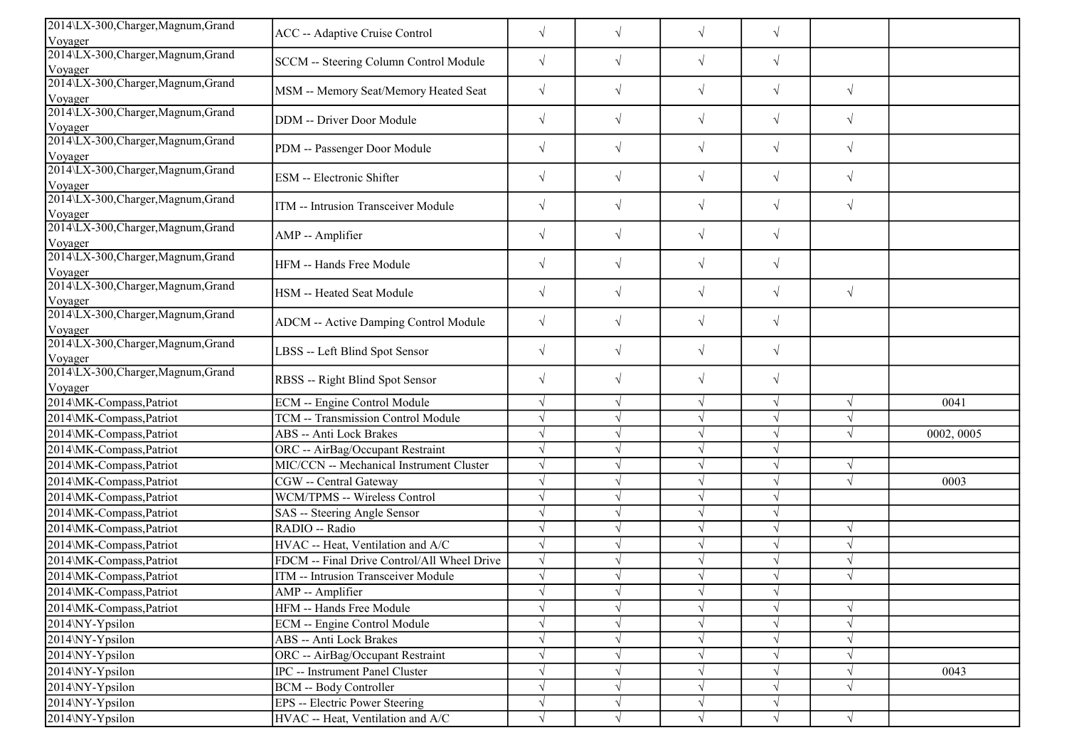| 2014\LX-300, Charger, Magnum, Grand            |                                             |            |            |            |            |            |            |
|------------------------------------------------|---------------------------------------------|------------|------------|------------|------------|------------|------------|
| Voyager                                        | ACC -- Adaptive Cruise Control              | $\sqrt{}$  | $\sqrt{}$  | $\sqrt{}$  | $\sqrt{}$  |            |            |
| 2014\LX-300, Charger, Magnum, Grand            | SCCM -- Steering Column Control Module      | $\sqrt{}$  | $\sqrt{ }$ | $\sqrt{ }$ | $\sqrt{}$  |            |            |
| Voyager                                        |                                             |            |            |            |            |            |            |
| 2014\LX-300, Charger, Magnum, Grand            | MSM -- Memory Seat/Memory Heated Seat       | $\sqrt{}$  | $\sqrt{ }$ | $\sqrt{ }$ | $\sqrt{}$  | $\sqrt{ }$ |            |
| Voyager                                        |                                             |            |            |            |            |            |            |
| 2014\LX-300, Charger, Magnum, Grand<br>Voyager | DDM -- Driver Door Module                   | $\sqrt{ }$ | $\sqrt{ }$ | $\sqrt{}$  | $\sqrt{}$  | $\sqrt{ }$ |            |
| 2014\LX-300, Charger, Magnum, Grand            | PDM -- Passenger Door Module                | $\sqrt{ }$ | $\sqrt{ }$ | $\sqrt{}$  | $\sqrt{}$  | $\sqrt{ }$ |            |
| Voyager                                        |                                             |            |            |            |            |            |            |
| 2014\LX-300, Charger, Magnum, Grand<br>Voyager | ESM -- Electronic Shifter                   | $\sqrt{}$  | $\sqrt{ }$ | $\sqrt{}$  | $\sqrt{}$  | $\sqrt{ }$ |            |
| 2014\LX-300, Charger, Magnum, Grand            |                                             |            |            |            |            |            |            |
| Voyager                                        | ITM -- Intrusion Transceiver Module         | $\sqrt{}$  | $\sqrt{ }$ | $\sqrt{}$  | $\sqrt{}$  | $\sqrt{ }$ |            |
| 2014\LX-300, Charger, Magnum, Grand            | AMP -- Amplifier                            | $\sqrt{}$  | $\sqrt{ }$ | $\sqrt{}$  | $\sqrt{}$  |            |            |
| Voyager                                        |                                             |            |            |            |            |            |            |
| 2014\LX-300, Charger, Magnum, Grand            | HFM -- Hands Free Module                    | $\sqrt{}$  | $\sqrt{ }$ | $\sqrt{ }$ | $\sqrt{}$  |            |            |
| Voyager                                        |                                             |            |            |            |            |            |            |
| 2014\LX-300, Charger, Magnum, Grand<br>Voyager | HSM -- Heated Seat Module                   | $\sqrt{}$  | $\sqrt{}$  | $\sqrt{}$  | $\sqrt{}$  | $\sqrt{}$  |            |
| 2014\LX-300, Charger, Magnum, Grand            |                                             |            |            |            |            |            |            |
| Voyager                                        | ADCM -- Active Damping Control Module       | $\sqrt{}$  | $\sqrt{}$  | $\sqrt{}$  | $\sqrt{}$  |            |            |
| 2014\LX-300, Charger, Magnum, Grand            |                                             |            |            |            |            |            |            |
| Voyager                                        | LBSS -- Left Blind Spot Sensor              | $\sqrt{}$  | $\sqrt{ }$ | $\sqrt{ }$ | $\sqrt{}$  |            |            |
| 2014\LX-300, Charger, Magnum, Grand            | RBSS -- Right Blind Spot Sensor             | $\sqrt{}$  | $\sqrt{ }$ | $\sqrt{}$  | $\sqrt{}$  |            |            |
| Voyager                                        |                                             |            |            |            |            |            |            |
| 2014\MK-Compass, Patriot                       | ECM -- Engine Control Module                |            | $\sqrt{ }$ | $\sqrt{}$  | $\sqrt{}$  | $\sqrt{ }$ | 0041       |
| 2014\MK-Compass, Patriot                       | <b>TCM -- Transmission Control Module</b>   | $\sqrt{ }$ | $\sqrt{ }$ | $\sqrt{ }$ | $\sqrt{}$  | $\sqrt{ }$ |            |
| 2014\MK-Compass, Patriot                       | ABS -- Anti Lock Brakes                     |            |            | $\sqrt{ }$ | V          | $\sqrt{ }$ | 0002, 0005 |
| 2014\MK-Compass,Patriot                        | ORC -- AirBag/Occupant Restraint            |            |            | $\sqrt{ }$ |            |            |            |
| 2014\MK-Compass, Patriot                       | MIC/CCN -- Mechanical Instrument Cluster    |            |            | $\sqrt{ }$ | $\sqrt{ }$ | $\sqrt{ }$ |            |
| 2014\MK-Compass, Patriot                       | CGW -- Central Gateway                      |            |            | $\sqrt{ }$ | $\sqrt{ }$ | $\sqrt{ }$ | 0003       |
| 2014\MK-Compass, Patriot                       | WCM/TPMS -- Wireless Control                |            |            | $\sqrt{ }$ |            |            |            |
| 2014\MK-Compass, Patriot                       | SAS -- Steering Angle Sensor                |            | $\sqrt{ }$ | $\sqrt{}$  | $\sqrt{}$  |            |            |
| 2014\MK-Compass, Patriot                       | RADIO -- Radio                              |            |            | $\sqrt{ }$ | $\sqrt{ }$ | $\sqrt{ }$ |            |
| 2014\MK-Compass,Patriot                        | HVAC -- Heat, Ventilation and A/C           |            |            | $\sqrt{}$  | V          | $\sqrt{ }$ |            |
| 2014\MK-Compass, Patriot                       | FDCM -- Final Drive Control/All Wheel Drive |            |            | $\sqrt{ }$ | J          | $\sqrt{ }$ |            |
| 2014\MK-Compass,Patriot                        | ITM -- Intrusion Transceiver Module         |            |            | $\sqrt{}$  |            |            |            |
| 2014\MK-Compass, Patriot                       | AMP -- Amplifier                            |            | $\sqrt{}$  | V          | V          |            |            |
| 2014\MK-Compass, Patriot                       | HFM -- Hands Free Module                    |            |            | $\sqrt{}$  |            | $\sqrt{ }$ |            |
| 2014\NY-Ypsilon                                | ECM -- Engine Control Module                |            |            | V          |            | $\sqrt{ }$ |            |
| 2014\NY-Ypsilon                                | ABS -- Anti Lock Brakes                     |            | $\sqrt{ }$ | $\sqrt{}$  |            | $\sqrt{ }$ |            |
| 2014\NY-Ypsilon                                | ORC -- AirBag/Occupant Restraint            |            | $\sqrt{ }$ | $\sqrt{ }$ |            | $\sqrt{ }$ |            |
| 2014\NY-Ypsilon                                | IPC -- Instrument Panel Cluster             |            |            | $\sqrt{}$  | V          | $\sqrt{ }$ | 0043       |
| 2014\NY-Ypsilon                                | BCM -- Body Controller                      |            | $\sqrt{ }$ | $\sqrt{ }$ | $\sqrt{}$  | $\sqrt{ }$ |            |
| 2014\NY-Ypsilon                                | EPS -- Electric Power Steering              |            | $\sqrt{ }$ | $\sqrt{}$  | $\sqrt{}$  |            |            |
| 2014\NY-Ypsilon                                | HVAC -- Heat, Ventilation and A/C           | $\sqrt{}$  | $\sqrt{ }$ | $\sqrt{ }$ | $\sqrt{}$  | $\sqrt{}$  |            |
|                                                |                                             |            |            |            |            |            |            |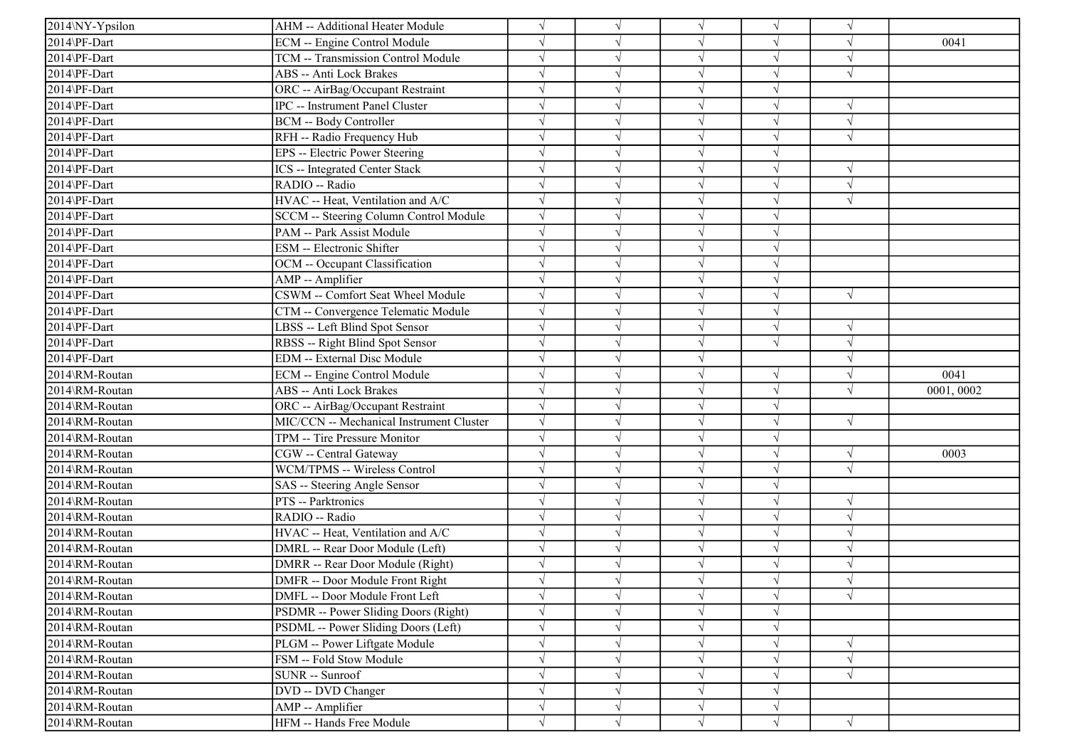| 2014\NY-Ypsilon | AHM -- Additional Heater Module          |            | $\sqrt{ }$ | $\sqrt{ }$ | $\sqrt{ }$ | $\sqrt{ }$ |            |
|-----------------|------------------------------------------|------------|------------|------------|------------|------------|------------|
| 2014\PF-Dart    | ECM -- Engine Control Module             |            |            | $\sqrt{ }$ | V          | $\sqrt{ }$ | 0041       |
| 2014\PF-Dart    | TCM -- Transmission Control Module       |            |            | $\sqrt{ }$ | V          | $\sqrt{ }$ |            |
| 2014\PF-Dart    | ABS -- Anti Lock Brakes                  |            |            | $\sqrt{ }$ | $\sqrt{}$  | $\sqrt{ }$ |            |
| 2014\PF-Dart    | ORC -- AirBag/Occupant Restraint         |            |            | $\sqrt{ }$ |            |            |            |
| 2014\PF-Dart    | IPC -- Instrument Panel Cluster          |            |            | $\sqrt{ }$ |            | $\sqrt{ }$ |            |
| 2014\PF-Dart    | <b>BCM -- Body Controller</b>            |            |            | $\sqrt{ }$ | $\sqrt{}$  | $\sqrt{ }$ |            |
| 2014\PF-Dart    | RFH -- Radio Frequency Hub               |            |            | $\sqrt{ }$ | J          | $\sqrt{ }$ |            |
| 2014\PF-Dart    | EPS -- Electric Power Steering           |            |            | $\sqrt{ }$ | $\sqrt{}$  |            |            |
| 2014\PF-Dart    | <b>ICS</b> -- Integrated Center Stack    |            |            | $\sqrt{ }$ | $\sqrt{ }$ | $\sqrt{ }$ |            |
| 2014\PF-Dart    | RADIO -- Radio                           |            |            | $\sqrt{ }$ | $\sqrt{ }$ | $\sqrt{ }$ |            |
| 2014\PF-Dart    | HVAC -- Heat, Ventilation and A/C        |            |            | $\sqrt{ }$ |            | $\sqrt{ }$ |            |
| 2014\PF-Dart    | SCCM -- Steering Column Control Module   |            |            | $\sqrt{ }$ | $\sqrt{ }$ |            |            |
| 2014\PF-Dart    | PAM -- Park Assist Module                |            |            | $\sqrt{ }$ | V          |            |            |
| 2014\PF-Dart    | ESM -- Electronic Shifter                |            | $\sqrt{ }$ | $\sqrt{ }$ | $\sqrt{ }$ |            |            |
| 2014\PF-Dart    | OCM -- Occupant Classification           |            |            | $\sqrt{ }$ | $\sqrt{ }$ |            |            |
| 2014\PF-Dart    | AMP -- Amplifier                         |            |            | $\sqrt{ }$ |            |            |            |
| 2014\PF-Dart    | CSWM -- Comfort Seat Wheel Module        |            |            | $\sqrt{ }$ | $\sqrt{}$  | $\sqrt{ }$ |            |
| 2014\PF-Dart    | CTM -- Convergence Telematic Module      |            |            | $\sqrt{ }$ |            |            |            |
| 2014\PF-Dart    | LBSS -- Left Blind Spot Sensor           |            |            | $\sqrt{ }$ | $\sqrt{ }$ | $\sqrt{ }$ |            |
| 2014\PF-Dart    | RBSS -- Right Blind Spot Sensor          |            |            | $\sqrt{ }$ | $\sqrt{ }$ | $\sqrt{ }$ |            |
| 2014\PF-Dart    | <b>EDM</b> -- External Disc Module       |            |            | $\sqrt{ }$ |            | $\sqrt{ }$ |            |
| 2014\RM-Routan  | ECM -- Engine Control Module             |            |            | $\sqrt{ }$ | V          | $\sqrt{ }$ | 0041       |
| 2014\RM-Routan  | ABS -- Anti Lock Brakes                  |            |            | $\sqrt{}$  | V          | $\sqrt{ }$ | 0001, 0002 |
| 2014\RM-Routan  | ORC -- AirBag/Occupant Restraint         |            |            | $\sqrt{ }$ | $\sqrt{ }$ |            |            |
| 2014\RM-Routan  | MIC/CCN -- Mechanical Instrument Cluster |            |            | $\sqrt{ }$ | $\sqrt{ }$ | $\sqrt{ }$ |            |
| 2014\RM-Routan  | TPM -- Tire Pressure Monitor             |            |            | $\sqrt{ }$ | $\sqrt{ }$ |            |            |
| 2014\RM-Routan  | CGW -- Central Gateway                   |            |            | $\sqrt{ }$ | V          | $\sqrt{ }$ | 0003       |
| 2014\RM-Routan  | WCM/TPMS -- Wireless Control             |            |            | $\sqrt{ }$ | $\sqrt{}$  | $\sqrt{ }$ |            |
| 2014\RM-Routan  | SAS -- Steering Angle Sensor             |            |            | $\sqrt{ }$ |            |            |            |
| 2014\RM-Routan  | PTS -- Parktronics                       |            |            | $\sqrt{ }$ | J          | $\sqrt{ }$ |            |
| 2014\RM-Routan  | RADIO -- Radio                           |            | $\sqrt{ }$ | $\sqrt{ }$ | V          | $\sqrt{ }$ |            |
| 2014\RM-Routan  | HVAC -- Heat, Ventilation and A/C        |            |            | $\sqrt{ }$ | V          | $\sqrt{ }$ |            |
| 2014\RM-Routan  | DMRL -- Rear Door Module (Left)          |            | $\sqrt{ }$ | $\sqrt{ }$ | $\sqrt{ }$ | $\sqrt{ }$ |            |
| 2014\RM-Routan  | DMRR -- Rear Door Module (Right)         |            |            | $\sqrt{ }$ | $\sqrt{ }$ | $\sqrt{ }$ |            |
| 2014\RM-Routan  | DMFR -- Door Module Front Right          |            |            | $\sqrt{ }$ |            | $\sqrt{ }$ |            |
| 2014\RM-Routan  | DMFL -- Door Module Front Left           |            | $\sqrt{}$  | $\sqrt{}$  | $\sqrt{ }$ | $\sqrt{ }$ |            |
| 2014\RM-Routan  | PSDMR -- Power Sliding Doors (Right)     |            | $\sqrt{ }$ | $\sqrt{ }$ | $\sqrt{ }$ |            |            |
| 2014\RM-Routan  | PSDML -- Power Sliding Doors (Left)      |            |            | $\sqrt{ }$ | V          |            |            |
| 2014\RM-Routan  | PLGM -- Power Liftgate Module            |            |            | $\sqrt{}$  | $\sqrt{ }$ | $\sqrt{ }$ |            |
| 2014\RM-Routan  | FSM -- Fold Stow Module                  |            |            | $\sqrt{ }$ | V          | $\sqrt{ }$ |            |
| 2014\RM-Routan  | SUNR -- Sunroof                          |            |            | $\sqrt{ }$ | V          | $\sqrt{ }$ |            |
| 2014\RM-Routan  | DVD -- DVD Changer                       |            |            | $\sqrt{ }$ | V          |            |            |
| 2014\RM-Routan  | AMP -- Amplifier                         | $\sqrt{}$  | $\sqrt{ }$ | $\sqrt{ }$ | $\sqrt{ }$ |            |            |
| 2014\RM-Routan  | HFM -- Hands Free Module                 | $\sqrt{ }$ | $\sqrt{ }$ | $\sqrt{ }$ | $\sqrt{ }$ | $\sqrt{ }$ |            |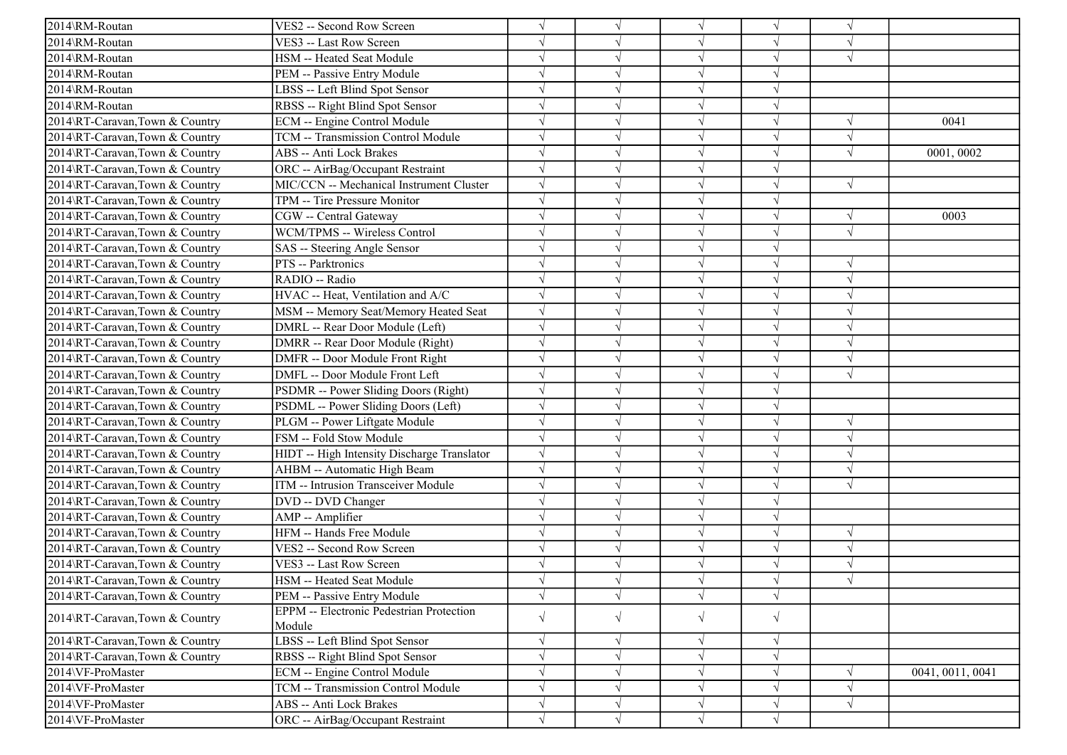| 2014\RM-Routan                 | VES2 -- Second Row Screen                       | $\sqrt{}$  |           |            | V          |            |                  |
|--------------------------------|-------------------------------------------------|------------|-----------|------------|------------|------------|------------------|
| 2014\RM-Routan                 | VES3 -- Last Row Screen                         | $\sqrt{}$  |           | $\sqrt{ }$ | $\sqrt{ }$ | $\sqrt{ }$ |                  |
| 2014\RM-Routan                 | HSM -- Heated Seat Module                       | $\sqrt{ }$ |           |            | $\sqrt{ }$ | $\sqrt{ }$ |                  |
| 2014\RM-Routan                 | PEM -- Passive Entry Module                     | $\sqrt{ }$ |           |            |            |            |                  |
| 2014\RM-Routan                 | LBSS -- Left Blind Spot Sensor                  | $\sqrt{ }$ |           |            | $\sqrt{}$  |            |                  |
| 2014\RM-Routan                 | RBSS -- Right Blind Spot Sensor                 | $\sqrt{ }$ |           |            | $\sqrt{}$  |            |                  |
| 2014\RT-Caravan,Town & Country | ECM -- Engine Control Module                    | $\sqrt{ }$ |           |            | $\sqrt{}$  | $\sqrt{ }$ | 0041             |
| 2014\RT-Caravan,Town & Country | TCM -- Transmission Control Module              | $\sqrt{ }$ |           | $\sqrt{ }$ | $\sqrt{}$  | $\sqrt{ }$ |                  |
| 2014\RT-Caravan,Town & Country | <b>ABS</b> -- Anti Lock Brakes                  | $\sqrt{ }$ |           | $\sqrt{ }$ | $\sqrt{ }$ | $\sqrt{ }$ | 0001,0002        |
| 2014\RT-Caravan,Town & Country | ORC -- AirBag/Occupant Restraint                | $\sqrt{ }$ |           |            |            |            |                  |
| 2014\RT-Caravan,Town & Country | MIC/CCN -- Mechanical Instrument Cluster        | $\sqrt{ }$ |           |            | $\sqrt{}$  | $\sqrt{ }$ |                  |
| 2014\RT-Caravan,Town & Country | TPM -- Tire Pressure Monitor                    | $\sqrt{ }$ |           |            |            |            |                  |
| 2014\RT-Caravan,Town & Country | CGW -- Central Gateway                          | $\sqrt{ }$ |           |            | $\sqrt{}$  | $\sqrt{ }$ | 0003             |
| 2014\RT-Caravan,Town & Country | WCM/TPMS -- Wireless Control                    | $\sqrt{ }$ |           | $\sqrt{ }$ | $\sqrt{}$  | $\sqrt{ }$ |                  |
| 2014\RT-Caravan,Town & Country | SAS -- Steering Angle Sensor                    | $\sqrt{ }$ |           | $\sqrt{ }$ |            |            |                  |
| 2014\RT-Caravan,Town & Country | PTS -- Parktronics                              | $\sqrt{ }$ |           |            |            | $\sqrt{ }$ |                  |
| 2014\RT-Caravan,Town & Country | RADIO -- Radio                                  | $\sqrt{ }$ |           |            | $\sqrt{ }$ | $\sqrt{ }$ |                  |
| 2014\RT-Caravan,Town & Country | HVAC -- Heat, Ventilation and A/C               | $\sqrt{ }$ |           |            |            | $\sqrt{ }$ |                  |
| 2014\RT-Caravan,Town & Country | MSM -- Memory Seat/Memory Heated Seat           | $\sqrt{ }$ |           | V          | $\sqrt{}$  | $\sqrt{ }$ |                  |
| 2014\RT-Caravan,Town & Country | DMRL -- Rear Door Module (Left)                 | $\sqrt{ }$ |           | $\sqrt{ }$ | $\sqrt{}$  | $\sqrt{ }$ |                  |
| 2014\RT-Caravan,Town & Country | DMRR -- Rear Door Module (Right)                | $\sqrt{}$  |           | $\sqrt{ }$ | $\sqrt{}$  | $\sqrt{ }$ |                  |
| 2014\RT-Caravan,Town & Country | DMFR -- Door Module Front Right                 | $\sqrt{}$  |           | $\sqrt{ }$ | $\sqrt{}$  | $\sqrt{ }$ |                  |
| 2014\RT-Caravan,Town & Country | DMFL -- Door Module Front Left                  | $\sqrt{ }$ |           |            |            | $\sqrt{ }$ |                  |
| 2014\RT-Caravan,Town & Country | PSDMR -- Power Sliding Doors (Right)            | $\sqrt{}$  |           |            |            |            |                  |
| 2014\RT-Caravan,Town & Country | PSDML -- Power Sliding Doors (Left)             | $\sqrt{ }$ | V         | V          | $\sqrt{}$  |            |                  |
| 2014\RT-Caravan,Town & Country | PLGM -- Power Liftgate Module                   | $\sqrt{ }$ |           |            | V          | $\sqrt{ }$ |                  |
| 2014\RT-Caravan,Town & Country | FSM -- Fold Stow Module                         | $\sqrt{ }$ |           |            |            | $\sqrt{ }$ |                  |
| 2014\RT-Caravan,Town & Country | HIDT -- High Intensity Discharge Translator     | $\sqrt{}$  |           |            | $\sqrt{}$  | $\sqrt{ }$ |                  |
| 2014\RT-Caravan,Town & Country | AHBM -- Automatic High Beam                     | $\sqrt{ }$ |           |            |            | $\sqrt{ }$ |                  |
| 2014\RT-Caravan,Town & Country | ITM -- Intrusion Transceiver Module             | $\sqrt{}$  |           |            |            | $\sqrt{ }$ |                  |
| 2014\RT-Caravan,Town & Country | DVD -- DVD Changer                              | $\sqrt{ }$ |           | N          | $\sqrt{}$  |            |                  |
| 2014\RT-Caravan,Town & Country | AMP -- Amplifier                                | $\sqrt{ }$ |           | $\sqrt{}$  | $\sqrt{}$  |            |                  |
| 2014\RT-Caravan,Town & Country | HFM -- Hands Free Module                        | $\sqrt{ }$ |           | $\sqrt{ }$ | $\sqrt{}$  | $\sqrt{ }$ |                  |
| 2014\RT-Caravan,Town & Country | VES2 -- Second Row Screen                       | $\sqrt{ }$ |           | $\sqrt{ }$ | $\sqrt{}$  | $\sqrt{ }$ |                  |
| 2014\RT-Caravan,Town & Country | VES3 -- Last Row Screen                         | $\sqrt{ }$ |           |            |            | $\sqrt{ }$ |                  |
| 2014\RT-Caravan,Town & Country | HSM -- Heated Seat Module                       |            |           |            |            |            |                  |
| 2014\RT-Caravan,Town & Country | PEM -- Passive Entry Module                     | $\sqrt{}$  | $\sqrt{}$ | $\sqrt{}$  | $\sqrt{}$  |            |                  |
| 2014\RT-Caravan,Town & Country | <b>EPPM</b> -- Electronic Pedestrian Protection | $\sqrt{}$  | $\sqrt{}$ | $\sqrt{}$  | $\sqrt{}$  |            |                  |
|                                | Module                                          |            |           |            |            |            |                  |
| 2014\RT-Caravan,Town & Country | LBSS -- Left Blind Spot Sensor                  | $\sqrt{ }$ | $\sqrt{}$ | $\sqrt{}$  | $\sqrt{}$  |            |                  |
| 2014\RT-Caravan,Town & Country | RBSS -- Right Blind Spot Sensor                 | $\sqrt{}$  | √         | V          | $\sqrt{}$  |            |                  |
| 2014\VF-ProMaster              | <b>ECM</b> -- Engine Control Module             | $\sqrt{}$  | √         | V          | $\sqrt{}$  | $\sqrt{ }$ | 0041, 0011, 0041 |
| 2014\VF-ProMaster              | TCM -- Transmission Control Module              | $\sqrt{}$  |           | $\sqrt{}$  | $\sqrt{}$  | $\sqrt{ }$ |                  |
| 2014\VF-ProMaster              | <b>ABS</b> -- Anti Lock Brakes                  | $\sqrt{}$  | V         | $\sqrt{}$  | $\sqrt{}$  | $\sqrt{ }$ |                  |
| 2014\VF-ProMaster              | ORC -- AirBag/Occupant Restraint                | $\sqrt{}$  | $\sqrt{}$ | $\sqrt{}$  | $\sqrt{}$  |            |                  |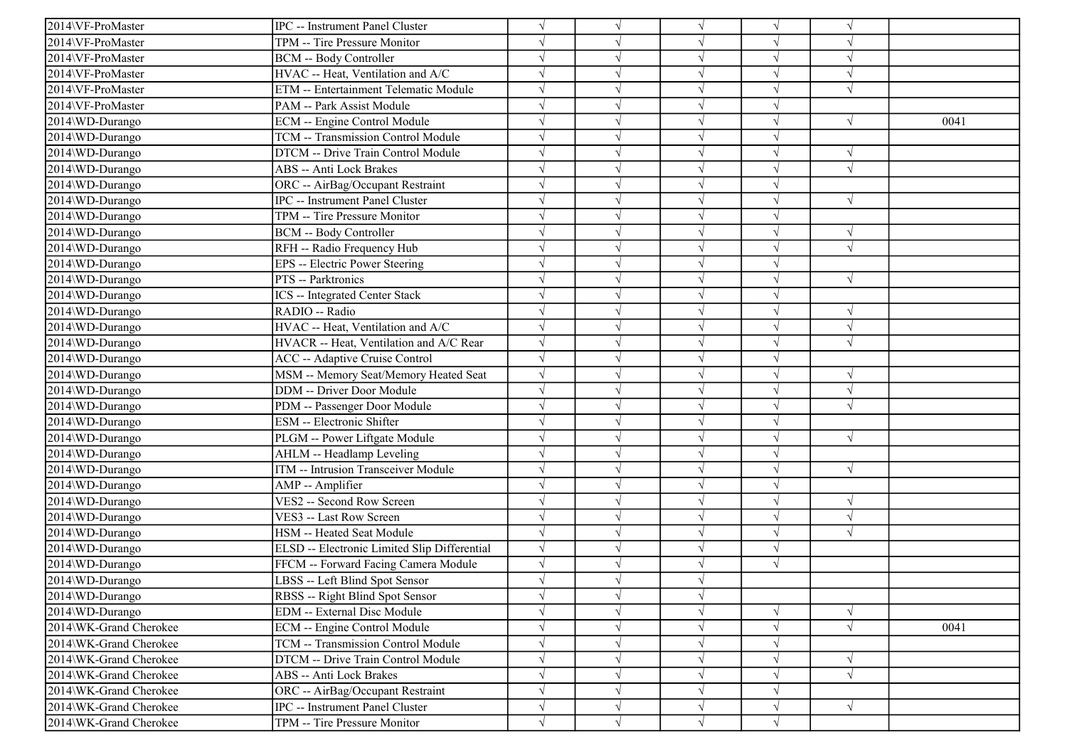| 2014\VF-ProMaster      | <b>IPC</b> -- Instrument Panel Cluster       |            |            | $\sqrt{ }$ | V          | $\gamma$   |      |
|------------------------|----------------------------------------------|------------|------------|------------|------------|------------|------|
| 2014\VF-ProMaster      | TPM -- Tire Pressure Monitor                 | $\sqrt{}$  |            | $\sqrt{ }$ | V          | $\sqrt{ }$ |      |
| 2014\VF-ProMaster      | <b>BCM -- Body Controller</b>                | $\sqrt{}$  |            | $\sqrt{ }$ | $\sqrt{}$  | $\sqrt{ }$ |      |
| 2014\VF-ProMaster      | HVAC -- Heat, Ventilation and A/C            |            |            | $\sqrt{ }$ |            |            |      |
| 2014\VF-ProMaster      | ETM -- Entertainment Telematic Module        | $\sqrt{}$  |            | $\sqrt{ }$ | J          | $\sqrt{ }$ |      |
| 2014\VF-ProMaster      | PAM -- Park Assist Module                    | $\sqrt{}$  |            | $\sqrt{ }$ | J          |            |      |
| 2014\WD-Durango        | ECM -- Engine Control Module                 | $\sqrt{}$  |            | $\sqrt{ }$ | V          | $\sqrt{ }$ | 0041 |
| 2014\WD-Durango        | TCM -- Transmission Control Module           | $\sqrt{ }$ |            | $\sqrt{ }$ | V          |            |      |
| 2014\WD-Durango        | DTCM -- Drive Train Control Module           | $\sqrt{}$  |            | $\sqrt{ }$ | $\sqrt{ }$ | $\sqrt{ }$ |      |
| 2014\WD-Durango        | ABS -- Anti Lock Brakes                      |            |            | $\sqrt{ }$ |            | $\sqrt{ }$ |      |
| 2014\WD-Durango        | ORC -- AirBag/Occupant Restraint             | $\sqrt{}$  |            | $\sqrt{}$  | V          |            |      |
| 2014\WD-Durango        | IPC -- Instrument Panel Cluster              |            |            | $\sqrt{ }$ |            | $\sqrt{ }$ |      |
| 2014\WD-Durango        | TPM -- Tire Pressure Monitor                 |            |            | $\sqrt{ }$ | V          |            |      |
| 2014\WD-Durango        | <b>BCM -- Body Controller</b>                | $\sqrt{}$  |            | $\sqrt{ }$ | $\sqrt{ }$ | $\sqrt{ }$ |      |
| 2014\WD-Durango        | RFH -- Radio Frequency Hub                   |            |            | $\sqrt{ }$ |            | $\sqrt{ }$ |      |
| 2014\WD-Durango        | EPS -- Electric Power Steering               |            |            | $\sqrt{ }$ |            |            |      |
| 2014\WD-Durango        | PTS -- Parktronics                           |            |            | $\sqrt{ }$ | J          | $\sqrt{ }$ |      |
| 2014\WD-Durango        | <b>ICS</b> -- Integrated Center Stack        |            |            | V          |            |            |      |
| 2014\WD-Durango        | RADIO -- Radio                               | $\sqrt{}$  |            | $\sqrt{ }$ | V          | $\sqrt{ }$ |      |
| 2014\WD-Durango        | HVAC -- Heat, Ventilation and A/C            | $\sqrt{ }$ |            | $\sqrt{ }$ | V          | $\sqrt{ }$ |      |
| 2014\WD-Durango        | HVACR -- Heat, Ventilation and A/C Rear      | $\sqrt{}$  |            | $\sqrt{ }$ | V          | $\sqrt{ }$ |      |
| 2014\WD-Durango        | ACC -- Adaptive Cruise Control               | $\sqrt{}$  |            | $\sqrt{ }$ | $\sqrt{ }$ |            |      |
| 2014\WD-Durango        | MSM -- Memory Seat/Memory Heated Seat        | $\sqrt{}$  |            | $\sqrt{ }$ | J          | $\sqrt{ }$ |      |
| 2014\WD-Durango        | DDM -- Driver Door Module                    |            |            | $\sqrt{ }$ |            | $\sqrt{ }$ |      |
| 2014\WD-Durango        | PDM -- Passenger Door Module                 | $\sqrt{}$  |            | $\sqrt{ }$ | $\sqrt{ }$ | $\sqrt{ }$ |      |
| 2014\WD-Durango        | ESM -- Electronic Shifter                    |            |            | $\sqrt{ }$ | V          |            |      |
| 2014\WD-Durango        | PLGM -- Power Liftgate Module                |            |            | $\sqrt{ }$ | V          | $\sqrt{}$  |      |
| 2014\WD-Durango        | AHLM -- Headlamp Leveling                    |            |            | $\sqrt{ }$ | V          |            |      |
| 2014\WD-Durango        | ITM -- Intrusion Transceiver Module          |            |            | $\sqrt{ }$ |            | $\sqrt{ }$ |      |
| 2014\WD-Durango        | AMP -- Amplifier                             | $\sqrt{}$  |            | $\sqrt{ }$ |            |            |      |
| 2014\WD-Durango        | VES2 -- Second Row Screen                    | $\sqrt{ }$ |            | $\sqrt{ }$ | V          | $\sqrt{ }$ |      |
| 2014\WD-Durango        | VES3 -- Last Row Screen                      | $\sqrt{ }$ |            | $\sqrt{ }$ | V          | $\sqrt{ }$ |      |
| 2014\WD-Durango        | HSM -- Heated Seat Module                    | $\sqrt{ }$ |            | $\sqrt{ }$ | V          | $\sqrt{ }$ |      |
| 2014\WD-Durango        | ELSD -- Electronic Limited Slip Differential | $\sqrt{}$  |            | $\sqrt{ }$ | $\sqrt{ }$ |            |      |
| 2014\WD-Durango        | FFCM -- Forward Facing Camera Module         | $\sqrt{}$  |            | $\sqrt{ }$ | $\sqrt{ }$ |            |      |
| 2014\WD-Durango        | LBSS -- Left Blind Spot Sensor               |            |            |            |            |            |      |
| 2014\WD-Durango        | RBSS -- Right Blind Spot Sensor              | $\sqrt{}$  | $\sqrt{ }$ | $\sqrt{}$  |            |            |      |
| 2014\WD-Durango        | EDM -- External Disc Module                  | $\sqrt{}$  |            | $\sqrt{ }$ |            | $\sqrt{ }$ |      |
| 2014\WK-Grand Cherokee | ECM -- Engine Control Module                 | $\sqrt{}$  |            | $\sqrt{ }$ | $\sqrt{ }$ | $\sqrt{ }$ | 0041 |
| 2014\WK-Grand Cherokee | TCM -- Transmission Control Module           | $\sqrt{}$  |            | $\sqrt{ }$ | V          |            |      |
| 2014\WK-Grand Cherokee | DTCM -- Drive Train Control Module           |            |            | $\sqrt{ }$ |            | $\sqrt{ }$ |      |
| 2014\WK-Grand Cherokee | ABS -- Anti Lock Brakes                      | $\sqrt{}$  |            | $\sqrt{ }$ | V          | $\sqrt{ }$ |      |
| 2014\WK-Grand Cherokee | ORC -- AirBag/Occupant Restraint             | $\sqrt{}$  |            | $\sqrt{ }$ | V          |            |      |
| 2014\WK-Grand Cherokee | IPC -- Instrument Panel Cluster              | $\sqrt{}$  |            | $\sqrt{ }$ | $\sqrt{ }$ | $\sqrt{}$  |      |
| 2014\WK-Grand Cherokee | TPM -- Tire Pressure Monitor                 | $\sqrt{}$  | $\sqrt{ }$ | $\sqrt{ }$ | $\sqrt{ }$ |            |      |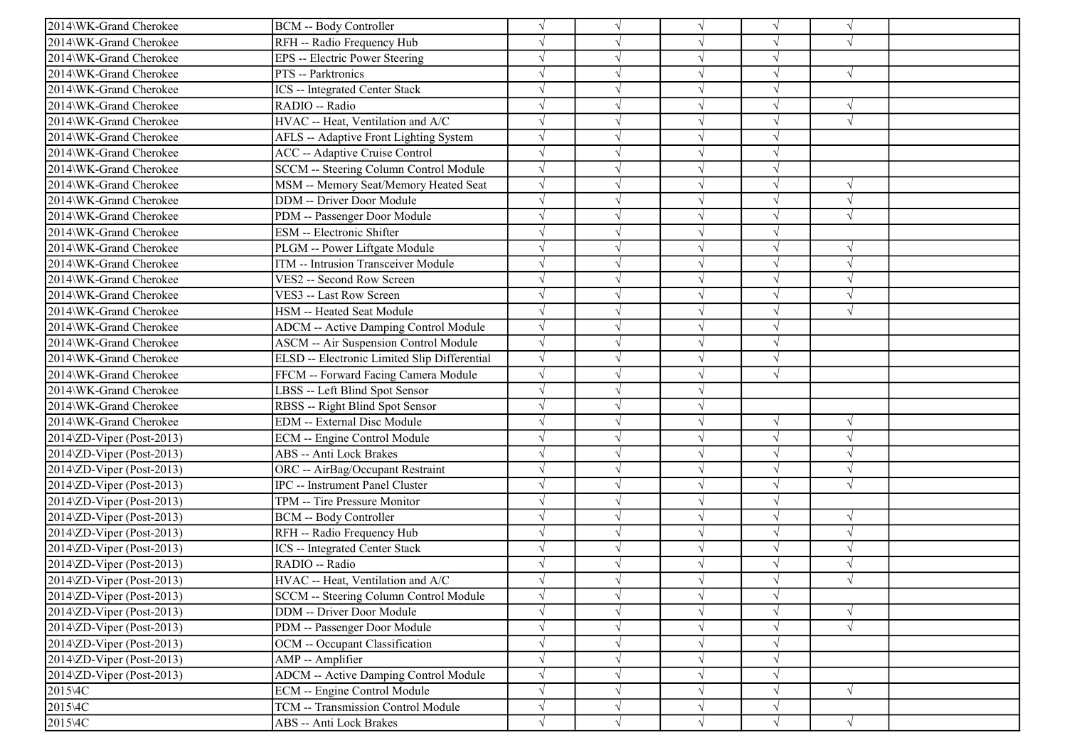| 2014\WK-Grand Cherokee                 |                                              |            |            |                          | V          | $\sqrt{ }$    |  |
|----------------------------------------|----------------------------------------------|------------|------------|--------------------------|------------|---------------|--|
| 2014\WK-Grand Cherokee                 | <b>BCM -- Body Controller</b>                |            |            | $\sqrt{ }$<br>$\sqrt{ }$ | V          | $\sqrt{ }$    |  |
| 2014\WK-Grand Cherokee                 | RFH -- Radio Frequency Hub                   | $\sqrt{ }$ |            | $\sqrt{ }$               | $\sqrt{}$  |               |  |
|                                        | EPS -- Electric Power Steering               |            |            |                          |            |               |  |
| 2014\WK-Grand Cherokee                 | PTS -- Parktronics                           |            |            | $\sqrt{ }$               |            | $\sqrt{ }$    |  |
| 2014\WK-Grand Cherokee                 | ICS -- Integrated Center Stack               |            |            | $\sqrt{ }$               | V          |               |  |
| 2014\WK-Grand Cherokee                 | RADIO -- Radio                               |            |            | $\sqrt{ }$               |            | $\sqrt{ }$    |  |
| 2014\WK-Grand Cherokee                 | HVAC -- Heat, Ventilation and A/C            |            |            | $\sqrt{ }$               | J          | $\sqrt{ }$    |  |
| 2014\WK-Grand Cherokee                 | AFLS -- Adaptive Front Lighting System       | $\sqrt{ }$ |            | $\sqrt{ }$               | V          |               |  |
| 2014\WK-Grand Cherokee                 | <b>ACC</b> -- Adaptive Cruise Control        |            |            | $\sqrt{ }$               | V          |               |  |
| 2014\WK-Grand Cherokee                 | SCCM -- Steering Column Control Module       |            |            | $\sqrt{ }$               | $\sqrt{}$  |               |  |
| 2014\WK-Grand Cherokee                 | MSM -- Memory Seat/Memory Heated Seat        |            |            | $\sqrt{}$                | J          | $\sqrt{ }$    |  |
| 2014\WK-Grand Cherokee                 | <b>DDM</b> -- Driver Door Module             |            |            | $\sqrt{ }$               |            | $\sqrt{ }$    |  |
| 2014\WK-Grand Cherokee                 | PDM -- Passenger Door Module                 |            |            | $\sqrt{ }$               | V          | $\sqrt{ }$    |  |
| 2014\WK-Grand Cherokee                 | <b>ESM</b> -- Electronic Shifter             |            |            | $\sqrt{ }$               | V          |               |  |
| 2014\WK-Grand Cherokee                 | PLGM -- Power Liftgate Module                |            |            | $\sqrt{ }$               | V          | $\sqrt{ }$    |  |
| 2014\WK-Grand Cherokee                 | ITM -- Intrusion Transceiver Module          |            |            | $\sqrt{ }$               |            | $\sqrt{2}$    |  |
| 2014\WK-Grand Cherokee                 | VES2 -- Second Row Screen                    |            |            | $\sqrt{ }$               | J          | $\sqrt{ }$    |  |
| 2014\WK-Grand Cherokee                 | VES3 -- Last Row Screen                      |            |            | $\sqrt{ }$               |            | $\sqrt{ }$    |  |
| 2014\WK-Grand Cherokee                 | HSM -- Heated Seat Module                    | $\sqrt{ }$ |            | $\sqrt{ }$               | V          | $\sqrt{ }$    |  |
| 2014\WK-Grand Cherokee                 | <b>ADCM</b> -- Active Damping Control Module | $\sqrt{}$  |            | $\sqrt{ }$               | V          |               |  |
| 2014\WK-Grand Cherokee                 | <b>ASCM -- Air Suspension Control Module</b> | $\sqrt{}$  |            | $\sqrt{ }$               | V          |               |  |
| 2014\WK-Grand Cherokee                 | ELSD -- Electronic Limited Slip Differential | $\sqrt{}$  |            | $\sqrt{ }$               | $\sqrt{}$  |               |  |
| 2014\WK-Grand Cherokee                 | FFCM -- Forward Facing Camera Module         |            |            | $\sqrt{ }$               | $\sqrt{ }$ |               |  |
| 2014\WK-Grand Cherokee                 | LBSS -- Left Blind Spot Sensor               |            |            | $\sqrt{ }$               |            |               |  |
| 2014\WK-Grand Cherokee                 | RBSS -- Right Blind Spot Sensor              | $\sqrt{}$  |            | $\sqrt{ }$               |            |               |  |
| 2014\WK-Grand Cherokee                 | <b>EDM</b> -- External Disc Module           |            |            | $\sqrt{ }$               | $\sqrt{}$  | $\sqrt{ }$    |  |
| 2014\ZD-Viper (Post-2013)              | ECM -- Engine Control Module                 |            |            | $\sqrt{ }$               | $\sqrt{ }$ | $\sqrt{ }$    |  |
| 2014\ZD-Viper (Post-2013)              | ABS -- Anti Lock Brakes                      |            |            | $\sqrt{ }$               | V          | $\sqrt{ }$    |  |
| 2014\ZD-Viper (Post-2013)              | ORC -- AirBag/Occupant Restraint             |            |            | $\sqrt{ }$               |            | $\mathcal{N}$ |  |
| 2014\ZD-Viper (Post-2013)              | IPC -- Instrument Panel Cluster              |            |            | $\sqrt{ }$               |            | $\sqrt{ }$    |  |
| 2014\ZD-Viper (Post-2013)              | TPM -- Tire Pressure Monitor                 |            |            | $\sqrt{ }$               | V          |               |  |
| 2014\ZD-Viper (Post-2013)              | BCM -- Body Controller                       |            |            | $\sqrt{ }$               | V          | $\sqrt{ }$    |  |
| 2014\ZD-Viper (Post-2013)              | RFH -- Radio Frequency Hub                   |            |            | $\sqrt{ }$               | V          | $\sqrt{ }$    |  |
| $2014\overline{2}D$ -Viper (Post-2013) | <b>ICS</b> -- Integrated Center Stack        | $\sqrt{ }$ |            | $\sqrt{ }$               | $\sqrt{}$  | $\sqrt{ }$    |  |
| 2014\ZD-Viper (Post-2013)              | RADIO -- Radio                               |            |            | $\sqrt{ }$               |            |               |  |
| $2014\Omega$ -Viper (Post-2013)        | HVAC -- Heat, Ventilation and A/C            |            |            |                          |            |               |  |
| 2014\ZD-Viper (Post-2013)              | SCCM -- Steering Column Control Module       | $\sqrt{}$  | $\sqrt{}$  | $\sqrt{}$                | $\sqrt{}$  |               |  |
| 2014\ZD-Viper (Post-2013)              | DDM -- Driver Door Module                    |            |            | $\sqrt{ }$               | $\sqrt{}$  | $\sqrt{ }$    |  |
| $2014\overline{2}D$ -Viper (Post-2013) | PDM -- Passenger Door Module                 | $\sqrt{}$  |            | $\sqrt{ }$               | V          | $\sqrt{ }$    |  |
| 2014\ZD-Viper (Post-2013)              | OCM -- Occupant Classification               |            |            | $\sqrt{ }$               | V          |               |  |
| $2014\Delta$ D-Viper (Post-2013)       | AMP -- Amplifier                             |            |            | $\sqrt{ }$               |            |               |  |
| $2014\,\text{ZD-Viper}$ (Post-2013)    | <b>ADCM</b> -- Active Damping Control Module | $\sqrt{}$  |            | $\sqrt{ }$               | V          |               |  |
| 2015\4C                                | <b>ECM</b> -- Engine Control Module          | $\sqrt{}$  | $\sqrt{ }$ | $\sqrt{ }$               | V          | $\sqrt{ }$    |  |
| 2015\4C                                | TCM -- Transmission Control Module           | $\sqrt{}$  | $\sqrt{ }$ | $\sqrt{ }$               | V          |               |  |
| 2015\4C                                | ABS -- Anti Lock Brakes                      | $\sqrt{}$  | $\sqrt{ }$ | $\sqrt{ }$               | $\sqrt{}$  | $\sqrt{}$     |  |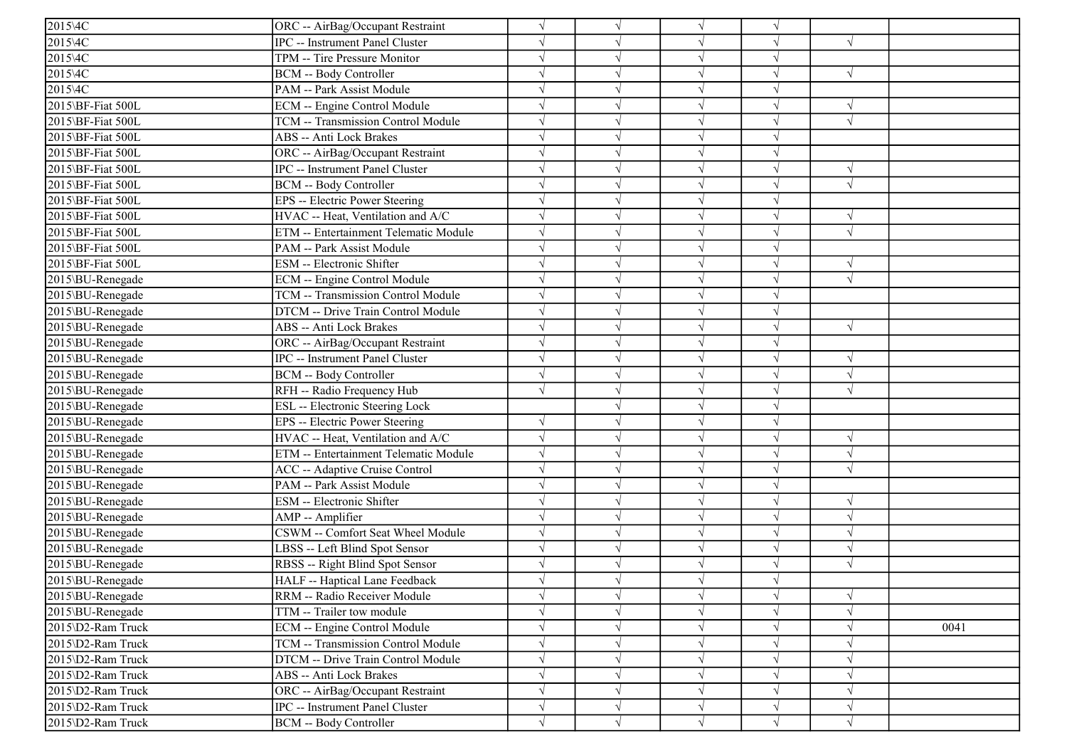| $2015\text{AC}$   | ORC -- AirBag/Occupant Restraint       | V         |           | $\sqrt{}$  |            |            |      |
|-------------------|----------------------------------------|-----------|-----------|------------|------------|------------|------|
| 2015\4C           | <b>IPC</b> -- Instrument Panel Cluster | $\sqrt{}$ |           | $\sqrt{ }$ |            | $\sqrt{ }$ |      |
| 2015\4C           | TPM -- Tire Pressure Monitor           | $\sqrt{}$ |           | $\sqrt{}$  | J          |            |      |
| 2015\4C           | <b>BCM -- Body Controller</b>          |           |           | $\sqrt{}$  |            | $\sqrt{ }$ |      |
| 2015\4C           | PAM -- Park Assist Module              |           |           | $\sqrt{}$  |            |            |      |
| 2015\BF-Fiat 500L | ECM -- Engine Control Module           | $\sqrt{}$ |           | $\sqrt{}$  |            | $\sqrt{ }$ |      |
| 2015\BF-Fiat 500L | TCM -- Transmission Control Module     | $\sqrt{}$ |           | $\sqrt{ }$ |            | $\sqrt{ }$ |      |
| 2015\BF-Fiat 500L | <b>ABS</b> -- Anti Lock Brakes         | $\sqrt{}$ |           | $\sqrt{ }$ |            |            |      |
| 2015\BF-Fiat 500L | ORC -- AirBag/Occupant Restraint       | $\sqrt{}$ |           | $\sqrt{ }$ |            |            |      |
| 2015\BF-Fiat 500L | <b>IPC</b> -- Instrument Panel Cluster |           |           | $\sqrt{ }$ |            | $\sqrt{ }$ |      |
| 2015\BF-Fiat 500L | <b>BCM -- Body Controller</b>          |           |           | $\sqrt{}$  |            | $\sqrt{ }$ |      |
| 2015\BF-Fiat 500L | EPS -- Electric Power Steering         |           |           | $\sqrt{}$  |            |            |      |
| 2015\BF-Fiat 500L | HVAC -- Heat, Ventilation and A/C      | $\sqrt{}$ |           | $\sqrt{}$  |            | $\sqrt{ }$ |      |
| 2015\BF-Fiat 500L | ETM -- Entertainment Telematic Module  | $\sqrt{}$ |           | $\sqrt{}$  |            | $\sqrt{ }$ |      |
| 2015\BF-Fiat 500L | PAM -- Park Assist Module              |           |           | $\sqrt{}$  |            |            |      |
| 2015\BF-Fiat 500L | ESM -- Electronic Shifter              |           |           | $\sqrt{}$  |            | $\sqrt{ }$ |      |
| 2015\BU-Renegade  | ECM -- Engine Control Module           |           |           | $\sqrt{ }$ |            | $\sqrt{ }$ |      |
| 2015\BU-Renegade  | TCM -- Transmission Control Module     |           |           | $\sqrt{}$  |            |            |      |
| 2015\BU-Renegade  | DTCM -- Drive Train Control Module     | $\sqrt{}$ |           | $\sqrt{}$  |            |            |      |
| 2015\BU-Renegade  | <b>ABS</b> -- Anti Lock Brakes         | $\sqrt{}$ |           | $\sqrt{ }$ |            | $\sqrt{ }$ |      |
| 2015\BU-Renegade  | ORC -- AirBag/Occupant Restraint       | $\sqrt{}$ |           | $\sqrt{ }$ | $\sqrt{ }$ |            |      |
| 2015\BU-Renegade  | IPC -- Instrument Panel Cluster        | $\sqrt{}$ |           | $\sqrt{}$  | $\sqrt{ }$ | $\sqrt{ }$ |      |
| 2015\BU-Renegade  | BCM -- Body Controller                 |           |           | $\sqrt{ }$ |            | $\sqrt{ }$ |      |
| 2015\BU-Renegade  | RFH -- Radio Frequency Hub             | $\sqrt{}$ |           | $\sqrt{}$  |            | $\sqrt{ }$ |      |
| 2015\BU-Renegade  | ESL -- Electronic Steering Lock        |           |           | $\sqrt{}$  | $\sqrt{}$  |            |      |
| 2015\BU-Renegade  | EPS -- Electric Power Steering         |           |           | $\sqrt{ }$ |            |            |      |
| 2015\BU-Renegade  | HVAC -- Heat, Ventilation and A/C      | $\sqrt{}$ |           | $\sqrt{}$  |            | $\sqrt{ }$ |      |
| 2015\BU-Renegade  | ETM -- Entertainment Telematic Module  | $\sqrt{}$ |           | $\sqrt{}$  |            | $\sqrt{ }$ |      |
| 2015\BU-Renegade  | ACC -- Adaptive Cruise Control         |           |           | $\sqrt{ }$ |            |            |      |
| 2015\BU-Renegade  | PAM -- Park Assist Module              |           |           | $\sqrt{}$  |            |            |      |
| 2015\BU-Renegade  | <b>ESM</b> -- Electronic Shifter       | $\sqrt{}$ |           | $\sqrt{}$  | J          | $\sqrt{ }$ |      |
| 2015\BU-Renegade  | AMP -- Amplifier                       | V         |           | $\sqrt{ }$ |            | $\sqrt{ }$ |      |
| 2015\BU-Renegade  | CSWM -- Comfort Seat Wheel Module      | $\sqrt{}$ |           | $\sqrt{ }$ |            | $\sqrt{ }$ |      |
| 2015\BU-Renegade  | LBSS -- Left Blind Spot Sensor         | $\sqrt{}$ |           | $\sqrt{ }$ |            | $\sqrt{ }$ |      |
| 2015\BU-Renegade  | RBSS -- Right Blind Spot Sensor        |           |           | $\sqrt{}$  |            | $\sqrt{ }$ |      |
| 2015\BU-Renegade  | HALF -- Haptical Lane Feedback         |           |           |            |            |            |      |
| 2015\BU-Renegade  | RRM -- Radio Receiver Module           | $\sqrt{}$ | $\sqrt{}$ | $\sqrt{}$  | $\sqrt{}$  | $\sqrt{ }$ |      |
| 2015\BU-Renegade  | TTM -- Trailer tow module              | $\sqrt{}$ |           | $\sqrt{}$  |            |            |      |
| 2015\D2-Ram Truck | ECM -- Engine Control Module           | $\sqrt{}$ |           | $\sqrt{ }$ |            | $\sqrt{ }$ | 0041 |
| 2015\D2-Ram Truck | TCM -- Transmission Control Module     | $\sqrt{}$ |           | $\sqrt{}$  |            | $\sqrt{ }$ |      |
| 2015\D2-Ram Truck | DTCM -- Drive Train Control Module     |           |           | $\sqrt{}$  |            |            |      |
| 2015\D2-Ram Truck | ABS -- Anti Lock Brakes                | $\sqrt{}$ |           | $\sqrt{ }$ |            | $\sqrt{ }$ |      |
| 2015\D2-Ram Truck | ORC -- AirBag/Occupant Restraint       | $\sqrt{}$ |           | $\sqrt{}$  |            | $\sqrt{}$  |      |
| 2015\D2-Ram Truck | <b>IPC</b> -- Instrument Panel Cluster | $\sqrt{}$ |           | $\sqrt{}$  | V          | $\sqrt{ }$ |      |
| 2015\D2-Ram Truck | <b>BCM -- Body Controller</b>          | $\sqrt{}$ | $\sqrt{}$ | $\sqrt{ }$ | $\sqrt{}$  | $\sqrt{ }$ |      |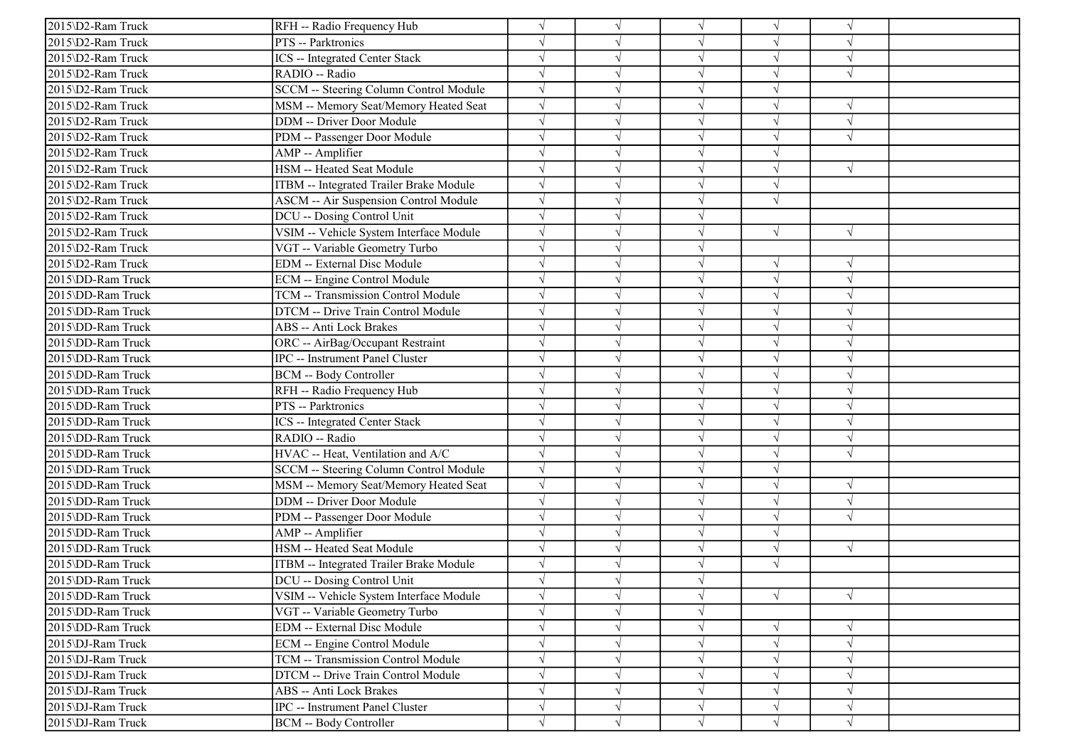| 2015\D2-Ram Truck | RFH -- Radio Frequency Hub                    |            |            | $\sqrt{ }$ | V          |            |  |
|-------------------|-----------------------------------------------|------------|------------|------------|------------|------------|--|
| 2015\D2-Ram Truck | PTS -- Parktronics                            |            |            | $\sqrt{ }$ | V          | $\sqrt{ }$ |  |
| 2015\D2-Ram Truck | <b>ICS</b> -- Integrated Center Stack         | $\sqrt{ }$ |            | $\sqrt{ }$ | $\sqrt{}$  | $\sqrt{ }$ |  |
| 2015\D2-Ram Truck | RADIO -- Radio                                |            |            | $\sqrt{ }$ |            |            |  |
| 2015\D2-Ram Truck | SCCM -- Steering Column Control Module        | $\sqrt{}$  |            | $\sqrt{ }$ | V          |            |  |
| 2015\D2-Ram Truck | MSM -- Memory Seat/Memory Heated Seat         | $\sqrt{}$  |            | $\sqrt{ }$ |            | $\sqrt{ }$ |  |
| 2015\D2-Ram Truck | <b>DDM</b> -- Driver Door Module              |            |            | $\sqrt{ }$ | J          | $\sqrt{ }$ |  |
| 2015\D2-Ram Truck | PDM -- Passenger Door Module                  | $\sqrt{}$  |            | $\sqrt{ }$ | V          | $\sqrt{ }$ |  |
| 2015\D2-Ram Truck | AMP -- Amplifier                              |            |            | $\sqrt{ }$ | $\sqrt{}$  |            |  |
| 2015\D2-Ram Truck | HSM -- Heated Seat Module                     |            |            | $\sqrt{ }$ |            | $\sqrt{ }$ |  |
| 2015\D2-Ram Truck | ITBM -- Integrated Trailer Brake Module       |            |            | $\sqrt{}$  | $\sqrt{ }$ |            |  |
| 2015\D2-Ram Truck | <b>ASCM -- Air Suspension Control Module</b>  |            |            | $\sqrt{ }$ | $\sqrt{}$  |            |  |
| 2015\D2-Ram Truck | DCU -- Dosing Control Unit                    |            |            | $\sqrt{ }$ |            |            |  |
| 2015\D2-Ram Truck | VSIM -- Vehicle System Interface Module       | $\sqrt{}$  |            | $\sqrt{ }$ | $\sqrt{ }$ | $\sqrt{ }$ |  |
| 2015\D2-Ram Truck | VGT -- Variable Geometry Turbo                |            |            | $\sqrt{ }$ |            |            |  |
| 2015\D2-Ram Truck | <b>EDM</b> -- External Disc Module            |            |            | $\sqrt{ }$ | V          | $\sqrt{ }$ |  |
| 2015\DD-Ram Truck | <b>ECM</b> -- Engine Control Module           |            |            | $\sqrt{ }$ | $\sqrt{}$  | $\sqrt{ }$ |  |
| 2015\DD-Ram Truck | TCM -- Transmission Control Module            |            |            | $\sqrt{ }$ |            | $\sqrt{2}$ |  |
| 2015\DD-Ram Truck | DTCM -- Drive Train Control Module            |            |            | $\sqrt{ }$ | V          | $\sqrt{2}$ |  |
| 2015\DD-Ram Truck | <b>ABS</b> -- Anti Lock Brakes                | $\sqrt{ }$ |            | $\sqrt{ }$ | V          | $\sqrt{ }$ |  |
| 2015\DD-Ram Truck | ORC -- AirBag/Occupant Restraint              | $\sqrt{ }$ |            | $\sqrt{ }$ |            | $\sqrt{ }$ |  |
| 2015\DD-Ram Truck | <b>IPC</b> -- Instrument Panel Cluster        |            |            | $\sqrt{ }$ | $\sqrt{ }$ | $\sqrt{ }$ |  |
| 2015\DD-Ram Truck | <b>BCM -- Body Controller</b>                 |            |            | $\sqrt{ }$ |            | $\sqrt{ }$ |  |
| 2015\DD-Ram Truck | RFH -- Radio Frequency Hub                    |            |            | $\sqrt{ }$ |            | $\sqrt{2}$ |  |
| 2015\DD-Ram Truck | PTS -- Parktronics                            | $\sqrt{}$  |            | $\sqrt{ }$ | $\sqrt{ }$ | $\sqrt{ }$ |  |
| 2015\DD-Ram Truck | ICS -- Integrated Center Stack                |            |            | $\sqrt{ }$ |            | $\sqrt{ }$ |  |
| 2015\DD-Ram Truck | RADIO -- Radio                                |            |            | $\sqrt{ }$ |            | $\sqrt{ }$ |  |
| 2015\DD-Ram Truck | HVAC -- Heat, Ventilation and A/C             |            |            | $\sqrt{ }$ | V          | $\sqrt{ }$ |  |
| 2015\DD-Ram Truck | <b>SCCM -- Steering Column Control Module</b> |            |            | $\sqrt{ }$ |            |            |  |
| 2015\DD-Ram Truck | MSM -- Memory Seat/Memory Heated Seat         |            |            | $\sqrt{ }$ |            | $\sqrt{ }$ |  |
| 2015\DD-Ram Truck | DDM -- Driver Door Module                     | $\sqrt{ }$ |            | $\sqrt{ }$ | V          | $\sqrt{ }$ |  |
| 2015\DD-Ram Truck | PDM -- Passenger Door Module                  | $\sqrt{ }$ |            | $\sqrt{ }$ | J          | $\sqrt{ }$ |  |
| 2015\DD-Ram Truck | AMP -- Amplifier                              |            |            | $\sqrt{ }$ | $\sqrt{}$  |            |  |
| 2015\DD-Ram Truck | HSM -- Heated Seat Module                     |            |            | $\sqrt{ }$ | $\sqrt{ }$ | $\sqrt{ }$ |  |
| 2015\DD-Ram Truck | ITBM -- Integrated Trailer Brake Module       |            |            | $\sqrt{ }$ | $\sqrt{}$  |            |  |
| 2015\DD-Ram Truck | DCU -- Dosing Control Unit                    |            |            |            |            |            |  |
| 2015\DD-Ram Truck | VSIM -- Vehicle System Interface Module       | $\sqrt{}$  | $\sqrt{ }$ | $\sqrt{}$  | $\sqrt{ }$ | $\sqrt{}$  |  |
| 2015\DD-Ram Truck | VGT -- Variable Geometry Turbo                | $\sqrt{}$  |            | $\sqrt{ }$ |            |            |  |
| 2015\DD-Ram Truck | <b>EDM</b> -- External Disc Module            | $\sqrt{}$  |            | $\sqrt{ }$ |            | $\sqrt{ }$ |  |
| 2015\DJ-Ram Truck | <b>ECM</b> -- Engine Control Module           |            |            | $\sqrt{ }$ | $\sqrt{}$  | $\sqrt{ }$ |  |
| 2015\DJ-Ram Truck | TCM -- Transmission Control Module            |            |            | $\sqrt{ }$ |            | $\sqrt{ }$ |  |
| 2015\DJ-Ram Truck | DTCM -- Drive Train Control Module            | $\sqrt{}$  |            | $\sqrt{ }$ | V          | $\sqrt{ }$ |  |
| 2015\DJ-Ram Truck | ABS -- Anti Lock Brakes                       |            |            | $\sqrt{ }$ |            | $\sqrt{ }$ |  |
| 2015\DJ-Ram Truck | IPC -- Instrument Panel Cluster               | $\sqrt{}$  | N          | $\sqrt{ }$ | $\sqrt{}$  | $\sqrt{ }$ |  |
| 2015\DJ-Ram Truck | <b>BCM -- Body Controller</b>                 | $\sqrt{}$  | $\sqrt{}$  | $\sqrt{ }$ | $\sqrt{}$  | $\sqrt{}$  |  |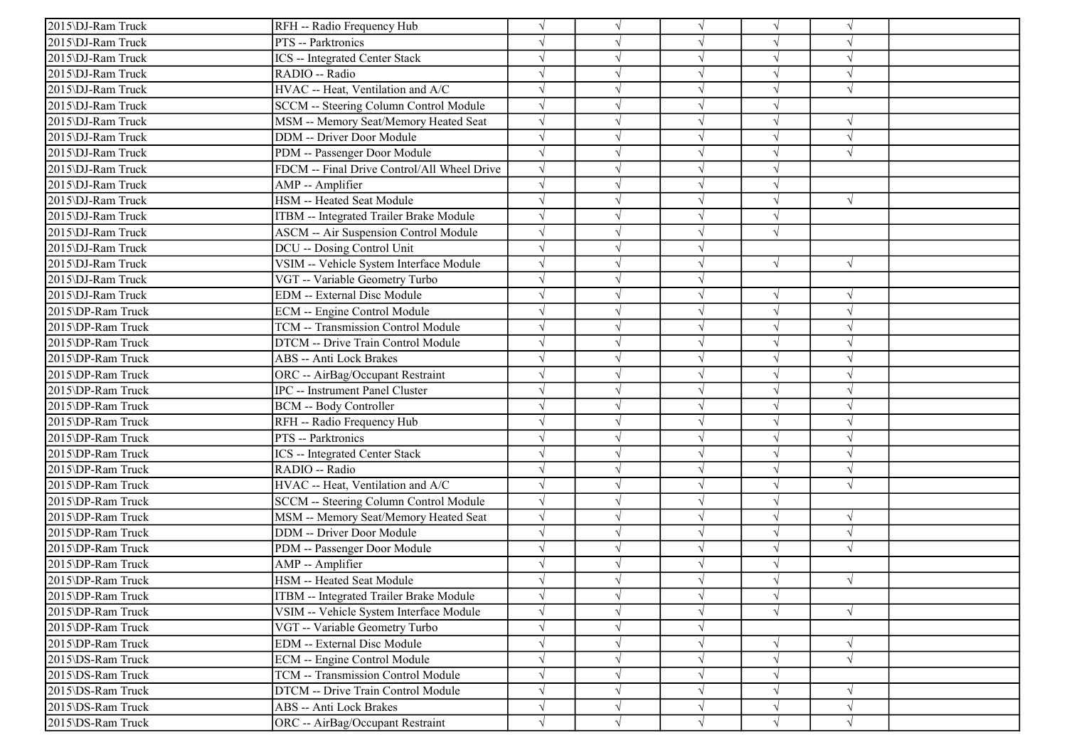| 2015\DJ-Ram Truck | RFH -- Radio Frequency Hub                   |            |            | $\sqrt{ }$ | V          | $\gamma$      |  |
|-------------------|----------------------------------------------|------------|------------|------------|------------|---------------|--|
| 2015\DJ-Ram Truck | PTS -- Parktronics                           |            |            | $\sqrt{ }$ | V          | $\sqrt{ }$    |  |
| 2015\DJ-Ram Truck | <b>ICS</b> -- Integrated Center Stack        | $\sqrt{}$  |            | $\sqrt{ }$ | $\sqrt{}$  | $\sqrt{ }$    |  |
| 2015\DJ-Ram Truck | RADIO -- Radio                               |            |            | $\sqrt{ }$ |            |               |  |
| 2015\DJ-Ram Truck | HVAC -- Heat, Ventilation and A/C            | $\sqrt{}$  |            | $\sqrt{ }$ | J          | $\sqrt{ }$    |  |
| 2015\DJ-Ram Truck | SCCM -- Steering Column Control Module       | $\sqrt{ }$ |            | $\sqrt{ }$ |            |               |  |
| 2015\DJ-Ram Truck | MSM -- Memory Seat/Memory Heated Seat        | $\sqrt{ }$ |            | $\sqrt{ }$ | V          | $\sqrt{ }$    |  |
| 2015\DJ-Ram Truck | <b>DDM</b> -- Driver Door Module             | $\sqrt{ }$ |            | $\sqrt{ }$ | V          | $\sqrt{ }$    |  |
| 2015\DJ-Ram Truck | PDM -- Passenger Door Module                 | $\sqrt{}$  |            | $\sqrt{ }$ | $\sqrt{}$  | $\sqrt{ }$    |  |
| 2015\DJ-Ram Truck | FDCM -- Final Drive Control/All Wheel Drive  |            |            | $\sqrt{ }$ |            |               |  |
| 2015\DJ-Ram Truck | AMP -- Amplifier                             |            |            | $\sqrt{ }$ | $\sqrt{ }$ |               |  |
| 2015\DJ-Ram Truck | HSM -- Heated Seat Module                    |            |            | $\sqrt{ }$ |            | $\sqrt{ }$    |  |
| 2015\DJ-Ram Truck | ITBM -- Integrated Trailer Brake Module      |            |            | $\sqrt{ }$ | V          |               |  |
| 2015\DJ-Ram Truck | <b>ASCM -- Air Suspension Control Module</b> | $\sqrt{}$  |            | $\sqrt{ }$ | $\sqrt{ }$ |               |  |
| 2015\DJ-Ram Truck | DCU -- Dosing Control Unit                   |            |            | $\sqrt{ }$ |            |               |  |
| 2015\DJ-Ram Truck | VSIM -- Vehicle System Interface Module      |            |            | $\sqrt{ }$ | √          | $\sqrt{ }$    |  |
| 2015\DJ-Ram Truck | VGT -- Variable Geometry Turbo               |            |            | $\sqrt{ }$ |            |               |  |
| 2015\DJ-Ram Truck | <b>EDM</b> -- External Disc Module           |            |            | $\sqrt{ }$ | N          | $\sqrt{ }$    |  |
| 2015\DP-Ram Truck | <b>ECM</b> -- Engine Control Module          |            |            | $\sqrt{ }$ | V          | $\sqrt{ }$    |  |
| 2015\DP-Ram Truck | TCM -- Transmission Control Module           | $\sqrt{ }$ |            | $\sqrt{ }$ | V          | $\sqrt{ }$    |  |
| 2015\DP-Ram Truck | DTCM -- Drive Train Control Module           |            |            | $\sqrt{ }$ |            | $\sqrt{ }$    |  |
| 2015\DP-Ram Truck | <b>ABS</b> -- Anti Lock Brakes               |            |            | $\sqrt{ }$ | $\sqrt{ }$ | $\sqrt{ }$    |  |
| 2015\DP-Ram Truck | ORC -- AirBag/Occupant Restraint             |            |            | $\sqrt{ }$ |            | $\sqrt{ }$    |  |
| 2015\DP-Ram Truck | <b>IPC</b> -- Instrument Panel Cluster       |            |            | $\sqrt{ }$ |            | $\sqrt{ }$    |  |
| 2015\DP-Ram Truck | <b>BCM</b> -- Body Controller                |            |            | $\sqrt{ }$ | $\sqrt{}$  | $\sqrt{ }$    |  |
| 2015\DP-Ram Truck | RFH -- Radio Frequency Hub                   |            |            | $\sqrt{ }$ |            | $\sqrt{ }$    |  |
| 2015\DP-Ram Truck | PTS -- Parktronics                           |            |            | $\sqrt{ }$ | V          | $\sqrt{ }$    |  |
| 2015\DP-Ram Truck | <b>ICS</b> -- Integrated Center Stack        |            |            | $\sqrt{ }$ | J          | $\sqrt{ }$    |  |
| 2015\DP-Ram Truck | RADIO -- Radio                               |            |            | $\sqrt{ }$ |            | $\mathcal{A}$ |  |
| 2015\DP-Ram Truck | HVAC -- Heat, Ventilation and A/C            |            |            | $\sqrt{ }$ |            | $\sqrt{ }$    |  |
| 2015\DP-Ram Truck | SCCM -- Steering Column Control Module       | $\sqrt{}$  |            | $\sqrt{ }$ | V          |               |  |
| 2015\DP-Ram Truck | MSM -- Memory Seat/Memory Heated Seat        | $\sqrt{ }$ |            | $\sqrt{ }$ | V          | $\sqrt{ }$    |  |
| 2015\DP-Ram Truck | <b>DDM</b> -- Driver Door Module             | $\sqrt{}$  |            | $\sqrt{ }$ | V          | $\sqrt{ }$    |  |
| 2015\DP-Ram Truck | PDM -- Passenger Door Module                 | $\sqrt{ }$ |            | $\sqrt{ }$ | $\sqrt{}$  | $\sqrt{ }$    |  |
| 2015\DP-Ram Truck | AMP -- Amplifier                             |            |            | $\sqrt{ }$ |            |               |  |
| 2015\DP-Ram Truck | HSM -- Heated Seat Module                    |            |            |            |            | $\sqrt{ }$    |  |
| 2015\DP-Ram Truck | ITBM -- Integrated Trailer Brake Module      | $\sqrt{}$  | $\sqrt{ }$ | $\sqrt{}$  | $\sqrt{}$  |               |  |
| 2015\DP-Ram Truck | VSIM -- Vehicle System Interface Module      | $\sqrt{}$  |            | $\sqrt{ }$ | $\sqrt{}$  | $\sqrt{ }$    |  |
| 2015\DP-Ram Truck | VGT -- Variable Geometry Turbo               | $\sqrt{}$  |            | $\sqrt{ }$ |            |               |  |
| 2015\DP-Ram Truck | <b>EDM</b> -- External Disc Module           |            |            | $\sqrt{ }$ |            | $\sqrt{ }$    |  |
| 2015\DS-Ram Truck | ECM -- Engine Control Module                 |            |            | $\sqrt{ }$ | $\sqrt{}$  | $\sqrt{ }$    |  |
| 2015\DS-Ram Truck | TCM -- Transmission Control Module           | $\sqrt{}$  |            | $\sqrt{ }$ | V          |               |  |
| 2015\DS-Ram Truck | DTCM -- Drive Train Control Module           |            |            | $\sqrt{ }$ |            | $\sqrt{ }$    |  |
| 2015\DS-Ram Truck | <b>ABS</b> -- Anti Lock Brakes               | $\sqrt{}$  | $\sqrt{ }$ | $\sqrt{ }$ | V          | $\sqrt{ }$    |  |
| 2015\DS-Ram Truck | ORC -- AirBag/Occupant Restraint             | $\sqrt{}$  | $\sqrt{}$  | $\sqrt{ }$ | $\sqrt{}$  | $\sqrt{}$     |  |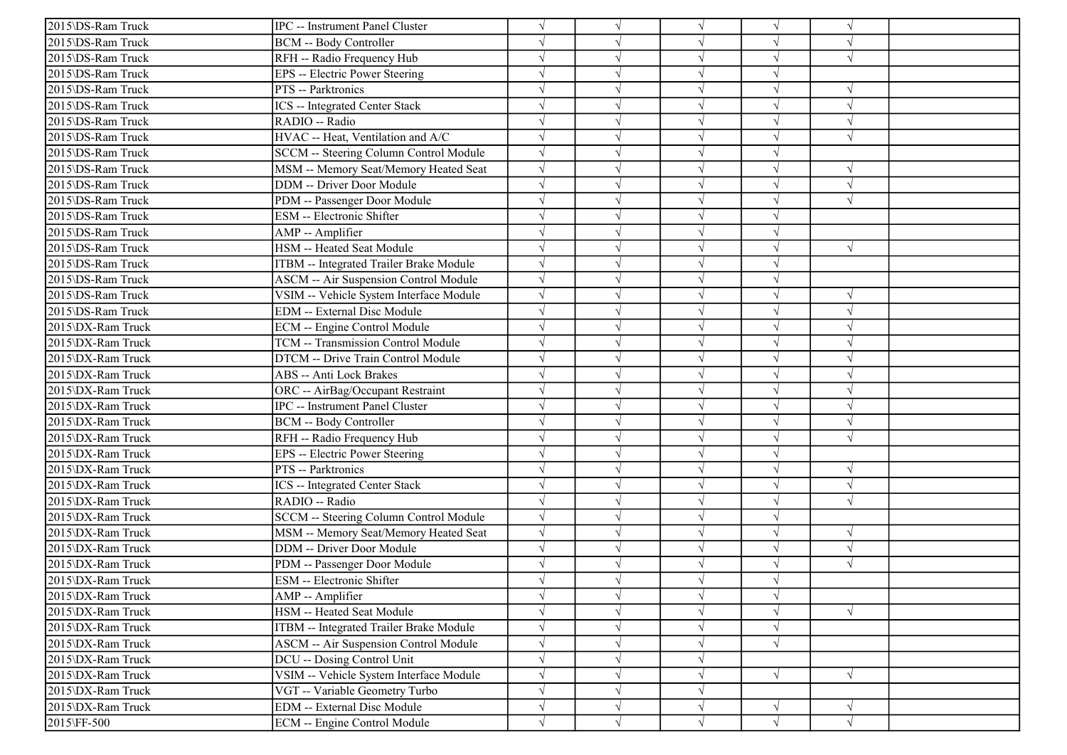| 2015\DS-Ram Truck | IPC -- Instrument Panel Cluster         |            |            | $\sqrt{ }$ |            | $\sqrt{ }$ |  |
|-------------------|-----------------------------------------|------------|------------|------------|------------|------------|--|
| 2015\DS-Ram Truck | <b>BCM -- Body Controller</b>           |            |            | $\sqrt{ }$ |            | $\sqrt{ }$ |  |
| 2015\DS-Ram Truck | RFH -- Radio Frequency Hub              |            |            | $\sqrt{ }$ | $\sqrt{}$  | $\sqrt{ }$ |  |
| 2015\DS-Ram Truck | EPS -- Electric Power Steering          |            |            | $\sqrt{}$  |            |            |  |
| 2015\DS-Ram Truck | PTS -- Parktronics                      |            |            | $\sqrt{ }$ | $\sqrt{}$  | $\sqrt{ }$ |  |
| 2015\DS-Ram Truck | ICS -- Integrated Center Stack          |            |            | $\sqrt{ }$ |            | $\sqrt{ }$ |  |
| 2015\DS-Ram Truck | RADIO -- Radio                          |            |            | $\sqrt{ }$ | V          | $\sqrt{ }$ |  |
| 2015\DS-Ram Truck | HVAC -- Heat, Ventilation and A/C       | $\sqrt{ }$ |            | $\sqrt{ }$ | J          | $\sqrt{ }$ |  |
| 2015\DS-Ram Truck | SCCM -- Steering Column Control Module  |            |            | $\sqrt{ }$ | $\sqrt{}$  |            |  |
| 2015\DS-Ram Truck | MSM -- Memory Seat/Memory Heated Seat   |            |            | $\sqrt{ }$ | $\sqrt{ }$ |            |  |
| 2015\DS-Ram Truck | DDM -- Driver Door Module               |            |            | $\sqrt{}$  | $\sqrt{ }$ | $\sqrt{ }$ |  |
| 2015\DS-Ram Truck | PDM -- Passenger Door Module            |            |            | $\sqrt{ }$ |            | $\sqrt{ }$ |  |
| 2015\DS-Ram Truck | ESM -- Electronic Shifter               |            |            | $\sqrt{ }$ | V          |            |  |
| 2015\DS-Ram Truck | AMP -- Amplifier                        |            |            | $\sqrt{ }$ | $\sqrt{}$  |            |  |
| 2015\DS-Ram Truck | HSM -- Heated Seat Module               |            |            | $\sqrt{ }$ | J          | $\sqrt{ }$ |  |
| 2015\DS-Ram Truck | ITBM -- Integrated Trailer Brake Module |            |            | $\sqrt{ }$ |            |            |  |
| 2015\DS-Ram Truck | ASCM -- Air Suspension Control Module   |            |            | $\sqrt{ }$ | J          |            |  |
| 2015\DS-Ram Truck | VSIM -- Vehicle System Interface Module |            |            | $\sqrt{}$  |            | $\sqrt{ }$ |  |
| 2015\DS-Ram Truck | EDM -- External Disc Module             |            |            | $\sqrt{ }$ | J          | $\sqrt{ }$ |  |
| 2015\DX-Ram Truck | ECM -- Engine Control Module            |            |            | $\sqrt{ }$ | V          | $\sqrt{ }$ |  |
| 2015\DX-Ram Truck | TCM -- Transmission Control Module      |            |            | $\sqrt{ }$ |            | $\sqrt{ }$ |  |
| 2015\DX-Ram Truck | DTCM -- Drive Train Control Module      |            |            | $\sqrt{ }$ |            | $\sqrt{ }$ |  |
| 2015\DX-Ram Truck | ABS -- Anti Lock Brakes                 |            |            | $\sqrt{ }$ |            | $\sqrt{ }$ |  |
| 2015\DX-Ram Truck | ORC -- AirBag/Occupant Restraint        |            |            | $\sqrt{ }$ |            | $\sqrt{ }$ |  |
| 2015\DX-Ram Truck | IPC -- Instrument Panel Cluster         |            | $\sqrt{ }$ | $\sqrt{ }$ | $\sqrt{}$  | $\sqrt{ }$ |  |
| 2015\DX-Ram Truck | <b>BCM -- Body Controller</b>           |            |            | $\sqrt{ }$ |            | $\sqrt{ }$ |  |
| 2015\DX-Ram Truck | RFH -- Radio Frequency Hub              |            |            | $\sqrt{ }$ |            | $\sqrt{ }$ |  |
| 2015\DX-Ram Truck | EPS -- Electric Power Steering          |            |            | $\sqrt{ }$ | V          |            |  |
| 2015\DX-Ram Truck | PTS -- Parktronics                      |            |            | $\sqrt{}$  |            | $\sqrt{ }$ |  |
| 2015\DX-Ram Truck | ICS -- Integrated Center Stack          |            |            | $\sqrt{ }$ |            | $\sqrt{ }$ |  |
| 2015\DX-Ram Truck | RADIO -- Radio                          |            |            | $\sqrt{ }$ | J          | $\sqrt{ }$ |  |
| 2015\DX-Ram Truck | SCCM -- Steering Column Control Module  | $\sqrt{ }$ |            | $\sqrt{ }$ | J          |            |  |
| 2015\DX-Ram Truck | MSM -- Memory Seat/Memory Heated Seat   | $\sqrt{ }$ |            | $\sqrt{ }$ | V          | $\sqrt{ }$ |  |
| 2015\DX-Ram Truck | DDM -- Driver Door Module               |            |            | $\sqrt{ }$ | $\sqrt{}$  | $\sqrt{ }$ |  |
| 2015\DX-Ram Truck | PDM -- Passenger Door Module            |            |            | $\sqrt{ }$ |            | $\sqrt{ }$ |  |
| 2015\DX-Ram Truck | ESM -- Electronic Shifter               |            |            |            |            |            |  |
| 2015\DX-Ram Truck | AMP -- Amplifier                        |            | $\sqrt{ }$ | $\sqrt{ }$ | $\sqrt{}$  |            |  |
| 2015\DX-Ram Truck | HSM -- Heated Seat Module               |            |            | $\sqrt{ }$ | V          | $\sqrt{ }$ |  |
| 2015\DX-Ram Truck | ITBM -- Integrated Trailer Brake Module |            | $\sqrt{ }$ | $\sqrt{ }$ | $\sqrt{}$  |            |  |
| 2015\DX-Ram Truck | ASCM -- Air Suspension Control Module   |            |            | $\sqrt{ }$ | $\sqrt{ }$ |            |  |
| 2015\DX-Ram Truck | DCU -- Dosing Control Unit              |            |            | $\sqrt{}$  |            |            |  |
| 2015\DX-Ram Truck | VSIM -- Vehicle System Interface Module | $\sqrt{}$  |            | $\sqrt{ }$ | $\sqrt{ }$ | $\sqrt{ }$ |  |
| 2015\DX-Ram Truck | VGT -- Variable Geometry Turbo          |            | $\sqrt{ }$ | $\sqrt{}$  |            |            |  |
| 2015\DX-Ram Truck | EDM -- External Disc Module             | $\sqrt{ }$ | $\sqrt{}$  | $\sqrt{ }$ | √          | $\sqrt{ }$ |  |
| 2015\FF-500       | ECM -- Engine Control Module            | $\sqrt{ }$ | $\sqrt{ }$ | $\sqrt{ }$ | $\sqrt{ }$ | $\sqrt{ }$ |  |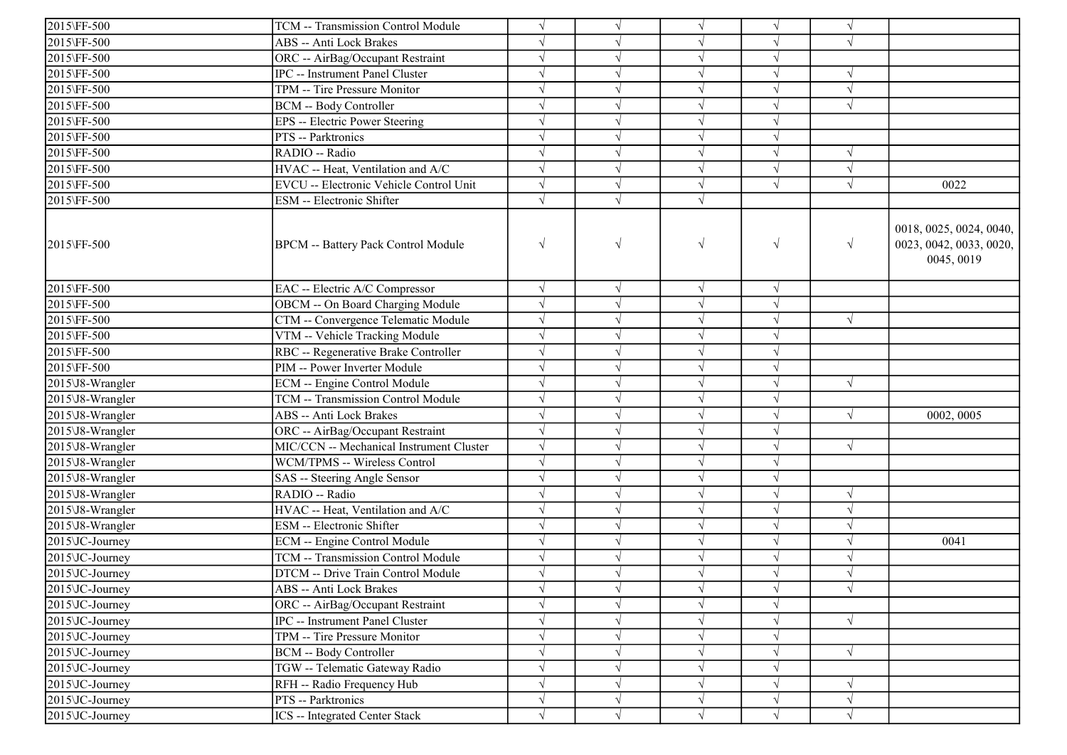| $\sqrt{}$<br>$\sqrt{ }$<br>$\sqrt{ }$<br>$\sqrt{ }$<br>2015\FF-500<br>ABS -- Anti Lock Brakes<br>$\sqrt{}$<br>$\sqrt{ }$<br>$\sqrt{ }$<br>$\sqrt{ }$<br>$\sqrt{ }$<br>2015\FF-500<br>$\sqrt{}$<br>ORC -- AirBag/Occupant Restraint<br>$\sqrt{}$<br>$\sqrt{}$<br>$\sqrt{ }$<br>2015\FF-500<br>IPC -- Instrument Panel Cluster<br>$\sqrt{ }$<br>$\sqrt{}$<br>$\sqrt{ }$<br>TPM -- Tire Pressure Monitor<br>$\sqrt{ }$<br>2015\FF-500<br>$\sqrt{}$<br>$\sqrt{ }$<br>$\sqrt{ }$<br>2015\FF-500<br>$\sqrt{ }$<br>$\sqrt{ }$<br>BCM -- Body Controller<br>2015\FF-500<br>EPS -- Electric Power Steering<br>$\sqrt{}$<br>$\sqrt{ }$<br>$\sqrt{ }$<br>$\sqrt{ }$<br>$\sqrt{ }$<br>2015\FF-500<br>PTS -- Parktronics<br>$\sqrt{}$<br>$\sqrt{ }$<br>2015\FF-500<br>RADIO -- Radio<br>$\sqrt{ }$<br>$\sqrt{ }$<br>$\sqrt{ }$<br>V<br>$\sqrt{ }$<br>$\sqrt{ }$<br>2015\FF-500<br>HVAC -- Heat, Ventilation and A/C<br>$\sqrt{ }$<br>$\sqrt{}$<br>$\sqrt{ }$<br>$\sqrt{ }$<br>$\sqrt{ }$<br>$\sqrt{}$<br>$\sqrt{ }$<br>$\sqrt{ }$<br>2015\FF-500<br>EVCU -- Electronic Vehicle Control Unit<br>$\sqrt{ }$<br>0022<br>$\sqrt{ }$<br>2015\FF-500<br>ESM -- Electronic Shifter<br>0018, 0025, 0024, 0040,<br>$\sqrt{ }$<br>$\sqrt{ }$<br>$\sqrt{}$<br>$\sqrt{ }$<br>$\sqrt{}$<br>2015\FF-500<br><b>BPCM</b> -- Battery Pack Control Module<br>0045, 0019<br>2015\FF-500<br>EAC -- Electric A/C Compressor<br>$\sqrt{ }$<br>$\sqrt{ }$<br>$\sqrt{ }$<br>$\sqrt{ }$<br>OBCM -- On Board Charging Module<br>$\sqrt{}$<br>2015\FF-500<br>$\sqrt{}$<br>$\sqrt{ }$<br>$\sqrt{ }$<br>2015\FF-500<br>CTM -- Convergence Telematic Module<br>$\sqrt{ }$<br>$\sqrt{}$<br>$\sqrt{ }$<br>$\sqrt{ }$<br>$\sqrt{ }$<br>VTM -- Vehicle Tracking Module<br>2015\FF-500<br>$\sqrt{ }$<br>$\sqrt{ }$<br>$\sqrt{}$<br>$\sqrt{ }$<br>$\sqrt{ }$<br>$\sqrt{}$<br>2015\FF-500<br>RBC -- Regenerative Brake Controller<br>$\sqrt{}$<br>$\sqrt{}$<br>$\sqrt{}$<br>2015\FF-500<br>PIM -- Power Inverter Module<br>$\sqrt{ }$<br>$\sqrt{ }$<br>$\sqrt{}$<br>$\sqrt{}$<br>ECM -- Engine Control Module<br>$\sqrt{ }$<br>$\sqrt{ }$<br>2015\J8-Wrangler<br>$\sqrt{ }$<br>V<br>$\sqrt{ }$<br>TCM -- Transmission Control Module<br>$\sqrt{}$<br>$\sqrt{ }$<br>$\sqrt{}$<br>2015\J8-Wrangler<br>2015\J8-Wrangler<br>ABS -- Anti Lock Brakes<br>$\sqrt{}$<br>$\sqrt{}$<br>$\sqrt{}$<br>0002, 0005<br>$\sqrt{ }$<br>$\sqrt{ }$<br>2015\J8-Wrangler<br>ORC -- AirBag/Occupant Restraint<br>$\sqrt{}$<br>$\sqrt{ }$<br>$\sqrt{}$<br>$\sqrt{ }$<br>MIC/CCN -- Mechanical Instrument Cluster<br>2015\J8-Wrangler<br>$\sqrt{ }$<br>$\sqrt{}$<br>$\sqrt{ }$<br>V<br>$\sqrt{ }$<br>2015\J8-Wrangler<br>$\sqrt{}$<br>$\sqrt{ }$<br>$\sqrt{ }$<br>WCM/TPMS -- Wireless Control<br>$\sqrt{}$<br>$\sqrt{ }$<br>2015\J8-Wrangler<br>SAS -- Steering Angle Sensor<br>RADIO -- Radio<br>2015\J8-Wrangler<br>$\sqrt{ }$<br>$\sqrt{ }$<br>$\sqrt{ }$<br>V<br>HVAC -- Heat, Ventilation and A/C<br>$\sqrt{}$<br>$\sqrt{}$<br>$\sqrt{ }$<br>2015\J8-Wrangler<br>$\sqrt{ }$<br>V<br>2015\J8-Wrangler<br>ESM -- Electronic Shifter<br>$\sqrt{}$<br>$\sqrt{}$<br>$\sqrt{ }$<br>$\sqrt{ }$<br>V<br>2015\JC-Journey<br>ECM -- Engine Control Module<br>$\sqrt{ }$<br>$\sqrt{ }$<br>$\sqrt{}$<br>$\sqrt{ }$<br>0041<br>$\sqrt{ }$<br>$\sqrt{}$<br>$\sqrt{}$<br>2015\JC-Journey<br>TCM -- Transmission Control Module<br>$\sqrt{}$<br>$\sqrt{}$<br>$\sqrt{ }$<br>2015\JC-Journey<br>$\sqrt{ }$<br>DTCM -- Drive Train Control Module<br>$\sqrt{ }$<br>$\sqrt{ }$<br>$2015\text{UC-Journey}$<br>ABS -- Anti Lock Brakes<br>$\sqrt{ }$<br>$\sqrt{}$<br>$\sqrt{ }$<br>$\sqrt{}$<br>$\sqrt{ }$<br>$\sqrt{}$<br>2015\JC-Journey<br>ORC -- AirBag/Occupant Restraint<br>$\sqrt{}$<br>$\sqrt{}$<br>V<br>2015\JC-Journey<br>IPC -- Instrument Panel Cluster<br>$\sqrt{}$<br>$\sqrt{}$<br>V<br>$\sqrt{ }$<br>$\sqrt{ }$<br>2015\JC-Journey<br>TPM -- Tire Pressure Monitor<br>$\sqrt{}$<br>$\sqrt{}$<br>$\sqrt{}$<br>$\sqrt{}$<br><b>BCM -- Body Controller</b><br>2015\JC-Journey<br>$\sqrt{}$<br>$\sqrt{}$<br>$\sqrt{}$<br>$\sqrt{ }$<br>V<br>TGW -- Telematic Gateway Radio<br>2015\JC-Journey<br>$\sqrt{}$<br>$\sqrt{ }$<br>$\sqrt{ }$<br>$\sqrt{}$<br>$\sqrt{ }$<br>2015\JC-Journey<br>RFH -- Radio Frequency Hub<br>$\sqrt{ }$<br>V<br>PTS -- Parktronics<br>2015\JC-Journey<br>$\sqrt{}$<br>$\sqrt{}$<br>$\sqrt{}$<br>$\sqrt{}$<br>V<br>ICS -- Integrated Center Stack<br>$\sqrt{}$<br>2015\JC-Journey<br>$\sqrt{ }$<br>$\sqrt{ }$<br>$\sqrt{ }$<br>$\sqrt{ }$ |             |                                    |  |  |                         |
|-------------------------------------------------------------------------------------------------------------------------------------------------------------------------------------------------------------------------------------------------------------------------------------------------------------------------------------------------------------------------------------------------------------------------------------------------------------------------------------------------------------------------------------------------------------------------------------------------------------------------------------------------------------------------------------------------------------------------------------------------------------------------------------------------------------------------------------------------------------------------------------------------------------------------------------------------------------------------------------------------------------------------------------------------------------------------------------------------------------------------------------------------------------------------------------------------------------------------------------------------------------------------------------------------------------------------------------------------------------------------------------------------------------------------------------------------------------------------------------------------------------------------------------------------------------------------------------------------------------------------------------------------------------------------------------------------------------------------------------------------------------------------------------------------------------------------------------------------------------------------------------------------------------------------------------------------------------------------------------------------------------------------------------------------------------------------------------------------------------------------------------------------------------------------------------------------------------------------------------------------------------------------------------------------------------------------------------------------------------------------------------------------------------------------------------------------------------------------------------------------------------------------------------------------------------------------------------------------------------------------------------------------------------------------------------------------------------------------------------------------------------------------------------------------------------------------------------------------------------------------------------------------------------------------------------------------------------------------------------------------------------------------------------------------------------------------------------------------------------------------------------------------------------------------------------------------------------------------------------------------------------------------------------------------------------------------------------------------------------------------------------------------------------------------------------------------------------------------------------------------------------------------------------------------------------------------------------------------------------------------------------------------------------------------------------------------------------------------------------------------------------------------------------------------------------------------------------------------------------------------------------------------------------------------------------------------------------------------------------------------------------------------------------------------------------------------------------------------------------------------------------------------------------------------------------------------------------------------------------------------------------------------------------------------------------------------------------------------------------------------------------------------------------------------------------------------------------------------------------|-------------|------------------------------------|--|--|-------------------------|
|                                                                                                                                                                                                                                                                                                                                                                                                                                                                                                                                                                                                                                                                                                                                                                                                                                                                                                                                                                                                                                                                                                                                                                                                                                                                                                                                                                                                                                                                                                                                                                                                                                                                                                                                                                                                                                                                                                                                                                                                                                                                                                                                                                                                                                                                                                                                                                                                                                                                                                                                                                                                                                                                                                                                                                                                                                                                                                                                                                                                                                                                                                                                                                                                                                                                                                                                                                                                                                                                                                                                                                                                                                                                                                                                                                                                                                                                                                                                                                                                                                                                                                                                                                                                                                                                                                                                                                                                                                                                                     | 2015\FF-500 | TCM -- Transmission Control Module |  |  |                         |
|                                                                                                                                                                                                                                                                                                                                                                                                                                                                                                                                                                                                                                                                                                                                                                                                                                                                                                                                                                                                                                                                                                                                                                                                                                                                                                                                                                                                                                                                                                                                                                                                                                                                                                                                                                                                                                                                                                                                                                                                                                                                                                                                                                                                                                                                                                                                                                                                                                                                                                                                                                                                                                                                                                                                                                                                                                                                                                                                                                                                                                                                                                                                                                                                                                                                                                                                                                                                                                                                                                                                                                                                                                                                                                                                                                                                                                                                                                                                                                                                                                                                                                                                                                                                                                                                                                                                                                                                                                                                                     |             |                                    |  |  |                         |
|                                                                                                                                                                                                                                                                                                                                                                                                                                                                                                                                                                                                                                                                                                                                                                                                                                                                                                                                                                                                                                                                                                                                                                                                                                                                                                                                                                                                                                                                                                                                                                                                                                                                                                                                                                                                                                                                                                                                                                                                                                                                                                                                                                                                                                                                                                                                                                                                                                                                                                                                                                                                                                                                                                                                                                                                                                                                                                                                                                                                                                                                                                                                                                                                                                                                                                                                                                                                                                                                                                                                                                                                                                                                                                                                                                                                                                                                                                                                                                                                                                                                                                                                                                                                                                                                                                                                                                                                                                                                                     |             |                                    |  |  |                         |
|                                                                                                                                                                                                                                                                                                                                                                                                                                                                                                                                                                                                                                                                                                                                                                                                                                                                                                                                                                                                                                                                                                                                                                                                                                                                                                                                                                                                                                                                                                                                                                                                                                                                                                                                                                                                                                                                                                                                                                                                                                                                                                                                                                                                                                                                                                                                                                                                                                                                                                                                                                                                                                                                                                                                                                                                                                                                                                                                                                                                                                                                                                                                                                                                                                                                                                                                                                                                                                                                                                                                                                                                                                                                                                                                                                                                                                                                                                                                                                                                                                                                                                                                                                                                                                                                                                                                                                                                                                                                                     |             |                                    |  |  |                         |
|                                                                                                                                                                                                                                                                                                                                                                                                                                                                                                                                                                                                                                                                                                                                                                                                                                                                                                                                                                                                                                                                                                                                                                                                                                                                                                                                                                                                                                                                                                                                                                                                                                                                                                                                                                                                                                                                                                                                                                                                                                                                                                                                                                                                                                                                                                                                                                                                                                                                                                                                                                                                                                                                                                                                                                                                                                                                                                                                                                                                                                                                                                                                                                                                                                                                                                                                                                                                                                                                                                                                                                                                                                                                                                                                                                                                                                                                                                                                                                                                                                                                                                                                                                                                                                                                                                                                                                                                                                                                                     |             |                                    |  |  |                         |
|                                                                                                                                                                                                                                                                                                                                                                                                                                                                                                                                                                                                                                                                                                                                                                                                                                                                                                                                                                                                                                                                                                                                                                                                                                                                                                                                                                                                                                                                                                                                                                                                                                                                                                                                                                                                                                                                                                                                                                                                                                                                                                                                                                                                                                                                                                                                                                                                                                                                                                                                                                                                                                                                                                                                                                                                                                                                                                                                                                                                                                                                                                                                                                                                                                                                                                                                                                                                                                                                                                                                                                                                                                                                                                                                                                                                                                                                                                                                                                                                                                                                                                                                                                                                                                                                                                                                                                                                                                                                                     |             |                                    |  |  |                         |
|                                                                                                                                                                                                                                                                                                                                                                                                                                                                                                                                                                                                                                                                                                                                                                                                                                                                                                                                                                                                                                                                                                                                                                                                                                                                                                                                                                                                                                                                                                                                                                                                                                                                                                                                                                                                                                                                                                                                                                                                                                                                                                                                                                                                                                                                                                                                                                                                                                                                                                                                                                                                                                                                                                                                                                                                                                                                                                                                                                                                                                                                                                                                                                                                                                                                                                                                                                                                                                                                                                                                                                                                                                                                                                                                                                                                                                                                                                                                                                                                                                                                                                                                                                                                                                                                                                                                                                                                                                                                                     |             |                                    |  |  |                         |
|                                                                                                                                                                                                                                                                                                                                                                                                                                                                                                                                                                                                                                                                                                                                                                                                                                                                                                                                                                                                                                                                                                                                                                                                                                                                                                                                                                                                                                                                                                                                                                                                                                                                                                                                                                                                                                                                                                                                                                                                                                                                                                                                                                                                                                                                                                                                                                                                                                                                                                                                                                                                                                                                                                                                                                                                                                                                                                                                                                                                                                                                                                                                                                                                                                                                                                                                                                                                                                                                                                                                                                                                                                                                                                                                                                                                                                                                                                                                                                                                                                                                                                                                                                                                                                                                                                                                                                                                                                                                                     |             |                                    |  |  |                         |
|                                                                                                                                                                                                                                                                                                                                                                                                                                                                                                                                                                                                                                                                                                                                                                                                                                                                                                                                                                                                                                                                                                                                                                                                                                                                                                                                                                                                                                                                                                                                                                                                                                                                                                                                                                                                                                                                                                                                                                                                                                                                                                                                                                                                                                                                                                                                                                                                                                                                                                                                                                                                                                                                                                                                                                                                                                                                                                                                                                                                                                                                                                                                                                                                                                                                                                                                                                                                                                                                                                                                                                                                                                                                                                                                                                                                                                                                                                                                                                                                                                                                                                                                                                                                                                                                                                                                                                                                                                                                                     |             |                                    |  |  |                         |
|                                                                                                                                                                                                                                                                                                                                                                                                                                                                                                                                                                                                                                                                                                                                                                                                                                                                                                                                                                                                                                                                                                                                                                                                                                                                                                                                                                                                                                                                                                                                                                                                                                                                                                                                                                                                                                                                                                                                                                                                                                                                                                                                                                                                                                                                                                                                                                                                                                                                                                                                                                                                                                                                                                                                                                                                                                                                                                                                                                                                                                                                                                                                                                                                                                                                                                                                                                                                                                                                                                                                                                                                                                                                                                                                                                                                                                                                                                                                                                                                                                                                                                                                                                                                                                                                                                                                                                                                                                                                                     |             |                                    |  |  |                         |
|                                                                                                                                                                                                                                                                                                                                                                                                                                                                                                                                                                                                                                                                                                                                                                                                                                                                                                                                                                                                                                                                                                                                                                                                                                                                                                                                                                                                                                                                                                                                                                                                                                                                                                                                                                                                                                                                                                                                                                                                                                                                                                                                                                                                                                                                                                                                                                                                                                                                                                                                                                                                                                                                                                                                                                                                                                                                                                                                                                                                                                                                                                                                                                                                                                                                                                                                                                                                                                                                                                                                                                                                                                                                                                                                                                                                                                                                                                                                                                                                                                                                                                                                                                                                                                                                                                                                                                                                                                                                                     |             |                                    |  |  |                         |
|                                                                                                                                                                                                                                                                                                                                                                                                                                                                                                                                                                                                                                                                                                                                                                                                                                                                                                                                                                                                                                                                                                                                                                                                                                                                                                                                                                                                                                                                                                                                                                                                                                                                                                                                                                                                                                                                                                                                                                                                                                                                                                                                                                                                                                                                                                                                                                                                                                                                                                                                                                                                                                                                                                                                                                                                                                                                                                                                                                                                                                                                                                                                                                                                                                                                                                                                                                                                                                                                                                                                                                                                                                                                                                                                                                                                                                                                                                                                                                                                                                                                                                                                                                                                                                                                                                                                                                                                                                                                                     |             |                                    |  |  |                         |
|                                                                                                                                                                                                                                                                                                                                                                                                                                                                                                                                                                                                                                                                                                                                                                                                                                                                                                                                                                                                                                                                                                                                                                                                                                                                                                                                                                                                                                                                                                                                                                                                                                                                                                                                                                                                                                                                                                                                                                                                                                                                                                                                                                                                                                                                                                                                                                                                                                                                                                                                                                                                                                                                                                                                                                                                                                                                                                                                                                                                                                                                                                                                                                                                                                                                                                                                                                                                                                                                                                                                                                                                                                                                                                                                                                                                                                                                                                                                                                                                                                                                                                                                                                                                                                                                                                                                                                                                                                                                                     |             |                                    |  |  | 0023, 0042, 0033, 0020, |
|                                                                                                                                                                                                                                                                                                                                                                                                                                                                                                                                                                                                                                                                                                                                                                                                                                                                                                                                                                                                                                                                                                                                                                                                                                                                                                                                                                                                                                                                                                                                                                                                                                                                                                                                                                                                                                                                                                                                                                                                                                                                                                                                                                                                                                                                                                                                                                                                                                                                                                                                                                                                                                                                                                                                                                                                                                                                                                                                                                                                                                                                                                                                                                                                                                                                                                                                                                                                                                                                                                                                                                                                                                                                                                                                                                                                                                                                                                                                                                                                                                                                                                                                                                                                                                                                                                                                                                                                                                                                                     |             |                                    |  |  |                         |
|                                                                                                                                                                                                                                                                                                                                                                                                                                                                                                                                                                                                                                                                                                                                                                                                                                                                                                                                                                                                                                                                                                                                                                                                                                                                                                                                                                                                                                                                                                                                                                                                                                                                                                                                                                                                                                                                                                                                                                                                                                                                                                                                                                                                                                                                                                                                                                                                                                                                                                                                                                                                                                                                                                                                                                                                                                                                                                                                                                                                                                                                                                                                                                                                                                                                                                                                                                                                                                                                                                                                                                                                                                                                                                                                                                                                                                                                                                                                                                                                                                                                                                                                                                                                                                                                                                                                                                                                                                                                                     |             |                                    |  |  |                         |
|                                                                                                                                                                                                                                                                                                                                                                                                                                                                                                                                                                                                                                                                                                                                                                                                                                                                                                                                                                                                                                                                                                                                                                                                                                                                                                                                                                                                                                                                                                                                                                                                                                                                                                                                                                                                                                                                                                                                                                                                                                                                                                                                                                                                                                                                                                                                                                                                                                                                                                                                                                                                                                                                                                                                                                                                                                                                                                                                                                                                                                                                                                                                                                                                                                                                                                                                                                                                                                                                                                                                                                                                                                                                                                                                                                                                                                                                                                                                                                                                                                                                                                                                                                                                                                                                                                                                                                                                                                                                                     |             |                                    |  |  |                         |
|                                                                                                                                                                                                                                                                                                                                                                                                                                                                                                                                                                                                                                                                                                                                                                                                                                                                                                                                                                                                                                                                                                                                                                                                                                                                                                                                                                                                                                                                                                                                                                                                                                                                                                                                                                                                                                                                                                                                                                                                                                                                                                                                                                                                                                                                                                                                                                                                                                                                                                                                                                                                                                                                                                                                                                                                                                                                                                                                                                                                                                                                                                                                                                                                                                                                                                                                                                                                                                                                                                                                                                                                                                                                                                                                                                                                                                                                                                                                                                                                                                                                                                                                                                                                                                                                                                                                                                                                                                                                                     |             |                                    |  |  |                         |
|                                                                                                                                                                                                                                                                                                                                                                                                                                                                                                                                                                                                                                                                                                                                                                                                                                                                                                                                                                                                                                                                                                                                                                                                                                                                                                                                                                                                                                                                                                                                                                                                                                                                                                                                                                                                                                                                                                                                                                                                                                                                                                                                                                                                                                                                                                                                                                                                                                                                                                                                                                                                                                                                                                                                                                                                                                                                                                                                                                                                                                                                                                                                                                                                                                                                                                                                                                                                                                                                                                                                                                                                                                                                                                                                                                                                                                                                                                                                                                                                                                                                                                                                                                                                                                                                                                                                                                                                                                                                                     |             |                                    |  |  |                         |
|                                                                                                                                                                                                                                                                                                                                                                                                                                                                                                                                                                                                                                                                                                                                                                                                                                                                                                                                                                                                                                                                                                                                                                                                                                                                                                                                                                                                                                                                                                                                                                                                                                                                                                                                                                                                                                                                                                                                                                                                                                                                                                                                                                                                                                                                                                                                                                                                                                                                                                                                                                                                                                                                                                                                                                                                                                                                                                                                                                                                                                                                                                                                                                                                                                                                                                                                                                                                                                                                                                                                                                                                                                                                                                                                                                                                                                                                                                                                                                                                                                                                                                                                                                                                                                                                                                                                                                                                                                                                                     |             |                                    |  |  |                         |
|                                                                                                                                                                                                                                                                                                                                                                                                                                                                                                                                                                                                                                                                                                                                                                                                                                                                                                                                                                                                                                                                                                                                                                                                                                                                                                                                                                                                                                                                                                                                                                                                                                                                                                                                                                                                                                                                                                                                                                                                                                                                                                                                                                                                                                                                                                                                                                                                                                                                                                                                                                                                                                                                                                                                                                                                                                                                                                                                                                                                                                                                                                                                                                                                                                                                                                                                                                                                                                                                                                                                                                                                                                                                                                                                                                                                                                                                                                                                                                                                                                                                                                                                                                                                                                                                                                                                                                                                                                                                                     |             |                                    |  |  |                         |
|                                                                                                                                                                                                                                                                                                                                                                                                                                                                                                                                                                                                                                                                                                                                                                                                                                                                                                                                                                                                                                                                                                                                                                                                                                                                                                                                                                                                                                                                                                                                                                                                                                                                                                                                                                                                                                                                                                                                                                                                                                                                                                                                                                                                                                                                                                                                                                                                                                                                                                                                                                                                                                                                                                                                                                                                                                                                                                                                                                                                                                                                                                                                                                                                                                                                                                                                                                                                                                                                                                                                                                                                                                                                                                                                                                                                                                                                                                                                                                                                                                                                                                                                                                                                                                                                                                                                                                                                                                                                                     |             |                                    |  |  |                         |
|                                                                                                                                                                                                                                                                                                                                                                                                                                                                                                                                                                                                                                                                                                                                                                                                                                                                                                                                                                                                                                                                                                                                                                                                                                                                                                                                                                                                                                                                                                                                                                                                                                                                                                                                                                                                                                                                                                                                                                                                                                                                                                                                                                                                                                                                                                                                                                                                                                                                                                                                                                                                                                                                                                                                                                                                                                                                                                                                                                                                                                                                                                                                                                                                                                                                                                                                                                                                                                                                                                                                                                                                                                                                                                                                                                                                                                                                                                                                                                                                                                                                                                                                                                                                                                                                                                                                                                                                                                                                                     |             |                                    |  |  |                         |
|                                                                                                                                                                                                                                                                                                                                                                                                                                                                                                                                                                                                                                                                                                                                                                                                                                                                                                                                                                                                                                                                                                                                                                                                                                                                                                                                                                                                                                                                                                                                                                                                                                                                                                                                                                                                                                                                                                                                                                                                                                                                                                                                                                                                                                                                                                                                                                                                                                                                                                                                                                                                                                                                                                                                                                                                                                                                                                                                                                                                                                                                                                                                                                                                                                                                                                                                                                                                                                                                                                                                                                                                                                                                                                                                                                                                                                                                                                                                                                                                                                                                                                                                                                                                                                                                                                                                                                                                                                                                                     |             |                                    |  |  |                         |
|                                                                                                                                                                                                                                                                                                                                                                                                                                                                                                                                                                                                                                                                                                                                                                                                                                                                                                                                                                                                                                                                                                                                                                                                                                                                                                                                                                                                                                                                                                                                                                                                                                                                                                                                                                                                                                                                                                                                                                                                                                                                                                                                                                                                                                                                                                                                                                                                                                                                                                                                                                                                                                                                                                                                                                                                                                                                                                                                                                                                                                                                                                                                                                                                                                                                                                                                                                                                                                                                                                                                                                                                                                                                                                                                                                                                                                                                                                                                                                                                                                                                                                                                                                                                                                                                                                                                                                                                                                                                                     |             |                                    |  |  |                         |
|                                                                                                                                                                                                                                                                                                                                                                                                                                                                                                                                                                                                                                                                                                                                                                                                                                                                                                                                                                                                                                                                                                                                                                                                                                                                                                                                                                                                                                                                                                                                                                                                                                                                                                                                                                                                                                                                                                                                                                                                                                                                                                                                                                                                                                                                                                                                                                                                                                                                                                                                                                                                                                                                                                                                                                                                                                                                                                                                                                                                                                                                                                                                                                                                                                                                                                                                                                                                                                                                                                                                                                                                                                                                                                                                                                                                                                                                                                                                                                                                                                                                                                                                                                                                                                                                                                                                                                                                                                                                                     |             |                                    |  |  |                         |
|                                                                                                                                                                                                                                                                                                                                                                                                                                                                                                                                                                                                                                                                                                                                                                                                                                                                                                                                                                                                                                                                                                                                                                                                                                                                                                                                                                                                                                                                                                                                                                                                                                                                                                                                                                                                                                                                                                                                                                                                                                                                                                                                                                                                                                                                                                                                                                                                                                                                                                                                                                                                                                                                                                                                                                                                                                                                                                                                                                                                                                                                                                                                                                                                                                                                                                                                                                                                                                                                                                                                                                                                                                                                                                                                                                                                                                                                                                                                                                                                                                                                                                                                                                                                                                                                                                                                                                                                                                                                                     |             |                                    |  |  |                         |
|                                                                                                                                                                                                                                                                                                                                                                                                                                                                                                                                                                                                                                                                                                                                                                                                                                                                                                                                                                                                                                                                                                                                                                                                                                                                                                                                                                                                                                                                                                                                                                                                                                                                                                                                                                                                                                                                                                                                                                                                                                                                                                                                                                                                                                                                                                                                                                                                                                                                                                                                                                                                                                                                                                                                                                                                                                                                                                                                                                                                                                                                                                                                                                                                                                                                                                                                                                                                                                                                                                                                                                                                                                                                                                                                                                                                                                                                                                                                                                                                                                                                                                                                                                                                                                                                                                                                                                                                                                                                                     |             |                                    |  |  |                         |
|                                                                                                                                                                                                                                                                                                                                                                                                                                                                                                                                                                                                                                                                                                                                                                                                                                                                                                                                                                                                                                                                                                                                                                                                                                                                                                                                                                                                                                                                                                                                                                                                                                                                                                                                                                                                                                                                                                                                                                                                                                                                                                                                                                                                                                                                                                                                                                                                                                                                                                                                                                                                                                                                                                                                                                                                                                                                                                                                                                                                                                                                                                                                                                                                                                                                                                                                                                                                                                                                                                                                                                                                                                                                                                                                                                                                                                                                                                                                                                                                                                                                                                                                                                                                                                                                                                                                                                                                                                                                                     |             |                                    |  |  |                         |
|                                                                                                                                                                                                                                                                                                                                                                                                                                                                                                                                                                                                                                                                                                                                                                                                                                                                                                                                                                                                                                                                                                                                                                                                                                                                                                                                                                                                                                                                                                                                                                                                                                                                                                                                                                                                                                                                                                                                                                                                                                                                                                                                                                                                                                                                                                                                                                                                                                                                                                                                                                                                                                                                                                                                                                                                                                                                                                                                                                                                                                                                                                                                                                                                                                                                                                                                                                                                                                                                                                                                                                                                                                                                                                                                                                                                                                                                                                                                                                                                                                                                                                                                                                                                                                                                                                                                                                                                                                                                                     |             |                                    |  |  |                         |
|                                                                                                                                                                                                                                                                                                                                                                                                                                                                                                                                                                                                                                                                                                                                                                                                                                                                                                                                                                                                                                                                                                                                                                                                                                                                                                                                                                                                                                                                                                                                                                                                                                                                                                                                                                                                                                                                                                                                                                                                                                                                                                                                                                                                                                                                                                                                                                                                                                                                                                                                                                                                                                                                                                                                                                                                                                                                                                                                                                                                                                                                                                                                                                                                                                                                                                                                                                                                                                                                                                                                                                                                                                                                                                                                                                                                                                                                                                                                                                                                                                                                                                                                                                                                                                                                                                                                                                                                                                                                                     |             |                                    |  |  |                         |
|                                                                                                                                                                                                                                                                                                                                                                                                                                                                                                                                                                                                                                                                                                                                                                                                                                                                                                                                                                                                                                                                                                                                                                                                                                                                                                                                                                                                                                                                                                                                                                                                                                                                                                                                                                                                                                                                                                                                                                                                                                                                                                                                                                                                                                                                                                                                                                                                                                                                                                                                                                                                                                                                                                                                                                                                                                                                                                                                                                                                                                                                                                                                                                                                                                                                                                                                                                                                                                                                                                                                                                                                                                                                                                                                                                                                                                                                                                                                                                                                                                                                                                                                                                                                                                                                                                                                                                                                                                                                                     |             |                                    |  |  |                         |
|                                                                                                                                                                                                                                                                                                                                                                                                                                                                                                                                                                                                                                                                                                                                                                                                                                                                                                                                                                                                                                                                                                                                                                                                                                                                                                                                                                                                                                                                                                                                                                                                                                                                                                                                                                                                                                                                                                                                                                                                                                                                                                                                                                                                                                                                                                                                                                                                                                                                                                                                                                                                                                                                                                                                                                                                                                                                                                                                                                                                                                                                                                                                                                                                                                                                                                                                                                                                                                                                                                                                                                                                                                                                                                                                                                                                                                                                                                                                                                                                                                                                                                                                                                                                                                                                                                                                                                                                                                                                                     |             |                                    |  |  |                         |
|                                                                                                                                                                                                                                                                                                                                                                                                                                                                                                                                                                                                                                                                                                                                                                                                                                                                                                                                                                                                                                                                                                                                                                                                                                                                                                                                                                                                                                                                                                                                                                                                                                                                                                                                                                                                                                                                                                                                                                                                                                                                                                                                                                                                                                                                                                                                                                                                                                                                                                                                                                                                                                                                                                                                                                                                                                                                                                                                                                                                                                                                                                                                                                                                                                                                                                                                                                                                                                                                                                                                                                                                                                                                                                                                                                                                                                                                                                                                                                                                                                                                                                                                                                                                                                                                                                                                                                                                                                                                                     |             |                                    |  |  |                         |
|                                                                                                                                                                                                                                                                                                                                                                                                                                                                                                                                                                                                                                                                                                                                                                                                                                                                                                                                                                                                                                                                                                                                                                                                                                                                                                                                                                                                                                                                                                                                                                                                                                                                                                                                                                                                                                                                                                                                                                                                                                                                                                                                                                                                                                                                                                                                                                                                                                                                                                                                                                                                                                                                                                                                                                                                                                                                                                                                                                                                                                                                                                                                                                                                                                                                                                                                                                                                                                                                                                                                                                                                                                                                                                                                                                                                                                                                                                                                                                                                                                                                                                                                                                                                                                                                                                                                                                                                                                                                                     |             |                                    |  |  |                         |
|                                                                                                                                                                                                                                                                                                                                                                                                                                                                                                                                                                                                                                                                                                                                                                                                                                                                                                                                                                                                                                                                                                                                                                                                                                                                                                                                                                                                                                                                                                                                                                                                                                                                                                                                                                                                                                                                                                                                                                                                                                                                                                                                                                                                                                                                                                                                                                                                                                                                                                                                                                                                                                                                                                                                                                                                                                                                                                                                                                                                                                                                                                                                                                                                                                                                                                                                                                                                                                                                                                                                                                                                                                                                                                                                                                                                                                                                                                                                                                                                                                                                                                                                                                                                                                                                                                                                                                                                                                                                                     |             |                                    |  |  |                         |
|                                                                                                                                                                                                                                                                                                                                                                                                                                                                                                                                                                                                                                                                                                                                                                                                                                                                                                                                                                                                                                                                                                                                                                                                                                                                                                                                                                                                                                                                                                                                                                                                                                                                                                                                                                                                                                                                                                                                                                                                                                                                                                                                                                                                                                                                                                                                                                                                                                                                                                                                                                                                                                                                                                                                                                                                                                                                                                                                                                                                                                                                                                                                                                                                                                                                                                                                                                                                                                                                                                                                                                                                                                                                                                                                                                                                                                                                                                                                                                                                                                                                                                                                                                                                                                                                                                                                                                                                                                                                                     |             |                                    |  |  |                         |
|                                                                                                                                                                                                                                                                                                                                                                                                                                                                                                                                                                                                                                                                                                                                                                                                                                                                                                                                                                                                                                                                                                                                                                                                                                                                                                                                                                                                                                                                                                                                                                                                                                                                                                                                                                                                                                                                                                                                                                                                                                                                                                                                                                                                                                                                                                                                                                                                                                                                                                                                                                                                                                                                                                                                                                                                                                                                                                                                                                                                                                                                                                                                                                                                                                                                                                                                                                                                                                                                                                                                                                                                                                                                                                                                                                                                                                                                                                                                                                                                                                                                                                                                                                                                                                                                                                                                                                                                                                                                                     |             |                                    |  |  |                         |
|                                                                                                                                                                                                                                                                                                                                                                                                                                                                                                                                                                                                                                                                                                                                                                                                                                                                                                                                                                                                                                                                                                                                                                                                                                                                                                                                                                                                                                                                                                                                                                                                                                                                                                                                                                                                                                                                                                                                                                                                                                                                                                                                                                                                                                                                                                                                                                                                                                                                                                                                                                                                                                                                                                                                                                                                                                                                                                                                                                                                                                                                                                                                                                                                                                                                                                                                                                                                                                                                                                                                                                                                                                                                                                                                                                                                                                                                                                                                                                                                                                                                                                                                                                                                                                                                                                                                                                                                                                                                                     |             |                                    |  |  |                         |
|                                                                                                                                                                                                                                                                                                                                                                                                                                                                                                                                                                                                                                                                                                                                                                                                                                                                                                                                                                                                                                                                                                                                                                                                                                                                                                                                                                                                                                                                                                                                                                                                                                                                                                                                                                                                                                                                                                                                                                                                                                                                                                                                                                                                                                                                                                                                                                                                                                                                                                                                                                                                                                                                                                                                                                                                                                                                                                                                                                                                                                                                                                                                                                                                                                                                                                                                                                                                                                                                                                                                                                                                                                                                                                                                                                                                                                                                                                                                                                                                                                                                                                                                                                                                                                                                                                                                                                                                                                                                                     |             |                                    |  |  |                         |
|                                                                                                                                                                                                                                                                                                                                                                                                                                                                                                                                                                                                                                                                                                                                                                                                                                                                                                                                                                                                                                                                                                                                                                                                                                                                                                                                                                                                                                                                                                                                                                                                                                                                                                                                                                                                                                                                                                                                                                                                                                                                                                                                                                                                                                                                                                                                                                                                                                                                                                                                                                                                                                                                                                                                                                                                                                                                                                                                                                                                                                                                                                                                                                                                                                                                                                                                                                                                                                                                                                                                                                                                                                                                                                                                                                                                                                                                                                                                                                                                                                                                                                                                                                                                                                                                                                                                                                                                                                                                                     |             |                                    |  |  |                         |
|                                                                                                                                                                                                                                                                                                                                                                                                                                                                                                                                                                                                                                                                                                                                                                                                                                                                                                                                                                                                                                                                                                                                                                                                                                                                                                                                                                                                                                                                                                                                                                                                                                                                                                                                                                                                                                                                                                                                                                                                                                                                                                                                                                                                                                                                                                                                                                                                                                                                                                                                                                                                                                                                                                                                                                                                                                                                                                                                                                                                                                                                                                                                                                                                                                                                                                                                                                                                                                                                                                                                                                                                                                                                                                                                                                                                                                                                                                                                                                                                                                                                                                                                                                                                                                                                                                                                                                                                                                                                                     |             |                                    |  |  |                         |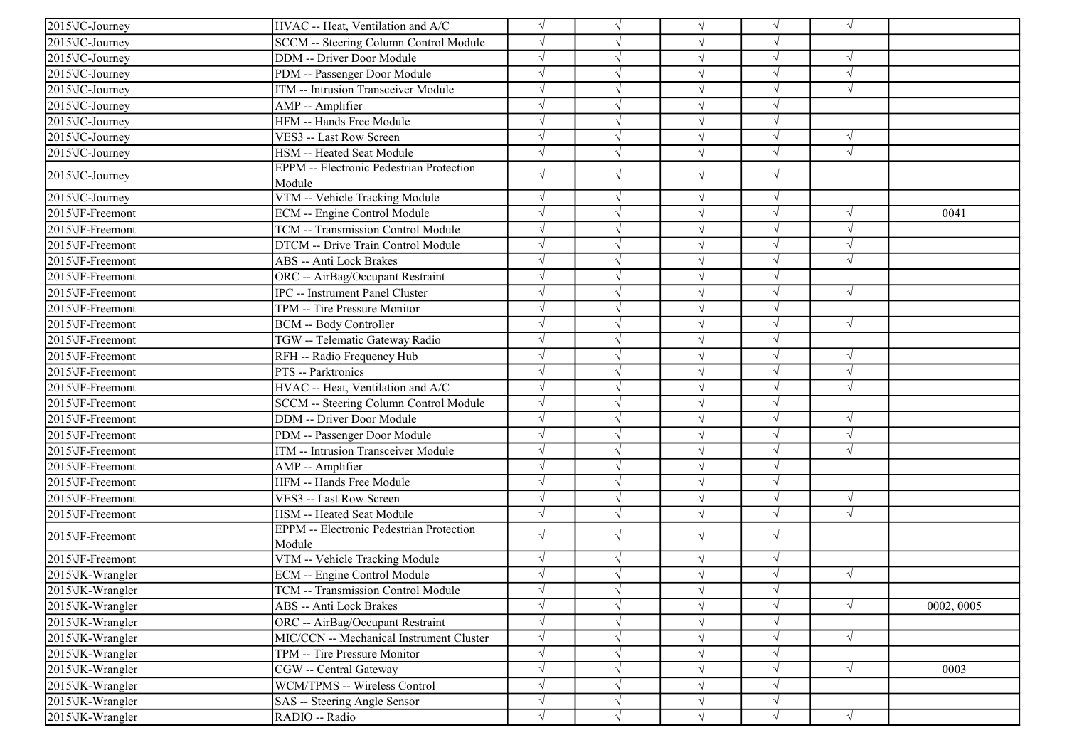| 2015\JC-Journey              | HVAC -- Heat, Ventilation and A/C                         | $\sqrt{}$  | $\sqrt{}$  | $\sqrt{}$  | $\sqrt{ }$ | $\sqrt{ }$ |            |
|------------------------------|-----------------------------------------------------------|------------|------------|------------|------------|------------|------------|
| 2015\JC-Journey              | SCCM -- Steering Column Control Module                    | $\sqrt{ }$ |            | $\sqrt{ }$ | J          |            |            |
| 2015 JC-Journey              | DDM -- Driver Door Module                                 | $\sqrt{ }$ |            | $\sqrt{}$  | $\sqrt{}$  | $\sqrt{ }$ |            |
| 2015\JC-Journey              | PDM -- Passenger Door Module                              | $\sqrt{ }$ |            | $\sqrt{}$  | $\sqrt{}$  | $\sqrt{ }$ |            |
| $2015\overline{U}C$ -Journey | ITM -- Intrusion Transceiver Module                       | $\sqrt{ }$ |            | $\sqrt{ }$ |            | $\sqrt{ }$ |            |
| 2015\JC-Journey              |                                                           | $\sqrt{ }$ |            | V          |            |            |            |
| 2015\JC-Journey              | AMP -- Amplifier<br>HFM -- Hands Free Module              | $\sqrt{ }$ |            | $\sqrt{}$  | V          |            |            |
|                              |                                                           |            |            |            | J          |            |            |
| 2015\JC-Journey              | VES3 -- Last Row Screen                                   | $\sqrt{ }$ |            | $\sqrt{}$  |            | $\sqrt{ }$ |            |
| 2015\JC-Journey              | HSM -- Heated Seat Module                                 | $\sqrt{ }$ | $\sqrt{}$  | $\sqrt{}$  | $\sqrt{}$  | $\sqrt{ }$ |            |
| 2015\JC-Journey              | <b>EPPM</b> -- Electronic Pedestrian Protection<br>Module | $\sqrt{ }$ | $\sqrt{ }$ | $\sqrt{}$  | $\sqrt{}$  |            |            |
| 2015\JC-Journey              | VTM -- Vehicle Tracking Module                            | $\sqrt{ }$ | $\sqrt{}$  | $\sqrt{}$  | $\sqrt{}$  |            |            |
| 2015\JF-Freemont             | ECM -- Engine Control Module                              | $\sqrt{ }$ |            | $\sqrt{}$  | $\sqrt{}$  | $\sqrt{ }$ | 0041       |
| 2015\JF-Freemont             | TCM -- Transmission Control Module                        | $\sqrt{}$  |            | $\sqrt{ }$ | $\sqrt{ }$ | $\sqrt{ }$ |            |
| 2015\JF-Freemont             | DTCM -- Drive Train Control Module                        | $\sqrt{ }$ |            | $\sqrt{}$  | $\sqrt{}$  | $\sqrt{ }$ |            |
| 2015\JF-Freemont             | ABS -- Anti Lock Brakes                                   | $\sqrt{ }$ |            | $\sqrt{ }$ | J          | $\sqrt{ }$ |            |
| 2015\JF-Freemont             | ORC -- AirBag/Occupant Restraint                          | $\sqrt{ }$ |            | $\sqrt{}$  | V          |            |            |
| 2015\JF-Freemont             | <b>IPC</b> -- Instrument Panel Cluster                    | $\sqrt{ }$ | $\sqrt{}$  | $\sqrt{}$  | $\sqrt{ }$ | $\sqrt{ }$ |            |
| 2015\JF-Freemont             | TPM -- Tire Pressure Monitor                              | $\sqrt{}$  | $\sqrt{}$  | $\sqrt{}$  | V          |            |            |
| 2015\JF-Freemont             | <b>BCM -- Body Controller</b>                             | $\sqrt{}$  |            | $\sqrt{ }$ | V          | $\sqrt{ }$ |            |
| 2015\JF-Freemont             | TGW -- Telematic Gateway Radio                            | $\sqrt{ }$ |            | $\sqrt{}$  | $\sqrt{}$  |            |            |
| 2015\JF-Freemont             | RFH -- Radio Frequency Hub                                | $\sqrt{ }$ |            | $\sqrt{}$  |            | $\sqrt{ }$ |            |
| 2015\JF-Freemont             | PTS -- Parktronics                                        | $\sqrt{ }$ |            | $\sqrt{}$  |            | $\sqrt{ }$ |            |
| 2015\JF-Freemont             | HVAC -- Heat, Ventilation and A/C                         | $\sqrt{ }$ | V          | $\sqrt{}$  | J          | $\sqrt{ }$ |            |
| 2015\JF-Freemont             | SCCM -- Steering Column Control Module                    | $\sqrt{ }$ |            | $\sqrt{}$  | V          |            |            |
| 2015\JF-Freemont             | <b>DDM</b> -- Driver Door Module                          | $\sqrt{ }$ |            | $\sqrt{ }$ | $\sqrt{}$  | $\sqrt{ }$ |            |
| 2015\JF-Freemont             | PDM -- Passenger Door Module                              | $\sqrt{ }$ |            | $\sqrt{ }$ | $\sqrt{ }$ | $\sqrt{ }$ |            |
| 2015\JF-Freemont             | ITM -- Intrusion Transceiver Module                       | $\sqrt{ }$ |            | $\sqrt{ }$ | $\sqrt{ }$ | $\sqrt{ }$ |            |
| 2015\JF-Freemont             | AMP -- Amplifier                                          | $\sqrt{ }$ |            | $\sqrt{}$  | V          |            |            |
| 2015\JF-Freemont             | HFM -- Hands Free Module                                  | $\sqrt{ }$ | V          | $\sqrt{}$  | $\sqrt{ }$ |            |            |
| 2015\JF-Freemont             | VES3 -- Last Row Screen                                   | $\sqrt{ }$ | V          | $\sqrt{}$  | $\sqrt{ }$ | $\sqrt{ }$ |            |
| 2015\JF-Freemont             | HSM -- Heated Seat Module                                 | $\sqrt{}$  | $\sqrt{}$  | $\sqrt{}$  | $\sqrt{}$  | $\sqrt{ }$ |            |
|                              | EPPM -- Electronic Pedestrian Protection                  |            |            |            |            |            |            |
| 2015\JF-Freemont             | Module                                                    | $\sqrt{ }$ | $\sqrt{ }$ | $\sqrt{}$  | $\sqrt{}$  |            |            |
| 2015\JF-Freemont             | VTM -- Vehicle Tracking Module                            | $\sqrt{ }$ | V          | V          | $\sqrt{ }$ |            |            |
| 2015\JK-Wrangler             | ECM -- Engine Control Module                              | $\sqrt{ }$ |            | $\sqrt{}$  | $\sqrt{}$  | $\sqrt{ }$ |            |
| 2015\JK-Wrangler             | TCM -- Transmission Control Module                        | $\sqrt{ }$ | $\sqrt{ }$ | $\sqrt{ }$ | $\sqrt{ }$ |            |            |
| 2015\JK-Wrangler             | ABS -- Anti Lock Brakes                                   | $\sqrt{}$  |            | $\sqrt{}$  |            | $\sqrt{ }$ | 0002, 0005 |
| 2015\JK-Wrangler             | ORC -- AirBag/Occupant Restraint                          | $\sqrt{ }$ |            |            |            |            |            |
| 2015\JK-Wrangler             | MIC/CCN -- Mechanical Instrument Cluster                  | $\sqrt{ }$ |            |            |            | $\sqrt{ }$ |            |
| 2015\JK-Wrangler             | TPM -- Tire Pressure Monitor                              | $\sqrt{ }$ |            | V          | V          |            |            |
| 2015\JK-Wrangler             | CGW -- Central Gateway                                    | $\sqrt{ }$ |            | $\sqrt{}$  | V          | $\sqrt{ }$ | 0003       |
| 2015\JK-Wrangler             | WCM/TPMS -- Wireless Control                              | $\sqrt{ }$ |            | $\sqrt{}$  | $\sqrt{}$  |            |            |
| 2015\JK-Wrangler             | SAS -- Steering Angle Sensor                              | $\sqrt{}$  | $\sqrt{}$  | $\sqrt{}$  | $\sqrt{ }$ |            |            |
| 2015\JK-Wrangler             | RADIO -- Radio                                            | $\sqrt{ }$ | $\sqrt{ }$ | $\sqrt{ }$ | $\sqrt{ }$ | $\sqrt{ }$ |            |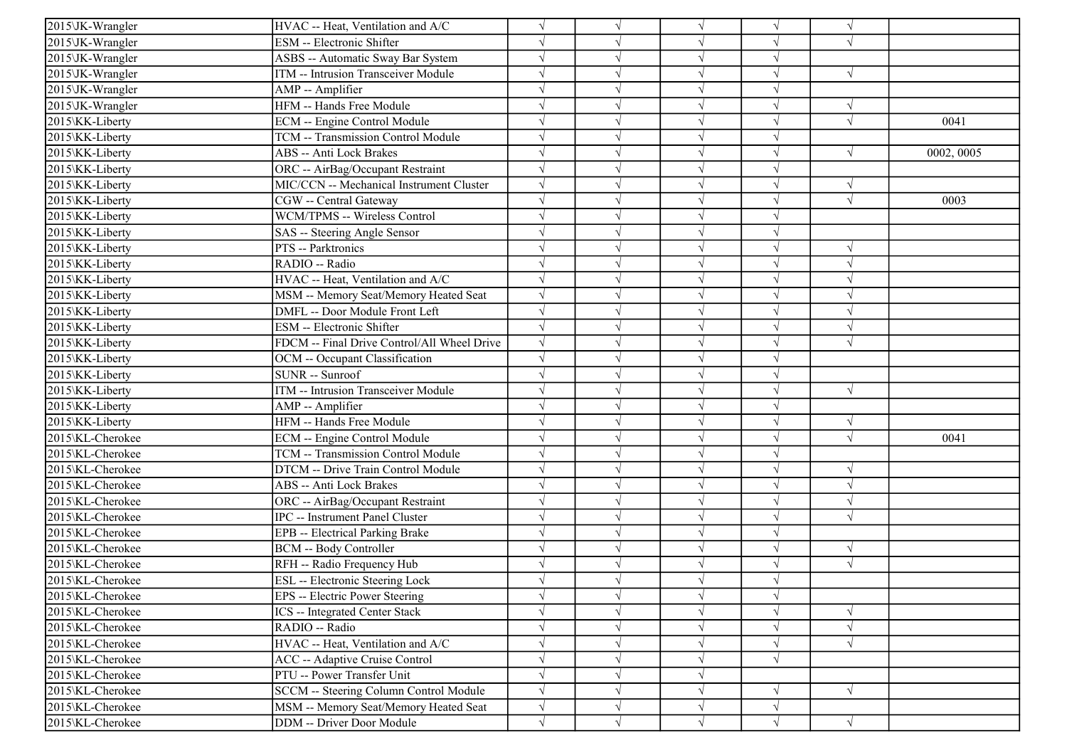| 2015\JK-Wrangler | HVAC -- Heat, Ventilation and A/C           |            |            | $\sqrt{ }$ | $\sqrt{ }$ | $\sqrt{ }$ |            |
|------------------|---------------------------------------------|------------|------------|------------|------------|------------|------------|
| 2015\JK-Wrangler | ESM -- Electronic Shifter                   |            |            | $\sqrt{ }$ | V          | $\sqrt{ }$ |            |
| 2015\JK-Wrangler | ASBS -- Automatic Sway Bar System           |            |            | $\sqrt{ }$ | $\sqrt{}$  |            |            |
| 2015\JK-Wrangler | ITM -- Intrusion Transceiver Module         |            |            | $\sqrt{ }$ |            | $\sqrt{ }$ |            |
| 2015\JK-Wrangler | AMP -- Amplifier                            |            |            | $\sqrt{ }$ | J          |            |            |
| 2015\JK-Wrangler | HFM -- Hands Free Module                    |            |            | $\sqrt{ }$ | J          | $\sqrt{ }$ |            |
| 2015\KK-Liberty  | ECM -- Engine Control Module                |            |            | $\sqrt{ }$ | $\sqrt{ }$ | $\sqrt{ }$ | 0041       |
| 2015\KK-Liberty  | TCM -- Transmission Control Module          |            |            | $\sqrt{ }$ | V          |            |            |
| 2015\KK-Liberty  | ABS -- Anti Lock Brakes                     |            |            | $\sqrt{ }$ | $\sqrt{ }$ | $\sqrt{ }$ | 0002, 0005 |
| 2015\KK-Liberty  | ORC -- AirBag/Occupant Restraint            |            |            | $\sqrt{ }$ | J          |            |            |
| 2015\KK-Liberty  | MIC/CCN -- Mechanical Instrument Cluster    |            |            | $\sqrt{}$  | V          | $\sqrt{ }$ |            |
| 2015\KK-Liberty  | CGW -- Central Gateway                      |            |            | $\sqrt{ }$ |            | $\sqrt{ }$ | 0003       |
| 2015\KK-Liberty  | WCM/TPMS -- Wireless Control                |            |            | $\sqrt{ }$ | V          |            |            |
| 2015\KK-Liberty  | SAS -- Steering Angle Sensor                |            |            | $\sqrt{ }$ | $\sqrt{ }$ |            |            |
| 2015\KK-Liberty  | PTS -- Parktronics                          |            |            | $\sqrt{ }$ | V          | $\sqrt{ }$ |            |
| 2015\KK-Liberty  | RADIO -- Radio                              |            |            | $\sqrt{ }$ |            | $\sqrt{ }$ |            |
| 2015\KK-Liberty  | HVAC -- Heat, Ventilation and A/C           |            |            | $\sqrt{ }$ |            | $\sqrt{ }$ |            |
| 2015\KK-Liberty  | MSM -- Memory Seat/Memory Heated Seat       |            |            | $\sqrt{ }$ |            | $\sqrt{ }$ |            |
| 2015\KK-Liberty  | DMFL -- Door Module Front Left              |            |            | $\sqrt{ }$ | $\sqrt{}$  | $\sqrt{ }$ |            |
| 2015\KK-Liberty  | ESM -- Electronic Shifter                   | $\sqrt{ }$ |            | $\sqrt{ }$ | V          | $\sqrt{ }$ |            |
| 2015\KK-Liberty  | FDCM -- Final Drive Control/All Wheel Drive | $\sqrt{ }$ |            | $\sqrt{ }$ | $\sqrt{ }$ | $\sqrt{ }$ |            |
| 2015\KK-Liberty  | OCM -- Occupant Classification              |            |            | $\sqrt{ }$ | $\sqrt{ }$ |            |            |
| 2015\KK-Liberty  | SUNR -- Sunroof                             |            |            | $\sqrt{ }$ | J          |            |            |
| 2015\KK-Liberty  | ITM -- Intrusion Transceiver Module         |            |            | $\sqrt{ }$ | $\sqrt{ }$ | $\sqrt{ }$ |            |
| 2015\KK-Liberty  | AMP -- Amplifier                            |            | $\sqrt{ }$ | $\sqrt{ }$ | $\sqrt{ }$ |            |            |
| 2015\KK-Liberty  | HFM -- Hands Free Module                    |            |            | $\sqrt{ }$ | V          | $\sqrt{ }$ |            |
| 2015\KL-Cherokee | ECM -- Engine Control Module                |            |            | $\sqrt{ }$ | V          | $\sqrt{ }$ | 0041       |
| 2015\KL-Cherokee | TCM -- Transmission Control Module          |            |            | $\sqrt{ }$ | $\sqrt{}$  |            |            |
| 2015\KL-Cherokee | DTCM -- Drive Train Control Module          |            |            | $\sqrt{ }$ | J          | $\sqrt{ }$ |            |
| 2015\KL-Cherokee | ABS -- Anti Lock Brakes                     |            |            | $\sqrt{ }$ |            | $\sqrt{ }$ |            |
| 2015\KL-Cherokee | ORC -- AirBag/Occupant Restraint            |            |            | $\sqrt{ }$ | V          | $\sqrt{ }$ |            |
| 2015\KL-Cherokee | <b>IPC</b> -- Instrument Panel Cluster      |            |            | $\sqrt{ }$ | $\sqrt{ }$ | $\sqrt{ }$ |            |
| 2015\KL-Cherokee | EPB -- Electrical Parking Brake             |            |            | $\sqrt{ }$ | $\sqrt{ }$ |            |            |
| 2015\KL-Cherokee | <b>BCM -- Body Controller</b>               |            |            | $\sqrt{ }$ | $\sqrt{ }$ | $\sqrt{ }$ |            |
| 2015\KL-Cherokee | RFH -- Radio Frequency Hub                  |            |            | $\sqrt{ }$ |            | $\sqrt{ }$ |            |
| 2015\KL-Cherokee | ESL -- Electronic Steering Lock             |            |            | N          | J          |            |            |
| 2015\KL-Cherokee | EPS -- Electric Power Steering              |            | $\sqrt{ }$ | $\sqrt{}$  | $\sqrt{}$  |            |            |
| 2015\KL-Cherokee | ICS -- Integrated Center Stack              |            |            | $\sqrt{ }$ | V          | $\sqrt{ }$ |            |
| 2015\KL-Cherokee | RADIO -- Radio                              |            | $\sqrt{ }$ | $\sqrt{ }$ | V          | $\sqrt{ }$ |            |
| 2015\KL-Cherokee | HVAC -- Heat, Ventilation and A/C           |            |            | $\sqrt{ }$ | $\sqrt{ }$ | $\sqrt{ }$ |            |
| 2015\KL-Cherokee | ACC -- Adaptive Cruise Control              |            |            | $\sqrt{}$  | $\sqrt{}$  |            |            |
| 2015\KL-Cherokee | PTU -- Power Transfer Unit                  |            |            | $\sqrt{ }$ |            |            |            |
| 2015\KL-Cherokee | SCCM -- Steering Column Control Module      |            | $\sqrt{ }$ | $\sqrt{ }$ | V          | $\sqrt{ }$ |            |
| 2015\KL-Cherokee | MSM -- Memory Seat/Memory Heated Seat       | $\sqrt{}$  | $\sqrt{ }$ | $\sqrt{ }$ | $\sqrt{ }$ |            |            |
| 2015\KL-Cherokee | DDM -- Driver Door Module                   | $\sqrt{}$  | $\sqrt{ }$ | $\sqrt{ }$ | $\sqrt{ }$ | $\sqrt{ }$ |            |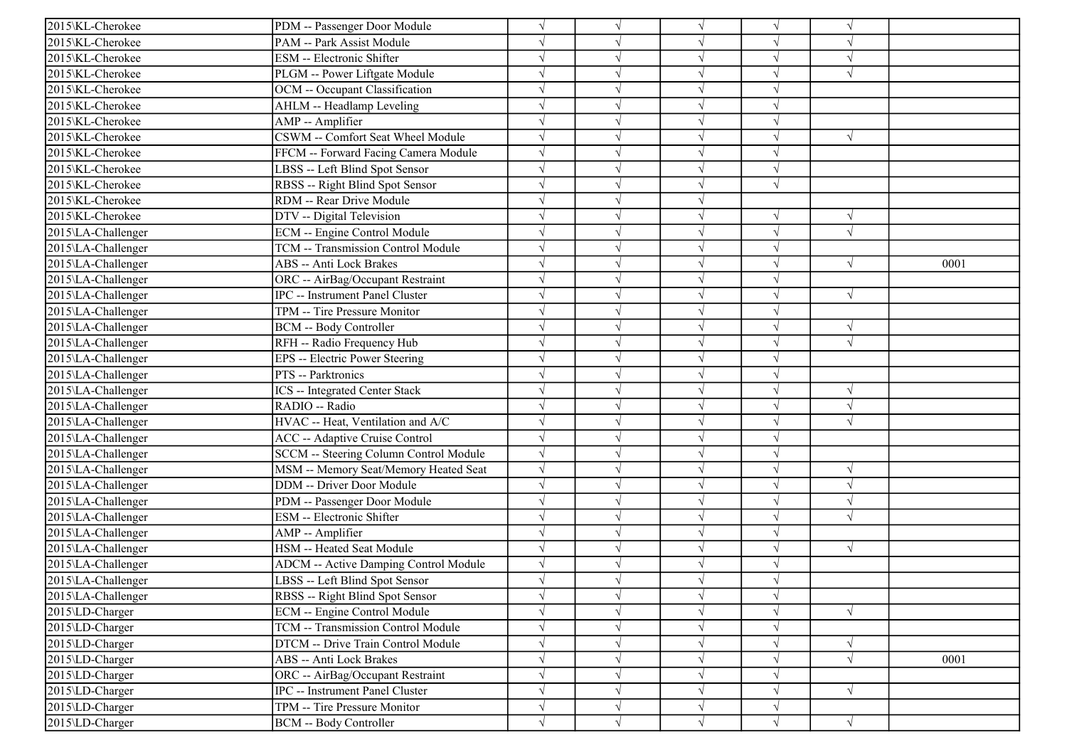| 2015\KL-Cherokee   | PDM -- Passenger Door Module                 |           |            | $\sqrt{ }$ | V          | $\gamma$   |      |
|--------------------|----------------------------------------------|-----------|------------|------------|------------|------------|------|
| 2015\KL-Cherokee   | PAM -- Park Assist Module                    |           |            | $\sqrt{ }$ | V          | $\sqrt{ }$ |      |
| 2015\KL-Cherokee   | ESM -- Electronic Shifter                    |           |            | $\sqrt{}$  | $\sqrt{}$  | $\sqrt{ }$ |      |
| 2015\KL-Cherokee   | PLGM -- Power Liftgate Module                |           |            | $\sqrt{ }$ |            | $\sqrt{ }$ |      |
| 2015\KL-Cherokee   | OCM -- Occupant Classification               |           |            | $\sqrt{ }$ | V          |            |      |
| 2015\KL-Cherokee   | AHLM -- Headlamp Leveling                    |           |            | $\sqrt{ }$ | V          |            |      |
| 2015\KL-Cherokee   | AMP -- Amplifier                             |           |            | $\sqrt{ }$ | V          |            |      |
| 2015\KL-Cherokee   | CSWM -- Comfort Seat Wheel Module            |           |            | $\sqrt{ }$ | V          | $\sqrt{ }$ |      |
| 2015\KL-Cherokee   | FFCM -- Forward Facing Camera Module         |           |            | $\sqrt{ }$ | $\sqrt{ }$ |            |      |
| 2015\KL-Cherokee   | LBSS -- Left Blind Spot Sensor               |           |            | $\sqrt{ }$ | J          |            |      |
| 2015\KL-Cherokee   | RBSS -- Right Blind Spot Sensor              |           |            | $\sqrt{}$  | $\sqrt{ }$ |            |      |
| 2015\KL-Cherokee   | RDM -- Rear Drive Module                     |           |            | $\sqrt{ }$ |            |            |      |
| 2015\KL-Cherokee   | DTV -- Digital Television                    |           |            | $\sqrt{ }$ | $\sqrt{ }$ | $\sqrt{ }$ |      |
| 2015\LA-Challenger | ECM -- Engine Control Module                 |           |            | $\sqrt{ }$ | V          | $\sqrt{ }$ |      |
| 2015\LA-Challenger | TCM -- Transmission Control Module           |           |            | $\sqrt{ }$ | V          |            |      |
| 2015\LA-Challenger | ABS -- Anti Lock Brakes                      |           |            | $\sqrt{ }$ | J          | $\sqrt{ }$ | 0001 |
| 2015\LA-Challenger | ORC -- AirBag/Occupant Restraint             |           |            | $\sqrt{ }$ |            |            |      |
| 2015\LA-Challenger | <b>IPC</b> -- Instrument Panel Cluster       |           |            | $\sqrt{ }$ |            | $\sqrt{ }$ |      |
| 2015\LA-Challenger | TPM -- Tire Pressure Monitor                 |           |            | $\sqrt{ }$ | V          |            |      |
| 2015\LA-Challenger | <b>BCM -- Body Controller</b>                |           |            | $\sqrt{ }$ | V          | $\sqrt{ }$ |      |
| 2015\LA-Challenger | RFH -- Radio Frequency Hub                   |           |            | $\sqrt{ }$ | V          | $\sqrt{ }$ |      |
| 2015\LA-Challenger | EPS -- Electric Power Steering               |           |            | $\sqrt{ }$ | V          |            |      |
| 2015\LA-Challenger | PTS -- Parktronics                           |           |            | $\sqrt{ }$ | J          |            |      |
| 2015\LA-Challenger | ICS -- Integrated Center Stack               |           |            | $\sqrt{ }$ | $\sqrt{ }$ | $\sqrt{ }$ |      |
| 2015\LA-Challenger | RADIO -- Radio                               |           | $\sqrt{ }$ | $\sqrt{ }$ | V          | $\sqrt{ }$ |      |
| 2015\LA-Challenger | HVAC -- Heat, Ventilation and A/C            |           |            | $\sqrt{ }$ | J          | $\sqrt{ }$ |      |
| 2015\LA-Challenger | ACC -- Adaptive Cruise Control               |           |            | $\sqrt{ }$ | V          |            |      |
| 2015\LA-Challenger | SCCM -- Steering Column Control Module       |           |            | $\sqrt{}$  | $\sqrt{}$  |            |      |
| 2015\LA-Challenger | MSM -- Memory Seat/Memory Heated Seat        |           |            | $\sqrt{ }$ |            | $\sqrt{ }$ |      |
| 2015\LA-Challenger | DDM -- Driver Door Module                    |           |            | $\sqrt{ }$ |            | $\sqrt{ }$ |      |
| 2015\LA-Challenger | PDM -- Passenger Door Module                 |           |            | $\sqrt{ }$ | V          | $\sqrt{ }$ |      |
| 2015\LA-Challenger | ESM -- Electronic Shifter                    |           |            | $\sqrt{ }$ | V          | $\sqrt{ }$ |      |
| 2015\LA-Challenger | AMP -- Amplifier                             |           |            | $\sqrt{ }$ | V          |            |      |
| 2015\LA-Challenger | HSM -- Heated Seat Module                    |           |            | $\sqrt{ }$ | $\sqrt{ }$ | $\sqrt{ }$ |      |
| 2015\LA-Challenger | <b>ADCM -- Active Damping Control Module</b> |           |            | $\sqrt{ }$ |            |            |      |
| 2015\LA-Challenger | LBSS -- Left Blind Spot Sensor               |           |            | N          |            |            |      |
| 2015\LA-Challenger | RBSS -- Right Blind Spot Sensor              |           | $\sqrt{}$  | $\sqrt{ }$ | $\sqrt{}$  |            |      |
| 2015\LD-Charger    | ECM -- Engine Control Module                 |           |            | $\sqrt{ }$ | V          | $\sqrt{ }$ |      |
| 2015\LD-Charger    | TCM -- Transmission Control Module           |           | V          | $\sqrt{}$  | V          |            |      |
| 2015\LD-Charger    | DTCM -- Drive Train Control Module           |           |            | $\sqrt{}$  | V          | $\sqrt{ }$ |      |
| 2015\LD-Charger    | ABS -- Anti Lock Brakes                      |           |            | $\sqrt{ }$ |            | $\sqrt{ }$ | 0001 |
| 2015\LD-Charger    | ORC -- AirBag/Occupant Restraint             |           | $\sqrt{ }$ | $\sqrt{ }$ | V          |            |      |
| 2015\LD-Charger    | IPC -- Instrument Panel Cluster              |           | V          | $\sqrt{ }$ | V          | $\sqrt{ }$ |      |
| 2015\LD-Charger    | TPM -- Tire Pressure Monitor                 | $\sqrt{}$ | $\sqrt{}$  | $\sqrt{}$  | V          |            |      |
| 2015\LD-Charger    | <b>BCM -- Body Controller</b>                | $\sqrt{}$ | $\sqrt{ }$ | $\sqrt{ }$ | $\sqrt{}$  | $\sqrt{}$  |      |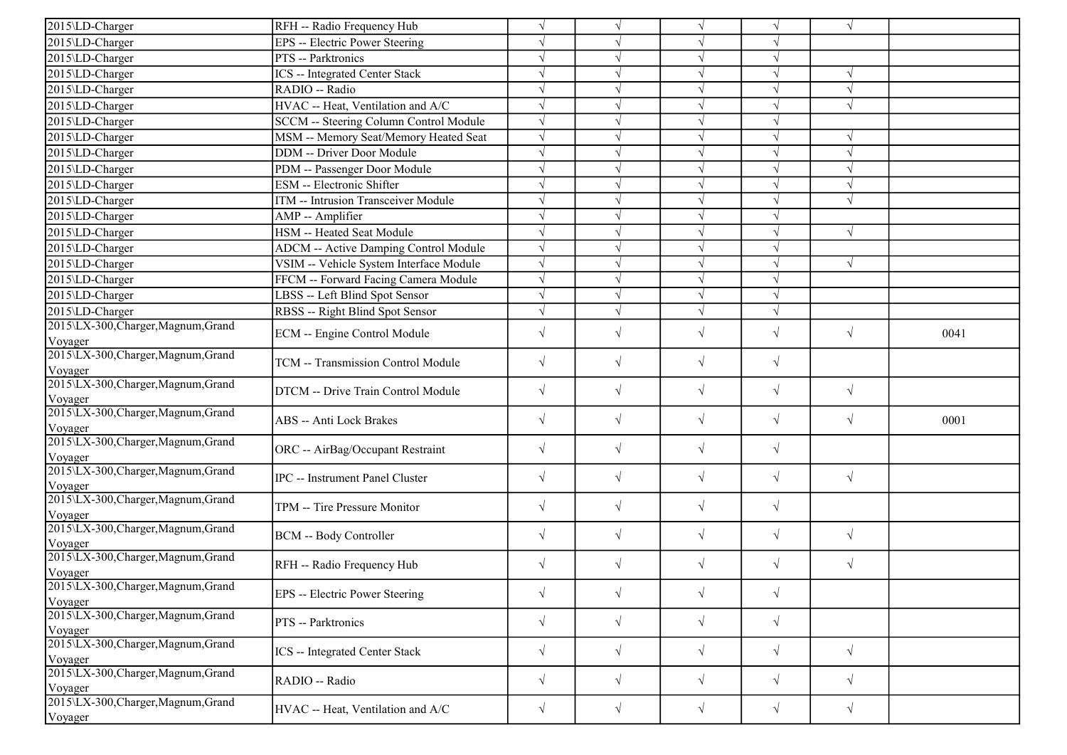| 2015\LD-Charger                                | RFH -- Radio Frequency Hub                   | $\sqrt{ }$ |           | $\sqrt{ }$ |            | $\sqrt{ }$ |      |
|------------------------------------------------|----------------------------------------------|------------|-----------|------------|------------|------------|------|
| 2015\LD-Charger                                | EPS -- Electric Power Steering               | $\sqrt{ }$ |           |            |            |            |      |
| 2015\LD-Charger                                | PTS -- Parktronics                           | $\sqrt{ }$ |           |            |            |            |      |
| 2015\LD-Charger                                | <b>ICS</b> -- Integrated Center Stack        | $\sqrt{}$  |           |            |            |            |      |
| 2015\LD-Charger                                | RADIO -- Radio                               | $\sqrt{ }$ |           | $\sqrt{ }$ |            | $\sqrt{ }$ |      |
| 2015\LD-Charger                                | HVAC -- Heat, Ventilation and A/C            | $\sqrt{ }$ |           |            |            | $\sqrt{}$  |      |
| 2015\LD-Charger                                | SCCM -- Steering Column Control Module       | $\sqrt{ }$ |           |            |            |            |      |
| 2015\LD-Charger                                | MSM -- Memory Seat/Memory Heated Seat        | $\sqrt{ }$ |           | $\sqrt{ }$ |            | $\sqrt{ }$ |      |
| 2015\LD-Charger                                | DDM -- Driver Door Module                    | $\sqrt{ }$ |           | $\sqrt{ }$ | J          | $\sqrt{ }$ |      |
| 2015\LD-Charger                                | PDM -- Passenger Door Module                 | $\sqrt{ }$ |           | $\sqrt{ }$ | $\sqrt{ }$ | $\sqrt{ }$ |      |
| 2015\LD-Charger                                | ESM -- Electronic Shifter                    | $\sqrt{ }$ | J         | $\sqrt{}$  |            | $\sqrt{ }$ |      |
| 2015\LD-Charger                                | ITM -- Intrusion Transceiver Module          | $\sqrt{ }$ |           |            |            | $\sqrt{ }$ |      |
| 2015\LD-Charger                                | AMP -- Amplifier                             | $\sqrt{ }$ |           | $\sqrt{2}$ |            |            |      |
| 2015\LD-Charger                                | HSM -- Heated Seat Module                    | $\sqrt{ }$ | J         | $\sqrt{2}$ |            | $\sqrt{ }$ |      |
| 2015\LD-Charger                                | <b>ADCM</b> -- Active Damping Control Module | $\sqrt{ }$ |           |            |            |            |      |
| 2015\LD-Charger                                | VSIM -- Vehicle System Interface Module      | $\sqrt{ }$ |           | $\sqrt{ }$ | $\sqrt{ }$ | $\sqrt{ }$ |      |
| 2015\LD-Charger                                | FFCM -- Forward Facing Camera Module         | $\sqrt{ }$ |           | $\sqrt{ }$ |            |            |      |
| 2015\LD-Charger                                | LBSS -- Left Blind Spot Sensor               | $\sqrt{ }$ |           |            |            |            |      |
| 2015\LD-Charger                                | RBSS -- Right Blind Spot Sensor              | $\sqrt{}$  |           |            |            |            |      |
| 2015\LX-300, Charger, Magnum, Grand            | ECM -- Engine Control Module                 | $\sqrt{ }$ | $\sqrt{}$ | $\sqrt{ }$ | $\sqrt{}$  | $\sqrt{ }$ | 0041 |
| Voyager                                        |                                              |            |           |            |            |            |      |
| 2015\LX-300, Charger, Magnum, Grand<br>Voyager | TCM -- Transmission Control Module           | $\sqrt{ }$ | $\sqrt{}$ | $\sqrt{ }$ | $\sqrt{}$  |            |      |
| 2015\LX-300, Charger, Magnum, Grand<br>Voyager | DTCM -- Drive Train Control Module           | $\sqrt{ }$ | $\sqrt{}$ | $\sqrt{2}$ | $\sqrt{}$  | $\sqrt{ }$ |      |
| 2015\LX-300, Charger, Magnum, Grand<br>Voyager | ABS -- Anti Lock Brakes                      | $\sqrt{ }$ | $\sqrt{}$ | $\sqrt{ }$ | $\sqrt{}$  | $\sqrt{ }$ | 0001 |
| 2015\LX-300, Charger, Magnum, Grand<br>Voyager | ORC -- AirBag/Occupant Restraint             | $\sqrt{ }$ | $\sqrt{}$ | $\sqrt{ }$ | $\sqrt{}$  |            |      |
| 2015\LX-300, Charger, Magnum, Grand<br>Voyager | <b>IPC</b> -- Instrument Panel Cluster       | $\sqrt{ }$ | $\sqrt{}$ | $\sqrt{}$  | $\sqrt{}$  | $\sqrt{ }$ |      |
| 2015\LX-300, Charger, Magnum, Grand<br>Voyager | TPM -- Tire Pressure Monitor                 | $\sqrt{ }$ | $\sqrt{}$ | $\sqrt{}$  | $\sqrt{}$  |            |      |
| 2015\LX-300, Charger, Magnum, Grand<br>Voyager | BCM -- Body Controller                       | $\sqrt{ }$ | $\sqrt{}$ | $\sqrt{}$  | $\sqrt{}$  | $\sqrt{ }$ |      |
| 2015\LX-300, Charger, Magnum, Grand<br>Voyager | RFH -- Radio Frequency Hub                   | $\sqrt{}$  | $\sqrt{}$ | $\sqrt{}$  | $\sqrt{}$  | $\sqrt{ }$ |      |
| 2015\LX-300, Charger, Magnum, Grand<br>Voyager | EPS -- Electric Power Steering               | $\sqrt{ }$ | $\sqrt{}$ | $\sqrt{}$  | $\sqrt{}$  |            |      |
| 2015\LX-300, Charger, Magnum, Grand<br>Voyager | PTS -- Parktronics                           | $\sqrt{ }$ | $\sqrt{}$ | $\sqrt{}$  | $\sqrt{}$  |            |      |
| 2015\LX-300, Charger, Magnum, Grand<br>Voyager | <b>ICS</b> -- Integrated Center Stack        | $\sqrt{ }$ | $\sqrt{}$ | $\sqrt{}$  | $\sqrt{}$  | $\sqrt{ }$ |      |
| 2015\LX-300, Charger, Magnum, Grand<br>Voyager | RADIO -- Radio                               | $\sqrt{ }$ | $\sqrt{}$ | $\sqrt{}$  | $\sqrt{}$  | $\sqrt{ }$ |      |
| 2015\LX-300, Charger, Magnum, Grand<br>Voyager | HVAC -- Heat, Ventilation and A/C            | $\sqrt{}$  | $\sqrt{}$ | $\sqrt{}$  | $\sqrt{}$  | $\sqrt{ }$ |      |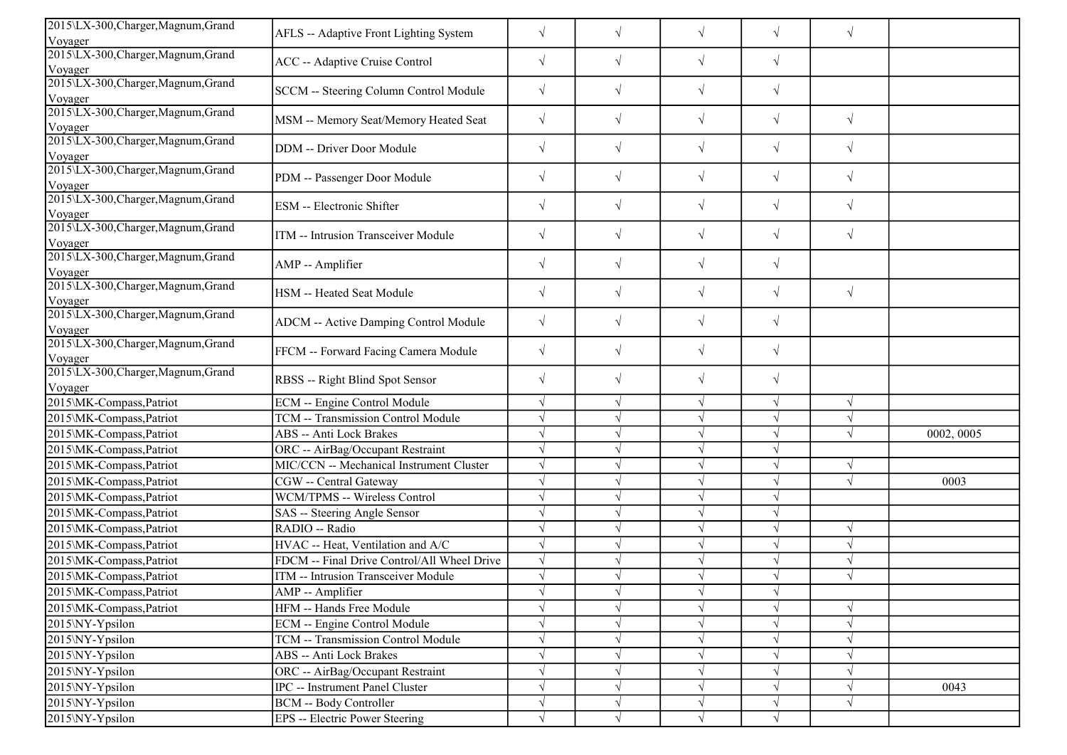| 2015\LX-300, Charger, Magnum, Grand<br>Voyager            | AFLS -- Adaptive Front Lighting System      | $\sqrt{}$  | $\sqrt{ }$ | $\sqrt{}$  | $\sqrt{}$ | $\sqrt{ }$ |            |
|-----------------------------------------------------------|---------------------------------------------|------------|------------|------------|-----------|------------|------------|
| 2015\LX-300, Charger, Magnum, Grand                       |                                             | $\sqrt{}$  | $\sqrt{ }$ | $\sqrt{ }$ | $\sqrt{}$ |            |            |
| Voyager                                                   | ACC -- Adaptive Cruise Control              |            |            |            |           |            |            |
| 2015\LX-300, Charger, Magnum, Grand<br>Voyager            | SCCM -- Steering Column Control Module      | $\sqrt{}$  | $\sqrt{ }$ | $\sqrt{ }$ | $\sqrt{}$ |            |            |
| 2015\LX-300, Charger, Magnum, Grand<br>Voyager            | MSM -- Memory Seat/Memory Heated Seat       | $\sqrt{}$  | $\sqrt{}$  | $\sqrt{ }$ | $\sqrt{}$ | $\sqrt{ }$ |            |
| 2015\LX-300, Charger, Magnum, Grand<br>Voyager            | DDM -- Driver Door Module                   | $\sqrt{}$  | $\sqrt{ }$ | $\sqrt{}$  | $\sqrt{}$ | $\sqrt{ }$ |            |
| 2015\LX-300, Charger, Magnum, Grand                       | PDM -- Passenger Door Module                | $\sqrt{}$  | $\sqrt{ }$ | $\sqrt{}$  | $\sqrt{}$ | $\sqrt{ }$ |            |
| Voyager<br>2015\LX-300, Charger, Magnum, Grand<br>Voyager | ESM -- Electronic Shifter                   | $\sqrt{}$  | $\sqrt{ }$ | $\sqrt{}$  | $\sqrt{}$ | $\sqrt{ }$ |            |
| 2015\LX-300, Charger, Magnum, Grand<br>Voyager            | ITM -- Intrusion Transceiver Module         | $\sqrt{}$  | $\sqrt{}$  | $\sqrt{}$  | $\sqrt{}$ | $\sqrt{ }$ |            |
| 2015\LX-300, Charger, Magnum, Grand<br>Voyager            | AMP -- Amplifier                            | $\sqrt{}$  | $\sqrt{}$  | $\sqrt{ }$ | $\sqrt{}$ |            |            |
| 2015\LX-300, Charger, Magnum, Grand<br>Voyager            | HSM -- Heated Seat Module                   | $\sqrt{}$  | $\sqrt{}$  | $\sqrt{}$  | $\sqrt{}$ | $\sqrt{ }$ |            |
| 2015\LX-300, Charger, Magnum, Grand<br>Voyager            | ADCM -- Active Damping Control Module       | $\sqrt{}$  | $\sqrt{ }$ | $\sqrt{}$  | $\sqrt{}$ |            |            |
| 2015\LX-300, Charger, Magnum, Grand<br>Voyager            | FFCM -- Forward Facing Camera Module        | $\sqrt{}$  | $\sqrt{ }$ | $\sqrt{}$  | $\sqrt{}$ |            |            |
| 2015\LX-300, Charger, Magnum, Grand<br>Voyager            | RBSS -- Right Blind Spot Sensor             | $\sqrt{}$  | $\sqrt{ }$ | $\sqrt{}$  | $\sqrt{}$ |            |            |
| 2015\MK-Compass,Patriot                                   | ECM -- Engine Control Module                |            | $\sqrt{ }$ | $\sqrt{}$  | $\sqrt{}$ | $\sqrt{ }$ |            |
| 2015\MK-Compass,Patriot                                   | <b>TCM -- Transmission Control Module</b>   | $\sqrt{ }$ | $\sqrt{ }$ | $\sqrt{ }$ | $\sqrt{}$ | $\sqrt{ }$ |            |
| 2015\MK-Compass,Patriot                                   | ABS -- Anti Lock Brakes                     |            |            | $\sqrt{ }$ | V         | $\sqrt{ }$ | 0002, 0005 |
| 2015\MK-Compass,Patriot                                   | ORC -- AirBag/Occupant Restraint            |            |            | $\sqrt{ }$ |           |            |            |
| 2015\MK-Compass,Patriot                                   | MIC/CCN -- Mechanical Instrument Cluster    |            |            | $\sqrt{ }$ | $\sqrt{}$ | $\sqrt{ }$ |            |
| 2015\MK-Compass,Patriot                                   | CGW -- Central Gateway                      |            |            | $\sqrt{ }$ | $\sqrt{}$ | $\sqrt{ }$ | 0003       |
| 2015\MK-Compass,Patriot                                   | WCM/TPMS -- Wireless Control                |            |            | $\sqrt{ }$ |           |            |            |
| 2015\MK-Compass,Patriot                                   | SAS -- Steering Angle Sensor                |            | $\sqrt{ }$ | $\sqrt{}$  | $\sqrt{}$ |            |            |
| 2015\MK-Compass,Patriot                                   | RADIO -- Radio                              |            |            | $\sqrt{ }$ | $\sqrt{}$ | $\sqrt{ }$ |            |
| 2015\MK-Compass,Patriot                                   | HVAC -- Heat, Ventilation and A/C           |            |            | $\sqrt{}$  | V         | $\sqrt{ }$ |            |
| 2015\MK-Compass,Patriot                                   | FDCM -- Final Drive Control/All Wheel Drive |            |            | $\sqrt{ }$ | V         | $\sqrt{ }$ |            |
| 2015\MK-Compass,Patriot                                   | ITM -- Intrusion Transceiver Module         |            |            | $\sqrt{}$  |           |            |            |
| 2015\MK-Compass,Patriot                                   | AMP -- Amplifier                            |            | $\sqrt{}$  | V          | V         |            |            |
| 2015\MK-Compass, Patriot                                  | HFM -- Hands Free Module                    |            |            | $\sqrt{}$  |           | $\sqrt{ }$ |            |
| 2015\NY-Ypsilon                                           | ECM -- Engine Control Module                |            |            | V          |           | $\sqrt{ }$ |            |
| 2015\NY-Ypsilon                                           | TCM -- Transmission Control Module          |            |            | $\sqrt{ }$ |           | $\sqrt{ }$ |            |
| 2015\NY-Ypsilon                                           | ABS -- Anti Lock Brakes                     |            | $\sqrt{ }$ | $\sqrt{ }$ |           | $\sqrt{ }$ |            |
| 2015\NY-Ypsilon                                           | ORC -- AirBag/Occupant Restraint            |            | $\sqrt{ }$ | $\sqrt{ }$ |           | $\sqrt{ }$ |            |
| 2015\NY-Ypsilon                                           | IPC -- Instrument Panel Cluster             |            | $\sqrt{ }$ | $\sqrt{ }$ | $\sqrt{}$ | $\sqrt{ }$ | 0043       |
| 2015\NY-Ypsilon                                           | BCM -- Body Controller                      |            | $\sqrt{ }$ | $\sqrt{}$  | $\sqrt{}$ | $\sqrt{ }$ |            |
| 2015\NY-Ypsilon                                           | EPS -- Electric Power Steering              | $\sqrt{ }$ | $\sqrt{ }$ | $\sqrt{ }$ | $\sqrt{}$ |            |            |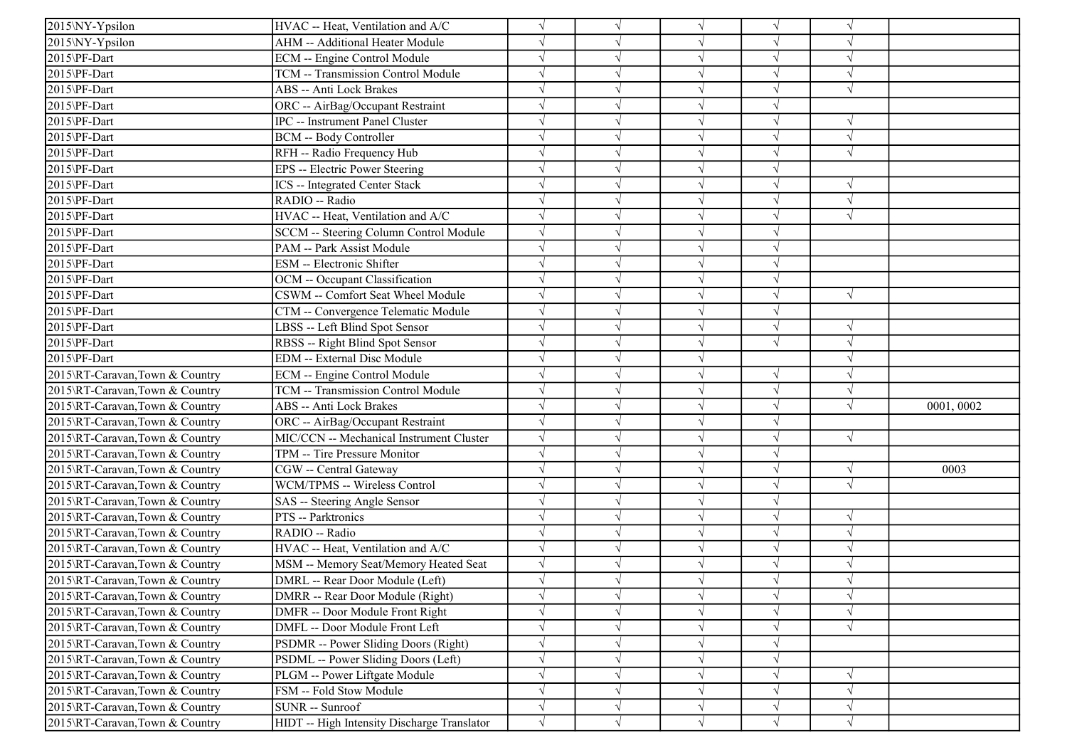| 2015\NY-Ypsilon                | HVAC -- Heat, Ventilation and A/C                                   | $\sqrt{}$  |            | $\sqrt{ }$               | $\sqrt{ }$ | $\sqrt{ }$ |           |
|--------------------------------|---------------------------------------------------------------------|------------|------------|--------------------------|------------|------------|-----------|
| 2015\NY-Ypsilon                | AHM -- Additional Heater Module                                     |            |            | $\sqrt{ }$               |            |            |           |
| 2015\PF-Dart                   | ECM -- Engine Control Module                                        | $\sqrt{ }$ |            | $\sqrt{ }$               |            | $\sqrt{ }$ |           |
| 2015\PF-Dart                   | TCM -- Transmission Control Module                                  | $\sqrt{}$  |            | $\sqrt{ }$               | $\sqrt{}$  | $\sqrt{ }$ |           |
| 2015\PF-Dart                   | ABS -- Anti Lock Brakes                                             |            |            | V                        |            | $\sqrt{ }$ |           |
| 2015\PF-Dart                   |                                                                     |            |            | $\sqrt{ }$               |            |            |           |
|                                | ORC -- AirBag/Occupant Restraint<br>IPC -- Instrument Panel Cluster | $\sqrt{}$  |            | $\sqrt{ }$               | $\sqrt{}$  | $\sqrt{ }$ |           |
| 2015\PF-Dart                   |                                                                     | $\sqrt{}$  |            |                          |            | $\sqrt{ }$ |           |
| 2015\PF-Dart                   | <b>BCM -- Body Controller</b>                                       | $\sqrt{}$  |            | $\sqrt{ }$               |            | $\sqrt{ }$ |           |
| 2015\PF-Dart                   | RFH -- Radio Frequency Hub                                          | $\sqrt{}$  |            | $\sqrt{ }$<br>$\sqrt{ }$ | V          |            |           |
| 2015\PF-Dart                   | EPS -- Electric Power Steering                                      |            |            |                          |            |            |           |
| 2015\PF-Dart                   | <b>ICS</b> -- Integrated Center Stack                               |            |            | $\sqrt{ }$               |            |            |           |
| 2015\PF-Dart                   | RADIO -- Radio                                                      |            |            | $\sqrt{ }$               |            | $\sqrt{ }$ |           |
| 2015\PF-Dart                   | HVAC -- Heat, Ventilation and A/C                                   |            |            | $\sqrt{ }$               |            | $\sqrt{ }$ |           |
| 2015\PF-Dart                   | SCCM -- Steering Column Control Module                              |            |            | $\sqrt{ }$               |            |            |           |
| 2015\PF-Dart                   | PAM -- Park Assist Module                                           | $\sqrt{}$  |            | $\sqrt{ }$               | V          |            |           |
| 2015\PF-Dart                   | ESM -- Electronic Shifter                                           | $\sqrt{}$  |            | $\sqrt{}$                | $\sqrt{}$  |            |           |
| 2015\PF-Dart                   | OCM -- Occupant Classification                                      |            |            | $\sqrt{ }$               |            |            |           |
| 2015\PF-Dart                   | CSWM -- Comfort Seat Wheel Module                                   | $\sqrt{}$  |            | $\sqrt{ }$               | J          | $\sqrt{ }$ |           |
| 2015\PF-Dart                   | CTM -- Convergence Telematic Module                                 | $\sqrt{}$  |            | $\sqrt{ }$               |            |            |           |
| 2015\PF-Dart                   | LBSS -- Left Blind Spot Sensor                                      | $\sqrt{}$  |            | $\sqrt{ }$               | V          | $\sqrt{ }$ |           |
| 2015\PF-Dart                   | RBSS -- Right Blind Spot Sensor                                     | $\sqrt{ }$ |            | $\sqrt{ }$               | $\sqrt{ }$ | $\sqrt{ }$ |           |
| 2015\PF-Dart                   | EDM -- External Disc Module                                         | $\sqrt{ }$ |            | $\sqrt{ }$               |            | $\sqrt{ }$ |           |
| 2015\RT-Caravan,Town & Country | ECM -- Engine Control Module                                        | $\sqrt{}$  |            | $\sqrt{ }$               | V          | $\sqrt{ }$ |           |
| 2015\RT-Caravan,Town & Country | TCM -- Transmission Control Module                                  | $\sqrt{ }$ |            | $\sqrt{ }$               | $\sqrt{ }$ | $\sqrt{ }$ |           |
| 2015\RT-Caravan,Town & Country | ABS -- Anti Lock Brakes                                             |            |            | $\sqrt{ }$               | V          | $\sqrt{ }$ | 0001,0002 |
| 2015\RT-Caravan,Town & Country | ORC -- AirBag/Occupant Restraint                                    | $\sqrt{}$  |            | $\sqrt{ }$               | V          |            |           |
| 2015\RT-Caravan,Town & Country | MIC/CCN -- Mechanical Instrument Cluster                            | $\sqrt{}$  |            | $\sqrt{ }$               | V          | $\sqrt{ }$ |           |
| 2015\RT-Caravan,Town & Country | TPM -- Tire Pressure Monitor                                        | $\sqrt{ }$ |            | $\sqrt{ }$               | V          |            |           |
| 2015\RT-Caravan,Town & Country | CGW -- Central Gateway                                              |            |            | $\sqrt{ }$               | V          | $\sqrt{ }$ | 0003      |
| 2015\RT-Caravan,Town & Country | WCM/TPMS -- Wireless Control                                        |            |            | V                        |            | $\sqrt{ }$ |           |
| 2015\RT-Caravan,Town & Country | SAS -- Steering Angle Sensor                                        | $\sqrt{}$  |            | $\sqrt{ }$               | V          |            |           |
| 2015\RT-Caravan,Town & Country | PTS -- Parktronics                                                  | $\sqrt{}$  |            | $\sqrt{ }$               | V          | $\sqrt{ }$ |           |
| 2015\RT-Caravan,Town & Country | RADIO -- Radio                                                      | $\sqrt{}$  |            | $\sqrt{ }$               | J          | $\sqrt{ }$ |           |
| 2015\RT-Caravan,Town & Country | HVAC -- Heat, Ventilation and A/C                                   | $\sqrt{}$  |            | $\sqrt{ }$               | $\sqrt{}$  | $\sqrt{ }$ |           |
| 2015\RT-Caravan,Town & Country | MSM -- Memory Seat/Memory Heated Seat                               | $\sqrt{}$  |            | $\sqrt{ }$               | $\sqrt{ }$ | $\sqrt{ }$ |           |
| 2015\RT-Caravan,Town & Country | DMRL -- Rear Door Module (Left)                                     |            |            |                          |            | $\sqrt{ }$ |           |
| 2015\RT-Caravan,Town & Country | DMRR -- Rear Door Module (Right)                                    | $\sqrt{}$  | V          | $\sqrt{ }$               | $\sqrt{ }$ | $\sqrt{ }$ |           |
| 2015\RT-Caravan,Town & Country | DMFR -- Door Module Front Right                                     | $\sqrt{}$  |            | $\sqrt{}$                | V          | $\sqrt{ }$ |           |
| 2015\RT-Caravan,Town & Country | DMFL -- Door Module Front Left                                      | $\sqrt{}$  |            | V                        |            | $\sqrt{ }$ |           |
| 2015\RT-Caravan,Town & Country | PSDMR -- Power Sliding Doors (Right)                                | $\sqrt{}$  |            | $\sqrt{}$                |            |            |           |
| 2015\RT-Caravan,Town & Country | PSDML -- Power Sliding Doors (Left)                                 | $\sqrt{}$  |            | $\sqrt{}$                | V          |            |           |
| 2015\RT-Caravan,Town & Country | PLGM -- Power Liftgate Module                                       | $\sqrt{}$  |            | V                        |            | $\sqrt{ }$ |           |
| 2015\RT-Caravan,Town & Country | FSM -- Fold Stow Module                                             | $\sqrt{ }$ |            | $\sqrt{ }$               | V          | $\sqrt{ }$ |           |
| 2015\RT-Caravan,Town & Country | SUNR -- Sunroof                                                     | $\sqrt{}$  | V          | $\sqrt{ }$               | V          | $\sqrt{ }$ |           |
| 2015\RT-Caravan,Town & Country | HIDT -- High Intensity Discharge Translator                         | $\sqrt{ }$ | $\sqrt{ }$ | $\sqrt{ }$               | $\sqrt{ }$ | $\sqrt{ }$ |           |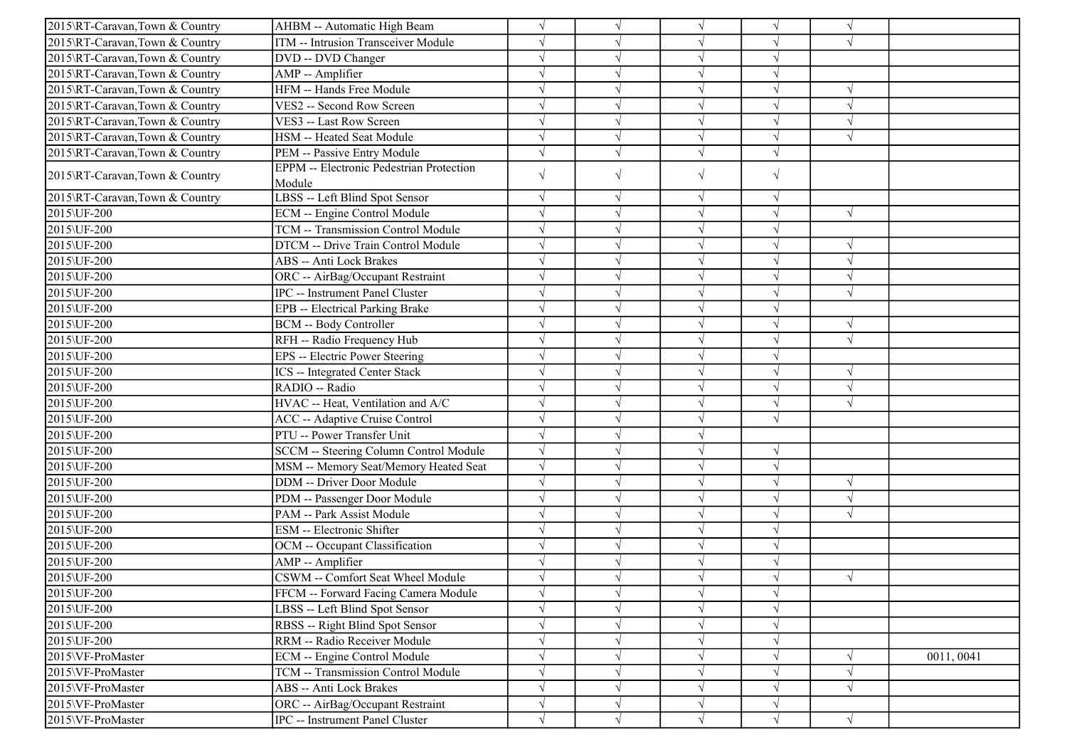| 2015\RT-Caravan,Town & Country | AHBM -- Automatic High Beam                               |            |            | $\sqrt{ }$ | V          | $\gamma$   |            |
|--------------------------------|-----------------------------------------------------------|------------|------------|------------|------------|------------|------------|
| 2015\RT-Caravan,Town & Country | ITM -- Intrusion Transceiver Module                       |            |            | $\sqrt{ }$ | V          | $\sqrt{ }$ |            |
| 2015\RT-Caravan,Town & Country | DVD -- DVD Changer                                        |            |            | $\sqrt{ }$ | $\sqrt{}$  |            |            |
| 2015\RT-Caravan,Town & Country | AMP -- Amplifier                                          |            |            | $\sqrt{ }$ |            |            |            |
| 2015\RT-Caravan,Town & Country | HFM -- Hands Free Module                                  |            |            | $\sqrt{ }$ | $\sqrt{}$  | $\sqrt{ }$ |            |
| 2015\RT-Caravan,Town & Country | VES2 -- Second Row Screen                                 |            |            | $\sqrt{ }$ | $\sqrt{}$  | $\sqrt{ }$ |            |
| 2015\RT-Caravan,Town & Country | VES3 -- Last Row Screen                                   |            |            | $\sqrt{ }$ | V          | $\sqrt{ }$ |            |
| 2015\RT-Caravan,Town & Country | HSM -- Heated Seat Module                                 | $\sqrt{ }$ | $\sqrt{ }$ | $\sqrt{ }$ | $\sqrt{ }$ | $\sqrt{ }$ |            |
| 2015\RT-Caravan,Town & Country | PEM -- Passive Entry Module                               | $\sqrt{ }$ |            | $\sqrt{ }$ | $\sqrt{}$  |            |            |
| 2015\RT-Caravan,Town & Country | <b>EPPM</b> -- Electronic Pedestrian Protection<br>Module | $\sqrt{}$  | $\sqrt{ }$ | $\sqrt{}$  | $\sqrt{}$  |            |            |
| 2015\RT-Caravan,Town & Country | LBSS -- Left Blind Spot Sensor                            | $\sqrt{ }$ | $\sqrt{ }$ | $\sqrt{ }$ | $\sqrt{}$  |            |            |
| 2015\UF-200                    | ECM -- Engine Control Module                              | $\sqrt{}$  |            | $\sqrt{ }$ | $\sqrt{ }$ | $\sqrt{ }$ |            |
| 2015\UF-200                    | <b>TCM -- Transmission Control Module</b>                 | $\sqrt{ }$ |            | $\sqrt{ }$ | $\sqrt{}$  |            |            |
| 2015\UF-200                    | DTCM -- Drive Train Control Module                        |            |            | $\sqrt{ }$ | J          | $\sqrt{ }$ |            |
| 2015\UF-200                    | <b>ABS -- Anti Lock Brakes</b>                            |            |            | $\sqrt{ }$ |            | $\sqrt{ }$ |            |
| 2015\UF-200                    | ORC -- AirBag/Occupant Restraint                          |            |            | $\sqrt{ }$ | V          | $\sqrt{ }$ |            |
| 2015\UF-200                    | <b>IPC</b> -- Instrument Panel Cluster                    |            |            | $\sqrt{ }$ | V          | $\sqrt{ }$ |            |
| 2015\UF-200                    | EPB -- Electrical Parking Brake                           |            |            | $\sqrt{ }$ | $\sqrt{ }$ |            |            |
| 2015\UF-200                    | <b>BCM -- Body Controller</b>                             |            |            | $\sqrt{ }$ | $\sqrt{ }$ | $\sqrt{ }$ |            |
| 2015\UF-200                    | RFH -- Radio Frequency Hub                                |            |            | $\sqrt{ }$ |            | $\sqrt{ }$ |            |
| 2015\UF-200                    | EPS -- Electric Power Steering                            |            |            | $\sqrt{ }$ |            |            |            |
| 2015\UF-200                    | <b>ICS</b> -- Integrated Center Stack                     | $\sqrt{}$  |            | $\sqrt{ }$ | V          | $\sqrt{ }$ |            |
| 2015\UF-200                    | RADIO -- Radio                                            |            |            | $\sqrt{ }$ | $\sqrt{ }$ | $\sqrt{ }$ |            |
| 2015\UF-200                    | HVAC -- Heat, Ventilation and A/C                         |            |            | $\sqrt{ }$ | $\sqrt{}$  | $\sqrt{ }$ |            |
| 2015\UF-200                    | <b>ACC</b> -- Adaptive Cruise Control                     | $\sqrt{ }$ |            | $\sqrt{ }$ | $\sqrt{}$  |            |            |
| 2015\UF-200                    | PTU -- Power Transfer Unit                                |            |            | $\sqrt{ }$ |            |            |            |
| 2015\UF-200                    | SCCM -- Steering Column Control Module                    | $\sqrt{}$  |            | $\sqrt{}$  | $\sqrt{ }$ |            |            |
| 2015\UF-200                    | MSM -- Memory Seat/Memory Heated Seat                     |            |            | $\sqrt{ }$ | $\sqrt{}$  |            |            |
| 2015\UF-200                    | DDM -- Driver Door Module                                 |            |            | $\sqrt{ }$ | V          | $\sqrt{ }$ |            |
| 2015\UF-200                    | PDM -- Passenger Door Module                              |            |            | $\sqrt{ }$ | V          | $\sqrt{ }$ |            |
| 2015\UF-200                    | PAM -- Park Assist Module                                 |            |            | $\sqrt{ }$ |            | $\sqrt{ }$ |            |
| 2015\UF-200                    | <b>ESM</b> -- Electronic Shifter                          |            |            | $\sqrt{ }$ |            |            |            |
| 2015\UF-200                    | OCM -- Occupant Classification                            |            |            | $\sqrt{ }$ |            |            |            |
| 2015\UF-200                    | AMP -- Amplifier                                          |            |            | V          |            |            |            |
| 2015\UF-200                    | CSWM -- Comfort Seat Wheel Module                         |            |            | $\sqrt{ }$ |            | $\sqrt{ }$ |            |
| 2015\UF-200                    | FFCM -- Forward Facing Camera Module                      | $\sqrt{}$  | $\sqrt{}$  | $\sqrt{ }$ | $\sqrt{ }$ |            |            |
| 2015\UF-200                    | LBSS -- Left Blind Spot Sensor                            | $\sqrt{}$  |            | $\sqrt{ }$ | $\sqrt{}$  |            |            |
| 2015\UF-200                    | RBSS -- Right Blind Spot Sensor                           | $\sqrt{}$  |            | $\sqrt{ }$ | $\sqrt{}$  |            |            |
| 2015\UF-200                    | RRM -- Radio Receiver Module                              |            | $\sqrt{ }$ | $\sqrt{}$  | $\sqrt{}$  |            |            |
| 2015\VF-ProMaster              | ECM -- Engine Control Module                              |            | $\sqrt{ }$ | $\sqrt{ }$ | V          | $\sqrt{ }$ | 0011, 0041 |
| 2015\VF-ProMaster              | TCM -- Transmission Control Module                        | $\sqrt{}$  | $\sqrt{}$  | $\sqrt{ }$ | $\sqrt{}$  | $\sqrt{ }$ |            |
| 2015\VF-ProMaster              | <b>ABS</b> -- Anti Lock Brakes                            | $\sqrt{}$  |            | $\sqrt{}$  | $\sqrt{}$  | $\sqrt{ }$ |            |
| 2015\VF-ProMaster              | ORC -- AirBag/Occupant Restraint                          | $\sqrt{}$  | $\sqrt{ }$ | $\sqrt{}$  | $\sqrt{}$  |            |            |
| 2015\VF-ProMaster              | IPC -- Instrument Panel Cluster                           | $\sqrt{}$  | $\sqrt{}$  | $\sqrt{ }$ | $\sqrt{}$  | $\sqrt{ }$ |            |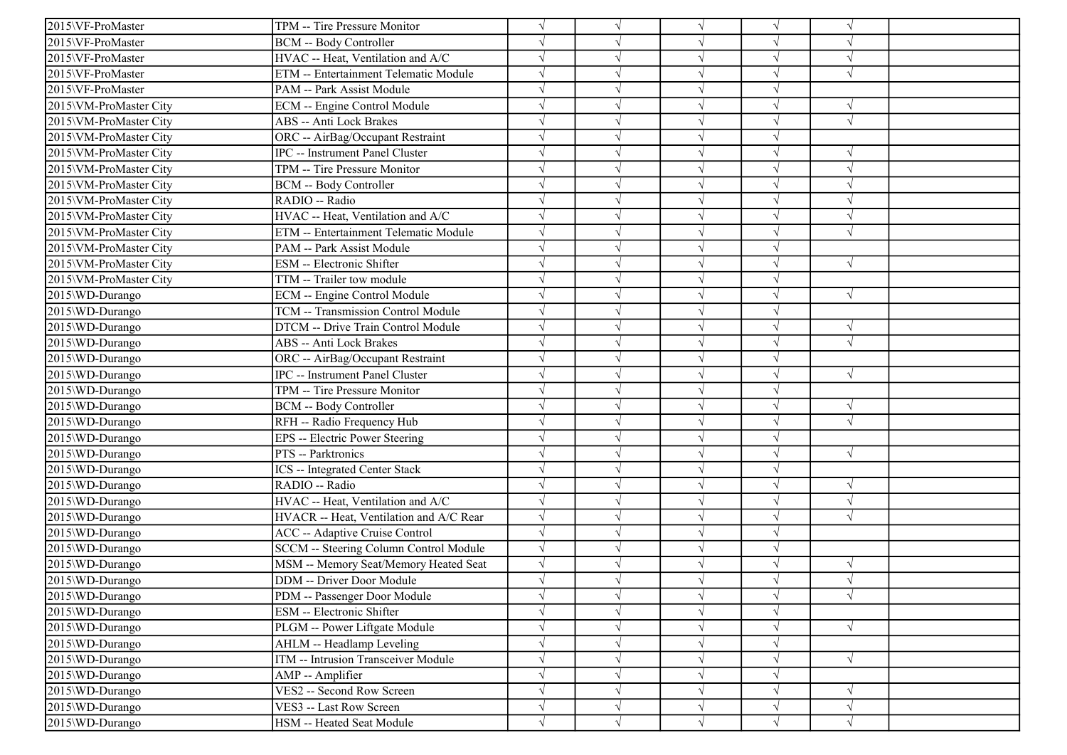| 2015\VF-ProMaster      | TPM -- Tire Pressure Monitor            |            |            | $\sqrt{ }$ | V          | $\gamma$      |  |
|------------------------|-----------------------------------------|------------|------------|------------|------------|---------------|--|
| 2015\VF-ProMaster      | <b>BCM -- Body Controller</b>           |            |            | $\sqrt{ }$ | V          | $\sqrt{ }$    |  |
| 2015\VF-ProMaster      | HVAC -- Heat, Ventilation and A/C       |            |            | $\sqrt{ }$ | $\sqrt{}$  | $\sqrt{ }$    |  |
| 2015\VF-ProMaster      | ETM -- Entertainment Telematic Module   |            |            | $\sqrt{ }$ |            |               |  |
| 2015\VF-ProMaster      | PAM -- Park Assist Module               |            |            | $\sqrt{ }$ | V          |               |  |
| 2015\VM-ProMaster City | ECM -- Engine Control Module            |            |            | $\sqrt{ }$ | $\sqrt{}$  | $\sqrt{ }$    |  |
| 2015\VM-ProMaster City | <b>ABS</b> -- Anti Lock Brakes          |            |            | $\sqrt{ }$ | J          | $\sqrt{ }$    |  |
| 2015\VM-ProMaster City | ORC -- AirBag/Occupant Restraint        | $\sqrt{ }$ |            | $\sqrt{ }$ | V          |               |  |
| 2015\VM-ProMaster City | <b>IPC</b> -- Instrument Panel Cluster  |            |            | $\sqrt{ }$ | $\sqrt{ }$ | $\sqrt{ }$    |  |
| 2015\VM-ProMaster City | TPM -- Tire Pressure Monitor            |            |            | $\sqrt{ }$ |            | $\mathcal{N}$ |  |
| 2015\VM-ProMaster City | <b>BCM</b> -- Body Controller           |            |            | $\sqrt{ }$ | V          | $\sqrt{ }$    |  |
| 2015\VM-ProMaster City | RADIO -- Radio                          |            |            | $\sqrt{ }$ |            | $\sqrt{2}$    |  |
| 2015\VM-ProMaster City | HVAC -- Heat, Ventilation and A/C       |            |            | $\sqrt{ }$ | V          | $\sqrt{ }$    |  |
| 2015\VM-ProMaster City | ETM -- Entertainment Telematic Module   |            |            | $\sqrt{ }$ | $\sqrt{}$  | $\sqrt{ }$    |  |
| 2015\VM-ProMaster City | PAM -- Park Assist Module               |            |            | $\sqrt{ }$ | V          |               |  |
| 2015\VM-ProMaster City | ESM -- Electronic Shifter               |            |            | $\sqrt{ }$ | J          | $\sqrt{ }$    |  |
| 2015\VM-ProMaster City | TTM -- Trailer tow module               |            |            | $\sqrt{ }$ |            |               |  |
| 2015\WD-Durango        | ECM -- Engine Control Module            |            |            | $\sqrt{ }$ |            | $\sqrt{ }$    |  |
| 2015\WD-Durango        | TCM -- Transmission Control Module      |            |            | $\sqrt{ }$ | V          |               |  |
| 2015\WD-Durango        | DTCM -- Drive Train Control Module      | $\sqrt{ }$ |            | $\sqrt{ }$ | V          | $\sqrt{ }$    |  |
| 2015\WD-Durango        | ABS -- Anti Lock Brakes                 |            |            | $\sqrt{ }$ |            | $\sqrt{ }$    |  |
| 2015\WD-Durango        | ORC -- AirBag/Occupant Restraint        |            |            | $\sqrt{ }$ | V          |               |  |
| 2015\WD-Durango        | IPC -- Instrument Panel Cluster         |            |            | $\sqrt{ }$ | J          | $\sqrt{ }$    |  |
| 2015\WD-Durango        | TPM -- Tire Pressure Monitor            |            |            | $\sqrt{ }$ |            |               |  |
| 2015\WD-Durango        | <b>BCM -- Body Controller</b>           |            |            | $\sqrt{ }$ | $\sqrt{ }$ | $\sqrt{ }$    |  |
| 2015\WD-Durango        | RFH -- Radio Frequency Hub              |            |            | $\sqrt{ }$ |            | $\sqrt{ }$    |  |
| 2015\WD-Durango        | EPS -- Electric Power Steering          |            |            | $\sqrt{ }$ | $\sqrt{}$  |               |  |
| 2015\WD-Durango        | PTS -- Parktronics                      |            |            | $\sqrt{ }$ | J          | $\sqrt{ }$    |  |
| 2015\WD-Durango        | <b>ICS</b> -- Integrated Center Stack   |            |            | $\sqrt{ }$ |            |               |  |
| 2015\WD-Durango        | RADIO -- Radio                          |            |            | $\sqrt{ }$ |            | $\sqrt{ }$    |  |
| 2015\WD-Durango        | HVAC -- Heat, Ventilation and A/C       | $\sqrt{ }$ |            | $\sqrt{ }$ | V          | $\sqrt{ }$    |  |
| 2015\WD-Durango        | HVACR -- Heat, Ventilation and A/C Rear |            |            | $\sqrt{ }$ | J          | $\sqrt{ }$    |  |
| 2015\WD-Durango        | <b>ACC</b> -- Adaptive Cruise Control   | $\sqrt{ }$ |            | $\sqrt{ }$ | V          |               |  |
| 2015\WD-Durango        | SCCM -- Steering Column Control Module  | $\sqrt{ }$ |            | $\sqrt{ }$ | $\sqrt{}$  |               |  |
| 2015\WD-Durango        | MSM -- Memory Seat/Memory Heated Seat   |            |            | $\sqrt{ }$ |            | $\sqrt{ }$    |  |
| 2015\WD-Durango        | DDM -- Driver Door Module               |            |            |            |            | $\sqrt{ }$    |  |
| 2015\WD-Durango        | PDM -- Passenger Door Module            | $\sqrt{ }$ | $\sqrt{}$  | $\sqrt{}$  | $\sqrt{}$  | $\sqrt{}$     |  |
| 2015\WD-Durango        | ESM -- Electronic Shifter               |            |            | $\sqrt{ }$ | $\sqrt{ }$ |               |  |
| 2015\WD-Durango        | PLGM -- Power Liftgate Module           |            |            | $\sqrt{}$  | $\sqrt{ }$ | $\sqrt{}$     |  |
| 2015\WD-Durango        | AHLM -- Headlamp Leveling               |            |            | $\sqrt{}$  | V          |               |  |
| 2015\WD-Durango        | ITM -- Intrusion Transceiver Module     |            |            | $\sqrt{ }$ | J          | $\sqrt{ }$    |  |
| 2015\WD-Durango        | AMP -- Amplifier                        |            |            | $\sqrt{ }$ | V          |               |  |
| 2015\WD-Durango        | VES2 -- Second Row Screen               |            |            | $\sqrt{ }$ | V          | $\sqrt{ }$    |  |
| 2015\WD-Durango        | VES3 -- Last Row Screen                 | $\sqrt{}$  | $\sqrt{ }$ | $\sqrt{}$  | $\sqrt{}$  | $\sqrt{ }$    |  |
| 2015\WD-Durango        | <b>HSM</b> -- Heated Seat Module        | $\sqrt{}$  | $\sqrt{}$  | $\sqrt{}$  | $\sqrt{}$  | $\sqrt{}$     |  |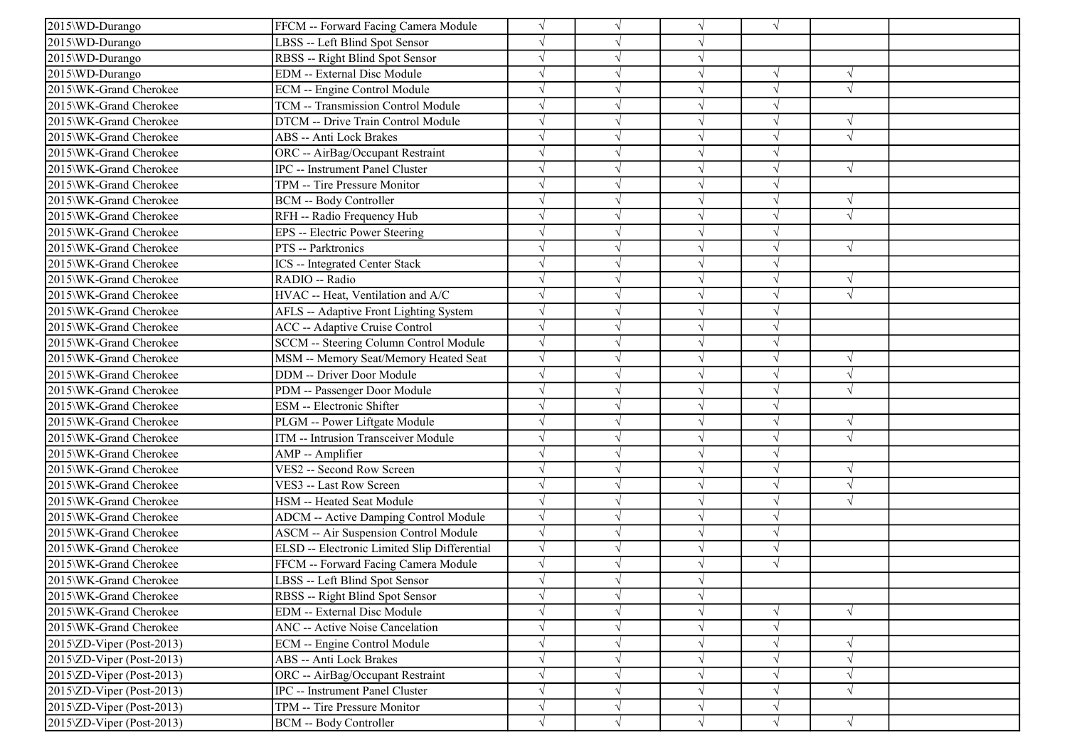| 2015\WD-Durango                   | FFCM -- Forward Facing Camera Module         | $\sqrt{ }$ |           | $\sqrt{ }$ | $\sqrt{ }$ |            |  |
|-----------------------------------|----------------------------------------------|------------|-----------|------------|------------|------------|--|
| 2015\WD-Durango                   | LBSS -- Left Blind Spot Sensor               | $\sqrt{ }$ |           | $\sqrt{}$  |            |            |  |
| 2015\WD-Durango                   | RBSS -- Right Blind Spot Sensor              | $\sqrt{ }$ |           | $\sqrt{}$  |            |            |  |
| 2015\WD-Durango                   | EDM -- External Disc Module                  |            |           | $\sqrt{}$  |            |            |  |
| 2015\WK-Grand Cherokee            | ECM -- Engine Control Module                 | $\sqrt{ }$ |           | $\sqrt{ }$ | J          | $\sqrt{ }$ |  |
| 2015\WK-Grand Cherokee            | TCM -- Transmission Control Module           | $\sqrt{ }$ |           | $\sqrt{}$  | J          |            |  |
| 2015\WK-Grand Cherokee            | DTCM -- Drive Train Control Module           | $\sqrt{ }$ |           | $\sqrt{ }$ | V          | $\sqrt{ }$ |  |
| 2015\WK-Grand Cherokee            | ABS -- Anti Lock Brakes                      | $\sqrt{ }$ |           | $\sqrt{ }$ | $\sqrt{}$  | $\sqrt{ }$ |  |
| 2015\WK-Grand Cherokee            | ORC -- AirBag/Occupant Restraint             | $\sqrt{ }$ |           | $\sqrt{ }$ | $\sqrt{ }$ |            |  |
| 2015\WK-Grand Cherokee            | IPC -- Instrument Panel Cluster              |            |           | $\sqrt{ }$ |            | $\sqrt{ }$ |  |
| 2015\WK-Grand Cherokee            | TPM -- Tire Pressure Monitor                 | $\sqrt{ }$ |           | $\sqrt{}$  | J          |            |  |
| 2015\WK-Grand Cherokee            | <b>BCM -- Body Controller</b>                |            |           | $\sqrt{}$  | V          | $\sqrt{ }$ |  |
| 2015\WK-Grand Cherokee            | RFH -- Radio Frequency Hub                   | $\sqrt{ }$ |           | $\sqrt{ }$ | V          | $\sqrt{ }$ |  |
| 2015\WK-Grand Cherokee            | EPS -- Electric Power Steering               | $\sqrt{ }$ |           | $\sqrt{ }$ | V          |            |  |
| 2015\WK-Grand Cherokee            | PTS -- Parktronics                           | $\sqrt{ }$ |           | $\sqrt{ }$ | J          | $\sqrt{ }$ |  |
| 2015\WK-Grand Cherokee            | <b>ICS</b> -- Integrated Center Stack        |            |           | $\sqrt{ }$ |            |            |  |
| 2015\WK-Grand Cherokee            | RADIO -- Radio                               | $\sqrt{ }$ |           | $\sqrt{ }$ |            | $\sqrt{ }$ |  |
| 2015\WK-Grand Cherokee            | HVAC -- Heat, Ventilation and A/C            | $\sqrt{ }$ |           | V          |            | $\sqrt{ }$ |  |
| 2015\WK-Grand Cherokee            | AFLS -- Adaptive Front Lighting System       | $\sqrt{}$  |           | $\sqrt{}$  | $\sqrt{}$  |            |  |
| 2015\WK-Grand Cherokee            | <b>ACC</b> -- Adaptive Cruise Control        | $\sqrt{ }$ |           | $\sqrt{ }$ | J          |            |  |
| 2015\WK-Grand Cherokee            | SCCM -- Steering Column Control Module       | $\sqrt{ }$ |           | $\sqrt{ }$ | $\sqrt{ }$ |            |  |
| 2015\WK-Grand Cherokee            | MSM -- Memory Seat/Memory Heated Seat        | $\sqrt{ }$ |           | $\sqrt{ }$ | $\sqrt{ }$ | $\sqrt{ }$ |  |
| 2015\WK-Grand Cherokee            | DDM -- Driver Door Module                    | $\sqrt{ }$ |           | $\sqrt{}$  |            | $\sqrt{ }$ |  |
| 2015\WK-Grand Cherokee            | PDM -- Passenger Door Module                 | $\sqrt{ }$ |           | $\sqrt{}$  |            | $\sqrt{ }$ |  |
| 2015\WK-Grand Cherokee            | ESM -- Electronic Shifter                    | $\sqrt{ }$ |           | $\sqrt{ }$ | $\sqrt{ }$ |            |  |
| 2015\WK-Grand Cherokee            | PLGM -- Power Liftgate Module                | $\sqrt{ }$ |           | $\sqrt{}$  | V          | $\sqrt{ }$ |  |
| 2015\WK-Grand Cherokee            | ITM -- Intrusion Transceiver Module          | $\sqrt{ }$ |           | $\sqrt{ }$ | J          | $\sqrt{ }$ |  |
| 2015\WK-Grand Cherokee            | AMP -- Amplifier                             | $\sqrt{ }$ |           | $\sqrt{ }$ | $\sqrt{}$  |            |  |
| 2015\WK-Grand Cherokee            | VES2 -- Second Row Screen                    |            |           | $\sqrt{}$  |            | $\sqrt{ }$ |  |
| 2015\WK-Grand Cherokee            | VES3 -- Last Row Screen                      | $\sqrt{ }$ |           | $\sqrt{}$  |            | $\sqrt{ }$ |  |
| 2015\WK-Grand Cherokee            | HSM -- Heated Seat Module                    | $\sqrt{ }$ |           | $\sqrt{}$  | J          | $\sqrt{ }$ |  |
| 2015\WK-Grand Cherokee            | ADCM -- Active Damping Control Module        | $\sqrt{ }$ |           | $\sqrt{}$  | V          |            |  |
| 2015\WK-Grand Cherokee            | <b>ASCM -- Air Suspension Control Module</b> | $\sqrt{ }$ |           | $\sqrt{ }$ | $\sqrt{}$  |            |  |
| 2015\WK-Grand Cherokee            | ELSD -- Electronic Limited Slip Differential | $\sqrt{ }$ |           | $\sqrt{ }$ | $\sqrt{ }$ |            |  |
| 2015\WK-Grand Cherokee            | FFCM -- Forward Facing Camera Module         | $\sqrt{ }$ |           | $\sqrt{}$  | $\sqrt{ }$ |            |  |
| 2015\WK-Grand Cherokee            | LBSS -- Left Blind Spot Sensor               |            |           |            |            |            |  |
| 2015\WK-Grand Cherokee            | RBSS -- Right Blind Spot Sensor              | $\sqrt{}$  | $\sqrt{}$ | $\sqrt{}$  |            |            |  |
| 2015\WK-Grand Cherokee            | EDM -- External Disc Module                  | $\sqrt{ }$ |           | $\sqrt{}$  |            | $\sqrt{ }$ |  |
| 2015\WK-Grand Cherokee            | ANC -- Active Noise Cancelation              | $\sqrt{ }$ |           | $\sqrt{}$  | $\sqrt{ }$ |            |  |
| $2015\text{ZD-Viper}$ (Post-2013) | ECM -- Engine Control Module                 | $\sqrt{ }$ |           | $\sqrt{}$  | V          | $\sqrt{ }$ |  |
| $2015\text{ZD-Viper}$ (Post-2013) | ABS -- Anti Lock Brakes                      | $\sqrt{ }$ |           | $\sqrt{}$  |            | $\sqrt{ }$ |  |
| $2015\text{ZD-Viper}$ (Post-2013) | ORC -- AirBag/Occupant Restraint             | $\sqrt{ }$ |           | $\sqrt{}$  | J          | $\sqrt{ }$ |  |
| $2015\text{ZD-Viper}$ (Post-2013) | IPC -- Instrument Panel Cluster              | $\sqrt{}$  |           | $\sqrt{}$  | V          | $\sqrt{ }$ |  |
| $2015\text{ZD-Viper}$ (Post-2013) | TPM -- Tire Pressure Monitor                 | $\sqrt{}$  |           | $\sqrt{ }$ | $\sqrt{ }$ |            |  |
| $2015\text{ZD-Viper}$ (Post-2013) | BCM -- Body Controller                       | $\sqrt{}$  | $\sqrt{}$ | $\sqrt{}$  | $\sqrt{}$  | $\sqrt{}$  |  |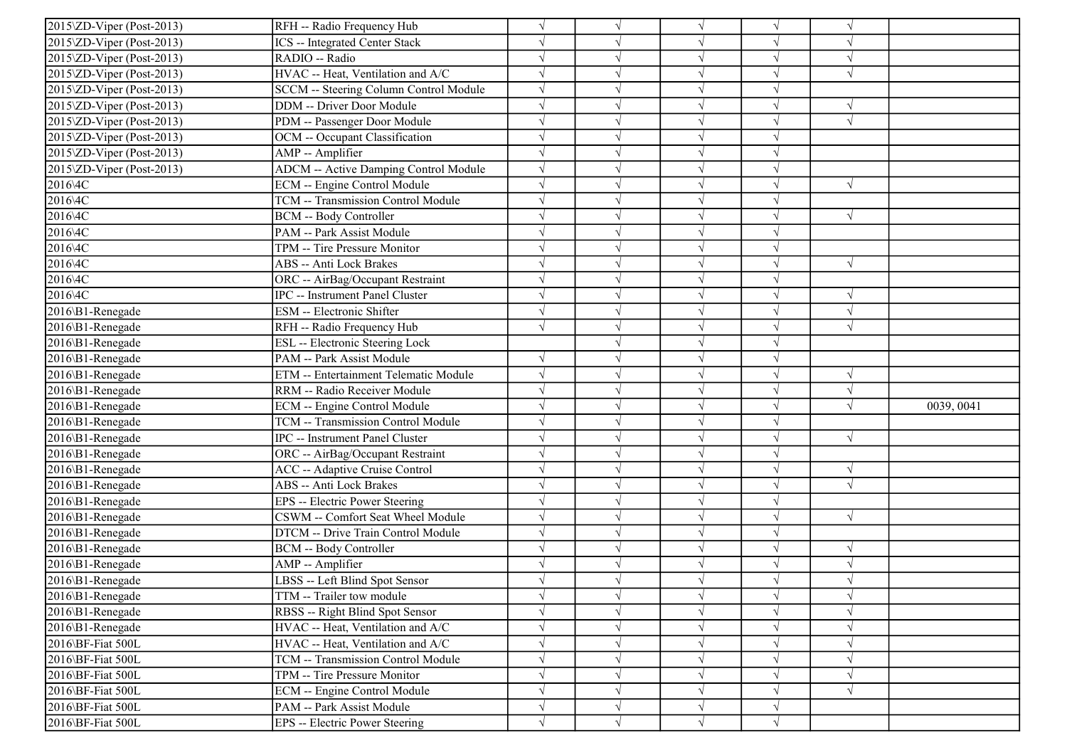| $2015\text{ZD-Viper}$ (Post-2013)               | RFH -- Radio Frequency Hub                   | $\sqrt{}$  |            |            |            |            |            |
|-------------------------------------------------|----------------------------------------------|------------|------------|------------|------------|------------|------------|
| 2015\ZD-Viper (Post-2013)                       | <b>ICS</b> -- Integrated Center Stack        | $\sqrt{ }$ |            | $\sqrt{ }$ |            |            |            |
| 2015\ZD-Viper (Post-2013)                       | RADIO -- Radio                               | $\sqrt{ }$ |            |            |            | $\sqrt{}$  |            |
| 2015\ZD-Viper (Post-2013)                       | HVAC -- Heat, Ventilation and A/C            | $\sqrt{ }$ |            |            |            |            |            |
| 2015\ZD-Viper (Post-2013)                       | SCCM -- Steering Column Control Module       | $\sqrt{ }$ |            |            |            |            |            |
| 2015\ZD-Viper (Post-2013)                       | DDM -- Driver Door Module                    | $\sqrt{}$  |            | $\sqrt{ }$ |            | V          |            |
| 2015\ZD-Viper (Post-2013)                       | PDM -- Passenger Door Module                 | $\sqrt{ }$ |            |            |            | V          |            |
| 2015\ZD-Viper (Post-2013)                       | OCM -- Occupant Classification               | $\sqrt{ }$ |            |            |            |            |            |
| 2015\ZD-Viper (Post-2013)                       | AMP -- Amplifier                             | $\sqrt{ }$ |            | $\sqrt{ }$ |            |            |            |
| $\overline{2015}$ $\text{ZD-Viper}$ (Post-2013) | <b>ADCM</b> -- Active Damping Control Module | $\sqrt{ }$ |            |            |            |            |            |
| 2016\4C                                         | <b>ECM</b> -- Engine Control Module          | $\sqrt{ }$ |            |            |            | $\sqrt{ }$ |            |
| 2016\4C                                         | TCM -- Transmission Control Module           | $\sqrt{}$  |            |            |            |            |            |
| 2016\4C                                         | <b>BCM -- Body Controller</b>                | $\sqrt{ }$ |            | $\sqrt{ }$ |            | $\sqrt{ }$ |            |
| 2016\4C                                         | PAM -- Park Assist Module                    | $\sqrt{}$  |            |            |            |            |            |
| 2016\4C                                         | TPM -- Tire Pressure Monitor                 | $\sqrt{ }$ |            | $\sqrt{ }$ |            |            |            |
| 2016\4C                                         | ABS -- Anti Lock Brakes                      | $\sqrt{ }$ |            |            |            | $\sqrt{ }$ |            |
| 2016\4C                                         | ORC -- AirBag/Occupant Restraint             | $\sqrt{ }$ |            |            |            |            |            |
| 2016\4C                                         | IPC -- Instrument Panel Cluster              | $\sqrt{ }$ |            |            |            | V          |            |
| 2016\B1-Renegade                                | ESM -- Electronic Shifter                    | $\sqrt{ }$ |            | $\sqrt{ }$ |            | N          |            |
| 2016\B1-Renegade                                | RFH -- Radio Frequency Hub                   | $\sqrt{ }$ |            | $\sqrt{ }$ | $\sqrt{ }$ | $\sqrt{ }$ |            |
| 2016\B1-Renegade                                | ESL -- Electronic Steering Lock              |            |            | $\sqrt{ }$ | $\sqrt{ }$ |            |            |
| 2016\B1-Renegade                                | PAM -- Park Assist Module                    | $\sqrt{ }$ |            | $\sqrt{}$  |            |            |            |
| 2016\B1-Renegade                                | ETM -- Entertainment Telematic Module        | $\sqrt{ }$ |            |            |            | $\sqrt{ }$ |            |
| 2016\B1-Renegade                                | RRM -- Radio Receiver Module                 | $\sqrt{ }$ |            | $\sqrt{ }$ |            | $\sqrt{ }$ |            |
| 2016\B1-Renegade                                | ECM -- Engine Control Module                 | $\sqrt{ }$ |            | $\sqrt{ }$ |            | V          | 0039, 0041 |
| 2016\B1-Renegade                                | TCM -- Transmission Control Module           | $\sqrt{ }$ |            |            |            |            |            |
| 2016\B1-Renegade                                | IPC -- Instrument Panel Cluster              | $\sqrt{ }$ |            | $\sqrt{ }$ | $\sqrt{}$  | $\sqrt{ }$ |            |
| 2016\B1-Renegade                                | ORC -- AirBag/Occupant Restraint             | $\sqrt{ }$ |            |            |            |            |            |
| 2016\B1-Renegade                                | ACC -- Adaptive Cruise Control               | $\sqrt{ }$ |            |            |            | V          |            |
| 2016\B1-Renegade                                | ABS -- Anti Lock Brakes                      | $\sqrt{}$  |            |            |            | $\sqrt{}$  |            |
| 2016\B1-Renegade                                | EPS -- Electric Power Steering               | $\sqrt{}$  |            | $\sqrt{ }$ |            |            |            |
| 2016\B1-Renegade                                | CSWM -- Comfort Seat Wheel Module            | $\sqrt{ }$ | ٦I         |            |            | $\sqrt{ }$ |            |
| 2016\B1-Renegade                                | DTCM -- Drive Train Control Module           | $\sqrt{ }$ |            | $\sqrt{ }$ |            |            |            |
| 2016\B1-Renegade                                | <b>BCM -- Body Controller</b>                | $\sqrt{ }$ |            | $\sqrt{ }$ |            | $\sqrt{ }$ |            |
| 2016\B1-Renegade                                | AMP -- Amplifier                             | $\sqrt{ }$ |            |            |            | $\sqrt{ }$ |            |
| 2016\B1-Renegade                                | LBSS -- Left Blind Spot Sensor               | $\sqrt{ }$ |            |            |            |            |            |
| 2016\B1-Renegade                                | TTM -- Trailer tow module                    | $\sqrt{ }$ | $\sqrt{ }$ | $\sqrt{ }$ |            |            |            |
| 2016\B1-Renegade                                | RBSS -- Right Blind Spot Sensor              | $\sqrt{}$  |            |            |            |            |            |
| 2016\B1-Renegade                                | HVAC -- Heat, Ventilation and A/C            | $\sqrt{}$  |            |            |            |            |            |
| 2016\BF-Fiat 500L                               | HVAC -- Heat, Ventilation and A/C            | $\sqrt{}$  |            |            |            |            |            |
| 2016\BF-Fiat 500L                               | TCM -- Transmission Control Module           | $\sqrt{}$  |            |            |            |            |            |
| 2016\BF-Fiat 500L                               | TPM -- Tire Pressure Monitor                 | $\sqrt{ }$ |            |            |            | $\sqrt{ }$ |            |
| 2016\BF-Fiat 500L                               | ECM -- Engine Control Module                 | $\sqrt{ }$ |            |            |            | V          |            |
| 2016\BF-Fiat 500L                               | PAM -- Park Assist Module                    | $\sqrt{}$  |            | V          | $\sqrt{ }$ |            |            |
| 2016\BF-Fiat 500L                               | EPS -- Electric Power Steering               | $\sqrt{ }$ | V          | $\sqrt{ }$ | $\sqrt{ }$ |            |            |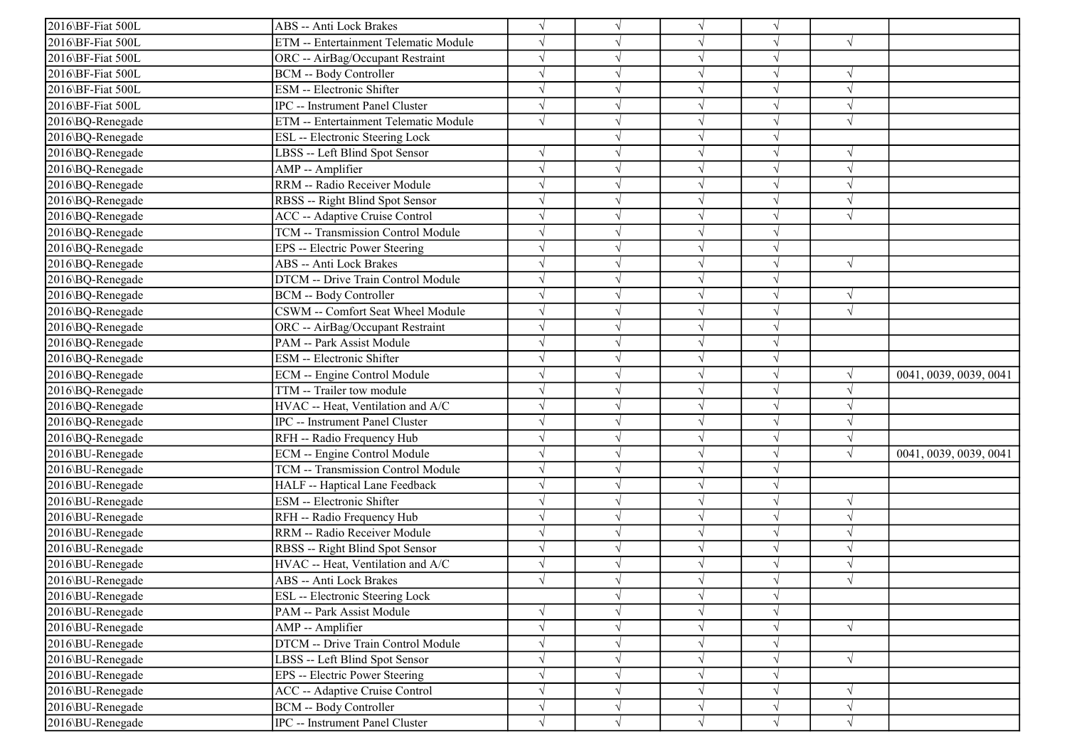| 2016\BF-Fiat 500L | ABS -- Anti Lock Brakes               |            |            | $\sqrt{ }$ | V          |            |                        |
|-------------------|---------------------------------------|------------|------------|------------|------------|------------|------------------------|
| 2016\BF-Fiat 500L | ETM -- Entertainment Telematic Module |            |            | $\sqrt{ }$ | V          | $\sqrt{ }$ |                        |
| 2016\BF-Fiat 500L | ORC -- AirBag/Occupant Restraint      |            |            | $\sqrt{ }$ | $\sqrt{}$  |            |                        |
| 2016\BF-Fiat 500L | BCM -- Body Controller                |            |            | $\sqrt{ }$ |            |            |                        |
| 2016\BF-Fiat 500L | ESM -- Electronic Shifter             |            |            | $\sqrt{ }$ | J          | $\sqrt{ }$ |                        |
| 2016\BF-Fiat 500L | IPC -- Instrument Panel Cluster       |            |            | $\sqrt{ }$ | V          | $\sqrt{ }$ |                        |
| 2016\BQ-Renegade  | ETM -- Entertainment Telematic Module | $\sqrt{ }$ |            | $\sqrt{ }$ | V          | $\sqrt{ }$ |                        |
| 2016\BQ-Renegade  | ESL -- Electronic Steering Lock       |            |            | $\sqrt{ }$ | J          |            |                        |
| 2016\BQ-Renegade  | LBSS -- Left Blind Spot Sensor        |            |            | $\sqrt{ }$ | $\sqrt{ }$ | $\sqrt{ }$ |                        |
| 2016\BQ-Renegade  | AMP -- Amplifier                      |            |            | $\sqrt{ }$ | J          | $\sqrt{ }$ |                        |
| 2016\BQ-Renegade  | RRM -- Radio Receiver Module          |            |            | $\sqrt{}$  | J          | $\sqrt{ }$ |                        |
| 2016\BQ-Renegade  | RBSS -- Right Blind Spot Sensor       |            |            | $\sqrt{ }$ |            | $\sqrt{ }$ |                        |
| 2016\BQ-Renegade  | ACC -- Adaptive Cruise Control        |            |            | $\sqrt{ }$ | V          | $\sqrt{ }$ |                        |
| 2016\BQ-Renegade  | TCM -- Transmission Control Module    |            |            | $\sqrt{ }$ | V          |            |                        |
| 2016\BQ-Renegade  | EPS -- Electric Power Steering        |            |            | $\sqrt{ }$ | V          |            |                        |
| 2016\BQ-Renegade  | ABS -- Anti Lock Brakes               |            |            | $\sqrt{}$  |            | $\sqrt{ }$ |                        |
| 2016\BQ-Renegade  | DTCM -- Drive Train Control Module    |            |            | $\sqrt{ }$ |            |            |                        |
| 2016\BQ-Renegade  | BCM -- Body Controller                |            |            | $\sqrt{ }$ |            | $\sqrt{ }$ |                        |
| 2016\BQ-Renegade  | CSWM -- Comfort Seat Wheel Module     |            |            | $\sqrt{ }$ | $\sqrt{}$  | $\sqrt{ }$ |                        |
| 2016\BQ-Renegade  | ORC -- AirBag/Occupant Restraint      | $\sqrt{ }$ |            | $\sqrt{ }$ | J          |            |                        |
| 2016\BQ-Renegade  | PAM -- Park Assist Module             | $\sqrt{ }$ |            | $\sqrt{ }$ | J          |            |                        |
| 2016\BQ-Renegade  | ESM -- Electronic Shifter             |            |            | $\sqrt{}$  | $\sqrt{ }$ |            |                        |
| 2016\BQ-Renegade  | ECM -- Engine Control Module          |            |            | $\sqrt{ }$ | J          |            | 0041, 0039, 0039, 0041 |
| 2016\BQ-Renegade  | TTM -- Trailer tow module             |            |            | $\sqrt{ }$ | V          | $\sqrt{ }$ |                        |
| 2016\BQ-Renegade  | HVAC -- Heat, Ventilation and A/C     |            |            | $\sqrt{ }$ | J          | $\sqrt{ }$ |                        |
| 2016\BQ-Renegade  | IPC -- Instrument Panel Cluster       |            |            | $\sqrt{ }$ | V          | $\sqrt{ }$ |                        |
| 2016\BQ-Renegade  | RFH -- Radio Frequency Hub            |            |            | $\sqrt{ }$ | V          | $\sqrt{ }$ |                        |
| 2016\BU-Renegade  | ECM -- Engine Control Module          |            |            | $\sqrt{}$  | $\sqrt{}$  | $\sqrt{ }$ | 0041, 0039, 0039, 0041 |
| 2016\BU-Renegade  | TCM -- Transmission Control Module    |            |            | $\sqrt{ }$ |            |            |                        |
| 2016\BU-Renegade  | HALF -- Haptical Lane Feedback        |            |            | $\sqrt{ }$ |            |            |                        |
| 2016\BU-Renegade  | ESM -- Electronic Shifter             |            |            | $\sqrt{ }$ | J          | $\sqrt{ }$ |                        |
| 2016\BU-Renegade  | RFH -- Radio Frequency Hub            |            |            | $\sqrt{ }$ | V          | $\sqrt{ }$ |                        |
| 2016\BU-Renegade  | RRM -- Radio Receiver Module          |            |            | $\sqrt{ }$ | $\sqrt{}$  | $\sqrt{ }$ |                        |
| 2016\BU-Renegade  | RBSS -- Right Blind Spot Sensor       | $\sqrt{ }$ |            | $\sqrt{ }$ | $\sqrt{ }$ | $\sqrt{ }$ |                        |
| 2016\BU-Renegade  | HVAC -- Heat, Ventilation and A/C     |            |            | $\sqrt{ }$ |            | $\sqrt{ }$ |                        |
| 2016\BU-Renegade  | ABS -- Anti Lock Brakes               |            |            |            |            | $\sqrt{ }$ |                        |
| 2016\BU-Renegade  | ESL -- Electronic Steering Lock       |            | $\sqrt{}$  | $\sqrt{}$  | $\sqrt{ }$ |            |                        |
| 2016\BU-Renegade  | PAM -- Park Assist Module             |            |            | $\sqrt{ }$ | $\sqrt{ }$ |            |                        |
| 2016\BU-Renegade  | AMP -- Amplifier                      | $\sqrt{}$  |            | $\sqrt{}$  | $\sqrt{ }$ | $\sqrt{ }$ |                        |
| 2016\BU-Renegade  | DTCM -- Drive Train Control Module    |            |            | $\sqrt{}$  | V          |            |                        |
| 2016\BU-Renegade  | LBSS -- Left Blind Spot Sensor        |            |            | $\sqrt{}$  | $\sqrt{}$  | $\sqrt{ }$ |                        |
| 2016\BU-Renegade  | EPS -- Electric Power Steering        | $\sqrt{}$  | V          | $\sqrt{ }$ | V          |            |                        |
| 2016\BU-Renegade  | ACC -- Adaptive Cruise Control        | $\sqrt{}$  | V          | $\sqrt{ }$ | V          | $\sqrt{ }$ |                        |
| 2016\BU-Renegade  | <b>BCM -- Body Controller</b>         | $\sqrt{}$  | V          | $\sqrt{}$  | V          | $\sqrt{ }$ |                        |
| 2016\BU-Renegade  | IPC -- Instrument Panel Cluster       | $\sqrt{}$  | $\sqrt{ }$ | $\sqrt{}$  | $\sqrt{}$  | $\sqrt{ }$ |                        |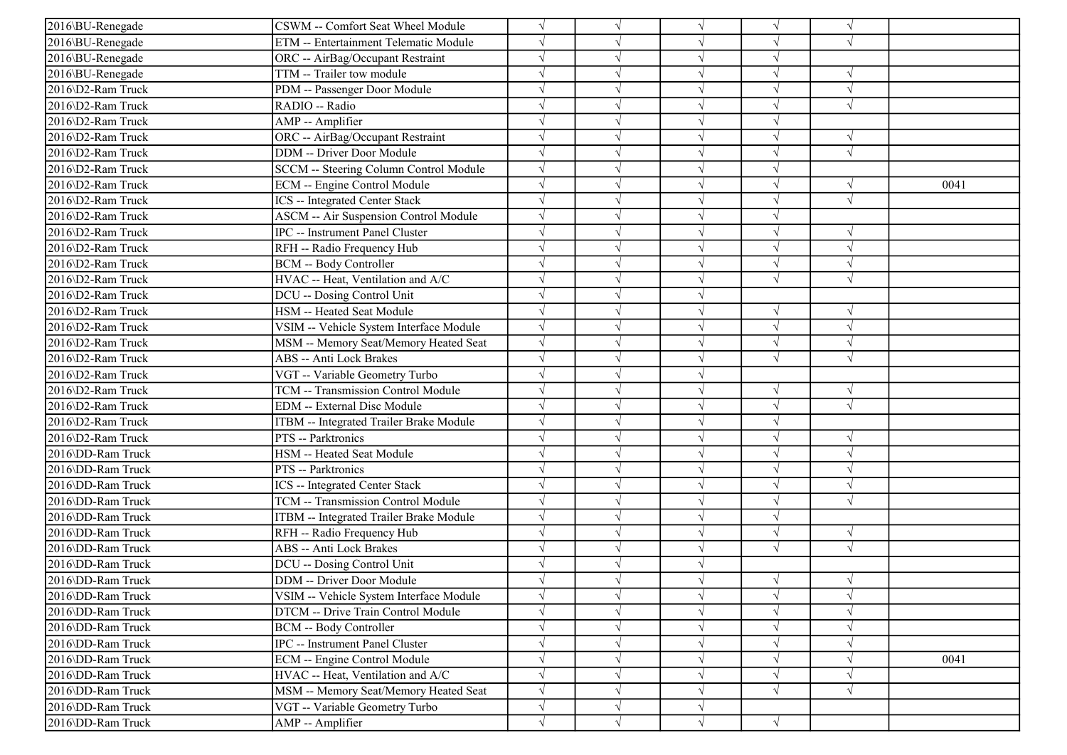| 2016\BU-Renegade  | CSWM -- Comfort Seat Wheel Module       | $\sqrt{ }$ |            | $\sqrt{ }$ | $\sqrt{}$  | $\sqrt{ }$ |      |
|-------------------|-----------------------------------------|------------|------------|------------|------------|------------|------|
| 2016\BU-Renegade  | ETM -- Entertainment Telematic Module   |            |            | $\sqrt{ }$ |            | $\sqrt{ }$ |      |
| 2016\BU-Renegade  | ORC -- AirBag/Occupant Restraint        |            |            | $\sqrt{ }$ |            |            |      |
| 2016\BU-Renegade  | TTM -- Trailer tow module               |            |            | $\sqrt{}$  |            | $\sqrt{ }$ |      |
| 2016\D2-Ram Truck | PDM -- Passenger Door Module            |            |            | V          |            | $\sqrt{ }$ |      |
| 2016\D2-Ram Truck | RADIO -- Radio                          |            |            | $\sqrt{ }$ |            | $\sqrt{ }$ |      |
| 2016\D2-Ram Truck | AMP -- Amplifier                        |            |            | $\sqrt{ }$ | J          |            |      |
| 2016\D2-Ram Truck | ORC -- AirBag/Occupant Restraint        |            |            | $\sqrt{ }$ |            | $\sqrt{ }$ |      |
| 2016\D2-Ram Truck | DDM -- Driver Door Module               |            |            | $\sqrt{ }$ |            | $\sqrt{ }$ |      |
| 2016\D2-Ram Truck | SCCM -- Steering Column Control Module  |            |            | $\sqrt{}$  |            |            |      |
| 2016\D2-Ram Truck | ECM -- Engine Control Module            |            |            | V          |            | $\sqrt{ }$ | 0041 |
| 2016\D2-Ram Truck | ICS -- Integrated Center Stack          |            |            | $\sqrt{ }$ | V          | $\sqrt{ }$ |      |
| 2016\D2-Ram Truck | ASCM -- Air Suspension Control Module   |            |            | $\sqrt{ }$ |            |            |      |
| 2016\D2-Ram Truck | IPC -- Instrument Panel Cluster         |            |            | $\sqrt{}$  | V          | $\sqrt{ }$ |      |
| 2016\D2-Ram Truck | RFH -- Radio Frequency Hub              |            |            | $\sqrt{ }$ |            | $\sqrt{ }$ |      |
| 2016\D2-Ram Truck | <b>BCM -- Body Controller</b>           |            |            | $\sqrt{ }$ |            | $\sqrt{ }$ |      |
| 2016\D2-Ram Truck | HVAC -- Heat, Ventilation and A/C       |            |            | V          |            | $\sqrt{ }$ |      |
| 2016\D2-Ram Truck | DCU -- Dosing Control Unit              |            |            | $\sqrt{}$  |            |            |      |
| 2016\D2-Ram Truck | HSM -- Heated Seat Module               |            |            | $\sqrt{ }$ | V          | $\sqrt{ }$ |      |
| 2016\D2-Ram Truck | VSIM -- Vehicle System Interface Module |            |            | $\sqrt{ }$ |            | $\sqrt{ }$ |      |
| 2016\D2-Ram Truck | MSM -- Memory Seat/Memory Heated Seat   |            |            | $\sqrt{ }$ | $\sqrt{}$  | $\sqrt{ }$ |      |
| 2016\D2-Ram Truck | ABS -- Anti Lock Brakes                 |            |            | $\sqrt{ }$ | $\sqrt{ }$ | $\sqrt{ }$ |      |
| 2016\D2-Ram Truck | VGT -- Variable Geometry Turbo          |            |            | $\sqrt{ }$ |            |            |      |
| 2016\D2-Ram Truck | TCM -- Transmission Control Module      |            |            | $\sqrt{}$  |            | $\sqrt{ }$ |      |
| 2016\D2-Ram Truck | EDM -- External Disc Module             |            |            | $\sqrt{ }$ |            | $\sqrt{ }$ |      |
| 2016\D2-Ram Truck | ITBM -- Integrated Trailer Brake Module |            |            | $\sqrt{ }$ |            |            |      |
| 2016\D2-Ram Truck | PTS -- Parktronics                      |            |            | $\sqrt{ }$ | $\sqrt{}$  | $\sqrt{ }$ |      |
| 2016\DD-Ram Truck | HSM -- Heated Seat Module               |            |            | $\sqrt{ }$ |            |            |      |
| 2016\DD-Ram Truck | PTS -- Parktronics                      |            |            | $\sqrt{ }$ |            |            |      |
| 2016\DD-Ram Truck | ICS -- Integrated Center Stack          |            |            | V          |            | $\sqrt{ }$ |      |
| 2016\DD-Ram Truck | TCM -- Transmission Control Module      |            |            | $\sqrt{ }$ |            | $\sqrt{ }$ |      |
| 2016\DD-Ram Truck | ITBM -- Integrated Trailer Brake Module | J          |            | $\sqrt{ }$ | V          |            |      |
| 2016\DD-Ram Truck | RFH -- Radio Frequency Hub              |            |            | $\sqrt{ }$ | $\sqrt{}$  | $\sqrt{ }$ |      |
| 2016\DD-Ram Truck | ABS -- Anti Lock Brakes                 |            |            | $\sqrt{ }$ | $\sqrt{ }$ | $\sqrt{ }$ |      |
| 2016\DD-Ram Truck | DCU -- Dosing Control Unit              |            |            | $\sqrt{ }$ |            |            |      |
| 2016\DD-Ram Truck | DDM -- Driver Door Module               |            |            |            |            | $\sqrt{ }$ |      |
| 2016\DD-Ram Truck | VSIM -- Vehicle System Interface Module |            | $\sqrt{ }$ | $\sqrt{ }$ | V          | $\sqrt{ }$ |      |
| 2016\DD-Ram Truck | DTCM -- Drive Train Control Module      | $\sqrt{ }$ |            | $\sqrt{ }$ | V          | $\sqrt{ }$ |      |
| 2016\DD-Ram Truck | <b>BCM -- Body Controller</b>           |            |            | $\sqrt{}$  |            | $\sqrt{ }$ |      |
| 2016\DD-Ram Truck | IPC -- Instrument Panel Cluster         |            |            | $\sqrt{}$  |            |            |      |
| 2016\DD-Ram Truck | ECM -- Engine Control Module            |            |            | $\sqrt{ }$ |            | $\sqrt{ }$ | 0041 |
| 2016\DD-Ram Truck | HVAC -- Heat, Ventilation and A/C       |            |            | $\sqrt{ }$ | V          | $\sqrt{ }$ |      |
| 2016\DD-Ram Truck | MSM -- Memory Seat/Memory Heated Seat   | $\sqrt{}$  | $\sqrt{ }$ | $\sqrt{}$  | $\sqrt{}$  | $\sqrt{ }$ |      |
| 2016\DD-Ram Truck | VGT -- Variable Geometry Turbo          | $\sqrt{ }$ | $\sqrt{ }$ | $\sqrt{ }$ |            |            |      |
| 2016\DD-Ram Truck | AMP -- Amplifier                        | $\sqrt{ }$ | $\sqrt{}$  | $\sqrt{ }$ | $\sqrt{ }$ |            |      |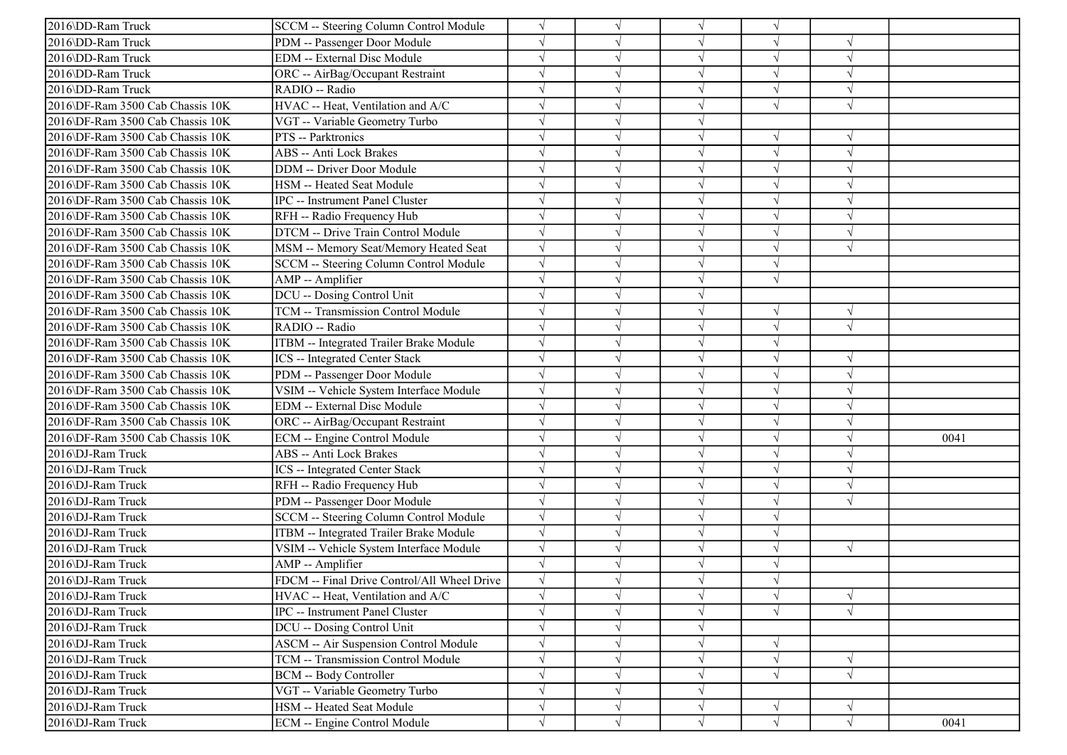| 2016\DD-Ram Truck                | SCCM -- Steering Column Control Module       | $\sqrt{}$  |            | $\sqrt{ }$ | $\sqrt{}$  |                          |      |
|----------------------------------|----------------------------------------------|------------|------------|------------|------------|--------------------------|------|
| 2016\DD-Ram Truck                | PDM -- Passenger Door Module                 | $\sqrt{ }$ |            | $\sqrt{ }$ | V          | $\sqrt{ }$               |      |
| 2016\DD-Ram Truck                | <b>EDM</b> -- External Disc Module           |            |            | $\sqrt{ }$ |            | $\sqrt{2}$               |      |
| 2016\DD-Ram Truck                | ORC -- AirBag/Occupant Restraint             |            |            | $\sqrt{ }$ |            | $\sqrt{ }$               |      |
| 2016\DD-Ram Truck                | RADIO -- Radio                               |            |            | $\sqrt{ }$ |            | $\sqrt{ }$               |      |
| 2016\DF-Ram 3500 Cab Chassis 10K | HVAC -- Heat, Ventilation and A/C            |            |            | $\sqrt{ }$ | J          | $\sqrt{ }$               |      |
| 2016\DF-Ram 3500 Cab Chassis 10K | VGT -- Variable Geometry Turbo               |            |            | $\sqrt{ }$ |            |                          |      |
| 2016\DF-Ram 3500 Cab Chassis 10K | PTS -- Parktronics                           |            |            | $\sqrt{ }$ | $\sqrt{}$  | $\sqrt{ }$               |      |
| 2016\DF-Ram 3500 Cab Chassis 10K | <b>ABS</b> -- Anti Lock Brakes               |            |            | $\sqrt{ }$ |            | $\sqrt{2}$               |      |
| 2016\DF-Ram 3500 Cab Chassis 10K | <b>DDM</b> -- Driver Door Module             |            |            | $\sqrt{ }$ |            | $\sqrt{ }$               |      |
| 2016\DF-Ram 3500 Cab Chassis 10K | HSM -- Heated Seat Module                    |            |            | $\sqrt{ }$ |            |                          |      |
| 2016\DF-Ram 3500 Cab Chassis 10K | IPC -- Instrument Panel Cluster              |            |            | $\sqrt{ }$ | V          | $\sqrt{ }$               |      |
| 2016\DF-Ram 3500 Cab Chassis 10K | RFH -- Radio Frequency Hub                   |            |            | $\sqrt{ }$ | V          | $\sqrt{ }$               |      |
| 2016\DF-Ram 3500 Cab Chassis 10K | DTCM -- Drive Train Control Module           |            |            | $\sqrt{ }$ |            | $\sqrt{ }$               |      |
| 2016\DF-Ram 3500 Cab Chassis 10K | MSM -- Memory Seat/Memory Heated Seat        |            |            | $\sqrt{ }$ | J          | $\sqrt{ }$               |      |
| 2016\DF-Ram 3500 Cab Chassis 10K | SCCM -- Steering Column Control Module       |            |            | $\sqrt{ }$ |            |                          |      |
| 2016\DF-Ram 3500 Cab Chassis 10K | AMP -- Amplifier                             |            |            | $\sqrt{ }$ |            |                          |      |
| 2016\DF-Ram 3500 Cab Chassis 10K | DCU -- Dosing Control Unit                   |            |            | $\sqrt{ }$ |            |                          |      |
| 2016\DF-Ram 3500 Cab Chassis 10K | TCM -- Transmission Control Module           |            |            | $\sqrt{ }$ | V          | $\sqrt{ }$               |      |
| 2016\DF-Ram 3500 Cab Chassis 10K | RADIO -- Radio                               |            |            | $\sqrt{ }$ | V          | $\overline{\mathcal{N}}$ |      |
| 2016\DF-Ram 3500 Cab Chassis 10K | ITBM -- Integrated Trailer Brake Module      | $\sqrt{ }$ |            | $\sqrt{ }$ | $\sqrt{}$  |                          |      |
| 2016\DF-Ram 3500 Cab Chassis 10K | <b>ICS</b> -- Integrated Center Stack        |            |            | $\sqrt{ }$ | J          | $\mathcal{A}$            |      |
| 2016\DF-Ram 3500 Cab Chassis 10K | PDM -- Passenger Door Module                 |            |            | $\sqrt{ }$ |            | $\sqrt{ }$               |      |
| 2016\DF-Ram 3500 Cab Chassis 10K | VSIM -- Vehicle System Interface Module      |            |            | $\sqrt{ }$ |            | $\sqrt{2}$               |      |
| 2016\DF-Ram 3500 Cab Chassis 10K | <b>EDM</b> -- External Disc Module           |            |            | $\sqrt{ }$ |            | $\mathcal{A}$            |      |
| 2016\DF-Ram 3500 Cab Chassis 10K | ORC -- AirBag/Occupant Restraint             |            |            | $\sqrt{ }$ |            | $\sqrt{ }$               |      |
| 2016\DF-Ram 3500 Cab Chassis 10K | ECM -- Engine Control Module                 |            |            | $\sqrt{ }$ | V          | $\sqrt{2}$               | 0041 |
| 2016\DJ-Ram Truck                | <b>ABS</b> -- Anti Lock Brakes               |            |            | $\sqrt{ }$ |            |                          |      |
| 2016\DJ-Ram Truck                | ICS -- Integrated Center Stack               |            |            | $\sqrt{ }$ |            | $\sqrt{ }$               |      |
| 2016\DJ-Ram Truck                | RFH -- Radio Frequency Hub                   |            |            | $\sqrt{ }$ |            | $\mathcal{N}$            |      |
| 2016\DJ-Ram Truck                | PDM -- Passenger Door Module                 |            |            | $\sqrt{ }$ |            | $\sqrt{2}$               |      |
| 2016\DJ-Ram Truck                | SCCM -- Steering Column Control Module       | $\sqrt{}$  |            | $\sqrt{ }$ | V          |                          |      |
| 2016\DJ-Ram Truck                | ITBM -- Integrated Trailer Brake Module      | $\sqrt{ }$ |            | $\sqrt{ }$ | V          |                          |      |
| 2016\DJ-Ram Truck                | VSIM -- Vehicle System Interface Module      |            |            | $\sqrt{ }$ |            | $\sqrt{ }$               |      |
| 2016\DJ-Ram Truck                | AMP -- Amplifier                             |            |            | $\sqrt{ }$ |            |                          |      |
| 2016\DJ-Ram Truck                | FDCM -- Final Drive Control/All Wheel Drive  |            |            |            |            |                          |      |
| 2016\DJ-Ram Truck                | HVAC -- Heat, Ventilation and A/C            |            | $\sqrt{ }$ | $\sqrt{ }$ | $\sqrt{}$  | $\sqrt{ }$               |      |
| 2016\DJ-Ram Truck                | <b>IPC</b> -- Instrument Panel Cluster       | $\sqrt{}$  |            | $\sqrt{}$  | $\sqrt{ }$ | $\sqrt{ }$               |      |
| 2016\DJ-Ram Truck                | DCU -- Dosing Control Unit                   | $\sqrt{ }$ |            | $\sqrt{ }$ |            |                          |      |
| 2016\DJ-Ram Truck                | <b>ASCM -- Air Suspension Control Module</b> |            |            | $\sqrt{ }$ |            |                          |      |
| 2016\DJ-Ram Truck                | <b>TCM -- Transmission Control Module</b>    | $\sqrt{}$  |            | $\sqrt{ }$ | $\sqrt{ }$ | $\sqrt{ }$               |      |
| 2016\DJ-Ram Truck                | <b>BCM -- Body Controller</b>                | $\sqrt{}$  |            | $\sqrt{ }$ | $\sqrt{}$  | $\sqrt{ }$               |      |
| 2016\DJ-Ram Truck                | VGT -- Variable Geometry Turbo               | $\sqrt{}$  | $\sqrt{ }$ | $\sqrt{ }$ |            |                          |      |
| 2016\DJ-Ram Truck                | HSM -- Heated Seat Module                    | $\sqrt{ }$ | $\sqrt{ }$ | $\sqrt{ }$ | V          | $\sqrt{ }$               |      |
| 2016\DJ-Ram Truck                | <b>ECM</b> -- Engine Control Module          | $\sqrt{}$  | $\sqrt{}$  | $\sqrt{ }$ | $\sqrt{}$  | $\sqrt{ }$               | 0041 |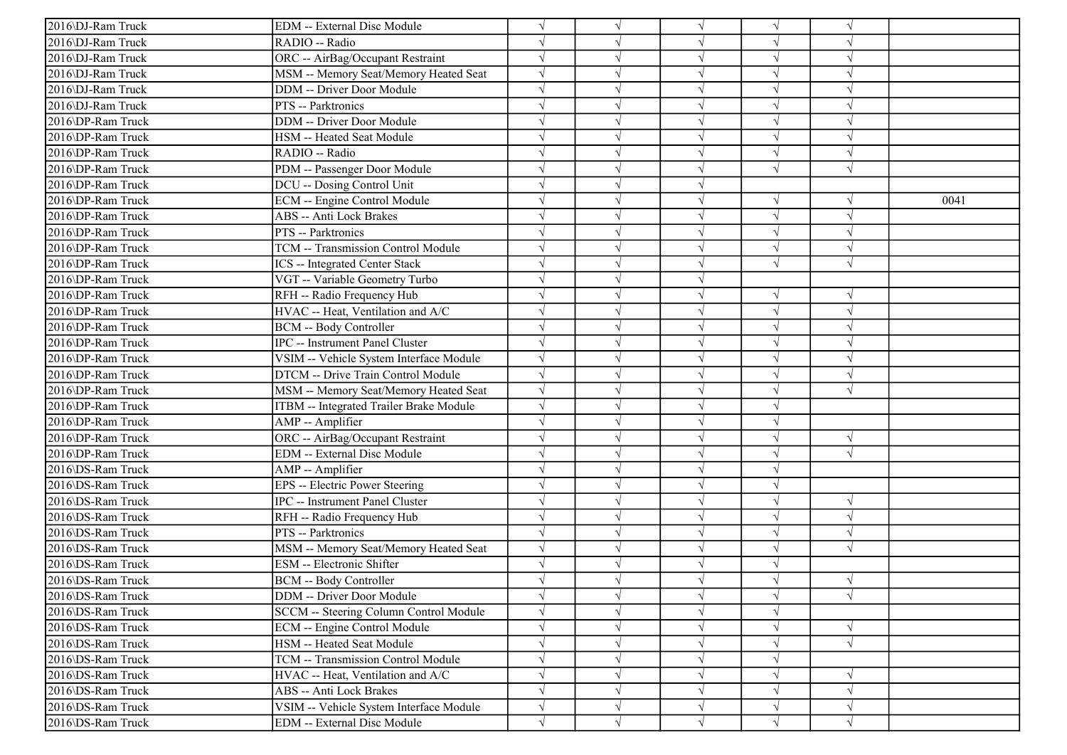| 2016\DJ-Ram Truck | EDM -- External Disc Module             |            |            | $\sqrt{ }$ | V          |               |      |
|-------------------|-----------------------------------------|------------|------------|------------|------------|---------------|------|
| 2016\DJ-Ram Truck | RADIO -- Radio                          |            |            | $\sqrt{ }$ | V          | $\sqrt{ }$    |      |
| 2016\DJ-Ram Truck | ORC -- AirBag/Occupant Restraint        |            |            | $\sqrt{ }$ | $\sqrt{}$  | $\sqrt{ }$    |      |
| 2016\DJ-Ram Truck | MSM -- Memory Seat/Memory Heated Seat   |            |            | $\sqrt{ }$ |            |               |      |
| 2016\DJ-Ram Truck | <b>DDM</b> -- Driver Door Module        |            |            | $\sqrt{ }$ | J          | $\sqrt{ }$    |      |
| 2016\DJ-Ram Truck | PTS -- Parktronics                      |            |            | $\sqrt{ }$ |            | $\sqrt{2}$    |      |
| 2016\DP-Ram Truck | <b>DDM</b> -- Driver Door Module        |            |            | $\sqrt{ }$ | V          | $\mathcal{A}$ |      |
| 2016\DP-Ram Truck | HSM -- Heated Seat Module               | $\sqrt{}$  |            | $\sqrt{ }$ | V          | $\sqrt{ }$    |      |
| 2016\DP-Ram Truck | RADIO -- Radio                          |            |            | $\sqrt{ }$ | $\sqrt{ }$ | $\sqrt{ }$    |      |
| 2016\DP-Ram Truck | PDM -- Passenger Door Module            |            |            | $\sqrt{ }$ | $\sqrt{ }$ | $\sqrt{2}$    |      |
| 2016\DP-Ram Truck | DCU -- Dosing Control Unit              |            |            | $\sqrt{ }$ |            |               |      |
| 2016\DP-Ram Truck | <b>ECM</b> -- Engine Control Module     |            |            | $\sqrt{ }$ |            | $\sqrt{ }$    | 0041 |
| 2016\DP-Ram Truck | <b>ABS</b> -- Anti Lock Brakes          |            |            | $\sqrt{ }$ | V          | $\sqrt{ }$    |      |
| 2016\DP-Ram Truck | PTS -- Parktronics                      |            |            | $\sqrt{ }$ | $\sqrt{}$  | $\sqrt{ }$    |      |
| 2016\DP-Ram Truck | TCM -- Transmission Control Module      |            |            | $\sqrt{ }$ | V          | $\sqrt{ }$    |      |
| 2016\DP-Ram Truck | <b>ICS</b> -- Integrated Center Stack   |            |            | $\sqrt{ }$ | J          | $\sqrt{ }$    |      |
| 2016\DP-Ram Truck | VGT -- Variable Geometry Turbo          |            |            | $\sqrt{ }$ |            |               |      |
| 2016\DP-Ram Truck | RFH -- Radio Frequency Hub              |            |            | $\sqrt{ }$ |            | $\sqrt{ }$    |      |
| 2016\DP-Ram Truck | HVAC -- Heat, Ventilation and A/C       |            |            | $\sqrt{ }$ | V          | $\sqrt{ }$    |      |
| 2016\DP-Ram Truck | <b>BCM -- Body Controller</b>           |            |            | $\sqrt{ }$ | V          | $\sqrt{ }$    |      |
| 2016\DP-Ram Truck | <b>IPC</b> -- Instrument Panel Cluster  |            |            | $\sqrt{ }$ |            | $\sqrt{ }$    |      |
| 2016\DP-Ram Truck | VSIM -- Vehicle System Interface Module | $\sqrt{}$  |            | $\sqrt{ }$ | $\sqrt{ }$ | $\sqrt{ }$    |      |
| 2016\DP-Ram Truck | DTCM -- Drive Train Control Module      |            |            | $\sqrt{ }$ |            | $\sqrt{ }$    |      |
| 2016\DP-Ram Truck | MSM -- Memory Seat/Memory Heated Seat   |            |            | $\sqrt{ }$ |            | $\sqrt{ }$    |      |
| 2016\DP-Ram Truck | ITBM -- Integrated Trailer Brake Module | $\sqrt{}$  |            | $\sqrt{ }$ | $\sqrt{}$  |               |      |
| 2016\DP-Ram Truck | AMP -- Amplifier                        |            |            | $\sqrt{ }$ | V          |               |      |
| 2016\DP-Ram Truck | ORC -- AirBag/Occupant Restraint        |            |            | $\sqrt{ }$ | V          | $\sqrt{ }$    |      |
| 2016\DP-Ram Truck | <b>EDM</b> -- External Disc Module      |            |            | $\sqrt{ }$ | $\sqrt{}$  | $\sqrt{ }$    |      |
| 2016\DS-Ram Truck | AMP -- Amplifier                        |            |            | $\sqrt{ }$ |            |               |      |
| 2016\DS-Ram Truck | EPS -- Electric Power Steering          |            |            | $\sqrt{ }$ |            |               |      |
| 2016\DS-Ram Truck | <b>IPC</b> -- Instrument Panel Cluster  | $\sqrt{ }$ |            | $\sqrt{ }$ | V          | $\sqrt{ }$    |      |
| 2016\DS-Ram Truck | RFH -- Radio Frequency Hub              |            |            | $\sqrt{ }$ | J          | $\sqrt{ }$    |      |
| 2016\DS-Ram Truck | PTS -- Parktronics                      |            |            | $\sqrt{ }$ | V          | $\sqrt{ }$    |      |
| 2016\DS-Ram Truck | MSM -- Memory Seat/Memory Heated Seat   | $\sqrt{ }$ |            | $\sqrt{ }$ | $\sqrt{}$  | $\sqrt{ }$    |      |
| 2016\DS-Ram Truck | <b>ESM</b> -- Electronic Shifter        |            |            | $\sqrt{ }$ |            |               |      |
| 2016\DS-Ram Truck | <b>BCM -- Body Controller</b>           |            |            |            |            | $\sqrt{ }$    |      |
| 2016\DS-Ram Truck | DDM -- Driver Door Module               | $\sqrt{}$  | $\sqrt{ }$ | $\sqrt{}$  | $\sqrt{}$  | $\sqrt{}$     |      |
| 2016\DS-Ram Truck | SCCM -- Steering Column Control Module  |            |            | $\sqrt{ }$ | V          |               |      |
| 2016\DS-Ram Truck | ECM -- Engine Control Module            |            |            | $\sqrt{ }$ | V          | $\sqrt{ }$    |      |
| 2016\DS-Ram Truck | HSM -- Heated Seat Module               |            |            | $\sqrt{ }$ |            | $\sqrt{ }$    |      |
| 2016\DS-Ram Truck | TCM -- Transmission Control Module      |            |            | $\sqrt{ }$ |            |               |      |
| 2016\DS-Ram Truck | HVAC -- Heat, Ventilation and A/C       |            |            | $\sqrt{ }$ | V          | $\sqrt{ }$    |      |
| 2016\DS-Ram Truck | ABS -- Anti Lock Brakes                 |            |            | $\sqrt{ }$ |            | $\sqrt{ }$    |      |
| 2016\DS-Ram Truck | VSIM -- Vehicle System Interface Module | $\sqrt{}$  | $\sqrt{ }$ | $\sqrt{ }$ | V          | $\sqrt{ }$    |      |
| 2016\DS-Ram Truck | <b>EDM</b> -- External Disc Module      | $\sqrt{}$  | $\sqrt{}$  | $\sqrt{ }$ | $\sqrt{ }$ | $\sqrt{}$     |      |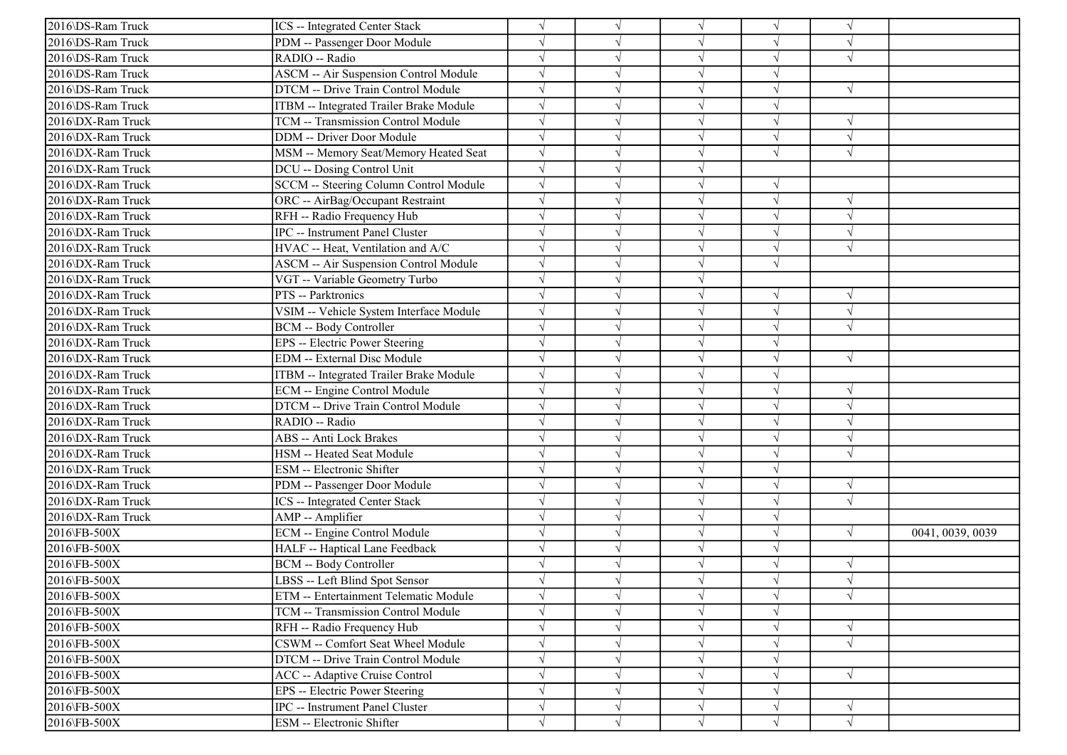| 2016\DS-Ram Truck | ICS -- Integrated Center Stack               | $\sqrt{}$  |           | $\sqrt{ }$ | $\sqrt{ }$ | N          |                  |
|-------------------|----------------------------------------------|------------|-----------|------------|------------|------------|------------------|
| 2016\DS-Ram Truck | PDM -- Passenger Door Module                 | $\sqrt{ }$ |           | $\sqrt{ }$ | J          | $\sqrt{ }$ |                  |
| 2016\DS-Ram Truck | RADIO -- Radio                               |            |           | $\sqrt{ }$ | $\sqrt{}$  | $\sqrt{ }$ |                  |
| 2016\DS-Ram Truck | <b>ASCM -- Air Suspension Control Module</b> |            |           | $\sqrt{ }$ |            |            |                  |
| 2016\DS-Ram Truck | DTCM -- Drive Train Control Module           | $\sqrt{}$  |           | $\sqrt{ }$ | J          | $\sqrt{ }$ |                  |
| 2016\DS-Ram Truck | ITBM -- Integrated Trailer Brake Module      | $\sqrt{}$  |           | $\sqrt{ }$ | V          |            |                  |
| 2016\DX-Ram Truck | TCM -- Transmission Control Module           |            |           | $\sqrt{ }$ | V          | $\sqrt{ }$ |                  |
| 2016\DX-Ram Truck | <b>DDM</b> -- Driver Door Module             | $\sqrt{}$  |           | $\sqrt{ }$ | $\sqrt{}$  | $\sqrt{ }$ |                  |
| 2016\DX-Ram Truck | MSM -- Memory Seat/Memory Heated Seat        | $\sqrt{ }$ |           | $\sqrt{ }$ | $\sqrt{ }$ | $\sqrt{ }$ |                  |
| 2016\DX-Ram Truck | DCU -- Dosing Control Unit                   |            |           | $\sqrt{ }$ |            |            |                  |
| 2016\DX-Ram Truck | SCCM -- Steering Column Control Module       |            |           | $\sqrt{}$  | V          |            |                  |
| 2016\DX-Ram Truck | ORC -- AirBag/Occupant Restraint             |            |           | $\sqrt{ }$ | V          | $\sqrt{ }$ |                  |
| 2016\DX-Ram Truck | RFH -- Radio Frequency Hub                   |            |           | $\sqrt{ }$ | V          | $\sqrt{ }$ |                  |
| 2016\DX-Ram Truck | IPC -- Instrument Panel Cluster              |            |           | $\sqrt{ }$ | V          | $\sqrt{ }$ |                  |
| 2016\DX-Ram Truck | HVAC -- Heat, Ventilation and A/C            |            |           | $\sqrt{ }$ | J          | $\sqrt{ }$ |                  |
| 2016\DX-Ram Truck | <b>ASCM -- Air Suspension Control Module</b> |            |           | $\sqrt{ }$ | $\sqrt{}$  |            |                  |
| 2016\DX-Ram Truck | VGT -- Variable Geometry Turbo               |            |           | $\sqrt{ }$ |            |            |                  |
| 2016\DX-Ram Truck | PTS -- Parktronics                           |            |           | $\sqrt{ }$ |            | $\sqrt{ }$ |                  |
| 2016\DX-Ram Truck | VSIM -- Vehicle System Interface Module      | $\sqrt{}$  |           | $\sqrt{ }$ | $\sqrt{}$  | $\sqrt{ }$ |                  |
| 2016\DX-Ram Truck | BCM -- Body Controller                       | $\sqrt{}$  |           | $\sqrt{ }$ | J          | $\sqrt{ }$ |                  |
| 2016\DX-Ram Truck | EPS -- Electric Power Steering               | $\sqrt{ }$ |           | $\sqrt{ }$ | $\sqrt{ }$ |            |                  |
| 2016\DX-Ram Truck | EDM -- External Disc Module                  |            |           | $\sqrt{ }$ | $\sqrt{ }$ | $\sqrt{ }$ |                  |
| 2016\DX-Ram Truck | ITBM -- Integrated Trailer Brake Module      |            |           | $\sqrt{ }$ |            |            |                  |
| 2016\DX-Ram Truck | ECM -- Engine Control Module                 |            |           | $\sqrt{ }$ | V          | $\sqrt{ }$ |                  |
| 2016\DX-Ram Truck | DTCM -- Drive Train Control Module           |            |           | $\sqrt{ }$ | J          | $\sqrt{ }$ |                  |
| 2016\DX-Ram Truck | RADIO -- Radio                               |            |           | $\sqrt{ }$ | J          | $\sqrt{ }$ |                  |
| 2016\DX-Ram Truck | ABS -- Anti Lock Brakes                      |            |           | $\sqrt{ }$ | J          | $\sqrt{ }$ |                  |
| 2016\DX-Ram Truck | HSM -- Heated Seat Module                    |            |           | $\sqrt{ }$ | $\sqrt{}$  | $\sqrt{ }$ |                  |
| 2016\DX-Ram Truck | ESM -- Electronic Shifter                    |            |           | $\sqrt{ }$ |            |            |                  |
| 2016\DX-Ram Truck | PDM -- Passenger Door Module                 |            |           | $\sqrt{ }$ |            | $\sqrt{ }$ |                  |
| 2016\DX-Ram Truck | ICS -- Integrated Center Stack               | $\sqrt{}$  |           | $\sqrt{ }$ | J          | $\sqrt{ }$ |                  |
| 2016\DX-Ram Truck | AMP -- Amplifier                             |            |           | $\sqrt{ }$ | $\sqrt{ }$ |            |                  |
| 2016\FB-500X      | <b>ECM</b> -- Engine Control Module          |            |           | $\sqrt{ }$ | $\sqrt{ }$ | $\sqrt{ }$ | 0041, 0039, 0039 |
| 2016\FB-500X      | HALF -- Haptical Lane Feedback               |            |           | $\sqrt{ }$ | $\sqrt{ }$ |            |                  |
| 2016\FB-500X      | <b>BCM -- Body Controller</b>                |            |           | $\sqrt{ }$ |            | $\sqrt{ }$ |                  |
| 2016\FB-500X      | LBSS -- Left Blind Spot Sensor               |            |           |            |            | $\sqrt{ }$ |                  |
| 2016\FB-500X      | ETM -- Entertainment Telematic Module        | $\sqrt{}$  | $\sqrt{}$ | $\sqrt{}$  | $\sqrt{ }$ | $\sqrt{ }$ |                  |
| 2016\FB-500X      | TCM -- Transmission Control Module           |            |           | $\sqrt{ }$ | $\sqrt{ }$ |            |                  |
| 2016\FB-500X      | RFH -- Radio Frequency Hub                   |            |           | $\sqrt{ }$ | $\sqrt{ }$ | $\sqrt{ }$ |                  |
| 2016\FB-500X      | CSWM -- Comfort Seat Wheel Module            |            |           | $\sqrt{ }$ | V          | $\sqrt{ }$ |                  |
| 2016\FB-500X      | DTCM -- Drive Train Control Module           |            |           | $\sqrt{}$  |            |            |                  |
| 2016\FB-500X      | ACC -- Adaptive Cruise Control               | $\sqrt{}$  |           | $\sqrt{ }$ | V          | $\sqrt{ }$ |                  |
| 2016\FB-500X      | EPS -- Electric Power Steering               | $\sqrt{}$  |           | $\sqrt{ }$ | V          |            |                  |
| 2016\FB-500X      | IPC -- Instrument Panel Cluster              | $\sqrt{}$  | N         | $\sqrt{}$  | $\sqrt{ }$ | $\sqrt{ }$ |                  |
| 2016\FB-500X      | ESM -- Electronic Shifter                    | $\sqrt{}$  | $\sqrt{}$ | $\sqrt{ }$ | $\sqrt{ }$ | $\sqrt{ }$ |                  |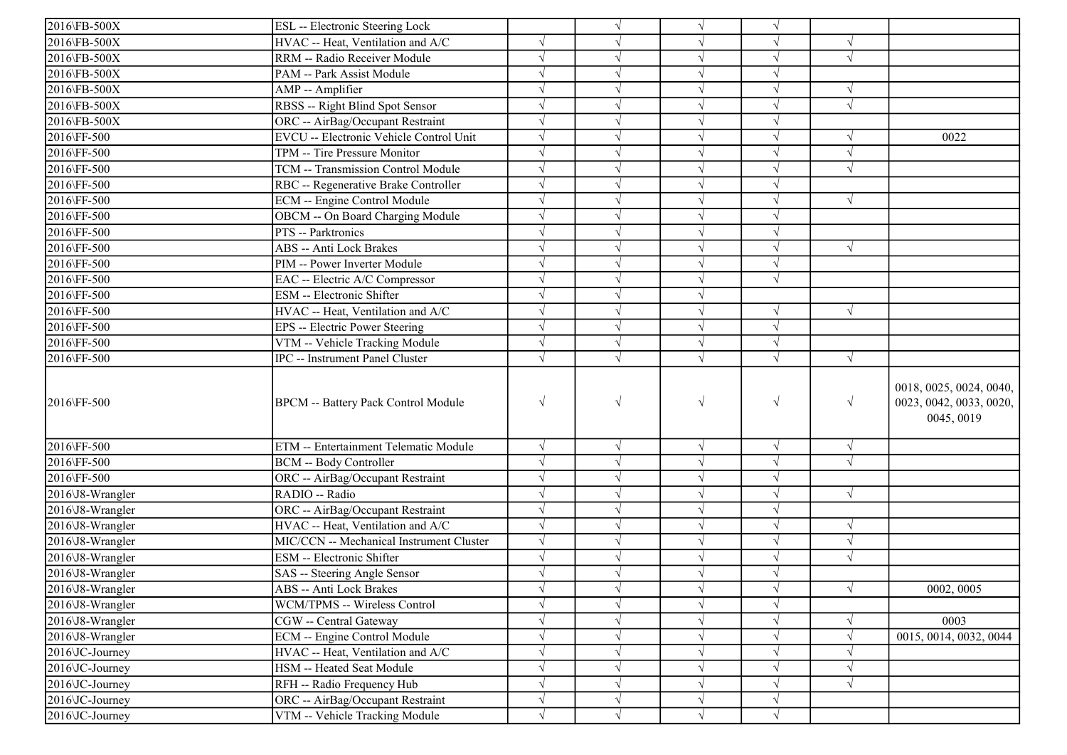| 2016\FB-500X<br>ESL -- Electronic Steering Lock<br>2016\FB-500X<br>HVAC -- Heat, Ventilation and A/C<br>$\sqrt{}$<br>$\sqrt{ }$<br>$\sqrt{ }$<br>RRM -- Radio Receiver Module<br>$\sqrt{ }$<br>2016\FB-500X<br>$\sqrt{}$<br>$\sqrt{ }$<br>2016\FB-500X<br>PAM -- Park Assist Module<br>$\sqrt{ }$ |                                                                  |
|---------------------------------------------------------------------------------------------------------------------------------------------------------------------------------------------------------------------------------------------------------------------------------------------------|------------------------------------------------------------------|
|                                                                                                                                                                                                                                                                                                   |                                                                  |
|                                                                                                                                                                                                                                                                                                   |                                                                  |
|                                                                                                                                                                                                                                                                                                   |                                                                  |
|                                                                                                                                                                                                                                                                                                   |                                                                  |
| $\sqrt{ }$<br>2016\FB-500X<br>$\sqrt{ }$<br>AMP -- Amplifier<br>$\sqrt{ }$                                                                                                                                                                                                                        |                                                                  |
| RBSS -- Right Blind Spot Sensor<br>2016\FB-500X<br>$\sqrt{}$<br>$\sqrt{ }$                                                                                                                                                                                                                        |                                                                  |
| 2016\FB-500X<br>ORC -- AirBag/Occupant Restraint<br>$\sqrt{ }$                                                                                                                                                                                                                                    |                                                                  |
| EVCU -- Electronic Vehicle Control Unit<br>2016\FF-500<br>$\sqrt{ }$<br>$\sqrt{ }$<br>V<br>$\sqrt{ }$                                                                                                                                                                                             | 0022                                                             |
| 2016\FF-500<br>$\sqrt{ }$<br>TPM -- Tire Pressure Monitor<br>$\sqrt{ }$<br>$\sqrt{ }$                                                                                                                                                                                                             |                                                                  |
| 2016\FF-500<br>TCM -- Transmission Control Module<br>$\sqrt{ }$<br>$\sqrt{ }$<br>$\sqrt{ }$<br>J                                                                                                                                                                                                  |                                                                  |
| $\sqrt{ }$<br>2016\FF-500<br>$\sqrt{}$<br>RBC -- Regenerative Brake Controller                                                                                                                                                                                                                    |                                                                  |
| 2016\FF-500<br>ECM -- Engine Control Module<br>$\sqrt{ }$<br>$\sqrt{ }$<br>$\sqrt{ }$                                                                                                                                                                                                             |                                                                  |
| 2016\FF-500<br>OBCM -- On Board Charging Module<br>$\sqrt{ }$<br>$\sqrt{ }$                                                                                                                                                                                                                       |                                                                  |
| 2016\FF-500<br>PTS -- Parktronics<br>$\sqrt{}$                                                                                                                                                                                                                                                    |                                                                  |
| 2016\FF-500<br>ABS -- Anti Lock Brakes<br>$\sqrt{}$<br>$\sqrt{ }$<br>$\sqrt{ }$                                                                                                                                                                                                                   |                                                                  |
| $\sqrt{ }$<br>2016\FF-500<br>PIM -- Power Inverter Module                                                                                                                                                                                                                                         |                                                                  |
| 2016\FF-500<br>$\sqrt{}$<br>EAC -- Electric A/C Compressor                                                                                                                                                                                                                                        |                                                                  |
| 2016\FF-500<br>ESM -- Electronic Shifter<br>$\sqrt{}$                                                                                                                                                                                                                                             |                                                                  |
| $\sqrt{ }$<br>$\sqrt{ }$<br>$\sqrt{}$<br>2016\FF-500<br>HVAC -- Heat, Ventilation and A/C<br>$\sqrt{ }$                                                                                                                                                                                           |                                                                  |
| 2016\FF-500<br>EPS -- Electric Power Steering<br>$\sqrt{ }$<br>$\sqrt{ }$<br>$\sqrt{ }$                                                                                                                                                                                                           |                                                                  |
|                                                                                                                                                                                                                                                                                                   |                                                                  |
| $\sqrt{ }$<br>$\sqrt{ }$<br>$\sqrt{ }$                                                                                                                                                                                                                                                            |                                                                  |
| $\sqrt{}$<br>2016\FF-500<br>VTM -- Vehicle Tracking Module<br>$\sqrt{ }$<br>2016\FF-500<br><b>IPC</b> -- Instrument Panel Cluster<br>$\sqrt{ }$<br>$\sqrt{ }$                                                                                                                                     |                                                                  |
| $\sqrt{ }$<br>$\sqrt{}$<br>$\sqrt{ }$<br>$\sqrt{ }$<br>2016\FF-500<br><b>BPCM -- Battery Pack Control Module</b>                                                                                                                                                                                  | 0018, 0025, 0024, 0040,<br>0023, 0042, 0033, 0020,<br>0045, 0019 |
| 2016\FF-500<br>ETM -- Entertainment Telematic Module<br>$\sqrt{ }$<br>$\sqrt{ }$<br>$\sqrt{ }$<br>$\sqrt{ }$<br>$\sqrt{ }$                                                                                                                                                                        |                                                                  |
| $\sqrt{}$<br>$\sqrt{ }$<br>$\sqrt{}$<br>2016\FF-500<br><b>BCM -- Body Controller</b>                                                                                                                                                                                                              |                                                                  |
| 2016\FF-500<br>ORC -- AirBag/Occupant Restraint<br>$\sqrt{}$<br>$\sqrt{ }$                                                                                                                                                                                                                        |                                                                  |
| RADIO -- Radio<br>2016\J8-Wrangler<br>$\sqrt{ }$<br>$\sqrt{ }$                                                                                                                                                                                                                                    |                                                                  |
| ORC -- AirBag/Occupant Restraint<br>$\sqrt{ }$<br>2016\J8-Wrangler<br>$\sqrt{ }$<br>$\sqrt{ }$                                                                                                                                                                                                    |                                                                  |
| HVAC -- Heat, Ventilation and A/C<br>$\sqrt{ }$<br>$\sqrt{ }$<br>2016\J8-Wrangler<br>$\sqrt{ }$<br>$\sqrt{ }$<br>$\sqrt{ }$                                                                                                                                                                       |                                                                  |
| $\sqrt{ }$<br>$\sqrt{ }$<br>MIC/CCN -- Mechanical Instrument Cluster<br>2016\J8-Wrangler<br>$\sqrt{ }$                                                                                                                                                                                            |                                                                  |
| ESM -- Electronic Shifter<br>$\sqrt{}$<br>$\sqrt{ }$<br>2016\J8-Wrangler<br>$\sqrt{}$                                                                                                                                                                                                             |                                                                  |
| $\sqrt{}$<br>2016\J8-Wrangler<br>SAS -- Steering Angle Sensor                                                                                                                                                                                                                                     |                                                                  |
| 2016\J8-Wrangler<br>ABS -- Anti Lock Brakes<br>$\sqrt{}$<br>$\sqrt{ }$<br>V<br>V<br>V                                                                                                                                                                                                             | 0002, 0005                                                       |
| 2016\J8-Wrangler<br>WCM/TPMS -- Wireless Control<br>$\sqrt{}$<br>$\sqrt{ }$<br>$\sqrt{}$                                                                                                                                                                                                          |                                                                  |
| 2016\J8-Wrangler<br>$\sqrt{}$<br>CGW -- Central Gateway<br>$\sqrt{}$<br>$\sqrt{ }$                                                                                                                                                                                                                | 0003                                                             |
| $\sqrt{}$<br>ECM -- Engine Control Module<br>2016\J8-Wrangler                                                                                                                                                                                                                                     | 0015, 0014, 0032, 0044                                           |
| 2016\JC-Journey<br>HVAC -- Heat, Ventilation and A/C<br>$\sqrt{ }$<br>$\sqrt{ }$<br>V                                                                                                                                                                                                             |                                                                  |
| HSM -- Heated Seat Module<br>$\sqrt{}$<br>2016\JC-Journey<br>V                                                                                                                                                                                                                                    |                                                                  |
| RFH -- Radio Frequency Hub<br>$\sqrt{}$<br>2016\JC-Journey<br>V                                                                                                                                                                                                                                   |                                                                  |
| 2016\JC-Journey<br>ORC -- AirBag/Occupant Restraint<br>$\sqrt{}$<br>$\sqrt{ }$<br>$\sqrt{ }$<br>$\sqrt{}$                                                                                                                                                                                         |                                                                  |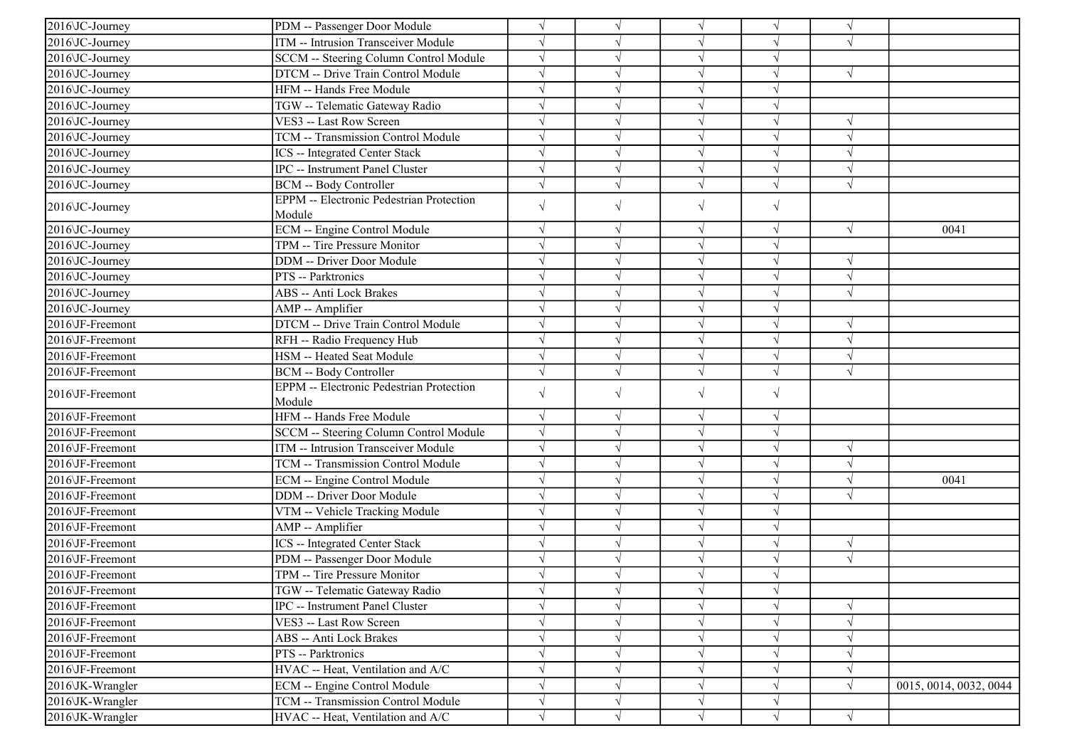| 2016\JC-Journey  | PDM -- Passenger Door Module                              | $\sqrt{}$              | V          | $\sqrt{}$  | $\sqrt{ }$ | $\sqrt{ }$ |                        |
|------------------|-----------------------------------------------------------|------------------------|------------|------------|------------|------------|------------------------|
| 2016\JC-Journey  | ITM -- Intrusion Transceiver Module                       | $\sqrt{}$              |            | $\sqrt{}$  | V          | $\sqrt{ }$ |                        |
| 2016\JC-Journey  | SCCM -- Steering Column Control Module                    | $\sqrt{}$              |            | $\sqrt{ }$ | J          |            |                        |
| 2016\JC-Journey  | DTCM -- Drive Train Control Module                        | $\sqrt{}$              |            | $\sqrt{ }$ | $\sqrt{}$  | $\sqrt{ }$ |                        |
| 2016\JC-Journey  | HFM -- Hands Free Module                                  |                        |            | $\sqrt{ }$ |            |            |                        |
| 2016\JC-Journey  | TGW -- Telematic Gateway Radio                            | $\sqrt{}$              |            | $\sqrt{}$  |            |            |                        |
| 2016\JC-Journey  | VES3 -- Last Row Screen                                   | $\sqrt{}$              |            | $\sqrt{}$  | $\sqrt{}$  | $\sqrt{ }$ |                        |
| 2016\JC-Journey  | TCM -- Transmission Control Module                        | $\sqrt{ }$             |            | $\sqrt{ }$ | V          | $\sqrt{ }$ |                        |
| 2016\JC-Journey  | <b>ICS</b> -- Integrated Center Stack                     | $\sqrt{ }$             |            | $\sqrt{ }$ | $\sqrt{}$  | $\sqrt{ }$ |                        |
| 2016\JC-Journey  | <b>IPC</b> -- Instrument Panel Cluster                    | $\sqrt{}$              |            | $\sqrt{ }$ | $\sqrt{ }$ | $\sqrt{ }$ |                        |
| 2016\JC-Journey  | <b>BCM</b> -- Body Controller                             |                        |            | $\sqrt{}$  | $\sqrt{}$  | $\sqrt{ }$ |                        |
| 2016\JC-Journey  | <b>EPPM</b> -- Electronic Pedestrian Protection           | $\sqrt{}$              | $\sqrt{ }$ | $\sqrt{}$  | $\sqrt{}$  |            |                        |
|                  | Module                                                    | $\sqrt{ }$             |            |            | $\sqrt{ }$ |            |                        |
| 2016\JC-Journey  | ECM -- Engine Control Module                              |                        | $\sqrt{ }$ | $\sqrt{ }$ | $\sqrt{}$  | $\sqrt{ }$ | 0041                   |
| 2016\JC-Journey  | TPM -- Tire Pressure Monitor                              | $\sqrt{}$<br>$\sqrt{}$ |            | $\sqrt{}$  |            |            |                        |
| 2016\JC-Journey  | <b>DDM</b> -- Driver Door Module                          | $\sqrt{ }$             |            | $\sqrt{}$  | J          | $\sqrt{ }$ |                        |
| 2016\JC-Journey  | PTS -- Parktronics                                        |                        |            | $\sqrt{}$  | J          | $\sqrt{ }$ |                        |
| 2016 JC-Journey  | <b>ABS</b> -- Anti Lock Brakes                            | $\sqrt{}$              |            | $\sqrt{ }$ | V          | $\sqrt{ }$ |                        |
| 2016\JC-Journey  | AMP -- Amplifier                                          | $\sqrt{}$              |            | $\sqrt{ }$ | $\sqrt{}$  |            |                        |
| 2016\JF-Freemont | DTCM -- Drive Train Control Module                        | $\sqrt{}$              |            | $\sqrt{ }$ | $\sqrt{}$  | $\sqrt{ }$ |                        |
| 2016\JF-Freemont | RFH -- Radio Frequency Hub                                | $\sqrt{}$              |            | $\sqrt{}$  | $\sqrt{}$  | $\sqrt{ }$ |                        |
| 2016\JF-Freemont | HSM -- Heated Seat Module                                 |                        |            | $\sqrt{}$  |            | $\sqrt{ }$ |                        |
| 2016\JF-Freemont | <b>BCM -- Body Controller</b>                             | $\sqrt{}$              |            | $\sqrt{}$  | $\sqrt{}$  | $\sqrt{ }$ |                        |
| 2016\JF-Freemont | <b>EPPM</b> -- Electronic Pedestrian Protection<br>Module | $\sqrt{}$              | $\sqrt{}$  | $\sqrt{}$  | $\sqrt{}$  |            |                        |
| 2016\JF-Freemont | HFM -- Hands Free Module                                  | $\sqrt{ }$             |            | $\sqrt{ }$ | V          |            |                        |
| 2016\JF-Freemont | SCCM -- Steering Column Control Module                    | $\sqrt{}$              |            | $\sqrt{ }$ | $\sqrt{}$  |            |                        |
| 2016\JF-Freemont | ITM -- Intrusion Transceiver Module                       | $\sqrt{}$              |            | $\sqrt{ }$ | $\sqrt{}$  | $\sqrt{ }$ |                        |
| 2016\JF-Freemont | TCM -- Transmission Control Module                        | $\sqrt{ }$             |            | $\sqrt{ }$ | J          | $\sqrt{ }$ |                        |
| 2016\JF-Freemont | <b>ECM</b> -- Engine Control Module                       | $\sqrt{ }$             |            | $\sqrt{ }$ | $\sqrt{}$  | $\sqrt{ }$ | 0041                   |
| 2016\JF-Freemont | DDM -- Driver Door Module                                 | $\sqrt{}$              |            | $\sqrt{ }$ | $\sqrt{ }$ | $\sqrt{ }$ |                        |
| 2016\JF-Freemont | VTM -- Vehicle Tracking Module                            | $\sqrt{}$              |            | $\sqrt{ }$ | J          |            |                        |
| 2016\JF-Freemont | AMP -- Amplifier                                          | $\sqrt{ }$             |            | $\sqrt{ }$ | J          |            |                        |
| 2016\JF-Freemont | <b>ICS</b> -- Integrated Center Stack                     |                        |            | $\sqrt{}$  | V          | $\sqrt{ }$ |                        |
| 2016\JF-Freemont | PDM -- Passenger Door Module                              | $\sqrt{}$              |            | $\sqrt{ }$ | V          | $\sqrt{ }$ |                        |
| 2016\JF-Freemont | TPM -- Tire Pressure Monitor                              | $\sqrt{}$              |            | $\sqrt{}$  | $\sqrt{}$  |            |                        |
| 2016\JF-Freemont | TGW -- Telematic Gateway Radio                            | $\sqrt{ }$             | $\sqrt{ }$ | $\sqrt{}$  | $\sqrt{ }$ |            |                        |
| 2016\JF-Freemont | IPC -- Instrument Panel Cluster                           |                        |            | $\sqrt{}$  |            | $\sqrt{ }$ |                        |
| 2016\JF-Freemont | VES3 -- Last Row Screen                                   | $\sqrt{}$              |            | $\sqrt{}$  |            | $\sqrt{ }$ |                        |
| 2016\JF-Freemont | <b>ABS -- Anti Lock Brakes</b>                            |                        |            |            |            | $\sqrt{ }$ |                        |
| 2016\JF-Freemont | PTS -- Parktronics                                        | $\sqrt{}$              |            | $\sqrt{}$  | V          | $\sqrt{ }$ |                        |
| 2016\JF-Freemont | HVAC -- Heat, Ventilation and A/C                         | $\sqrt{}$              |            | $\sqrt{}$  |            | $\sqrt{ }$ |                        |
| 2016\JK-Wrangler | <b>ECM</b> -- Engine Control Module                       | $\sqrt{}$              |            | $\sqrt{ }$ | V          | $\sqrt{ }$ | 0015, 0014, 0032, 0044 |
| 2016\JK-Wrangler | TCM -- Transmission Control Module                        | $\sqrt{}$              |            | $\sqrt{}$  | $\sqrt{ }$ |            |                        |
| 2016\JK-Wrangler | HVAC -- Heat, Ventilation and A/C                         | $\sqrt{ }$             | $\sqrt{ }$ | $\sqrt{ }$ | $\sqrt{ }$ | $\sqrt{ }$ |                        |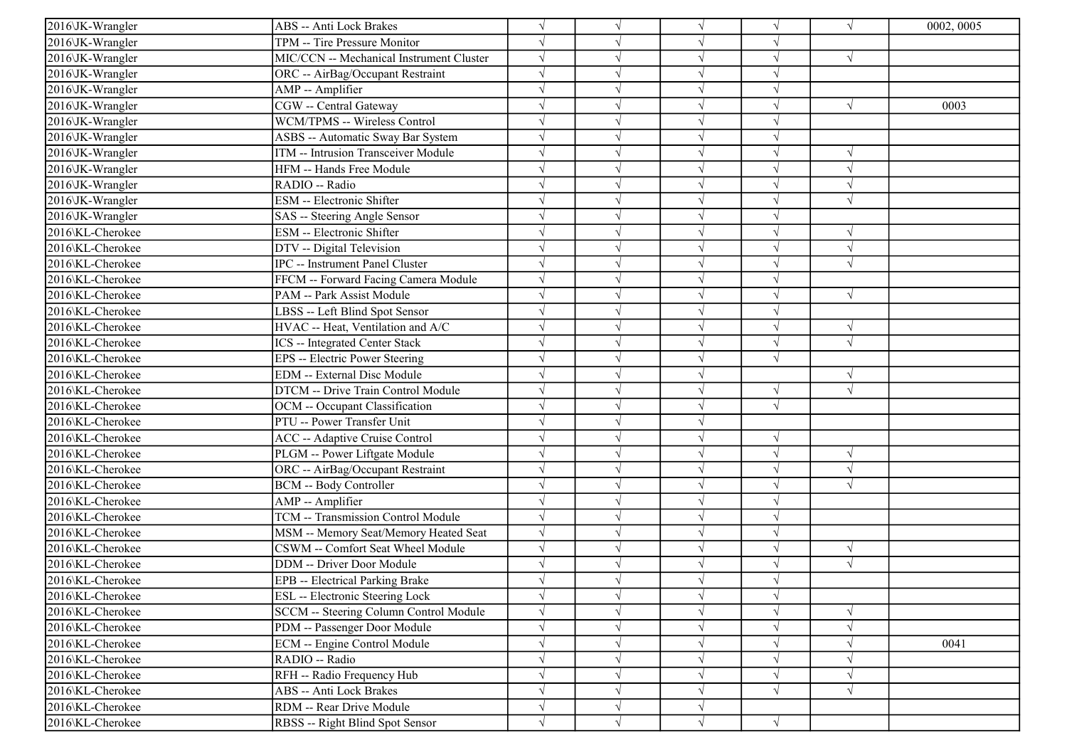| 2016\JK-Wrangler | ABS -- Anti Lock Brakes                  |            | $\sqrt{ }$ | $\sqrt{ }$ | $\sqrt{ }$ | $\sqrt{ }$ | 0002, 0005 |
|------------------|------------------------------------------|------------|------------|------------|------------|------------|------------|
| 2016\JK-Wrangler | TPM -- Tire Pressure Monitor             |            |            | $\sqrt{ }$ | V          |            |            |
| 2016\JK-Wrangler | MIC/CCN -- Mechanical Instrument Cluster |            |            | $\sqrt{ }$ | V          | $\sqrt{ }$ |            |
| 2016\JK-Wrangler | ORC -- AirBag/Occupant Restraint         |            |            | $\sqrt{ }$ | $\sqrt{}$  |            |            |
| 2016\JK-Wrangler | AMP -- Amplifier                         |            |            | $\sqrt{ }$ |            |            |            |
| 2016\JK-Wrangler | CGW -- Central Gateway                   |            |            | $\sqrt{ }$ |            | $\sqrt{ }$ | 0003       |
| 2016\JK-Wrangler | WCM/TPMS -- Wireless Control             |            |            | $\sqrt{ }$ | J          |            |            |
| 2016\JK-Wrangler | ASBS -- Automatic Sway Bar System        |            |            | $\sqrt{ }$ | V          |            |            |
| 2016\JK-Wrangler | ITM -- Intrusion Transceiver Module      |            |            | $\sqrt{ }$ | V          | $\sqrt{ }$ |            |
| 2016\JK-Wrangler | HFM -- Hands Free Module                 |            |            | $\sqrt{ }$ | $\sqrt{}$  | $\sqrt{ }$ |            |
| 2016\JK-Wrangler | RADIO -- Radio                           |            |            | $\sqrt{ }$ |            | $\sqrt{ }$ |            |
| 2016\JK-Wrangler | ESM -- Electronic Shifter                |            |            | $\sqrt{}$  |            | $\sqrt{ }$ |            |
| 2016\JK-Wrangler | SAS -- Steering Angle Sensor             |            |            | $\sqrt{ }$ | V          |            |            |
| 2016\KL-Cherokee | ESM -- Electronic Shifter                |            |            | $\sqrt{ }$ | V          | $\sqrt{ }$ |            |
| 2016\KL-Cherokee | DTV -- Digital Television                |            |            | $\sqrt{ }$ | V          | $\sqrt{ }$ |            |
| 2016\KL-Cherokee | IPC -- Instrument Panel Cluster          |            |            | $\sqrt{ }$ | V          | $\sqrt{ }$ |            |
| 2016\KL-Cherokee | FFCM -- Forward Facing Camera Module     |            |            | $\sqrt{ }$ |            |            |            |
| 2016\KL-Cherokee | PAM -- Park Assist Module                |            |            | $\sqrt{ }$ | J          | $\sqrt{ }$ |            |
| 2016\KL-Cherokee | LBSS -- Left Blind Spot Sensor           |            |            | $\sqrt{ }$ |            |            |            |
| 2016\KL-Cherokee | HVAC -- Heat, Ventilation and A/C        |            |            | $\sqrt{ }$ | V          | $\sqrt{ }$ |            |
| 2016\KL-Cherokee | ICS -- Integrated Center Stack           |            |            | $\sqrt{ }$ | V          | $\sqrt{ }$ |            |
| 2016\KL-Cherokee | EPS -- Electric Power Steering           |            |            | $\sqrt{ }$ | $\sqrt{ }$ |            |            |
| 2016\KL-Cherokee | EDM -- External Disc Module              |            |            | $\sqrt{}$  |            | $\sqrt{ }$ |            |
| 2016\KL-Cherokee | DTCM -- Drive Train Control Module       |            |            | $\sqrt{}$  | $\sqrt{ }$ | $\sqrt{ }$ |            |
| 2016\KL-Cherokee | OCM -- Occupant Classification           |            |            | $\sqrt{ }$ | $\sqrt{ }$ |            |            |
| 2016\KL-Cherokee | PTU -- Power Transfer Unit               |            |            | $\sqrt{ }$ |            |            |            |
| 2016\KL-Cherokee | ACC -- Adaptive Cruise Control           |            |            | $\sqrt{ }$ | $\sqrt{ }$ |            |            |
| 2016\KL-Cherokee | PLGM -- Power Liftgate Module            |            |            | $\sqrt{ }$ | $\sqrt{ }$ | $\sqrt{ }$ |            |
| 2016\KL-Cherokee | ORC -- AirBag/Occupant Restraint         |            |            | $\sqrt{ }$ | $\sqrt{}$  | $\sqrt{ }$ |            |
| 2016\KL-Cherokee | <b>BCM -- Body Controller</b>            |            |            | $\sqrt{ }$ |            | $\sqrt{ }$ |            |
| 2016\KL-Cherokee | AMP -- Amplifier                         |            |            | $\sqrt{ }$ | J          |            |            |
| 2016\KL-Cherokee | TCM -- Transmission Control Module       |            |            | $\sqrt{ }$ | J          |            |            |
| 2016\KL-Cherokee | MSM -- Memory Seat/Memory Heated Seat    | $\sqrt{ }$ |            | $\sqrt{ }$ | ٦I         |            |            |
| 2016\KL-Cherokee | CSWM -- Comfort Seat Wheel Module        | $\sqrt{ }$ |            | $\sqrt{ }$ | $\sqrt{ }$ | $\sqrt{ }$ |            |
| 2016\KL-Cherokee | DDM -- Driver Door Module                |            |            | $\sqrt{ }$ | J          | $\sqrt{ }$ |            |
| 2016\KL-Cherokee | EPB -- Electrical Parking Brake          |            |            | $\sqrt{ }$ | $\sqrt{ }$ |            |            |
| 2016\KL-Cherokee | ESL -- Electronic Steering Lock          |            | $\sqrt{}$  | $\sqrt{}$  | $\sqrt{ }$ |            |            |
| 2016\KL-Cherokee | SCCM -- Steering Column Control Module   |            | $\sqrt{ }$ | $\sqrt{ }$ | $\sqrt{ }$ | $\sqrt{ }$ |            |
| 2016\KL-Cherokee | PDM -- Passenger Door Module             |            |            | $\sqrt{ }$ | V          | $\sqrt{ }$ |            |
| 2016\KL-Cherokee | ECM -- Engine Control Module             |            |            | $\sqrt{}$  | $\sqrt{ }$ | $\sqrt{ }$ | 0041       |
| 2016\KL-Cherokee | RADIO -- Radio                           |            |            | $\sqrt{ }$ | $\sqrt{ }$ | $\sqrt{ }$ |            |
| 2016\KL-Cherokee | RFH -- Radio Frequency Hub               |            |            | $\sqrt{ }$ | V          | $\sqrt{ }$ |            |
| 2016\KL-Cherokee | ABS -- Anti Lock Brakes                  |            | $\sqrt{ }$ | $\sqrt{ }$ | $\sqrt{}$  | $\sqrt{ }$ |            |
| 2016\KL-Cherokee | RDM -- Rear Drive Module                 | $\sqrt{}$  | $\sqrt{ }$ | $\sqrt{ }$ |            |            |            |
| 2016\KL-Cherokee | RBSS -- Right Blind Spot Sensor          | $\sqrt{}$  | $\sqrt{ }$ | $\sqrt{ }$ | $\sqrt{ }$ |            |            |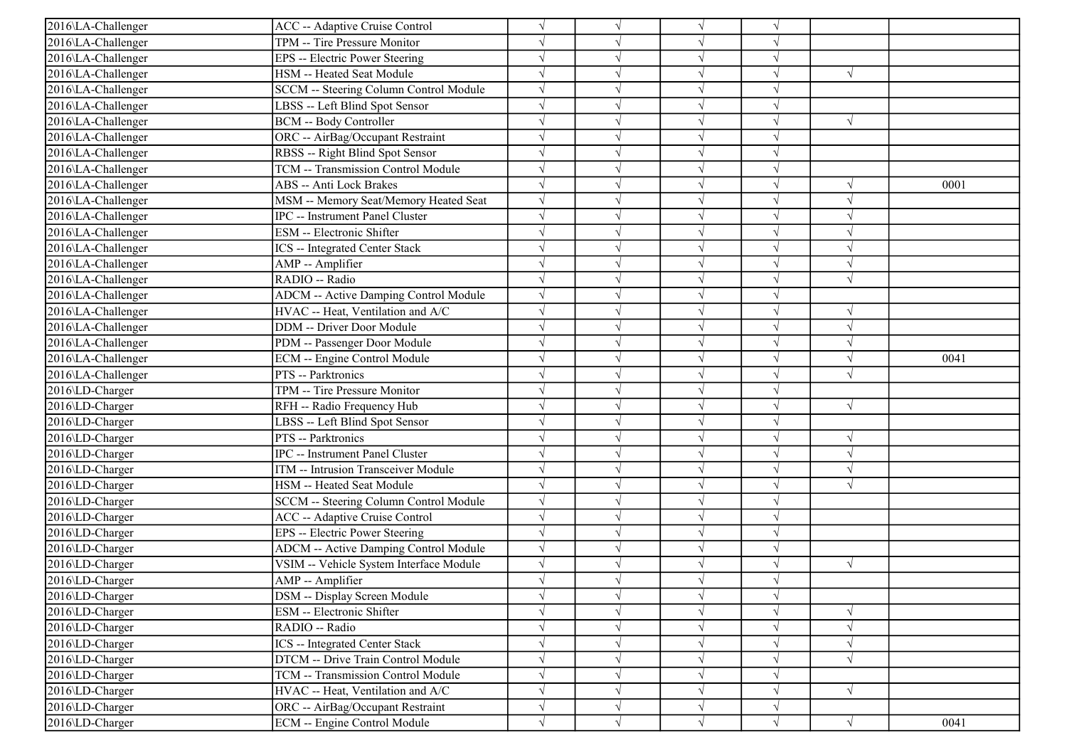| 2016\LA-Challenger | <b>ACC</b> -- Adaptive Cruise Control        |            |            | $\sqrt{ }$ |            |               |      |
|--------------------|----------------------------------------------|------------|------------|------------|------------|---------------|------|
| 2016\LA-Challenger | TPM -- Tire Pressure Monitor                 |            |            | $\sqrt{ }$ | V          |               |      |
| 2016\LA-Challenger | EPS -- Electric Power Steering               |            |            | $\sqrt{}$  | $\sqrt{}$  |               |      |
| 2016\LA-Challenger | HSM -- Heated Seat Module                    |            |            | $\sqrt{ }$ |            | $\sqrt{ }$    |      |
| 2016\LA-Challenger | SCCM -- Steering Column Control Module       | $\sqrt{}$  |            | $\sqrt{}$  |            |               |      |
| 2016\LA-Challenger | LBSS -- Left Blind Spot Sensor               |            |            | $\sqrt{ }$ | J          |               |      |
| 2016\LA-Challenger | <b>BCM -- Body Controller</b>                |            |            | $\sqrt{ }$ | V          | $\sqrt{ }$    |      |
| 2016\LA-Challenger | ORC -- AirBag/Occupant Restraint             | $\sqrt{ }$ |            | $\sqrt{ }$ | V          |               |      |
| 2016\LA-Challenger | RBSS -- Right Blind Spot Sensor              |            |            | $\sqrt{ }$ | J          |               |      |
| 2016\LA-Challenger | TCM -- Transmission Control Module           |            |            | $\sqrt{ }$ | $\sqrt{ }$ |               |      |
| 2016\LA-Challenger | <b>ABS</b> -- Anti Lock Brakes               |            |            | $\sqrt{ }$ | V          | $\sqrt{ }$    | 0001 |
| 2016\LA-Challenger | MSM -- Memory Seat/Memory Heated Seat        |            |            | $\sqrt{ }$ |            | $\sqrt{2}$    |      |
| 2016\LA-Challenger | <b>IPC</b> -- Instrument Panel Cluster       |            |            | $\sqrt{ }$ | V          | $\sqrt{ }$    |      |
| 2016\LA-Challenger | <b>ESM</b> -- Electronic Shifter             |            |            | $\sqrt{ }$ | V          | $\sqrt{ }$    |      |
| 2016\LA-Challenger | <b>ICS</b> -- Integrated Center Stack        |            |            | $\sqrt{ }$ | V          | $\sqrt{ }$    |      |
| 2016\LA-Challenger | AMP -- Amplifier                             |            |            | $\sqrt{ }$ |            | $\sqrt{ }$    |      |
| 2016\LA-Challenger | RADIO -- Radio                               |            |            | $\sqrt{ }$ | J          | $\sqrt{ }$    |      |
| 2016\LA-Challenger | <b>ADCM</b> -- Active Damping Control Module |            |            | $\sqrt{ }$ |            |               |      |
| 2016\LA-Challenger | HVAC -- Heat, Ventilation and A/C            | $\sqrt{}$  |            | $\sqrt{ }$ | V          | $\sqrt{ }$    |      |
| 2016\LA-Challenger | <b>DDM</b> -- Driver Door Module             | $\sqrt{ }$ |            | $\sqrt{ }$ | V          | $\sqrt{ }$    |      |
| 2016\LA-Challenger | PDM -- Passenger Door Module                 | $\sqrt{ }$ |            | $\sqrt{ }$ | V          | $\sqrt{ }$    |      |
| 2016\LA-Challenger | ECM -- Engine Control Module                 | $\sqrt{}$  |            | $\sqrt{ }$ | V          | $\sqrt{ }$    | 0041 |
| 2016\LA-Challenger | PTS -- Parktronics                           |            |            | $\sqrt{ }$ | J          | $\sqrt{ }$    |      |
| 2016\LD-Charger    | TPM -- Tire Pressure Monitor                 |            |            | $\sqrt{ }$ |            |               |      |
| 2016\LD-Charger    | RFH -- Radio Frequency Hub                   |            |            | $\sqrt{ }$ | $\sqrt{ }$ | $\sqrt{ }$    |      |
| 2016\LD-Charger    | LBSS -- Left Blind Spot Sensor               |            |            | $\sqrt{ }$ | V          |               |      |
| 2016\LD-Charger    | PTS -- Parktronics                           |            |            | $\sqrt{ }$ | V          | $\sqrt{ }$    |      |
| 2016\LD-Charger    | IPC -- Instrument Panel Cluster              |            |            | $\sqrt{ }$ | V          | $\sqrt{ }$    |      |
| 2016\LD-Charger    | ITM -- Intrusion Transceiver Module          |            |            | $\sqrt{ }$ |            | $\mathcal{N}$ |      |
| 2016\LD-Charger    | HSM -- Heated Seat Module                    |            |            | $\sqrt{ }$ |            | $\sqrt{ }$    |      |
| 2016\LD-Charger    | SCCM -- Steering Column Control Module       | $\sqrt{}$  |            | $\sqrt{ }$ | V          |               |      |
| 2016\LD-Charger    | <b>ACC</b> -- Adaptive Cruise Control        |            |            | $\sqrt{ }$ | V          |               |      |
| 2016\LD-Charger    | EPS -- Electric Power Steering               | $\sqrt{ }$ |            | $\sqrt{ }$ | $\sqrt{}$  |               |      |
| 2016\LD-Charger    | <b>ADCM</b> -- Active Damping Control Module | $\sqrt{ }$ |            | $\sqrt{ }$ | $\sqrt{}$  |               |      |
| 2016\LD-Charger    | VSIM -- Vehicle System Interface Module      |            |            | $\sqrt{ }$ | اد         | $\sqrt{ }$    |      |
| 2016\LD-Charger    | AMP -- Amplifier                             |            |            |            |            |               |      |
| 2016\LD-Charger    | DSM -- Display Screen Module                 |            | $\sqrt{}$  | $\sqrt{}$  | $\sqrt{}$  |               |      |
| 2016\LD-Charger    | ESM -- Electronic Shifter                    |            |            | $\sqrt{ }$ | V          | $\sqrt{ }$    |      |
| 2016\LD-Charger    | RADIO -- Radio                               |            |            | $\sqrt{ }$ |            | $\sqrt{ }$    |      |
| 2016\LD-Charger    | <b>ICS</b> -- Integrated Center Stack        |            |            | $\sqrt{ }$ |            | $\sqrt{ }$    |      |
| 2016\LD-Charger    | DTCM -- Drive Train Control Module           |            |            | $\sqrt{}$  |            | $\sqrt{ }$    |      |
| 2016\LD-Charger    | TCM -- Transmission Control Module           |            |            | $\sqrt{ }$ | V          |               |      |
| 2016\LD-Charger    | HVAC -- Heat, Ventilation and A/C            |            | $\sqrt{ }$ | $\sqrt{ }$ | V          | $\sqrt{ }$    |      |
| 2016\LD-Charger    | ORC -- AirBag/Occupant Restraint             | $\sqrt{}$  | $\sqrt{ }$ | $\sqrt{ }$ | V          |               |      |
| 2016\LD-Charger    | <b>ECM</b> -- Engine Control Module          | $\sqrt{}$  | $\sqrt{}$  | $\sqrt{}$  | $\sqrt{}$  | $\sqrt{}$     | 0041 |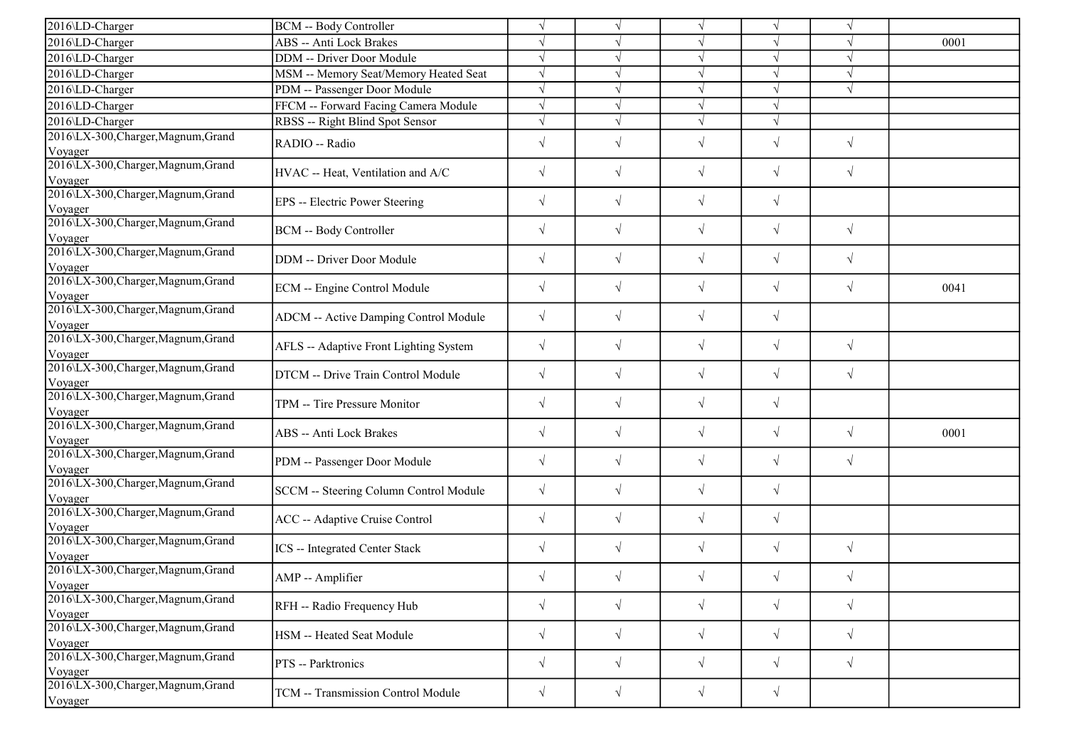| 2016\LD-Charger                                | <b>BCM</b> -- Body Controller                | $\sqrt{ }$ | $\sqrt{ }$ | $\sqrt{ }$ | $\sqrt{ }$ | $\sqrt{ }$ |      |
|------------------------------------------------|----------------------------------------------|------------|------------|------------|------------|------------|------|
| 2016\LD-Charger                                | ABS -- Anti Lock Brakes                      | $\sqrt{ }$ |            |            |            |            | 0001 |
| 2016\LD-Charger                                | DDM -- Driver Door Module                    | $\sqrt{ }$ |            |            |            |            |      |
| 2016\LD-Charger                                | MSM -- Memory Seat/Memory Heated Seat        | $\sqrt{ }$ | V          | $\sqrt{ }$ |            | $\sqrt{ }$ |      |
| 2016\LD-Charger                                | PDM -- Passenger Door Module                 | $\sqrt{ }$ |            |            |            | $\sqrt{ }$ |      |
| 2016\LD-Charger                                | FFCM -- Forward Facing Camera Module         | $\sqrt{ }$ |            | $\sqrt{ }$ |            |            |      |
| 2016\LD-Charger                                | RBSS -- Right Blind Spot Sensor              | $\sqrt{ }$ | $\sqrt{ }$ | $\sqrt{ }$ | $\sqrt{ }$ |            |      |
| 2016\LX-300, Charger, Magnum, Grand<br>Voyager | RADIO -- Radio                               | $\sqrt{ }$ | $\sqrt{}$  | $\sqrt{ }$ | $\sqrt{}$  | $\sqrt{ }$ |      |
| 2016\LX-300, Charger, Magnum, Grand<br>Voyager | HVAC -- Heat, Ventilation and A/C            | $\sqrt{ }$ | $\sqrt{}$  | $\sqrt{}$  | $\sqrt{}$  | $\sqrt{ }$ |      |
| 2016\LX-300, Charger, Magnum, Grand<br>Voyager | EPS -- Electric Power Steering               | $\sqrt{ }$ | $\sqrt{ }$ | $\sqrt{}$  | $\sqrt{}$  |            |      |
| 2016\LX-300, Charger, Magnum, Grand<br>Voyager | <b>BCM</b> -- Body Controller                | $\sqrt{ }$ | $\sqrt{}$  | $\sqrt{}$  | $\sqrt{}$  | $\sqrt{ }$ |      |
| 2016\LX-300, Charger, Magnum, Grand<br>Voyager | DDM -- Driver Door Module                    | $\sqrt{ }$ | $\sqrt{}$  | $\sqrt{}$  | $\sqrt{}$  | $\sqrt{ }$ |      |
| 2016\LX-300, Charger, Magnum, Grand<br>Voyager | ECM -- Engine Control Module                 | $\sqrt{ }$ | $\sqrt{}$  | $\sqrt{}$  | $\sqrt{}$  | $\sqrt{ }$ | 0041 |
| 2016\LX-300, Charger, Magnum, Grand<br>Voyager | <b>ADCM</b> -- Active Damping Control Module | $\sqrt{ }$ | $\sqrt{}$  | $\sqrt{}$  | $\sqrt{}$  |            |      |
| 2016\LX-300, Charger, Magnum, Grand<br>Voyager | AFLS -- Adaptive Front Lighting System       | $\sqrt{ }$ | $\sqrt{2}$ | $\sqrt{ }$ | $\sqrt{}$  | $\sqrt{ }$ |      |
| 2016\LX-300, Charger, Magnum, Grand<br>Voyager | DTCM -- Drive Train Control Module           | $\sqrt{ }$ | $\sqrt{}$  | $\sqrt{ }$ | $\sqrt{ }$ | $\sqrt{ }$ |      |
| 2016\LX-300, Charger, Magnum, Grand<br>Voyager | TPM -- Tire Pressure Monitor                 | $\sqrt{ }$ | $\sqrt{}$  | $\sqrt{}$  | $\sqrt{}$  |            |      |
| 2016\LX-300, Charger, Magnum, Grand<br>Voyager | ABS -- Anti Lock Brakes                      | $\sqrt{}$  | $\sqrt{}$  | $\sqrt{}$  | $\sqrt{}$  | $\sqrt{ }$ | 0001 |
| 2016\LX-300, Charger, Magnum, Grand<br>Voyager | PDM -- Passenger Door Module                 | $\sqrt{ }$ | $\sqrt{}$  | $\sqrt{}$  | $\sqrt{}$  | $\sqrt{ }$ |      |
| 2016\LX-300, Charger, Magnum, Grand<br>Voyager | SCCM -- Steering Column Control Module       | $\sqrt{ }$ | $\sqrt{}$  | $\sqrt{}$  | $\sqrt{}$  |            |      |
| 2016\LX-300, Charger, Magnum, Grand<br>Voyager | ACC -- Adaptive Cruise Control               | $\sqrt{ }$ | $\sqrt{}$  | $\sqrt{}$  | $\sqrt{}$  |            |      |
| 2016\LX-300, Charger, Magnum, Grand<br>Voyager | ICS -- Integrated Center Stack               | $\sqrt{ }$ | $\sqrt{}$  | $\sqrt{}$  | $\sqrt{}$  | $\sqrt{ }$ |      |
| 2016\LX-300, Charger, Magnum, Grand<br>Voyager | AMP -- Amplifier                             | $\sqrt{}$  | $\sqrt{}$  | $\sqrt{ }$ | $\sqrt{}$  | $\sqrt{ }$ |      |
| 2016\LX-300, Charger, Magnum, Grand<br>Voyager | RFH -- Radio Frequency Hub                   | $\sqrt{}$  | $\sqrt{}$  | $\sqrt{}$  | $\sqrt{}$  | $\sqrt{ }$ |      |
| 2016\LX-300, Charger, Magnum, Grand<br>Voyager | HSM -- Heated Seat Module                    | $\sqrt{ }$ | $\sqrt{}$  | $\sqrt{}$  | $\sqrt{}$  | $\sqrt{ }$ |      |
| 2016\LX-300, Charger, Magnum, Grand<br>Voyager | PTS -- Parktronics                           | $\sqrt{ }$ | $\sqrt{}$  | $\sqrt{}$  | $\sqrt{}$  | $\sqrt{ }$ |      |
| 2016\LX-300, Charger, Magnum, Grand<br>Voyager | TCM -- Transmission Control Module           | $\sqrt{ }$ | $\sqrt{ }$ | $\sqrt{}$  | $\sqrt{ }$ |            |      |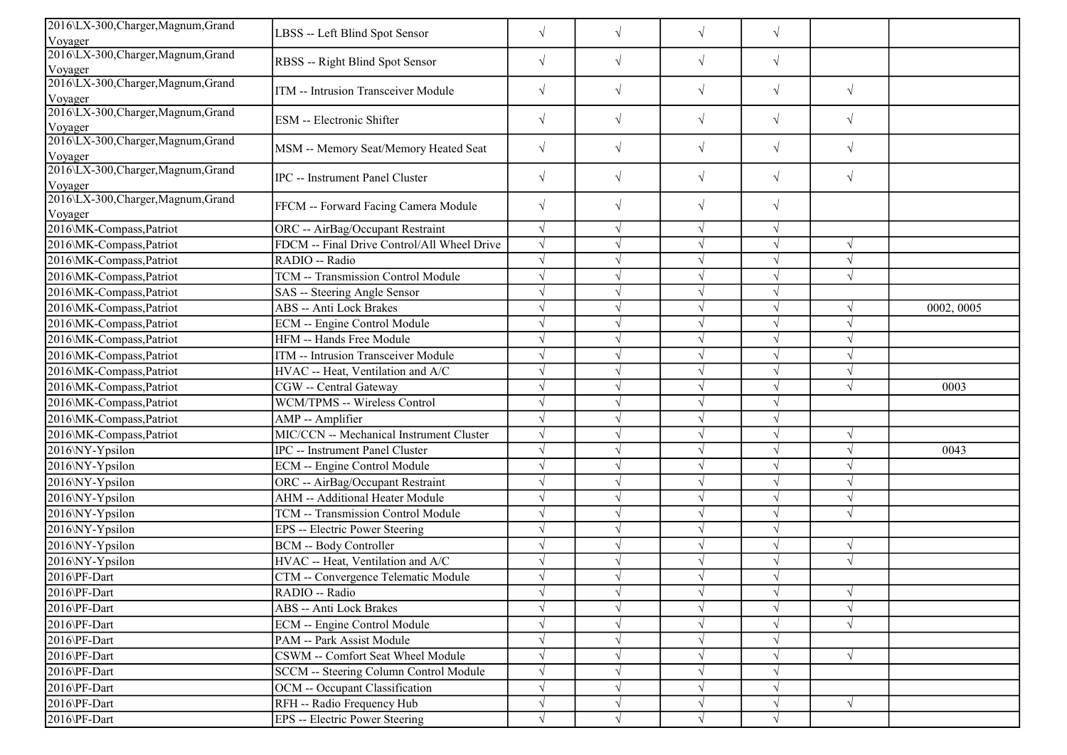| 2016\LX-300, Charger, Magnum, Grand<br>$\sqrt{}$<br>$\sqrt{}$<br>$\sqrt{}$<br>$\sqrt{}$<br>LBSS -- Left Blind Spot Sensor<br>Voyager<br>2016\LX-300, Charger, Magnum, Grand<br>$\sqrt{ }$<br>$\sqrt{ }$<br>$\sqrt{ }$<br>$\sqrt{}$<br>RBSS -- Right Blind Spot Sensor<br>Voyager<br>2016\LX-300, Charger, Magnum, Grand<br>$\sqrt{ }$<br>$\sqrt{}$<br>$\sqrt{}$<br>$\sqrt{ }$<br>$\sqrt{ }$<br>ITM -- Intrusion Transceiver Module<br>Voyager<br>2016\LX-300, Charger, Magnum, Grand<br>$\sqrt{}$<br>$\sqrt{}$<br>$\sqrt{}$<br>$\sqrt{}$<br>$\sqrt{ }$<br>ESM -- Electronic Shifter<br>Voyager<br>2016\LX-300, Charger, Magnum, Grand<br>$\sqrt{}$<br>$\sqrt{}$<br>$\sqrt{}$<br>$\sqrt{ }$<br>$\sqrt{ }$<br>MSM -- Memory Seat/Memory Heated Seat<br>Voyager<br>2016\LX-300, Charger, Magnum, Grand<br>$\sqrt{ }$<br>$\sqrt{}$<br>$\sqrt{}$<br>$\sqrt{}$<br>$\sqrt{ }$<br>IPC -- Instrument Panel Cluster<br>Voyager<br>2016\LX-300, Charger, Magnum, Grand<br>$\sqrt{ }$<br>$\sqrt{}$<br>$\sqrt{}$<br>$\sqrt{}$<br>FFCM -- Forward Facing Camera Module<br>Voyager<br>2016\MK-Compass, Patriot<br>$\sqrt{ }$<br>$\sqrt{}$<br>ORC -- AirBag/Occupant Restraint<br>$\sqrt{ }$<br>$\sqrt{ }$<br>FDCM -- Final Drive Control/All Wheel Drive<br>$\sqrt{}$<br>$\sqrt{ }$<br>2016\MK-Compass,Patriot<br>$\sqrt{ }$<br>$\sqrt{ }$<br>2016\MK-Compass,Patriot<br>RADIO -- Radio<br>$\sqrt{ }$<br>$\sqrt{ }$<br>V<br>TCM -- Transmission Control Module<br>$\sqrt{ }$<br>$\sqrt{ }$<br>2016\MK-Compass,Patriot<br>$\sqrt{ }$ |
|----------------------------------------------------------------------------------------------------------------------------------------------------------------------------------------------------------------------------------------------------------------------------------------------------------------------------------------------------------------------------------------------------------------------------------------------------------------------------------------------------------------------------------------------------------------------------------------------------------------------------------------------------------------------------------------------------------------------------------------------------------------------------------------------------------------------------------------------------------------------------------------------------------------------------------------------------------------------------------------------------------------------------------------------------------------------------------------------------------------------------------------------------------------------------------------------------------------------------------------------------------------------------------------------------------------------------------------------------------------------------------------------------------------------------------------------------------------------------------------------------------------------|
|                                                                                                                                                                                                                                                                                                                                                                                                                                                                                                                                                                                                                                                                                                                                                                                                                                                                                                                                                                                                                                                                                                                                                                                                                                                                                                                                                                                                                                                                                                                      |
|                                                                                                                                                                                                                                                                                                                                                                                                                                                                                                                                                                                                                                                                                                                                                                                                                                                                                                                                                                                                                                                                                                                                                                                                                                                                                                                                                                                                                                                                                                                      |
|                                                                                                                                                                                                                                                                                                                                                                                                                                                                                                                                                                                                                                                                                                                                                                                                                                                                                                                                                                                                                                                                                                                                                                                                                                                                                                                                                                                                                                                                                                                      |
|                                                                                                                                                                                                                                                                                                                                                                                                                                                                                                                                                                                                                                                                                                                                                                                                                                                                                                                                                                                                                                                                                                                                                                                                                                                                                                                                                                                                                                                                                                                      |
|                                                                                                                                                                                                                                                                                                                                                                                                                                                                                                                                                                                                                                                                                                                                                                                                                                                                                                                                                                                                                                                                                                                                                                                                                                                                                                                                                                                                                                                                                                                      |
|                                                                                                                                                                                                                                                                                                                                                                                                                                                                                                                                                                                                                                                                                                                                                                                                                                                                                                                                                                                                                                                                                                                                                                                                                                                                                                                                                                                                                                                                                                                      |
|                                                                                                                                                                                                                                                                                                                                                                                                                                                                                                                                                                                                                                                                                                                                                                                                                                                                                                                                                                                                                                                                                                                                                                                                                                                                                                                                                                                                                                                                                                                      |
|                                                                                                                                                                                                                                                                                                                                                                                                                                                                                                                                                                                                                                                                                                                                                                                                                                                                                                                                                                                                                                                                                                                                                                                                                                                                                                                                                                                                                                                                                                                      |
|                                                                                                                                                                                                                                                                                                                                                                                                                                                                                                                                                                                                                                                                                                                                                                                                                                                                                                                                                                                                                                                                                                                                                                                                                                                                                                                                                                                                                                                                                                                      |
|                                                                                                                                                                                                                                                                                                                                                                                                                                                                                                                                                                                                                                                                                                                                                                                                                                                                                                                                                                                                                                                                                                                                                                                                                                                                                                                                                                                                                                                                                                                      |
|                                                                                                                                                                                                                                                                                                                                                                                                                                                                                                                                                                                                                                                                                                                                                                                                                                                                                                                                                                                                                                                                                                                                                                                                                                                                                                                                                                                                                                                                                                                      |
|                                                                                                                                                                                                                                                                                                                                                                                                                                                                                                                                                                                                                                                                                                                                                                                                                                                                                                                                                                                                                                                                                                                                                                                                                                                                                                                                                                                                                                                                                                                      |
| $\sqrt{ }$<br>2016\MK-Compass,Patriot<br>SAS -- Steering Angle Sensor<br>J                                                                                                                                                                                                                                                                                                                                                                                                                                                                                                                                                                                                                                                                                                                                                                                                                                                                                                                                                                                                                                                                                                                                                                                                                                                                                                                                                                                                                                           |
| 2016\MK-Compass,Patriot<br><b>ABS</b> -- Anti Lock Brakes<br>0002, 0005<br>$\sqrt{ }$<br>$\sqrt{ }$<br>V                                                                                                                                                                                                                                                                                                                                                                                                                                                                                                                                                                                                                                                                                                                                                                                                                                                                                                                                                                                                                                                                                                                                                                                                                                                                                                                                                                                                             |
| 2016\MK-Compass,Patriot<br>ECM -- Engine Control Module<br>$\sqrt{ }$<br>$\sqrt{ }$<br>$\sqrt{2}$<br>V                                                                                                                                                                                                                                                                                                                                                                                                                                                                                                                                                                                                                                                                                                                                                                                                                                                                                                                                                                                                                                                                                                                                                                                                                                                                                                                                                                                                               |
| 2016\MK-Compass,Patriot<br>HFM -- Hands Free Module<br>$\sqrt{}$<br>$\sqrt{}$<br>$\sqrt{2}$                                                                                                                                                                                                                                                                                                                                                                                                                                                                                                                                                                                                                                                                                                                                                                                                                                                                                                                                                                                                                                                                                                                                                                                                                                                                                                                                                                                                                          |
| ITM -- Intrusion Transceiver Module<br>2016\MK-Compass,Patriot<br>$\sqrt{ }$<br>$\mathcal{A}$                                                                                                                                                                                                                                                                                                                                                                                                                                                                                                                                                                                                                                                                                                                                                                                                                                                                                                                                                                                                                                                                                                                                                                                                                                                                                                                                                                                                                        |
| 2016\MK-Compass,Patriot<br>HVAC -- Heat, Ventilation and A/C<br>$\sqrt{ }$<br>$\sqrt{2}$                                                                                                                                                                                                                                                                                                                                                                                                                                                                                                                                                                                                                                                                                                                                                                                                                                                                                                                                                                                                                                                                                                                                                                                                                                                                                                                                                                                                                             |
| 2016\MK-Compass,Patriot<br>CGW -- Central Gateway<br>$\sqrt{ }$<br>J<br>$\sqrt{2}$<br>0003                                                                                                                                                                                                                                                                                                                                                                                                                                                                                                                                                                                                                                                                                                                                                                                                                                                                                                                                                                                                                                                                                                                                                                                                                                                                                                                                                                                                                           |
| 2016\MK-Compass,Patriot<br>WCM/TPMS -- Wireless Control<br>$\sqrt{ }$<br>J                                                                                                                                                                                                                                                                                                                                                                                                                                                                                                                                                                                                                                                                                                                                                                                                                                                                                                                                                                                                                                                                                                                                                                                                                                                                                                                                                                                                                                           |
| $\sqrt{ }$<br>2016\MK-Compass,Patriot<br>$\sqrt{ }$<br>AMP -- Amplifier<br>$\sqrt{}$                                                                                                                                                                                                                                                                                                                                                                                                                                                                                                                                                                                                                                                                                                                                                                                                                                                                                                                                                                                                                                                                                                                                                                                                                                                                                                                                                                                                                                 |
| MIC/CCN -- Mechanical Instrument Cluster<br>$\sqrt{}$<br>2016\MK-Compass,Patriot<br>$\sqrt{ }$<br>$\sqrt{ }$<br>$\sqrt{ }$                                                                                                                                                                                                                                                                                                                                                                                                                                                                                                                                                                                                                                                                                                                                                                                                                                                                                                                                                                                                                                                                                                                                                                                                                                                                                                                                                                                           |
| 2016\NY-Ypsilon<br><b>IPC</b> -- Instrument Panel Cluster<br>$\sqrt{ }$<br>0043<br>$\sqrt{}$<br>$\sqrt{2}$                                                                                                                                                                                                                                                                                                                                                                                                                                                                                                                                                                                                                                                                                                                                                                                                                                                                                                                                                                                                                                                                                                                                                                                                                                                                                                                                                                                                           |
| $\sqrt{}$<br>ECM -- Engine Control Module<br>2016\NY-Ypsilon<br>$\sqrt{}$<br>$\sqrt{ }$                                                                                                                                                                                                                                                                                                                                                                                                                                                                                                                                                                                                                                                                                                                                                                                                                                                                                                                                                                                                                                                                                                                                                                                                                                                                                                                                                                                                                              |
| ORC -- AirBag/Occupant Restraint<br>$\sqrt{ }$<br>$\sqrt{ }$<br>2016\NY-Ypsilon<br>$\sqrt{ }$                                                                                                                                                                                                                                                                                                                                                                                                                                                                                                                                                                                                                                                                                                                                                                                                                                                                                                                                                                                                                                                                                                                                                                                                                                                                                                                                                                                                                        |
| <b>AHM -- Additional Heater Module</b><br>2016\NY-Ypsilon<br>$\sqrt{ }$<br>$\sqrt{ }$<br>V                                                                                                                                                                                                                                                                                                                                                                                                                                                                                                                                                                                                                                                                                                                                                                                                                                                                                                                                                                                                                                                                                                                                                                                                                                                                                                                                                                                                                           |
| <b>TCM -- Transmission Control Module</b><br>2016\NY-Ypsilon<br>$\sqrt{}$<br>$\sqrt{ }$<br>$\sqrt{ }$<br>$\sqrt{ }$                                                                                                                                                                                                                                                                                                                                                                                                                                                                                                                                                                                                                                                                                                                                                                                                                                                                                                                                                                                                                                                                                                                                                                                                                                                                                                                                                                                                  |
| $\sqrt{}$<br>2016\NY-Ypsilon<br>EPS -- Electric Power Steering<br>$\sqrt{ }$<br>$\sqrt{}$                                                                                                                                                                                                                                                                                                                                                                                                                                                                                                                                                                                                                                                                                                                                                                                                                                                                                                                                                                                                                                                                                                                                                                                                                                                                                                                                                                                                                            |
| 2016\NY-Ypsilon<br><b>BCM -- Body Controller</b><br>$\sqrt{ }$<br>$\sqrt{ }$                                                                                                                                                                                                                                                                                                                                                                                                                                                                                                                                                                                                                                                                                                                                                                                                                                                                                                                                                                                                                                                                                                                                                                                                                                                                                                                                                                                                                                         |
| HVAC -- Heat, Ventilation and A/C<br>$\sqrt{ }$<br>2016\NY-Ypsilon<br>$\sqrt{ }$                                                                                                                                                                                                                                                                                                                                                                                                                                                                                                                                                                                                                                                                                                                                                                                                                                                                                                                                                                                                                                                                                                                                                                                                                                                                                                                                                                                                                                     |
| 2016\PF-Dart<br>CTM -- Convergence Telematic Module<br>$\sqrt{ }$<br>V                                                                                                                                                                                                                                                                                                                                                                                                                                                                                                                                                                                                                                                                                                                                                                                                                                                                                                                                                                                                                                                                                                                                                                                                                                                                                                                                                                                                                                               |
| 2016\PF-Dart<br>RADIO -- Radio<br>$\sqrt{ }$<br>$\sqrt{ }$<br>$\sqrt{ }$<br>V                                                                                                                                                                                                                                                                                                                                                                                                                                                                                                                                                                                                                                                                                                                                                                                                                                                                                                                                                                                                                                                                                                                                                                                                                                                                                                                                                                                                                                        |
| 2016\PF-Dart<br><b>ABS</b> -- Anti Lock Brakes<br>$\sqrt{ }$<br>$\sqrt{ }$                                                                                                                                                                                                                                                                                                                                                                                                                                                                                                                                                                                                                                                                                                                                                                                                                                                                                                                                                                                                                                                                                                                                                                                                                                                                                                                                                                                                                                           |
| 2016\PF-Dart<br>$\sqrt{}$<br><b>ECM</b> -- Engine Control Module<br>$\sqrt{ }$<br>$\sqrt{}$<br>$\sqrt{ }$                                                                                                                                                                                                                                                                                                                                                                                                                                                                                                                                                                                                                                                                                                                                                                                                                                                                                                                                                                                                                                                                                                                                                                                                                                                                                                                                                                                                            |
| 2016\PF-Dart<br>PAM -- Park Assist Module<br>$\sqrt{ }$<br>V                                                                                                                                                                                                                                                                                                                                                                                                                                                                                                                                                                                                                                                                                                                                                                                                                                                                                                                                                                                                                                                                                                                                                                                                                                                                                                                                                                                                                                                         |
| $\sqrt{}$<br>2016\PF-Dart<br>CSWM -- Comfort Seat Wheel Module<br>$\sqrt{ }$<br>$\sqrt{}$<br>$\sqrt{ }$                                                                                                                                                                                                                                                                                                                                                                                                                                                                                                                                                                                                                                                                                                                                                                                                                                                                                                                                                                                                                                                                                                                                                                                                                                                                                                                                                                                                              |
| 2016\PF-Dart<br>SCCM -- Steering Column Control Module<br>$\sqrt{ }$<br>V<br>$\sqrt{ }$                                                                                                                                                                                                                                                                                                                                                                                                                                                                                                                                                                                                                                                                                                                                                                                                                                                                                                                                                                                                                                                                                                                                                                                                                                                                                                                                                                                                                              |
| OCM -- Occupant Classification<br>2016\PF-Dart<br>$\sqrt{}$<br>$\sqrt{ }$<br>$\sqrt{}$<br>$\sqrt{ }$                                                                                                                                                                                                                                                                                                                                                                                                                                                                                                                                                                                                                                                                                                                                                                                                                                                                                                                                                                                                                                                                                                                                                                                                                                                                                                                                                                                                                 |
| RFH -- Radio Frequency Hub<br>$\sqrt{ }$<br>2016\PF-Dart<br>$\sqrt{}$<br>$\sqrt{}$<br>$\sqrt{}$<br>$\sqrt{}$                                                                                                                                                                                                                                                                                                                                                                                                                                                                                                                                                                                                                                                                                                                                                                                                                                                                                                                                                                                                                                                                                                                                                                                                                                                                                                                                                                                                         |
| 2016\PF-Dart<br>EPS -- Electric Power Steering<br>$\sqrt{}$<br>$\sqrt{}$<br>$\sqrt{ }$<br>$\sqrt{}$                                                                                                                                                                                                                                                                                                                                                                                                                                                                                                                                                                                                                                                                                                                                                                                                                                                                                                                                                                                                                                                                                                                                                                                                                                                                                                                                                                                                                  |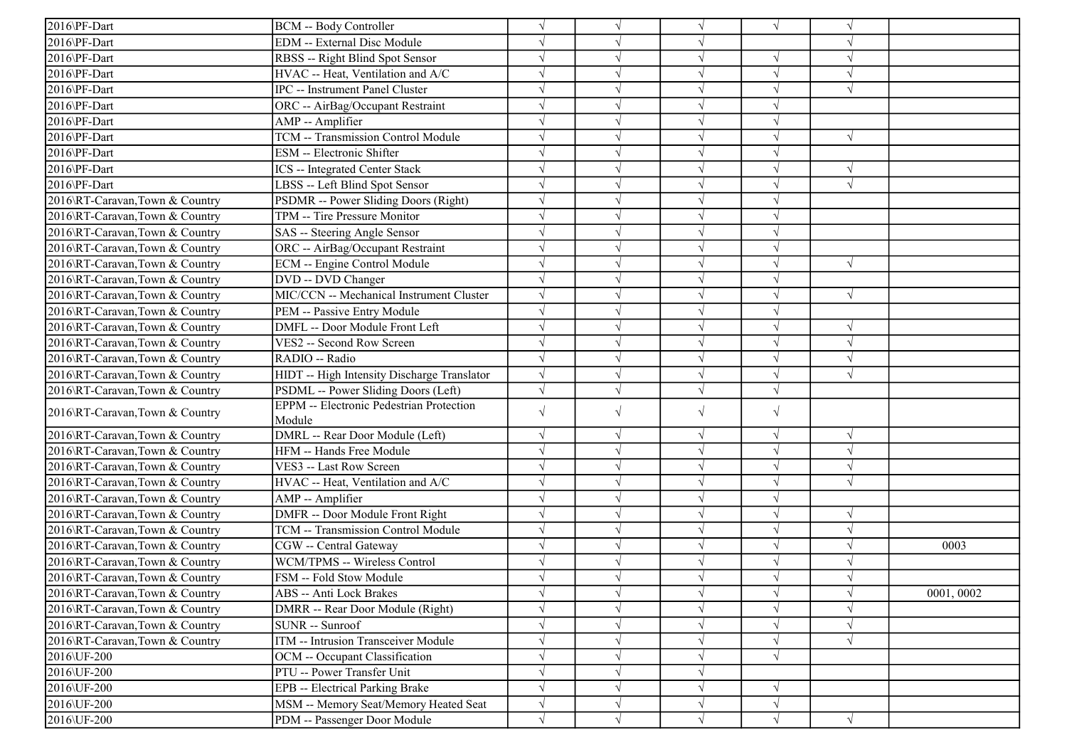| 2016\PF-Dart                   | <b>BCM -- Body Controller</b>                   |            |            | $\sqrt{ }$ | $\sqrt{ }$ |            |           |
|--------------------------------|-------------------------------------------------|------------|------------|------------|------------|------------|-----------|
| 2016\PF-Dart                   | <b>EDM</b> -- External Disc Module              | $\sqrt{}$  |            | $\sqrt{}$  |            |            |           |
| 2016\PF-Dart                   | RBSS -- Right Blind Spot Sensor                 | $\sqrt{}$  |            | $\sqrt{}$  | J          | $\sqrt{ }$ |           |
| 2016\PF-Dart                   | HVAC -- Heat, Ventilation and A/C               |            |            | V          |            |            |           |
| 2016\PF-Dart                   | IPC -- Instrument Panel Cluster                 | $\sqrt{}$  |            | $\sqrt{ }$ | J          | $\sqrt{ }$ |           |
| 2016\PF-Dart                   | ORC -- AirBag/Occupant Restraint                | $\sqrt{}$  |            | $\sqrt{ }$ | $\sqrt{}$  |            |           |
| 2016\PF-Dart                   | AMP -- Amplifier                                | $\sqrt{}$  |            | V          | V          |            |           |
| 2016\PF-Dart                   | TCM -- Transmission Control Module              | $\sqrt{ }$ |            | $\sqrt{ }$ | $\sqrt{}$  | $\sqrt{ }$ |           |
| 2016\PF-Dart                   | ESM -- Electronic Shifter                       | $\sqrt{}$  |            | $\sqrt{ }$ | $\sqrt{}$  |            |           |
| 2016\PF-Dart                   | <b>ICS</b> -- Integrated Center Stack           |            |            | $\sqrt{ }$ |            | $\sqrt{ }$ |           |
| 2016\PF-Dart                   | LBSS -- Left Blind Spot Sensor                  |            |            | $\sqrt{}$  | J          | $\sqrt{ }$ |           |
| 2016\RT-Caravan,Town & Country | PSDMR -- Power Sliding Doors (Right)            |            |            | $\sqrt{}$  |            |            |           |
| 2016\RT-Caravan,Town & Country | TPM -- Tire Pressure Monitor                    | $\sqrt{}$  |            | $\sqrt{}$  | V          |            |           |
| 2016\RT-Caravan,Town & Country | SAS -- Steering Angle Sensor                    | $\sqrt{}$  |            | $\sqrt{ }$ | V          |            |           |
| 2016\RT-Caravan,Town & Country | ORC -- AirBag/Occupant Restraint                | $\sqrt{}$  |            | $\sqrt{}$  | J          |            |           |
| 2016\RT-Caravan,Town & Country | ECM -- Engine Control Module                    |            |            | $\sqrt{}$  |            | $\sqrt{ }$ |           |
| 2016\RT-Caravan,Town & Country | DVD -- DVD Changer                              | $\sqrt{}$  |            | $\sqrt{}$  |            |            |           |
| 2016\RT-Caravan,Town & Country | MIC/CCN -- Mechanical Instrument Cluster        | $\sqrt{}$  |            | $\sqrt{}$  |            | $\sqrt{ }$ |           |
| 2016\RT-Caravan,Town & Country | PEM -- Passive Entry Module                     | $\sqrt{ }$ |            | $\sqrt{ }$ | J          |            |           |
| 2016\RT-Caravan,Town & Country | DMFL -- Door Module Front Left                  | $\sqrt{ }$ |            | $\sqrt{ }$ | $\sqrt{}$  | $\sqrt{ }$ |           |
| 2016\RT-Caravan,Town & Country | VES2 -- Second Row Screen                       | $\sqrt{}$  |            | $\sqrt{ }$ | $\sqrt{}$  | $\sqrt{ }$ |           |
| 2016\RT-Caravan,Town & Country | RADIO -- Radio                                  | $\sqrt{}$  |            | $\sqrt{}$  | $\sqrt{ }$ | $\sqrt{ }$ |           |
| 2016\RT-Caravan,Town & Country | HIDT -- High Intensity Discharge Translator     | $\sqrt{ }$ |            | $\sqrt{}$  |            | $\sqrt{ }$ |           |
| 2016\RT-Caravan,Town & Country | PSDML -- Power Sliding Doors (Left)             |            |            | $\sqrt{}$  | J          |            |           |
| 2016\RT-Caravan,Town & Country | <b>EPPM</b> -- Electronic Pedestrian Protection | $\sqrt{}$  | $\sqrt{ }$ | $\sqrt{}$  | $\sqrt{}$  |            |           |
|                                | Module                                          |            |            |            |            |            |           |
| 2016\RT-Caravan,Town & Country | DMRL -- Rear Door Module (Left)                 | $\sqrt{}$  |            | $\sqrt{ }$ | $\sqrt{ }$ | $\sqrt{ }$ |           |
| 2016\RT-Caravan,Town & Country | HFM -- Hands Free Module                        | $\sqrt{}$  |            | $\sqrt{ }$ | J          | $\sqrt{ }$ |           |
| 2016\RT-Caravan,Town & Country | VES3 -- Last Row Screen                         |            |            | $\sqrt{}$  | V          | $\sqrt{ }$ |           |
| 2016\RT-Caravan,Town & Country | HVAC -- Heat, Ventilation and A/C               |            |            | $\sqrt{}$  | V          | $\sqrt{ }$ |           |
| 2016\RT-Caravan,Town & Country | AMP -- Amplifier                                |            |            | $\sqrt{ }$ | V          |            |           |
| 2016\RT-Caravan,Town & Country | DMFR -- Door Module Front Right                 | $\sqrt{}$  |            | $\sqrt{ }$ | $\sqrt{}$  | $\sqrt{ }$ |           |
| 2016\RT-Caravan,Town & Country | TCM -- Transmission Control Module              |            |            | $\sqrt{ }$ |            | $\sqrt{ }$ |           |
| 2016\RT-Caravan,Town & Country | CGW -- Central Gateway                          |            |            | $\sqrt{}$  |            | $\sqrt{ }$ | 0003      |
| 2016\RT-Caravan,Town & Country | WCM/TPMS -- Wireless Control                    | V          |            | V          |            | $\sqrt{ }$ |           |
| 2016\RT-Caravan,Town & Country | FSM -- Fold Stow Module                         |            |            |            | V          | $\sqrt{ }$ |           |
| 2016\RT-Caravan,Town & Country | ABS -- Anti Lock Brakes                         | $\sqrt{}$  | $\sqrt{ }$ | $\sqrt{}$  | $\sqrt{}$  | $\sqrt{ }$ | 0001,0002 |
| 2016\RT-Caravan,Town & Country | DMRR -- Rear Door Module (Right)                | $\sqrt{}$  |            | $\sqrt{}$  |            |            |           |
| 2016\RT-Caravan,Town & Country | <b>SUNR</b> -- Sunroof                          |            |            | $\sqrt{}$  | V          | $\sqrt{ }$ |           |
| 2016\RT-Caravan,Town & Country | ITM -- Intrusion Transceiver Module             | $\sqrt{}$  |            | $\sqrt{}$  | $\sqrt{ }$ | $\sqrt{ }$ |           |
| 2016\UF-200                    | OCM -- Occupant Classification                  | $\sqrt{}$  |            | V          | $\sqrt{ }$ |            |           |
| 2016\UF-200                    | PTU -- Power Transfer Unit                      | $\sqrt{}$  |            | $\sqrt{}$  |            |            |           |
| 2016\UF-200                    | <b>EPB</b> -- Electrical Parking Brake          | $\sqrt{}$  |            | $\sqrt{}$  | $\sqrt{ }$ |            |           |
| 2016\UF-200                    | MSM -- Memory Seat/Memory Heated Seat           | $\sqrt{}$  |            | $\sqrt{}$  | $\sqrt{ }$ |            |           |
| 2016\UF-200                    | PDM -- Passenger Door Module                    | $\sqrt{}$  | $\sqrt{}$  | $\sqrt{ }$ | $\sqrt{}$  | $\sqrt{ }$ |           |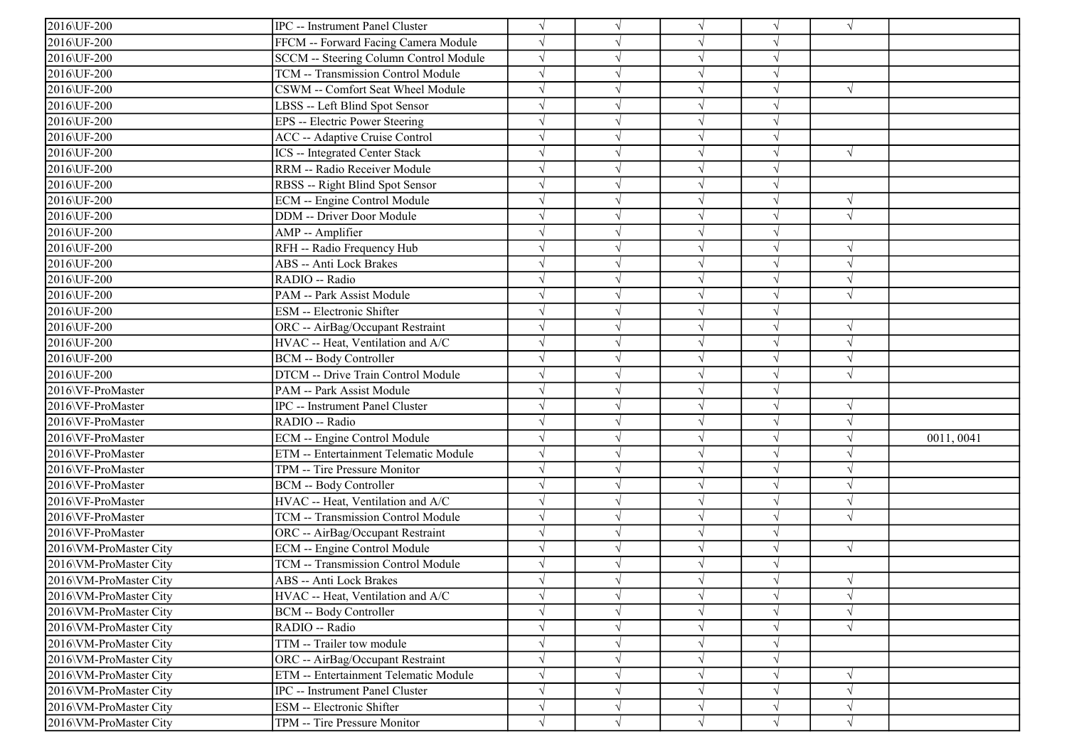| 2016\UF-200            | <b>IPC</b> -- Instrument Panel Cluster |            |            | $\sqrt{ }$ | V          | $\sqrt{ }$ |            |
|------------------------|----------------------------------------|------------|------------|------------|------------|------------|------------|
| 2016\UF-200            | FFCM -- Forward Facing Camera Module   | $\sqrt{}$  |            | $\sqrt{ }$ | J          |            |            |
| 2016\UF-200            | SCCM -- Steering Column Control Module | $\sqrt{}$  |            | $\sqrt{ }$ | $\sqrt{}$  |            |            |
| 2016\UF-200            | TCM -- Transmission Control Module     |            |            | $\sqrt{ }$ |            |            |            |
| 2016\UF-200            | CSWM -- Comfort Seat Wheel Module      |            |            | $\sqrt{ }$ | J          | $\sqrt{ }$ |            |
| 2016\UF-200            | LBSS -- Left Blind Spot Sensor         |            |            | $\sqrt{ }$ | V          |            |            |
| 2016\UF-200            | EPS -- Electric Power Steering         |            |            | $\sqrt{ }$ | V          |            |            |
| 2016\UF-200            | <b>ACC</b> -- Adaptive Cruise Control  |            |            | $\sqrt{ }$ | J          |            |            |
| 2016\UF-200            | ICS -- Integrated Center Stack         |            |            | $\sqrt{ }$ | $\sqrt{ }$ | $\sqrt{ }$ |            |
| 2016\UF-200            | RRM -- Radio Receiver Module           |            |            | $\sqrt{ }$ |            |            |            |
| 2016\UF-200            | RBSS -- Right Blind Spot Sensor        |            |            | $\sqrt{}$  | J          |            |            |
| 2016\UF-200            | ECM -- Engine Control Module           |            |            | $\sqrt{ }$ | V          | $\sqrt{ }$ |            |
| 2016\UF-200            | DDM -- Driver Door Module              |            |            | $\sqrt{ }$ | V          | $\sqrt{ }$ |            |
| 2016\UF-200            | AMP -- Amplifier                       |            |            | $\sqrt{ }$ | V          |            |            |
| 2016\UF-200            | RFH -- Radio Frequency Hub             |            |            | $\sqrt{ }$ | J          | $\sqrt{ }$ |            |
| 2016\UF-200            | ABS -- Anti Lock Brakes                |            |            | $\sqrt{}$  |            | $\sqrt{ }$ |            |
| 2016\UF-200            | RADIO -- Radio                         |            |            | $\sqrt{ }$ |            | $\sqrt{ }$ |            |
| 2016\UF-200            | PAM -- Park Assist Module              |            |            | $\sqrt{ }$ |            | $\sqrt{ }$ |            |
| 2016\UF-200            | ESM -- Electronic Shifter              |            |            | $\sqrt{ }$ | $\sqrt{}$  |            |            |
| 2016\UF-200            | ORC -- AirBag/Occupant Restraint       | $\sqrt{}$  |            | $\sqrt{ }$ | J          | $\sqrt{ }$ |            |
| 2016\UF-200            | HVAC -- Heat, Ventilation and A/C      | $\sqrt{}$  |            | $\sqrt{ }$ | $\sqrt{ }$ | $\sqrt{ }$ |            |
| 2016\UF-200            | <b>BCM -- Body Controller</b>          |            |            | $\sqrt{ }$ | $\sqrt{ }$ | $\sqrt{ }$ |            |
| 2016\UF-200            | DTCM -- Drive Train Control Module     |            |            | $\sqrt{ }$ |            | $\sqrt{ }$ |            |
| 2016\VF-ProMaster      | PAM -- Park Assist Module              |            |            | $\sqrt{ }$ | V          |            |            |
| 2016\VF-ProMaster      | IPC -- Instrument Panel Cluster        |            |            | $\sqrt{ }$ | $\sqrt{ }$ | $\sqrt{ }$ |            |
| 2016\VF-ProMaster      | RADIO -- Radio                         |            |            | $\sqrt{ }$ | V          | $\sqrt{ }$ |            |
| 2016\VF-ProMaster      | ECM -- Engine Control Module           |            |            | $\sqrt{ }$ | $\sqrt{}$  | $\sqrt{ }$ | 0011, 0041 |
| 2016\VF-ProMaster      | ETM -- Entertainment Telematic Module  |            |            | $\sqrt{ }$ | $\sqrt{}$  | $\sqrt{ }$ |            |
| 2016\VF-ProMaster      | TPM -- Tire Pressure Monitor           |            |            | $\sqrt{ }$ |            |            |            |
| 2016\VF-ProMaster      | <b>BCM -- Body Controller</b>          |            |            | $\sqrt{ }$ |            | $\sqrt{ }$ |            |
| 2016\VF-ProMaster      | HVAC -- Heat, Ventilation and A/C      | $\sqrt{ }$ |            | $\sqrt{ }$ | J          | $\sqrt{ }$ |            |
| 2016\VF-ProMaster      | TCM -- Transmission Control Module     |            |            | $\sqrt{ }$ | V          | $\sqrt{ }$ |            |
| 2016\VF-ProMaster      | ORC -- AirBag/Occupant Restraint       | $\sqrt{}$  |            | $\sqrt{ }$ | $\sqrt{ }$ |            |            |
| 2016\VM-ProMaster City | ECM -- Engine Control Module           |            |            | $\sqrt{ }$ | $\sqrt{ }$ | $\sqrt{ }$ |            |
| 2016\VM-ProMaster City | TCM -- Transmission Control Module     |            |            | $\sqrt{ }$ |            |            |            |
| 2016\VM-ProMaster City | ABS -- Anti Lock Brakes                |            |            |            |            | $\sqrt{ }$ |            |
| 2016\VM-ProMaster City | HVAC -- Heat, Ventilation and A/C      | $\sqrt{}$  | $\sqrt{ }$ | $\sqrt{}$  | $\sqrt{ }$ | $\sqrt{ }$ |            |
| 2016\VM-ProMaster City | BCM -- Body Controller                 |            |            | $\sqrt{ }$ | V          | $\sqrt{ }$ |            |
| 2016\VM-ProMaster City | RADIO -- Radio                         |            |            | $\sqrt{ }$ | V          | $\sqrt{ }$ |            |
| 2016\VM-ProMaster City | TTM -- Trailer tow module              |            |            | $\sqrt{ }$ | J          |            |            |
| 2016\VM-ProMaster City | ORC -- AirBag/Occupant Restraint       |            |            | $\sqrt{ }$ |            |            |            |
| 2016\VM-ProMaster City | ETM -- Entertainment Telematic Module  | $\sqrt{}$  |            | $\sqrt{ }$ | V          | $\sqrt{ }$ |            |
| 2016\VM-ProMaster City | IPC -- Instrument Panel Cluster        | $\sqrt{}$  |            | $\sqrt{ }$ | V          | $\sqrt{ }$ |            |
| 2016\VM-ProMaster City | ESM -- Electronic Shifter              | $\sqrt{}$  | V          | $\sqrt{}$  | V          | $\sqrt{ }$ |            |
| 2016\VM-ProMaster City | TPM -- Tire Pressure Monitor           | $\sqrt{}$  | $\sqrt{ }$ | $\sqrt{ }$ | $\sqrt{ }$ | $\sqrt{ }$ |            |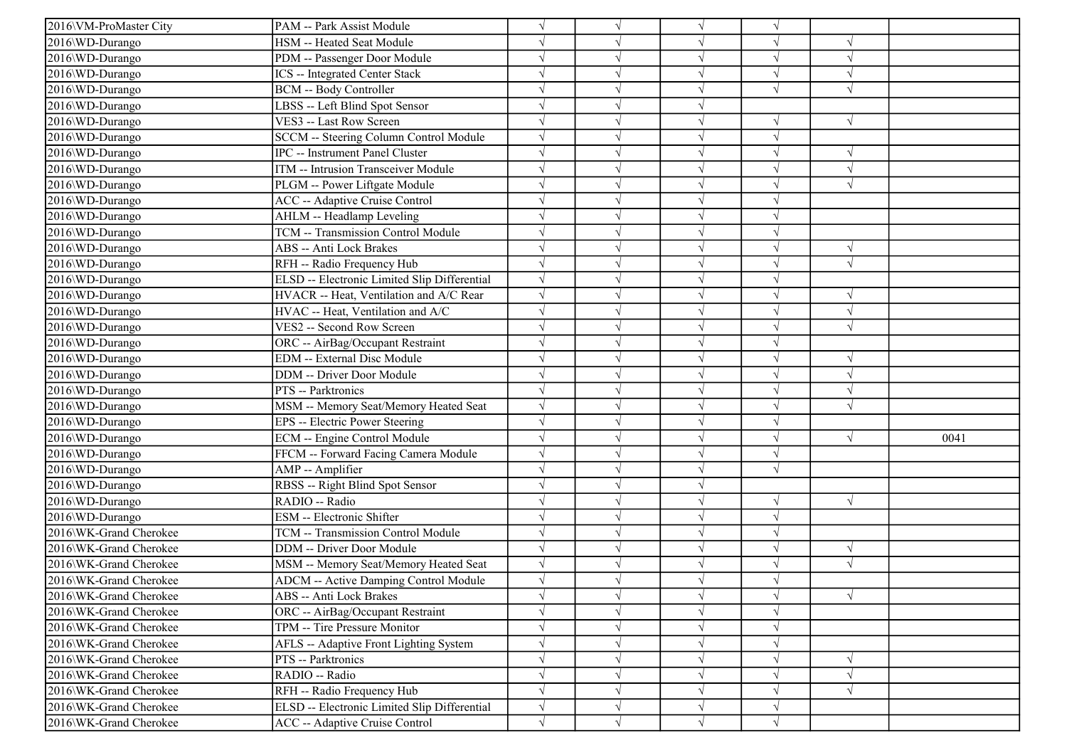| 2016\VM-ProMaster City | PAM -- Park Assist Module                    | $\sqrt{}$  |            | $\sqrt{ }$ | $\sqrt{ }$ |            |      |
|------------------------|----------------------------------------------|------------|------------|------------|------------|------------|------|
| 2016\WD-Durango        | HSM -- Heated Seat Module                    |            |            | $\sqrt{ }$ | V          |            |      |
| 2016\WD-Durango        | PDM -- Passenger Door Module                 |            |            | $\sqrt{ }$ | J          | $\sqrt{ }$ |      |
| 2016\WD-Durango        | <b>ICS</b> -- Integrated Center Stack        | $\sqrt{}$  |            | $\sqrt{ }$ | $\sqrt{}$  | $\sqrt{ }$ |      |
| 2016\WD-Durango        | <b>BCM -- Body Controller</b>                |            |            | $\sqrt{ }$ |            | $\sqrt{2}$ |      |
| 2016\WD-Durango        | LBSS -- Left Blind Spot Sensor               |            |            | V          |            |            |      |
| 2016\WD-Durango        | VES3 -- Last Row Screen                      | $\sqrt{}$  |            | $\sqrt{ }$ | V          | $\sqrt{ }$ |      |
| 2016\WD-Durango        | SCCM -- Steering Column Control Module       | $\sqrt{ }$ |            | $\sqrt{ }$ | J          |            |      |
| 2016\WD-Durango        | IPC -- Instrument Panel Cluster              | $\sqrt{ }$ |            | $\sqrt{ }$ | V          | $\sqrt{ }$ |      |
| 2016\WD-Durango        | ITM -- Intrusion Transceiver Module          | $\sqrt{}$  |            | $\sqrt{ }$ | V          | $\sqrt{ }$ |      |
| 2016\WD-Durango        | PLGM -- Power Liftgate Module                |            |            | $\sqrt{ }$ |            | $\sqrt{ }$ |      |
| 2016\WD-Durango        | <b>ACC</b> -- Adaptive Cruise Control        |            |            | $\sqrt{ }$ |            |            |      |
| 2016\WD-Durango        | AHLM -- Headlamp Leveling                    |            |            | $\sqrt{ }$ |            |            |      |
| 2016\WD-Durango        | TCM -- Transmission Control Module           |            |            | $\sqrt{ }$ | V          |            |      |
| 2016\WD-Durango        | ABS -- Anti Lock Brakes                      | $\sqrt{}$  |            | $\sqrt{ }$ | V          | $\sqrt{ }$ |      |
| 2016\WD-Durango        | RFH -- Radio Frequency Hub                   | $\sqrt{}$  |            | $\sqrt{ }$ | V          | $\sqrt{ }$ |      |
| 2016\WD-Durango        | ELSD -- Electronic Limited Slip Differential | $\sqrt{}$  |            | $\sqrt{ }$ |            |            |      |
| 2016\WD-Durango        | HVACR -- Heat, Ventilation and A/C Rear      | $\sqrt{}$  |            | $\sqrt{ }$ |            | $\sqrt{ }$ |      |
| 2016\WD-Durango        | HVAC -- Heat, Ventilation and A/C            | $\sqrt{}$  |            | $\sqrt{ }$ |            | $\sqrt{ }$ |      |
| 2016\WD-Durango        | VES2 -- Second Row Screen                    | $\sqrt{}$  |            | $\sqrt{ }$ | J          | $\sqrt{2}$ |      |
| 2016\WD-Durango        | ORC -- AirBag/Occupant Restraint             | $\sqrt{ }$ |            | $\sqrt{ }$ | V          |            |      |
| 2016\WD-Durango        | EDM -- External Disc Module                  | $\sqrt{ }$ |            | $\sqrt{ }$ | $\sqrt{ }$ | $\sqrt{ }$ |      |
| 2016\WD-Durango        | DDM -- Driver Door Module                    |            |            | $\sqrt{}$  |            | $\sqrt{ }$ |      |
| 2016\WD-Durango        | PTS -- Parktronics                           | $\sqrt{ }$ |            | $\sqrt{ }$ | J          | $\sqrt{ }$ |      |
| 2016\WD-Durango        | MSM -- Memory Seat/Memory Heated Seat        | $\sqrt{ }$ |            | $\sqrt{ }$ | V          | $\sqrt{ }$ |      |
| 2016\WD-Durango        | EPS -- Electric Power Steering               |            |            | $\sqrt{ }$ | V          |            |      |
| 2016\WD-Durango        | ECM -- Engine Control Module                 | $\sqrt{}$  |            | $\sqrt{ }$ | V          | $\sqrt{ }$ | 0041 |
| 2016\WD-Durango        | FFCM -- Forward Facing Camera Module         | $\sqrt{}$  |            | $\sqrt{ }$ | V          |            |      |
| 2016\WD-Durango        | AMP -- Amplifier                             |            |            | $\sqrt{ }$ | $\sqrt{ }$ |            |      |
| 2016\WD-Durango        | RBSS -- Right Blind Spot Sensor              |            |            | V          |            |            |      |
| 2016\WD-Durango        | RADIO -- Radio                               |            |            | $\sqrt{ }$ | J          | $\sqrt{ }$ |      |
| 2016\WD-Durango        | ESM -- Electronic Shifter                    | $\sqrt{ }$ |            | $\sqrt{ }$ | V          |            |      |
| 2016\WK-Grand Cherokee | TCM -- Transmission Control Module           | $\sqrt{}$  |            | $\sqrt{ }$ | ٦I         |            |      |
| 2016\WK-Grand Cherokee | DDM -- Driver Door Module                    | $\sqrt{}$  |            | $\sqrt{ }$ | V          | $\sqrt{ }$ |      |
| 2016\WK-Grand Cherokee | MSM -- Memory Seat/Memory Heated Seat        | $\sqrt{}$  |            | $\sqrt{ }$ | V          | $\sqrt{ }$ |      |
| 2016\WK-Grand Cherokee | ADCM -- Active Damping Control Module        |            |            |            |            |            |      |
| 2016\WK-Grand Cherokee | ABS -- Anti Lock Brakes                      | $\sqrt{}$  | V          | $\sqrt{}$  | $\sqrt{ }$ | $\sqrt{}$  |      |
| 2016\WK-Grand Cherokee | ORC -- AirBag/Occupant Restraint             | $\sqrt{}$  |            | $\sqrt{ }$ | $\sqrt{ }$ |            |      |
| 2016\WK-Grand Cherokee | TPM -- Tire Pressure Monitor                 |            |            | V          | V          |            |      |
| 2016\WK-Grand Cherokee | AFLS -- Adaptive Front Lighting System       | $\sqrt{}$  |            | $\sqrt{}$  | V          |            |      |
| 2016\WK-Grand Cherokee | PTS -- Parktronics                           | $\sqrt{}$  |            | $\sqrt{ }$ | V          | $\sqrt{ }$ |      |
| 2016\WK-Grand Cherokee | RADIO -- Radio                               |            |            | $\sqrt{ }$ |            | $\sqrt{ }$ |      |
| 2016\WK-Grand Cherokee | RFH -- Radio Frequency Hub                   | $\sqrt{}$  |            | $\sqrt{ }$ |            | $\sqrt{ }$ |      |
| 2016\WK-Grand Cherokee | ELSD -- Electronic Limited Slip Differential | $\sqrt{}$  | V          | $\sqrt{}$  | V          |            |      |
| 2016\WK-Grand Cherokee | ACC -- Adaptive Cruise Control               | $\sqrt{}$  | $\sqrt{ }$ | $\sqrt{ }$ | $\sqrt{ }$ |            |      |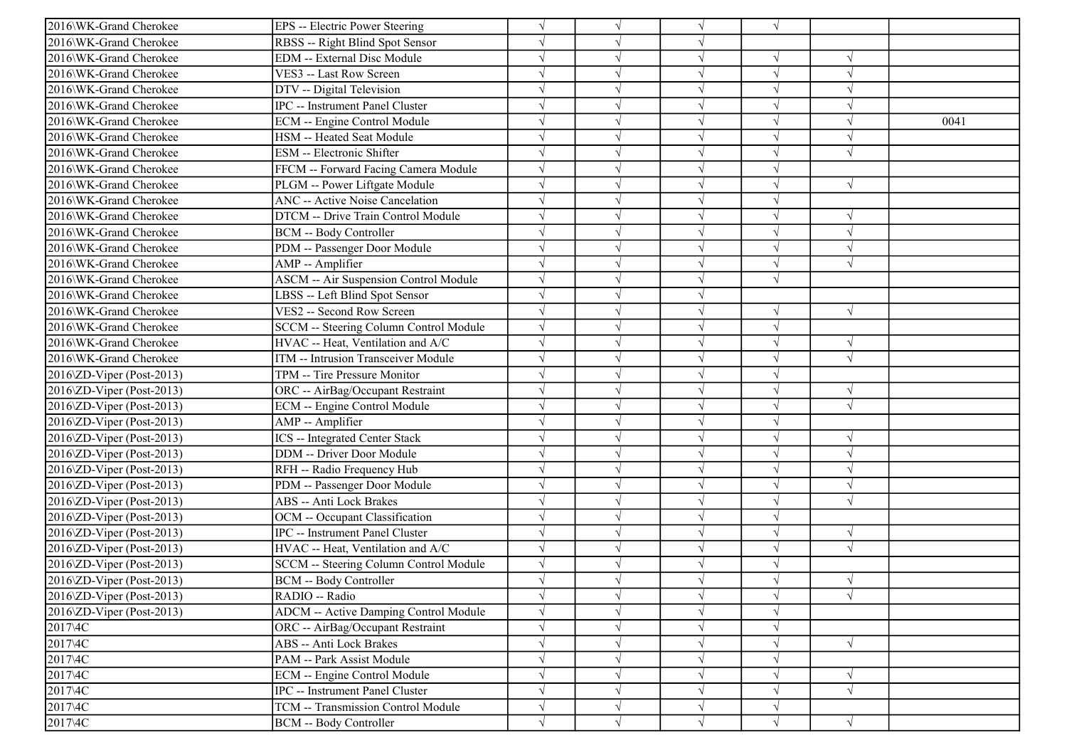| 2016\WK-Grand Cherokee                 | EPS -- Electric Power Steering               |            |               | $\sqrt{ }$ | $\sqrt{}$  |               |      |
|----------------------------------------|----------------------------------------------|------------|---------------|------------|------------|---------------|------|
| 2016\WK-Grand Cherokee                 | RBSS -- Right Blind Spot Sensor              | $\sqrt{ }$ |               | $\sqrt{ }$ |            |               |      |
| 2016\WK-Grand Cherokee                 | <b>EDM</b> -- External Disc Module           |            |               | $\sqrt{ }$ | V          | $\sqrt{ }$    |      |
| 2016\WK-Grand Cherokee                 | VES3 -- Last Row Screen                      |            |               | $\sqrt{ }$ |            |               |      |
| 2016\WK-Grand Cherokee                 | DTV -- Digital Television                    |            |               | $\sqrt{ }$ | J          | $\sqrt{ }$    |      |
| 2016\WK-Grand Cherokee                 | <b>IPC</b> -- Instrument Panel Cluster       |            |               | $\sqrt{ }$ |            | $\sqrt{2}$    |      |
| 2016\WK-Grand Cherokee                 | ECM -- Engine Control Module                 |            |               | $\sqrt{ }$ | J          | $\mathcal{A}$ | 0041 |
| 2016\WK-Grand Cherokee                 | HSM -- Heated Seat Module                    | $\sqrt{ }$ |               | $\sqrt{ }$ | V          | $\sqrt{ }$    |      |
| 2016\WK-Grand Cherokee                 | <b>ESM</b> -- Electronic Shifter             |            |               | $\sqrt{ }$ | $\sqrt{}$  | $\sqrt{ }$    |      |
| 2016\WK-Grand Cherokee                 | FFCM -- Forward Facing Camera Module         |            |               | $\sqrt{ }$ |            |               |      |
| 2016\WK-Grand Cherokee                 | PLGM -- Power Liftgate Module                |            |               | $\sqrt{ }$ | V          | $\sqrt{ }$    |      |
| 2016\WK-Grand Cherokee                 | <b>ANC</b> -- Active Noise Cancelation       |            |               | $\sqrt{ }$ |            |               |      |
| 2016\WK-Grand Cherokee                 | DTCM -- Drive Train Control Module           |            |               | $\sqrt{ }$ | $\sqrt{}$  | $\sqrt{ }$    |      |
| 2016\WK-Grand Cherokee                 | <b>BCM -- Body Controller</b>                |            |               | $\sqrt{ }$ | V          | $\sqrt{ }$    |      |
| 2016\WK-Grand Cherokee                 | PDM -- Passenger Door Module                 |            |               | $\sqrt{ }$ | V          | $\sqrt{ }$    |      |
| 2016\WK-Grand Cherokee                 | AMP -- Amplifier                             |            |               | $\sqrt{ }$ |            | $\sqrt{ }$    |      |
| 2016\WK-Grand Cherokee                 | <b>ASCM -- Air Suspension Control Module</b> |            |               | $\sqrt{ }$ | J          |               |      |
| 2016\WK-Grand Cherokee                 | LBSS -- Left Blind Spot Sensor               |            |               | $\sqrt{ }$ |            |               |      |
| 2016\WK-Grand Cherokee                 | VES2 -- Second Row Screen                    | $\sqrt{ }$ |               | $\sqrt{ }$ | V          | $\sqrt{ }$    |      |
| 2016\WK-Grand Cherokee                 | SCCM -- Steering Column Control Module       | $\sqrt{ }$ |               | $\sqrt{ }$ | V          |               |      |
| 2016\WK-Grand Cherokee                 | HVAC -- Heat, Ventilation and A/C            | $\sqrt{ }$ |               | $\sqrt{ }$ | V          | $\sqrt{ }$    |      |
| 2016\WK-Grand Cherokee                 | ITM -- Intrusion Transceiver Module          |            |               | $\sqrt{ }$ | $\sqrt{ }$ | $\sqrt{ }$    |      |
| 2016\ZD-Viper (Post-2013)              | TPM -- Tire Pressure Monitor                 |            |               | $\sqrt{ }$ | J          |               |      |
| 2016\ZD-Viper (Post-2013)              | ORC -- AirBag/Occupant Restraint             |            |               | $\sqrt{ }$ |            | $\sqrt{ }$    |      |
| 2016\ZD-Viper (Post-2013)              | <b>ECM</b> -- Engine Control Module          | $\sqrt{}$  |               | $\sqrt{ }$ | $\sqrt{ }$ | $\sqrt{ }$    |      |
| 2016\ZD-Viper (Post-2013)              | AMP -- Amplifier                             |            |               | $\sqrt{ }$ | V          |               |      |
| 2016\ZD-Viper (Post-2013)              | <b>ICS</b> -- Integrated Center Stack        |            |               | $\sqrt{ }$ | V          | $\sqrt{ }$    |      |
| 2016\ZD-Viper (Post-2013)              | <b>DDM</b> -- Driver Door Module             |            |               | $\sqrt{ }$ | V          | $\sqrt{ }$    |      |
| 2016\ZD-Viper (Post-2013)              | RFH -- Radio Frequency Hub                   |            |               | $\sqrt{ }$ |            | $\mathcal{N}$ |      |
| 2016\ZD-Viper (Post-2013)              | PDM -- Passenger Door Module                 |            |               | $\sqrt{ }$ |            | $\sqrt{ }$    |      |
| 2016\ZD-Viper (Post-2013)              | <b>ABS</b> -- Anti Lock Brakes               | $\sqrt{ }$ |               | $\sqrt{ }$ | V          | $\sqrt{ }$    |      |
| 2016\ZD-Viper (Post-2013)              | OCM -- Occupant Classification               |            |               | $\sqrt{ }$ | V          |               |      |
| 2016\ZD-Viper (Post-2013)              | <b>IPC</b> -- Instrument Panel Cluster       |            |               | $\sqrt{ }$ | V          | $\sqrt{ }$    |      |
| 2016\ZD-Viper (Post-2013)              | HVAC -- Heat, Ventilation and A/C            | $\sqrt{ }$ |               | $\sqrt{ }$ | $\sqrt{}$  | $\sqrt{ }$    |      |
| 2016\ZD-Viper (Post-2013)              | SCCM -- Steering Column Control Module       |            |               | $\sqrt{ }$ |            |               |      |
| $2016\Omega$ -Viper (Post-2013)        | <b>BCM -- Body Controller</b>                |            |               |            |            | $\sqrt{ }$    |      |
| $2016\overline{Z}D$ -Viper (Post-2013) | RADIO -- Radio                               | $\sqrt{ }$ | $\sqrt{ }$    | $\sqrt{}$  | $\sqrt{}$  | $\sqrt{}$     |      |
| $2016\Omega$ -Viper (Post-2013)        | <b>ADCM</b> -- Active Damping Control Module |            |               | $\sqrt{ }$ | $\sqrt{ }$ |               |      |
| 2017\4C                                | ORC -- AirBag/Occupant Restraint             |            |               | $\sqrt{ }$ | $\sqrt{ }$ |               |      |
| 2017\4C                                | <b>ABS</b> -- Anti Lock Brakes               |            |               | $\sqrt{ }$ | $\sqrt{}$  | $\sqrt{}$     |      |
| 2017\4C                                | PAM -- Park Assist Module                    |            |               | $\sqrt{}$  |            |               |      |
| 2017\4C                                | <b>ECM</b> -- Engine Control Module          | $\sqrt{}$  |               | $\sqrt{ }$ | V          | $\sqrt{ }$    |      |
| 2017\4C                                | IPC -- Instrument Panel Cluster              | $\sqrt{}$  |               | $\sqrt{ }$ |            | $\sqrt{ }$    |      |
| 2017\4C                                | <b>TCM -- Transmission Control Module</b>    | $\sqrt{}$  | $\mathcal{N}$ | $\sqrt{ }$ | $\sqrt{}$  |               |      |
| 2017\4C                                | <b>BCM -- Body Controller</b>                | $\sqrt{}$  | $\sqrt{ }$    | $\sqrt{ }$ | $\sqrt{}$  | $\sqrt{}$     |      |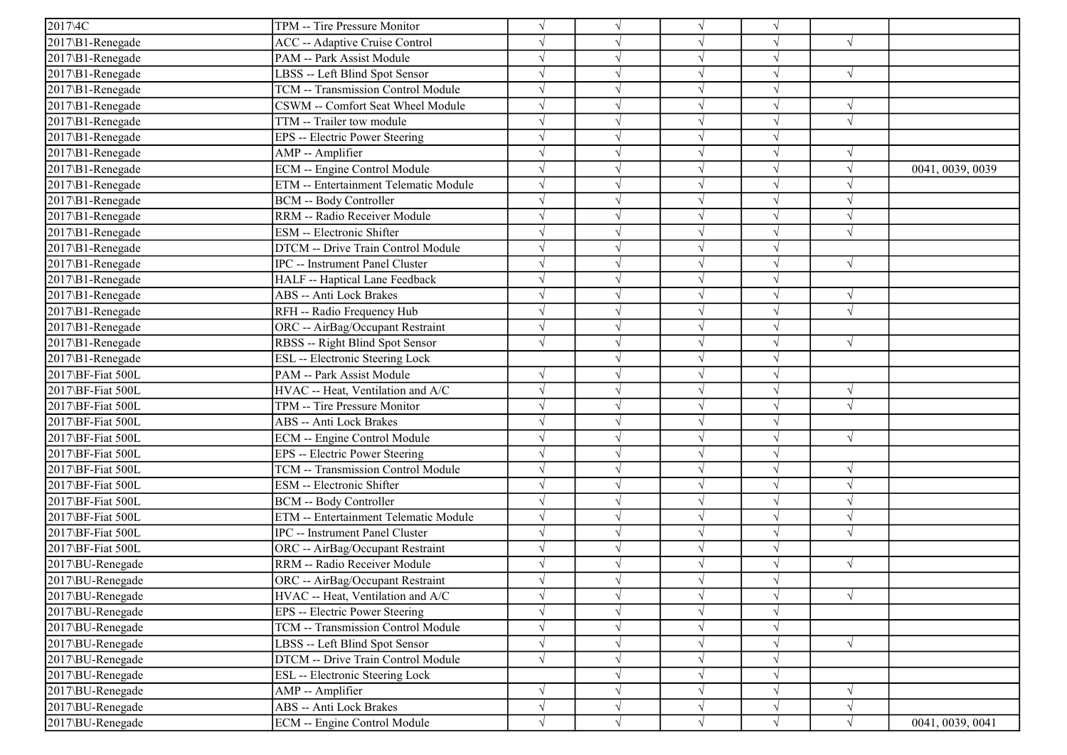| 2017\4C             | TPM -- Tire Pressure Monitor           | $\sqrt{ }$ |            |               |            |            |                  |
|---------------------|----------------------------------------|------------|------------|---------------|------------|------------|------------------|
| 2017\B1-Renegade    | <b>ACC</b> -- Adaptive Cruise Control  | $\sqrt{ }$ |            | $\sqrt{ }$    |            | $\sqrt{ }$ |                  |
| $2017$ \B1-Renegade | PAM -- Park Assist Module              | $\sqrt{ }$ |            |               |            |            |                  |
| 2017\B1-Renegade    | LBSS -- Left Blind Spot Sensor         |            |            |               |            |            |                  |
| 2017\B1-Renegade    | TCM -- Transmission Control Module     | $\sqrt{ }$ |            |               |            |            |                  |
| 2017\B1-Renegade    | CSWM -- Comfort Seat Wheel Module      | $\sqrt{ }$ |            |               |            | $\sqrt{ }$ |                  |
| 2017\B1-Renegade    | TTM -- Trailer tow module              | $\sqrt{ }$ |            |               |            | $\sqrt{ }$ |                  |
| 2017\B1-Renegade    | <b>EPS</b> -- Electric Power Steering  | $\sqrt{ }$ |            | $\sqrt{ }$    |            |            |                  |
| 2017\B1-Renegade    | AMP -- Amplifier                       | $\sqrt{ }$ |            | $\sqrt{ }$    |            | $\sqrt{ }$ |                  |
| 2017\B1-Renegade    | ECM -- Engine Control Module           | $\sqrt{ }$ |            | $\sqrt{ }$    |            |            | 0041, 0039, 0039 |
| 2017\B1-Renegade    | ETM -- Entertainment Telematic Module  | $\sqrt{ }$ |            |               |            | $\sqrt{ }$ |                  |
| 2017\B1-Renegade    | <b>BCM -- Body Controller</b>          | $\sqrt{ }$ |            |               |            |            |                  |
| 2017\B1-Renegade    | RRM -- Radio Receiver Module           | $\sqrt{ }$ |            | $\mathcal{N}$ |            | $\sqrt{ }$ |                  |
| 2017\B1-Renegade    | ESM -- Electronic Shifter              | $\sqrt{ }$ |            |               |            | $\sqrt{ }$ |                  |
| 2017\B1-Renegade    | DTCM -- Drive Train Control Module     | $\sqrt{ }$ |            |               |            |            |                  |
| 2017\B1-Renegade    | IPC -- Instrument Panel Cluster        |            |            |               |            | $\sqrt{ }$ |                  |
| 2017\B1-Renegade    | HALF -- Haptical Lane Feedback         | $\sqrt{ }$ |            |               |            |            |                  |
| 2017\B1-Renegade    | <b>ABS</b> -- Anti Lock Brakes         | $\sqrt{ }$ |            |               |            | $\sqrt{ }$ |                  |
| 2017\B1-Renegade    | RFH -- Radio Frequency Hub             | $\sqrt{}$  |            | $\sqrt{ }$    |            | N          |                  |
| 2017\B1-Renegade    | ORC -- AirBag/Occupant Restraint       | $\sqrt{ }$ |            | $\sqrt{ }$    |            |            |                  |
| 2017\B1-Renegade    | RBSS -- Right Blind Spot Sensor        | $\sqrt{ }$ |            | $\sqrt{ }$    |            | $\sqrt{ }$ |                  |
| 2017\B1-Renegade    | ESL -- Electronic Steering Lock        |            |            | $\sqrt{ }$    |            |            |                  |
| 2017\BF-Fiat 500L   | PAM -- Park Assist Module              | $\sqrt{ }$ |            |               |            |            |                  |
| 2017\BF-Fiat 500L   | HVAC -- Heat, Ventilation and A/C      | $\sqrt{ }$ |            | $\sqrt{ }$    |            | $\sqrt{ }$ |                  |
| 2017\BF-Fiat 500L   | TPM -- Tire Pressure Monitor           | $\sqrt{ }$ |            | $\sqrt{ }$    |            | $\sqrt{ }$ |                  |
| 2017\BF-Fiat 500L   | <b>ABS</b> -- Anti Lock Brakes         | $\sqrt{ }$ |            |               |            |            |                  |
| 2017\BF-Fiat 500L   | ECM -- Engine Control Module           | $\sqrt{ }$ |            | $\sqrt{ }$    |            | $\sqrt{ }$ |                  |
| 2017\BF-Fiat 500L   | EPS -- Electric Power Steering         | $\sqrt{ }$ |            |               |            |            |                  |
| 2017\BF-Fiat 500L   | TCM -- Transmission Control Module     | $\sqrt{ }$ |            |               |            |            |                  |
| 2017\BF-Fiat 500L   | ESM -- Electronic Shifter              | $\sqrt{ }$ |            | $\sqrt{ }$    |            | $\sqrt{}$  |                  |
| 2017\BF-Fiat 500L   | <b>BCM -- Body Controller</b>          | $\sqrt{ }$ |            | $\sqrt{ }$    |            | N          |                  |
| 2017\BF-Fiat 500L   | ETM -- Entertainment Telematic Module  | $\sqrt{ }$ |            |               |            | $\sqrt{ }$ |                  |
| 2017\BF-Fiat 500L   | <b>IPC</b> -- Instrument Panel Cluster | $\sqrt{}$  |            | $\sqrt{ }$    |            | $\sqrt{ }$ |                  |
| 2017\BF-Fiat 500L   | ORC -- AirBag/Occupant Restraint       | $\sqrt{ }$ |            | $\sqrt{ }$    |            |            |                  |
| 2017\BU-Renegade    | RRM -- Radio Receiver Module           | $\sqrt{ }$ |            |               |            | $\sqrt{ }$ |                  |
| 2017\BU-Renegade    | ORC -- AirBag/Occupant Restraint       |            |            |               |            |            |                  |
| 2017\BU-Renegade    | HVAC -- Heat, Ventilation and A/C      | $\sqrt{}$  | $\sqrt{}$  | $\sqrt{ }$    |            | $\sqrt{ }$ |                  |
| 2017\BU-Renegade    | EPS -- Electric Power Steering         | $\sqrt{}$  |            |               |            |            |                  |
| 2017\BU-Renegade    | TCM -- Transmission Control Module     | $\sqrt{}$  |            | $\sqrt{ }$    |            |            |                  |
| 2017\BU-Renegade    | LBSS -- Left Blind Spot Sensor         | $\sqrt{}$  |            | $\sqrt{ }$    |            | $\sqrt{ }$ |                  |
| 2017\BU-Renegade    | DTCM -- Drive Train Control Module     | $\sqrt{ }$ |            | $\sqrt{ }$    |            |            |                  |
| 2017\BU-Renegade    | <b>ESL</b> -- Electronic Steering Lock |            |            | $\sqrt{ }$    |            |            |                  |
| 2017\BU-Renegade    | AMP -- Amplifier                       | $\sqrt{}$  |            | V             |            | $\sqrt{}$  |                  |
| 2017\BU-Renegade    | ABS -- Anti Lock Brakes                | $\sqrt{}$  |            | $\sqrt{ }$    | $\sqrt{ }$ | $\sqrt{ }$ |                  |
| 2017\BU-Renegade    | ECM -- Engine Control Module           | $\sqrt{}$  | $\sqrt{ }$ | $\sqrt{ }$    | $\sqrt{}$  | $\sqrt{ }$ | 0041, 0039, 0041 |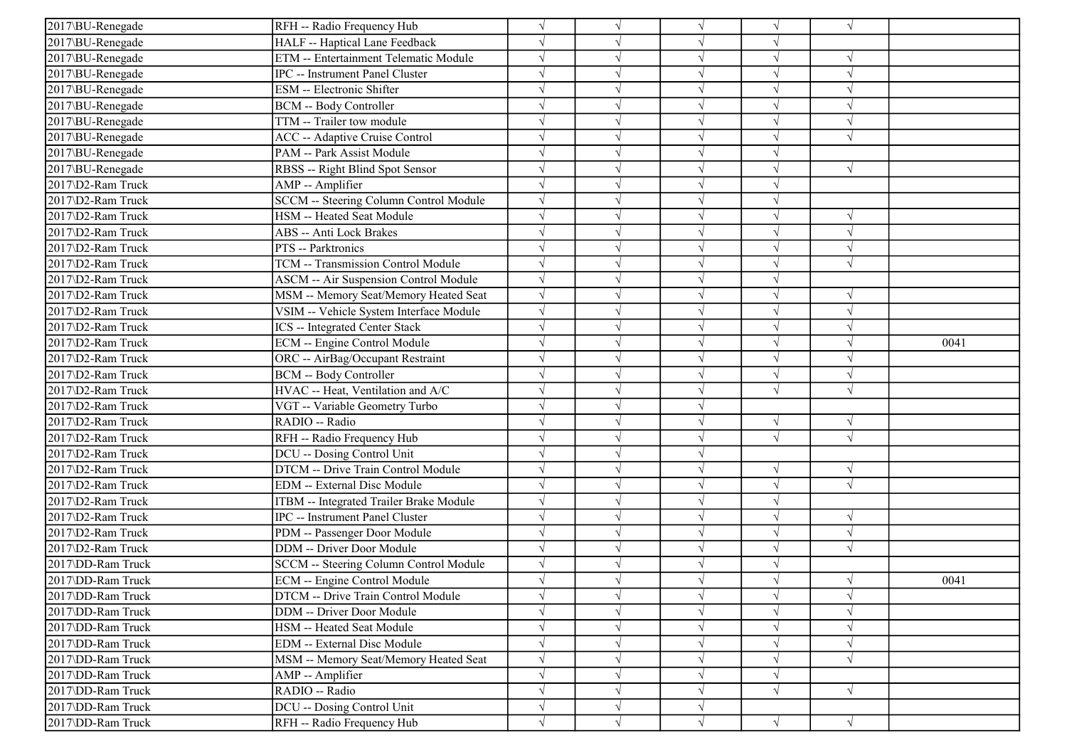| 2017\BU-Renegade  | RFH -- Radio Frequency Hub              |            |            | $\sqrt{ }$ |            | $\sqrt{ }$ |      |
|-------------------|-----------------------------------------|------------|------------|------------|------------|------------|------|
| 2017\BU-Renegade  | HALF -- Haptical Lane Feedback          |            |            | $\sqrt{ }$ |            |            |      |
| 2017\BU-Renegade  | ETM -- Entertainment Telematic Module   |            |            | $\sqrt{ }$ | $\sqrt{}$  | $\sqrt{ }$ |      |
| 2017\BU-Renegade  | IPC -- Instrument Panel Cluster         |            |            | V          |            |            |      |
| 2017\BU-Renegade  | ESM -- Electronic Shifter               |            |            | $\sqrt{ }$ |            | $\sqrt{ }$ |      |
| 2017\BU-Renegade  | BCM -- Body Controller                  |            |            | $\sqrt{}$  |            | $\sqrt{ }$ |      |
| 2017\BU-Renegade  | TTM -- Trailer tow module               |            |            | $\sqrt{ }$ |            | $\sqrt{ }$ |      |
| 2017\BU-Renegade  | ACC -- Adaptive Cruise Control          |            |            | $\sqrt{ }$ | J          | $\sqrt{ }$ |      |
| 2017\BU-Renegade  | PAM -- Park Assist Module               |            |            | $\sqrt{ }$ |            |            |      |
| 2017\BU-Renegade  | RBSS -- Right Blind Spot Sensor         |            |            | $\sqrt{ }$ |            | $\sqrt{ }$ |      |
| 2017\D2-Ram Truck | AMP -- Amplifier                        |            |            | $\sqrt{}$  |            |            |      |
| 2017\D2-Ram Truck | SCCM -- Steering Column Control Module  |            |            | $\sqrt{}$  |            |            |      |
| 2017\D2-Ram Truck | HSM -- Heated Seat Module               |            |            | $\sqrt{ }$ | V          | $\sqrt{ }$ |      |
| 2017\D2-Ram Truck | ABS -- Anti Lock Brakes                 |            |            | $\sqrt{ }$ | V          | $\sqrt{ }$ |      |
| 2017\D2-Ram Truck | PTS -- Parktronics                      |            |            | $\sqrt{ }$ |            | $\sqrt{ }$ |      |
| 2017\D2-Ram Truck | TCM -- Transmission Control Module      |            |            | $\sqrt{}$  |            | $\sqrt{ }$ |      |
| 2017\D2-Ram Truck | ASCM -- Air Suspension Control Module   |            |            | $\sqrt{ }$ |            |            |      |
| 2017\D2-Ram Truck | MSM -- Memory Seat/Memory Heated Seat   |            |            | $\sqrt{}$  |            | $\sqrt{ }$ |      |
| 2017\D2-Ram Truck | VSIM -- Vehicle System Interface Module | $\sqrt{ }$ |            | $\sqrt{}$  | J          | $\sqrt{ }$ |      |
| 2017\D2-Ram Truck | <b>ICS</b> -- Integrated Center Stack   |            |            | $\sqrt{ }$ | J          | $\sqrt{ }$ |      |
| 2017\D2-Ram Truck | ECM -- Engine Control Module            |            |            | $\sqrt{ }$ |            | $\sqrt{ }$ | 0041 |
| 2017\D2-Ram Truck | ORC -- AirBag/Occupant Restraint        |            |            | $\sqrt{ }$ | $\sqrt{}$  | $\sqrt{ }$ |      |
| 2017\D2-Ram Truck | <b>BCM -- Body Controller</b>           |            |            | $\sqrt{ }$ | $\sqrt{ }$ | $\sqrt{ }$ |      |
| 2017\D2-Ram Truck | HVAC -- Heat, Ventilation and A/C       |            |            | $\sqrt{ }$ |            | $\sqrt{ }$ |      |
| 2017\D2-Ram Truck | VGT -- Variable Geometry Turbo          |            |            | $\sqrt{ }$ |            |            |      |
| 2017\D2-Ram Truck | RADIO -- Radio                          |            |            | $\sqrt{ }$ | $\sqrt{}$  | $\sqrt{ }$ |      |
| 2017\D2-Ram Truck | RFH -- Radio Frequency Hub              |            |            | $\sqrt{ }$ | $\sqrt{}$  | $\sqrt{ }$ |      |
| 2017\D2-Ram Truck | DCU -- Dosing Control Unit              |            |            | $\sqrt{ }$ |            |            |      |
| 2017\D2-Ram Truck | DTCM -- Drive Train Control Module      |            |            | $\sqrt{}$  | $\sqrt{ }$ | $\sqrt{ }$ |      |
| 2017\D2-Ram Truck | EDM -- External Disc Module             |            |            | $\sqrt{ }$ |            | $\sqrt{ }$ |      |
| 2017\D2-Ram Truck | ITBM -- Integrated Trailer Brake Module |            |            | $\sqrt{ }$ | V          |            |      |
| 2017\D2-Ram Truck | IPC -- Instrument Panel Cluster         |            |            | $\sqrt{ }$ | J          | $\sqrt{ }$ |      |
| 2017\D2-Ram Truck | PDM -- Passenger Door Module            |            |            | $\sqrt{ }$ |            | $\sqrt{ }$ |      |
| 2017\D2-Ram Truck | DDM -- Driver Door Module               |            |            | $\sqrt{ }$ | $\sqrt{}$  | $\sqrt{ }$ |      |
| 2017\DD-Ram Truck | SCCM -- Steering Column Control Module  |            |            | $\sqrt{}$  |            |            |      |
| 2017\DD-Ram Truck | ECM -- Engine Control Module            |            |            |            |            | $\sqrt{ }$ | 0041 |
| 2017\DD-Ram Truck | DTCM -- Drive Train Control Module      |            | $\sqrt{ }$ | $\sqrt{ }$ | $\sqrt{}$  | $\sqrt{ }$ |      |
| 2017\DD-Ram Truck | DDM -- Driver Door Module               |            |            | $\sqrt{ }$ |            | $\sqrt{ }$ |      |
| 2017\DD-Ram Truck | HSM -- Heated Seat Module               |            |            | $\sqrt{ }$ |            | $\sqrt{ }$ |      |
| 2017\DD-Ram Truck | EDM -- External Disc Module             |            |            | $\sqrt{}$  |            | $\sqrt{ }$ |      |
| 2017\DD-Ram Truck | MSM -- Memory Seat/Memory Heated Seat   |            |            | $\sqrt{}$  |            | $\sqrt{ }$ |      |
| 2017\DD-Ram Truck | AMP -- Amplifier                        |            |            | $\sqrt{}$  | V          |            |      |
| 2017\DD-Ram Truck | RADIO -- Radio                          |            |            | $\sqrt{}$  | V          | $\sqrt{ }$ |      |
| 2017\DD-Ram Truck | DCU -- Dosing Control Unit              | $\sqrt{ }$ | $\sqrt{}$  | $\sqrt{ }$ |            |            |      |
| 2017\DD-Ram Truck | RFH -- Radio Frequency Hub              | $\sqrt{ }$ | $\sqrt{ }$ | $\sqrt{ }$ | $\sqrt{ }$ | $\sqrt{}$  |      |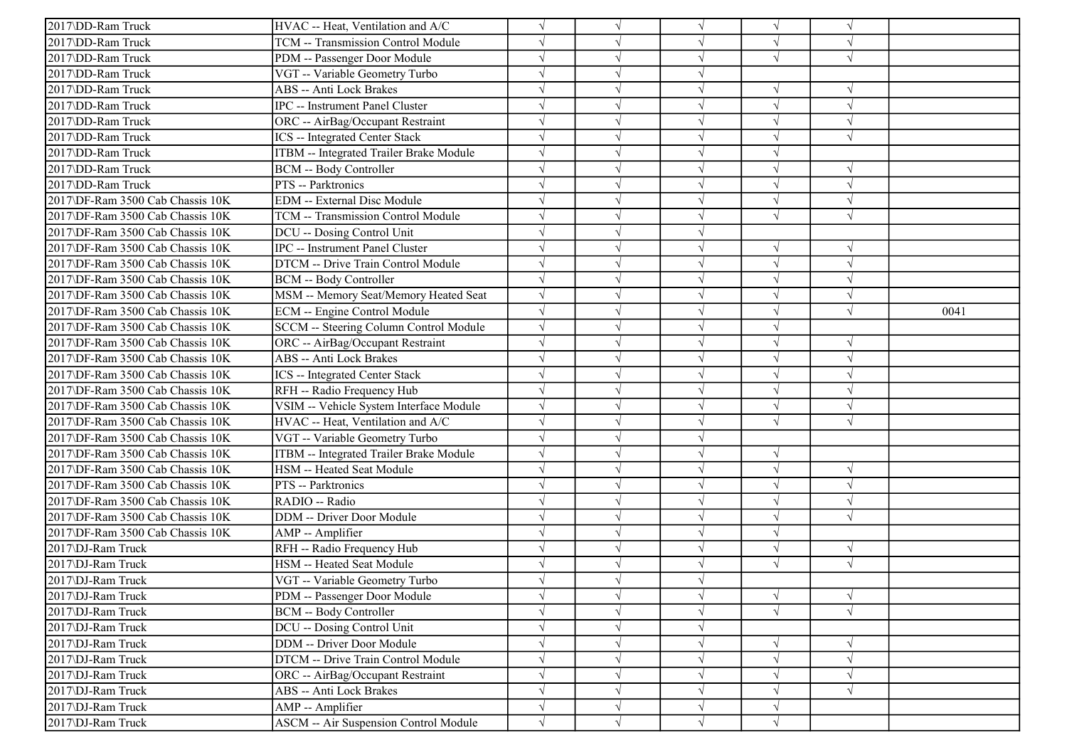| 2017\DD-Ram Truck                | HVAC -- Heat, Ventilation and A/C            |            |            | $\sqrt{ }$ | V          | $\sqrt{ }$ |      |
|----------------------------------|----------------------------------------------|------------|------------|------------|------------|------------|------|
| 2017\DD-Ram Truck                | TCM -- Transmission Control Module           |            |            | $\sqrt{ }$ | $\sqrt{ }$ | $\sqrt{ }$ |      |
| 2017\DD-Ram Truck                | PDM -- Passenger Door Module                 |            |            | $\sqrt{ }$ | $\sqrt{ }$ | $\sqrt{ }$ |      |
| 2017\DD-Ram Truck                | VGT -- Variable Geometry Turbo               |            |            | V          |            |            |      |
| 2017\DD-Ram Truck                | ABS -- Anti Lock Brakes                      |            |            | $\sqrt{ }$ | $\sqrt{}$  | $\sqrt{ }$ |      |
| 2017\DD-Ram Truck                | IPC -- Instrument Panel Cluster              |            |            | $\sqrt{ }$ | $\sqrt{}$  | $\sqrt{ }$ |      |
| 2017\DD-Ram Truck                | ORC -- AirBag/Occupant Restraint             |            |            | $\sqrt{ }$ | J          | $\sqrt{ }$ |      |
| 2017\DD-Ram Truck                | ICS -- Integrated Center Stack               |            | $\sqrt{ }$ | $\sqrt{ }$ | $\sqrt{}$  | $\sqrt{ }$ |      |
| 2017\DD-Ram Truck                | ITBM -- Integrated Trailer Brake Module      |            |            | $\sqrt{ }$ | $\sqrt{ }$ |            |      |
| 2017\DD-Ram Truck                | <b>BCM -- Body Controller</b>                |            |            | $\sqrt{ }$ | $\sqrt{ }$ |            |      |
| 2017\DD-Ram Truck                | PTS -- Parktronics                           |            |            | $\sqrt{ }$ | $\sqrt{ }$ | $\sqrt{ }$ |      |
| 2017\DF-Ram 3500 Cab Chassis 10K | EDM -- External Disc Module                  |            |            | $\sqrt{ }$ |            | $\sqrt{ }$ |      |
| 2017\DF-Ram 3500 Cab Chassis 10K | TCM -- Transmission Control Module           |            |            | $\sqrt{ }$ | $\sqrt{}$  | $\sqrt{ }$ |      |
| 2017\DF-Ram 3500 Cab Chassis 10K | DCU -- Dosing Control Unit                   |            | $\sqrt{ }$ | $\sqrt{ }$ |            |            |      |
| 2017\DF-Ram 3500 Cab Chassis 10K | <b>IPC</b> -- Instrument Panel Cluster       |            |            | $\sqrt{ }$ | $\sqrt{}$  | $\sqrt{ }$ |      |
| 2017\DF-Ram 3500 Cab Chassis 10K | DTCM -- Drive Train Control Module           |            |            | $\sqrt{ }$ | J          | $\sqrt{ }$ |      |
| 2017\DF-Ram 3500 Cab Chassis 10K | <b>BCM</b> -- Body Controller                |            |            | $\sqrt{ }$ | J          | $\sqrt{ }$ |      |
| 2017\DF-Ram 3500 Cab Chassis 10K | MSM -- Memory Seat/Memory Heated Seat        |            |            | $\sqrt{}$  |            | $\sqrt{ }$ |      |
| 2017\DF-Ram 3500 Cab Chassis 10K | <b>ECM</b> -- Engine Control Module          | $\sqrt{ }$ |            | $\sqrt{ }$ | J          | $\sqrt{ }$ | 0041 |
| 2017\DF-Ram 3500 Cab Chassis 10K | SCCM -- Steering Column Control Module       | $\sqrt{ }$ | $\sqrt{ }$ | $\sqrt{ }$ | V          |            |      |
| 2017\DF-Ram 3500 Cab Chassis 10K | ORC -- AirBag/Occupant Restraint             |            |            | $\sqrt{ }$ | J          | $\sqrt{ }$ |      |
| 2017\DF-Ram 3500 Cab Chassis 10K | ABS -- Anti Lock Brakes                      |            |            | $\sqrt{ }$ | $\sqrt{}$  | $\sqrt{ }$ |      |
| 2017\DF-Ram 3500 Cab Chassis 10K | ICS -- Integrated Center Stack               |            |            | $\sqrt{ }$ |            | $\sqrt{ }$ |      |
| 2017\DF-Ram 3500 Cab Chassis 10K | RFH -- Radio Frequency Hub                   |            |            | $\sqrt{ }$ |            | $\sqrt{ }$ |      |
| 2017\DF-Ram 3500 Cab Chassis 10K | VSIM -- Vehicle System Interface Module      |            | $\sqrt{ }$ | $\sqrt{ }$ | $\sqrt{}$  | $\sqrt{ }$ |      |
| 2017\DF-Ram 3500 Cab Chassis 10K | HVAC -- Heat, Ventilation and A/C            |            |            | $\sqrt{ }$ | √          | $\sqrt{ }$ |      |
| 2017\DF-Ram 3500 Cab Chassis 10K | VGT -- Variable Geometry Turbo               |            |            | $\sqrt{ }$ |            |            |      |
| 2017\DF-Ram 3500 Cab Chassis 10K | ITBM -- Integrated Trailer Brake Module      |            |            | $\sqrt{ }$ | $\sqrt{}$  |            |      |
| 2017\DF-Ram 3500 Cab Chassis 10K | HSM -- Heated Seat Module                    |            |            | $\sqrt{ }$ | $\sqrt{ }$ | $\sqrt{ }$ |      |
| 2017\DF-Ram 3500 Cab Chassis 10K | PTS -- Parktronics                           |            |            | $\sqrt{ }$ |            | $\sqrt{ }$ |      |
| 2017\DF-Ram 3500 Cab Chassis 10K | RADIO -- Radio                               |            |            | $\sqrt{ }$ | V          | $\sqrt{ }$ |      |
| 2017\DF-Ram 3500 Cab Chassis 10K | DDM -- Driver Door Module                    |            |            | $\sqrt{ }$ | J          | $\sqrt{ }$ |      |
| 2017\DF-Ram 3500 Cab Chassis 10K | AMP -- Amplifier                             |            |            | $\sqrt{ }$ | $\sqrt{}$  |            |      |
| 2017\DJ-Ram Truck                | RFH -- Radio Frequency Hub                   |            |            | $\sqrt{ }$ | $\sqrt{}$  | $\sqrt{ }$ |      |
| 2017\DJ-Ram Truck                | HSM -- Heated Seat Module                    |            |            | $\sqrt{ }$ | $\sqrt{ }$ | $\sqrt{ }$ |      |
| 2017\DJ-Ram Truck                | VGT -- Variable Geometry Turbo               |            |            |            |            |            |      |
| 2017\DJ-Ram Truck                | PDM -- Passenger Door Module                 |            | $\sqrt{ }$ | $\sqrt{ }$ | $\sqrt{}$  | $\sqrt{ }$ |      |
| 2017\DJ-Ram Truck                | <b>BCM -- Body Controller</b>                |            |            | $\sqrt{ }$ | $\sqrt{}$  | $\sqrt{ }$ |      |
| 2017\DJ-Ram Truck                | DCU -- Dosing Control Unit                   |            | $\sqrt{ }$ | $\sqrt{ }$ |            |            |      |
| 2017\DJ-Ram Truck                | DDM -- Driver Door Module                    |            |            | $\sqrt{ }$ |            | $\sqrt{ }$ |      |
| 2017\DJ-Ram Truck                | DTCM -- Drive Train Control Module           |            |            | $\sqrt{}$  | J          | $\sqrt{ }$ |      |
| 2017\DJ-Ram Truck                | ORC -- AirBag/Occupant Restraint             |            |            | $\sqrt{}$  | V          | $\sqrt{ }$ |      |
| 2017\DJ-Ram Truck                | ABS -- Anti Lock Brakes                      |            | $\sqrt{ }$ | $\sqrt{}$  | V          | $\sqrt{ }$ |      |
| 2017\DJ-Ram Truck                | AMP -- Amplifier                             |            | $\sqrt{ }$ | $\sqrt{ }$ | $\sqrt{}$  |            |      |
| 2017\DJ-Ram Truck                | <b>ASCM -- Air Suspension Control Module</b> | $\sqrt{}$  | $\sqrt{ }$ | $\sqrt{ }$ | $\sqrt{}$  |            |      |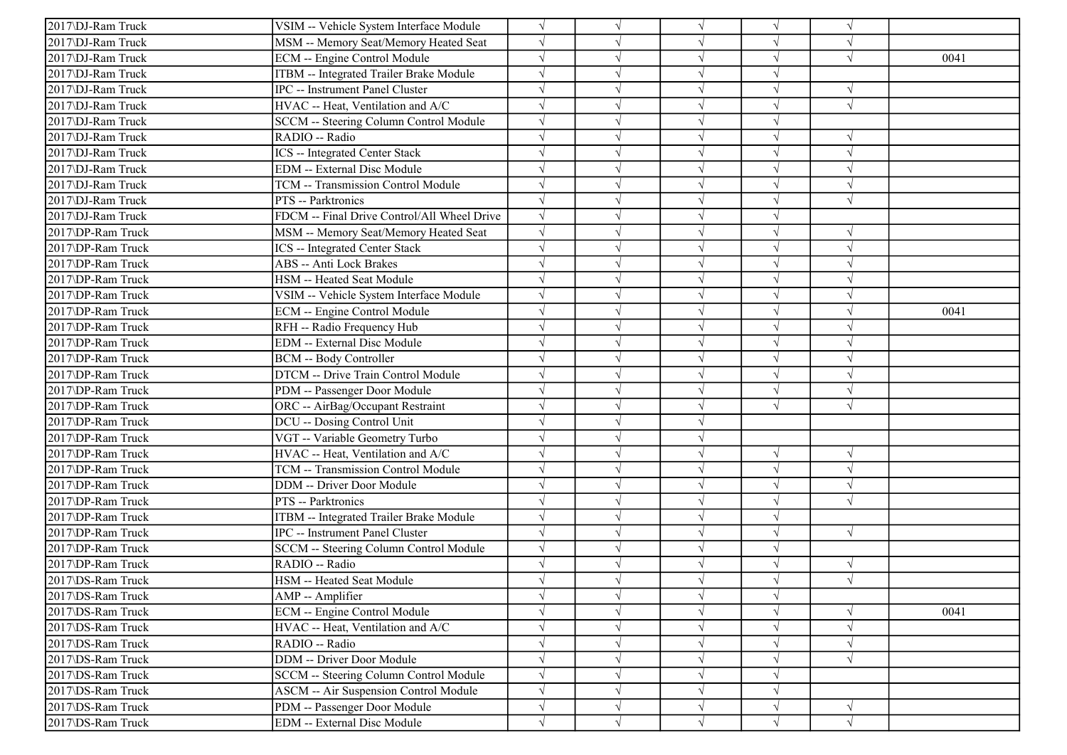| 2017\DJ-Ram Truck | VSIM -- Vehicle System Interface Module     | $\sqrt{ }$ | $\sqrt{ }$ | $\sqrt{ }$ | $\sqrt{}$  | $\sqrt{ }$ |      |
|-------------------|---------------------------------------------|------------|------------|------------|------------|------------|------|
| 2017\DJ-Ram Truck | MSM -- Memory Seat/Memory Heated Seat       |            |            | $\sqrt{ }$ |            | $\sqrt{ }$ |      |
| 2017\DJ-Ram Truck | ECM -- Engine Control Module                |            |            | $\sqrt{ }$ |            | $\sqrt{ }$ | 0041 |
| 2017\DJ-Ram Truck | ITBM -- Integrated Trailer Brake Module     |            |            | $\sqrt{ }$ | $\sqrt{}$  |            |      |
| 2017\DJ-Ram Truck | IPC -- Instrument Panel Cluster             |            |            | $\sqrt{}$  |            |            |      |
| 2017\DJ-Ram Truck | HVAC -- Heat, Ventilation and A/C           |            |            | V          |            | $\sqrt{ }$ |      |
| 2017\DJ-Ram Truck | SCCM -- Steering Column Control Module      |            |            | $\sqrt{}$  | J          |            |      |
| 2017\DJ-Ram Truck | RADIO -- Radio                              |            |            | $\sqrt{ }$ |            | N          |      |
| 2017\DJ-Ram Truck | <b>ICS</b> -- Integrated Center Stack       |            |            | $\sqrt{ }$ |            | $\sqrt{ }$ |      |
| 2017\DJ-Ram Truck | EDM -- External Disc Module                 |            |            | $\sqrt{ }$ | J          | $\sqrt{ }$ |      |
| 2017\DJ-Ram Truck | TCM -- Transmission Control Module          |            |            | $\sqrt{ }$ |            |            |      |
| 2017\DJ-Ram Truck | PTS -- Parktronics                          |            |            | $\sqrt{ }$ |            | $\sqrt{ }$ |      |
| 2017\DJ-Ram Truck | FDCM -- Final Drive Control/All Wheel Drive |            |            | $\sqrt{}$  |            |            |      |
| 2017\DP-Ram Truck | MSM -- Memory Seat/Memory Heated Seat       |            |            | V          |            |            |      |
| 2017\DP-Ram Truck | ICS -- Integrated Center Stack              |            |            | $\sqrt{ }$ | V          | $\sqrt{ }$ |      |
| 2017\DP-Ram Truck | ABS -- Anti Lock Brakes                     |            |            | $\sqrt{}$  | $\sqrt{}$  | $\sqrt{ }$ |      |
| 2017\DP-Ram Truck | HSM -- Heated Seat Module                   |            |            | $\sqrt{}$  |            |            |      |
| 2017\DP-Ram Truck | VSIM -- Vehicle System Interface Module     |            |            | $\sqrt{ }$ |            | $\sqrt{ }$ |      |
| 2017\DP-Ram Truck | ECM -- Engine Control Module                |            |            | $\sqrt{ }$ |            | $\sqrt{ }$ | 0041 |
| 2017\DP-Ram Truck | RFH -- Radio Frequency Hub                  |            |            | $\sqrt{ }$ |            |            |      |
| 2017\DP-Ram Truck | EDM -- External Disc Module                 |            |            | $\sqrt{ }$ | $\sqrt{ }$ | $\sqrt{ }$ |      |
| 2017\DP-Ram Truck | <b>BCM -- Body Controller</b>               |            |            | $\sqrt{ }$ | $\sqrt{}$  | $\sqrt{ }$ |      |
| 2017\DP-Ram Truck | DTCM -- Drive Train Control Module          |            |            | $\sqrt{ }$ |            | $\sqrt{ }$ |      |
| 2017\DP-Ram Truck | PDM -- Passenger Door Module                |            |            | $\sqrt{ }$ | $\sqrt{ }$ | $\sqrt{ }$ |      |
| 2017\DP-Ram Truck | ORC -- AirBag/Occupant Restraint            |            |            | $\sqrt{ }$ | $\sqrt{ }$ | $\sqrt{ }$ |      |
| 2017\DP-Ram Truck | DCU -- Dosing Control Unit                  |            |            | $\sqrt{ }$ |            |            |      |
| 2017\DP-Ram Truck | VGT -- Variable Geometry Turbo              |            |            | $\sqrt{ }$ |            |            |      |
| 2017\DP-Ram Truck | HVAC -- Heat, Ventilation and A/C           |            |            | $\sqrt{ }$ | $\sqrt{}$  | $\sqrt{ }$ |      |
| 2017\DP-Ram Truck | TCM -- Transmission Control Module          |            |            | $\sqrt{ }$ | V          | $\sqrt{ }$ |      |
| 2017\DP-Ram Truck | DDM -- Driver Door Module                   |            |            | $\sqrt{}$  |            | $\sqrt{ }$ |      |
| 2017\DP-Ram Truck | PTS -- Parktronics                          |            |            | $\sqrt{ }$ |            | $\sqrt{ }$ |      |
| 2017\DP-Ram Truck | ITBM -- Integrated Trailer Brake Module     | $\sqrt{ }$ |            | $\sqrt{ }$ | V          |            |      |
| 2017\DP-Ram Truck | IPC -- Instrument Panel Cluster             |            |            | $\sqrt{ }$ | J          | $\sqrt{ }$ |      |
| 2017\DP-Ram Truck | SCCM -- Steering Column Control Module      | $\sqrt{ }$ |            | $\sqrt{ }$ | $\sqrt{ }$ |            |      |
| 2017\DP-Ram Truck | RADIO -- Radio                              |            |            | $\sqrt{ }$ | V          | $\sqrt{ }$ |      |
| 2017\DS-Ram Truck | HSM -- Heated Seat Module                   |            |            |            |            | $\sqrt{ }$ |      |
| 2017\DS-Ram Truck | AMP -- Amplifier                            |            | $\sqrt{}$  | $\sqrt{}$  | $\sqrt{}$  |            |      |
| 2017\DS-Ram Truck | ECM -- Engine Control Module                |            | $\sqrt{}$  | $\sqrt{ }$ | $\sqrt{}$  | $\sqrt{ }$ | 0041 |
| 2017\DS-Ram Truck | HVAC -- Heat, Ventilation and A/C           |            |            | $\sqrt{ }$ |            | $\sqrt{ }$ |      |
| 2017\DS-Ram Truck | RADIO -- Radio                              |            | $\sqrt{ }$ | $\sqrt{}$  | $\sqrt{}$  | $\sqrt{ }$ |      |
| 2017\DS-Ram Truck | DDM -- Driver Door Module                   |            |            | $\sqrt{}$  | $\sqrt{}$  | $\sqrt{}$  |      |
| 2017\DS-Ram Truck | SCCM -- Steering Column Control Module      |            |            | $\sqrt{ }$ |            |            |      |
| 2017\DS-Ram Truck | ASCM -- Air Suspension Control Module       | $\sqrt{}$  |            | $\sqrt{}$  | V          |            |      |
| 2017\DS-Ram Truck | PDM -- Passenger Door Module                | $\sqrt{}$  | $\sqrt{}$  | $\sqrt{ }$ | $\sqrt{}$  | $\sqrt{}$  |      |
| 2017\DS-Ram Truck | EDM -- External Disc Module                 | $\sqrt{ }$ | $\sqrt{ }$ | $\sqrt{ }$ | $\sqrt{ }$ | $\sqrt{ }$ |      |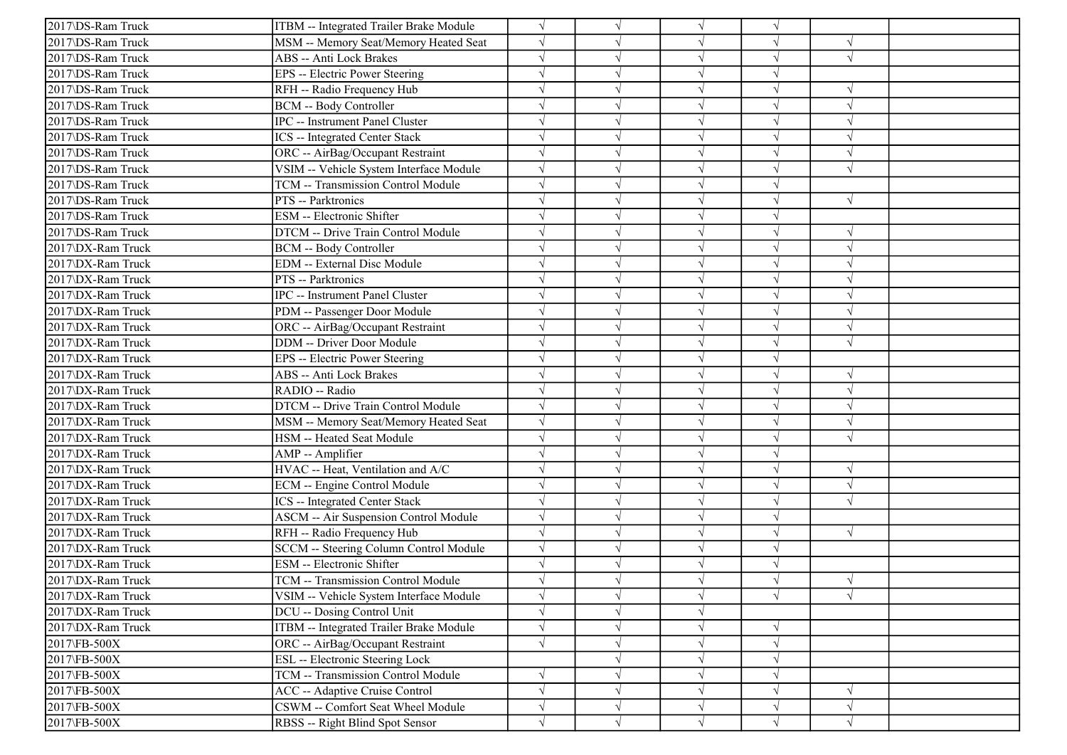| 2017\DS-Ram Truck | ITBM -- Integrated Trailer Brake Module   |           |            | $\sqrt{ }$ |            |            |  |
|-------------------|-------------------------------------------|-----------|------------|------------|------------|------------|--|
| 2017\DS-Ram Truck | MSM -- Memory Seat/Memory Heated Seat     |           |            | $\sqrt{ }$ | V          | $\sqrt{ }$ |  |
| 2017\DS-Ram Truck | ABS -- Anti Lock Brakes                   |           |            | $\sqrt{ }$ | $\sqrt{}$  | $\sqrt{ }$ |  |
| 2017\DS-Ram Truck | EPS -- Electric Power Steering            |           |            | V          |            |            |  |
| 2017\DS-Ram Truck | RFH -- Radio Frequency Hub                |           |            | $\sqrt{ }$ | J          | $\sqrt{ }$ |  |
| 2017\DS-Ram Truck | <b>BCM -- Body Controller</b>             |           |            | $\sqrt{}$  |            | $\sqrt{ }$ |  |
| 2017\DS-Ram Truck | IPC -- Instrument Panel Cluster           |           |            | $\sqrt{ }$ |            | $\sqrt{ }$ |  |
| 2017\DS-Ram Truck | ICS -- Integrated Center Stack            |           |            | $\sqrt{ }$ | J          | $\sqrt{ }$ |  |
| 2017\DS-Ram Truck | ORC -- AirBag/Occupant Restraint          |           |            | $\sqrt{ }$ |            | $\sqrt{ }$ |  |
| 2017\DS-Ram Truck | VSIM -- Vehicle System Interface Module   |           |            | $\sqrt{ }$ |            | $\sqrt{ }$ |  |
| 2017\DS-Ram Truck | <b>TCM -- Transmission Control Module</b> |           |            | $\sqrt{ }$ | J          |            |  |
| 2017\DS-Ram Truck | PTS -- Parktronics                        |           |            | $\sqrt{}$  |            | $\sqrt{ }$ |  |
| 2017\DS-Ram Truck | ESM -- Electronic Shifter                 |           |            | $\sqrt{}$  | V          |            |  |
| 2017\DS-Ram Truck | DTCM -- Drive Train Control Module        |           | $\sqrt{ }$ | $\sqrt{ }$ | $\sqrt{}$  | $\sqrt{ }$ |  |
| 2017\DX-Ram Truck | <b>BCM -- Body Controller</b>             |           |            | $\sqrt{ }$ |            | $\sqrt{ }$ |  |
| 2017\DX-Ram Truck | EDM -- External Disc Module               |           |            | $\sqrt{}$  |            |            |  |
| 2017\DX-Ram Truck | PTS -- Parktronics                        |           |            | $\sqrt{ }$ |            | $\sqrt{ }$ |  |
| 2017\DX-Ram Truck | <b>IPC</b> -- Instrument Panel Cluster    |           |            | $\sqrt{ }$ |            | $\sqrt{ }$ |  |
| 2017\DX-Ram Truck | PDM -- Passenger Door Module              |           |            | $\sqrt{ }$ | J          | $\sqrt{ }$ |  |
| 2017\DX-Ram Truck | ORC -- AirBag/Occupant Restraint          |           |            | $\sqrt{ }$ | V          | $\sqrt{ }$ |  |
| 2017\DX-Ram Truck | DDM -- Driver Door Module                 |           |            | $\sqrt{ }$ |            | $\sqrt{ }$ |  |
| 2017\DX-Ram Truck | EPS -- Electric Power Steering            |           |            | $\sqrt{ }$ | $\sqrt{}$  |            |  |
| 2017\DX-Ram Truck | ABS -- Anti Lock Brakes                   |           |            | $\sqrt{ }$ | J          | $\sqrt{ }$ |  |
| 2017\DX-Ram Truck | RADIO -- Radio                            |           |            | $\sqrt{ }$ |            | $\sqrt{ }$ |  |
| 2017\DX-Ram Truck | DTCM -- Drive Train Control Module        |           |            | $\sqrt{ }$ | J          | $\sqrt{ }$ |  |
| 2017\DX-Ram Truck | MSM -- Memory Seat/Memory Heated Seat     |           |            | $\sqrt{ }$ |            | $\sqrt{ }$ |  |
| 2017\DX-Ram Truck | HSM -- Heated Seat Module                 |           |            | $\sqrt{ }$ |            | $\sqrt{ }$ |  |
| 2017\DX-Ram Truck | AMP -- Amplifier                          |           |            | $\sqrt{ }$ | V          |            |  |
| 2017\DX-Ram Truck | HVAC -- Heat, Ventilation and A/C         |           |            | $\sqrt{}$  |            | $\sqrt{ }$ |  |
| 2017\DX-Ram Truck | ECM -- Engine Control Module              |           |            | $\sqrt{ }$ |            | $\sqrt{ }$ |  |
| 2017\DX-Ram Truck | ICS -- Integrated Center Stack            |           |            | $\sqrt{ }$ | J          | $\sqrt{ }$ |  |
| 2017\DX-Ram Truck | ASCM -- Air Suspension Control Module     |           |            | $\sqrt{ }$ | J          |            |  |
| 2017\DX-Ram Truck | RFH -- Radio Frequency Hub                |           |            | $\sqrt{ }$ | V          | $\sqrt{ }$ |  |
| 2017\DX-Ram Truck | SCCM -- Steering Column Control Module    |           |            | $\sqrt{ }$ | $\sqrt{}$  |            |  |
| 2017\DX-Ram Truck | ESM -- Electronic Shifter                 |           |            | $\sqrt{}$  |            |            |  |
| 2017\DX-Ram Truck | TCM -- Transmission Control Module        |           |            |            |            | $\sqrt{ }$ |  |
| 2017\DX-Ram Truck | VSIM -- Vehicle System Interface Module   |           | $\sqrt{ }$ | $\sqrt{}$  | $\sqrt{ }$ | $\sqrt{ }$ |  |
| 2017\DX-Ram Truck | DCU -- Dosing Control Unit                |           |            | $\sqrt{ }$ |            |            |  |
| 2017\DX-Ram Truck | ITBM -- Integrated Trailer Brake Module   |           |            | $\sqrt{ }$ | $\sqrt{}$  |            |  |
| 2017\FB-500X      | ORC -- AirBag/Occupant Restraint          |           |            | $\sqrt{ }$ | $\sqrt{}$  |            |  |
| 2017\FB-500X      | ESL -- Electronic Steering Lock           |           |            | $\sqrt{}$  |            |            |  |
| 2017\FB-500X      | TCM -- Transmission Control Module        | V         |            | $\sqrt{ }$ | V          |            |  |
| 2017\FB-500X      | ACC -- Adaptive Cruise Control            |           |            | V          |            | $\sqrt{ }$ |  |
| 2017\FB-500X      | CSWM -- Comfort Seat Wheel Module         | $\sqrt{}$ | $\sqrt{}$  | $\sqrt{ }$ | V          | $\sqrt{ }$ |  |
| 2017\FB-500X      | RBSS -- Right Blind Spot Sensor           | $\sqrt{}$ | $\sqrt{}$  | $\sqrt{ }$ | $\sqrt{}$  | $\sqrt{ }$ |  |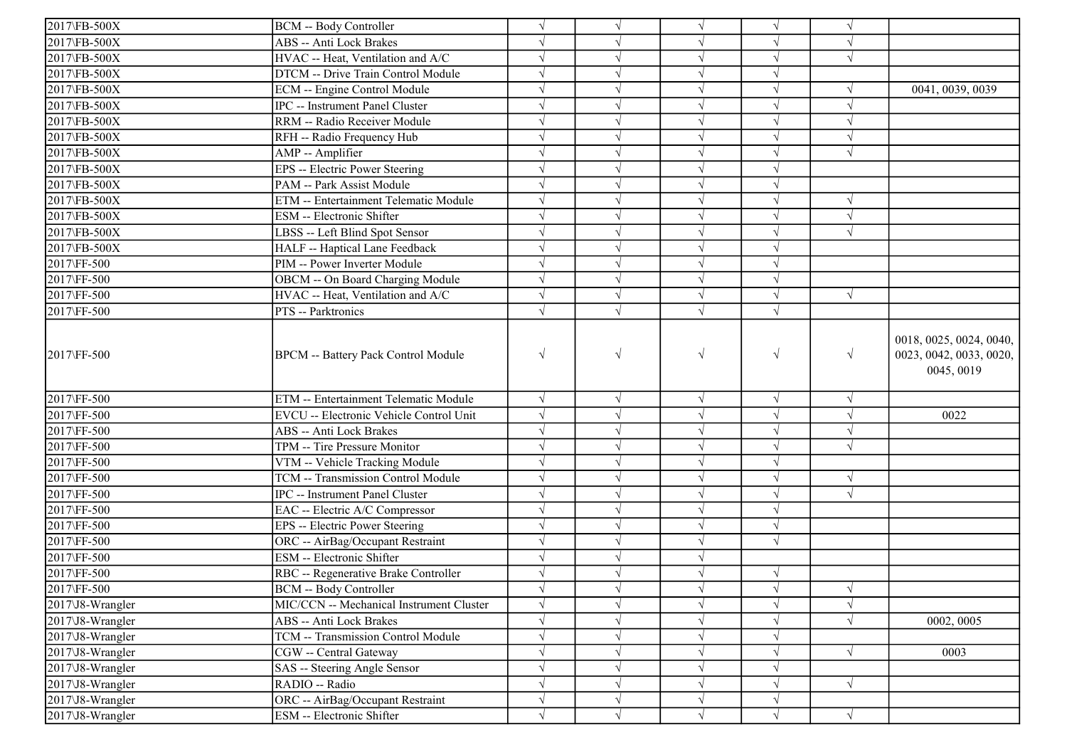| <b>BCM -- Body Controller</b><br>$\sqrt{ }$<br>$\sqrt{ }$<br>$\sqrt{ }$<br>2017\FB-500X<br>ABS -- Anti Lock Brakes<br>$\sqrt{ }$<br>$\sqrt{ }$<br>V<br>2017\FB-500X<br>HVAC -- Heat, Ventilation and A/C<br>$\sqrt{ }$<br>V<br>$\sqrt{ }$<br>2017\FB-500X<br>DTCM -- Drive Train Control Module<br>$\sqrt{ }$<br>$\sqrt{ }$<br>$\sqrt{}$<br>2017\FB-500X<br>ECM -- Engine Control Module<br>$\sqrt{ }$<br>2017\FB-500X<br>IPC -- Instrument Panel Cluster<br>$\sqrt{ }$<br>2017\FB-500X<br>RRM -- Radio Receiver Module<br>$\sqrt{ }$<br>$\sqrt{}$<br>$\sqrt{ }$<br>$\sqrt{}$<br>2017\FB-500X<br>RFH -- Radio Frequency Hub<br>$\sqrt{ }$<br>2017\FB-500X<br>AMP -- Amplifier<br>$\sqrt{ }$<br>J<br>$\sqrt{ }$<br>$\sqrt{ }$<br>$\sqrt{ }$<br>$\sqrt{ }$<br>2017\FB-500X<br>EPS -- Electric Power Steering<br>$\sqrt{ }$<br>$\sqrt{}$<br>2017\FB-500X<br>PAM -- Park Assist Module<br>$\sqrt{}$<br>2017\FB-500X<br>ETM -- Entertainment Telematic Module<br>$\sqrt{ }$<br>2017\FB-500X<br>ESM -- Electronic Shifter<br>$\sqrt{ }$<br>$\sqrt{ }$<br>$\sqrt{ }$<br>2017\FB-500X<br>$\sqrt{ }$<br>$\sqrt{ }$<br>LBSS -- Left Blind Spot Sensor<br>$\sqrt{ }$<br>2017\FB-500X<br>HALF -- Haptical Lane Feedback<br>$\sqrt{ }$<br>V<br>$\sqrt{ }$<br>2017\FF-500<br>PIM -- Power Inverter Module<br>$\sqrt{}$<br>$\sqrt{ }$<br>$\sqrt{}$<br>2017\FF-500<br>OBCM -- On Board Charging Module<br>$\sqrt{ }$<br>J<br>$\sqrt{}$<br>$\sqrt{ }$<br>$\sqrt{ }$<br>$\sqrt{ }$<br>2017\FF-500<br>HVAC -- Heat, Ventilation and A/C<br>$\sqrt{ }$<br>$\sqrt{ }$<br>2017\FF-500<br>PTS -- Parktronics<br>$\sqrt{ }$<br>$\sqrt{ }$<br>$\sqrt{}$<br>$\sqrt{ }$<br>2017\FF-500<br><b>BPCM</b> -- Battery Pack Control Module<br>2017\FF-500<br>ETM -- Entertainment Telematic Module<br>$\sqrt{}$<br>$\sqrt{}$<br>$\sqrt{}$<br>$\sqrt{}$<br>$\sqrt{ }$<br>2017\FF-500<br>EVCU -- Electronic Vehicle Control Unit<br>$\sqrt{ }$<br>0022<br>V<br>$\sqrt{ }$<br>2017\FF-500<br>ABS -- Anti Lock Brakes<br>$\sqrt{ }$<br>$\sqrt{ }$<br>$\sqrt{ }$<br>$\sqrt{}$<br>$\sqrt{ }$<br>2017\FF-500<br>TPM -- Tire Pressure Monitor<br>$\sqrt{}$<br>$\sqrt{ }$<br>$\sqrt{ }$<br>$\sqrt{ }$<br>2017\FF-500<br>VTM -- Vehicle Tracking Module<br>$\sqrt{ }$<br>$\sqrt{ }$<br>2017\FF-500<br>TCM -- Transmission Control Module<br>$\sqrt{}$<br>$\sqrt{ }$<br>2017\FF-500<br>IPC -- Instrument Panel Cluster<br>$\sqrt{ }$<br>$\sqrt{ }$<br>$\sqrt{}$<br>2017\FF-500<br>$\sqrt{ }$<br>$\sqrt{ }$<br>EAC -- Electric A/C Compressor<br>$\sqrt{}$<br>2017\FF-500<br>EPS -- Electric Power Steering<br>$\sqrt{ }$<br>$\sqrt{ }$<br>2017\FF-500<br>ORC -- AirBag/Occupant Restraint<br>$\sqrt{ }$<br>$\sqrt{ }$<br>$\sqrt{ }$<br>ESM -- Electronic Shifter<br>$\overline{\sqrt{ }}$<br>2017\FF-500<br>2017\FF-500<br>RBC -- Regenerative Brake Controller<br>$\sqrt{ }$<br>2017\FF-500<br>BCM -- Body Controller<br>$\sqrt{}$<br>$\sqrt{}$<br>$\sqrt{ }$<br>$\sqrt{}$<br>$\sqrt{ }$<br>$\sqrt{}$<br>$\sqrt{ }$<br>$\sqrt{}$<br>MIC/CCN -- Mechanical Instrument Cluster<br>2017\J8-Wrangler<br>V<br>$\sqrt{ }$<br>2017\J8-Wrangler<br>ABS -- Anti Lock Brakes<br>$\sqrt{ }$<br>$\sqrt{ }$<br>$\sqrt{}$<br>TCM -- Transmission Control Module<br>2017\J8-Wrangler<br>$\sqrt{ }$<br>CGW -- Central Gateway<br>2017\J8-Wrangler<br>$\sqrt{}$<br>$\sqrt{ }$<br>0003<br>$\sqrt{ }$<br>2017\J8-Wrangler<br>SAS -- Steering Angle Sensor<br>$\sqrt{ }$<br>RADIO -- Radio<br>$\sqrt{ }$<br>$\sqrt{ }$<br>2017\J8-Wrangler<br>$\sqrt{ }$<br>ORC -- AirBag/Occupant Restraint<br>2017\J8-Wrangler<br>$\sqrt{}$<br>$\sqrt{ }$<br>$\sqrt{ }$<br>V<br>$\sqrt{ }$<br>$\sqrt{ }$<br>$\sqrt{}$ |                  |                           |  |  |                                                                  |
|------------------------------------------------------------------------------------------------------------------------------------------------------------------------------------------------------------------------------------------------------------------------------------------------------------------------------------------------------------------------------------------------------------------------------------------------------------------------------------------------------------------------------------------------------------------------------------------------------------------------------------------------------------------------------------------------------------------------------------------------------------------------------------------------------------------------------------------------------------------------------------------------------------------------------------------------------------------------------------------------------------------------------------------------------------------------------------------------------------------------------------------------------------------------------------------------------------------------------------------------------------------------------------------------------------------------------------------------------------------------------------------------------------------------------------------------------------------------------------------------------------------------------------------------------------------------------------------------------------------------------------------------------------------------------------------------------------------------------------------------------------------------------------------------------------------------------------------------------------------------------------------------------------------------------------------------------------------------------------------------------------------------------------------------------------------------------------------------------------------------------------------------------------------------------------------------------------------------------------------------------------------------------------------------------------------------------------------------------------------------------------------------------------------------------------------------------------------------------------------------------------------------------------------------------------------------------------------------------------------------------------------------------------------------------------------------------------------------------------------------------------------------------------------------------------------------------------------------------------------------------------------------------------------------------------------------------------------------------------------------------------------------------------------------------------------------------------------------------------------------------------------------------------------------------------------------------------------------------------------------------------------------------------------------------------------------------------------------------------------------------------------------------------------------------------------------------------------------------------------------------------------------------------------------------------------------------------------------------------------------------------------|------------------|---------------------------|--|--|------------------------------------------------------------------|
|                                                                                                                                                                                                                                                                                                                                                                                                                                                                                                                                                                                                                                                                                                                                                                                                                                                                                                                                                                                                                                                                                                                                                                                                                                                                                                                                                                                                                                                                                                                                                                                                                                                                                                                                                                                                                                                                                                                                                                                                                                                                                                                                                                                                                                                                                                                                                                                                                                                                                                                                                                                                                                                                                                                                                                                                                                                                                                                                                                                                                                                                                                                                                                                                                                                                                                                                                                                                                                                                                                                                                                                                                                          | 2017\FB-500X     |                           |  |  |                                                                  |
|                                                                                                                                                                                                                                                                                                                                                                                                                                                                                                                                                                                                                                                                                                                                                                                                                                                                                                                                                                                                                                                                                                                                                                                                                                                                                                                                                                                                                                                                                                                                                                                                                                                                                                                                                                                                                                                                                                                                                                                                                                                                                                                                                                                                                                                                                                                                                                                                                                                                                                                                                                                                                                                                                                                                                                                                                                                                                                                                                                                                                                                                                                                                                                                                                                                                                                                                                                                                                                                                                                                                                                                                                                          |                  |                           |  |  |                                                                  |
|                                                                                                                                                                                                                                                                                                                                                                                                                                                                                                                                                                                                                                                                                                                                                                                                                                                                                                                                                                                                                                                                                                                                                                                                                                                                                                                                                                                                                                                                                                                                                                                                                                                                                                                                                                                                                                                                                                                                                                                                                                                                                                                                                                                                                                                                                                                                                                                                                                                                                                                                                                                                                                                                                                                                                                                                                                                                                                                                                                                                                                                                                                                                                                                                                                                                                                                                                                                                                                                                                                                                                                                                                                          |                  |                           |  |  |                                                                  |
|                                                                                                                                                                                                                                                                                                                                                                                                                                                                                                                                                                                                                                                                                                                                                                                                                                                                                                                                                                                                                                                                                                                                                                                                                                                                                                                                                                                                                                                                                                                                                                                                                                                                                                                                                                                                                                                                                                                                                                                                                                                                                                                                                                                                                                                                                                                                                                                                                                                                                                                                                                                                                                                                                                                                                                                                                                                                                                                                                                                                                                                                                                                                                                                                                                                                                                                                                                                                                                                                                                                                                                                                                                          |                  |                           |  |  |                                                                  |
|                                                                                                                                                                                                                                                                                                                                                                                                                                                                                                                                                                                                                                                                                                                                                                                                                                                                                                                                                                                                                                                                                                                                                                                                                                                                                                                                                                                                                                                                                                                                                                                                                                                                                                                                                                                                                                                                                                                                                                                                                                                                                                                                                                                                                                                                                                                                                                                                                                                                                                                                                                                                                                                                                                                                                                                                                                                                                                                                                                                                                                                                                                                                                                                                                                                                                                                                                                                                                                                                                                                                                                                                                                          |                  |                           |  |  | 0041, 0039, 0039                                                 |
|                                                                                                                                                                                                                                                                                                                                                                                                                                                                                                                                                                                                                                                                                                                                                                                                                                                                                                                                                                                                                                                                                                                                                                                                                                                                                                                                                                                                                                                                                                                                                                                                                                                                                                                                                                                                                                                                                                                                                                                                                                                                                                                                                                                                                                                                                                                                                                                                                                                                                                                                                                                                                                                                                                                                                                                                                                                                                                                                                                                                                                                                                                                                                                                                                                                                                                                                                                                                                                                                                                                                                                                                                                          |                  |                           |  |  |                                                                  |
|                                                                                                                                                                                                                                                                                                                                                                                                                                                                                                                                                                                                                                                                                                                                                                                                                                                                                                                                                                                                                                                                                                                                                                                                                                                                                                                                                                                                                                                                                                                                                                                                                                                                                                                                                                                                                                                                                                                                                                                                                                                                                                                                                                                                                                                                                                                                                                                                                                                                                                                                                                                                                                                                                                                                                                                                                                                                                                                                                                                                                                                                                                                                                                                                                                                                                                                                                                                                                                                                                                                                                                                                                                          |                  |                           |  |  |                                                                  |
|                                                                                                                                                                                                                                                                                                                                                                                                                                                                                                                                                                                                                                                                                                                                                                                                                                                                                                                                                                                                                                                                                                                                                                                                                                                                                                                                                                                                                                                                                                                                                                                                                                                                                                                                                                                                                                                                                                                                                                                                                                                                                                                                                                                                                                                                                                                                                                                                                                                                                                                                                                                                                                                                                                                                                                                                                                                                                                                                                                                                                                                                                                                                                                                                                                                                                                                                                                                                                                                                                                                                                                                                                                          |                  |                           |  |  |                                                                  |
|                                                                                                                                                                                                                                                                                                                                                                                                                                                                                                                                                                                                                                                                                                                                                                                                                                                                                                                                                                                                                                                                                                                                                                                                                                                                                                                                                                                                                                                                                                                                                                                                                                                                                                                                                                                                                                                                                                                                                                                                                                                                                                                                                                                                                                                                                                                                                                                                                                                                                                                                                                                                                                                                                                                                                                                                                                                                                                                                                                                                                                                                                                                                                                                                                                                                                                                                                                                                                                                                                                                                                                                                                                          |                  |                           |  |  |                                                                  |
|                                                                                                                                                                                                                                                                                                                                                                                                                                                                                                                                                                                                                                                                                                                                                                                                                                                                                                                                                                                                                                                                                                                                                                                                                                                                                                                                                                                                                                                                                                                                                                                                                                                                                                                                                                                                                                                                                                                                                                                                                                                                                                                                                                                                                                                                                                                                                                                                                                                                                                                                                                                                                                                                                                                                                                                                                                                                                                                                                                                                                                                                                                                                                                                                                                                                                                                                                                                                                                                                                                                                                                                                                                          |                  |                           |  |  |                                                                  |
|                                                                                                                                                                                                                                                                                                                                                                                                                                                                                                                                                                                                                                                                                                                                                                                                                                                                                                                                                                                                                                                                                                                                                                                                                                                                                                                                                                                                                                                                                                                                                                                                                                                                                                                                                                                                                                                                                                                                                                                                                                                                                                                                                                                                                                                                                                                                                                                                                                                                                                                                                                                                                                                                                                                                                                                                                                                                                                                                                                                                                                                                                                                                                                                                                                                                                                                                                                                                                                                                                                                                                                                                                                          |                  |                           |  |  |                                                                  |
|                                                                                                                                                                                                                                                                                                                                                                                                                                                                                                                                                                                                                                                                                                                                                                                                                                                                                                                                                                                                                                                                                                                                                                                                                                                                                                                                                                                                                                                                                                                                                                                                                                                                                                                                                                                                                                                                                                                                                                                                                                                                                                                                                                                                                                                                                                                                                                                                                                                                                                                                                                                                                                                                                                                                                                                                                                                                                                                                                                                                                                                                                                                                                                                                                                                                                                                                                                                                                                                                                                                                                                                                                                          |                  |                           |  |  |                                                                  |
|                                                                                                                                                                                                                                                                                                                                                                                                                                                                                                                                                                                                                                                                                                                                                                                                                                                                                                                                                                                                                                                                                                                                                                                                                                                                                                                                                                                                                                                                                                                                                                                                                                                                                                                                                                                                                                                                                                                                                                                                                                                                                                                                                                                                                                                                                                                                                                                                                                                                                                                                                                                                                                                                                                                                                                                                                                                                                                                                                                                                                                                                                                                                                                                                                                                                                                                                                                                                                                                                                                                                                                                                                                          |                  |                           |  |  |                                                                  |
|                                                                                                                                                                                                                                                                                                                                                                                                                                                                                                                                                                                                                                                                                                                                                                                                                                                                                                                                                                                                                                                                                                                                                                                                                                                                                                                                                                                                                                                                                                                                                                                                                                                                                                                                                                                                                                                                                                                                                                                                                                                                                                                                                                                                                                                                                                                                                                                                                                                                                                                                                                                                                                                                                                                                                                                                                                                                                                                                                                                                                                                                                                                                                                                                                                                                                                                                                                                                                                                                                                                                                                                                                                          |                  |                           |  |  |                                                                  |
|                                                                                                                                                                                                                                                                                                                                                                                                                                                                                                                                                                                                                                                                                                                                                                                                                                                                                                                                                                                                                                                                                                                                                                                                                                                                                                                                                                                                                                                                                                                                                                                                                                                                                                                                                                                                                                                                                                                                                                                                                                                                                                                                                                                                                                                                                                                                                                                                                                                                                                                                                                                                                                                                                                                                                                                                                                                                                                                                                                                                                                                                                                                                                                                                                                                                                                                                                                                                                                                                                                                                                                                                                                          |                  |                           |  |  |                                                                  |
|                                                                                                                                                                                                                                                                                                                                                                                                                                                                                                                                                                                                                                                                                                                                                                                                                                                                                                                                                                                                                                                                                                                                                                                                                                                                                                                                                                                                                                                                                                                                                                                                                                                                                                                                                                                                                                                                                                                                                                                                                                                                                                                                                                                                                                                                                                                                                                                                                                                                                                                                                                                                                                                                                                                                                                                                                                                                                                                                                                                                                                                                                                                                                                                                                                                                                                                                                                                                                                                                                                                                                                                                                                          |                  |                           |  |  |                                                                  |
|                                                                                                                                                                                                                                                                                                                                                                                                                                                                                                                                                                                                                                                                                                                                                                                                                                                                                                                                                                                                                                                                                                                                                                                                                                                                                                                                                                                                                                                                                                                                                                                                                                                                                                                                                                                                                                                                                                                                                                                                                                                                                                                                                                                                                                                                                                                                                                                                                                                                                                                                                                                                                                                                                                                                                                                                                                                                                                                                                                                                                                                                                                                                                                                                                                                                                                                                                                                                                                                                                                                                                                                                                                          |                  |                           |  |  |                                                                  |
|                                                                                                                                                                                                                                                                                                                                                                                                                                                                                                                                                                                                                                                                                                                                                                                                                                                                                                                                                                                                                                                                                                                                                                                                                                                                                                                                                                                                                                                                                                                                                                                                                                                                                                                                                                                                                                                                                                                                                                                                                                                                                                                                                                                                                                                                                                                                                                                                                                                                                                                                                                                                                                                                                                                                                                                                                                                                                                                                                                                                                                                                                                                                                                                                                                                                                                                                                                                                                                                                                                                                                                                                                                          |                  |                           |  |  |                                                                  |
|                                                                                                                                                                                                                                                                                                                                                                                                                                                                                                                                                                                                                                                                                                                                                                                                                                                                                                                                                                                                                                                                                                                                                                                                                                                                                                                                                                                                                                                                                                                                                                                                                                                                                                                                                                                                                                                                                                                                                                                                                                                                                                                                                                                                                                                                                                                                                                                                                                                                                                                                                                                                                                                                                                                                                                                                                                                                                                                                                                                                                                                                                                                                                                                                                                                                                                                                                                                                                                                                                                                                                                                                                                          |                  |                           |  |  |                                                                  |
|                                                                                                                                                                                                                                                                                                                                                                                                                                                                                                                                                                                                                                                                                                                                                                                                                                                                                                                                                                                                                                                                                                                                                                                                                                                                                                                                                                                                                                                                                                                                                                                                                                                                                                                                                                                                                                                                                                                                                                                                                                                                                                                                                                                                                                                                                                                                                                                                                                                                                                                                                                                                                                                                                                                                                                                                                                                                                                                                                                                                                                                                                                                                                                                                                                                                                                                                                                                                                                                                                                                                                                                                                                          |                  |                           |  |  | 0018, 0025, 0024, 0040,<br>0023, 0042, 0033, 0020,<br>0045, 0019 |
|                                                                                                                                                                                                                                                                                                                                                                                                                                                                                                                                                                                                                                                                                                                                                                                                                                                                                                                                                                                                                                                                                                                                                                                                                                                                                                                                                                                                                                                                                                                                                                                                                                                                                                                                                                                                                                                                                                                                                                                                                                                                                                                                                                                                                                                                                                                                                                                                                                                                                                                                                                                                                                                                                                                                                                                                                                                                                                                                                                                                                                                                                                                                                                                                                                                                                                                                                                                                                                                                                                                                                                                                                                          |                  |                           |  |  |                                                                  |
|                                                                                                                                                                                                                                                                                                                                                                                                                                                                                                                                                                                                                                                                                                                                                                                                                                                                                                                                                                                                                                                                                                                                                                                                                                                                                                                                                                                                                                                                                                                                                                                                                                                                                                                                                                                                                                                                                                                                                                                                                                                                                                                                                                                                                                                                                                                                                                                                                                                                                                                                                                                                                                                                                                                                                                                                                                                                                                                                                                                                                                                                                                                                                                                                                                                                                                                                                                                                                                                                                                                                                                                                                                          |                  |                           |  |  |                                                                  |
|                                                                                                                                                                                                                                                                                                                                                                                                                                                                                                                                                                                                                                                                                                                                                                                                                                                                                                                                                                                                                                                                                                                                                                                                                                                                                                                                                                                                                                                                                                                                                                                                                                                                                                                                                                                                                                                                                                                                                                                                                                                                                                                                                                                                                                                                                                                                                                                                                                                                                                                                                                                                                                                                                                                                                                                                                                                                                                                                                                                                                                                                                                                                                                                                                                                                                                                                                                                                                                                                                                                                                                                                                                          |                  |                           |  |  |                                                                  |
|                                                                                                                                                                                                                                                                                                                                                                                                                                                                                                                                                                                                                                                                                                                                                                                                                                                                                                                                                                                                                                                                                                                                                                                                                                                                                                                                                                                                                                                                                                                                                                                                                                                                                                                                                                                                                                                                                                                                                                                                                                                                                                                                                                                                                                                                                                                                                                                                                                                                                                                                                                                                                                                                                                                                                                                                                                                                                                                                                                                                                                                                                                                                                                                                                                                                                                                                                                                                                                                                                                                                                                                                                                          |                  |                           |  |  |                                                                  |
|                                                                                                                                                                                                                                                                                                                                                                                                                                                                                                                                                                                                                                                                                                                                                                                                                                                                                                                                                                                                                                                                                                                                                                                                                                                                                                                                                                                                                                                                                                                                                                                                                                                                                                                                                                                                                                                                                                                                                                                                                                                                                                                                                                                                                                                                                                                                                                                                                                                                                                                                                                                                                                                                                                                                                                                                                                                                                                                                                                                                                                                                                                                                                                                                                                                                                                                                                                                                                                                                                                                                                                                                                                          |                  |                           |  |  |                                                                  |
|                                                                                                                                                                                                                                                                                                                                                                                                                                                                                                                                                                                                                                                                                                                                                                                                                                                                                                                                                                                                                                                                                                                                                                                                                                                                                                                                                                                                                                                                                                                                                                                                                                                                                                                                                                                                                                                                                                                                                                                                                                                                                                                                                                                                                                                                                                                                                                                                                                                                                                                                                                                                                                                                                                                                                                                                                                                                                                                                                                                                                                                                                                                                                                                                                                                                                                                                                                                                                                                                                                                                                                                                                                          |                  |                           |  |  |                                                                  |
|                                                                                                                                                                                                                                                                                                                                                                                                                                                                                                                                                                                                                                                                                                                                                                                                                                                                                                                                                                                                                                                                                                                                                                                                                                                                                                                                                                                                                                                                                                                                                                                                                                                                                                                                                                                                                                                                                                                                                                                                                                                                                                                                                                                                                                                                                                                                                                                                                                                                                                                                                                                                                                                                                                                                                                                                                                                                                                                                                                                                                                                                                                                                                                                                                                                                                                                                                                                                                                                                                                                                                                                                                                          |                  |                           |  |  |                                                                  |
|                                                                                                                                                                                                                                                                                                                                                                                                                                                                                                                                                                                                                                                                                                                                                                                                                                                                                                                                                                                                                                                                                                                                                                                                                                                                                                                                                                                                                                                                                                                                                                                                                                                                                                                                                                                                                                                                                                                                                                                                                                                                                                                                                                                                                                                                                                                                                                                                                                                                                                                                                                                                                                                                                                                                                                                                                                                                                                                                                                                                                                                                                                                                                                                                                                                                                                                                                                                                                                                                                                                                                                                                                                          |                  |                           |  |  |                                                                  |
|                                                                                                                                                                                                                                                                                                                                                                                                                                                                                                                                                                                                                                                                                                                                                                                                                                                                                                                                                                                                                                                                                                                                                                                                                                                                                                                                                                                                                                                                                                                                                                                                                                                                                                                                                                                                                                                                                                                                                                                                                                                                                                                                                                                                                                                                                                                                                                                                                                                                                                                                                                                                                                                                                                                                                                                                                                                                                                                                                                                                                                                                                                                                                                                                                                                                                                                                                                                                                                                                                                                                                                                                                                          |                  |                           |  |  |                                                                  |
|                                                                                                                                                                                                                                                                                                                                                                                                                                                                                                                                                                                                                                                                                                                                                                                                                                                                                                                                                                                                                                                                                                                                                                                                                                                                                                                                                                                                                                                                                                                                                                                                                                                                                                                                                                                                                                                                                                                                                                                                                                                                                                                                                                                                                                                                                                                                                                                                                                                                                                                                                                                                                                                                                                                                                                                                                                                                                                                                                                                                                                                                                                                                                                                                                                                                                                                                                                                                                                                                                                                                                                                                                                          |                  |                           |  |  |                                                                  |
|                                                                                                                                                                                                                                                                                                                                                                                                                                                                                                                                                                                                                                                                                                                                                                                                                                                                                                                                                                                                                                                                                                                                                                                                                                                                                                                                                                                                                                                                                                                                                                                                                                                                                                                                                                                                                                                                                                                                                                                                                                                                                                                                                                                                                                                                                                                                                                                                                                                                                                                                                                                                                                                                                                                                                                                                                                                                                                                                                                                                                                                                                                                                                                                                                                                                                                                                                                                                                                                                                                                                                                                                                                          |                  |                           |  |  |                                                                  |
|                                                                                                                                                                                                                                                                                                                                                                                                                                                                                                                                                                                                                                                                                                                                                                                                                                                                                                                                                                                                                                                                                                                                                                                                                                                                                                                                                                                                                                                                                                                                                                                                                                                                                                                                                                                                                                                                                                                                                                                                                                                                                                                                                                                                                                                                                                                                                                                                                                                                                                                                                                                                                                                                                                                                                                                                                                                                                                                                                                                                                                                                                                                                                                                                                                                                                                                                                                                                                                                                                                                                                                                                                                          |                  |                           |  |  |                                                                  |
|                                                                                                                                                                                                                                                                                                                                                                                                                                                                                                                                                                                                                                                                                                                                                                                                                                                                                                                                                                                                                                                                                                                                                                                                                                                                                                                                                                                                                                                                                                                                                                                                                                                                                                                                                                                                                                                                                                                                                                                                                                                                                                                                                                                                                                                                                                                                                                                                                                                                                                                                                                                                                                                                                                                                                                                                                                                                                                                                                                                                                                                                                                                                                                                                                                                                                                                                                                                                                                                                                                                                                                                                                                          |                  |                           |  |  |                                                                  |
|                                                                                                                                                                                                                                                                                                                                                                                                                                                                                                                                                                                                                                                                                                                                                                                                                                                                                                                                                                                                                                                                                                                                                                                                                                                                                                                                                                                                                                                                                                                                                                                                                                                                                                                                                                                                                                                                                                                                                                                                                                                                                                                                                                                                                                                                                                                                                                                                                                                                                                                                                                                                                                                                                                                                                                                                                                                                                                                                                                                                                                                                                                                                                                                                                                                                                                                                                                                                                                                                                                                                                                                                                                          |                  |                           |  |  |                                                                  |
|                                                                                                                                                                                                                                                                                                                                                                                                                                                                                                                                                                                                                                                                                                                                                                                                                                                                                                                                                                                                                                                                                                                                                                                                                                                                                                                                                                                                                                                                                                                                                                                                                                                                                                                                                                                                                                                                                                                                                                                                                                                                                                                                                                                                                                                                                                                                                                                                                                                                                                                                                                                                                                                                                                                                                                                                                                                                                                                                                                                                                                                                                                                                                                                                                                                                                                                                                                                                                                                                                                                                                                                                                                          |                  |                           |  |  | 0002, 0005                                                       |
|                                                                                                                                                                                                                                                                                                                                                                                                                                                                                                                                                                                                                                                                                                                                                                                                                                                                                                                                                                                                                                                                                                                                                                                                                                                                                                                                                                                                                                                                                                                                                                                                                                                                                                                                                                                                                                                                                                                                                                                                                                                                                                                                                                                                                                                                                                                                                                                                                                                                                                                                                                                                                                                                                                                                                                                                                                                                                                                                                                                                                                                                                                                                                                                                                                                                                                                                                                                                                                                                                                                                                                                                                                          |                  |                           |  |  |                                                                  |
|                                                                                                                                                                                                                                                                                                                                                                                                                                                                                                                                                                                                                                                                                                                                                                                                                                                                                                                                                                                                                                                                                                                                                                                                                                                                                                                                                                                                                                                                                                                                                                                                                                                                                                                                                                                                                                                                                                                                                                                                                                                                                                                                                                                                                                                                                                                                                                                                                                                                                                                                                                                                                                                                                                                                                                                                                                                                                                                                                                                                                                                                                                                                                                                                                                                                                                                                                                                                                                                                                                                                                                                                                                          |                  |                           |  |  |                                                                  |
|                                                                                                                                                                                                                                                                                                                                                                                                                                                                                                                                                                                                                                                                                                                                                                                                                                                                                                                                                                                                                                                                                                                                                                                                                                                                                                                                                                                                                                                                                                                                                                                                                                                                                                                                                                                                                                                                                                                                                                                                                                                                                                                                                                                                                                                                                                                                                                                                                                                                                                                                                                                                                                                                                                                                                                                                                                                                                                                                                                                                                                                                                                                                                                                                                                                                                                                                                                                                                                                                                                                                                                                                                                          |                  |                           |  |  |                                                                  |
|                                                                                                                                                                                                                                                                                                                                                                                                                                                                                                                                                                                                                                                                                                                                                                                                                                                                                                                                                                                                                                                                                                                                                                                                                                                                                                                                                                                                                                                                                                                                                                                                                                                                                                                                                                                                                                                                                                                                                                                                                                                                                                                                                                                                                                                                                                                                                                                                                                                                                                                                                                                                                                                                                                                                                                                                                                                                                                                                                                                                                                                                                                                                                                                                                                                                                                                                                                                                                                                                                                                                                                                                                                          |                  |                           |  |  |                                                                  |
|                                                                                                                                                                                                                                                                                                                                                                                                                                                                                                                                                                                                                                                                                                                                                                                                                                                                                                                                                                                                                                                                                                                                                                                                                                                                                                                                                                                                                                                                                                                                                                                                                                                                                                                                                                                                                                                                                                                                                                                                                                                                                                                                                                                                                                                                                                                                                                                                                                                                                                                                                                                                                                                                                                                                                                                                                                                                                                                                                                                                                                                                                                                                                                                                                                                                                                                                                                                                                                                                                                                                                                                                                                          |                  |                           |  |  |                                                                  |
|                                                                                                                                                                                                                                                                                                                                                                                                                                                                                                                                                                                                                                                                                                                                                                                                                                                                                                                                                                                                                                                                                                                                                                                                                                                                                                                                                                                                                                                                                                                                                                                                                                                                                                                                                                                                                                                                                                                                                                                                                                                                                                                                                                                                                                                                                                                                                                                                                                                                                                                                                                                                                                                                                                                                                                                                                                                                                                                                                                                                                                                                                                                                                                                                                                                                                                                                                                                                                                                                                                                                                                                                                                          | 2017\J8-Wrangler | ESM -- Electronic Shifter |  |  |                                                                  |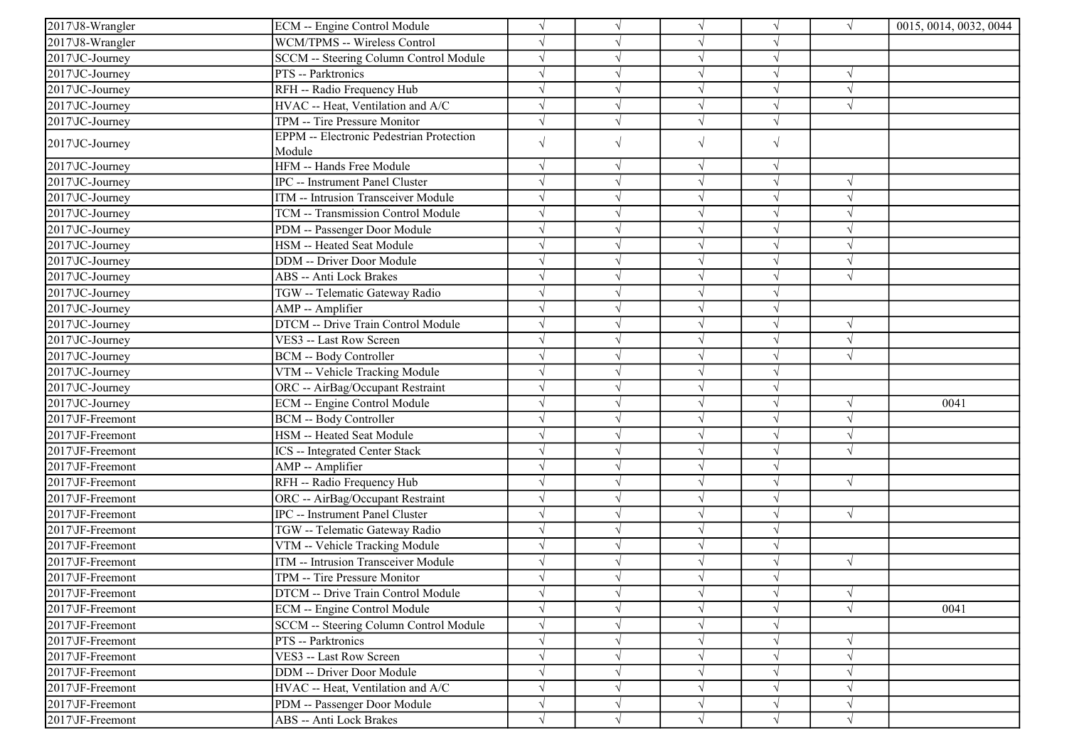| 2017\J8-Wrangler  | ECM -- Engine Control Module                              | $\sqrt{ }$ |            | $\sqrt{}$  | V          | $\sqrt{ }$ | 0015, 0014, 0032, 0044 |
|-------------------|-----------------------------------------------------------|------------|------------|------------|------------|------------|------------------------|
| 2017\J8-Wrangler  | WCM/TPMS -- Wireless Control                              | $\sqrt{ }$ |            | $\sqrt{}$  | V          |            |                        |
| 2017\JC-Journey   | SCCM -- Steering Column Control Module                    | $\sqrt{}$  |            | $\sqrt{}$  | $\sqrt{}$  |            |                        |
| 2017 JC-Journey   | PTS -- Parktronics                                        |            |            | V          |            |            |                        |
| 2017 JC-Journey   | RFH -- Radio Frequency Hub                                | $\sqrt{ }$ |            | $\sqrt{}$  | J          | $\sqrt{ }$ |                        |
| 2017\JC-Journey   | HVAC -- Heat, Ventilation and A/C                         | $\sqrt{ }$ |            | $\sqrt{}$  | J          | $\sqrt{ }$ |                        |
| 2017\JC-Journey   | TPM -- Tire Pressure Monitor                              | $\sqrt{ }$ |            | $\sqrt{ }$ | J          |            |                        |
| 2017\JC-Journey   | <b>EPPM</b> -- Electronic Pedestrian Protection<br>Module | $\sqrt{}$  | $\sqrt{}$  | $\sqrt{}$  | $\sqrt{}$  |            |                        |
| 2017\JC-Journey   | HFM -- Hands Free Module                                  | $\sqrt{ }$ | N          | $\sqrt{ }$ | $\sqrt{ }$ |            |                        |
| 2017\JC-Journey   | IPC -- Instrument Panel Cluster                           | $\sqrt{ }$ |            | $\sqrt{}$  | J          | $\sqrt{ }$ |                        |
| 2017\JC-Journey   | ITM -- Intrusion Transceiver Module                       | $\sqrt{ }$ |            | $\sqrt{ }$ | V          | $\sqrt{ }$ |                        |
| 2017\JC-Journey   | TCM -- Transmission Control Module                        | $\sqrt{ }$ |            | $\sqrt{ }$ | $\sqrt{ }$ | $\sqrt{ }$ |                        |
| 2017\JC-Journey   | PDM -- Passenger Door Module                              | $\sqrt{ }$ |            | $\sqrt{}$  | $\sqrt{}$  | $\sqrt{2}$ |                        |
| 2017\JC-Journey   | HSM -- Heated Seat Module                                 |            |            | $\sqrt{}$  |            | $\sqrt{ }$ |                        |
| 2017\JC-Journey   | DDM -- Driver Door Module                                 | $\sqrt{ }$ |            | $\sqrt{ }$ | V          | $\sqrt{ }$ |                        |
| 2017\JC-Journey   | <b>ABS</b> -- Anti Lock Brakes                            | $\sqrt{ }$ |            | $\sqrt{}$  | V          | $\sqrt{ }$ |                        |
| 2017\JC-Journey   | TGW -- Telematic Gateway Radio                            |            |            | $\sqrt{}$  | V          |            |                        |
| 2017\JC-Journey   | AMP -- Amplifier                                          | $\sqrt{ }$ |            | $\sqrt{ }$ | V          |            |                        |
| 2017\JC-Journey   | DTCM -- Drive Train Control Module                        | $\sqrt{ }$ |            | $\sqrt{}$  | $\sqrt{}$  | $\sqrt{ }$ |                        |
| $2017$ VC-Journey | VES3 -- Last Row Screen                                   |            |            | $\sqrt{}$  |            | $\sqrt{ }$ |                        |
| 2017\JC-Journey   | <b>BCM -- Body Controller</b>                             | $\sqrt{ }$ |            | $\sqrt{ }$ |            | $\sqrt{ }$ |                        |
| 2017\JC-Journey   | VTM -- Vehicle Tracking Module                            | $\sqrt{ }$ |            | $\sqrt{}$  | J          |            |                        |
| 2017\JC-Journey   | ORC -- AirBag/Occupant Restraint                          | $\sqrt{ }$ |            | $\sqrt{ }$ | V          |            |                        |
| 2017\JC-Journey   | ECM -- Engine Control Module                              | $\sqrt{}$  |            | $\sqrt{ }$ | V          | $\sqrt{ }$ | 0041                   |
| 2017\JF-Freemont  | BCM -- Body Controller                                    | $\sqrt{ }$ |            | $\sqrt{ }$ | $\sqrt{ }$ | $\sqrt{ }$ |                        |
| 2017\JF-Freemont  | HSM -- Heated Seat Module                                 | $\sqrt{ }$ |            | $\sqrt{}$  |            | $\sqrt{ }$ |                        |
| 2017\JF-Freemont  | ICS -- Integrated Center Stack                            | $\sqrt{ }$ |            | $\sqrt{}$  | V          | $\sqrt{ }$ |                        |
| 2017\JF-Freemont  | AMP -- Amplifier                                          | $\sqrt{ }$ |            | $\sqrt{}$  | $\sqrt{ }$ |            |                        |
| 2017\JF-Freemont  | RFH -- Radio Frequency Hub                                | $\sqrt{ }$ |            | $\sqrt{}$  | V          | $\sqrt{ }$ |                        |
| 2017\JF-Freemont  | ORC -- AirBag/Occupant Restraint                          | $\sqrt{ }$ |            | $\sqrt{}$  | V          |            |                        |
| 2017\JF-Freemont  | IPC -- Instrument Panel Cluster                           | $\sqrt{ }$ |            | $\sqrt{ }$ | J          | $\sqrt{ }$ |                        |
| 2017\JF-Freemont  | TGW -- Telematic Gateway Radio                            | $\sqrt{ }$ |            | $\sqrt{ }$ |            |            |                        |
| 2017\JF-Freemont  | VTM -- Vehicle Tracking Module                            | $\sqrt{ }$ |            | $\sqrt{ }$ | J          |            |                        |
| 2017\JF-Freemont  | <b>ITM</b> -- Intrusion Transceiver Module                | $\sqrt{ }$ |            | $\sqrt{ }$ |            | $\sqrt{ }$ |                        |
| 2017\JF-Freemont  | TPM -- Tire Pressure Monitor                              | $\sqrt{ }$ |            | $\sqrt{ }$ | V          |            |                        |
| 2017\JF-Freemont  | DTCM -- Drive Train Control Module                        | $\sqrt{}$  | $\sqrt{ }$ | $\sqrt{ }$ | $\sqrt{}$  | $\sqrt{}$  |                        |
| 2017\JF-Freemont  | ECM -- Engine Control Module                              | $\sqrt{ }$ |            | $\sqrt{ }$ |            | $\sqrt{ }$ | 0041                   |
| 2017\JF-Freemont  | SCCM -- Steering Column Control Module                    | $\sqrt{ }$ |            | $\sqrt{}$  | J          |            |                        |
| 2017\JF-Freemont  | PTS -- Parktronics                                        | $\sqrt{}$  |            | $\sqrt{ }$ | V          | $\sqrt{ }$ |                        |
| 2017\JF-Freemont  | VES3 -- Last Row Screen                                   | $\sqrt{ }$ |            | $\sqrt{}$  | V          | $\sqrt{ }$ |                        |
| 2017\JF-Freemont  | DDM -- Driver Door Module                                 | $\sqrt{}$  | V          | $\sqrt{}$  | $\sqrt{ }$ | $\sqrt{ }$ |                        |
| 2017\JF-Freemont  | HVAC -- Heat, Ventilation and A/C                         | $\sqrt{}$  |            | $\sqrt{ }$ | $\sqrt{ }$ | $\sqrt{ }$ |                        |
| 2017\JF-Freemont  | PDM -- Passenger Door Module                              | $\sqrt{}$  |            | $\sqrt{}$  | $\sqrt{ }$ | $\sqrt{ }$ |                        |
| 2017\JF-Freemont  | ABS -- Anti Lock Brakes                                   | $\sqrt{ }$ | $\sqrt{ }$ | $\sqrt{ }$ | $\sqrt{ }$ | $\sqrt{}$  |                        |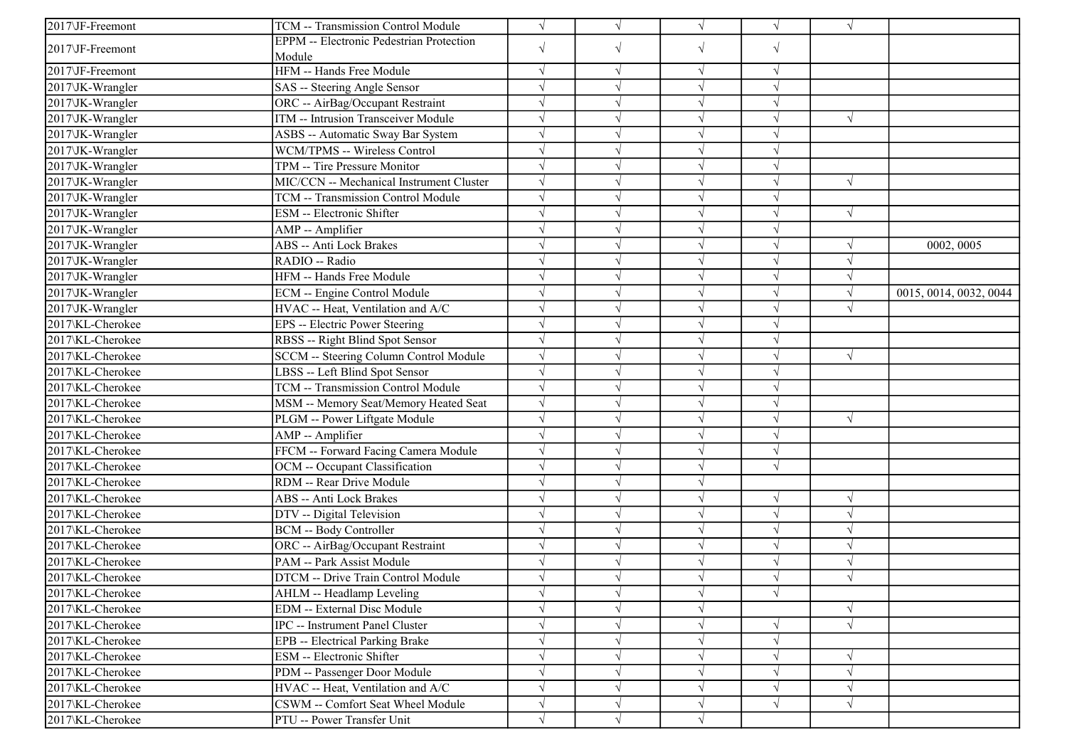| <b>EPPM</b> -- Electronic Pedestrian Protection<br>$\sqrt{ }$<br>$\sqrt{}$<br>$\sqrt{}$<br>$\sqrt{ }$<br>2017\JF-Freemont<br>Module<br>HFM -- Hands Free Module<br>2017\JF-Freemont<br>$\sqrt{ }$<br>$\sqrt{ }$<br>$\sqrt{ }$<br>$\sqrt{ }$<br>$\sqrt{}$<br>2017\JK-Wrangler<br>SAS -- Steering Angle Sensor<br>V<br>ORC -- AirBag/Occupant Restraint<br>2017\JK-Wrangler<br>$\sqrt{ }$<br>$\sqrt{}$<br>$\sqrt{ }$<br>ITM -- Intrusion Transceiver Module<br>2017\JK-Wrangler<br>$\sqrt{ }$<br>$\sqrt{ }$<br>$\sqrt{}$<br>V<br>2017\JK-Wrangler<br>ASBS -- Automatic Sway Bar System<br>$\sqrt{ }$<br>$\sqrt{}$<br>J<br>2017\JK-Wrangler<br>WCM/TPMS -- Wireless Control<br>$\sqrt{ }$<br>$\sqrt{}$<br>$\sqrt{}$<br>2017\JK-Wrangler<br>TPM -- Tire Pressure Monitor<br>$\sqrt{}$<br>2017\JK-Wrangler<br>MIC/CCN -- Mechanical Instrument Cluster<br>$\sqrt{ }$<br>$\sqrt{}$<br>$\sqrt{ }$<br>J<br>2017\JK-Wrangler<br>TCM -- Transmission Control Module<br>$\sqrt{ }$<br>$\sqrt{}$<br>V<br>2017\JK-Wrangler<br>ESM -- Electronic Shifter<br>$\sqrt{ }$<br>$\sqrt{ }$<br>$\sqrt{ }$<br>V<br>2017\JK-Wrangler<br>AMP -- Amplifier<br>$\sqrt{ }$<br>$\sqrt{}$<br>J<br>2017\JK-Wrangler<br><b>ABS</b> -- Anti Lock Brakes<br>$\sqrt{ }$<br>$\sqrt{ }$<br>$\sqrt{ }$<br>0002, 0005<br>$\sqrt{ }$<br>2017\JK-Wrangler<br>RADIO -- Radio<br>$\sqrt{ }$<br>J<br>$\sqrt{2}$<br>$\sqrt{}$<br>HFM -- Hands Free Module<br>2017\JK-Wrangler<br>$\sqrt{ }$<br>$\sqrt{ }$<br>V |
|--------------------------------------------------------------------------------------------------------------------------------------------------------------------------------------------------------------------------------------------------------------------------------------------------------------------------------------------------------------------------------------------------------------------------------------------------------------------------------------------------------------------------------------------------------------------------------------------------------------------------------------------------------------------------------------------------------------------------------------------------------------------------------------------------------------------------------------------------------------------------------------------------------------------------------------------------------------------------------------------------------------------------------------------------------------------------------------------------------------------------------------------------------------------------------------------------------------------------------------------------------------------------------------------------------------------------------------------------------------------------------------------------------------------------------------------------------------------|
|                                                                                                                                                                                                                                                                                                                                                                                                                                                                                                                                                                                                                                                                                                                                                                                                                                                                                                                                                                                                                                                                                                                                                                                                                                                                                                                                                                                                                                                                    |
|                                                                                                                                                                                                                                                                                                                                                                                                                                                                                                                                                                                                                                                                                                                                                                                                                                                                                                                                                                                                                                                                                                                                                                                                                                                                                                                                                                                                                                                                    |
|                                                                                                                                                                                                                                                                                                                                                                                                                                                                                                                                                                                                                                                                                                                                                                                                                                                                                                                                                                                                                                                                                                                                                                                                                                                                                                                                                                                                                                                                    |
|                                                                                                                                                                                                                                                                                                                                                                                                                                                                                                                                                                                                                                                                                                                                                                                                                                                                                                                                                                                                                                                                                                                                                                                                                                                                                                                                                                                                                                                                    |
|                                                                                                                                                                                                                                                                                                                                                                                                                                                                                                                                                                                                                                                                                                                                                                                                                                                                                                                                                                                                                                                                                                                                                                                                                                                                                                                                                                                                                                                                    |
|                                                                                                                                                                                                                                                                                                                                                                                                                                                                                                                                                                                                                                                                                                                                                                                                                                                                                                                                                                                                                                                                                                                                                                                                                                                                                                                                                                                                                                                                    |
|                                                                                                                                                                                                                                                                                                                                                                                                                                                                                                                                                                                                                                                                                                                                                                                                                                                                                                                                                                                                                                                                                                                                                                                                                                                                                                                                                                                                                                                                    |
|                                                                                                                                                                                                                                                                                                                                                                                                                                                                                                                                                                                                                                                                                                                                                                                                                                                                                                                                                                                                                                                                                                                                                                                                                                                                                                                                                                                                                                                                    |
|                                                                                                                                                                                                                                                                                                                                                                                                                                                                                                                                                                                                                                                                                                                                                                                                                                                                                                                                                                                                                                                                                                                                                                                                                                                                                                                                                                                                                                                                    |
|                                                                                                                                                                                                                                                                                                                                                                                                                                                                                                                                                                                                                                                                                                                                                                                                                                                                                                                                                                                                                                                                                                                                                                                                                                                                                                                                                                                                                                                                    |
|                                                                                                                                                                                                                                                                                                                                                                                                                                                                                                                                                                                                                                                                                                                                                                                                                                                                                                                                                                                                                                                                                                                                                                                                                                                                                                                                                                                                                                                                    |
|                                                                                                                                                                                                                                                                                                                                                                                                                                                                                                                                                                                                                                                                                                                                                                                                                                                                                                                                                                                                                                                                                                                                                                                                                                                                                                                                                                                                                                                                    |
|                                                                                                                                                                                                                                                                                                                                                                                                                                                                                                                                                                                                                                                                                                                                                                                                                                                                                                                                                                                                                                                                                                                                                                                                                                                                                                                                                                                                                                                                    |
|                                                                                                                                                                                                                                                                                                                                                                                                                                                                                                                                                                                                                                                                                                                                                                                                                                                                                                                                                                                                                                                                                                                                                                                                                                                                                                                                                                                                                                                                    |
|                                                                                                                                                                                                                                                                                                                                                                                                                                                                                                                                                                                                                                                                                                                                                                                                                                                                                                                                                                                                                                                                                                                                                                                                                                                                                                                                                                                                                                                                    |
|                                                                                                                                                                                                                                                                                                                                                                                                                                                                                                                                                                                                                                                                                                                                                                                                                                                                                                                                                                                                                                                                                                                                                                                                                                                                                                                                                                                                                                                                    |
| $\sqrt{ }$<br>$\sqrt{}$<br>2017\JK-Wrangler<br>ECM -- Engine Control Module<br>0015, 0014, 0032, 0044<br>V                                                                                                                                                                                                                                                                                                                                                                                                                                                                                                                                                                                                                                                                                                                                                                                                                                                                                                                                                                                                                                                                                                                                                                                                                                                                                                                                                         |
| 2017\JK-Wrangler<br>HVAC -- Heat, Ventilation and A/C<br>$\sqrt{ }$<br>$\sqrt{}$<br>V<br>$\sqrt{ }$                                                                                                                                                                                                                                                                                                                                                                                                                                                                                                                                                                                                                                                                                                                                                                                                                                                                                                                                                                                                                                                                                                                                                                                                                                                                                                                                                                |
| 2017\KL-Cherokee<br>EPS -- Electric Power Steering<br>$\sqrt{ }$<br>$\sqrt{}$<br>V                                                                                                                                                                                                                                                                                                                                                                                                                                                                                                                                                                                                                                                                                                                                                                                                                                                                                                                                                                                                                                                                                                                                                                                                                                                                                                                                                                                 |
| 2017\KL-Cherokee<br>$\sqrt{}$<br>RBSS -- Right Blind Spot Sensor<br>$\sqrt{}$<br>J                                                                                                                                                                                                                                                                                                                                                                                                                                                                                                                                                                                                                                                                                                                                                                                                                                                                                                                                                                                                                                                                                                                                                                                                                                                                                                                                                                                 |
| 2017\KL-Cherokee<br>SCCM -- Steering Column Control Module<br>$\sqrt{ }$<br>$\sqrt{ }$<br>$\sqrt{ }$                                                                                                                                                                                                                                                                                                                                                                                                                                                                                                                                                                                                                                                                                                                                                                                                                                                                                                                                                                                                                                                                                                                                                                                                                                                                                                                                                               |
| 2017\KL-Cherokee<br>LBSS -- Left Blind Spot Sensor<br>$\sqrt{ }$<br>$\sqrt{}$                                                                                                                                                                                                                                                                                                                                                                                                                                                                                                                                                                                                                                                                                                                                                                                                                                                                                                                                                                                                                                                                                                                                                                                                                                                                                                                                                                                      |
| TCM -- Transmission Control Module<br>$\sqrt{ }$<br>2017\KL-Cherokee<br>$\sqrt{}$<br>J                                                                                                                                                                                                                                                                                                                                                                                                                                                                                                                                                                                                                                                                                                                                                                                                                                                                                                                                                                                                                                                                                                                                                                                                                                                                                                                                                                             |
| 2017\KL-Cherokee<br>$\sqrt{ }$<br>MSM -- Memory Seat/Memory Heated Seat<br>$\sqrt{ }$<br>V                                                                                                                                                                                                                                                                                                                                                                                                                                                                                                                                                                                                                                                                                                                                                                                                                                                                                                                                                                                                                                                                                                                                                                                                                                                                                                                                                                         |
| 2017\KL-Cherokee<br>$\sqrt{ }$<br>PLGM -- Power Liftgate Module<br>$\sqrt{ }$<br>J<br>$\sqrt{ }$                                                                                                                                                                                                                                                                                                                                                                                                                                                                                                                                                                                                                                                                                                                                                                                                                                                                                                                                                                                                                                                                                                                                                                                                                                                                                                                                                                   |
| $\sqrt{ }$<br>2017\KL-Cherokee<br>AMP -- Amplifier<br>$\sqrt{ }$<br>$\sqrt{ }$                                                                                                                                                                                                                                                                                                                                                                                                                                                                                                                                                                                                                                                                                                                                                                                                                                                                                                                                                                                                                                                                                                                                                                                                                                                                                                                                                                                     |
| FFCM -- Forward Facing Camera Module<br>$\sqrt{ }$<br>$\sqrt{}$<br>$\sqrt{ }$<br>2017\KL-Cherokee                                                                                                                                                                                                                                                                                                                                                                                                                                                                                                                                                                                                                                                                                                                                                                                                                                                                                                                                                                                                                                                                                                                                                                                                                                                                                                                                                                  |
| OCM -- Occupant Classification<br>2017\KL-Cherokee<br>$\sqrt{ }$<br>$\sqrt{}$<br>$\sqrt{ }$                                                                                                                                                                                                                                                                                                                                                                                                                                                                                                                                                                                                                                                                                                                                                                                                                                                                                                                                                                                                                                                                                                                                                                                                                                                                                                                                                                        |
| RDM -- Rear Drive Module<br>$\sqrt{ }$<br>$\sqrt{}$<br>2017\KL-Cherokee                                                                                                                                                                                                                                                                                                                                                                                                                                                                                                                                                                                                                                                                                                                                                                                                                                                                                                                                                                                                                                                                                                                                                                                                                                                                                                                                                                                            |
| $\sqrt{}$<br>2017\KL-Cherokee<br><b>ABS</b> -- Anti Lock Brakes<br>$\sqrt{ }$<br>$\sqrt{ }$<br>V                                                                                                                                                                                                                                                                                                                                                                                                                                                                                                                                                                                                                                                                                                                                                                                                                                                                                                                                                                                                                                                                                                                                                                                                                                                                                                                                                                   |
| 2017\KL-Cherokee<br>DTV -- Digital Television<br>$\sqrt{ }$<br>$\sqrt{}$<br>$\sqrt{ }$<br>V                                                                                                                                                                                                                                                                                                                                                                                                                                                                                                                                                                                                                                                                                                                                                                                                                                                                                                                                                                                                                                                                                                                                                                                                                                                                                                                                                                        |
| 2017\KL-Cherokee<br>$\sqrt{ }$<br>$\sqrt{ }$<br>$\sqrt{}$<br>$\sqrt{ }$<br><b>BCM -- Body Controller</b>                                                                                                                                                                                                                                                                                                                                                                                                                                                                                                                                                                                                                                                                                                                                                                                                                                                                                                                                                                                                                                                                                                                                                                                                                                                                                                                                                           |
| 2017\KL-Cherokee<br>ORC -- AirBag/Occupant Restraint<br>$\sqrt{ }$<br>$\sqrt{}$<br>$\sqrt{}$<br>$\sqrt{ }$                                                                                                                                                                                                                                                                                                                                                                                                                                                                                                                                                                                                                                                                                                                                                                                                                                                                                                                                                                                                                                                                                                                                                                                                                                                                                                                                                         |
| 2017\KL-Cherokee<br>PAM -- Park Assist Module<br>V                                                                                                                                                                                                                                                                                                                                                                                                                                                                                                                                                                                                                                                                                                                                                                                                                                                                                                                                                                                                                                                                                                                                                                                                                                                                                                                                                                                                                 |
| 2017\KL-Cherokee<br>DTCM -- Drive Train Control Module<br>$\sqrt{ }$                                                                                                                                                                                                                                                                                                                                                                                                                                                                                                                                                                                                                                                                                                                                                                                                                                                                                                                                                                                                                                                                                                                                                                                                                                                                                                                                                                                               |
| $\sqrt{}$<br>2017\KL-Cherokee<br>$\sqrt{ }$<br>AHLM -- Headlamp Leveling<br>$\sqrt{ }$                                                                                                                                                                                                                                                                                                                                                                                                                                                                                                                                                                                                                                                                                                                                                                                                                                                                                                                                                                                                                                                                                                                                                                                                                                                                                                                                                                             |
| EDM -- External Disc Module<br>$\sqrt{ }$<br>2017\KL-Cherokee<br>$\sqrt{ }$<br>$\sqrt{}$                                                                                                                                                                                                                                                                                                                                                                                                                                                                                                                                                                                                                                                                                                                                                                                                                                                                                                                                                                                                                                                                                                                                                                                                                                                                                                                                                                           |
| $\sqrt{ }$<br>$\sqrt{}$<br>2017\KL-Cherokee<br>IPC -- Instrument Panel Cluster<br>$\sqrt{}$<br>V                                                                                                                                                                                                                                                                                                                                                                                                                                                                                                                                                                                                                                                                                                                                                                                                                                                                                                                                                                                                                                                                                                                                                                                                                                                                                                                                                                   |
| $\sqrt{ }$<br>2017\KL-Cherokee<br>EPB -- Electrical Parking Brake<br>$\sqrt{ }$                                                                                                                                                                                                                                                                                                                                                                                                                                                                                                                                                                                                                                                                                                                                                                                                                                                                                                                                                                                                                                                                                                                                                                                                                                                                                                                                                                                    |
| ESM -- Electronic Shifter<br>2017\KL-Cherokee<br>$\sqrt{ }$<br>$\sqrt{ }$                                                                                                                                                                                                                                                                                                                                                                                                                                                                                                                                                                                                                                                                                                                                                                                                                                                                                                                                                                                                                                                                                                                                                                                                                                                                                                                                                                                          |
| PDM -- Passenger Door Module<br>2017\KL-Cherokee<br>$\sqrt{ }$<br>$\sqrt{ }$<br>$\sqrt{ }$<br>$\sqrt{ }$<br>V                                                                                                                                                                                                                                                                                                                                                                                                                                                                                                                                                                                                                                                                                                                                                                                                                                                                                                                                                                                                                                                                                                                                                                                                                                                                                                                                                      |
| HVAC -- Heat, Ventilation and A/C<br>$\sqrt{}$<br>2017\KL-Cherokee<br>$\sqrt{ }$<br>$\sqrt{}$<br>V                                                                                                                                                                                                                                                                                                                                                                                                                                                                                                                                                                                                                                                                                                                                                                                                                                                                                                                                                                                                                                                                                                                                                                                                                                                                                                                                                                 |
| 2017\KL-Cherokee<br>CSWM -- Comfort Seat Wheel Module<br>$\sqrt{}$<br>$\sqrt{ }$<br>$\sqrt{ }$<br>V                                                                                                                                                                                                                                                                                                                                                                                                                                                                                                                                                                                                                                                                                                                                                                                                                                                                                                                                                                                                                                                                                                                                                                                                                                                                                                                                                                |
| 2017\KL-Cherokee<br>PTU -- Power Transfer Unit<br>$\sqrt{}$<br>$\sqrt{ }$<br>V                                                                                                                                                                                                                                                                                                                                                                                                                                                                                                                                                                                                                                                                                                                                                                                                                                                                                                                                                                                                                                                                                                                                                                                                                                                                                                                                                                                     |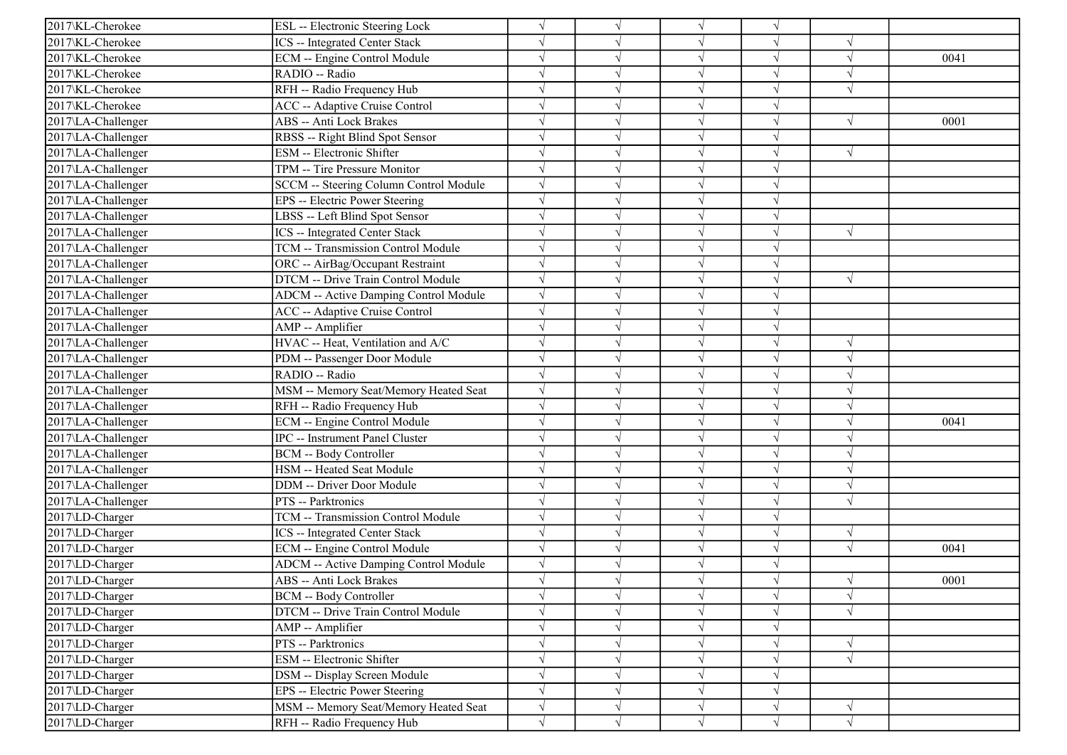|                    |                                              | $\sqrt{}$  |            |            |           |            |      |
|--------------------|----------------------------------------------|------------|------------|------------|-----------|------------|------|
| 2017\KL-Cherokee   | ESL -- Electronic Steering Lock              |            | $\sqrt{ }$ | $\sqrt{ }$ | $\sqrt{}$ |            |      |
| 2017\KL-Cherokee   | <b>ICS</b> -- Integrated Center Stack        |            |            | $\sqrt{ }$ |           |            |      |
| 2017\KL-Cherokee   | ECM -- Engine Control Module                 |            |            | $\sqrt{ }$ | J         | $\sqrt{ }$ | 0041 |
| 2017\KL-Cherokee   | RADIO -- Radio                               |            |            | $\sqrt{}$  | $\sqrt{}$ | $\sqrt{ }$ |      |
| 2017\KL-Cherokee   | RFH -- Radio Frequency Hub                   |            |            | $\sqrt{}$  |           |            |      |
| 2017\KL-Cherokee   | ACC -- Adaptive Cruise Control               |            |            | $\sqrt{}$  |           |            |      |
| 2017\LA-Challenger | <b>ABS</b> -- Anti Lock Brakes               | $\sqrt{ }$ |            | $\sqrt{ }$ | $\sqrt{}$ | $\sqrt{ }$ | 0001 |
| 2017\LA-Challenger | RBSS -- Right Blind Spot Sensor              | V          |            | $\sqrt{ }$ |           |            |      |
| 2017\LA-Challenger | <b>ESM</b> -- Electronic Shifter             | $\sqrt{ }$ |            | $\sqrt{ }$ | J         | $\sqrt{ }$ |      |
| 2017\LA-Challenger | TPM -- Tire Pressure Monitor                 | $\sqrt{}$  |            | $\sqrt{ }$ |           |            |      |
| 2017\LA-Challenger | SCCM -- Steering Column Control Module       |            |            | $\sqrt{ }$ |           |            |      |
| 2017\LA-Challenger | EPS -- Electric Power Steering               |            |            | $\sqrt{}$  |           |            |      |
| 2017\LA-Challenger | LBSS -- Left Blind Spot Sensor               |            |            | $\sqrt{ }$ | V         |            |      |
| 2017\LA-Challenger | <b>ICS</b> -- Integrated Center Stack        |            |            | $\sqrt{}$  |           | $\sqrt{ }$ |      |
| 2017\LA-Challenger | TCM -- Transmission Control Module           |            |            | $\sqrt{ }$ |           |            |      |
| 2017\LA-Challenger | ORC -- AirBag/Occupant Restraint             |            |            | $\sqrt{}$  | J         |            |      |
| 2017\LA-Challenger | DTCM -- Drive Train Control Module           |            |            | $\sqrt{}$  |           | $\sqrt{ }$ |      |
| 2017\LA-Challenger | ADCM -- Active Damping Control Module        | $\sqrt{ }$ |            | $\sqrt{}$  |           |            |      |
| 2017\LA-Challenger | <b>ACC</b> -- Adaptive Cruise Control        |            |            | $\sqrt{}$  |           |            |      |
| 2017\LA-Challenger | AMP -- Amplifier                             | $\sqrt{}$  |            | $\sqrt{ }$ | V         |            |      |
| 2017\LA-Challenger | HVAC -- Heat, Ventilation and A/C            |            |            | $\sqrt{ }$ |           | $\sqrt{ }$ |      |
| 2017\LA-Challenger | PDM -- Passenger Door Module                 |            |            | $\sqrt{ }$ |           | $\sqrt{ }$ |      |
| 2017\LA-Challenger | RADIO -- Radio                               |            |            | $\sqrt{ }$ |           |            |      |
| 2017\LA-Challenger | MSM -- Memory Seat/Memory Heated Seat        |            |            | $\sqrt{ }$ |           | $\sqrt{ }$ |      |
| 2017\LA-Challenger | RFH -- Radio Frequency Hub                   |            |            | $\sqrt{}$  |           | $\sqrt{ }$ |      |
| 2017\LA-Challenger | ECM -- Engine Control Module                 |            |            | $\sqrt{}$  |           | $\sqrt{ }$ | 0041 |
| 2017\LA-Challenger | IPC -- Instrument Panel Cluster              | $\sqrt{}$  |            | $\sqrt{ }$ |           | $\sqrt{ }$ |      |
| 2017\LA-Challenger | <b>BCM -- Body Controller</b>                |            |            | $\sqrt{ }$ |           | $\sqrt{ }$ |      |
| 2017\LA-Challenger | HSM -- Heated Seat Module                    |            |            | $\sqrt{ }$ | J         | $\sqrt{ }$ |      |
| 2017\LA-Challenger | DDM -- Driver Door Module                    |            |            | $\sqrt{ }$ |           |            |      |
| 2017\LA-Challenger | PTS -- Parktronics                           |            |            | $\sqrt{ }$ |           | $\sqrt{ }$ |      |
| 2017\LD-Charger    | TCM -- Transmission Control Module           | $\sqrt{}$  |            | $\sqrt{ }$ | V         |            |      |
| 2017\LD-Charger    | ICS -- Integrated Center Stack               | V          |            | $\sqrt{ }$ |           | $\sqrt{ }$ |      |
| 2017\LD-Charger    | ECM -- Engine Control Module                 | $\sqrt{}$  |            | $\sqrt{ }$ | $\sqrt{}$ | $\sqrt{ }$ | 0041 |
| 2017\LD-Charger    | <b>ADCM</b> -- Active Damping Control Module | $\sqrt{}$  |            | $\sqrt{ }$ | V         |            |      |
| 2017\LD-Charger    | ABS -- Anti Lock Brakes                      | N          |            | $\sqrt{ }$ |           | $\sqrt{ }$ | 0001 |
| 2017\LD-Charger    | BCM -- Body Controller                       | $\sqrt{}$  | $\sqrt{}$  | $\sqrt{}$  | $\sqrt{}$ | $\sqrt{ }$ |      |
| 2017\LD-Charger    | DTCM -- Drive Train Control Module           | $\sqrt{}$  | V          | $\sqrt{}$  | $\sqrt{}$ | $\sqrt{ }$ |      |
| 2017\LD-Charger    | AMP -- Amplifier                             |            |            | $\sqrt{}$  |           |            |      |
| 2017\LD-Charger    | PTS -- Parktronics                           | $\sqrt{}$  |            | $\sqrt{}$  | $\sqrt{}$ | $\sqrt{}$  |      |
| 2017\LD-Charger    | ESM -- Electronic Shifter                    | $\sqrt{}$  |            | $\sqrt{}$  | V         | $\sqrt{ }$ |      |
| 2017\LD-Charger    | DSM -- Display Screen Module                 |            |            | $\sqrt{ }$ |           |            |      |
| 2017\LD-Charger    | EPS -- Electric Power Steering               | $\sqrt{}$  |            | $\sqrt{}$  | $\sqrt{}$ |            |      |
| 2017\LD-Charger    | MSM -- Memory Seat/Memory Heated Seat        | $\sqrt{}$  | V          | $\sqrt{ }$ | $\sqrt{}$ | $\sqrt{}$  |      |
| 2017\LD-Charger    | RFH -- Radio Frequency Hub                   | $\sqrt{}$  | $\sqrt{ }$ | $\sqrt{ }$ | $\sqrt{}$ | $\sqrt{ }$ |      |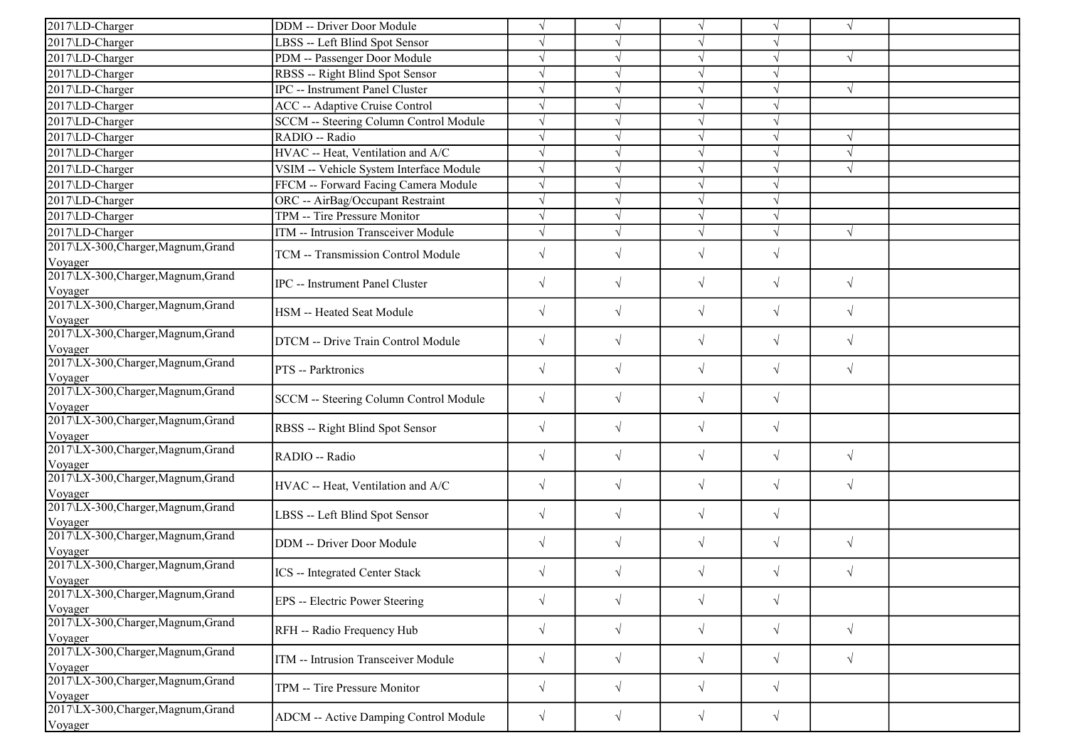| 2017\LD-Charger                                | DDM -- Driver Door Module               | $\sqrt{ }$ | $\sqrt{}$  | $\sqrt{ }$            |            | $\sqrt{ }$ |  |
|------------------------------------------------|-----------------------------------------|------------|------------|-----------------------|------------|------------|--|
| 2017\LD-Charger                                | LBSS -- Left Blind Spot Sensor          | $\sqrt{}$  |            |                       |            |            |  |
| 2017\LD-Charger                                | PDM -- Passenger Door Module            | $\sqrt{ }$ |            | $\sqrt{ }$            | $\sqrt{ }$ | $\sqrt{ }$ |  |
| 2017\LD-Charger                                | RBSS -- Right Blind Spot Sensor         | $\sqrt{ }$ | J          | $\sqrt{ }$            |            |            |  |
| 2017\LD-Charger                                | IPC -- Instrument Panel Cluster         | $\sqrt{ }$ |            |                       |            | $\sqrt{ }$ |  |
| 2017\LD-Charger                                | ACC -- Adaptive Cruise Control          | $\sqrt{ }$ |            | $\sqrt{2}$            |            |            |  |
| 2017\LD-Charger                                | SCCM -- Steering Column Control Module  | $\sqrt{ }$ | J          | $\sqrt{}$             |            |            |  |
| 2017\LD-Charger                                | RADIO -- Radio                          | $\sqrt{ }$ |            | N                     |            | $\sqrt{ }$ |  |
| 2017\LD-Charger                                | HVAC -- Heat, Ventilation and A/C       | $\sqrt{ }$ |            | $\sqrt{ }$            | $\sqrt{ }$ | $\sqrt{ }$ |  |
| 2017\LD-Charger                                | VSIM -- Vehicle System Interface Module | $\sqrt{ }$ | J          | $\sqrt{ }$            |            | $\sqrt{ }$ |  |
| 2017\LD-Charger                                | FFCM -- Forward Facing Camera Module    | $\sqrt{ }$ |            | $\sqrt{ }$            |            |            |  |
| 2017\LD-Charger                                | ORC -- AirBag/Occupant Restraint        | $\sqrt{}$  |            | $\overline{\sqrt{ }}$ |            |            |  |
| 2017\LD-Charger                                | TPM -- Tire Pressure Monitor            | $\sqrt{ }$ | $\sqrt{ }$ | $\sqrt{}$             | $\sqrt{ }$ |            |  |
| 2017\LD-Charger                                | ITM -- Intrusion Transceiver Module     | $\sqrt{ }$ | $\sqrt{ }$ | $\sqrt{ }$            | $\sqrt{ }$ | $\sqrt{ }$ |  |
| 2017\LX-300, Charger, Magnum, Grand            |                                         |            |            |                       |            |            |  |
| Voyager                                        | TCM -- Transmission Control Module      | $\sqrt{}$  | $\sqrt{ }$ | $\sqrt{ }$            | $\sqrt{}$  |            |  |
| 2017\LX-300, Charger, Magnum, Grand            | IPC -- Instrument Panel Cluster         | $\sqrt{}$  | $\sqrt{}$  | $\sqrt{}$             | $\sqrt{}$  | $\sqrt{ }$ |  |
| Voyager                                        |                                         |            |            |                       |            |            |  |
| 2017\LX-300, Charger, Magnum, Grand            | HSM -- Heated Seat Module               | $\sqrt{ }$ | $\sqrt{}$  | $\sqrt{}$             | $\sqrt{ }$ | $\sqrt{ }$ |  |
| Voyager                                        |                                         |            |            |                       |            |            |  |
| 2017\LX-300, Charger, Magnum, Grand            | DTCM -- Drive Train Control Module      | $\sqrt{ }$ | $\sqrt{}$  | $\sqrt{}$             | $\sqrt{}$  | $\sqrt{ }$ |  |
| Voyager                                        |                                         |            |            |                       |            |            |  |
| 2017\LX-300, Charger, Magnum, Grand            | PTS -- Parktronics                      | $\sqrt{ }$ | $\sqrt{}$  | $\sqrt{}$             | $\sqrt{}$  | $\sqrt{ }$ |  |
| Voyager<br>2017\LX-300, Charger, Magnum, Grand |                                         |            |            |                       |            |            |  |
| Voyager                                        | SCCM -- Steering Column Control Module  | $\sqrt{ }$ | $\sqrt{}$  | $\sqrt{}$             | $\sqrt{}$  |            |  |
| 2017\LX-300, Charger, Magnum, Grand            |                                         |            |            |                       |            |            |  |
| Voyager                                        | RBSS -- Right Blind Spot Sensor         | $\sqrt{ }$ | $\sqrt{ }$ | $\sqrt{}$             | $\sqrt{}$  |            |  |
| 2017\LX-300, Charger, Magnum, Grand            | RADIO -- Radio                          | $\sqrt{ }$ | $\sqrt{}$  | $\sqrt{}$             | $\sqrt{}$  | $\sqrt{ }$ |  |
| Voyager                                        |                                         |            |            |                       |            |            |  |
| 2017\LX-300, Charger, Magnum, Grand            | HVAC -- Heat, Ventilation and A/C       | $\sqrt{ }$ | $\sqrt{}$  | $\sqrt{}$             | $\sqrt{}$  | $\sqrt{ }$ |  |
| Voyager                                        |                                         |            |            |                       |            |            |  |
| 2017\LX-300, Charger, Magnum, Grand            | LBSS -- Left Blind Spot Sensor          | $\sqrt{ }$ | $\sqrt{}$  | $\sqrt{}$             | $\sqrt{}$  |            |  |
| Voyager<br>2017\LX-300, Charger, Magnum, Grand |                                         |            |            |                       |            |            |  |
|                                                | DDM -- Driver Door Module               | $\sqrt{ }$ | $\sqrt{ }$ | $\sqrt{ }$            | $\sqrt{}$  | $\sqrt{ }$ |  |
| Voyager<br>2017\LX-300, Charger, Magnum, Grand |                                         |            |            |                       |            |            |  |
| Voyager                                        | ICS -- Integrated Center Stack          | $\sqrt{ }$ | $\sqrt{}$  | $\sqrt{2}$            | $\sqrt{ }$ | $\sqrt{ }$ |  |
| 2017\LX-300, Charger, Magnum, Grand            |                                         |            |            |                       |            |            |  |
| Voyager                                        | EPS -- Electric Power Steering          | $\sqrt{ }$ | $\sqrt{}$  | $\sqrt{}$             | $\sqrt{}$  |            |  |
| 2017\LX-300, Charger, Magnum, Grand            | RFH -- Radio Frequency Hub              | $\sqrt{ }$ | $\sqrt{}$  | $\sqrt{}$             | $\sqrt{}$  | $\sqrt{ }$ |  |
| Voyager                                        |                                         |            |            |                       |            |            |  |
| 2017\LX-300, Charger, Magnum, Grand            | ITM -- Intrusion Transceiver Module     | $\sqrt{ }$ | $\sqrt{}$  | $\sqrt{}$             | $\sqrt{}$  | $\sqrt{ }$ |  |
| Voyager                                        |                                         |            |            |                       |            |            |  |
| 2017\LX-300, Charger, Magnum, Grand            | TPM -- Tire Pressure Monitor            | $\sqrt{}$  | $\sqrt{}$  | $\sqrt{}$             | $\sqrt{}$  |            |  |
| Voyager<br>2017\LX-300, Charger, Magnum, Grand |                                         |            |            |                       |            |            |  |
|                                                | ADCM -- Active Damping Control Module   | $\sqrt{}$  | $\sqrt{}$  | $\sqrt{}$             | $\sqrt{}$  |            |  |
| Voyager                                        |                                         |            |            |                       |            |            |  |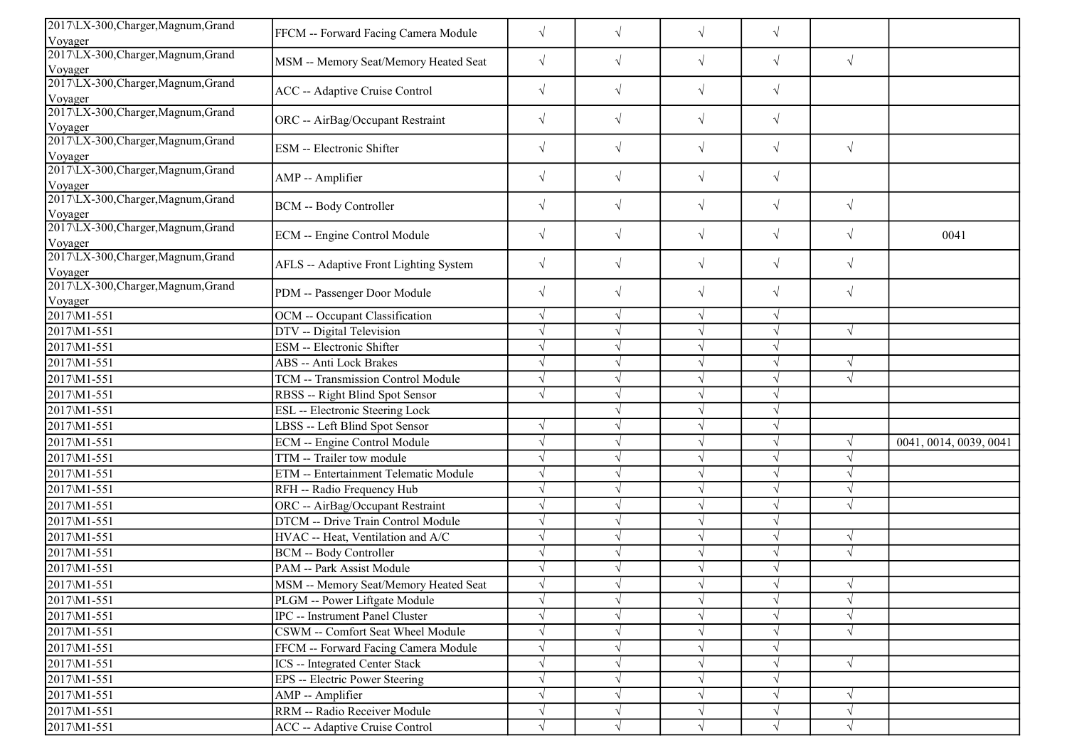| 2017\LX-300, Charger, Magnum, Grand<br>Voyager            | FFCM -- Forward Facing Camera Module   | $\sqrt{}$  | $\sqrt{}$  | $\sqrt{}$  | $\sqrt{}$ |            |                        |
|-----------------------------------------------------------|----------------------------------------|------------|------------|------------|-----------|------------|------------------------|
| 2017\LX-300, Charger, Magnum, Grand                       |                                        |            |            |            |           |            |                        |
| Voyager                                                   | MSM -- Memory Seat/Memory Heated Seat  | $\sqrt{}$  | $\sqrt{ }$ | $\sqrt{ }$ | $\sqrt{}$ | $\sqrt{}$  |                        |
| 2017\LX-300, Charger, Magnum, Grand                       | ACC -- Adaptive Cruise Control         | $\sqrt{}$  | $\sqrt{}$  | $\sqrt{ }$ | $\sqrt{}$ |            |                        |
| Voyager                                                   |                                        |            |            |            |           |            |                        |
| 2017\LX-300, Charger, Magnum, Grand<br>Voyager            | ORC -- AirBag/Occupant Restraint       | $\sqrt{ }$ | $\sqrt{}$  | $\sqrt{}$  | $\sqrt{}$ |            |                        |
| 2017\LX-300, Charger, Magnum, Grand<br>Voyager            | ESM -- Electronic Shifter              | $\sqrt{}$  | $\sqrt{ }$ | $\sqrt{}$  | $\sqrt{}$ | $\sqrt{ }$ |                        |
| 2017\LX-300, Charger, Magnum, Grand                       | AMP -- Amplifier                       | $\sqrt{}$  | $\sqrt{ }$ | $\sqrt{}$  | $\sqrt{}$ |            |                        |
| Voyager<br>2017\LX-300, Charger, Magnum, Grand<br>Voyager | <b>BCM</b> -- Body Controller          | $\sqrt{}$  | $\sqrt{ }$ | $\sqrt{ }$ | $\sqrt{}$ | $\sqrt{ }$ |                        |
| 2017\LX-300, Charger, Magnum, Grand<br>Voyager            | ECM -- Engine Control Module           | $\sqrt{}$  | $\sqrt{ }$ | $\sqrt{ }$ | $\sqrt{}$ | $\sqrt{ }$ | 0041                   |
| 2017\LX-300, Charger, Magnum, Grand<br>Voyager            | AFLS -- Adaptive Front Lighting System | $\sqrt{}$  | $\sqrt{ }$ | $\sqrt{}$  | $\sqrt{}$ | $\sqrt{}$  |                        |
| 2017\LX-300, Charger, Magnum, Grand<br>Voyager            | PDM -- Passenger Door Module           | $\sqrt{}$  | $\sqrt{ }$ | $\sqrt{}$  | $\sqrt{}$ | $\sqrt{ }$ |                        |
| 2017\M1-551                                               | OCM -- Occupant Classification         | $\sqrt{}$  | $\sqrt{ }$ | $\sqrt{}$  | $\sqrt{}$ |            |                        |
| 2017\M1-551                                               | DTV -- Digital Television              | J          | $\sqrt{ }$ | $\sqrt{}$  | $\sqrt{}$ | $\sqrt{ }$ |                        |
| 2017\M1-551                                               | ESM -- Electronic Shifter              |            |            | $\sqrt{ }$ | $\sqrt{}$ |            |                        |
| 2017\M1-551                                               | ABS -- Anti Lock Brakes                |            |            | $\sqrt{ }$ | V         | $\sqrt{ }$ |                        |
| 2017\M1-551                                               | TCM -- Transmission Control Module     |            |            | $\sqrt{ }$ |           | $\sqrt{ }$ |                        |
| 2017\M1-551                                               | RBSS -- Right Blind Spot Sensor        |            |            | $\sqrt{ }$ |           |            |                        |
| 2017\M1-551                                               | ESL -- Electronic Steering Lock        |            |            | $\sqrt{ }$ | $\sqrt{}$ |            |                        |
| 2017\M1-551                                               | LBSS -- Left Blind Spot Sensor         | $\sqrt{ }$ |            | $\sqrt{ }$ | V         |            |                        |
| 2017\M1-551                                               | ECM -- Engine Control Module           | $\sqrt{ }$ | $\sqrt{ }$ | $\sqrt{ }$ | $\sqrt{}$ | $\sqrt{ }$ | 0041, 0014, 0039, 0041 |
| 2017\M1-551                                               | TTM -- Trailer tow module              |            |            | $\sqrt{ }$ | V         | $\sqrt{ }$ |                        |
| 2017\M1-551                                               | ETM -- Entertainment Telematic Module  |            |            | $\sqrt{ }$ |           | $\sqrt{ }$ |                        |
| 2017\M1-551                                               | RFH -- Radio Frequency Hub             |            |            | $\sqrt{}$  |           | $\sqrt{ }$ |                        |
| 2017\M1-551                                               | ORC -- AirBag/Occupant Restraint       |            | $\sqrt{ }$ | $\sqrt{}$  | V         | $\sqrt{ }$ |                        |
| 2017\M1-551                                               | DTCM -- Drive Train Control Module     |            |            | $\sqrt{}$  | V         |            |                        |
| 2017\M1-551                                               | HVAC -- Heat, Ventilation and A/C      |            | $\sqrt{ }$ | $\sqrt{}$  | $\sqrt{}$ | $\sqrt{ }$ |                        |
| 2017\M1-551                                               | <b>BCM -- Body Controller</b>          |            |            | $\sqrt{}$  |           | $\sqrt{ }$ |                        |
| 2017\M1-551                                               | PAM -- Park Assist Module              |            |            | $\sqrt{}$  |           |            |                        |
| 2017\M1-551                                               | MSM -- Memory Seat/Memory Heated Seat  | $\sqrt{ }$ | √          | $\sqrt{ }$ | $\sqrt{}$ | $\sqrt{ }$ |                        |
| 2017\M1-551                                               | PLGM -- Power Liftgate Module          |            |            | $\sqrt{}$  |           | $\sqrt{ }$ |                        |
| 2017\M1-551                                               | IPC -- Instrument Panel Cluster        |            |            |            |           | $\sqrt{}$  |                        |
| 2017\M1-551                                               | CSWM -- Comfort Seat Wheel Module      | $\sqrt{ }$ | $\sqrt{ }$ | $\sqrt{ }$ |           | $\sqrt{ }$ |                        |
| 2017\M1-551                                               | FFCM -- Forward Facing Camera Module   |            |            | $\sqrt{ }$ |           |            |                        |
| 2017\M1-551                                               | <b>ICS</b> -- Integrated Center Stack  |            |            | $\sqrt{ }$ |           | $\sqrt{ }$ |                        |
| 2017\M1-551                                               | EPS -- Electric Power Steering         |            | $\sqrt{ }$ | $\sqrt{ }$ | $\sqrt{}$ |            |                        |
| 2017\M1-551                                               | AMP -- Amplifier                       |            | $\sqrt{ }$ | $\sqrt{}$  | V         | $\sqrt{ }$ |                        |
| 2017\M1-551                                               | RRM -- Radio Receiver Module           | $\sqrt{}$  | $\sqrt{ }$ | $\sqrt{ }$ | $\sqrt{}$ | $\sqrt{ }$ |                        |
| 2017\M1-551                                               | ACC -- Adaptive Cruise Control         | $\sqrt{}$  | $\sqrt{}$  | $\sqrt{}$  | $\sqrt{}$ | $\sqrt{}$  |                        |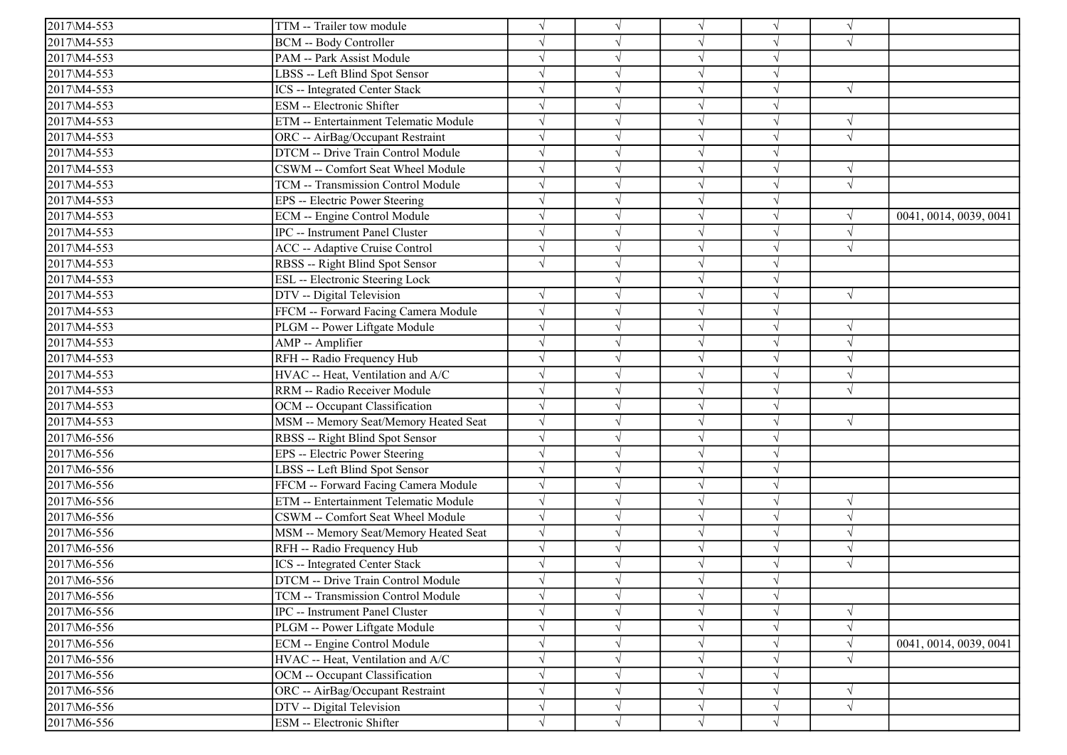| 2017\M4-553 | TTM -- Trailer tow module             | N                     |            | V             |            |            |                        |
|-------------|---------------------------------------|-----------------------|------------|---------------|------------|------------|------------------------|
| 2017\M4-553 | <b>BCM -- Body Controller</b>         | $\sqrt{}$             |            | $\sqrt{}$     |            | $\sqrt{ }$ |                        |
| 2017\M4-553 | PAM -- Park Assist Module             | $\sqrt{}$             |            |               |            |            |                        |
| 2017\M4-553 | LBSS -- Left Blind Spot Sensor        |                       |            |               |            |            |                        |
| 2017\M4-553 | ICS -- Integrated Center Stack        | $\sqrt{}$             |            |               |            | $\sqrt{ }$ |                        |
| 2017\M4-553 | ESM -- Electronic Shifter             | $\sqrt{}$             |            | N             |            |            |                        |
| 2017\M4-553 | ETM -- Entertainment Telematic Module | $\sqrt{ }$            |            | $\mathcal{A}$ | $\sqrt{ }$ | $\sqrt{ }$ |                        |
| 2017\M4-553 | ORC -- AirBag/Occupant Restraint      | $\sqrt{}$             |            | $\sqrt{ }$    |            | $\sqrt{ }$ |                        |
| 2017\M4-553 | DTCM -- Drive Train Control Module    | $\sqrt{ }$            |            | $\sqrt{ }$    |            |            |                        |
| 2017\M4-553 | CSWM -- Comfort Seat Wheel Module     |                       |            |               |            |            |                        |
| 2017\M4-553 | TCM -- Transmission Control Module    | $\sqrt{}$             |            | V             |            | $\sqrt{ }$ |                        |
| 2017\M4-553 | EPS -- Electric Power Steering        | $\sqrt{}$             |            |               |            |            |                        |
| 2017\M4-553 | ECM -- Engine Control Module          | $\sqrt{2}$            |            |               |            |            | 0041, 0014, 0039, 0041 |
| 2017\M4-553 | IPC -- Instrument Panel Cluster       | $\sqrt{}$             |            | $\sqrt{ }$    | $\sqrt{ }$ | $\sqrt{ }$ |                        |
| 2017\M4-553 | <b>ACC</b> -- Adaptive Cruise Control | $\sqrt{ }$            |            | $\sqrt{ }$    |            | $\sqrt{ }$ |                        |
| 2017\M4-553 | RBSS -- Right Blind Spot Sensor       | $\sqrt{ }$            |            |               |            |            |                        |
| 2017\M4-553 | ESL -- Electronic Steering Lock       |                       |            |               |            |            |                        |
| 2017\M4-553 | DTV -- Digital Television             | $\sqrt{ }$            |            |               |            | $\sqrt{ }$ |                        |
| 2017\M4-553 | FFCM -- Forward Facing Camera Module  | $\sqrt{}$             |            | N             | $\sqrt{}$  |            |                        |
| 2017\M4-553 | PLGM -- Power Liftgate Module         | $\sqrt{ }$            |            | $\sqrt{ }$    | $\sqrt{}$  | $\sqrt{ }$ |                        |
| 2017\M4-553 | AMP -- Amplifier                      | $\sqrt{}$             |            | $\sqrt{ }$    |            | $\sqrt{ }$ |                        |
| 2017\M4-553 | RFH -- Radio Frequency Hub            | $\sqrt{}$             |            | $\sqrt{ }$    |            | $\sqrt{ }$ |                        |
| 2017\M4-553 | HVAC -- Heat, Ventilation and A/C     |                       |            |               |            | $\sqrt{ }$ |                        |
| 2017\M4-553 | RRM -- Radio Receiver Module          | $\sqrt{}$             |            |               |            | $\sqrt{ }$ |                        |
| 2017\M4-553 | OCM -- Occupant Classification        | $\sqrt{}$             |            | V             |            |            |                        |
| 2017\M4-553 | MSM -- Memory Seat/Memory Heated Seat | $\sqrt{}$             |            |               |            | $\sqrt{ }$ |                        |
| 2017\M6-556 | RBSS -- Right Blind Spot Sensor       | $\sqrt{}$             |            | $\sqrt{ }$    |            |            |                        |
| 2017\M6-556 | EPS -- Electric Power Steering        | $\sqrt{}$             |            |               |            |            |                        |
| 2017\M6-556 | LBSS -- Left Blind Spot Sensor        |                       |            |               |            |            |                        |
| 2017\M6-556 | FFCM -- Forward Facing Camera Module  | $\sqrt{}$             |            | N             |            |            |                        |
| 2017\M6-556 | ETM -- Entertainment Telematic Module | $\sqrt{}$             |            |               |            | $\sqrt{ }$ |                        |
| 2017\M6-556 | CSWM -- Comfort Seat Wheel Module     | $\sqrt{ }$            |            |               |            | $\sqrt{ }$ |                        |
| 2017\M6-556 | MSM -- Memory Seat/Memory Heated Seat | $\overline{\sqrt{ }}$ |            | $\sqrt{ }$    |            | $\sqrt{ }$ |                        |
| 2017\M6-556 | RFH -- Radio Frequency Hub            | $\sqrt{}$             |            | $\sqrt{ }$    |            | $\sqrt{ }$ |                        |
| 2017\M6-556 | <b>ICS</b> -- Integrated Center Stack | $\sqrt{}$             |            |               |            | $\sqrt{ }$ |                        |
| 2017\M6-556 | DTCM -- Drive Train Control Module    |                       |            |               |            |            |                        |
| 2017\M6-556 | TCM -- Transmission Control Module    | $\sqrt{}$             | $\sqrt{}$  | $\sqrt{}$     | $\sqrt{}$  |            |                        |
| 2017\M6-556 | IPC -- Instrument Panel Cluster       | $\sqrt{}$             |            | V             |            |            |                        |
| 2017\M6-556 | PLGM -- Power Liftgate Module         | $\sqrt{}$             |            | $\sqrt{}$     |            | $\sqrt{ }$ |                        |
| 2017\M6-556 | ECM -- Engine Control Module          | $\sqrt{}$             |            | $\sqrt{}$     |            | $\sqrt{ }$ | 0041, 0014, 0039, 0041 |
| 2017\M6-556 | HVAC -- Heat, Ventilation and A/C     |                       |            |               |            |            |                        |
| 2017\M6-556 | OCM -- Occupant Classification        | $\sqrt{}$             |            | V             |            |            |                        |
| 2017\M6-556 | ORC -- AirBag/Occupant Restraint      | $\sqrt{}$             |            | V             |            | $\sqrt{ }$ |                        |
| 2017\M6-556 | DTV -- Digital Television             | $\sqrt{}$             |            | V             | $\sqrt{}$  | $\sqrt{ }$ |                        |
| 2017\M6-556 | ESM -- Electronic Shifter             | $\sqrt{}$             | $\sqrt{ }$ | $\sqrt{ }$    | $\sqrt{}$  |            |                        |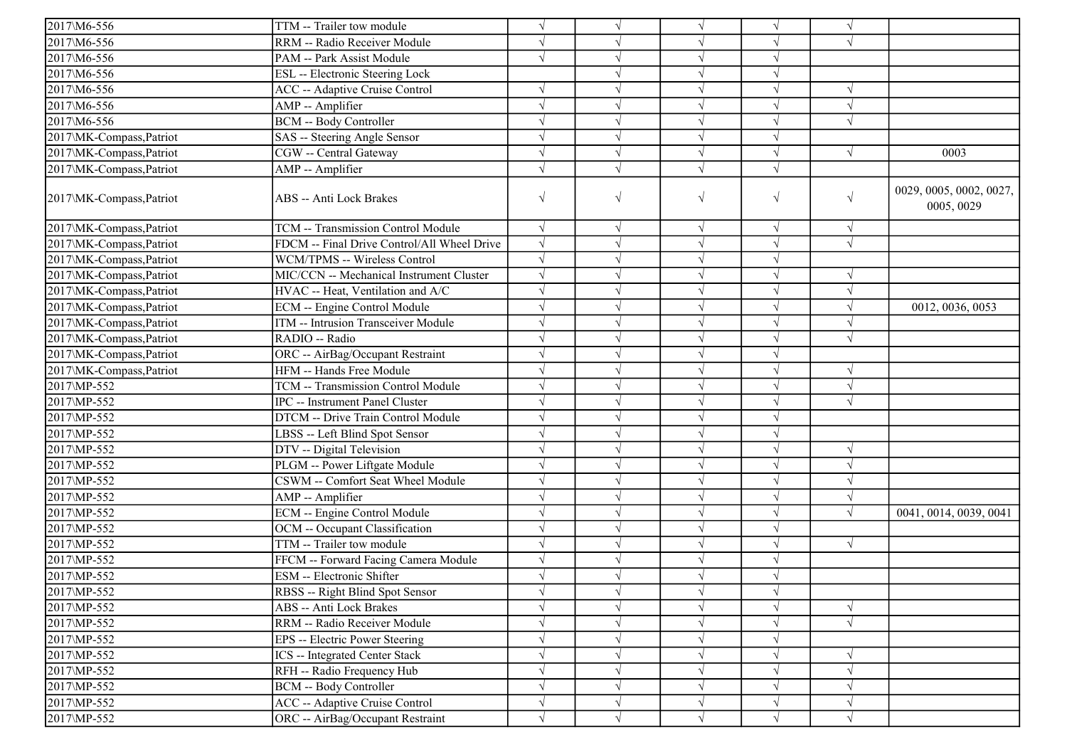| 2017\M6-556              | TTM -- Trailer tow module                   | $\sqrt{}$  | V          | $\sqrt{ }$    |            | $\sqrt{ }$ |                                       |
|--------------------------|---------------------------------------------|------------|------------|---------------|------------|------------|---------------------------------------|
| 2017\M6-556              | RRM -- Radio Receiver Module                | $\sqrt{ }$ |            |               |            |            |                                       |
| 2017\M6-556              | PAM -- Park Assist Module                   | $\sqrt{}$  |            | $\sqrt{ }$    |            |            |                                       |
| 2017\M6-556              | <b>ESL</b> -- Electronic Steering Lock      |            |            | $\sqrt{ }$    |            |            |                                       |
| 2017\M6-556              | <b>ACC</b> -- Adaptive Cruise Control       |            |            |               |            |            |                                       |
| 2017\M6-556              | AMP -- Amplifier                            | $\sqrt{ }$ |            | $\sqrt{ }$    |            | $\sqrt{ }$ |                                       |
| 2017\M6-556              | <b>BCM -- Body Controller</b>               | $\sqrt{ }$ |            | $\sqrt{ }$    |            | $\sqrt{}$  |                                       |
| 2017\MK-Compass, Patriot | SAS -- Steering Angle Sensor                | $\sqrt{ }$ |            | V             |            |            |                                       |
| 2017\MK-Compass, Patriot | CGW -- Central Gateway                      | $\sqrt{ }$ | $\sqrt{ }$ | $\sqrt{ }$    | $\sqrt{ }$ | $\sqrt{ }$ | 0003                                  |
| 2017\MK-Compass,Patriot  | AMP -- Amplifier                            | $\sqrt{ }$ | $\sqrt{}$  | $\sqrt{ }$    | $\sqrt{ }$ |            |                                       |
| 2017\MK-Compass, Patriot | <b>ABS -- Anti Lock Brakes</b>              | $\sqrt{}$  | $\sqrt{}$  | $\sqrt{}$     | $\sqrt{}$  | $\sqrt{ }$ | 0029, 0005, 0002, 0027,<br>0005, 0029 |
| 2017\MK-Compass, Patriot | TCM -- Transmission Control Module          | $\sqrt{ }$ | $\sqrt{}$  | $\sqrt{ }$    | $\sqrt{ }$ | $\sqrt{ }$ |                                       |
| 2017\MK-Compass, Patriot | FDCM -- Final Drive Control/All Wheel Drive | $\sqrt{ }$ | V          | $\sqrt{ }$    | $\sqrt{ }$ | $\sqrt{ }$ |                                       |
| 2017\MK-Compass, Patriot | WCM/TPMS -- Wireless Control                | $\sqrt{ }$ |            | $\sqrt{ }$    |            |            |                                       |
| 2017\MK-Compass,Patriot  | MIC/CCN -- Mechanical Instrument Cluster    | $\sqrt{}$  |            | $\sqrt{ }$    |            | $\sqrt{ }$ |                                       |
| 2017\MK-Compass,Patriot  | HVAC -- Heat, Ventilation and A/C           | $\sqrt{ }$ |            | $\sqrt{2}$    |            | $\sqrt{ }$ |                                       |
| 2017\MK-Compass, Patriot | ECM -- Engine Control Module                | $\sqrt{ }$ |            | $\sqrt{ }$    |            | $\sqrt{ }$ | 0012, 0036, 0053                      |
| 2017\MK-Compass,Patriot  | ITM -- Intrusion Transceiver Module         | $\sqrt{ }$ |            | $\mathcal{N}$ |            | $\sqrt{ }$ |                                       |
| 2017\MK-Compass, Patriot | RADIO -- Radio                              | $\sqrt{ }$ |            | $\mathcal{N}$ |            | $\sqrt{ }$ |                                       |
| 2017\MK-Compass, Patriot | ORC -- AirBag/Occupant Restraint            | $\sqrt{}$  |            |               |            |            |                                       |
| 2017\MK-Compass, Patriot | HFM -- Hands Free Module                    | $\sqrt{ }$ |            | $\sqrt{ }$    |            | $\sqrt{ }$ |                                       |
| 2017\MP-552              | TCM -- Transmission Control Module          |            |            |               |            |            |                                       |
| 2017\MP-552              | IPC -- Instrument Panel Cluster             | $\sqrt{ }$ |            |               |            | $\sqrt{ }$ |                                       |
| 2017\MP-552              | DTCM -- Drive Train Control Module          | $\sqrt{ }$ |            | $\sqrt{ }$    |            |            |                                       |
| 2017\MP-552              | LBSS -- Left Blind Spot Sensor              | $\sqrt{ }$ |            | $\mathcal{L}$ |            |            |                                       |
| 2017\MP-552              | DTV -- Digital Television                   | $\sqrt{ }$ |            | $\sqrt{ }$    | $\sqrt{ }$ | $\sqrt{ }$ |                                       |
| 2017\MP-552              | PLGM -- Power Liftgate Module               | $\sqrt{ }$ |            | $\sqrt{ }$    | $\sqrt{ }$ | $\sqrt{ }$ |                                       |
| 2017\MP-552              | CSWM -- Comfort Seat Wheel Module           | $\sqrt{ }$ |            |               |            | $\sqrt{ }$ |                                       |
| 2017\MP-552              | AMP -- Amplifier                            | $\sqrt{ }$ |            | $\sqrt{ }$    |            | $\sqrt{ }$ |                                       |
| 2017\MP-552              | <b>ECM</b> -- Engine Control Module         | $\sqrt{ }$ | $\sqrt{}$  | $\sqrt{ }$    |            | $\sqrt{ }$ | 0041, 0014, 0039, 0041                |
| 2017\MP-552              | OCM -- Occupant Classification              | $\sqrt{ }$ |            | $\sqrt{ }$    |            |            |                                       |
| 2017\MP-552              | TTM -- Trailer tow module                   | $\sqrt{ }$ | $\sqrt{}$  | $\sqrt{ }$    |            | $\sqrt{ }$ |                                       |
| 2017\MP-552              | FFCM -- Forward Facing Camera Module        | $\sqrt{}$  |            | $\sqrt{ }$    |            |            |                                       |
| 2017\MP-552              | ESM -- Electronic Shifter                   |            |            |               |            |            |                                       |
| 2017\MP-552              | RBSS -- Right Blind Spot Sensor             | $\sqrt{}$  |            |               |            |            |                                       |
| 2017\MP-552              | ABS -- Anti Lock Brakes                     | $\sqrt{}$  |            |               |            | $\sqrt{ }$ |                                       |
| 2017\MP-552              | RRM -- Radio Receiver Module                | $\sqrt{}$  |            |               |            | $\sqrt{ }$ |                                       |
| 2017\MP-552              | EPS -- Electric Power Steering              | $\sqrt{ }$ |            |               |            |            |                                       |
| 2017\MP-552              | <b>ICS</b> -- Integrated Center Stack       | $\sqrt{}$  |            | $\sqrt{ }$    |            | $\sqrt{ }$ |                                       |
| 2017\MP-552              | RFH -- Radio Frequency Hub                  | $\sqrt{}$  |            | $\sqrt{ }$    |            | $\sqrt{ }$ |                                       |
| 2017\MP-552              | <b>BCM -- Body Controller</b>               | $\sqrt{ }$ |            | $\sqrt{ }$    |            | $\sqrt{ }$ |                                       |
| 2017\MP-552              | <b>ACC</b> -- Adaptive Cruise Control       | $\sqrt{}$  | V          | $\sqrt{ }$    |            | $\sqrt{ }$ |                                       |
| 2017\MP-552              | ORC -- AirBag/Occupant Restraint            | $\sqrt{}$  | $\sqrt{ }$ | $\sqrt{ }$    | $\sqrt{ }$ | $\sqrt{ }$ |                                       |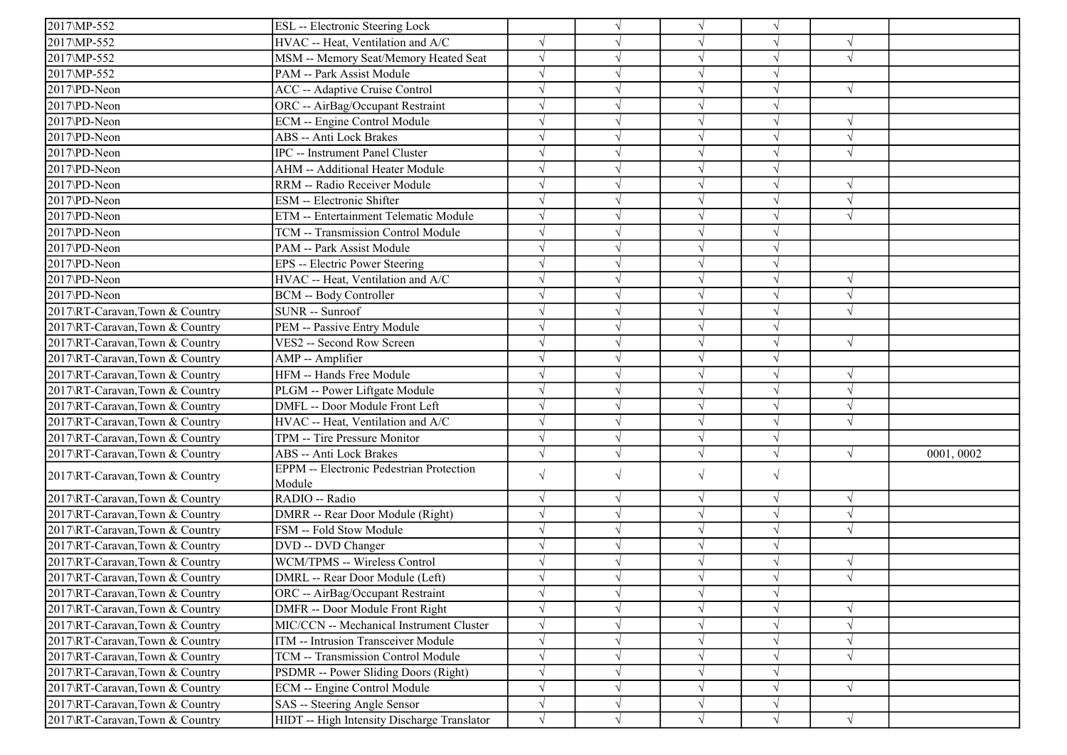| 2017\MP-552                     | ESL -- Electronic Steering Lock                 |            |            | $\sqrt{ }$    | $\sqrt{}$  |            |           |
|---------------------------------|-------------------------------------------------|------------|------------|---------------|------------|------------|-----------|
| 2017\MP-552                     | HVAC -- Heat, Ventilation and A/C               | $\sqrt{ }$ |            |               |            | $\sqrt{ }$ |           |
| 2017\MP-552                     | MSM -- Memory Seat/Memory Heated Seat           | $\sqrt{ }$ |            |               |            | $\sqrt{ }$ |           |
| 2017\MP-552                     | PAM -- Park Assist Module                       | $\sqrt{ }$ |            |               |            |            |           |
| 2017\PD-Neon                    | ACC -- Adaptive Cruise Control                  | $\sqrt{ }$ |            |               |            | $\sqrt{ }$ |           |
| 2017\PD-Neon                    | ORC -- AirBag/Occupant Restraint                | $\sqrt{ }$ |            |               | $\sqrt{}$  |            |           |
| 2017\PD-Neon                    | ECM -- Engine Control Module                    | $\sqrt{ }$ |            |               | $\sqrt{ }$ | $\sqrt{ }$ |           |
| 2017\PD-Neon                    | ABS -- Anti Lock Brakes                         | $\sqrt{ }$ |            | $\sqrt{ }$    |            | $\sqrt{ }$ |           |
| 2017\PD-Neon                    | IPC -- Instrument Panel Cluster                 | $\sqrt{ }$ |            |               |            | $\sqrt{ }$ |           |
| 2017\PD-Neon                    | AHM -- Additional Heater Module                 | $\sqrt{ }$ |            |               |            |            |           |
| 2017\PD-Neon                    | RRM -- Radio Receiver Module                    | $\sqrt{ }$ |            |               |            | $\sqrt{ }$ |           |
| 2017\PD-Neon                    | ESM -- Electronic Shifter                       | $\sqrt{ }$ |            |               | $\sqrt{}$  | $\sqrt{ }$ |           |
| 2017\PD-Neon                    | ETM -- Entertainment Telematic Module           | $\sqrt{ }$ | J          |               | $\sqrt{ }$ | $\sqrt{ }$ |           |
| 2017\PD-Neon                    | TCM -- Transmission Control Module              | $\sqrt{ }$ |            | $\sqrt{ }$    |            |            |           |
| 2017\PD-Neon                    | PAM -- Park Assist Module                       | $\sqrt{}$  |            |               |            |            |           |
| 2017\PD-Neon                    | EPS -- Electric Power Steering                  | $\sqrt{ }$ |            |               |            |            |           |
| 2017\PD-Neon                    | HVAC -- Heat, Ventilation and A/C               | $\sqrt{ }$ |            |               |            | $\sqrt{ }$ |           |
| 2017\PD-Neon                    | BCM -- Body Controller                          | $\sqrt{ }$ |            | $\sqrt{ }$    | $\sqrt{ }$ | $\sqrt{ }$ |           |
| 2017\RT-Caravan,Town & Country  | SUNR -- Sunroof                                 | $\sqrt{ }$ |            |               | $\sqrt{ }$ | $\sqrt{ }$ |           |
| 2017\RT-Caravan,Town & Country  | PEM -- Passive Entry Module                     | $\sqrt{ }$ |            | $\sqrt{ }$    | $\sqrt{}$  |            |           |
| 2017\RT-Caravan,Town & Country  | VES2 -- Second Row Screen                       | $\sqrt{ }$ |            |               | $\sqrt{}$  | $\sqrt{ }$ |           |
| 2017\RT-Caravan,Town & Country  | AMP -- Amplifier                                | $\sqrt{ }$ |            | $\mathcal{N}$ |            |            |           |
| 2017\RT-Caravan,Town & Country  | HFM -- Hands Free Module                        | $\sqrt{ }$ |            | $\sqrt{ }$    |            | $\sqrt{ }$ |           |
| 2017\RT-Caravan,Town & Country  | PLGM -- Power Liftgate Module                   | $\sqrt{ }$ |            | $\sqrt{ }$    |            | $\sqrt{ }$ |           |
| 2017\RT-Caravan,Town & Country  | DMFL -- Door Module Front Left                  | $\sqrt{ }$ |            |               |            | $\sqrt{ }$ |           |
| 2017\RT-Caravan,Town & Country  | HVAC -- Heat, Ventilation and A/C               | $\sqrt{ }$ |            |               |            | $\sqrt{ }$ |           |
| 2017\RT-Caravan,Town & Country  | TPM -- Tire Pressure Monitor                    | $\sqrt{}$  |            |               |            |            |           |
| 2017\RT-Caravan,Town & Country  | ABS -- Anti Lock Brakes                         | $\sqrt{ }$ |            |               |            | $\sqrt{ }$ | 0001,0002 |
|                                 | <b>EPPM</b> -- Electronic Pedestrian Protection |            |            | $\sqrt{ }$    | $\sqrt{ }$ |            |           |
| 2017\RT-Caravan,Town & Country  | Module                                          | $\sqrt{ }$ | $\sqrt{}$  |               |            |            |           |
| 2017\RT-Caravan,Town & Country  | RADIO -- Radio                                  | $\sqrt{ }$ |            | $\sqrt{ }$    | $\sqrt{}$  | $\sqrt{ }$ |           |
| 2017\RT-Caravan,Town & Country  | DMRR -- Rear Door Module (Right)                | $\sqrt{}$  |            |               |            | $\sqrt{ }$ |           |
| 2017\RT-Caravan,Town & Country  | FSM -- Fold Stow Module                         | $\sqrt{ }$ |            |               |            | $\sqrt{ }$ |           |
| 2017\RT-Caravan,Town & Country  | DVD -- DVD Changer                              | $\sqrt{ }$ |            |               | $\sqrt{}$  |            |           |
| 2017\RT-Caravan,Town & Country  | WCM/TPMS -- Wireless Control                    | $\sqrt{ }$ |            | $\sqrt{ }$    | $\sqrt{}$  | $\sqrt{ }$ |           |
| 2017\RT-Caravan,Town & Country  | DMRL -- Rear Door Module (Left)                 | $\sqrt{ }$ |            |               | V          | $\sqrt{ }$ |           |
| 2017\RT-Caravan,Town & Country  | ORC -- AirBag/Occupant Restraint                | $\sqrt{ }$ | $\sqrt{ }$ | $\sqrt{ }$    | $\sqrt{}$  |            |           |
| 2017\RT-Caravan,Town & Country  | DMFR -- Door Module Front Right                 | $\sqrt{ }$ |            |               |            | $\sqrt{ }$ |           |
| 2017\RT-Caravan,Town & Country  | MIC/CCN -- Mechanical Instrument Cluster        | $\sqrt{ }$ |            | $\sqrt{ }$    |            | $\sqrt{ }$ |           |
| 2017\RT-Caravan,Town & Country  | ITM -- Intrusion Transceiver Module             | $\sqrt{ }$ | $\sqrt{ }$ | $\sqrt{}$     | V          | $\sqrt{ }$ |           |
| 2017\RT-Caravan,Town & Country  | TCM -- Transmission Control Module              | $\sqrt{}$  | √          | $\sqrt{ }$    | $\sqrt{}$  | $\sqrt{ }$ |           |
| 2017\RT-Caravan, Town & Country | PSDMR -- Power Sliding Doors (Right)            | $\sqrt{ }$ |            | V             |            |            |           |
| 2017\RT-Caravan,Town & Country  | ECM -- Engine Control Module                    | $\sqrt{ }$ |            | $\sqrt{ }$    | $\sqrt{}$  | $\sqrt{ }$ |           |
| 2017\RT-Caravan,Town & Country  | SAS -- Steering Angle Sensor                    | $\sqrt{ }$ | V          | $\sqrt{ }$    | $\sqrt{}$  |            |           |
| 2017\RT-Caravan,Town & Country  | HIDT -- High Intensity Discharge Translator     | $\sqrt{ }$ | $\sqrt{ }$ | $\sqrt{ }$    | $\sqrt{}$  | $\sqrt{ }$ |           |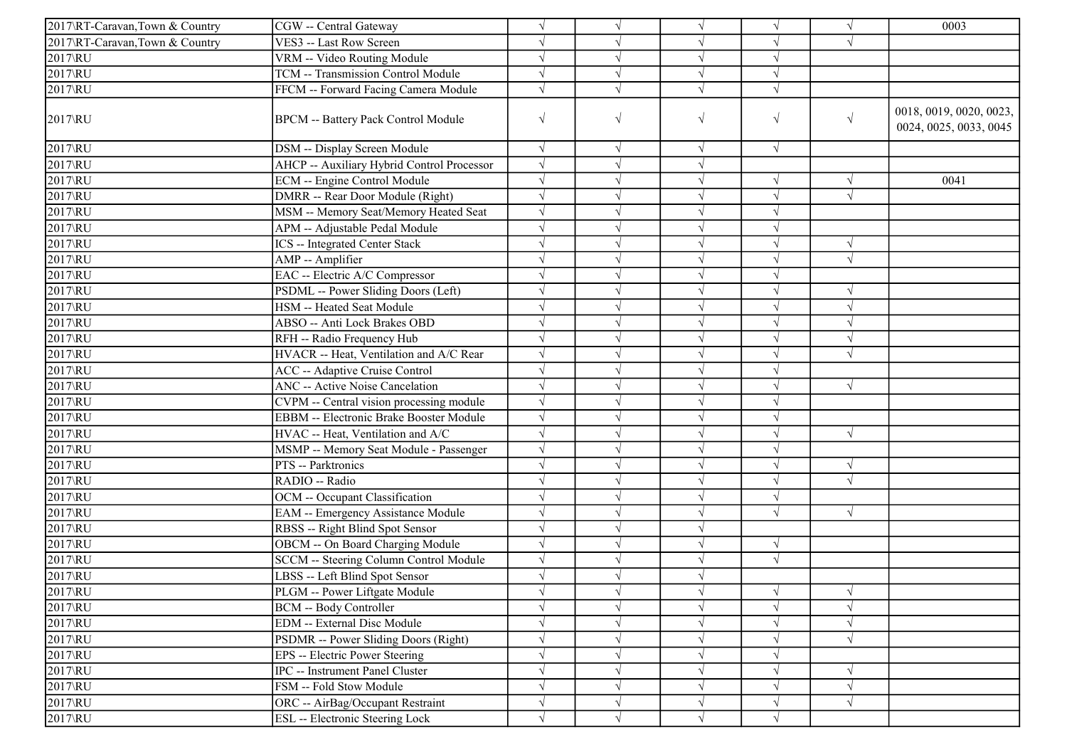| 2017\RT-Caravan,Town & Country | CGW -- Central Gateway                     | $\sqrt{ }$ |            | $\sqrt{ }$ |                       | $\sqrt{ }$ | 0003                                              |
|--------------------------------|--------------------------------------------|------------|------------|------------|-----------------------|------------|---------------------------------------------------|
| 2017\RT-Caravan,Town & Country | VES3 -- Last Row Screen                    |            |            |            | $\sqrt{}$             | $\sqrt{ }$ |                                                   |
| 2017\RU                        | VRM -- Video Routing Module                | $\sqrt{}$  | $\sqrt{}$  | $\sqrt{ }$ | $\sqrt{}$             |            |                                                   |
| 2017\RU                        | TCM -- Transmission Control Module         | $\sqrt{}$  |            |            | $\sqrt{}$             |            |                                                   |
| 2017\RU                        | FFCM -- Forward Facing Camera Module       | $\sqrt{ }$ | $\sqrt{}$  | $\sqrt{ }$ | $\sqrt{}$             |            |                                                   |
| 2017\RU                        | <b>BPCM -- Battery Pack Control Module</b> | $\sqrt{}$  | V          | $\sqrt{}$  | $\sqrt{}$             | $\sqrt{ }$ | 0018, 0019, 0020, 0023,<br>0024, 0025, 0033, 0045 |
| 2017\RU                        | DSM -- Display Screen Module               | $\sqrt{ }$ | $\sqrt{ }$ | $\sqrt{ }$ | $\sqrt{}$             |            |                                                   |
| 2017\RU                        | AHCP -- Auxiliary Hybrid Control Processor | $\sqrt{}$  | $\sqrt{}$  | $\sqrt{ }$ |                       |            |                                                   |
| 2017\RU                        | ECM -- Engine Control Module               | $\sqrt{}$  |            | $\sqrt{ }$ |                       | $\sqrt{ }$ | 0041                                              |
| $2017$ <sub>k</sub> U          | DMRR -- Rear Door Module (Right)           | $\sqrt{}$  |            |            | $\sqrt{}$             | $\sqrt{ }$ |                                                   |
| 2017\RU                        | MSM -- Memory Seat/Memory Heated Seat      | $\sqrt{}$  |            | $\sqrt{}$  | $\sqrt{}$             |            |                                                   |
| 2017\RU                        | APM -- Adjustable Pedal Module             |            |            |            |                       |            |                                                   |
| $2017$ <sub>k</sub> U          | <b>ICS</b> -- Integrated Center Stack      | $\sqrt{}$  |            | $\sqrt{ }$ | $\overline{\sqrt{} }$ | $\sqrt{ }$ |                                                   |
| $2017$ <sub>RU</sub>           | AMP -- Amplifier                           | $\sqrt{}$  |            |            | $\sqrt{}$             | $\sqrt{ }$ |                                                   |
| $2017$ <sub>RU</sub>           | EAC -- Electric A/C Compressor             | $\sqrt{ }$ |            | $\sqrt{ }$ | $\sqrt{ }$            |            |                                                   |
| $2017\times$                   | PSDML -- Power Sliding Doors (Left)        | $\sqrt{}$  |            | $\sqrt{ }$ | $\sqrt{}$             | $\sqrt{ }$ |                                                   |
| 2017\RU                        | HSM -- Heated Seat Module                  | $\sqrt{}$  |            | $\sqrt{ }$ | $\sqrt{ }$            | $\sqrt{ }$ |                                                   |
| 2017\RU                        | ABSO -- Anti Lock Brakes OBD               | $\sqrt{}$  |            |            |                       | $\sqrt{ }$ |                                                   |
| 2017\RU                        | RFH -- Radio Frequency Hub                 | $\sqrt{}$  |            | $\sqrt{}$  | $\sqrt{}$             | $\sqrt{ }$ |                                                   |
| 2017\RU                        | HVACR -- Heat, Ventilation and A/C Rear    | $\sqrt{}$  |            |            |                       | $\sqrt{ }$ |                                                   |
| 2017\RU                        | <b>ACC</b> -- Adaptive Cruise Control      | $\sqrt{}$  |            | $\sqrt{ }$ |                       |            |                                                   |
| $2017$ <sub>RU</sub>           | <b>ANC</b> -- Active Noise Cancelation     | $\sqrt{}$  |            | $\sqrt{ }$ | $\sqrt{}$             | $\sqrt{ }$ |                                                   |
| $2017$ <sub>RU</sub>           | CVPM -- Central vision processing module   | $\sqrt{}$  |            | $\sqrt{}$  | $\sqrt{ }$            |            |                                                   |
| 2017\RU                        | EBBM -- Electronic Brake Booster Module    | $\sqrt{}$  |            |            |                       |            |                                                   |
| 2017\RU                        | HVAC -- Heat, Ventilation and A/C          | $\sqrt{ }$ |            | $\sqrt{ }$ | $\sqrt{}$             | $\sqrt{ }$ |                                                   |
| $2017$ <sub>RU</sub>           | MSMP -- Memory Seat Module - Passenger     | $\sqrt{}$  |            | $\sqrt{ }$ | $\sqrt{}$             |            |                                                   |
| $2017$ $\overline{RU}$         | PTS -- Parktronics                         | $\sqrt{}$  | V          | $\sqrt{}$  | $\sqrt{}$             | $\sqrt{ }$ |                                                   |
| 2017\RU                        | RADIO -- Radio                             | $\sqrt{}$  |            | $\sqrt{ }$ | $\sqrt{}$             | $\sqrt{ }$ |                                                   |
| $2017$ RU                      | OCM -- Occupant Classification             | $\sqrt{}$  |            | $\sqrt{ }$ | $\sqrt{}$             |            |                                                   |
| 2017\RU                        | EAM -- Emergency Assistance Module         | $\sqrt{}$  |            | $\sqrt{}$  | $\sqrt{}$             | $\sqrt{ }$ |                                                   |
| $\sqrt{2017}$ RU               | RBSS -- Right Blind Spot Sensor            | $\sqrt{}$  |            |            |                       |            |                                                   |
| 2017\RU                        | OBCM -- On Board Charging Module           | $\sqrt{}$  | V          | $\sqrt{ }$ | $\sqrt{}$             |            |                                                   |
| 2017\RU                        | SCCM -- Steering Column Control Module     | $\sqrt{}$  | $\sqrt{}$  | $\sqrt{ }$ | $\sqrt{}$             |            |                                                   |
| 2017\RU                        | LBSS -- Left Blind Spot Sensor             | $\sqrt{}$  |            |            |                       |            |                                                   |
| 2017\RU                        | PLGM -- Power Liftgate Module              | $\sqrt{}$  | $\sqrt{ }$ | $\sqrt{ }$ | $\sqrt{}$             | $\sqrt{ }$ |                                                   |
| 2017\RU                        | <b>BCM -- Body Controller</b>              | $\sqrt{}$  |            | $\sqrt{ }$ | $\sqrt{}$             | $\sqrt{ }$ |                                                   |
| 2017\RU                        | EDM -- External Disc Module                | $\sqrt{}$  |            |            |                       | V          |                                                   |
| $2017$ <sub>RU</sub>           | PSDMR -- Power Sliding Doors (Right)       | $\sqrt{}$  |            |            |                       | $\sqrt{ }$ |                                                   |
| 2017\RU                        | EPS -- Electric Power Steering             | $\sqrt{}$  |            |            |                       |            |                                                   |
| 2017\RU                        | IPC -- Instrument Panel Cluster            | $\sqrt{}$  |            |            |                       | V          |                                                   |
| 2017\RU                        | FSM -- Fold Stow Module                    | $\sqrt{}$  |            | $\sqrt{ }$ | $\sqrt{}$             | $\sqrt{}$  |                                                   |
| 2017\RU                        | ORC -- AirBag/Occupant Restraint           | $\sqrt{}$  | V          | $\sqrt{}$  | $\sqrt{}$             | $\sqrt{ }$ |                                                   |
| 2017\RU                        | <b>ESL</b> -- Electronic Steering Lock     |            |            |            |                       |            |                                                   |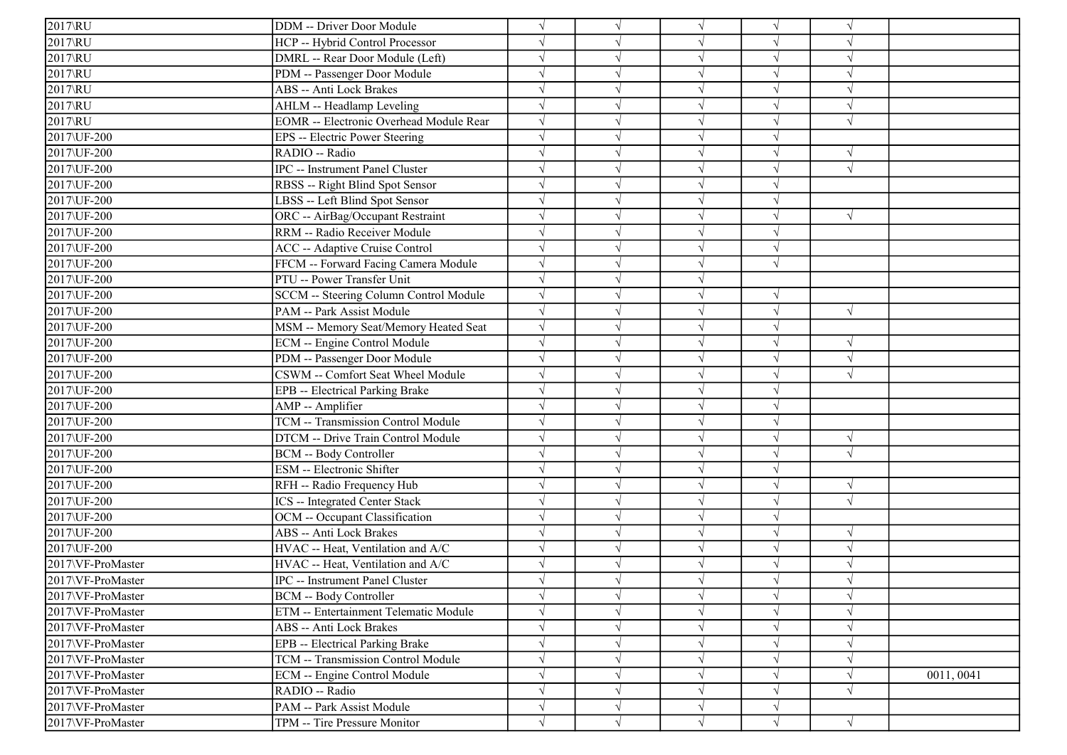| $2017$ <sub>RU</sub> | DDM -- Driver Door Module                      | $\sqrt{}$ |            | $\sqrt{ }$ | $\sqrt{}$  | $\sqrt{ }$ |            |
|----------------------|------------------------------------------------|-----------|------------|------------|------------|------------|------------|
| 2017\RU              | HCP -- Hybrid Control Processor                |           |            | $\sqrt{ }$ |            |            |            |
| $\overline{2017}$ RU | DMRL -- Rear Door Module (Left)                |           |            | $\sqrt{}$  |            |            |            |
| 2017\RU              | PDM -- Passenger Door Module                   |           |            | $\sqrt{}$  |            |            |            |
| 2017\RU              | ABS -- Anti Lock Brakes                        |           |            | $\sqrt{}$  |            |            |            |
| 2017\RU              | AHLM -- Headlamp Leveling                      | $\sqrt{}$ |            | $\sqrt{ }$ |            |            |            |
| 2017\RU              | <b>EOMR</b> -- Electronic Overhead Module Rear | $\sqrt{}$ |            | $\sqrt{ }$ |            | $\sqrt{ }$ |            |
| 2017\UF-200          | EPS -- Electric Power Steering                 | $\sqrt{}$ |            | $\sqrt{ }$ |            |            |            |
| 2017\UF-200          | RADIO -- Radio                                 |           |            | $\sqrt{}$  |            |            |            |
| 2017\UF-200          | <b>IPC</b> -- Instrument Panel Cluster         |           |            | $\sqrt{ }$ |            | $\sqrt{ }$ |            |
| 2017\UF-200          | RBSS -- Right Blind Spot Sensor                |           |            | $\sqrt{}$  |            |            |            |
| 2017\UF-200          | LBSS -- Left Blind Spot Sensor                 | $\sqrt{}$ |            | $\sqrt{}$  |            |            |            |
| 2017\UF-200          | ORC -- AirBag/Occupant Restraint               | $\sqrt{}$ |            | $\sqrt{ }$ | $\sqrt{}$  | $\sqrt{ }$ |            |
| 2017\UF-200          | RRM -- Radio Receiver Module                   | $\sqrt{}$ |            | $\sqrt{ }$ |            |            |            |
| 2017\UF-200          | ACC -- Adaptive Cruise Control                 | $\sqrt{}$ |            | $\sqrt{}$  |            |            |            |
| 2017\UF-200          | FFCM -- Forward Facing Camera Module           |           |            | $\sqrt{}$  |            |            |            |
| 2017\UF-200          | PTU -- Power Transfer Unit                     | $\sqrt{}$ |            | $\sqrt{}$  |            |            |            |
| 2017\UF-200          | SCCM -- Steering Column Control Module         | $\sqrt{}$ |            | $\sqrt{}$  | V          |            |            |
| 2017\UF-200          | PAM -- Park Assist Module                      | $\sqrt{}$ |            | $\sqrt{ }$ |            | $\sqrt{ }$ |            |
| 2017\UF-200          | MSM -- Memory Seat/Memory Heated Seat          | $\sqrt{}$ |            | $\sqrt{ }$ |            |            |            |
| 2017\UF-200          | ECM -- Engine Control Module                   | $\sqrt{}$ |            | $\sqrt{}$  | $\sqrt{}$  | $\sqrt{ }$ |            |
| 2017\UF-200          | PDM -- Passenger Door Module                   |           |            | $\sqrt{ }$ |            | $\sqrt{ }$ |            |
| 2017\UF-200          | CSWM -- Comfort Seat Wheel Module              |           |            | $\sqrt{}$  |            | $\sqrt{ }$ |            |
| 2017\UF-200          | EPB -- Electrical Parking Brake                | $\sqrt{}$ |            | $\sqrt{ }$ |            |            |            |
| 2017\UF-200          | AMP -- Amplifier                               |           |            | $\sqrt{}$  |            |            |            |
| 2017\UF-200          | TCM -- Transmission Control Module             |           |            | $\sqrt{ }$ |            |            |            |
| 2017\UF-200          | DTCM -- Drive Train Control Module             | $\sqrt{}$ |            | $\sqrt{}$  |            | $\sqrt{ }$ |            |
| 2017\UF-200          | BCM -- Body Controller                         |           |            | $\sqrt{ }$ |            | $\sqrt{ }$ |            |
| 2017\UF-200          | ESM -- Electronic Shifter                      |           |            | $\sqrt{ }$ |            |            |            |
| 2017\UF-200          | RFH -- Radio Frequency Hub                     | $\sqrt{}$ |            | $\sqrt{ }$ |            | $\sqrt{ }$ |            |
| 2017\UF-200          | <b>ICS</b> -- Integrated Center Stack          | $\sqrt{}$ |            | $\sqrt{}$  |            | $\sqrt{ }$ |            |
| 2017\UF-200          | OCM -- Occupant Classification                 | $\sqrt{}$ |            | $\sqrt{ }$ |            |            |            |
| 2017\UF-200          | ABS -- Anti Lock Brakes                        | $\sqrt{}$ |            | $\sqrt{ }$ |            | $\sqrt{ }$ |            |
| 2017\UF-200          | HVAC -- Heat, Ventilation and A/C              |           |            | $\sqrt{}$  |            |            |            |
| 2017\VF-ProMaster    | HVAC -- Heat, Ventilation and A/C              |           |            | $\sqrt{ }$ |            | $\sqrt{ }$ |            |
| 2017\VF-ProMaster    | IPC -- Instrument Panel Cluster                |           |            |            |            |            |            |
| 2017\VF-ProMaster    | BCM -- Body Controller                         | $\sqrt{}$ |            | $\sqrt{}$  | $\sqrt{}$  | $\sqrt{ }$ |            |
| 2017\VF-ProMaster    | ETM -- Entertainment Telematic Module          | $\sqrt{}$ |            | $\sqrt{ }$ | $\sqrt{}$  | $\sqrt{ }$ |            |
| 2017\VF-ProMaster    | ABS -- Anti Lock Brakes                        | $\sqrt{}$ |            | $\sqrt{}$  |            | $\sqrt{ }$ |            |
| 2017\VF-ProMaster    | EPB -- Electrical Parking Brake                |           |            | $\sqrt{}$  |            |            |            |
| 2017\VF-ProMaster    | TCM -- Transmission Control Module             | $\sqrt{}$ |            | $\sqrt{ }$ |            | $\sqrt{ }$ |            |
| 2017\VF-ProMaster    | ECM -- Engine Control Module                   | $\sqrt{}$ |            | $\sqrt{ }$ | $\sqrt{}$  | $\sqrt{ }$ | 0011, 0041 |
| 2017\VF-ProMaster    | RADIO -- Radio                                 | $\sqrt{}$ |            | $\sqrt{ }$ |            | $\sqrt{ }$ |            |
| 2017\VF-ProMaster    | PAM -- Park Assist Module                      | $\sqrt{}$ | $\sqrt{ }$ | $\sqrt{ }$ | $\sqrt{ }$ |            |            |
| 2017\VF-ProMaster    | TPM -- Tire Pressure Monitor                   | $\sqrt{}$ | $\sqrt{}$  | $\sqrt{ }$ | $\sqrt{ }$ | $\sqrt{ }$ |            |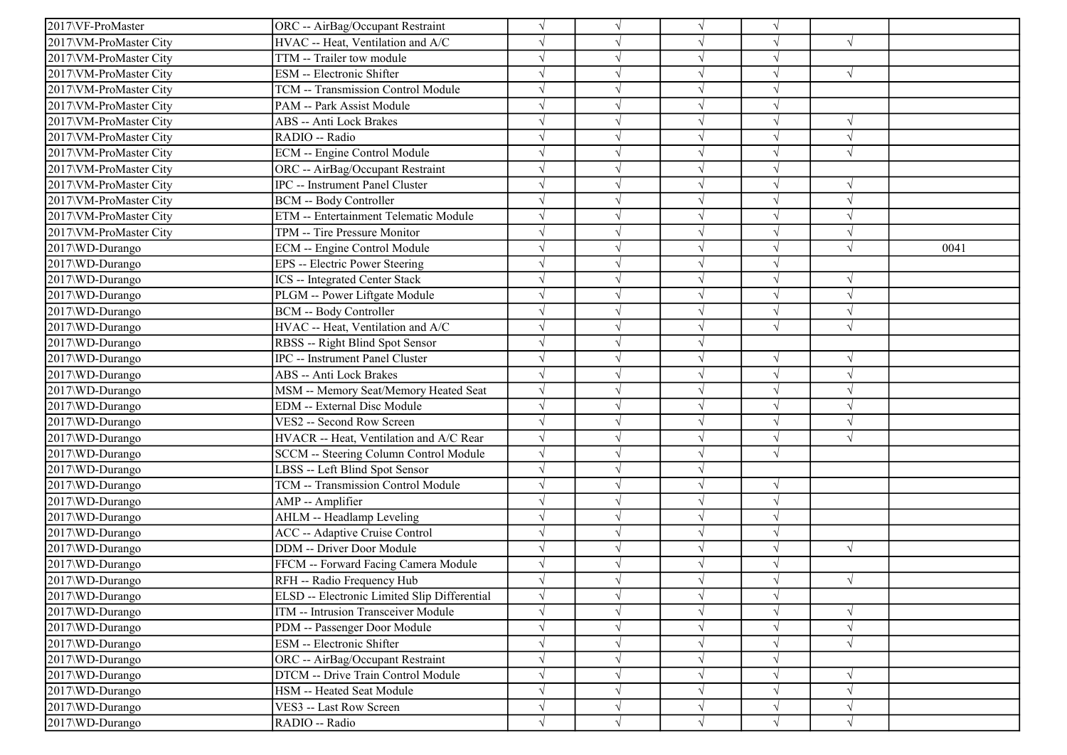| 2017\VF-ProMaster      | ORC -- AirBag/Occupant Restraint             |            | $\sqrt{ }$ | $\sqrt{ }$ | $\sqrt{}$ |            |      |
|------------------------|----------------------------------------------|------------|------------|------------|-----------|------------|------|
| 2017\VM-ProMaster City | HVAC -- Heat, Ventilation and A/C            |            |            | $\sqrt{ }$ |           | $\sqrt{ }$ |      |
| 2017\VM-ProMaster City | TTM -- Trailer tow module                    |            |            | $\sqrt{ }$ |           |            |      |
| 2017\VM-ProMaster City | ESM -- Electronic Shifter                    |            |            | $\sqrt{}$  |           | $\sqrt{ }$ |      |
| 2017\VM-ProMaster City | TCM -- Transmission Control Module           |            |            | V          |           |            |      |
| 2017\VM-ProMaster City | PAM -- Park Assist Module                    |            |            | $\sqrt{ }$ | V         |            |      |
| 2017\VM-ProMaster City | ABS -- Anti Lock Brakes                      |            |            | $\sqrt{ }$ | V         | $\sqrt{ }$ |      |
| 2017\VM-ProMaster City | RADIO -- Radio                               |            |            | $\sqrt{ }$ |           | $\sqrt{ }$ |      |
| 2017\VM-ProMaster City | ECM -- Engine Control Module                 |            |            | $\sqrt{ }$ |           | $\sqrt{ }$ |      |
| 2017\VM-ProMaster City | ORC -- AirBag/Occupant Restraint             |            |            | $\sqrt{}$  |           |            |      |
| 2017\VM-ProMaster City | IPC -- Instrument Panel Cluster              |            |            | V          |           | $\sqrt{ }$ |      |
| 2017\VM-ProMaster City | <b>BCM -- Body Controller</b>                |            |            | $\sqrt{}$  | V         | $\sqrt{ }$ |      |
| 2017\VM-ProMaster City | ETM -- Entertainment Telematic Module        |            |            | $\sqrt{ }$ |           | $\sqrt{ }$ |      |
| 2017\VM-ProMaster City | TPM -- Tire Pressure Monitor                 |            |            | $\sqrt{ }$ |           | $\sqrt{ }$ |      |
| 2017\WD-Durango        | ECM -- Engine Control Module                 |            |            | $\sqrt{}$  | J         | $\sqrt{ }$ | 0041 |
| 2017\WD-Durango        | EPS -- Electric Power Steering               |            |            | $\sqrt{}$  |           |            |      |
| 2017\WD-Durango        | <b>ICS</b> -- Integrated Center Stack        |            |            | V          |           | $\sqrt{ }$ |      |
| 2017\WD-Durango        | PLGM -- Power Liftgate Module                |            |            | $\sqrt{ }$ | J         | $\sqrt{ }$ |      |
| 2017\WD-Durango        | <b>BCM -- Body Controller</b>                |            |            | $\sqrt{ }$ |           | $\sqrt{ }$ |      |
| 2017\WD-Durango        | HVAC -- Heat, Ventilation and A/C            |            |            | $\sqrt{ }$ | $\sqrt{}$ | $\sqrt{ }$ |      |
| 2017\WD-Durango        | RBSS -- Right Blind Spot Sensor              |            |            | $\sqrt{ }$ |           |            |      |
| 2017\WD-Durango        | IPC -- Instrument Panel Cluster              |            |            | $\sqrt{ }$ |           |            |      |
| 2017\WD-Durango        | ABS -- Anti Lock Brakes                      |            |            | $\sqrt{ }$ |           | $\sqrt{ }$ |      |
| 2017\WD-Durango        | MSM -- Memory Seat/Memory Heated Seat        |            |            | $\sqrt{ }$ | J         | $\sqrt{ }$ |      |
| 2017\WD-Durango        | EDM -- External Disc Module                  |            |            | $\sqrt{ }$ |           | $\sqrt{ }$ |      |
| 2017\WD-Durango        | VES2 -- Second Row Screen                    |            |            | $\sqrt{}$  |           | $\sqrt{ }$ |      |
| 2017\WD-Durango        | HVACR -- Heat, Ventilation and A/C Rear      |            |            | $\sqrt{ }$ | $\sqrt{}$ | $\sqrt{ }$ |      |
| 2017\WD-Durango        | SCCM -- Steering Column Control Module       |            |            | $\sqrt{ }$ |           |            |      |
| 2017\WD-Durango        | LBSS -- Left Blind Spot Sensor               |            |            | $\sqrt{ }$ |           |            |      |
| 2017\WD-Durango        | TCM -- Transmission Control Module           |            |            | $\sqrt{ }$ | V         |            |      |
| 2017\WD-Durango        | AMP -- Amplifier                             |            |            | $\sqrt{ }$ |           |            |      |
| 2017\WD-Durango        | AHLM -- Headlamp Leveling                    |            |            | $\sqrt{ }$ | J         |            |      |
| 2017\WD-Durango        | ACC -- Adaptive Cruise Control               |            |            | $\sqrt{ }$ | $\sqrt{}$ |            |      |
| 2017\WD-Durango        | DDM -- Driver Door Module                    |            |            | $\sqrt{}$  |           | $\sqrt{ }$ |      |
| 2017\WD-Durango        | FFCM -- Forward Facing Camera Module         |            |            | V          |           |            |      |
| 2017\WD-Durango        | RFH -- Radio Frequency Hub                   |            |            |            |           | $\sqrt{ }$ |      |
| 2017\WD-Durango        | ELSD -- Electronic Limited Slip Differential |            | $\sqrt{}$  | $\sqrt{ }$ | V         |            |      |
| 2017\WD-Durango        | ITM -- Intrusion Transceiver Module          | V          |            | $\sqrt{ }$ | V         | $\sqrt{ }$ |      |
| 2017\WD-Durango        | PDM -- Passenger Door Module                 |            |            | $\sqrt{ }$ |           | $\sqrt{ }$ |      |
| 2017\WD-Durango        | ESM -- Electronic Shifter                    |            |            | $\sqrt{}$  |           | $\sqrt{ }$ |      |
| 2017\WD-Durango        | ORC -- AirBag/Occupant Restraint             |            |            | $\sqrt{ }$ |           |            |      |
| 2017\WD-Durango        | DTCM -- Drive Train Control Module           |            |            | $\sqrt{ }$ |           | $\sqrt{ }$ |      |
| 2017\WD-Durango        | HSM -- Heated Seat Module                    | $\sqrt{}$  | $\sqrt{ }$ | $\sqrt{ }$ | V         | $\sqrt{ }$ |      |
| 2017\WD-Durango        | VES3 -- Last Row Screen                      | $\sqrt{ }$ | $\sqrt{ }$ | $\sqrt{ }$ | $\sqrt{}$ | $\sqrt{ }$ |      |
| 2017\WD-Durango        | RADIO -- Radio                               | $\sqrt{ }$ | $\sqrt{ }$ | $\sqrt{ }$ | $\sqrt{}$ | $\sqrt{ }$ |      |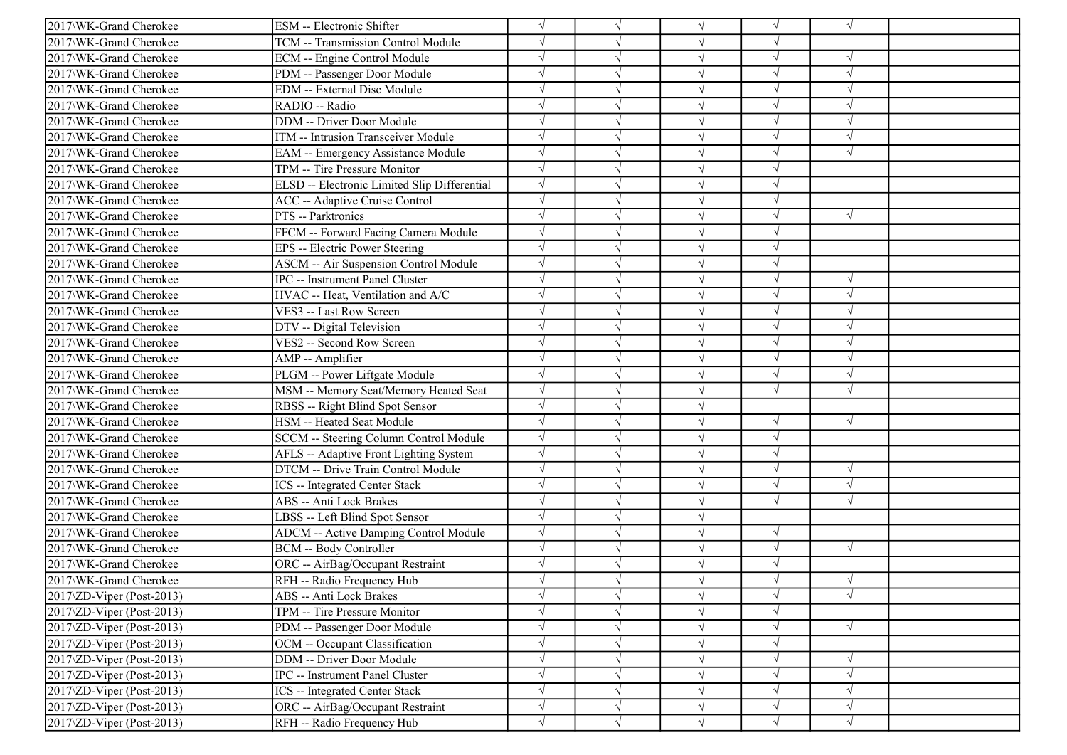| 2017\WK-Grand Cherokee                 | ESM -- Electronic Shifter                    |            |            | $\sqrt{ }$ | $\sqrt{}$  | $\sqrt{ }$    |  |
|----------------------------------------|----------------------------------------------|------------|------------|------------|------------|---------------|--|
| 2017\WK-Grand Cherokee                 | TCM -- Transmission Control Module           |            |            | $\sqrt{ }$ | V          |               |  |
| 2017\WK-Grand Cherokee                 | ECM -- Engine Control Module                 |            |            | $\sqrt{ }$ | $\sqrt{}$  | $\sqrt{ }$    |  |
| 2017\WK-Grand Cherokee                 | PDM -- Passenger Door Module                 |            |            | $\sqrt{ }$ |            |               |  |
| 2017\WK-Grand Cherokee                 | <b>EDM</b> -- External Disc Module           |            |            | $\sqrt{ }$ |            | $\sqrt{ }$    |  |
| 2017\WK-Grand Cherokee                 | RADIO -- Radio                               |            |            | $\sqrt{ }$ |            | $\sqrt{ }$    |  |
| 2017\WK-Grand Cherokee                 | DDM -- Driver Door Module                    |            |            | $\sqrt{ }$ | J          | $\mathcal{A}$ |  |
| 2017\WK-Grand Cherokee                 | ITM -- Intrusion Transceiver Module          | $\sqrt{ }$ |            | $\sqrt{ }$ | $\sqrt{}$  | $\sqrt{ }$    |  |
| 2017\WK-Grand Cherokee                 | EAM -- Emergency Assistance Module           |            |            | $\sqrt{ }$ | $\sqrt{ }$ | $\sqrt{ }$    |  |
| 2017\WK-Grand Cherokee                 | TPM -- Tire Pressure Monitor                 |            |            | $\sqrt{ }$ |            |               |  |
| 2017\WK-Grand Cherokee                 | ELSD -- Electronic Limited Slip Differential |            |            | $\sqrt{ }$ | J          |               |  |
| 2017\WK-Grand Cherokee                 | ACC -- Adaptive Cruise Control               |            |            | $\sqrt{ }$ |            |               |  |
| 2017\WK-Grand Cherokee                 | PTS -- Parktronics                           |            |            | $\sqrt{ }$ | $\sqrt{}$  | $\sqrt{ }$    |  |
| 2017\WK-Grand Cherokee                 | FFCM -- Forward Facing Camera Module         | $\sqrt{}$  |            | $\sqrt{ }$ | V          |               |  |
| 2017\WK-Grand Cherokee                 | EPS -- Electric Power Steering               | $\sqrt{ }$ |            | $\sqrt{ }$ | V          |               |  |
| 2017\WK-Grand Cherokee                 | <b>ASCM -- Air Suspension Control Module</b> |            |            | $\sqrt{ }$ |            |               |  |
| 2017\WK-Grand Cherokee                 | IPC -- Instrument Panel Cluster              |            |            | $\sqrt{ }$ | J          | $\sqrt{ }$    |  |
| 2017\WK-Grand Cherokee                 | HVAC -- Heat, Ventilation and A/C            |            |            | $\sqrt{ }$ |            | $\sqrt{ }$    |  |
| 2017\WK-Grand Cherokee                 | VES3 -- Last Row Screen                      |            |            | $\sqrt{ }$ | V          | $\sqrt{ }$    |  |
| 2017\WK-Grand Cherokee                 | DTV -- Digital Television                    | $\sqrt{ }$ |            | $\sqrt{ }$ | V          | $\sqrt{ }$    |  |
| 2017\WK-Grand Cherokee                 | VES2 -- Second Row Screen                    |            |            | $\sqrt{ }$ | V          | $\sqrt{ }$    |  |
| 2017\WK-Grand Cherokee                 | AMP -- Amplifier                             |            |            | $\sqrt{ }$ | $\sqrt{ }$ | $\sqrt{ }$    |  |
| 2017\WK-Grand Cherokee                 | PLGM -- Power Liftgate Module                |            |            | $\sqrt{ }$ | $\sqrt{ }$ | $\sqrt{ }$    |  |
| 2017\WK-Grand Cherokee                 | MSM -- Memory Seat/Memory Heated Seat        |            |            | $\sqrt{ }$ |            | $\sqrt{ }$    |  |
| 2017\WK-Grand Cherokee                 | RBSS -- Right Blind Spot Sensor              | $\sqrt{}$  |            | $\sqrt{ }$ |            |               |  |
| 2017\WK-Grand Cherokee                 | HSM -- Heated Seat Module                    |            |            | $\sqrt{ }$ |            | $\sqrt{ }$    |  |
| 2017\WK-Grand Cherokee                 | SCCM -- Steering Column Control Module       |            |            | $\sqrt{ }$ | $\sqrt{ }$ |               |  |
| 2017\WK-Grand Cherokee                 | AFLS -- Adaptive Front Lighting System       |            |            | $\sqrt{ }$ | $\sqrt{ }$ |               |  |
| 2017\WK-Grand Cherokee                 | DTCM -- Drive Train Control Module           |            |            | $\sqrt{ }$ |            | $\sqrt{ }$    |  |
| 2017\WK-Grand Cherokee                 | <b>ICS</b> -- Integrated Center Stack        |            |            | $\sqrt{ }$ |            | $\sqrt{ }$    |  |
| 2017\WK-Grand Cherokee                 | <b>ABS</b> -- Anti Lock Brakes               | $\sqrt{ }$ |            | $\sqrt{ }$ | $\sqrt{}$  | $\sqrt{ }$    |  |
| 2017\WK-Grand Cherokee                 | LBSS -- Left Blind Spot Sensor               |            |            | $\sqrt{ }$ |            |               |  |
| 2017\WK-Grand Cherokee                 | <b>ADCM -- Active Damping Control Module</b> | $\sqrt{}$  |            | $\sqrt{ }$ | $\sqrt{}$  |               |  |
| 2017\WK-Grand Cherokee                 | <b>BCM -- Body Controller</b>                |            |            | $\sqrt{ }$ | $\sqrt{}$  | $\sqrt{ }$    |  |
| 2017\WK-Grand Cherokee                 | ORC -- AirBag/Occupant Restraint             |            |            | $\sqrt{ }$ |            |               |  |
| 2017\WK-Grand Cherokee                 | RFH -- Radio Frequency Hub                   |            |            |            |            | $\sqrt{ }$    |  |
| 2017\ZD-Viper (Post-2013)              | ABS -- Anti Lock Brakes                      | $\sqrt{}$  | $\sqrt{}$  | $\sqrt{}$  | $\sqrt{}$  | $\sqrt{}$     |  |
| $2017\overline{2}D$ -Viper (Post-2013) | TPM -- Tire Pressure Monitor                 |            |            | $\sqrt{}$  | V          |               |  |
| 2017\ZD-Viper (Post-2013)              | PDM -- Passenger Door Module                 | $\sqrt{}$  |            | $\sqrt{}$  | $\sqrt{}$  | $\sqrt{}$     |  |
| 2017\ZD-Viper (Post-2013)              | OCM -- Occupant Classification               |            |            | $\sqrt{}$  | V          |               |  |
| 2017\ZD-Viper (Post-2013)              | DDM -- Driver Door Module                    |            |            | $\sqrt{}$  | V          | $\sqrt{ }$    |  |
| $2017\text{ZD-Viper}$ (Post-2013)      | IPC -- Instrument Panel Cluster              | $\sqrt{}$  |            | $\sqrt{ }$ | V          | $\sqrt{ }$    |  |
| 2017\ZD-Viper (Post-2013)              | <b>ICS</b> -- Integrated Center Stack        | $\sqrt{}$  | V          | $\sqrt{ }$ |            | $\sqrt{ }$    |  |
| 2017\ZD-Viper (Post-2013)              | ORC -- AirBag/Occupant Restraint             | $\sqrt{}$  | $\sqrt{ }$ | $\sqrt{}$  | V          | $\sqrt{ }$    |  |
| 2017\ZD-Viper (Post-2013)              | RFH -- Radio Frequency Hub                   | $\sqrt{}$  | $\sqrt{ }$ | $\sqrt{ }$ | $\sqrt{}$  | $\sqrt{}$     |  |